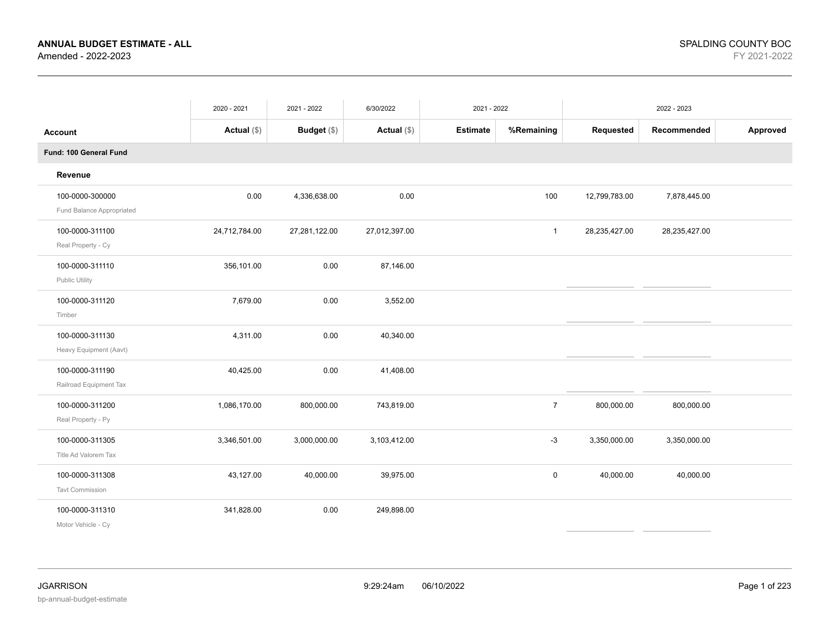|                                              | 2020 - 2021   | 2021 - 2022        | 6/30/2022     | 2021 - 2022     |                |               | 2022 - 2023   |          |
|----------------------------------------------|---------------|--------------------|---------------|-----------------|----------------|---------------|---------------|----------|
| <b>Account</b>                               | Actual $(\$)$ | <b>Budget</b> (\$) | Actual $(\$)$ | <b>Estimate</b> | %Remaining     | Requested     | Recommended   | Approved |
| Fund: 100 General Fund                       |               |                    |               |                 |                |               |               |          |
| Revenue                                      |               |                    |               |                 |                |               |               |          |
| 100-0000-300000<br>Fund Balance Appropriated | 0.00          | 4,336,638.00       | 0.00          |                 | 100            | 12,799,783.00 | 7,878,445.00  |          |
| 100-0000-311100<br>Real Property - Cy        | 24,712,784.00 | 27,281,122.00      | 27,012,397.00 |                 | $\mathbf{1}$   | 28,235,427.00 | 28,235,427.00 |          |
| 100-0000-311110<br>Public Utility            | 356,101.00    | 0.00               | 87,146.00     |                 |                |               |               |          |
| 100-0000-311120<br>Timber                    | 7,679.00      | 0.00               | 3,552.00      |                 |                |               |               |          |
| 100-0000-311130<br>Heavy Equipment (Aavt)    | 4,311.00      | 0.00               | 40,340.00     |                 |                |               |               |          |
| 100-0000-311190<br>Railroad Equipment Tax    | 40,425.00     | 0.00               | 41,408.00     |                 |                |               |               |          |
| 100-0000-311200<br>Real Property - Py        | 1,086,170.00  | 800,000.00         | 743,819.00    |                 | $\overline{7}$ | 800,000.00    | 800,000.00    |          |
| 100-0000-311305<br>Title Ad Valorem Tax      | 3,346,501.00  | 3,000,000.00       | 3,103,412.00  |                 | $-3$           | 3,350,000.00  | 3,350,000.00  |          |
| 100-0000-311308<br><b>Tavt Commission</b>    | 43,127.00     | 40,000.00          | 39,975.00     |                 | $\mathsf 0$    | 40,000.00     | 40,000.00     |          |
| 100-0000-311310<br>Motor Vehicle - Cy        | 341,828.00    | 0.00               | 249,898.00    |                 |                |               |               |          |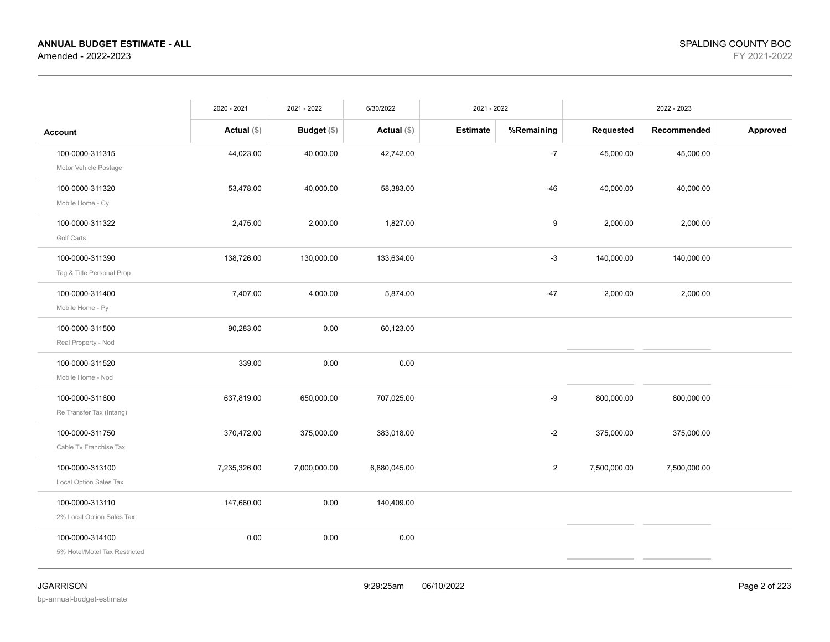|                               | 2020 - 2021   | 2021 - 2022   | 6/30/2022     | 2021 - 2022     |                |              | 2022 - 2023  |          |
|-------------------------------|---------------|---------------|---------------|-----------------|----------------|--------------|--------------|----------|
| Account                       | Actual $(\$)$ | Budget $(\$)$ | Actual $(\$)$ | <b>Estimate</b> | %Remaining     | Requested    | Recommended  | Approved |
| 100-0000-311315               | 44,023.00     | 40,000.00     | 42,742.00     |                 | $-7$           | 45,000.00    | 45,000.00    |          |
| Motor Vehicle Postage         |               |               |               |                 |                |              |              |          |
| 100-0000-311320               | 53,478.00     | 40,000.00     | 58,383.00     |                 | $-46$          | 40,000.00    | 40,000.00    |          |
| Mobile Home - Cy              |               |               |               |                 |                |              |              |          |
| 100-0000-311322               | 2,475.00      | 2,000.00      | 1,827.00      |                 | 9              | 2,000.00     | 2,000.00     |          |
| Golf Carts                    |               |               |               |                 |                |              |              |          |
| 100-0000-311390               | 138,726.00    | 130,000.00    | 133,634.00    |                 | $-3$           | 140,000.00   | 140,000.00   |          |
| Tag & Title Personal Prop     |               |               |               |                 |                |              |              |          |
| 100-0000-311400               | 7,407.00      | 4,000.00      | 5,874.00      |                 | $-47$          | 2,000.00     | 2,000.00     |          |
| Mobile Home - Py              |               |               |               |                 |                |              |              |          |
| 100-0000-311500               | 90,283.00     | 0.00          | 60,123.00     |                 |                |              |              |          |
| Real Property - Nod           |               |               |               |                 |                |              |              |          |
| 100-0000-311520               | 339.00        | 0.00          | 0.00          |                 |                |              |              |          |
| Mobile Home - Nod             |               |               |               |                 |                |              |              |          |
| 100-0000-311600               | 637,819.00    | 650,000.00    | 707,025.00    |                 | -9             | 800,000.00   | 800,000.00   |          |
| Re Transfer Tax (Intang)      |               |               |               |                 |                |              |              |          |
| 100-0000-311750               | 370,472.00    | 375,000.00    | 383,018.00    |                 | $-2$           | 375,000.00   | 375,000.00   |          |
| Cable Tv Franchise Tax        |               |               |               |                 |                |              |              |          |
| 100-0000-313100               | 7,235,326.00  | 7,000,000.00  | 6,880,045.00  |                 | $\overline{2}$ | 7,500,000.00 | 7,500,000.00 |          |
| Local Option Sales Tax        |               |               |               |                 |                |              |              |          |
| 100-0000-313110               | 147,660.00    | 0.00          | 140,409.00    |                 |                |              |              |          |
| 2% Local Option Sales Tax     |               |               |               |                 |                |              |              |          |
| 100-0000-314100               | 0.00          | 0.00          | 0.00          |                 |                |              |              |          |
| 5% Hotel/Motel Tax Restricted |               |               |               |                 |                |              |              |          |
|                               |               |               |               |                 |                |              |              |          |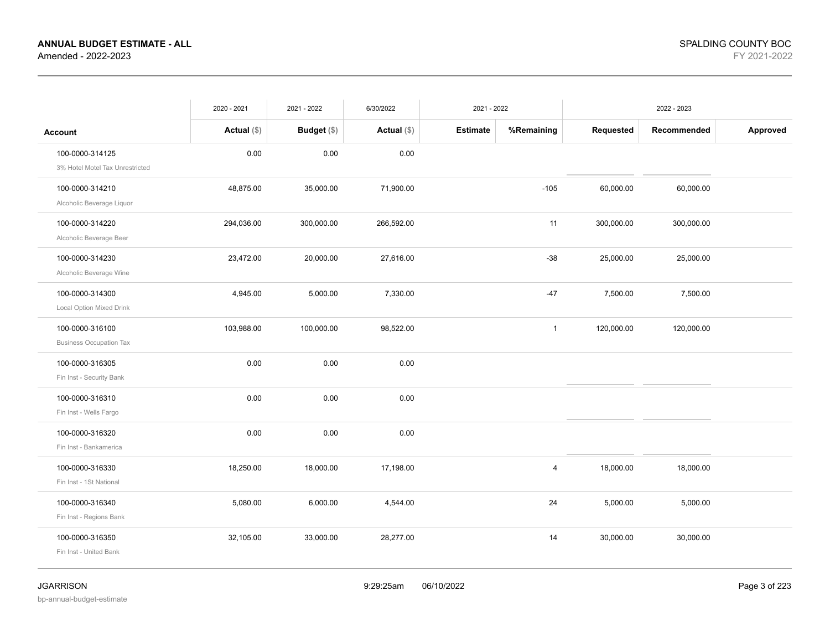|                                                    | 2020 - 2021   | 2021 - 2022   | 6/30/2022     | 2021 - 2022     |                |            | 2022 - 2023 |          |
|----------------------------------------------------|---------------|---------------|---------------|-----------------|----------------|------------|-------------|----------|
| <b>Account</b>                                     | Actual $(\$)$ | Budget $(\$)$ | Actual $(\$)$ | <b>Estimate</b> | %Remaining     | Requested  | Recommended | Approved |
| 100-0000-314125<br>3% Hotel Motel Tax Unrestricted | 0.00          | 0.00          | 0.00          |                 |                |            |             |          |
| 100-0000-314210<br>Alcoholic Beverage Liquor       | 48,875.00     | 35,000.00     | 71,900.00     |                 | $-105$         | 60,000.00  | 60,000.00   |          |
| 100-0000-314220<br>Alcoholic Beverage Beer         | 294,036.00    | 300,000.00    | 266,592.00    |                 | 11             | 300,000.00 | 300,000.00  |          |
| 100-0000-314230<br>Alcoholic Beverage Wine         | 23,472.00     | 20,000.00     | 27,616.00     |                 | $-38$          | 25,000.00  | 25,000.00   |          |
| 100-0000-314300<br>Local Option Mixed Drink        | 4,945.00      | 5,000.00      | 7,330.00      |                 | $-47$          | 7,500.00   | 7,500.00    |          |
| 100-0000-316100<br><b>Business Occupation Tax</b>  | 103,988.00    | 100,000.00    | 98,522.00     |                 | $\mathbf{1}$   | 120,000.00 | 120,000.00  |          |
| 100-0000-316305<br>Fin Inst - Security Bank        | 0.00          | 0.00          | 0.00          |                 |                |            |             |          |
| 100-0000-316310<br>Fin Inst - Wells Fargo          | 0.00          | 0.00          | 0.00          |                 |                |            |             |          |
| 100-0000-316320<br>Fin Inst - Bankamerica          | 0.00          | 0.00          | 0.00          |                 |                |            |             |          |
| 100-0000-316330<br>Fin Inst - 1St National         | 18,250.00     | 18,000.00     | 17,198.00     |                 | $\overline{4}$ | 18,000.00  | 18,000.00   |          |
| 100-0000-316340<br>Fin Inst - Regions Bank         | 5,080.00      | 6,000.00      | 4,544.00      |                 | 24             | 5,000.00   | 5,000.00    |          |
| 100-0000-316350<br>Fin Inst - United Bank          | 32,105.00     | 33,000.00     | 28,277.00     |                 | 14             | 30,000.00  | 30,000.00   |          |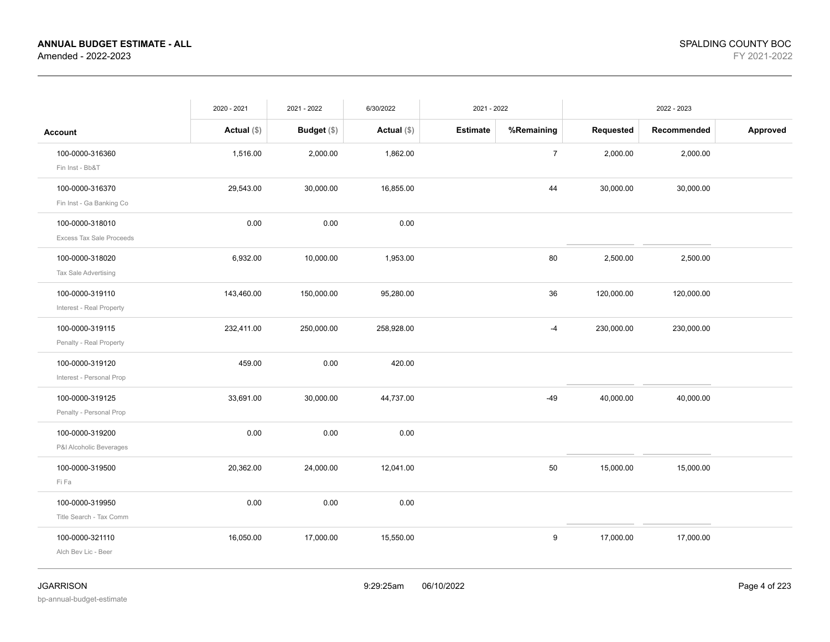|                                                    | 2020 - 2021   | 2021 - 2022        | 6/30/2022     | 2021 - 2022     |                  |            | 2022 - 2023 |          |
|----------------------------------------------------|---------------|--------------------|---------------|-----------------|------------------|------------|-------------|----------|
| <b>Account</b>                                     | Actual $(\$)$ | <b>Budget</b> (\$) | Actual $(\$)$ | <b>Estimate</b> | %Remaining       | Requested  | Recommended | Approved |
| 100-0000-316360<br>Fin Inst - Bb&T                 | 1,516.00      | 2,000.00           | 1,862.00      |                 | $\boldsymbol{7}$ | 2,000.00   | 2,000.00    |          |
| 100-0000-316370<br>Fin Inst - Ga Banking Co        | 29,543.00     | 30,000.00          | 16,855.00     |                 | 44               | 30,000.00  | 30,000.00   |          |
| 100-0000-318010<br><b>Excess Tax Sale Proceeds</b> | 0.00          | 0.00               | 0.00          |                 |                  |            |             |          |
| 100-0000-318020<br>Tax Sale Advertising            | 6,932.00      | 10,000.00          | 1,953.00      |                 | 80               | 2,500.00   | 2,500.00    |          |
| 100-0000-319110<br>Interest - Real Property        | 143,460.00    | 150,000.00         | 95,280.00     |                 | 36               | 120,000.00 | 120,000.00  |          |
| 100-0000-319115<br>Penalty - Real Property         | 232,411.00    | 250,000.00         | 258,928.00    |                 | $-4$             | 230,000.00 | 230,000.00  |          |
| 100-0000-319120<br>Interest - Personal Prop        | 459.00        | 0.00               | 420.00        |                 |                  |            |             |          |
| 100-0000-319125<br>Penalty - Personal Prop         | 33,691.00     | 30,000.00          | 44,737.00     |                 | $-49$            | 40,000.00  | 40,000.00   |          |
| 100-0000-319200<br>P&I Alcoholic Beverages         | 0.00          | 0.00               | 0.00          |                 |                  |            |             |          |
| 100-0000-319500<br>Fi Fa                           | 20,362.00     | 24,000.00          | 12,041.00     |                 | 50               | 15,000.00  | 15,000.00   |          |
| 100-0000-319950<br>Title Search - Tax Comm         | 0.00          | 0.00               | 0.00          |                 |                  |            |             |          |
| 100-0000-321110<br>Alch Bev Lic - Beer             | 16,050.00     | 17,000.00          | 15,550.00     |                 | 9                | 17,000.00  | 17,000.00   |          |
|                                                    |               |                    |               |                 |                  |            |             |          |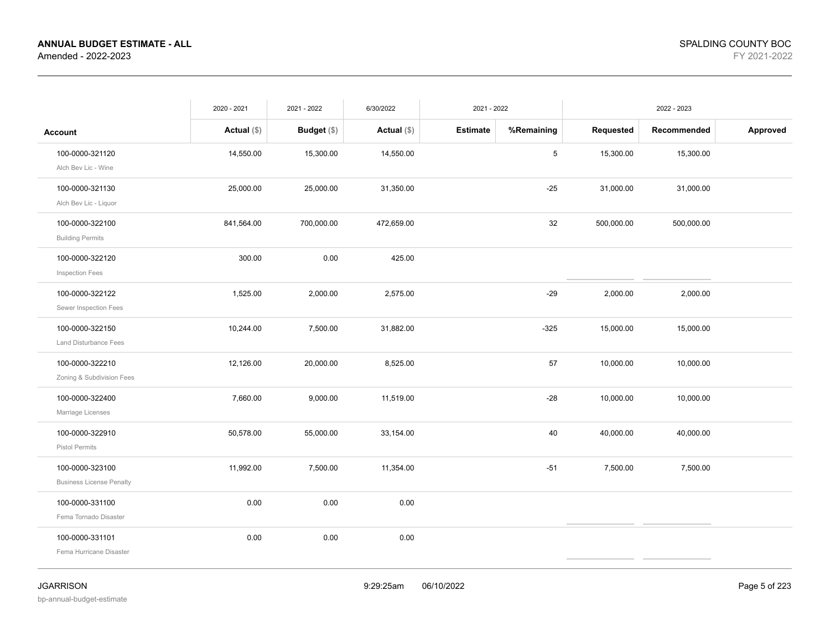|                                                                 | 2020 - 2021   | 2021 - 2022        | 6/30/2022     | 2021 - 2022     |            |            | 2022 - 2023 |          |
|-----------------------------------------------------------------|---------------|--------------------|---------------|-----------------|------------|------------|-------------|----------|
| Account                                                         | Actual $(\$)$ | <b>Budget</b> (\$) | Actual $(\$)$ | <b>Estimate</b> | %Remaining | Requested  | Recommended | Approved |
| 100-0000-321120                                                 | 14,550.00     | 15,300.00          | 14,550.00     |                 | 5          | 15,300.00  | 15,300.00   |          |
| Alch Bev Lic - Wine<br>100-0000-321130<br>Alch Bev Lic - Liquor | 25,000.00     | 25,000.00          | 31,350.00     |                 | $-25$      | 31,000.00  | 31,000.00   |          |
| 100-0000-322100<br><b>Building Permits</b>                      | 841,564.00    | 700,000.00         | 472,659.00    |                 | 32         | 500,000.00 | 500,000.00  |          |
| 100-0000-322120<br>Inspection Fees                              | 300.00        | 0.00               | 425.00        |                 |            |            |             |          |
| 100-0000-322122<br>Sewer Inspection Fees                        | 1,525.00      | 2,000.00           | 2,575.00      |                 | $-29$      | 2,000.00   | 2,000.00    |          |
| 100-0000-322150<br><b>Land Disturbance Fees</b>                 | 10,244.00     | 7,500.00           | 31,882.00     |                 | $-325$     | 15,000.00  | 15,000.00   |          |
| 100-0000-322210<br>Zoning & Subdivision Fees                    | 12,126.00     | 20,000.00          | 8,525.00      |                 | 57         | 10,000.00  | 10,000.00   |          |
| 100-0000-322400<br>Marriage Licenses                            | 7,660.00      | 9,000.00           | 11,519.00     |                 | $-28$      | 10,000.00  | 10,000.00   |          |
| 100-0000-322910<br>Pistol Permits                               | 50,578.00     | 55,000.00          | 33,154.00     |                 | 40         | 40,000.00  | 40,000.00   |          |
| 100-0000-323100<br><b>Business License Penalty</b>              | 11,992.00     | 7,500.00           | 11,354.00     |                 | $-51$      | 7,500.00   | 7,500.00    |          |
| 100-0000-331100<br>Fema Tornado Disaster                        | 0.00          | 0.00               | 0.00          |                 |            |            |             |          |
| 100-0000-331101<br>Fema Hurricane Disaster                      | 0.00          | 0.00               | 0.00          |                 |            |            |             |          |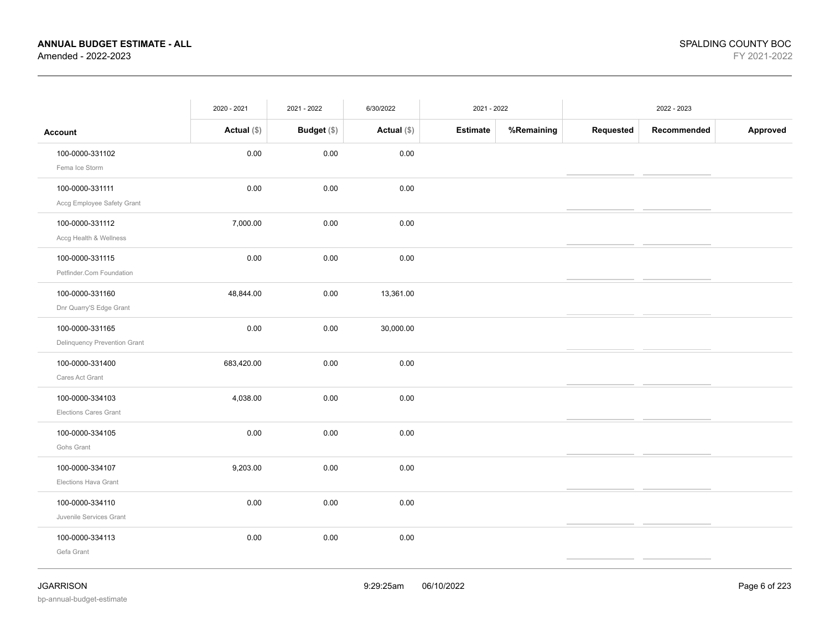|                                                 | 2020 - 2021   | 2021 - 2022 | 6/30/2022     | 2021 - 2022     |            |           | 2022 - 2023 |          |
|-------------------------------------------------|---------------|-------------|---------------|-----------------|------------|-----------|-------------|----------|
| <b>Account</b>                                  | Actual $(\$)$ | Budget (\$) | Actual $(\$)$ | <b>Estimate</b> | %Remaining | Requested | Recommended | Approved |
| 100-0000-331102<br>Fema Ice Storm               | 0.00          | 0.00        | 0.00          |                 |            |           |             |          |
| 100-0000-331111<br>Accg Employee Safety Grant   | 0.00          | 0.00        | 0.00          |                 |            |           |             |          |
| 100-0000-331112<br>Accg Health & Wellness       | 7,000.00      | 0.00        | 0.00          |                 |            |           |             |          |
| 100-0000-331115<br>Petfinder.Com Foundation     | 0.00          | 0.00        | 0.00          |                 |            |           |             |          |
| 100-0000-331160<br>Dnr Quarry'S Edge Grant      | 48,844.00     | 0.00        | 13,361.00     |                 |            |           |             |          |
| 100-0000-331165<br>Delinquency Prevention Grant | 0.00          | 0.00        | 30,000.00     |                 |            |           |             |          |
| 100-0000-331400<br>Cares Act Grant              | 683,420.00    | 0.00        | 0.00          |                 |            |           |             |          |
| 100-0000-334103<br><b>Elections Cares Grant</b> | 4,038.00      | 0.00        | 0.00          |                 |            |           |             |          |
| 100-0000-334105<br>Gohs Grant                   | 0.00          | 0.00        | 0.00          |                 |            |           |             |          |
| 100-0000-334107<br>Elections Hava Grant         | 9,203.00      | 0.00        | 0.00          |                 |            |           |             |          |
| 100-0000-334110<br>Juvenile Services Grant      | 0.00          | 0.00        | 0.00          |                 |            |           |             |          |
| 100-0000-334113<br>Gefa Grant                   | 0.00          | 0.00        | 0.00          |                 |            |           |             |          |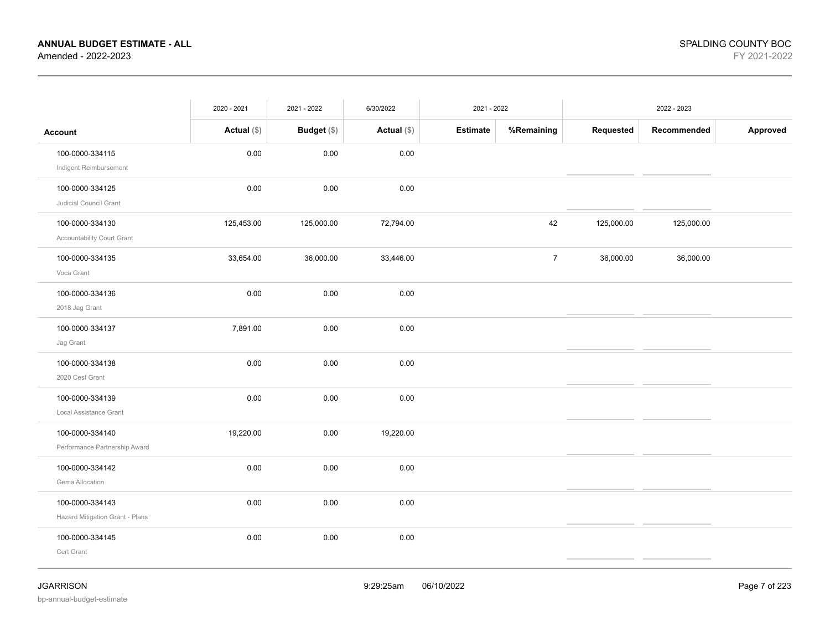|                                                    | 2020 - 2021   | 2021 - 2022 | 6/30/2022     | 2021 - 2022 |                |            | 2022 - 2023 |          |
|----------------------------------------------------|---------------|-------------|---------------|-------------|----------------|------------|-------------|----------|
| <b>Account</b>                                     | Actual $(\$)$ | Budget (\$) | Actual $(\$)$ | Estimate    | %Remaining     | Requested  | Recommended | Approved |
| 100-0000-334115<br>Indigent Reimbursement          | $0.00\,$      | 0.00        | 0.00          |             |                |            |             |          |
| 100-0000-334125<br>Judicial Council Grant          | 0.00          | 0.00        | 0.00          |             |                |            |             |          |
| 100-0000-334130<br>Accountability Court Grant      | 125,453.00    | 125,000.00  | 72,794.00     |             | 42             | 125,000.00 | 125,000.00  |          |
| 100-0000-334135<br>Voca Grant                      | 33,654.00     | 36,000.00   | 33,446.00     |             | $\overline{7}$ | 36,000.00  | 36,000.00   |          |
| 100-0000-334136<br>2018 Jag Grant                  | 0.00          | 0.00        | 0.00          |             |                |            |             |          |
| 100-0000-334137<br>Jag Grant                       | 7,891.00      | 0.00        | 0.00          |             |                |            |             |          |
| 100-0000-334138<br>2020 Cesf Grant                 | 0.00          | 0.00        | 0.00          |             |                |            |             |          |
| 100-0000-334139<br>Local Assistance Grant          | 0.00          | 0.00        | 0.00          |             |                |            |             |          |
| 100-0000-334140<br>Performance Partnership Award   | 19,220.00     | 0.00        | 19,220.00     |             |                |            |             |          |
| 100-0000-334142<br>Gema Allocation                 | 0.00          | 0.00        | 0.00          |             |                |            |             |          |
| 100-0000-334143<br>Hazard Mitigation Grant - Plans | 0.00          | 0.00        | 0.00          |             |                |            |             |          |
| 100-0000-334145<br>Cert Grant                      | 0.00          | 0.00        | 0.00          |             |                |            |             |          |
|                                                    |               |             |               |             |                |            |             |          |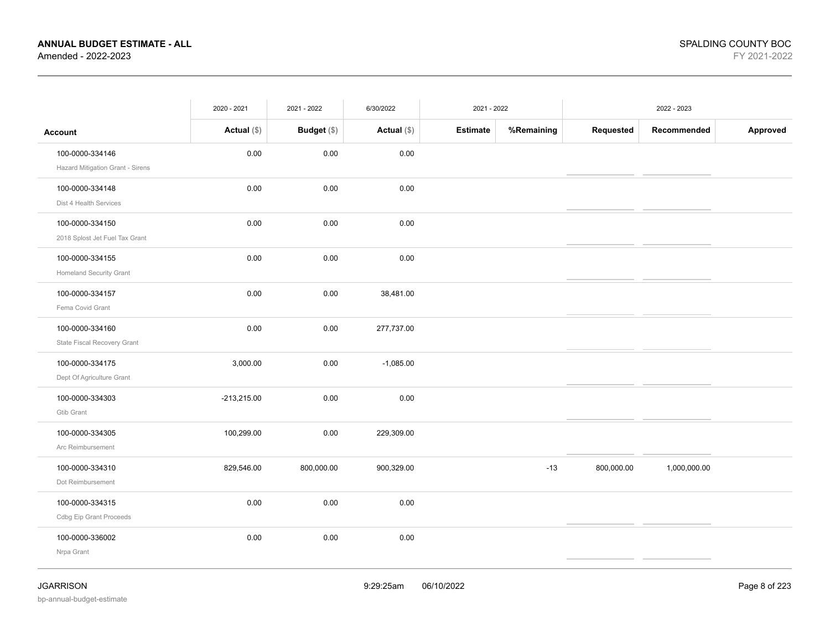|                                                     | 2020 - 2021   | 2021 - 2022 | 6/30/2022     | 2021 - 2022     |            |            | 2022 - 2023  |          |
|-----------------------------------------------------|---------------|-------------|---------------|-----------------|------------|------------|--------------|----------|
| Account                                             | Actual $(\$)$ | Budget (\$) | Actual $(\$)$ | <b>Estimate</b> | %Remaining | Requested  | Recommended  | Approved |
| 100-0000-334146<br>Hazard Mitigation Grant - Sirens | 0.00          | 0.00        | 0.00          |                 |            |            |              |          |
| 100-0000-334148<br>Dist 4 Health Services           | 0.00          | 0.00        | 0.00          |                 |            |            |              |          |
| 100-0000-334150<br>2018 Splost Jet Fuel Tax Grant   | 0.00          | 0.00        | 0.00          |                 |            |            |              |          |
| 100-0000-334155<br><b>Homeland Security Grant</b>   | 0.00          | 0.00        | 0.00          |                 |            |            |              |          |
| 100-0000-334157<br>Fema Covid Grant                 | 0.00          | 0.00        | 38,481.00     |                 |            |            |              |          |
| 100-0000-334160<br>State Fiscal Recovery Grant      | 0.00          | 0.00        | 277,737.00    |                 |            |            |              |          |
| 100-0000-334175<br>Dept Of Agriculture Grant        | 3,000.00      | 0.00        | $-1,085.00$   |                 |            |            |              |          |
| 100-0000-334303<br><b>Gtib Grant</b>                | $-213,215.00$ | 0.00        | 0.00          |                 |            |            |              |          |
| 100-0000-334305<br>Arc Reimbursement                | 100,299.00    | 0.00        | 229,309.00    |                 |            |            |              |          |
| 100-0000-334310<br>Dot Reimbursement                | 829,546.00    | 800,000.00  | 900,329.00    |                 | $-13$      | 800,000.00 | 1,000,000.00 |          |
| 100-0000-334315<br>Cdbg Eip Grant Proceeds          | 0.00          | 0.00        | 0.00          |                 |            |            |              |          |
| 100-0000-336002<br>Nrpa Grant                       | 0.00          | 0.00        | 0.00          |                 |            |            |              |          |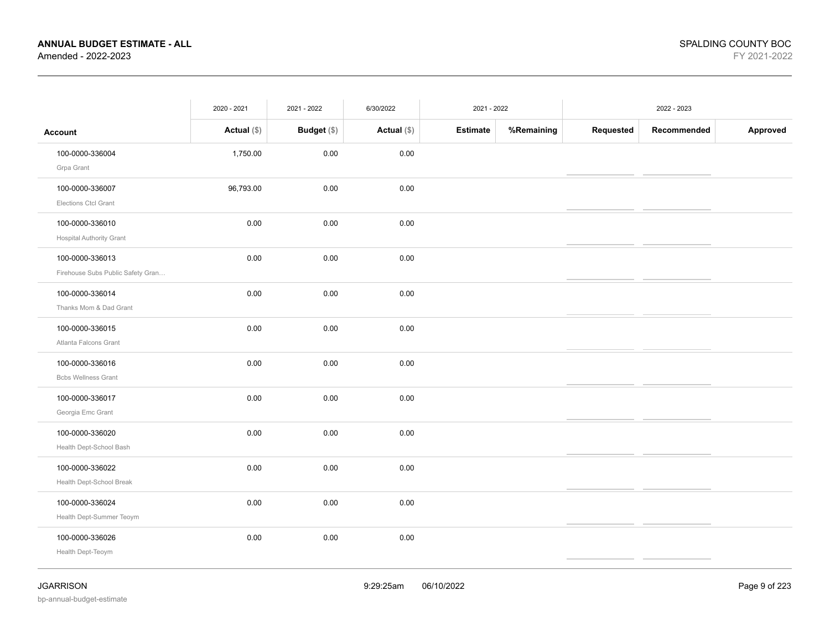|                                   | 2020 - 2021   | 2021 - 2022 | 6/30/2022     | 2021 - 2022     |            |           | 2022 - 2023 |          |
|-----------------------------------|---------------|-------------|---------------|-----------------|------------|-----------|-------------|----------|
| <b>Account</b>                    | Actual $(\$)$ | Budget (\$) | Actual $(\$)$ | <b>Estimate</b> | %Remaining | Requested | Recommended | Approved |
| 100-0000-336004                   | 1,750.00      | 0.00        | 0.00          |                 |            |           |             |          |
| Grpa Grant                        |               |             |               |                 |            |           |             |          |
| 100-0000-336007                   | 96,793.00     | 0.00        | 0.00          |                 |            |           |             |          |
| Elections Ctcl Grant              |               |             |               |                 |            |           |             |          |
| 100-0000-336010                   | 0.00          | 0.00        | 0.00          |                 |            |           |             |          |
| <b>Hospital Authority Grant</b>   |               |             |               |                 |            |           |             |          |
| 100-0000-336013                   | 0.00          | 0.00        | 0.00          |                 |            |           |             |          |
| Firehouse Subs Public Safety Gran |               |             |               |                 |            |           |             |          |
| 100-0000-336014                   | 0.00          | 0.00        | 0.00          |                 |            |           |             |          |
| Thanks Mom & Dad Grant            |               |             |               |                 |            |           |             |          |
| 100-0000-336015                   | 0.00          | 0.00        | 0.00          |                 |            |           |             |          |
| Atlanta Falcons Grant             |               |             |               |                 |            |           |             |          |
| 100-0000-336016                   | 0.00          | 0.00        | 0.00          |                 |            |           |             |          |
| <b>Bcbs Wellness Grant</b>        |               |             |               |                 |            |           |             |          |
| 100-0000-336017                   | 0.00          | 0.00        | 0.00          |                 |            |           |             |          |
| Georgia Emc Grant                 |               |             |               |                 |            |           |             |          |
| 100-0000-336020                   | 0.00          | 0.00        | 0.00          |                 |            |           |             |          |
| Health Dept-School Bash           |               |             |               |                 |            |           |             |          |
| 100-0000-336022                   | 0.00          | 0.00        | 0.00          |                 |            |           |             |          |
| Health Dept-School Break          |               |             |               |                 |            |           |             |          |
| 100-0000-336024                   | 0.00          | 0.00        | 0.00          |                 |            |           |             |          |
| Health Dept-Summer Teoym          |               |             |               |                 |            |           |             |          |
| 100-0000-336026                   | 0.00          | 0.00        | 0.00          |                 |            |           |             |          |
| Health Dept-Teoym                 |               |             |               |                 |            |           |             |          |
|                                   |               |             |               |                 |            |           |             |          |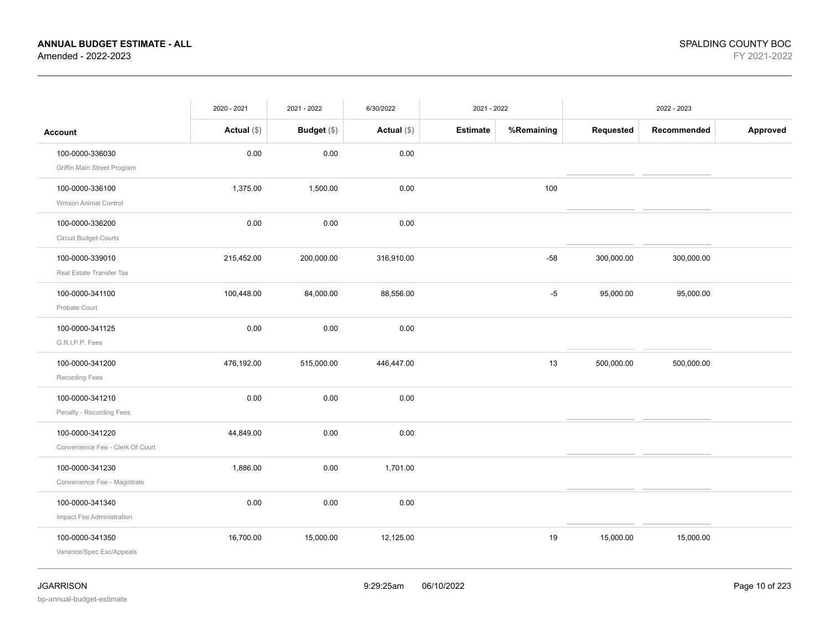|                                                     | 2020 - 2021   | 2021 - 2022        | 6/30/2022     | 2021 - 2022     |            |            | 2022 - 2023 |          |
|-----------------------------------------------------|---------------|--------------------|---------------|-----------------|------------|------------|-------------|----------|
| <b>Account</b>                                      | Actual $(\$)$ | <b>Budget</b> (\$) | Actual $(\$)$ | <b>Estimate</b> | %Remaining | Requested  | Recommended | Approved |
| 100-0000-336030<br>Griffin Main Street Program      | 0.00          | 0.00               | 0.00          |                 |            |            |             |          |
| 100-0000-336100<br>Wmson Animal Control             | 1,375.00      | 1,500.00           | $0.00\,$      |                 | 100        |            |             |          |
| 100-0000-336200<br>Circuit Budget-Courts            | 0.00          | 0.00               | 0.00          |                 |            |            |             |          |
| 100-0000-339010<br>Real Estate Transfer Tax         | 215,452.00    | 200,000.00         | 316,910.00    |                 | $-58$      | 300,000.00 | 300,000.00  |          |
| 100-0000-341100<br>Probate Court                    | 100,448.00    | 84,000.00          | 88,556.00     |                 | $-5$       | 95,000.00  | 95,000.00   |          |
| 100-0000-341125<br>G.R.I.P.P. Fees                  | 0.00          | 0.00               | 0.00          |                 |            |            |             |          |
| 100-0000-341200<br>Recording Fees                   | 476,192.00    | 515,000.00         | 446,447.00    |                 | 13         | 500,000.00 | 500,000.00  |          |
| 100-0000-341210<br>Penalty - Recording Fees         | 0.00          | 0.00               | $0.00\,$      |                 |            |            |             |          |
| 100-0000-341220<br>Convenience Fee - Clerk Of Court | 44,849.00     | 0.00               | 0.00          |                 |            |            |             |          |
| 100-0000-341230<br>Convenience Fee - Magistrate     | 1,886.00      | 0.00               | 1,701.00      |                 |            |            |             |          |
| 100-0000-341340<br>Impact Fee Administration        | 0.00          | 0.00               | 0.00          |                 |            |            |             |          |
| 100-0000-341350<br>Variance/Spec Exc/Appeals        | 16,700.00     | 15,000.00          | 12,125.00     |                 | 19         | 15,000.00  | 15,000.00   |          |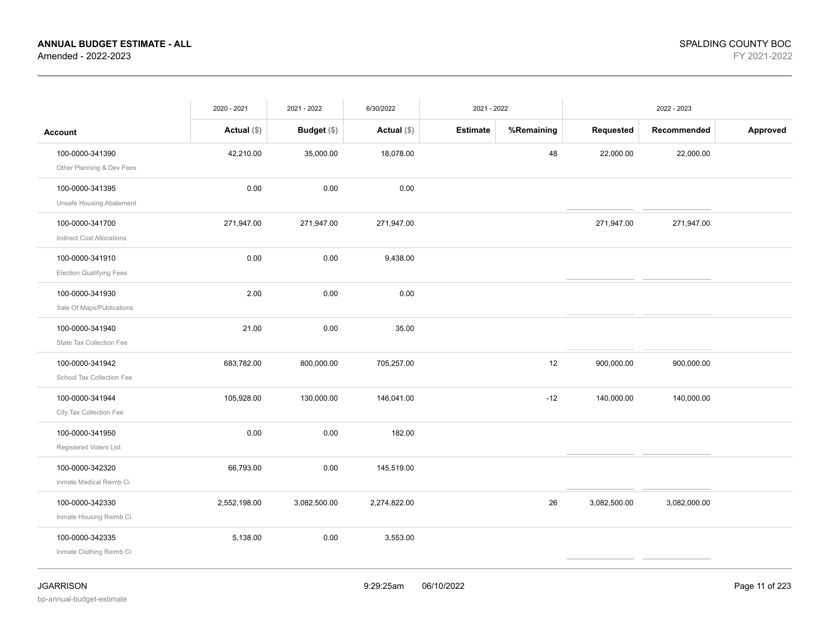|                                                     | 2020 - 2021   | 2021 - 2022   | 6/30/2022     | 2021 - 2022     |            |              | 2022 - 2023  |          |
|-----------------------------------------------------|---------------|---------------|---------------|-----------------|------------|--------------|--------------|----------|
| <b>Account</b>                                      | Actual $(\$)$ | Budget $(\$)$ | Actual $(\$)$ | <b>Estimate</b> | %Remaining | Requested    | Recommended  | Approved |
| 100-0000-341390<br>Other Planning & Dev Fees        | 42,210.00     | 35,000.00     | 18,078.00     |                 | 48         | 22,000.00    | 22,000.00    |          |
| 100-0000-341395<br>Unsafe Housing Abatement         | 0.00          | 0.00          | 0.00          |                 |            |              |              |          |
| 100-0000-341700<br><b>Indirect Cost Allocations</b> | 271,947.00    | 271,947.00    | 271,947.00    |                 |            | 271,947.00   | 271,947.00   |          |
| 100-0000-341910<br><b>Election Qualifying Fees</b>  | 0.00          | 0.00          | 9,438.00      |                 |            |              |              |          |
| 100-0000-341930<br>Sale Of Maps/Publications        | 2.00          | 0.00          | 0.00          |                 |            |              |              |          |
| 100-0000-341940<br>State Tax Collection Fee         | 21.00         | 0.00          | 35.00         |                 |            |              |              |          |
| 100-0000-341942<br>School Tax Collection Fee        | 683,782.00    | 800,000.00    | 705,257.00    |                 | 12         | 900,000.00   | 900,000.00   |          |
| 100-0000-341944<br>City Tax Collection Fee          | 105,928.00    | 130,000.00    | 146,041.00    |                 | $-12$      | 140,000.00   | 140,000.00   |          |
| 100-0000-341950<br>Registered Voters List           | 0.00          | 0.00          | 182.00        |                 |            |              |              |          |
| 100-0000-342320<br>Inmate Medical Reimb Ci          | 66,793.00     | 0.00          | 145,519.00    |                 |            |              |              |          |
| 100-0000-342330<br>Inmate Housing Reimb Ci          | 2,552,198.00  | 3,082,500.00  | 2,274,822.00  |                 | 26         | 3,082,500.00 | 3,082,000.00 |          |
| 100-0000-342335<br>Inmate Clothing Reimb Ci         | 5,138.00      | 0.00          | 3,553.00      |                 |            |              |              |          |
|                                                     |               |               |               |                 |            |              |              |          |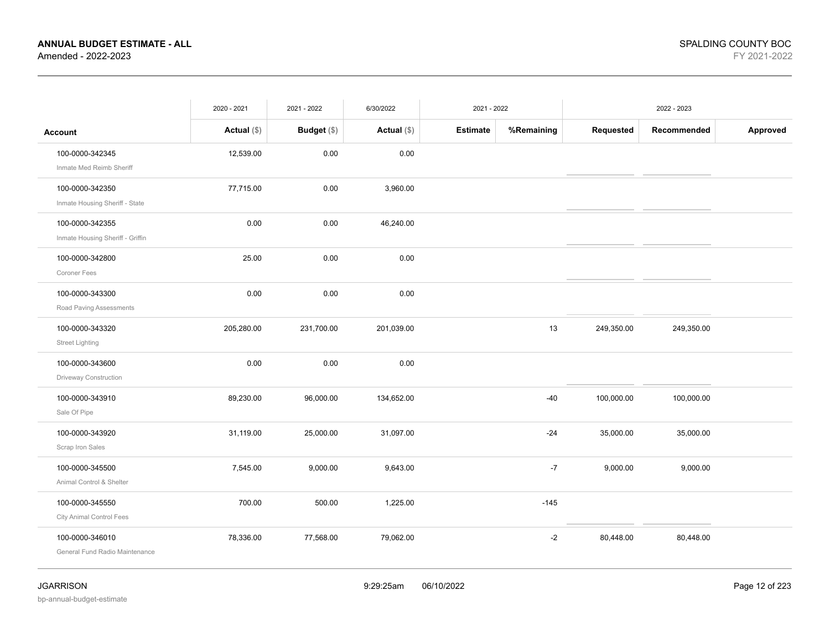|                                  | 2020 - 2021   | 2021 - 2022   | 6/30/2022   | 2021 - 2022     |            |            | 2022 - 2023 |          |
|----------------------------------|---------------|---------------|-------------|-----------------|------------|------------|-------------|----------|
| <b>Account</b>                   | Actual $(\$)$ | Budget $(\$)$ | Actual (\$) | <b>Estimate</b> | %Remaining | Requested  | Recommended | Approved |
| 100-0000-342345                  | 12,539.00     | 0.00          | 0.00        |                 |            |            |             |          |
| Inmate Med Reimb Sheriff         |               |               |             |                 |            |            |             |          |
| 100-0000-342350                  | 77,715.00     | 0.00          | 3,960.00    |                 |            |            |             |          |
| Inmate Housing Sheriff - State   |               |               |             |                 |            |            |             |          |
| 100-0000-342355                  | 0.00          | 0.00          | 46,240.00   |                 |            |            |             |          |
| Inmate Housing Sheriff - Griffin |               |               |             |                 |            |            |             |          |
| 100-0000-342800                  | 25.00         | 0.00          | 0.00        |                 |            |            |             |          |
| Coroner Fees                     |               |               |             |                 |            |            |             |          |
| 100-0000-343300                  | 0.00          | 0.00          | 0.00        |                 |            |            |             |          |
| Road Paving Assessments          |               |               |             |                 |            |            |             |          |
| 100-0000-343320                  | 205,280.00    | 231,700.00    | 201,039.00  |                 | 13         | 249,350.00 | 249,350.00  |          |
| <b>Street Lighting</b>           |               |               |             |                 |            |            |             |          |
| 100-0000-343600                  | 0.00          | 0.00          | 0.00        |                 |            |            |             |          |
| Driveway Construction            |               |               |             |                 |            |            |             |          |
| 100-0000-343910                  | 89,230.00     | 96,000.00     | 134,652.00  |                 | $-40$      | 100,000.00 | 100,000.00  |          |
| Sale Of Pipe                     |               |               |             |                 |            |            |             |          |
| 100-0000-343920                  | 31,119.00     | 25,000.00     | 31,097.00   |                 | $-24$      | 35,000.00  | 35,000.00   |          |
| Scrap Iron Sales                 |               |               |             |                 |            |            |             |          |
| 100-0000-345500                  | 7,545.00      | 9,000.00      | 9,643.00    |                 | $-7$       | 9,000.00   | 9,000.00    |          |
| Animal Control & Shelter         |               |               |             |                 |            |            |             |          |
| 100-0000-345550                  | 700.00        | 500.00        | 1,225.00    |                 | $-145$     |            |             |          |
| City Animal Control Fees         |               |               |             |                 |            |            |             |          |
| 100-0000-346010                  | 78,336.00     | 77,568.00     | 79,062.00   |                 | $-2$       | 80,448.00  | 80,448.00   |          |
| General Fund Radio Maintenance   |               |               |             |                 |            |            |             |          |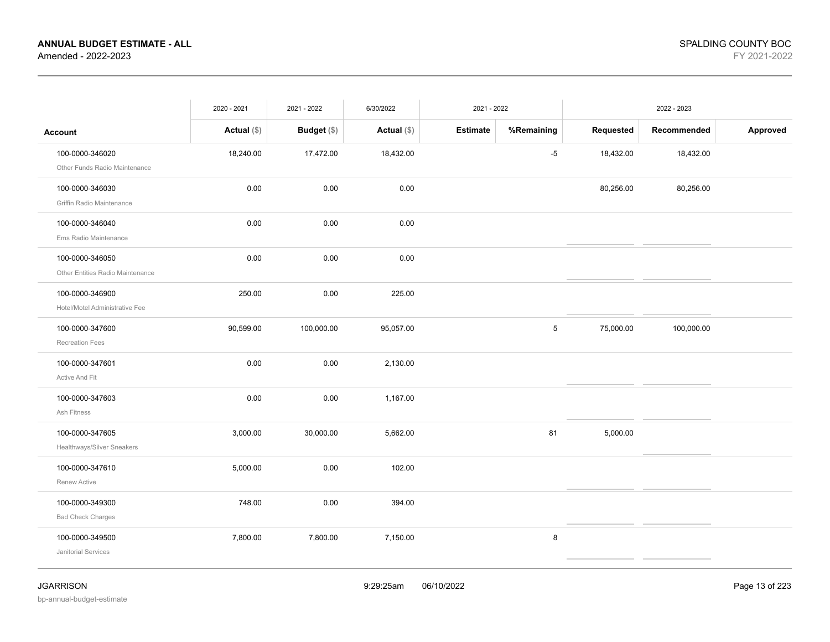|                                                     | 2020 - 2021   | 2021 - 2022        | 6/30/2022   | 2021 - 2022 |            |           | 2022 - 2023 |          |
|-----------------------------------------------------|---------------|--------------------|-------------|-------------|------------|-----------|-------------|----------|
| <b>Account</b>                                      | Actual $(\$)$ | <b>Budget</b> (\$) | Actual (\$) | Estimate    | %Remaining | Requested | Recommended | Approved |
| 100-0000-346020<br>Other Funds Radio Maintenance    | 18,240.00     | 17,472.00          | 18,432.00   |             | $-5$       | 18,432.00 | 18,432.00   |          |
| 100-0000-346030<br>Griffin Radio Maintenance        | 0.00          | 0.00               | 0.00        |             |            | 80,256.00 | 80,256.00   |          |
| 100-0000-346040<br>Ems Radio Maintenance            | 0.00          | 0.00               | 0.00        |             |            |           |             |          |
| 100-0000-346050<br>Other Entities Radio Maintenance | 0.00          | 0.00               | 0.00        |             |            |           |             |          |
| 100-0000-346900<br>Hotel/Motel Administrative Fee   | 250.00        | 0.00               | 225.00      |             |            |           |             |          |
| 100-0000-347600<br><b>Recreation Fees</b>           | 90,599.00     | 100,000.00         | 95,057.00   |             | 5          | 75,000.00 | 100,000.00  |          |
| 100-0000-347601<br>Active And Fit                   | 0.00          | 0.00               | 2,130.00    |             |            |           |             |          |
| 100-0000-347603<br>Ash Fitness                      | 0.00          | 0.00               | 1,167.00    |             |            |           |             |          |
| 100-0000-347605<br>Healthways/Silver Sneakers       | 3,000.00      | 30,000.00          | 5,662.00    |             | 81         | 5,000.00  |             |          |
| 100-0000-347610<br>Renew Active                     | 5,000.00      | 0.00               | 102.00      |             |            |           |             |          |
| 100-0000-349300<br><b>Bad Check Charges</b>         | 748.00        | 0.00               | 394.00      |             |            |           |             |          |
| 100-0000-349500<br>Janitorial Services              | 7,800.00      | 7,800.00           | 7,150.00    |             | 8          |           |             |          |
|                                                     |               |                    |             |             |            |           |             |          |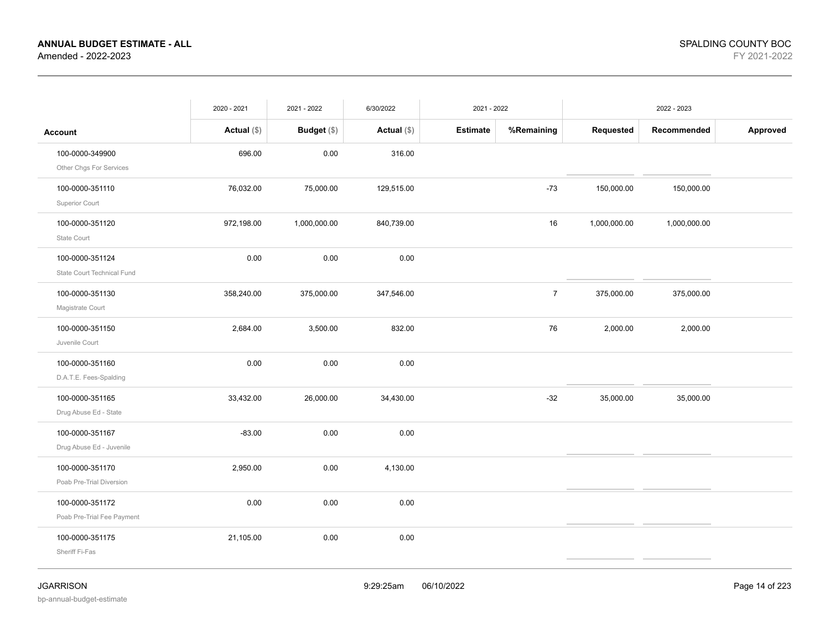|                                                              | 2020 - 2021   | 2021 - 2022        | 6/30/2022     | 2021 - 2022     |                |              | 2022 - 2023  |          |
|--------------------------------------------------------------|---------------|--------------------|---------------|-----------------|----------------|--------------|--------------|----------|
| <b>Account</b>                                               | Actual $(\$)$ | <b>Budget</b> (\$) | Actual $(\$)$ | <b>Estimate</b> | %Remaining     | Requested    | Recommended  | Approved |
| 100-0000-349900                                              | 696.00        | 0.00               | 316.00        |                 |                |              |              |          |
| Other Chgs For Services<br>100-0000-351110<br>Superior Court | 76,032.00     | 75,000.00          | 129,515.00    |                 | $-73$          | 150,000.00   | 150,000.00   |          |
| 100-0000-351120<br>State Court                               | 972,198.00    | 1,000,000.00       | 840,739.00    |                 | 16             | 1,000,000.00 | 1,000,000.00 |          |
| 100-0000-351124<br>State Court Technical Fund                | 0.00          | 0.00               | 0.00          |                 |                |              |              |          |
| 100-0000-351130<br>Magistrate Court                          | 358,240.00    | 375,000.00         | 347,546.00    |                 | $\overline{7}$ | 375,000.00   | 375,000.00   |          |
| 100-0000-351150<br>Juvenile Court                            | 2,684.00      | 3,500.00           | 832.00        |                 | 76             | 2,000.00     | 2,000.00     |          |
| 100-0000-351160<br>D.A.T.E. Fees-Spalding                    | 0.00          | 0.00               | 0.00          |                 |                |              |              |          |
| 100-0000-351165<br>Drug Abuse Ed - State                     | 33,432.00     | 26,000.00          | 34,430.00     |                 | $-32$          | 35,000.00    | 35,000.00    |          |
| 100-0000-351167<br>Drug Abuse Ed - Juvenile                  | $-83.00$      | 0.00               | 0.00          |                 |                |              |              |          |
| 100-0000-351170<br>Poab Pre-Trial Diversion                  | 2,950.00      | 0.00               | 4,130.00      |                 |                |              |              |          |
| 100-0000-351172<br>Poab Pre-Trial Fee Payment                | 0.00          | 0.00               | 0.00          |                 |                |              |              |          |
| 100-0000-351175<br>Sheriff Fi-Fas                            | 21,105.00     | 0.00               | 0.00          |                 |                |              |              |          |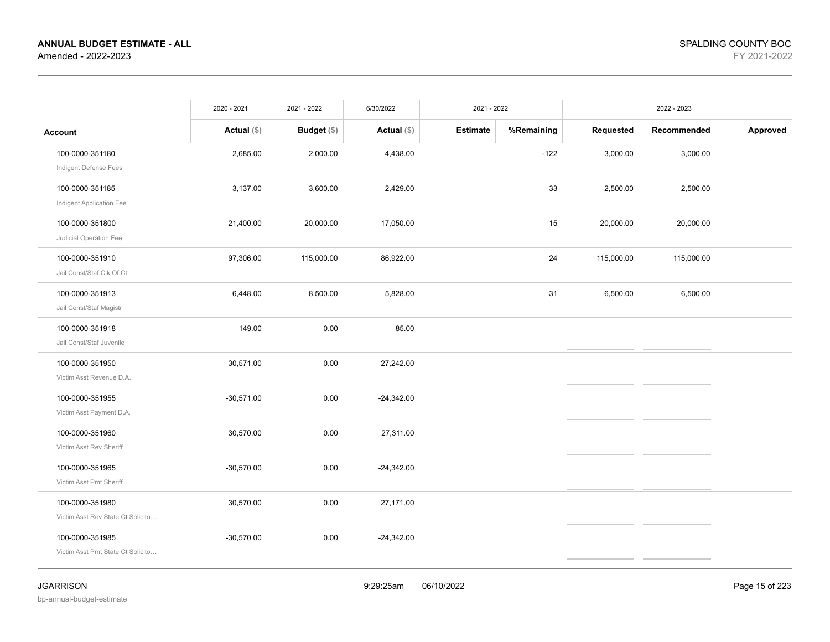|                                   | 2020 - 2021   | 2021 - 2022        | 6/30/2022     | 2021 - 2022     |            |            | 2022 - 2023 |          |
|-----------------------------------|---------------|--------------------|---------------|-----------------|------------|------------|-------------|----------|
| <b>Account</b>                    | Actual $(\$)$ | <b>Budget</b> (\$) | Actual $(\$)$ | <b>Estimate</b> | %Remaining | Requested  | Recommended | Approved |
| 100-0000-351180                   | 2,685.00      | 2,000.00           | 4,438.00      |                 | $-122$     | 3,000.00   | 3,000.00    |          |
| Indigent Defense Fees             |               |                    |               |                 |            |            |             |          |
| 100-0000-351185                   | 3,137.00      | 3,600.00           | 2,429.00      |                 | 33         | 2,500.00   | 2,500.00    |          |
| Indigent Application Fee          |               |                    |               |                 |            |            |             |          |
| 100-0000-351800                   | 21,400.00     | 20,000.00          | 17,050.00     |                 | 15         | 20,000.00  | 20,000.00   |          |
| Judicial Operation Fee            |               |                    |               |                 |            |            |             |          |
| 100-0000-351910                   | 97,306.00     | 115,000.00         | 86,922.00     |                 | 24         | 115,000.00 | 115,000.00  |          |
| Jail Const/Staf Clk Of Ct         |               |                    |               |                 |            |            |             |          |
| 100-0000-351913                   | 6,448.00      | 8,500.00           | 5,828.00      |                 | 31         | 6,500.00   | 6,500.00    |          |
| Jail Const/Staf Magistr           |               |                    |               |                 |            |            |             |          |
| 100-0000-351918                   | 149.00        | 0.00               | 85.00         |                 |            |            |             |          |
| Jail Const/Staf Juvenile          |               |                    |               |                 |            |            |             |          |
| 100-0000-351950                   | 30,571.00     | 0.00               | 27,242.00     |                 |            |            |             |          |
| Victim Asst Revenue D.A.          |               |                    |               |                 |            |            |             |          |
| 100-0000-351955                   | $-30,571.00$  | 0.00               | $-24,342.00$  |                 |            |            |             |          |
| Victim Asst Payment D.A.          |               |                    |               |                 |            |            |             |          |
| 100-0000-351960                   | 30,570.00     | 0.00               | 27,311.00     |                 |            |            |             |          |
| Victim Asst Rev Sheriff           |               |                    |               |                 |            |            |             |          |
| 100-0000-351965                   | $-30,570.00$  | 0.00               | $-24,342.00$  |                 |            |            |             |          |
| Victim Asst Pmt Sheriff           |               |                    |               |                 |            |            |             |          |
| 100-0000-351980                   | 30,570.00     | 0.00               | 27,171.00     |                 |            |            |             |          |
| Victim Asst Rev State Ct Solicito |               |                    |               |                 |            |            |             |          |
| 100-0000-351985                   | $-30,570.00$  | 0.00               | $-24,342.00$  |                 |            |            |             |          |
| Victim Asst Pmt State Ct Solicito |               |                    |               |                 |            |            |             |          |
|                                   |               |                    |               |                 |            |            |             |          |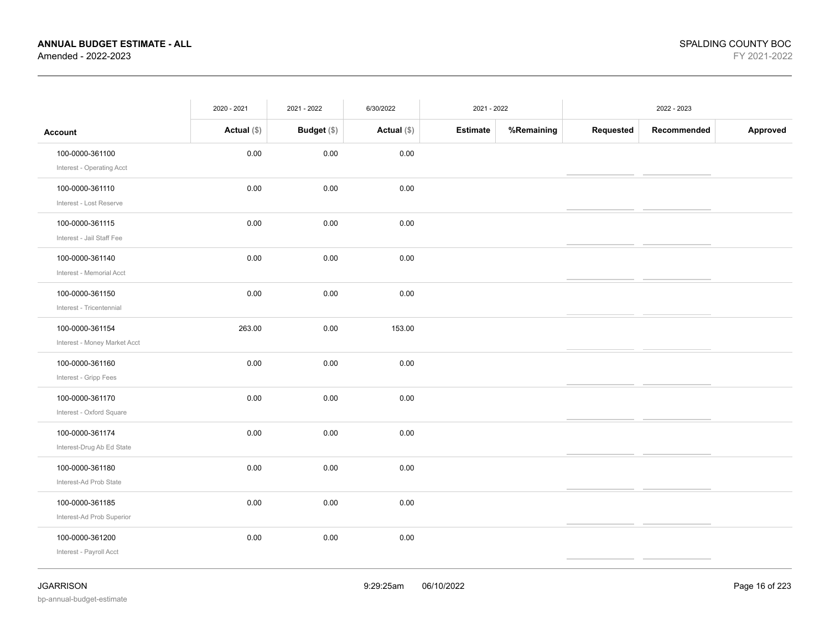|                                                                         | 2020 - 2021   | 2021 - 2022 | 6/30/2022     | 2021 - 2022     |            |           | 2022 - 2023 |          |
|-------------------------------------------------------------------------|---------------|-------------|---------------|-----------------|------------|-----------|-------------|----------|
| <b>Account</b>                                                          | Actual $(\$)$ | Budget (\$) | Actual $(\$)$ | <b>Estimate</b> | %Remaining | Requested | Recommended | Approved |
| 100-0000-361100                                                         | 0.00          | 0.00        | 0.00          |                 |            |           |             |          |
| Interest - Operating Acct<br>100-0000-361110<br>Interest - Lost Reserve | 0.00          | 0.00        | 0.00          |                 |            |           |             |          |
| 100-0000-361115<br>Interest - Jail Staff Fee                            | 0.00          | 0.00        | 0.00          |                 |            |           |             |          |
| 100-0000-361140<br>Interest - Memorial Acct                             | 0.00          | 0.00        | 0.00          |                 |            |           |             |          |
| 100-0000-361150<br>Interest - Tricentennial                             | 0.00          | 0.00        | 0.00          |                 |            |           |             |          |
| 100-0000-361154<br>Interest - Money Market Acct                         | 263.00        | 0.00        | 153.00        |                 |            |           |             |          |
| 100-0000-361160<br>Interest - Gripp Fees                                | 0.00          | 0.00        | 0.00          |                 |            |           |             |          |
| 100-0000-361170<br>Interest - Oxford Square                             | 0.00          | 0.00        | 0.00          |                 |            |           |             |          |
| 100-0000-361174<br>Interest-Drug Ab Ed State                            | 0.00          | 0.00        | 0.00          |                 |            |           |             |          |
| 100-0000-361180<br>Interest-Ad Prob State                               | 0.00          | 0.00        | 0.00          |                 |            |           |             |          |
| 100-0000-361185<br>Interest-Ad Prob Superior                            | 0.00          | 0.00        | 0.00          |                 |            |           |             |          |
| 100-0000-361200<br>Interest - Payroll Acct                              | 0.00          | 0.00        | 0.00          |                 |            |           |             |          |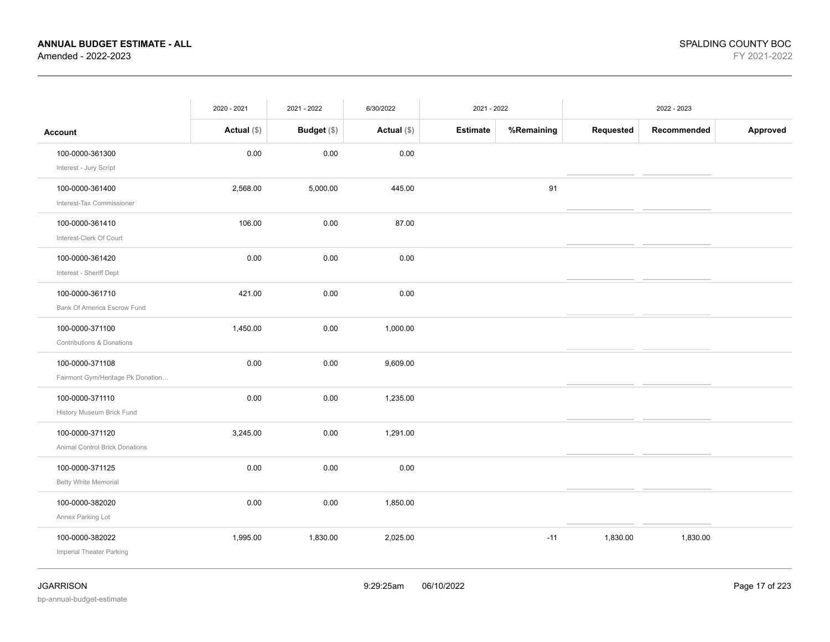|                                   | 2020 - 2021   | 2021 - 2022 | 6/30/2022     | 2021 - 2022     |            |           | 2022 - 2023 |          |
|-----------------------------------|---------------|-------------|---------------|-----------------|------------|-----------|-------------|----------|
| <b>Account</b>                    | Actual $(\$)$ | Budget (\$) | Actual $(\$)$ | <b>Estimate</b> | %Remaining | Requested | Recommended | Approved |
| 100-0000-361300                   | 0.00          | 0.00        | 0.00          |                 |            |           |             |          |
| Interest - Jury Script            |               |             |               |                 |            |           |             |          |
| 100-0000-361400                   | 2,568.00      | 5,000.00    | 445.00        |                 | 91         |           |             |          |
| Interest-Tax Commissioner         |               |             |               |                 |            |           |             |          |
| 100-0000-361410                   | 106.00        | 0.00        | 87.00         |                 |            |           |             |          |
| Interest-Clerk Of Court           |               |             |               |                 |            |           |             |          |
| 100-0000-361420                   | 0.00          | 0.00        | 0.00          |                 |            |           |             |          |
| Interest - Sheriff Dept           |               |             |               |                 |            |           |             |          |
| 100-0000-361710                   | 421.00        | 0.00        | 0.00          |                 |            |           |             |          |
| Bank Of America Escrow Fund       |               |             |               |                 |            |           |             |          |
| 100-0000-371100                   | 1,450.00      | 0.00        | 1,000.00      |                 |            |           |             |          |
| Contributions & Donations         |               |             |               |                 |            |           |             |          |
| 100-0000-371108                   | 0.00          | 0.00        | 9,609.00      |                 |            |           |             |          |
| Fairmont Gym/Heritage Pk Donation |               |             |               |                 |            |           |             |          |
| 100-0000-371110                   | 0.00          | 0.00        | 1,235.00      |                 |            |           |             |          |
| History Museum Brick Fund         |               |             |               |                 |            |           |             |          |
| 100-0000-371120                   | 3,245.00      | 0.00        | 1,291.00      |                 |            |           |             |          |
| Animal Control Brick Donations    |               |             |               |                 |            |           |             |          |
| 100-0000-371125                   | 0.00          | 0.00        | 0.00          |                 |            |           |             |          |
| <b>Betty White Memorial</b>       |               |             |               |                 |            |           |             |          |
| 100-0000-382020                   | 0.00          | 0.00        | 1,850.00      |                 |            |           |             |          |
| Annex Parking Lot                 |               |             |               |                 |            |           |             |          |
| 100-0000-382022                   | 1,995.00      | 1,830.00    | 2,025.00      |                 | $-11$      | 1,830.00  | 1,830.00    |          |
| Imperial Theater Parking          |               |             |               |                 |            |           |             |          |
|                                   |               |             |               |                 |            |           |             |          |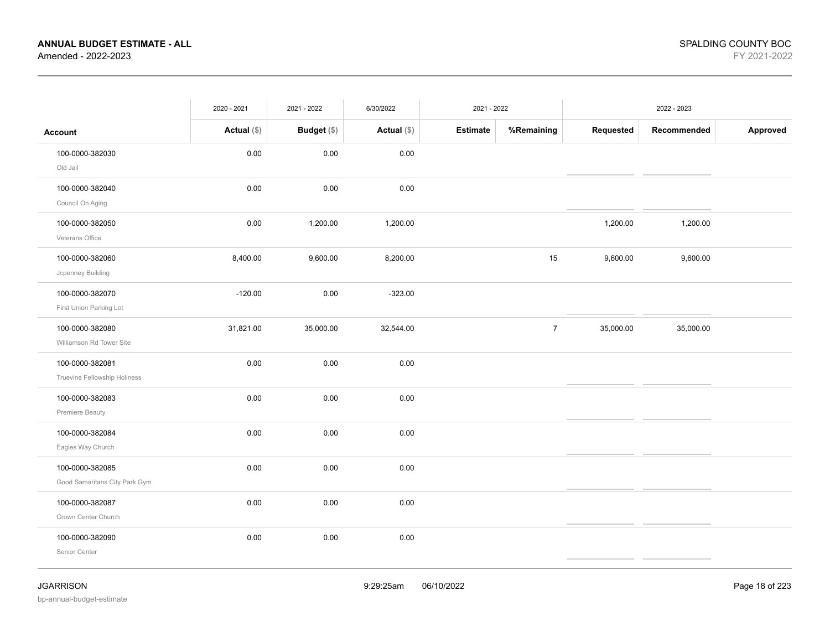|                                                  | 2020 - 2021   | 2021 - 2022 | 6/30/2022     | 2021 - 2022     |                |           | 2022 - 2023 |          |
|--------------------------------------------------|---------------|-------------|---------------|-----------------|----------------|-----------|-------------|----------|
| <b>Account</b>                                   | Actual $(\$)$ | Budget (\$) | Actual $(\$)$ | <b>Estimate</b> | %Remaining     | Requested | Recommended | Approved |
| 100-0000-382030<br>Old Jail                      | 0.00          | 0.00        | 0.00          |                 |                |           |             |          |
| 100-0000-382040<br>Council On Aging              | 0.00          | 0.00        | 0.00          |                 |                |           |             |          |
| 100-0000-382050<br>Veterans Office               | 0.00          | 1,200.00    | 1,200.00      |                 |                | 1,200.00  | 1,200.00    |          |
| 100-0000-382060<br>Jcpenney Building             | 8,400.00      | 9,600.00    | 8,200.00      |                 | 15             | 9,600.00  | 9,600.00    |          |
| 100-0000-382070<br>First Union Parking Lot       | $-120.00$     | 0.00        | $-323.00$     |                 |                |           |             |          |
| 100-0000-382080<br>Williamson Rd Tower Site      | 31,821.00     | 35,000.00   | 32,544.00     |                 | $\overline{7}$ | 35,000.00 | 35,000.00   |          |
| 100-0000-382081<br>Truevine Fellowship Holiness  | 0.00          | 0.00        | 0.00          |                 |                |           |             |          |
| 100-0000-382083<br>Premiere Beauty               | 0.00          | 0.00        | 0.00          |                 |                |           |             |          |
| 100-0000-382084<br>Eagles Way Church             | 0.00          | 0.00        | 0.00          |                 |                |           |             |          |
| 100-0000-382085<br>Good Samaritans City Park Gym | 0.00          | 0.00        | 0.00          |                 |                |           |             |          |
| 100-0000-382087<br>Crown Center Church           | 0.00          | 0.00        | 0.00          |                 |                |           |             |          |
| 100-0000-382090<br>Senior Center                 | 0.00          | 0.00        | 0.00          |                 |                |           |             |          |
|                                                  |               |             |               |                 |                |           |             |          |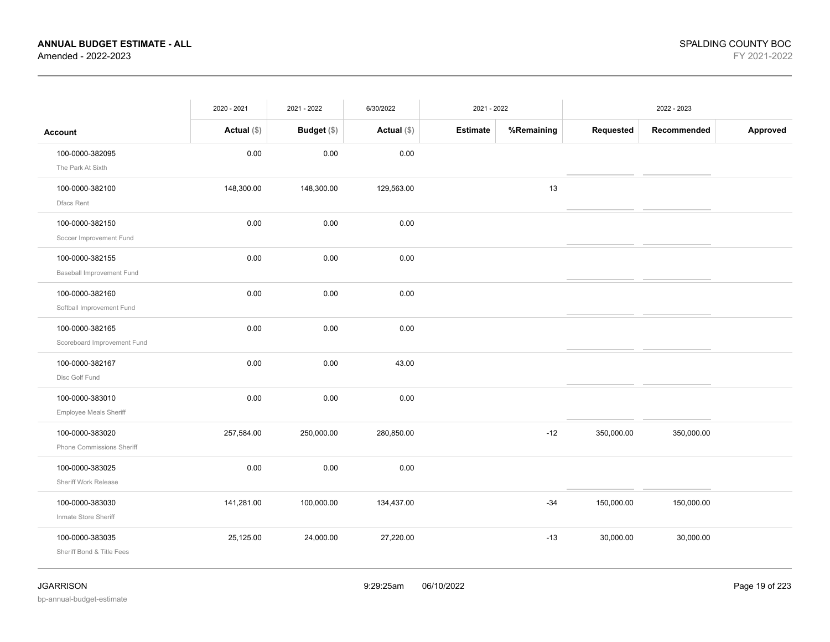|                             | 2020 - 2021   | 2021 - 2022   | 6/30/2022     | 2021 - 2022     |            |            | 2022 - 2023 |          |
|-----------------------------|---------------|---------------|---------------|-----------------|------------|------------|-------------|----------|
| <b>Account</b>              | Actual $(\$)$ | Budget $(\$)$ | Actual $(\$)$ | <b>Estimate</b> | %Remaining | Requested  | Recommended | Approved |
| 100-0000-382095             | 0.00          | 0.00          | 0.00          |                 |            |            |             |          |
| The Park At Sixth           |               |               |               |                 |            |            |             |          |
| 100-0000-382100             | 148,300.00    | 148,300.00    | 129,563.00    |                 | 13         |            |             |          |
| Dfacs Rent                  |               |               |               |                 |            |            |             |          |
| 100-0000-382150             | 0.00          | 0.00          | 0.00          |                 |            |            |             |          |
| Soccer Improvement Fund     |               |               |               |                 |            |            |             |          |
| 100-0000-382155             | 0.00          | 0.00          | 0.00          |                 |            |            |             |          |
| Baseball Improvement Fund   |               |               |               |                 |            |            |             |          |
| 100-0000-382160             | 0.00          | 0.00          | 0.00          |                 |            |            |             |          |
| Softball Improvement Fund   |               |               |               |                 |            |            |             |          |
| 100-0000-382165             | 0.00          | 0.00          | 0.00          |                 |            |            |             |          |
| Scoreboard Improvement Fund |               |               |               |                 |            |            |             |          |
| 100-0000-382167             | 0.00          | 0.00          | 43.00         |                 |            |            |             |          |
| Disc Golf Fund              |               |               |               |                 |            |            |             |          |
| 100-0000-383010             | 0.00          | 0.00          | 0.00          |                 |            |            |             |          |
| Employee Meals Sheriff      |               |               |               |                 |            |            |             |          |
| 100-0000-383020             | 257,584.00    | 250,000.00    | 280,850.00    |                 | $-12$      | 350,000.00 | 350,000.00  |          |
| Phone Commissions Sheriff   |               |               |               |                 |            |            |             |          |
| 100-0000-383025             | 0.00          | 0.00          | 0.00          |                 |            |            |             |          |
| Sheriff Work Release        |               |               |               |                 |            |            |             |          |
| 100-0000-383030             | 141,281.00    | 100,000.00    | 134,437.00    |                 | $-34$      | 150,000.00 | 150,000.00  |          |
| Inmate Store Sheriff        |               |               |               |                 |            |            |             |          |
| 100-0000-383035             | 25,125.00     | 24,000.00     | 27,220.00     |                 | $-13$      | 30,000.00  | 30,000.00   |          |
| Sheriff Bond & Title Fees   |               |               |               |                 |            |            |             |          |
|                             |               |               |               |                 |            |            |             |          |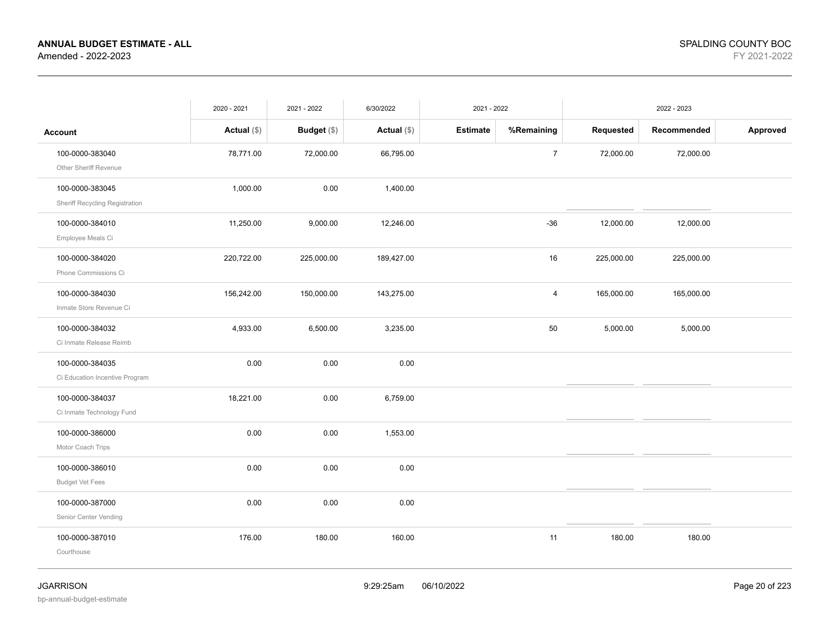|                                                   | 2020 - 2021   | 2021 - 2022        | 6/30/2022     | 2021 - 2022     |                |            | 2022 - 2023 |          |
|---------------------------------------------------|---------------|--------------------|---------------|-----------------|----------------|------------|-------------|----------|
| <b>Account</b>                                    | Actual $(\$)$ | <b>Budget</b> (\$) | Actual $(\$)$ | <b>Estimate</b> | %Remaining     | Requested  | Recommended | Approved |
| 100-0000-383040<br>Other Sheriff Revenue          | 78,771.00     | 72,000.00          | 66,795.00     |                 | $\overline{7}$ | 72,000.00  | 72,000.00   |          |
| 100-0000-383045<br>Sheriff Recycling Registration | 1,000.00      | 0.00               | 1,400.00      |                 |                |            |             |          |
| 100-0000-384010<br>Employee Meals Ci              | 11,250.00     | 9,000.00           | 12,246.00     |                 | $-36$          | 12,000.00  | 12,000.00   |          |
| 100-0000-384020<br>Phone Commissions Ci           | 220,722.00    | 225,000.00         | 189,427.00    |                 | 16             | 225,000.00 | 225,000.00  |          |
| 100-0000-384030<br>Inmate Store Revenue Ci        | 156,242.00    | 150,000.00         | 143,275.00    |                 | $\overline{4}$ | 165,000.00 | 165,000.00  |          |
| 100-0000-384032<br>Ci Inmate Release Reimb        | 4,933.00      | 6,500.00           | 3,235.00      |                 | 50             | 5,000.00   | 5,000.00    |          |
| 100-0000-384035<br>Ci Education Incentive Program | 0.00          | 0.00               | 0.00          |                 |                |            |             |          |
| 100-0000-384037<br>Ci Inmate Technology Fund      | 18,221.00     | 0.00               | 6,759.00      |                 |                |            |             |          |
| 100-0000-386000<br>Motor Coach Trips              | 0.00          | 0.00               | 1,553.00      |                 |                |            |             |          |
| 100-0000-386010<br><b>Budget Vet Fees</b>         | 0.00          | 0.00               | 0.00          |                 |                |            |             |          |
| 100-0000-387000<br>Senior Center Vending          | 0.00          | 0.00               | $0.00\,$      |                 |                |            |             |          |
| 100-0000-387010<br>Courthouse                     | 176.00        | 180.00             | 160.00        |                 | 11             | 180.00     | 180.00      |          |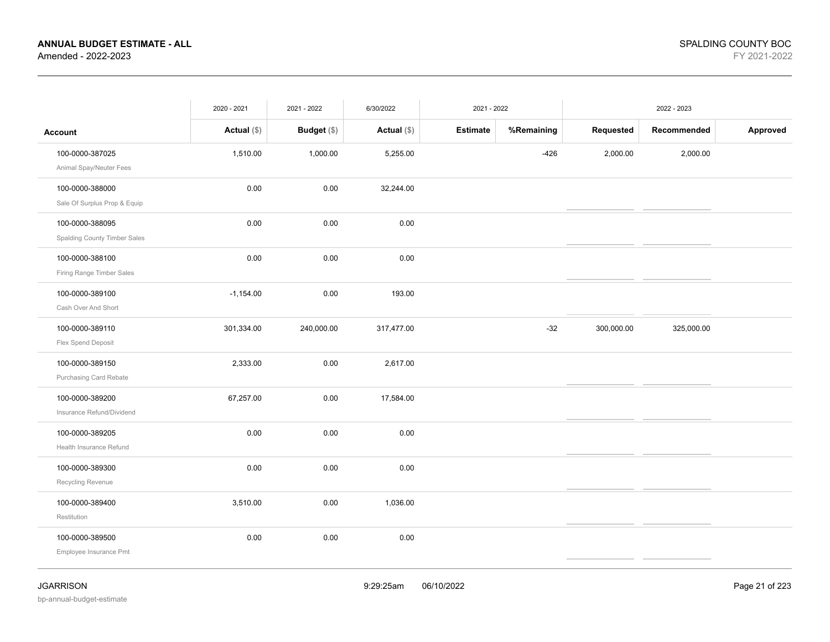|                              | 2020 - 2021   | 2021 - 2022 | 6/30/2022     | 2021 - 2022 |            |            | 2022 - 2023 |          |
|------------------------------|---------------|-------------|---------------|-------------|------------|------------|-------------|----------|
| Account                      | Actual $(\$)$ | Budget (\$) | Actual $(\$)$ | Estimate    | %Remaining | Requested  | Recommended | Approved |
| 100-0000-387025              | 1,510.00      | 1,000.00    | 5,255.00      |             | $-426$     | 2,000.00   | 2,000.00    |          |
| Animal Spay/Neuter Fees      |               |             |               |             |            |            |             |          |
| 100-0000-388000              | 0.00          | 0.00        | 32,244.00     |             |            |            |             |          |
| Sale Of Surplus Prop & Equip |               |             |               |             |            |            |             |          |
| 100-0000-388095              | 0.00          | 0.00        | 0.00          |             |            |            |             |          |
| Spalding County Timber Sales |               |             |               |             |            |            |             |          |
| 100-0000-388100              | 0.00          | 0.00        | 0.00          |             |            |            |             |          |
| Firing Range Timber Sales    |               |             |               |             |            |            |             |          |
| 100-0000-389100              | $-1,154.00$   | 0.00        | 193.00        |             |            |            |             |          |
| Cash Over And Short          |               |             |               |             |            |            |             |          |
| 100-0000-389110              | 301,334.00    | 240,000.00  | 317,477.00    |             | $-32$      | 300,000.00 | 325,000.00  |          |
| Flex Spend Deposit           |               |             |               |             |            |            |             |          |
| 100-0000-389150              | 2,333.00      | 0.00        | 2,617.00      |             |            |            |             |          |
| Purchasing Card Rebate       |               |             |               |             |            |            |             |          |
| 100-0000-389200              | 67,257.00     | 0.00        | 17,584.00     |             |            |            |             |          |
| Insurance Refund/Dividend    |               |             |               |             |            |            |             |          |
| 100-0000-389205              | 0.00          | 0.00        | 0.00          |             |            |            |             |          |
| Health Insurance Refund      |               |             |               |             |            |            |             |          |
| 100-0000-389300              | 0.00          | 0.00        | 0.00          |             |            |            |             |          |
| Recycling Revenue            |               |             |               |             |            |            |             |          |
| 100-0000-389400              | 3,510.00      | 0.00        | 1,036.00      |             |            |            |             |          |
| Restitution                  |               |             |               |             |            |            |             |          |
| 100-0000-389500              | 0.00          | 0.00        | 0.00          |             |            |            |             |          |
| Employee Insurance Pmt       |               |             |               |             |            |            |             |          |
|                              |               |             |               |             |            |            |             |          |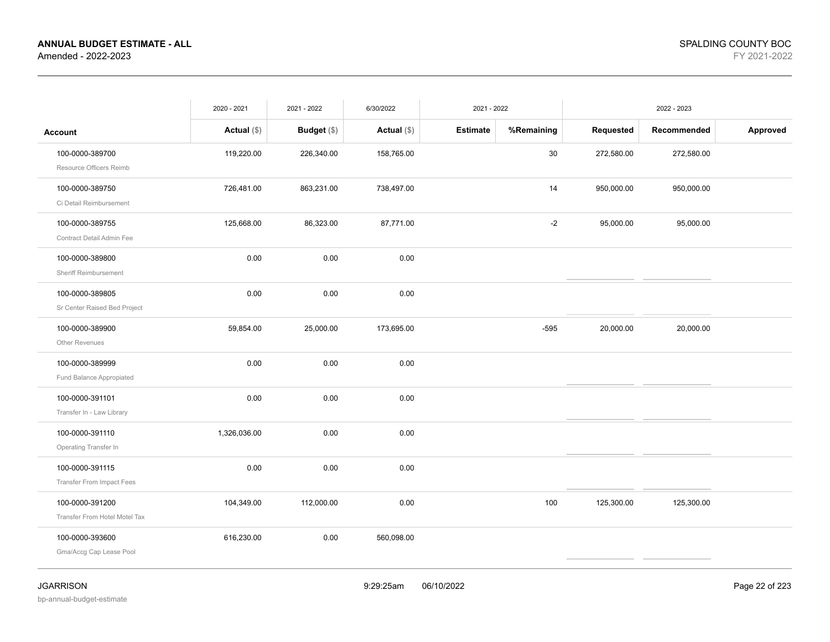|                                                  | 2020 - 2021   | 2021 - 2022   | 6/30/2022     | 2021 - 2022     |            |            | 2022 - 2023 |          |
|--------------------------------------------------|---------------|---------------|---------------|-----------------|------------|------------|-------------|----------|
| <b>Account</b>                                   | Actual $(\$)$ | Budget $(\$)$ | Actual $(\$)$ | <b>Estimate</b> | %Remaining | Requested  | Recommended | Approved |
| 100-0000-389700<br>Resource Officers Reimb       | 119,220.00    | 226,340.00    | 158,765.00    |                 | 30         | 272,580.00 | 272,580.00  |          |
| 100-0000-389750<br>Ci Detail Reimbursement       | 726,481.00    | 863,231.00    | 738,497.00    |                 | 14         | 950,000.00 | 950,000.00  |          |
| 100-0000-389755<br>Contract Detail Admin Fee     | 125,668.00    | 86,323.00     | 87,771.00     |                 | $-2$       | 95,000.00  | 95,000.00   |          |
| 100-0000-389800<br>Sheriff Reimbursement         | 0.00          | 0.00          | 0.00          |                 |            |            |             |          |
| 100-0000-389805<br>Sr Center Raised Bed Project  | 0.00          | 0.00          | 0.00          |                 |            |            |             |          |
| 100-0000-389900<br>Other Revenues                | 59,854.00     | 25,000.00     | 173,695.00    |                 | $-595$     | 20,000.00  | 20,000.00   |          |
| 100-0000-389999<br>Fund Balance Appropiated      | 0.00          | 0.00          | $0.00\,$      |                 |            |            |             |          |
| 100-0000-391101<br>Transfer In - Law Library     | 0.00          | 0.00          | 0.00          |                 |            |            |             |          |
| 100-0000-391110<br>Operating Transfer In         | 1,326,036.00  | 0.00          | 0.00          |                 |            |            |             |          |
| 100-0000-391115<br>Transfer From Impact Fees     | 0.00          | 0.00          | 0.00          |                 |            |            |             |          |
| 100-0000-391200<br>Transfer From Hotel Motel Tax | 104,349.00    | 112,000.00    | 0.00          |                 | 100        | 125,300.00 | 125,300.00  |          |
| 100-0000-393600<br>Gma/Accg Cap Lease Pool       | 616,230.00    | 0.00          | 560,098.00    |                 |            |            |             |          |
|                                                  |               |               |               |                 |            |            |             |          |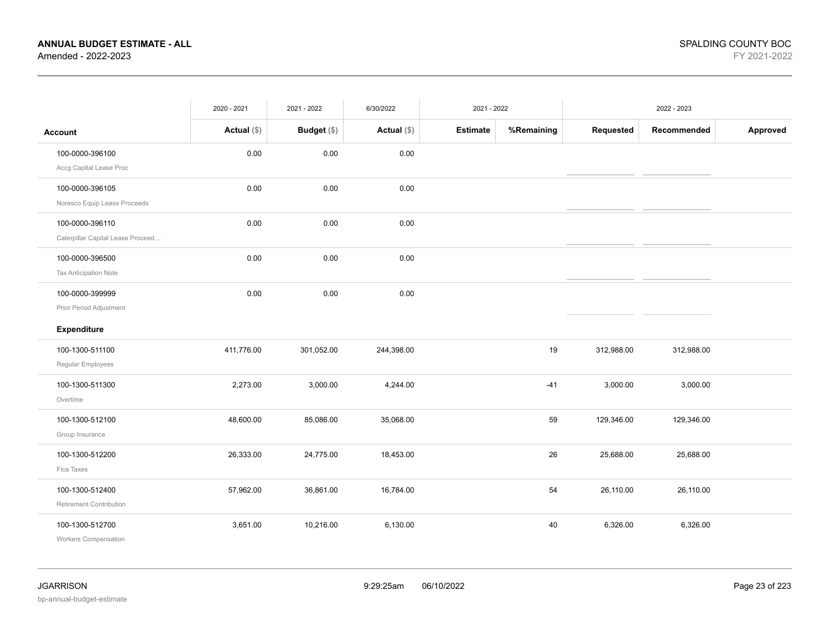|                                                      | 2020 - 2021   | 2021 - 2022   | 6/30/2022     | 2021 - 2022     |            |            | 2022 - 2023 |          |
|------------------------------------------------------|---------------|---------------|---------------|-----------------|------------|------------|-------------|----------|
| <b>Account</b>                                       | Actual $(\$)$ | Budget $(\$)$ | Actual $(\$)$ | <b>Estimate</b> | %Remaining | Requested  | Recommended | Approved |
| 100-0000-396100<br>Accg Capital Lease Proc           | 0.00          | 0.00          | 0.00          |                 |            |            |             |          |
| 100-0000-396105<br>Noresco Equip Lease Proceeds      | 0.00          | 0.00          | 0.00          |                 |            |            |             |          |
| 100-0000-396110<br>Caterpillar Capital Lease Proceed | 0.00          | 0.00          | 0.00          |                 |            |            |             |          |
| 100-0000-396500<br>Tax Anticipation Note             | 0.00          | 0.00          | 0.00          |                 |            |            |             |          |
| 100-0000-399999<br>Prior Period Adjustment           | 0.00          | 0.00          | 0.00          |                 |            |            |             |          |
| Expenditure                                          |               |               |               |                 |            |            |             |          |
| 100-1300-511100<br>Regular Employees                 | 411,776.00    | 301,052.00    | 244,398.00    |                 | 19         | 312,988.00 | 312,988.00  |          |
| 100-1300-511300<br>Overtime                          | 2,273.00      | 3,000.00      | 4,244.00      |                 | $-41$      | 3,000.00   | 3,000.00    |          |
| 100-1300-512100<br>Group Insurance                   | 48,600.00     | 85,086.00     | 35,068.00     |                 | 59         | 129,346.00 | 129,346.00  |          |
| 100-1300-512200<br>Fica Taxes                        | 26,333.00     | 24,775.00     | 18,453.00     |                 | 26         | 25,688.00  | 25,688.00   |          |
| 100-1300-512400<br>Retirement Contribution           | 57,962.00     | 36,861.00     | 16,784.00     |                 | 54         | 26,110.00  | 26,110.00   |          |
| 100-1300-512700<br>Workers Compensation              | 3,651.00      | 10,216.00     | 6,130.00      |                 | 40         | 6,326.00   | 6,326.00    |          |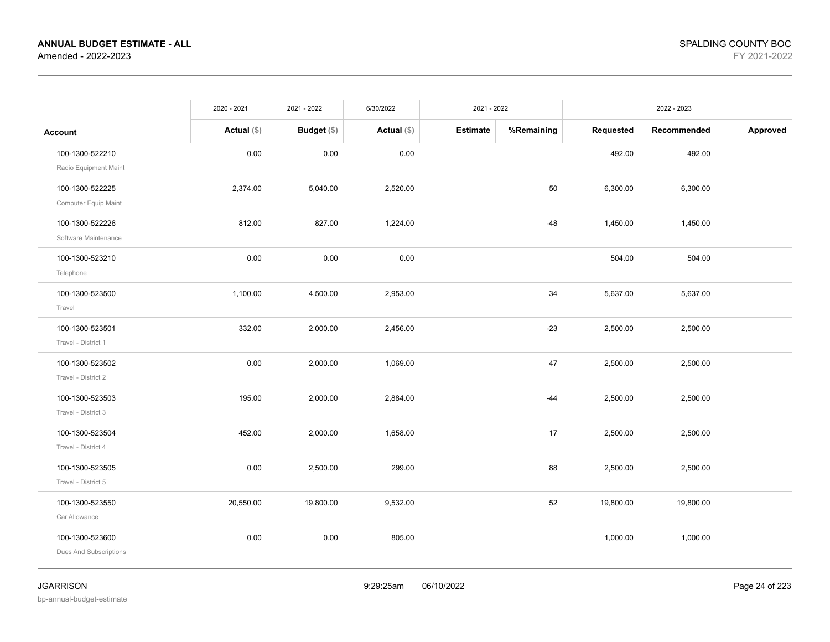|                                           | 2020 - 2021   | 2021 - 2022        | 6/30/2022     | 2021 - 2022     |            |           | 2022 - 2023 |          |
|-------------------------------------------|---------------|--------------------|---------------|-----------------|------------|-----------|-------------|----------|
| <b>Account</b>                            | Actual $(\$)$ | <b>Budget</b> (\$) | Actual $(\$)$ | <b>Estimate</b> | %Remaining | Requested | Recommended | Approved |
| 100-1300-522210<br>Radio Equipment Maint  | 0.00          | 0.00               | 0.00          |                 |            | 492.00    | 492.00      |          |
| 100-1300-522225<br>Computer Equip Maint   | 2,374.00      | 5,040.00           | 2,520.00      |                 | 50         | 6,300.00  | 6,300.00    |          |
| 100-1300-522226<br>Software Maintenance   | 812.00        | 827.00             | 1,224.00      |                 | $-48$      | 1,450.00  | 1,450.00    |          |
| 100-1300-523210<br>Telephone              | 0.00          | 0.00               | 0.00          |                 |            | 504.00    | 504.00      |          |
| 100-1300-523500<br>Travel                 | 1,100.00      | 4,500.00           | 2,953.00      |                 | 34         | 5,637.00  | 5,637.00    |          |
| 100-1300-523501<br>Travel - District 1    | 332.00        | 2,000.00           | 2,456.00      |                 | $-23$      | 2,500.00  | 2,500.00    |          |
| 100-1300-523502<br>Travel - District 2    | 0.00          | 2,000.00           | 1,069.00      |                 | 47         | 2,500.00  | 2,500.00    |          |
| 100-1300-523503<br>Travel - District 3    | 195.00        | 2,000.00           | 2,884.00      |                 | $-44$      | 2,500.00  | 2,500.00    |          |
| 100-1300-523504<br>Travel - District 4    | 452.00        | 2,000.00           | 1,658.00      |                 | 17         | 2,500.00  | 2,500.00    |          |
| 100-1300-523505<br>Travel - District 5    | 0.00          | 2,500.00           | 299.00        |                 | 88         | 2,500.00  | 2,500.00    |          |
| 100-1300-523550<br>Car Allowance          | 20,550.00     | 19,800.00          | 9,532.00      |                 | 52         | 19,800.00 | 19,800.00   |          |
| 100-1300-523600<br>Dues And Subscriptions | 0.00          | 0.00               | 805.00        |                 |            | 1,000.00  | 1,000.00    |          |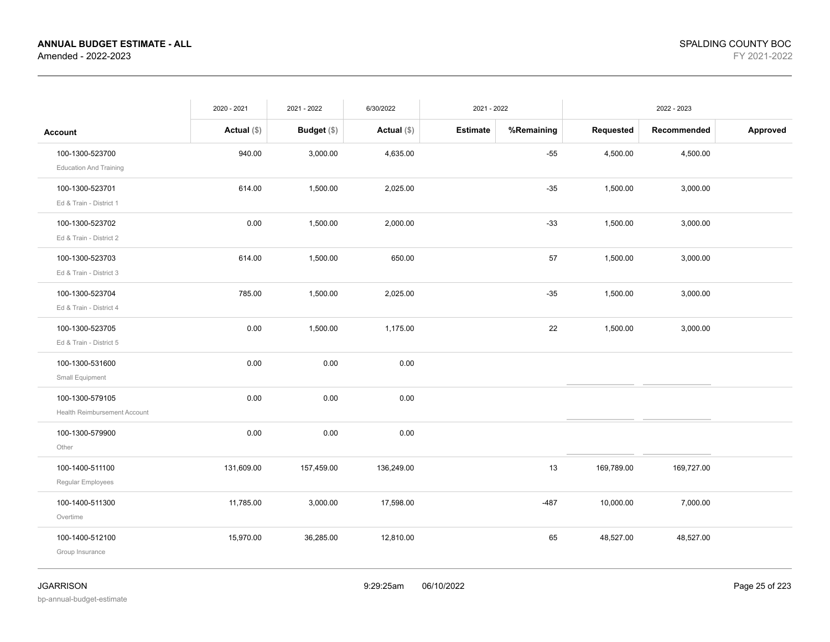|                                     | 2020 - 2021   | 2021 - 2022        | 6/30/2022     | 2021 - 2022     |            |            | 2022 - 2023 |          |
|-------------------------------------|---------------|--------------------|---------------|-----------------|------------|------------|-------------|----------|
| <b>Account</b>                      | Actual $(\$)$ | <b>Budget</b> (\$) | Actual $(\$)$ | <b>Estimate</b> | %Remaining | Requested  | Recommended | Approved |
| 100-1300-523700                     | 940.00        | 3,000.00           | 4,635.00      |                 | $-55$      | 4,500.00   | 4,500.00    |          |
| <b>Education And Training</b>       |               |                    |               |                 |            |            |             |          |
| 100-1300-523701                     | 614.00        | 1,500.00           | 2,025.00      |                 | $-35$      | 1,500.00   | 3,000.00    |          |
| Ed & Train - District 1             |               |                    |               |                 |            |            |             |          |
| 100-1300-523702                     | 0.00          | 1,500.00           | 2,000.00      |                 | $-33$      | 1,500.00   | 3,000.00    |          |
| Ed & Train - District 2             |               |                    |               |                 |            |            |             |          |
| 100-1300-523703                     | 614.00        | 1,500.00           | 650.00        |                 | 57         | 1,500.00   | 3,000.00    |          |
| Ed & Train - District 3             |               |                    |               |                 |            |            |             |          |
| 100-1300-523704                     | 785.00        | 1,500.00           | 2,025.00      |                 | $-35$      | 1,500.00   | 3,000.00    |          |
| Ed & Train - District 4             |               |                    |               |                 |            |            |             |          |
| 100-1300-523705                     | 0.00          | 1,500.00           | 1,175.00      |                 | 22         | 1,500.00   | 3,000.00    |          |
| Ed & Train - District 5             |               |                    |               |                 |            |            |             |          |
| 100-1300-531600                     | 0.00          | 0.00               | 0.00          |                 |            |            |             |          |
| Small Equipment                     |               |                    |               |                 |            |            |             |          |
| 100-1300-579105                     | 0.00          | 0.00               | 0.00          |                 |            |            |             |          |
| <b>Health Reimbursement Account</b> |               |                    |               |                 |            |            |             |          |
| 100-1300-579900                     | 0.00          | 0.00               | 0.00          |                 |            |            |             |          |
| Other                               |               |                    |               |                 |            |            |             |          |
| 100-1400-511100                     | 131,609.00    | 157,459.00         | 136,249.00    |                 | 13         | 169,789.00 | 169,727.00  |          |
| Regular Employees                   |               |                    |               |                 |            |            |             |          |
| 100-1400-511300                     | 11,785.00     | 3,000.00           | 17,598.00     |                 | $-487$     | 10,000.00  | 7,000.00    |          |
| Overtime                            |               |                    |               |                 |            |            |             |          |
| 100-1400-512100                     | 15,970.00     | 36,285.00          | 12,810.00     |                 | 65         | 48,527.00  | 48,527.00   |          |
| Group Insurance                     |               |                    |               |                 |            |            |             |          |
|                                     |               |                    |               |                 |            |            |             |          |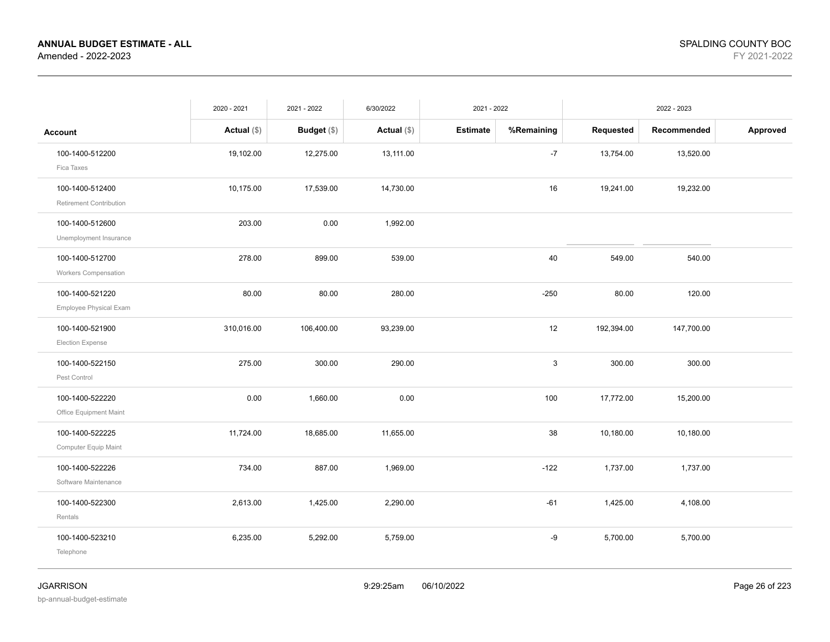|                                            | 2020 - 2021   | 2021 - 2022   | 6/30/2022     | 2021 - 2022     |            | 2022 - 2023 |             |          |
|--------------------------------------------|---------------|---------------|---------------|-----------------|------------|-------------|-------------|----------|
| <b>Account</b>                             | Actual $(\$)$ | Budget $(\$)$ | Actual $(\$)$ | <b>Estimate</b> | %Remaining | Requested   | Recommended | Approved |
| 100-1400-512200<br>Fica Taxes              | 19,102.00     | 12,275.00     | 13,111.00     |                 | $-7$       | 13,754.00   | 13,520.00   |          |
| 100-1400-512400<br>Retirement Contribution | 10,175.00     | 17,539.00     | 14,730.00     |                 | 16         | 19,241.00   | 19,232.00   |          |
| 100-1400-512600<br>Unemployment Insurance  | 203.00        | 0.00          | 1,992.00      |                 |            |             |             |          |
| 100-1400-512700<br>Workers Compensation    | 278.00        | 899.00        | 539.00        |                 | 40         | 549.00      | 540.00      |          |
| 100-1400-521220<br>Employee Physical Exam  | 80.00         | 80.00         | 280.00        |                 | $-250$     | 80.00       | 120.00      |          |
| 100-1400-521900<br><b>Election Expense</b> | 310,016.00    | 106,400.00    | 93,239.00     |                 | 12         | 192,394.00  | 147,700.00  |          |
| 100-1400-522150<br>Pest Control            | 275.00        | 300.00        | 290.00        |                 | 3          | 300.00      | 300.00      |          |
| 100-1400-522220<br>Office Equipment Maint  | 0.00          | 1,660.00      | 0.00          |                 | 100        | 17,772.00   | 15,200.00   |          |
| 100-1400-522225<br>Computer Equip Maint    | 11,724.00     | 18,685.00     | 11,655.00     |                 | 38         | 10,180.00   | 10,180.00   |          |
| 100-1400-522226<br>Software Maintenance    | 734.00        | 887.00        | 1,969.00      |                 | $-122$     | 1,737.00    | 1,737.00    |          |
| 100-1400-522300<br>Rentals                 | 2,613.00      | 1,425.00      | 2,290.00      |                 | $-61$      | 1,425.00    | 4,108.00    |          |
| 100-1400-523210<br>Telephone               | 6,235.00      | 5,292.00      | 5,759.00      |                 | -9         | 5,700.00    | 5,700.00    |          |
|                                            |               |               |               |                 |            |             |             |          |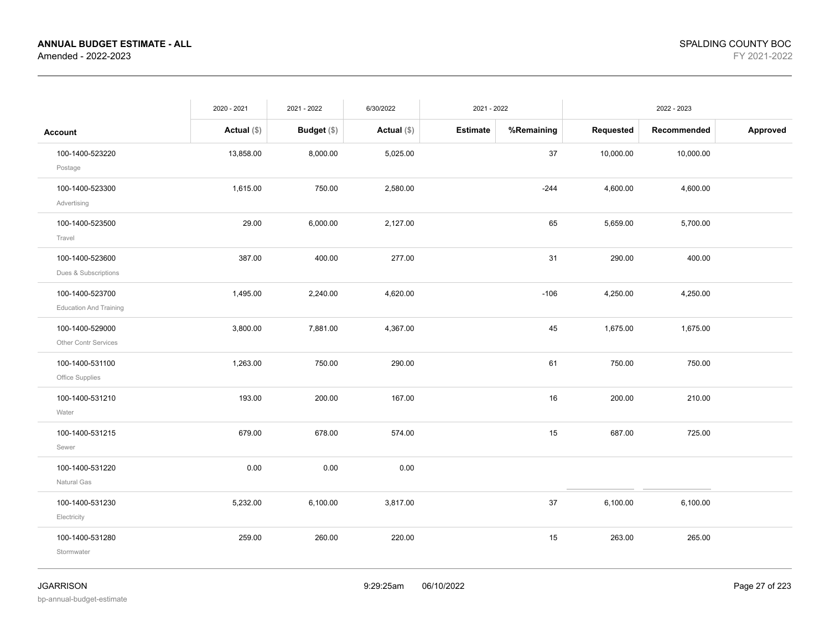|                                | 2020 - 2021   | 2021 - 2022 | 6/30/2022     | 2021 - 2022     |            |           | 2022 - 2023 |          |
|--------------------------------|---------------|-------------|---------------|-----------------|------------|-----------|-------------|----------|
| <b>Account</b>                 | Actual $(\$)$ | Budget (\$) | Actual $(\$)$ | <b>Estimate</b> | %Remaining | Requested | Recommended | Approved |
| 100-1400-523220                | 13,858.00     | 8,000.00    | 5,025.00      |                 | 37         | 10,000.00 | 10,000.00   |          |
| Postage                        |               |             |               |                 |            |           |             |          |
| 100-1400-523300<br>Advertising | 1,615.00      | 750.00      | 2,580.00      |                 | $-244$     | 4,600.00  | 4,600.00    |          |
|                                |               |             |               |                 |            |           |             |          |
| 100-1400-523500<br>Travel      | 29.00         | 6,000.00    | 2,127.00      |                 | 65         | 5,659.00  | 5,700.00    |          |
| 100-1400-523600                | 387.00        | 400.00      | 277.00        |                 | 31         | 290.00    | 400.00      |          |
| Dues & Subscriptions           |               |             |               |                 |            |           |             |          |
| 100-1400-523700                | 1,495.00      | 2,240.00    | 4,620.00      |                 | $-106$     | 4,250.00  | 4,250.00    |          |
| <b>Education And Training</b>  |               |             |               |                 |            |           |             |          |
| 100-1400-529000                | 3,800.00      | 7,881.00    | 4,367.00      |                 | 45         | 1,675.00  | 1,675.00    |          |
| Other Contr Services           |               |             |               |                 |            |           |             |          |
| 100-1400-531100                | 1,263.00      | 750.00      | 290.00        |                 | 61         | 750.00    | 750.00      |          |
| Office Supplies                |               |             |               |                 |            |           |             |          |
| 100-1400-531210                | 193.00        | 200.00      | 167.00        |                 | 16         | 200.00    | 210.00      |          |
| Water                          |               |             |               |                 |            |           |             |          |
| 100-1400-531215                | 679.00        | 678.00      | 574.00        |                 | 15         | 687.00    | 725.00      |          |
| Sewer                          |               |             |               |                 |            |           |             |          |
| 100-1400-531220                | 0.00          | 0.00        | 0.00          |                 |            |           |             |          |
| Natural Gas                    |               |             |               |                 |            |           |             |          |
| 100-1400-531230                | 5,232.00      | 6,100.00    | 3,817.00      |                 | 37         | 6,100.00  | 6,100.00    |          |
| Electricity                    |               |             |               |                 |            |           |             |          |
| 100-1400-531280                | 259.00        | 260.00      | 220.00        |                 | 15         | 263.00    | 265.00      |          |
| Stormwater                     |               |             |               |                 |            |           |             |          |
|                                |               |             |               |                 |            |           |             |          |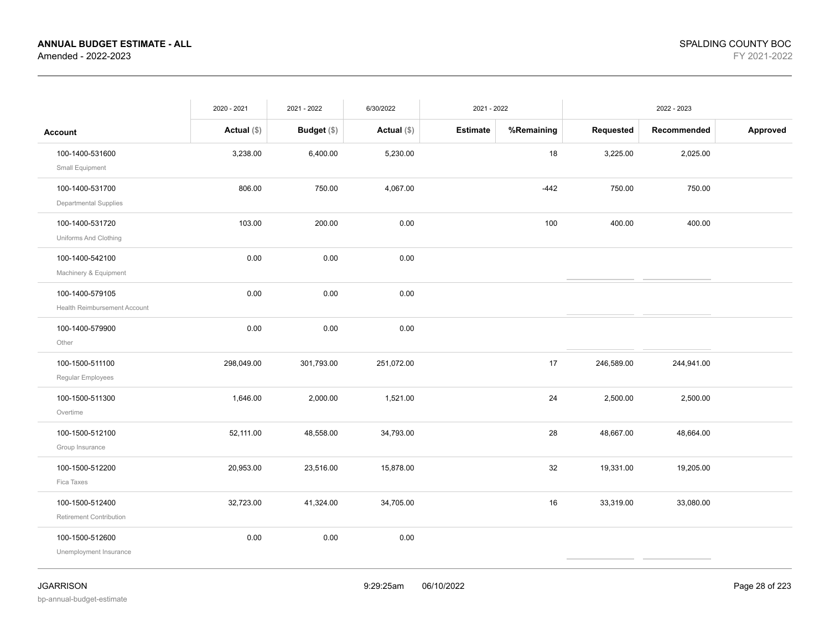|                                                             | 2020 - 2021   | 2021 - 2022 | 6/30/2022     | 2021 - 2022     |            | 2022 - 2023 |             |          |
|-------------------------------------------------------------|---------------|-------------|---------------|-----------------|------------|-------------|-------------|----------|
| <b>Account</b>                                              | Actual $(\$)$ | Budget (\$) | Actual $(\$)$ | <b>Estimate</b> | %Remaining | Requested   | Recommended | Approved |
| 100-1400-531600                                             | 3,238.00      | 6,400.00    | 5,230.00      |                 | 18         | 3,225.00    | 2,025.00    |          |
| Small Equipment<br>100-1400-531700<br>Departmental Supplies | 806.00        | 750.00      | 4,067.00      |                 | $-442$     | 750.00      | 750.00      |          |
| 100-1400-531720<br>Uniforms And Clothing                    | 103.00        | 200.00      | 0.00          |                 | 100        | 400.00      | 400.00      |          |
| 100-1400-542100<br>Machinery & Equipment                    | 0.00          | 0.00        | 0.00          |                 |            |             |             |          |
| 100-1400-579105<br>Health Reimbursement Account             | 0.00          | 0.00        | 0.00          |                 |            |             |             |          |
| 100-1400-579900<br>Other                                    | 0.00          | 0.00        | 0.00          |                 |            |             |             |          |
| 100-1500-511100<br>Regular Employees                        | 298,049.00    | 301,793.00  | 251,072.00    |                 | 17         | 246,589.00  | 244,941.00  |          |
| 100-1500-511300<br>Overtime                                 | 1,646.00      | 2,000.00    | 1,521.00      |                 | 24         | 2,500.00    | 2,500.00    |          |
| 100-1500-512100<br>Group Insurance                          | 52,111.00     | 48,558.00   | 34,793.00     |                 | 28         | 48,667.00   | 48,664.00   |          |
| 100-1500-512200<br>Fica Taxes                               | 20,953.00     | 23,516.00   | 15,878.00     |                 | 32         | 19,331.00   | 19,205.00   |          |
| 100-1500-512400<br>Retirement Contribution                  | 32,723.00     | 41,324.00   | 34,705.00     |                 | 16         | 33,319.00   | 33,080.00   |          |
| 100-1500-512600<br>Unemployment Insurance                   | 0.00          | 0.00        | 0.00          |                 |            |             |             |          |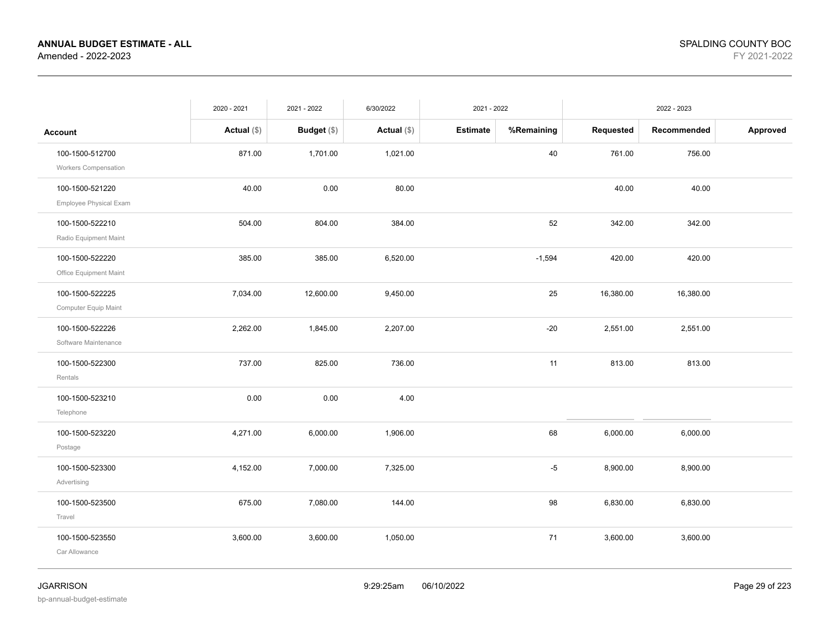|                                           | 2020 - 2021   | 2021 - 2022 | 6/30/2022     | 2021 - 2022     |            |           | 2022 - 2023 |          |
|-------------------------------------------|---------------|-------------|---------------|-----------------|------------|-----------|-------------|----------|
| <b>Account</b>                            | Actual $(\$)$ | Budget (\$) | Actual $(\$)$ | <b>Estimate</b> | %Remaining | Requested | Recommended | Approved |
| 100-1500-512700<br>Workers Compensation   | 871.00        | 1,701.00    | 1,021.00      |                 | 40         | 761.00    | 756.00      |          |
| 100-1500-521220<br>Employee Physical Exam | 40.00         | 0.00        | 80.00         |                 |            | 40.00     | 40.00       |          |
| 100-1500-522210<br>Radio Equipment Maint  | 504.00        | 804.00      | 384.00        |                 | 52         | 342.00    | 342.00      |          |
| 100-1500-522220<br>Office Equipment Maint | 385.00        | 385.00      | 6,520.00      |                 | $-1,594$   | 420.00    | 420.00      |          |
| 100-1500-522225<br>Computer Equip Maint   | 7,034.00      | 12,600.00   | 9,450.00      |                 | 25         | 16,380.00 | 16,380.00   |          |
| 100-1500-522226<br>Software Maintenance   | 2,262.00      | 1,845.00    | 2,207.00      |                 | $-20$      | 2,551.00  | 2,551.00    |          |
| 100-1500-522300<br>Rentals                | 737.00        | 825.00      | 736.00        |                 | 11         | 813.00    | 813.00      |          |
| 100-1500-523210<br>Telephone              | 0.00          | 0.00        | 4.00          |                 |            |           |             |          |
| 100-1500-523220<br>Postage                | 4,271.00      | 6,000.00    | 1,906.00      |                 | 68         | 6,000.00  | 6,000.00    |          |
| 100-1500-523300<br>Advertising            | 4,152.00      | 7,000.00    | 7,325.00      |                 | $-5$       | 8,900.00  | 8,900.00    |          |
| 100-1500-523500<br>Travel                 | 675.00        | 7,080.00    | 144.00        |                 | 98         | 6,830.00  | 6,830.00    |          |
| 100-1500-523550<br>Car Allowance          | 3,600.00      | 3,600.00    | 1,050.00      |                 | 71         | 3,600.00  | 3,600.00    |          |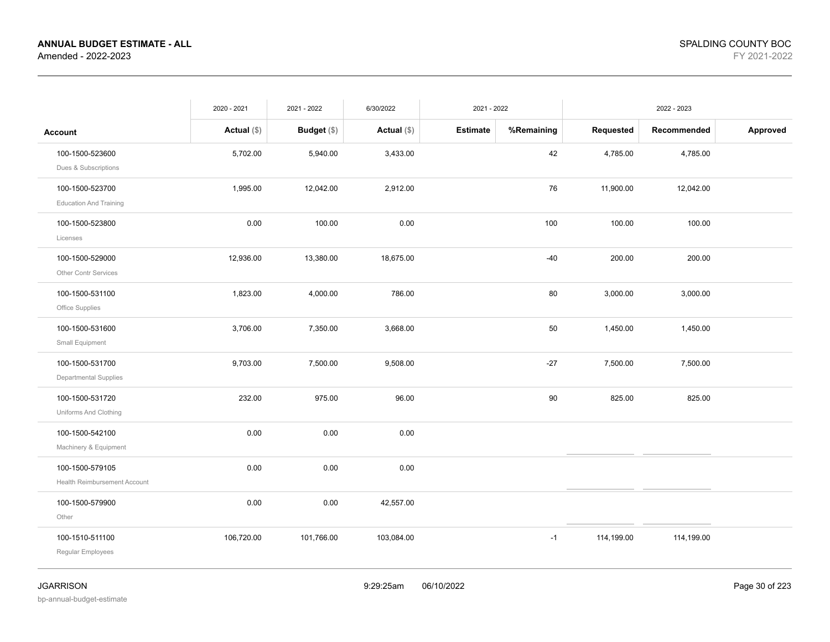|                               | 2020 - 2021   | 2021 - 2022   | 6/30/2022     | 2021 - 2022     |            |            | 2022 - 2023 |          |
|-------------------------------|---------------|---------------|---------------|-----------------|------------|------------|-------------|----------|
| Account                       | Actual $(\$)$ | Budget $(\$)$ | Actual $(\$)$ | <b>Estimate</b> | %Remaining | Requested  | Recommended | Approved |
| 100-1500-523600               | 5,702.00      | 5,940.00      | 3,433.00      |                 | 42         | 4,785.00   | 4,785.00    |          |
| Dues & Subscriptions          |               |               |               |                 |            |            |             |          |
| 100-1500-523700               | 1,995.00      | 12,042.00     | 2,912.00      |                 | 76         | 11,900.00  | 12,042.00   |          |
| <b>Education And Training</b> |               |               |               |                 |            |            |             |          |
| 100-1500-523800               | 0.00          | 100.00        | 0.00          |                 | 100        | 100.00     | 100.00      |          |
| Licenses                      |               |               |               |                 |            |            |             |          |
| 100-1500-529000               | 12,936.00     | 13,380.00     | 18,675.00     |                 | $-40$      | 200.00     | 200.00      |          |
| Other Contr Services          |               |               |               |                 |            |            |             |          |
| 100-1500-531100               | 1,823.00      | 4,000.00      | 786.00        |                 | 80         | 3,000.00   | 3,000.00    |          |
| Office Supplies               |               |               |               |                 |            |            |             |          |
| 100-1500-531600               | 3,706.00      | 7,350.00      | 3,668.00      |                 | 50         | 1,450.00   | 1,450.00    |          |
| Small Equipment               |               |               |               |                 |            |            |             |          |
| 100-1500-531700               | 9,703.00      | 7,500.00      | 9,508.00      |                 | $-27$      | 7,500.00   | 7,500.00    |          |
| Departmental Supplies         |               |               |               |                 |            |            |             |          |
| 100-1500-531720               | 232.00        | 975.00        | 96.00         |                 | 90         | 825.00     | 825.00      |          |
| Uniforms And Clothing         |               |               |               |                 |            |            |             |          |
| 100-1500-542100               | 0.00          | 0.00          | 0.00          |                 |            |            |             |          |
| Machinery & Equipment         |               |               |               |                 |            |            |             |          |
| 100-1500-579105               | 0.00          | 0.00          | 0.00          |                 |            |            |             |          |
| Health Reimbursement Account  |               |               |               |                 |            |            |             |          |
| 100-1500-579900               | 0.00          | 0.00          | 42,557.00     |                 |            |            |             |          |
| Other                         |               |               |               |                 |            |            |             |          |
| 100-1510-511100               | 106,720.00    | 101,766.00    | 103,084.00    |                 | $-1$       | 114,199.00 | 114,199.00  |          |
| Regular Employees             |               |               |               |                 |            |            |             |          |
|                               |               |               |               |                 |            |            |             |          |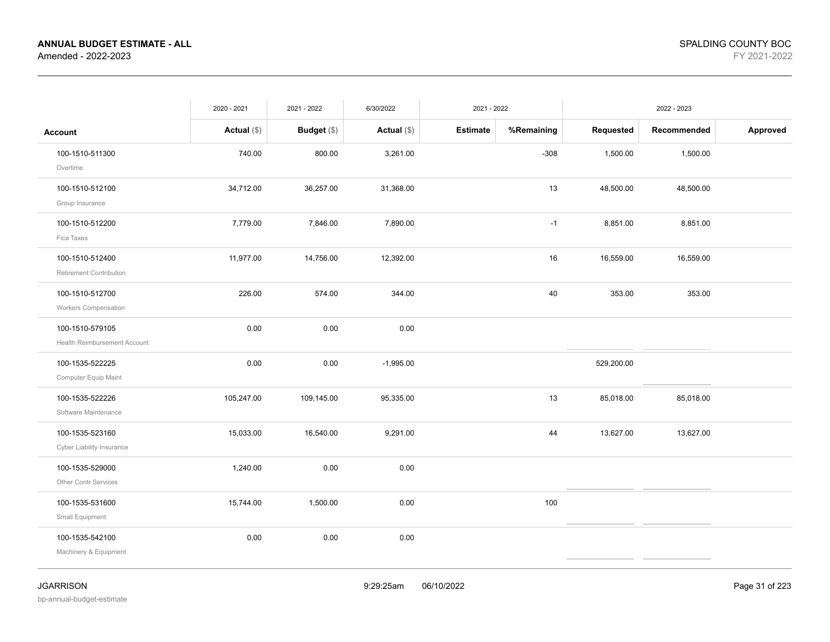|                                     | 2020 - 2021   | 2021 - 2022        | 6/30/2022     | 2021 - 2022     |            |            | 2022 - 2023 |          |
|-------------------------------------|---------------|--------------------|---------------|-----------------|------------|------------|-------------|----------|
| <b>Account</b>                      | Actual $(\$)$ | <b>Budget</b> (\$) | Actual $(\$)$ | <b>Estimate</b> | %Remaining | Requested  | Recommended | Approved |
| 100-1510-511300                     | 740.00        | 800.00             | 3,261.00      |                 | $-308$     | 1,500.00   | 1,500.00    |          |
| Overtime                            |               |                    |               |                 |            |            |             |          |
| 100-1510-512100                     | 34,712.00     | 36,257.00          | 31,368.00     |                 | 13         | 48,500.00  | 48,500.00   |          |
| Group Insurance                     |               |                    |               |                 |            |            |             |          |
| 100-1510-512200                     | 7,779.00      | 7,846.00           | 7,890.00      |                 | $-1$       | 8,851.00   | 8,851.00    |          |
| Fica Taxes                          |               |                    |               |                 |            |            |             |          |
| 100-1510-512400                     | 11,977.00     | 14,756.00          | 12,392.00     |                 | 16         | 16,559.00  | 16,559.00   |          |
| Retirement Contribution             |               |                    |               |                 |            |            |             |          |
| 100-1510-512700                     | 226.00        | 574.00             | 344.00        |                 | 40         | 353.00     | 353.00      |          |
| Workers Compensation                |               |                    |               |                 |            |            |             |          |
| 100-1510-579105                     | 0.00          | 0.00               | 0.00          |                 |            |            |             |          |
| <b>Health Reimbursement Account</b> |               |                    |               |                 |            |            |             |          |
| 100-1535-522225                     | 0.00          | 0.00               | $-1,995.00$   |                 |            | 529,200.00 |             |          |
| Computer Equip Maint                |               |                    |               |                 |            |            |             |          |
| 100-1535-522226                     | 105,247.00    | 109,145.00         | 95,335.00     |                 | 13         | 85,018.00  | 85,018.00   |          |
| Software Maintenance                |               |                    |               |                 |            |            |             |          |
| 100-1535-523160                     | 15,033.00     | 16,540.00          | 9,291.00      |                 | 44         | 13,627.00  | 13,627.00   |          |
| Cyber Liability Insurance           |               |                    |               |                 |            |            |             |          |
| 100-1535-529000                     | 1,240.00      | 0.00               | 0.00          |                 |            |            |             |          |
| Other Contr Services                |               |                    |               |                 |            |            |             |          |
| 100-1535-531600                     | 15,744.00     | 1,500.00           | 0.00          |                 | 100        |            |             |          |
| Small Equipment                     |               |                    |               |                 |            |            |             |          |
| 100-1535-542100                     | 0.00          | 0.00               | 0.00          |                 |            |            |             |          |
| Machinery & Equipment               |               |                    |               |                 |            |            |             |          |
|                                     |               |                    |               |                 |            |            |             |          |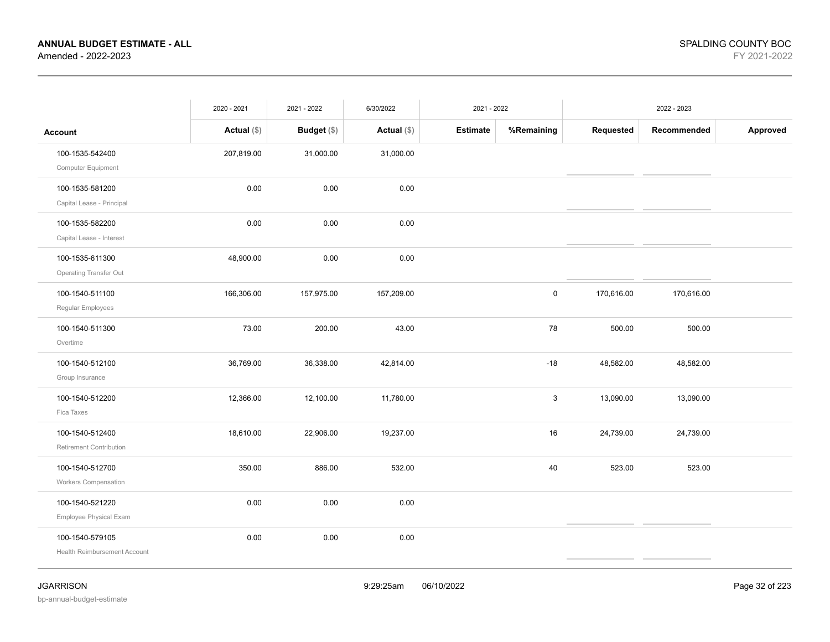|                                                 | 2020 - 2021   | 2021 - 2022 | 6/30/2022     | 2021 - 2022     |             |            | 2022 - 2023 |          |
|-------------------------------------------------|---------------|-------------|---------------|-----------------|-------------|------------|-------------|----------|
| <b>Account</b>                                  | Actual $(\$)$ | Budget (\$) | Actual $(\$)$ | <b>Estimate</b> | %Remaining  | Requested  | Recommended | Approved |
| 100-1535-542400<br>Computer Equipment           | 207,819.00    | 31,000.00   | 31,000.00     |                 |             |            |             |          |
| 100-1535-581200<br>Capital Lease - Principal    | 0.00          | 0.00        | 0.00          |                 |             |            |             |          |
| 100-1535-582200<br>Capital Lease - Interest     | 0.00          | 0.00        | 0.00          |                 |             |            |             |          |
| 100-1535-611300<br>Operating Transfer Out       | 48,900.00     | 0.00        | 0.00          |                 |             |            |             |          |
| 100-1540-511100<br>Regular Employees            | 166,306.00    | 157,975.00  | 157,209.00    |                 | $\mathbf 0$ | 170,616.00 | 170,616.00  |          |
| 100-1540-511300<br>Overtime                     | 73.00         | 200.00      | 43.00         |                 | 78          | 500.00     | 500.00      |          |
| 100-1540-512100<br>Group Insurance              | 36,769.00     | 36,338.00   | 42,814.00     |                 | $-18$       | 48,582.00  | 48,582.00   |          |
| 100-1540-512200<br>Fica Taxes                   | 12,366.00     | 12,100.00   | 11,780.00     |                 | 3           | 13,090.00  | 13,090.00   |          |
| 100-1540-512400<br>Retirement Contribution      | 18,610.00     | 22,906.00   | 19,237.00     |                 | 16          | 24,739.00  | 24,739.00   |          |
| 100-1540-512700<br><b>Workers Compensation</b>  | 350.00        | 886.00      | 532.00        |                 | 40          | 523.00     | 523.00      |          |
| 100-1540-521220<br>Employee Physical Exam       | 0.00          | $0.00\,$    | 0.00          |                 |             |            |             |          |
| 100-1540-579105<br>Health Reimbursement Account | 0.00          | 0.00        | 0.00          |                 |             |            |             |          |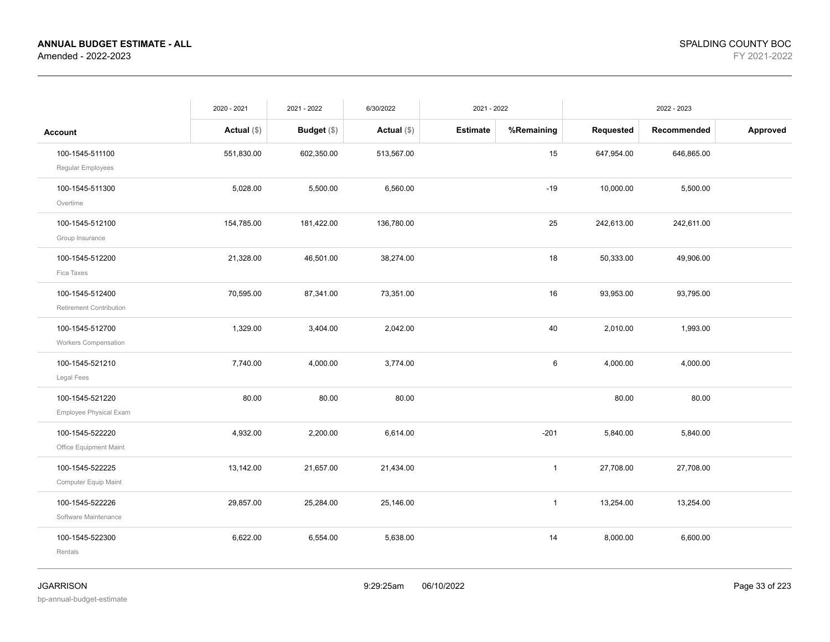|                                            | 2020 - 2021   | 2021 - 2022 | 6/30/2022     | 2021 - 2022     |              |            | 2022 - 2023 |          |
|--------------------------------------------|---------------|-------------|---------------|-----------------|--------------|------------|-------------|----------|
| <b>Account</b>                             | Actual $(\$)$ | Budget (\$) | Actual $(\$)$ | <b>Estimate</b> | %Remaining   | Requested  | Recommended | Approved |
| 100-1545-511100<br>Regular Employees       | 551,830.00    | 602,350.00  | 513,567.00    |                 | $15\,$       | 647,954.00 | 646,865.00  |          |
| 100-1545-511300<br>Overtime                | 5,028.00      | 5,500.00    | 6,560.00      |                 | $-19$        | 10,000.00  | 5,500.00    |          |
| 100-1545-512100<br>Group Insurance         | 154,785.00    | 181,422.00  | 136,780.00    |                 | 25           | 242,613.00 | 242,611.00  |          |
| 100-1545-512200<br>Fica Taxes              | 21,328.00     | 46,501.00   | 38,274.00     |                 | 18           | 50,333.00  | 49,906.00   |          |
| 100-1545-512400<br>Retirement Contribution | 70,595.00     | 87,341.00   | 73,351.00     |                 | 16           | 93,953.00  | 93,795.00   |          |
| 100-1545-512700<br>Workers Compensation    | 1,329.00      | 3,404.00    | 2,042.00      |                 | 40           | 2,010.00   | 1,993.00    |          |
| 100-1545-521210<br>Legal Fees              | 7,740.00      | 4,000.00    | 3,774.00      |                 | 6            | 4,000.00   | 4,000.00    |          |
| 100-1545-521220<br>Employee Physical Exam  | 80.00         | 80.00       | 80.00         |                 |              | 80.00      | 80.00       |          |
| 100-1545-522220<br>Office Equipment Maint  | 4,932.00      | 2,200.00    | 6,614.00      |                 | $-201$       | 5,840.00   | 5,840.00    |          |
| 100-1545-522225<br>Computer Equip Maint    | 13,142.00     | 21,657.00   | 21,434.00     |                 | $\mathbf{1}$ | 27,708.00  | 27,708.00   |          |
| 100-1545-522226<br>Software Maintenance    | 29,857.00     | 25,284.00   | 25,146.00     |                 | $\mathbf{1}$ | 13,254.00  | 13,254.00   |          |
| 100-1545-522300<br>Rentals                 | 6,622.00      | 6,554.00    | 5,638.00      |                 | 14           | 8,000.00   | 6,600.00    |          |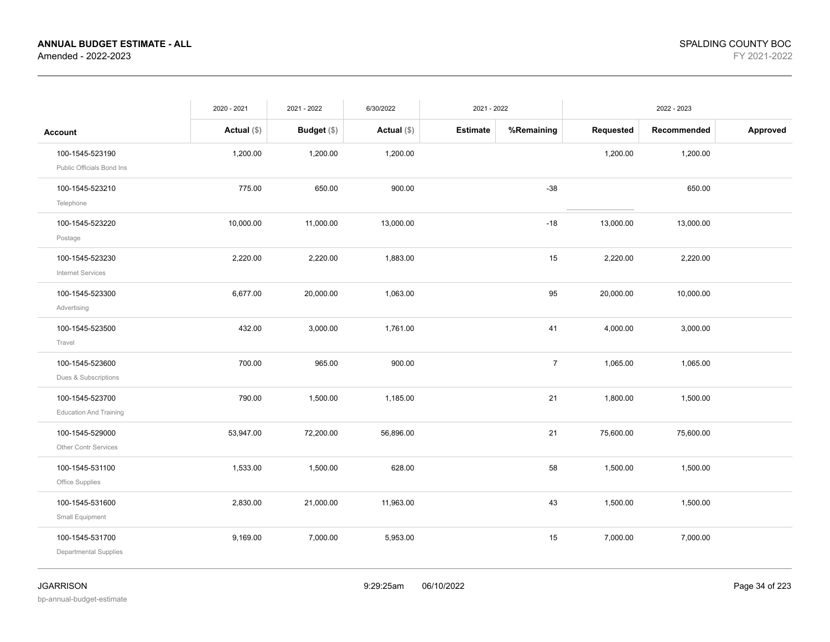|                                                  | 2020 - 2021   | 2021 - 2022        | 6/30/2022     | 2021 - 2022     |                |           | 2022 - 2023 |          |
|--------------------------------------------------|---------------|--------------------|---------------|-----------------|----------------|-----------|-------------|----------|
| <b>Account</b>                                   | Actual $(\$)$ | <b>Budget</b> (\$) | Actual $(\$)$ | <b>Estimate</b> | %Remaining     | Requested | Recommended | Approved |
| 100-1545-523190<br>Public Officials Bond Ins     | 1,200.00      | 1,200.00           | 1,200.00      |                 |                | 1,200.00  | 1,200.00    |          |
| 100-1545-523210<br>Telephone                     | 775.00        | 650.00             | 900.00        |                 | $-38$          |           | 650.00      |          |
| 100-1545-523220<br>Postage                       | 10,000.00     | 11,000.00          | 13,000.00     |                 | $-18$          | 13,000.00 | 13,000.00   |          |
| 100-1545-523230<br><b>Internet Services</b>      | 2,220.00      | 2,220.00           | 1,883.00      |                 | 15             | 2,220.00  | 2,220.00    |          |
| 100-1545-523300<br>Advertising                   | 6,677.00      | 20,000.00          | 1,063.00      |                 | 95             | 20,000.00 | 10,000.00   |          |
| 100-1545-523500<br>Travel                        | 432.00        | 3,000.00           | 1,761.00      |                 | 41             | 4,000.00  | 3,000.00    |          |
| 100-1545-523600<br>Dues & Subscriptions          | 700.00        | 965.00             | 900.00        |                 | $\overline{7}$ | 1,065.00  | 1,065.00    |          |
| 100-1545-523700<br><b>Education And Training</b> | 790.00        | 1,500.00           | 1,185.00      |                 | 21             | 1,800.00  | 1,500.00    |          |
| 100-1545-529000<br>Other Contr Services          | 53,947.00     | 72,200.00          | 56,896.00     |                 | 21             | 75,600.00 | 75,600.00   |          |
| 100-1545-531100<br>Office Supplies               | 1,533.00      | 1,500.00           | 628.00        |                 | 58             | 1,500.00  | 1,500.00    |          |
| 100-1545-531600<br>Small Equipment               | 2,830.00      | 21,000.00          | 11,963.00     |                 | 43             | 1,500.00  | 1,500.00    |          |
| 100-1545-531700<br>Departmental Supplies         | 9,169.00      | 7,000.00           | 5,953.00      |                 | 15             | 7,000.00  | 7,000.00    |          |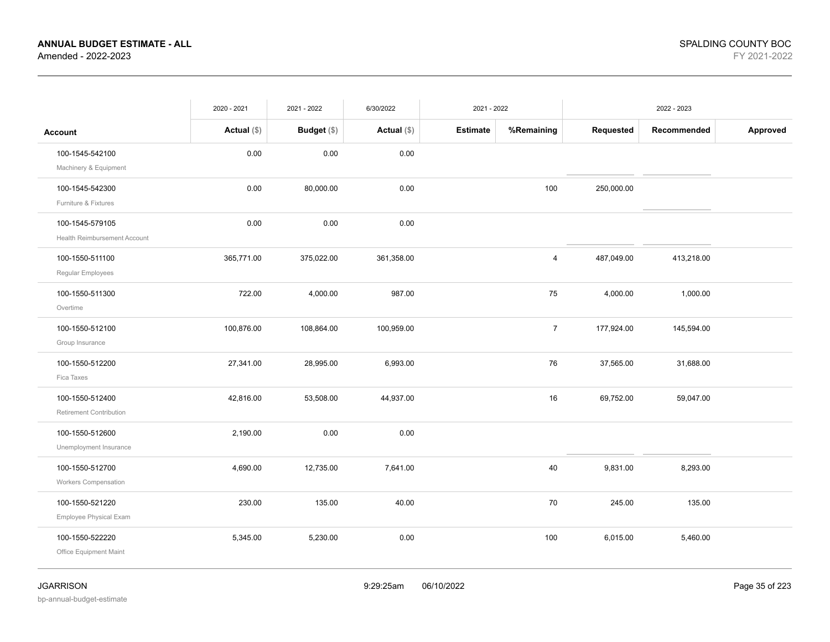|                                                        | 2020 - 2021   | 2021 - 2022   | 6/30/2022     | 2021 - 2022     |                |            | 2022 - 2023 |          |
|--------------------------------------------------------|---------------|---------------|---------------|-----------------|----------------|------------|-------------|----------|
| <b>Account</b>                                         | Actual $(\$)$ | Budget $(\$)$ | Actual $(\$)$ | <b>Estimate</b> | %Remaining     | Requested  | Recommended | Approved |
| 100-1545-542100<br>Machinery & Equipment               | 0.00          | 0.00          | 0.00          |                 |                |            |             |          |
| 100-1545-542300<br>Furniture & Fixtures                | 0.00          | 80,000.00     | 0.00          |                 | 100            | 250,000.00 |             |          |
| 100-1545-579105<br><b>Health Reimbursement Account</b> | 0.00          | 0.00          | 0.00          |                 |                |            |             |          |
| 100-1550-511100<br>Regular Employees                   | 365,771.00    | 375,022.00    | 361,358.00    |                 | 4              | 487,049.00 | 413,218.00  |          |
| 100-1550-511300<br>Overtime                            | 722.00        | 4,000.00      | 987.00        |                 | 75             | 4,000.00   | 1,000.00    |          |
| 100-1550-512100<br>Group Insurance                     | 100,876.00    | 108,864.00    | 100,959.00    |                 | $\overline{7}$ | 177,924.00 | 145,594.00  |          |
| 100-1550-512200<br>Fica Taxes                          | 27,341.00     | 28,995.00     | 6,993.00      |                 | 76             | 37,565.00  | 31,688.00   |          |
| 100-1550-512400<br>Retirement Contribution             | 42,816.00     | 53,508.00     | 44,937.00     |                 | 16             | 69,752.00  | 59,047.00   |          |
| 100-1550-512600<br>Unemployment Insurance              | 2,190.00      | 0.00          | 0.00          |                 |                |            |             |          |
| 100-1550-512700<br><b>Workers Compensation</b>         | 4,690.00      | 12,735.00     | 7,641.00      |                 | 40             | 9,831.00   | 8,293.00    |          |
| 100-1550-521220<br>Employee Physical Exam              | 230.00        | 135.00        | 40.00         |                 | 70             | 245.00     | 135.00      |          |
| 100-1550-522220<br>Office Equipment Maint              | 5,345.00      | 5,230.00      | 0.00          |                 | 100            | 6,015.00   | 5,460.00    |          |

bp-annual-budget-estimate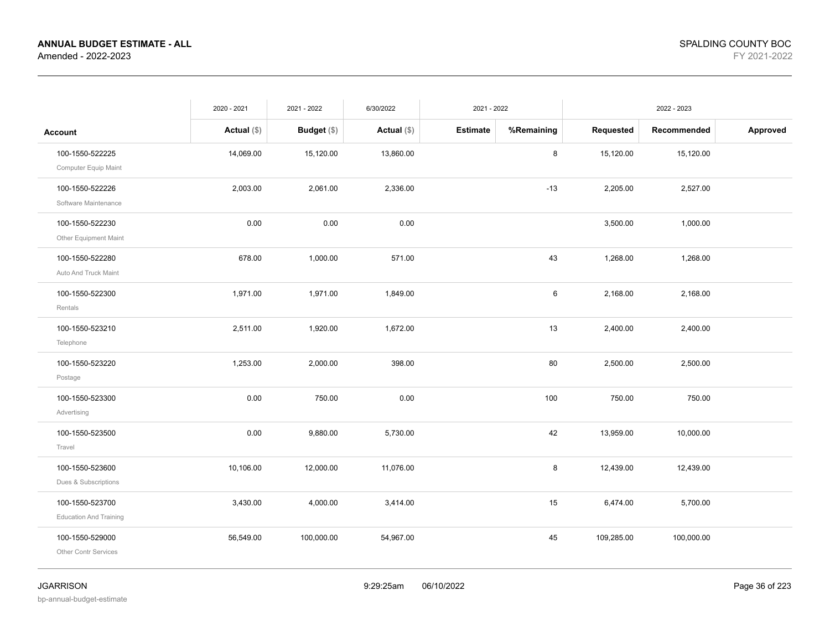|                                                  | 2020 - 2021   | 2021 - 2022   | 6/30/2022     | 2021 - 2022     |            |            | 2022 - 2023 |          |
|--------------------------------------------------|---------------|---------------|---------------|-----------------|------------|------------|-------------|----------|
| <b>Account</b>                                   | Actual $(\$)$ | Budget $(\$)$ | Actual $(\$)$ | <b>Estimate</b> | %Remaining | Requested  | Recommended | Approved |
| 100-1550-522225<br>Computer Equip Maint          | 14,069.00     | 15,120.00     | 13,860.00     |                 | 8          | 15,120.00  | 15,120.00   |          |
| 100-1550-522226<br>Software Maintenance          | 2,003.00      | 2,061.00      | 2,336.00      |                 | $-13$      | 2,205.00   | 2,527.00    |          |
| 100-1550-522230<br>Other Equipment Maint         | 0.00          | 0.00          | 0.00          |                 |            | 3,500.00   | 1,000.00    |          |
| 100-1550-522280<br>Auto And Truck Maint          | 678.00        | 1,000.00      | 571.00        |                 | 43         | 1,268.00   | 1,268.00    |          |
| 100-1550-522300<br>Rentals                       | 1,971.00      | 1,971.00      | 1,849.00      |                 | 6          | 2,168.00   | 2,168.00    |          |
| 100-1550-523210<br>Telephone                     | 2,511.00      | 1,920.00      | 1,672.00      |                 | 13         | 2,400.00   | 2,400.00    |          |
| 100-1550-523220<br>Postage                       | 1,253.00      | 2,000.00      | 398.00        |                 | 80         | 2,500.00   | 2,500.00    |          |
| 100-1550-523300<br>Advertising                   | 0.00          | 750.00        | 0.00          |                 | 100        | 750.00     | 750.00      |          |
| 100-1550-523500<br>Travel                        | 0.00          | 9,880.00      | 5,730.00      |                 | 42         | 13,959.00  | 10,000.00   |          |
| 100-1550-523600<br>Dues & Subscriptions          | 10,106.00     | 12,000.00     | 11,076.00     |                 | 8          | 12,439.00  | 12,439.00   |          |
| 100-1550-523700<br><b>Education And Training</b> | 3,430.00      | 4,000.00      | 3,414.00      |                 | 15         | 6,474.00   | 5,700.00    |          |
| 100-1550-529000<br>Other Contr Services          | 56,549.00     | 100,000.00    | 54,967.00     |                 | 45         | 109,285.00 | 100,000.00  |          |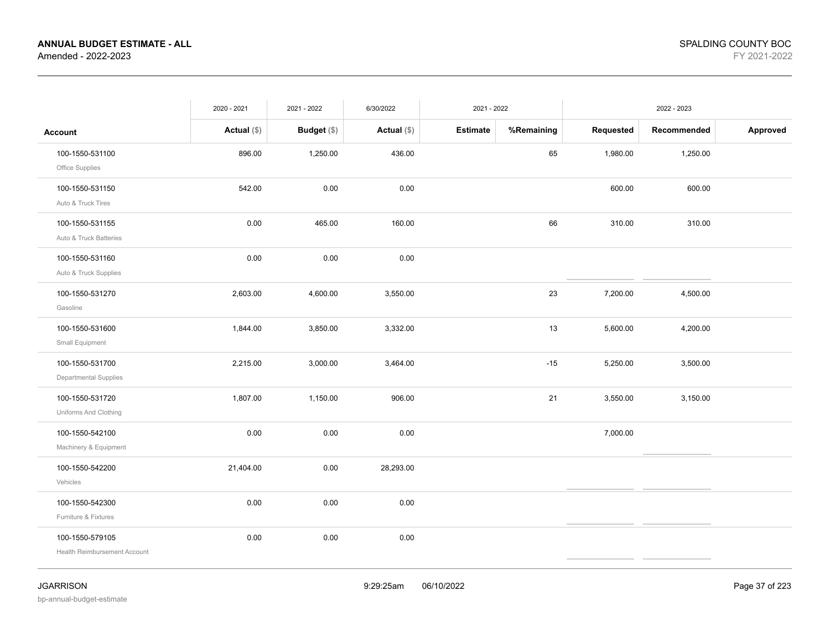|                                                        | 2020 - 2021   | 2021 - 2022   | 6/30/2022     | 2021 - 2022     |            |           | 2022 - 2023 |          |
|--------------------------------------------------------|---------------|---------------|---------------|-----------------|------------|-----------|-------------|----------|
| Account                                                | Actual $(\$)$ | Budget $(\$)$ | Actual $(\$)$ | <b>Estimate</b> | %Remaining | Requested | Recommended | Approved |
| 100-1550-531100<br>Office Supplies                     | 896.00        | 1,250.00      | 436.00        |                 | 65         | 1,980.00  | 1,250.00    |          |
| 100-1550-531150<br>Auto & Truck Tires                  | 542.00        | 0.00          | 0.00          |                 |            | 600.00    | 600.00      |          |
| 100-1550-531155<br>Auto & Truck Batteries              | 0.00          | 465.00        | 160.00        |                 | 66         | 310.00    | 310.00      |          |
| 100-1550-531160<br>Auto & Truck Supplies               | 0.00          | 0.00          | 0.00          |                 |            |           |             |          |
| 100-1550-531270<br>Gasoline                            | 2,603.00      | 4,600.00      | 3,550.00      |                 | 23         | 7,200.00  | 4,500.00    |          |
| 100-1550-531600<br>Small Equipment                     | 1,844.00      | 3,850.00      | 3,332.00      |                 | 13         | 5,600.00  | 4,200.00    |          |
| 100-1550-531700<br>Departmental Supplies               | 2,215.00      | 3,000.00      | 3,464.00      |                 | $-15$      | 5,250.00  | 3,500.00    |          |
| 100-1550-531720<br>Uniforms And Clothing               | 1,807.00      | 1,150.00      | 906.00        |                 | 21         | 3,550.00  | 3,150.00    |          |
| 100-1550-542100<br>Machinery & Equipment               | 0.00          | 0.00          | 0.00          |                 |            | 7,000.00  |             |          |
| 100-1550-542200<br>Vehicles                            | 21,404.00     | 0.00          | 28,293.00     |                 |            |           |             |          |
| 100-1550-542300<br>Furniture & Fixtures                | 0.00          | 0.00          | 0.00          |                 |            |           |             |          |
| 100-1550-579105<br><b>Health Reimbursement Account</b> | 0.00          | 0.00          | 0.00          |                 |            |           |             |          |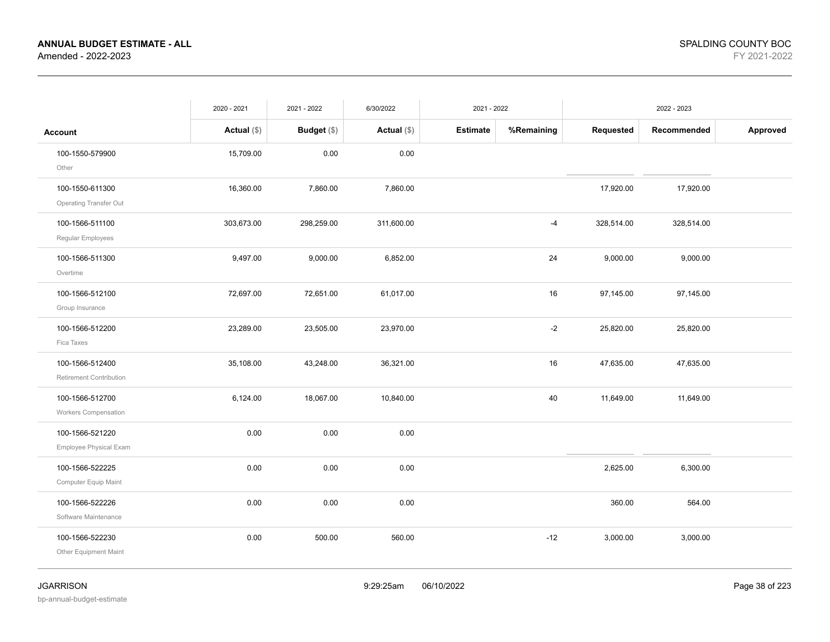|                                                | 2020 - 2021   | 2021 - 2022 | 6/30/2022     | 2021 - 2022     |            |            | 2022 - 2023 |          |
|------------------------------------------------|---------------|-------------|---------------|-----------------|------------|------------|-------------|----------|
| <b>Account</b>                                 | Actual $(\$)$ | Budget (\$) | Actual $(\$)$ | <b>Estimate</b> | %Remaining | Requested  | Recommended | Approved |
| 100-1550-579900<br>Other                       | 15,709.00     | 0.00        | 0.00          |                 |            |            |             |          |
| 100-1550-611300<br>Operating Transfer Out      | 16,360.00     | 7,860.00    | 7,860.00      |                 |            | 17,920.00  | 17,920.00   |          |
| 100-1566-511100<br>Regular Employees           | 303,673.00    | 298,259.00  | 311,600.00    |                 | $-4$       | 328,514.00 | 328,514.00  |          |
| 100-1566-511300<br>Overtime                    | 9,497.00      | 9,000.00    | 6,852.00      |                 | 24         | 9,000.00   | 9,000.00    |          |
| 100-1566-512100<br>Group Insurance             | 72,697.00     | 72,651.00   | 61,017.00     |                 | 16         | 97,145.00  | 97,145.00   |          |
| 100-1566-512200<br>Fica Taxes                  | 23,289.00     | 23,505.00   | 23,970.00     |                 | $-2$       | 25,820.00  | 25,820.00   |          |
| 100-1566-512400<br>Retirement Contribution     | 35,108.00     | 43,248.00   | 36,321.00     |                 | 16         | 47,635.00  | 47,635.00   |          |
| 100-1566-512700<br><b>Workers Compensation</b> | 6,124.00      | 18,067.00   | 10,840.00     |                 | 40         | 11,649.00  | 11,649.00   |          |
| 100-1566-521220<br>Employee Physical Exam      | 0.00          | 0.00        | 0.00          |                 |            |            |             |          |
| 100-1566-522225<br>Computer Equip Maint        | 0.00          | 0.00        | 0.00          |                 |            | 2,625.00   | 6,300.00    |          |
| 100-1566-522226<br>Software Maintenance        | 0.00          | 0.00        | 0.00          |                 |            | 360.00     | 564.00      |          |
| 100-1566-522230<br>Other Equipment Maint       | 0.00          | 500.00      | 560.00        |                 | $-12$      | 3,000.00   | 3,000.00    |          |

bp-annual-budget-estimate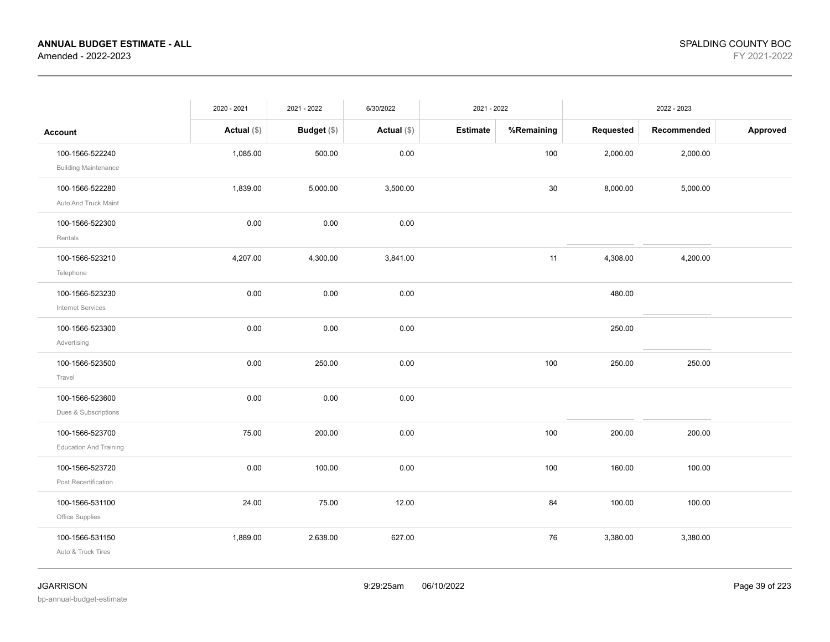|                                                  | 2020 - 2021   | 2021 - 2022 | 6/30/2022     | 2021 - 2022     |            |           | 2022 - 2023 |          |
|--------------------------------------------------|---------------|-------------|---------------|-----------------|------------|-----------|-------------|----------|
| <b>Account</b>                                   | Actual $(\$)$ | Budget (\$) | Actual $(\$)$ | <b>Estimate</b> | %Remaining | Requested | Recommended | Approved |
| 100-1566-522240<br><b>Building Maintenance</b>   | 1,085.00      | 500.00      | 0.00          |                 | 100        | 2,000.00  | 2,000.00    |          |
| 100-1566-522280<br>Auto And Truck Maint          | 1,839.00      | 5,000.00    | 3,500.00      |                 | 30         | 8,000.00  | 5,000.00    |          |
| 100-1566-522300<br>Rentals                       | 0.00          | 0.00        | 0.00          |                 |            |           |             |          |
| 100-1566-523210<br>Telephone                     | 4,207.00      | 4,300.00    | 3,841.00      |                 | 11         | 4,308.00  | 4,200.00    |          |
| 100-1566-523230<br>Internet Services             | 0.00          | 0.00        | 0.00          |                 |            | 480.00    |             |          |
| 100-1566-523300<br>Advertising                   | 0.00          | 0.00        | 0.00          |                 |            | 250.00    |             |          |
| 100-1566-523500<br>Travel                        | 0.00          | 250.00      | 0.00          |                 | 100        | 250.00    | 250.00      |          |
| 100-1566-523600<br>Dues & Subscriptions          | 0.00          | 0.00        | 0.00          |                 |            |           |             |          |
| 100-1566-523700<br><b>Education And Training</b> | 75.00         | 200.00      | 0.00          |                 | 100        | 200.00    | 200.00      |          |
| 100-1566-523720<br>Post Recertification          | 0.00          | 100.00      | 0.00          |                 | 100        | 160.00    | 100.00      |          |
| 100-1566-531100<br>Office Supplies               | 24.00         | 75.00       | 12.00         |                 | 84         | 100.00    | 100.00      |          |
| 100-1566-531150<br>Auto & Truck Tires            | 1,889.00      | 2,638.00    | 627.00        |                 | 76         | 3,380.00  | 3,380.00    |          |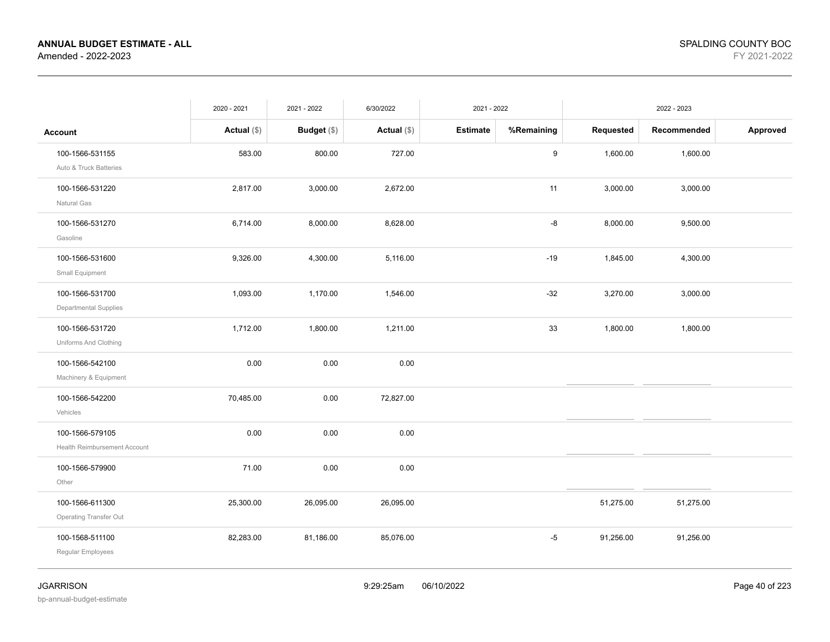|                                                        | 2020 - 2021   | 2021 - 2022        | 6/30/2022     | 2021 - 2022     |                  | 2022 - 2023 |             |          |
|--------------------------------------------------------|---------------|--------------------|---------------|-----------------|------------------|-------------|-------------|----------|
| <b>Account</b>                                         | Actual $(\$)$ | <b>Budget</b> (\$) | Actual $(\$)$ | <b>Estimate</b> | %Remaining       | Requested   | Recommended | Approved |
| 100-1566-531155<br>Auto & Truck Batteries              | 583.00        | 800.00             | 727.00        |                 | $\boldsymbol{9}$ | 1,600.00    | 1,600.00    |          |
| 100-1566-531220<br>Natural Gas                         | 2,817.00      | 3,000.00           | 2,672.00      |                 | 11               | 3,000.00    | 3,000.00    |          |
| 100-1566-531270<br>Gasoline                            | 6,714.00      | 8,000.00           | 8,628.00      |                 | -8               | 8,000.00    | 9,500.00    |          |
| 100-1566-531600<br>Small Equipment                     | 9,326.00      | 4,300.00           | 5,116.00      |                 | $-19$            | 1,845.00    | 4,300.00    |          |
| 100-1566-531700<br>Departmental Supplies               | 1,093.00      | 1,170.00           | 1,546.00      |                 | $-32$            | 3,270.00    | 3,000.00    |          |
| 100-1566-531720<br>Uniforms And Clothing               | 1,712.00      | 1,800.00           | 1,211.00      |                 | 33               | 1,800.00    | 1,800.00    |          |
| 100-1566-542100<br>Machinery & Equipment               | 0.00          | 0.00               | 0.00          |                 |                  |             |             |          |
| 100-1566-542200<br>Vehicles                            | 70,485.00     | 0.00               | 72,827.00     |                 |                  |             |             |          |
| 100-1566-579105<br><b>Health Reimbursement Account</b> | 0.00          | 0.00               | 0.00          |                 |                  |             |             |          |
| 100-1566-579900<br>Other                               | 71.00         | 0.00               | 0.00          |                 |                  |             |             |          |
| 100-1566-611300<br><b>Operating Transfer Out</b>       | 25,300.00     | 26,095.00          | 26,095.00     |                 |                  | 51,275.00   | 51,275.00   |          |
| 100-1568-511100<br>Regular Employees                   | 82,283.00     | 81,186.00          | 85,076.00     |                 | $-5$             | 91,256.00   | 91,256.00   |          |
|                                                        |               |                    |               |                 |                  |             |             |          |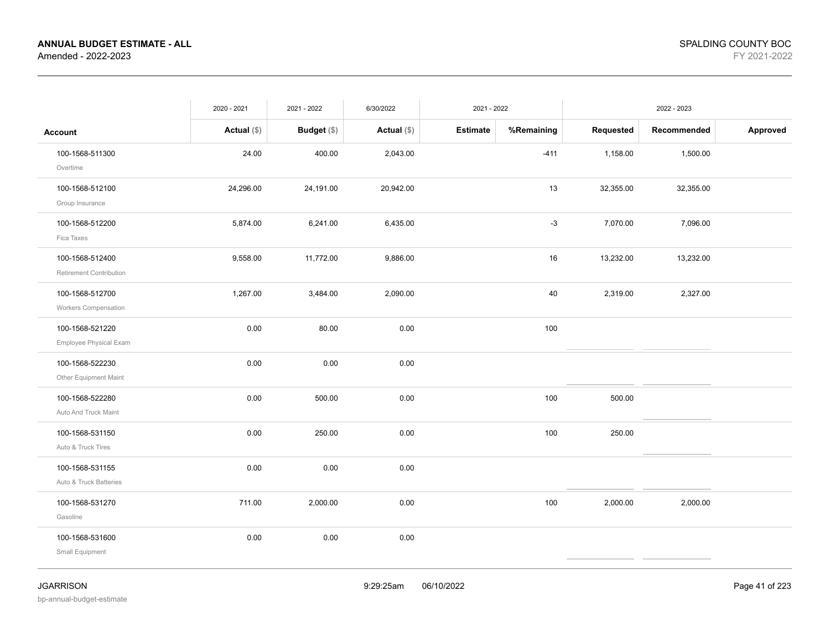|                                                | 2020 - 2021   | 2021 - 2022   | 6/30/2022     | 2021 - 2022     |            |           | 2022 - 2023 |          |
|------------------------------------------------|---------------|---------------|---------------|-----------------|------------|-----------|-------------|----------|
| <b>Account</b>                                 | Actual $(\$)$ | Budget $(\$)$ | Actual $(\$)$ | <b>Estimate</b> | %Remaining | Requested | Recommended | Approved |
| 100-1568-511300<br>Overtime                    | 24.00         | 400.00        | 2,043.00      |                 | $-411$     | 1,158.00  | 1,500.00    |          |
| 100-1568-512100<br>Group Insurance             | 24,296.00     | 24,191.00     | 20,942.00     |                 | 13         | 32,355.00 | 32,355.00   |          |
| 100-1568-512200<br>Fica Taxes                  | 5,874.00      | 6,241.00      | 6,435.00      |                 | $-3$       | 7,070.00  | 7,096.00    |          |
| 100-1568-512400<br>Retirement Contribution     | 9,558.00      | 11,772.00     | 9,886.00      |                 | 16         | 13,232.00 | 13,232.00   |          |
| 100-1568-512700<br><b>Workers Compensation</b> | 1,267.00      | 3,484.00      | 2,090.00      |                 | 40         | 2,319.00  | 2,327.00    |          |
| 100-1568-521220<br>Employee Physical Exam      | 0.00          | 80.00         | 0.00          |                 | 100        |           |             |          |
| 100-1568-522230<br>Other Equipment Maint       | 0.00          | 0.00          | 0.00          |                 |            |           |             |          |
| 100-1568-522280<br>Auto And Truck Maint        | 0.00          | 500.00        | 0.00          |                 | 100        | 500.00    |             |          |
| 100-1568-531150<br>Auto & Truck Tires          | 0.00          | 250.00        | 0.00          |                 | 100        | 250.00    |             |          |
| 100-1568-531155<br>Auto & Truck Batteries      | 0.00          | 0.00          | 0.00          |                 |            |           |             |          |
| 100-1568-531270<br>Gasoline                    | 711.00        | 2,000.00      | 0.00          |                 | 100        | 2,000.00  | 2,000.00    |          |
| 100-1568-531600<br>Small Equipment             | 0.00          | 0.00          | 0.00          |                 |            |           |             |          |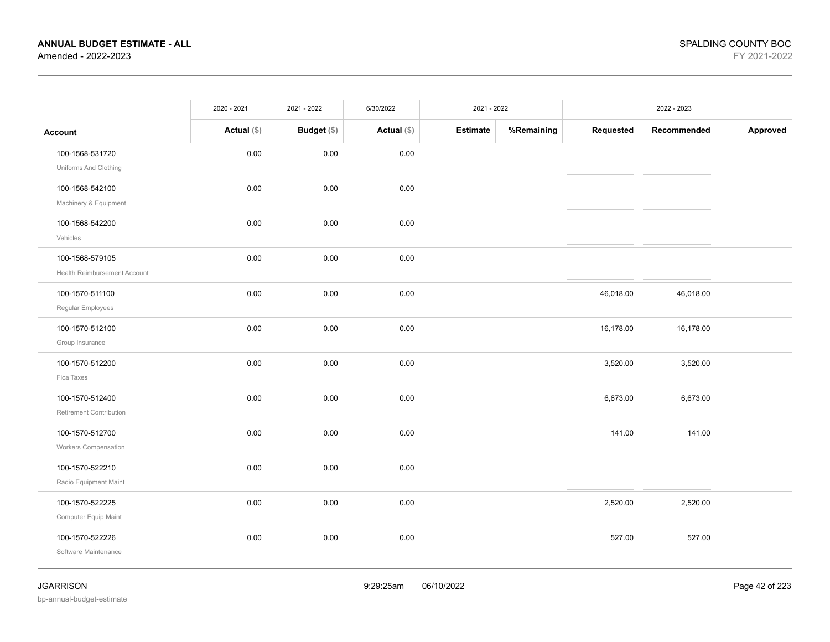|                                                 | 2020 - 2021   | 2021 - 2022 | 6/30/2022   | 2021 - 2022     |            |           | 2022 - 2023 |          |
|-------------------------------------------------|---------------|-------------|-------------|-----------------|------------|-----------|-------------|----------|
| <b>Account</b>                                  | Actual $(\$)$ | Budget (\$) | Actual (\$) | <b>Estimate</b> | %Remaining | Requested | Recommended | Approved |
| 100-1568-531720<br>Uniforms And Clothing        | 0.00          | 0.00        | 0.00        |                 |            |           |             |          |
| 100-1568-542100<br>Machinery & Equipment        | 0.00          | 0.00        | 0.00        |                 |            |           |             |          |
| 100-1568-542200<br>Vehicles                     | 0.00          | 0.00        | 0.00        |                 |            |           |             |          |
| 100-1568-579105<br>Health Reimbursement Account | 0.00          | 0.00        | 0.00        |                 |            |           |             |          |
| 100-1570-511100<br>Regular Employees            | 0.00          | 0.00        | 0.00        |                 |            | 46,018.00 | 46,018.00   |          |
| 100-1570-512100<br>Group Insurance              | 0.00          | 0.00        | 0.00        |                 |            | 16,178.00 | 16,178.00   |          |
| 100-1570-512200<br>Fica Taxes                   | 0.00          | 0.00        | 0.00        |                 |            | 3,520.00  | 3,520.00    |          |
| 100-1570-512400<br>Retirement Contribution      | 0.00          | 0.00        | 0.00        |                 |            | 6,673.00  | 6,673.00    |          |
| 100-1570-512700<br>Workers Compensation         | 0.00          | 0.00        | 0.00        |                 |            | 141.00    | 141.00      |          |
| 100-1570-522210<br>Radio Equipment Maint        | 0.00          | 0.00        | 0.00        |                 |            |           |             |          |
| 100-1570-522225<br>Computer Equip Maint         | 0.00          | 0.00        | 0.00        |                 |            | 2,520.00  | 2,520.00    |          |
| 100-1570-522226<br>Software Maintenance         | 0.00          | 0.00        | 0.00        |                 |            | 527.00    | 527.00      |          |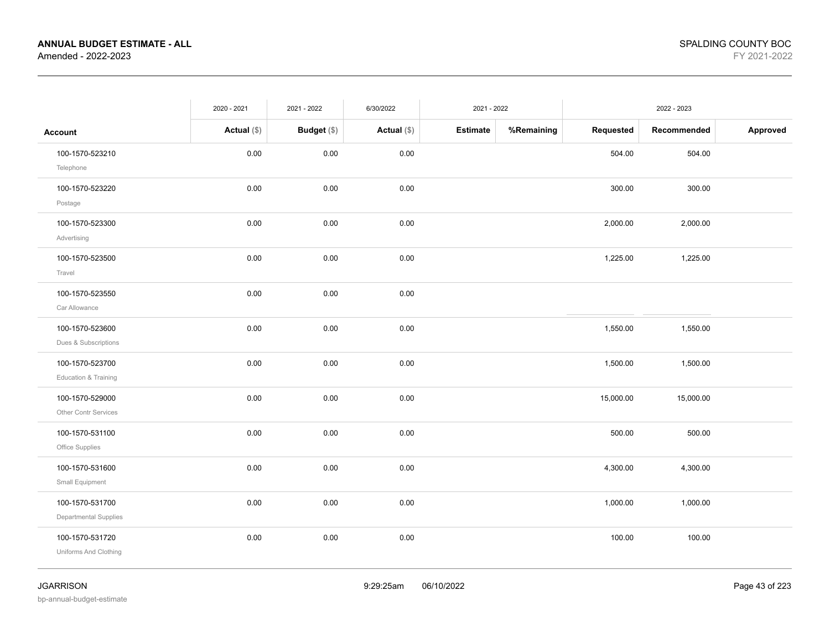|                                          | 2020 - 2021   | 2021 - 2022 | 6/30/2022     | 2021 - 2022     |            |           | 2022 - 2023 |          |
|------------------------------------------|---------------|-------------|---------------|-----------------|------------|-----------|-------------|----------|
| <b>Account</b>                           | Actual $(\$)$ | Budget (\$) | Actual $(\$)$ | <b>Estimate</b> | %Remaining | Requested | Recommended | Approved |
| 100-1570-523210<br>Telephone             | 0.00          | $0.00\,$    | 0.00          |                 |            | 504.00    | 504.00      |          |
| 100-1570-523220<br>Postage               | 0.00          | 0.00        | 0.00          |                 |            | 300.00    | 300.00      |          |
| 100-1570-523300<br>Advertising           | 0.00          | 0.00        | 0.00          |                 |            | 2,000.00  | 2,000.00    |          |
| 100-1570-523500<br>Travel                | 0.00          | 0.00        | 0.00          |                 |            | 1,225.00  | 1,225.00    |          |
| 100-1570-523550<br>Car Allowance         | 0.00          | 0.00        | 0.00          |                 |            |           |             |          |
| 100-1570-523600<br>Dues & Subscriptions  | 0.00          | 0.00        | 0.00          |                 |            | 1,550.00  | 1,550.00    |          |
| 100-1570-523700<br>Education & Training  | 0.00          | 0.00        | 0.00          |                 |            | 1,500.00  | 1,500.00    |          |
| 100-1570-529000<br>Other Contr Services  | 0.00          | 0.00        | 0.00          |                 |            | 15,000.00 | 15,000.00   |          |
| 100-1570-531100<br>Office Supplies       | 0.00          | 0.00        | 0.00          |                 |            | 500.00    | 500.00      |          |
| 100-1570-531600<br>Small Equipment       | 0.00          | 0.00        | 0.00          |                 |            | 4,300.00  | 4,300.00    |          |
| 100-1570-531700<br>Departmental Supplies | 0.00          | 0.00        | 0.00          |                 |            | 1,000.00  | 1,000.00    |          |
| 100-1570-531720<br>Uniforms And Clothing | 0.00          | 0.00        | 0.00          |                 |            | 100.00    | 100.00      |          |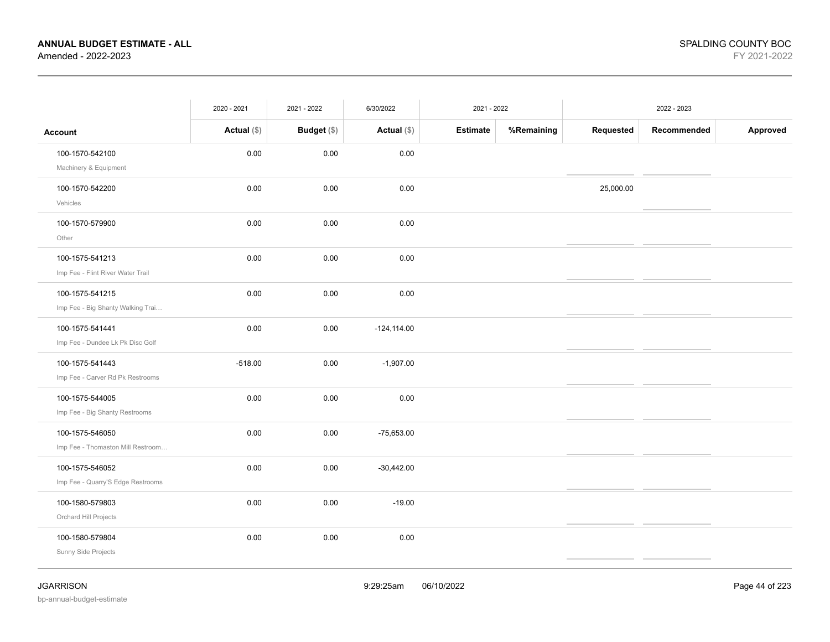|                                   | 2020 - 2021   | 2021 - 2022        | 6/30/2022      | 2021 - 2022     |            |           | 2022 - 2023 |          |
|-----------------------------------|---------------|--------------------|----------------|-----------------|------------|-----------|-------------|----------|
| <b>Account</b>                    | Actual $(\$)$ | <b>Budget</b> (\$) | Actual $(\$)$  | <b>Estimate</b> | %Remaining | Requested | Recommended | Approved |
| 100-1570-542100                   | 0.00          | 0.00               | 0.00           |                 |            |           |             |          |
| Machinery & Equipment             |               |                    |                |                 |            |           |             |          |
| 100-1570-542200                   | 0.00          | 0.00               | 0.00           |                 |            | 25,000.00 |             |          |
| Vehicles                          |               |                    |                |                 |            |           |             |          |
| 100-1570-579900                   | 0.00          | 0.00               | 0.00           |                 |            |           |             |          |
| Other                             |               |                    |                |                 |            |           |             |          |
| 100-1575-541213                   | 0.00          | 0.00               | 0.00           |                 |            |           |             |          |
| Imp Fee - Flint River Water Trail |               |                    |                |                 |            |           |             |          |
| 100-1575-541215                   | 0.00          | 0.00               | 0.00           |                 |            |           |             |          |
| Imp Fee - Big Shanty Walking Trai |               |                    |                |                 |            |           |             |          |
| 100-1575-541441                   | 0.00          | 0.00               | $-124, 114.00$ |                 |            |           |             |          |
| Imp Fee - Dundee Lk Pk Disc Golf  |               |                    |                |                 |            |           |             |          |
| 100-1575-541443                   | $-518.00$     | 0.00               | $-1,907.00$    |                 |            |           |             |          |
| Imp Fee - Carver Rd Pk Restrooms  |               |                    |                |                 |            |           |             |          |
| 100-1575-544005                   | 0.00          | 0.00               | 0.00           |                 |            |           |             |          |
| Imp Fee - Big Shanty Restrooms    |               |                    |                |                 |            |           |             |          |
| 100-1575-546050                   | 0.00          | 0.00               | $-75,653.00$   |                 |            |           |             |          |
| Imp Fee - Thomaston Mill Restroom |               |                    |                |                 |            |           |             |          |
| 100-1575-546052                   | 0.00          | 0.00               | $-30,442.00$   |                 |            |           |             |          |
| Imp Fee - Quarry'S Edge Restrooms |               |                    |                |                 |            |           |             |          |
| 100-1580-579803                   | 0.00          | 0.00               | $-19.00$       |                 |            |           |             |          |
| Orchard Hill Projects             |               |                    |                |                 |            |           |             |          |
| 100-1580-579804                   | 0.00          | 0.00               | 0.00           |                 |            |           |             |          |
| Sunny Side Projects               |               |                    |                |                 |            |           |             |          |
|                                   |               |                    |                |                 |            |           |             |          |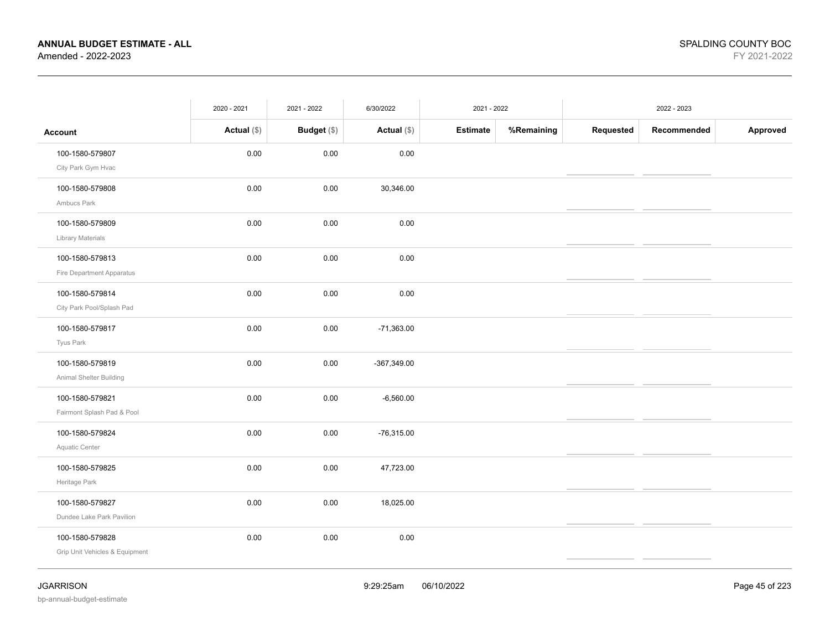|                                                   | 2020 - 2021   | 2021 - 2022 | 6/30/2022     | 2021 - 2022     |            |           | 2022 - 2023 |          |
|---------------------------------------------------|---------------|-------------|---------------|-----------------|------------|-----------|-------------|----------|
| <b>Account</b>                                    | Actual $(\$)$ | Budget (\$) | Actual $(\$)$ | <b>Estimate</b> | %Remaining | Requested | Recommended | Approved |
| 100-1580-579807<br>City Park Gym Hvac             | 0.00          | 0.00        | 0.00          |                 |            |           |             |          |
| 100-1580-579808<br>Ambucs Park                    | 0.00          | 0.00        | 30,346.00     |                 |            |           |             |          |
| 100-1580-579809<br><b>Library Materials</b>       | 0.00          | 0.00        | 0.00          |                 |            |           |             |          |
| 100-1580-579813<br>Fire Department Apparatus      | 0.00          | 0.00        | 0.00          |                 |            |           |             |          |
| 100-1580-579814<br>City Park Pool/Splash Pad      | 0.00          | 0.00        | 0.00          |                 |            |           |             |          |
| 100-1580-579817<br>Tyus Park                      | 0.00          | 0.00        | $-71,363.00$  |                 |            |           |             |          |
| 100-1580-579819<br>Animal Shelter Building        | 0.00          | 0.00        | $-367,349.00$ |                 |            |           |             |          |
| 100-1580-579821<br>Fairmont Splash Pad & Pool     | 0.00          | 0.00        | $-6,560.00$   |                 |            |           |             |          |
| 100-1580-579824<br>Aquatic Center                 | 0.00          | 0.00        | $-76,315.00$  |                 |            |           |             |          |
| 100-1580-579825<br>Heritage Park                  | 0.00          | 0.00        | 47,723.00     |                 |            |           |             |          |
| 100-1580-579827<br>Dundee Lake Park Pavilion      | 0.00          | 0.00        | 18,025.00     |                 |            |           |             |          |
| 100-1580-579828<br>Grip Unit Vehicles & Equipment | 0.00          | 0.00        | 0.00          |                 |            |           |             |          |
|                                                   |               |             |               |                 |            |           |             |          |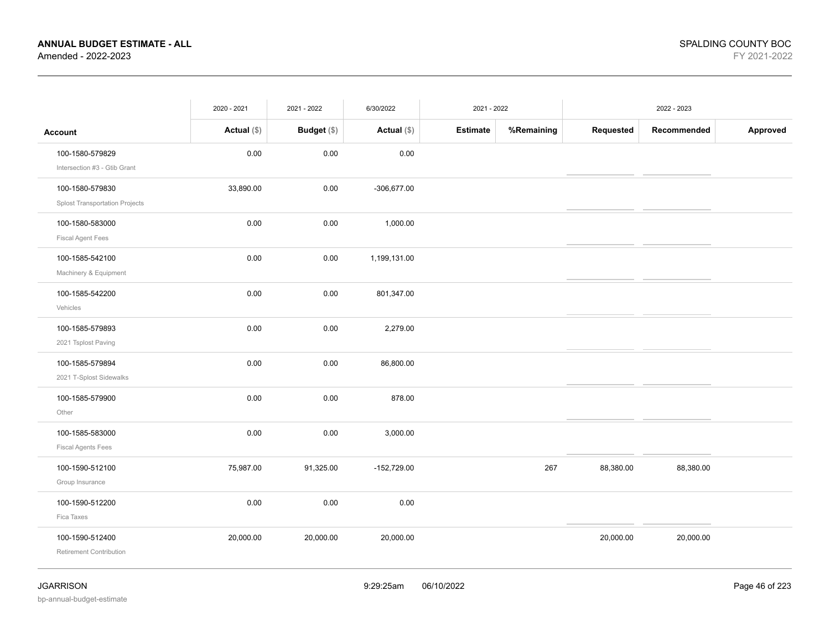|                                                          | 2020 - 2021   | 2021 - 2022        | 6/30/2022     | 2021 - 2022     |            |           | 2022 - 2023 |          |
|----------------------------------------------------------|---------------|--------------------|---------------|-----------------|------------|-----------|-------------|----------|
| <b>Account</b>                                           | Actual $(\$)$ | <b>Budget</b> (\$) | Actual (\$)   | <b>Estimate</b> | %Remaining | Requested | Recommended | Approved |
| 100-1580-579829<br>Intersection #3 - Gtib Grant          | 0.00          | 0.00               | 0.00          |                 |            |           |             |          |
| 100-1580-579830<br><b>Splost Transportation Projects</b> | 33,890.00     | 0.00               | $-306,677.00$ |                 |            |           |             |          |
| 100-1580-583000<br><b>Fiscal Agent Fees</b>              | 0.00          | 0.00               | 1,000.00      |                 |            |           |             |          |
| 100-1585-542100<br>Machinery & Equipment                 | 0.00          | 0.00               | 1,199,131.00  |                 |            |           |             |          |
| 100-1585-542200<br>Vehicles                              | 0.00          | 0.00               | 801,347.00    |                 |            |           |             |          |
| 100-1585-579893<br>2021 Tsplost Paving                   | 0.00          | 0.00               | 2,279.00      |                 |            |           |             |          |
| 100-1585-579894<br>2021 T-Splost Sidewalks               | 0.00          | 0.00               | 86,800.00     |                 |            |           |             |          |
| 100-1585-579900<br>Other                                 | 0.00          | 0.00               | 878.00        |                 |            |           |             |          |
| 100-1585-583000<br><b>Fiscal Agents Fees</b>             | 0.00          | $0.00\,$           | 3,000.00      |                 |            |           |             |          |
| 100-1590-512100<br>Group Insurance                       | 75,987.00     | 91,325.00          | $-152,729.00$ |                 | 267        | 88,380.00 | 88,380.00   |          |
| 100-1590-512200<br>Fica Taxes                            | 0.00          | 0.00               | 0.00          |                 |            |           |             |          |
| 100-1590-512400<br>Retirement Contribution               | 20,000.00     | 20,000.00          | 20,000.00     |                 |            | 20,000.00 | 20,000.00   |          |
|                                                          |               |                    |               |                 |            |           |             |          |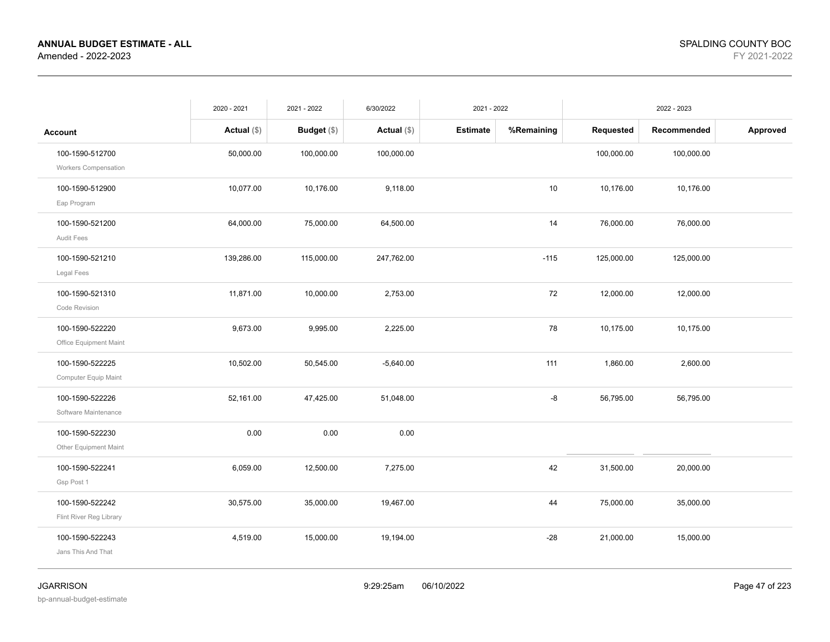|                                                | 2020 - 2021   | 2021 - 2022   | 6/30/2022     | 2021 - 2022     |            |            | 2022 - 2023 |          |
|------------------------------------------------|---------------|---------------|---------------|-----------------|------------|------------|-------------|----------|
| <b>Account</b>                                 | Actual $(\$)$ | Budget $(\$)$ | Actual $(\$)$ | <b>Estimate</b> | %Remaining | Requested  | Recommended | Approved |
| 100-1590-512700<br><b>Workers Compensation</b> | 50,000.00     | 100,000.00    | 100,000.00    |                 |            | 100,000.00 | 100,000.00  |          |
| 100-1590-512900<br>Eap Program                 | 10,077.00     | 10,176.00     | 9,118.00      |                 | 10         | 10,176.00  | 10,176.00   |          |
| 100-1590-521200<br>Audit Fees                  | 64,000.00     | 75,000.00     | 64,500.00     |                 | 14         | 76,000.00  | 76,000.00   |          |
| 100-1590-521210<br>Legal Fees                  | 139,286.00    | 115,000.00    | 247,762.00    |                 | $-115$     | 125,000.00 | 125,000.00  |          |
| 100-1590-521310<br>Code Revision               | 11,871.00     | 10,000.00     | 2,753.00      |                 | 72         | 12,000.00  | 12,000.00   |          |
| 100-1590-522220<br>Office Equipment Maint      | 9,673.00      | 9,995.00      | 2,225.00      |                 | 78         | 10,175.00  | 10,175.00   |          |
| 100-1590-522225<br>Computer Equip Maint        | 10,502.00     | 50,545.00     | $-5,640.00$   |                 | 111        | 1,860.00   | 2,600.00    |          |
| 100-1590-522226<br>Software Maintenance        | 52,161.00     | 47,425.00     | 51,048.00     |                 | -8         | 56,795.00  | 56,795.00   |          |
| 100-1590-522230<br>Other Equipment Maint       | 0.00          | 0.00          | 0.00          |                 |            |            |             |          |
| 100-1590-522241<br>Gsp Post 1                  | 6,059.00      | 12,500.00     | 7,275.00      |                 | 42         | 31,500.00  | 20,000.00   |          |
| 100-1590-522242<br>Flint River Reg Library     | 30,575.00     | 35,000.00     | 19,467.00     |                 | 44         | 75,000.00  | 35,000.00   |          |
| 100-1590-522243<br>Jans This And That          | 4,519.00      | 15,000.00     | 19,194.00     |                 | $-28$      | 21,000.00  | 15,000.00   |          |
|                                                |               |               |               |                 |            |            |             |          |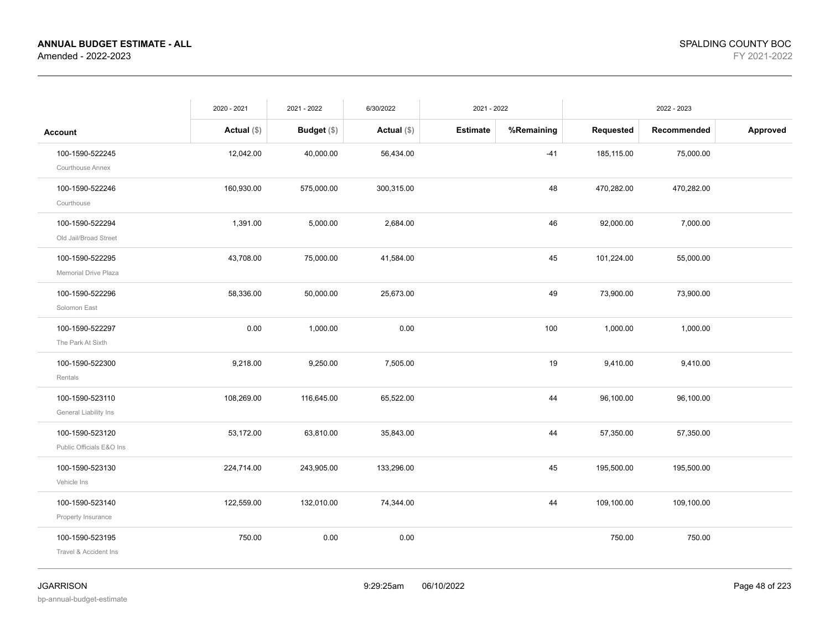|                                             | 2020 - 2021   | 2021 - 2022   | 6/30/2022     | 2021 - 2022     |            |            | 2022 - 2023 |          |
|---------------------------------------------|---------------|---------------|---------------|-----------------|------------|------------|-------------|----------|
| <b>Account</b>                              | Actual $(\$)$ | Budget $(\$)$ | Actual $(\$)$ | <b>Estimate</b> | %Remaining | Requested  | Recommended | Approved |
| 100-1590-522245<br>Courthouse Annex         | 12,042.00     | 40,000.00     | 56,434.00     |                 | $-41$      | 185,115.00 | 75,000.00   |          |
| 100-1590-522246<br>Courthouse               | 160,930.00    | 575,000.00    | 300,315.00    |                 | 48         | 470,282.00 | 470,282.00  |          |
| 100-1590-522294<br>Old Jail/Broad Street    | 1,391.00      | 5,000.00      | 2,684.00      |                 | 46         | 92,000.00  | 7,000.00    |          |
| 100-1590-522295<br>Memorial Drive Plaza     | 43,708.00     | 75,000.00     | 41,584.00     |                 | 45         | 101,224.00 | 55,000.00   |          |
| 100-1590-522296<br>Solomon East             | 58,336.00     | 50,000.00     | 25,673.00     |                 | 49         | 73,900.00  | 73,900.00   |          |
| 100-1590-522297<br>The Park At Sixth        | 0.00          | 1,000.00      | 0.00          |                 | 100        | 1,000.00   | 1,000.00    |          |
| 100-1590-522300<br>Rentals                  | 9,218.00      | 9,250.00      | 7,505.00      |                 | 19         | 9,410.00   | 9,410.00    |          |
| 100-1590-523110<br>General Liability Ins    | 108,269.00    | 116,645.00    | 65,522.00     |                 | 44         | 96,100.00  | 96,100.00   |          |
| 100-1590-523120<br>Public Officials E&O Ins | 53,172.00     | 63,810.00     | 35,843.00     |                 | 44         | 57,350.00  | 57,350.00   |          |
| 100-1590-523130<br>Vehicle Ins              | 224,714.00    | 243,905.00    | 133,296.00    |                 | 45         | 195,500.00 | 195,500.00  |          |
| 100-1590-523140<br>Property Insurance       | 122,559.00    | 132,010.00    | 74,344.00     |                 | 44         | 109,100.00 | 109,100.00  |          |
| 100-1590-523195<br>Travel & Accident Ins    | 750.00        | 0.00          | 0.00          |                 |            | 750.00     | 750.00      |          |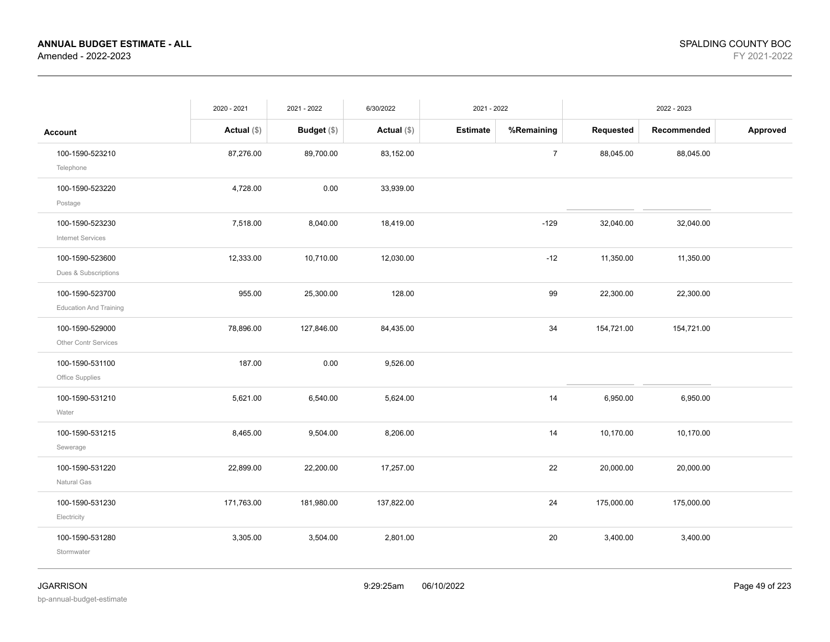|                                                  | 2020 - 2021   | 2021 - 2022 | 6/30/2022   | 2021 - 2022                   | 2022 - 2023 |             |          |
|--------------------------------------------------|---------------|-------------|-------------|-------------------------------|-------------|-------------|----------|
| <b>Account</b>                                   | Actual $(\$)$ | Budget (\$) | Actual (\$) | <b>Estimate</b><br>%Remaining | Requested   | Recommended | Approved |
| 100-1590-523210<br>Telephone                     | 87,276.00     | 89,700.00   | 83,152.00   | $\boldsymbol{7}$              | 88,045.00   | 88,045.00   |          |
| 100-1590-523220<br>Postage                       | 4,728.00      | 0.00        | 33,939.00   |                               |             |             |          |
| 100-1590-523230<br>Internet Services             | 7,518.00      | 8,040.00    | 18,419.00   | $-129$                        | 32,040.00   | 32,040.00   |          |
| 100-1590-523600<br>Dues & Subscriptions          | 12,333.00     | 10,710.00   | 12,030.00   | $-12$                         | 11,350.00   | 11,350.00   |          |
| 100-1590-523700<br><b>Education And Training</b> | 955.00        | 25,300.00   | 128.00      | 99                            | 22,300.00   | 22,300.00   |          |
| 100-1590-529000<br>Other Contr Services          | 78,896.00     | 127,846.00  | 84,435.00   | 34                            | 154,721.00  | 154,721.00  |          |
| 100-1590-531100<br>Office Supplies               | 187.00        | 0.00        | 9,526.00    |                               |             |             |          |
| 100-1590-531210<br>Water                         | 5,621.00      | 6,540.00    | 5,624.00    | 14                            | 6,950.00    | 6,950.00    |          |
| 100-1590-531215<br>Sewerage                      | 8,465.00      | 9,504.00    | 8,206.00    | 14                            | 10,170.00   | 10,170.00   |          |
| 100-1590-531220<br>Natural Gas                   | 22,899.00     | 22,200.00   | 17,257.00   | 22                            | 20,000.00   | 20,000.00   |          |
| 100-1590-531230<br>Electricity                   | 171,763.00    | 181,980.00  | 137,822.00  | 24                            | 175,000.00  | 175,000.00  |          |
| 100-1590-531280<br>Stormwater                    | 3,305.00      | 3,504.00    | 2,801.00    | 20                            | 3,400.00    | 3,400.00    |          |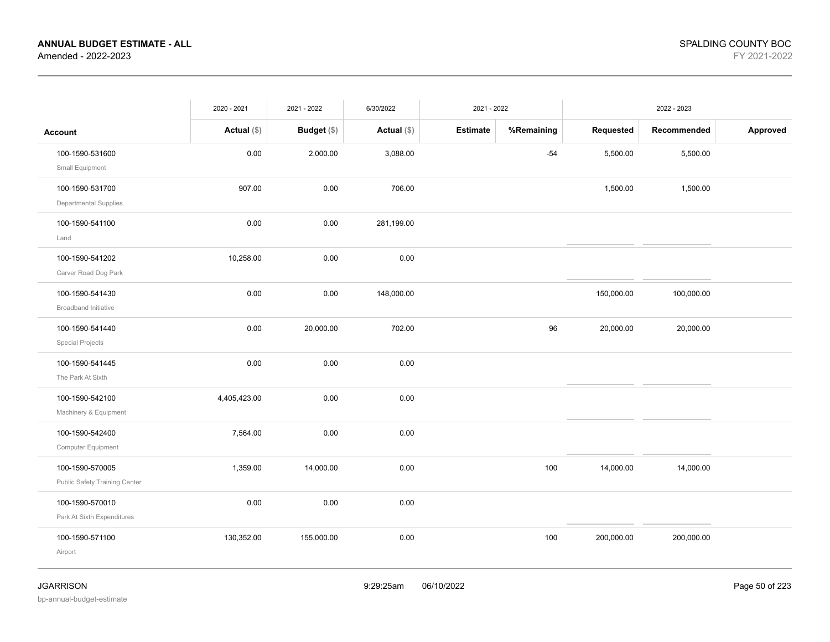| Requested<br>Budget (\$)<br>Estimate<br>%Remaining<br>Recommended<br>Approved<br>Actual $(\$)$<br>Actual $(\$)$<br><b>Account</b><br>100-1590-531600<br>0.00<br>$-54$<br>5,500.00<br>2,000.00<br>3,088.00<br>5,500.00<br>Small Equipment<br>100-1590-531700<br>907.00<br>0.00<br>706.00<br>1,500.00<br>1,500.00<br>Departmental Supplies<br>100-1590-541100<br>0.00<br>0.00<br>281,199.00<br>Land |  |
|---------------------------------------------------------------------------------------------------------------------------------------------------------------------------------------------------------------------------------------------------------------------------------------------------------------------------------------------------------------------------------------------------|--|
|                                                                                                                                                                                                                                                                                                                                                                                                   |  |
|                                                                                                                                                                                                                                                                                                                                                                                                   |  |
|                                                                                                                                                                                                                                                                                                                                                                                                   |  |
|                                                                                                                                                                                                                                                                                                                                                                                                   |  |
| 100-1590-541202<br>10,258.00<br>0.00<br>0.00<br>Carver Road Dog Park                                                                                                                                                                                                                                                                                                                              |  |
| 100-1590-541430<br>0.00<br>0.00<br>148,000.00<br>150,000.00<br>100,000.00<br>Broadband Initiative                                                                                                                                                                                                                                                                                                 |  |
| 96<br>100-1590-541440<br>0.00<br>20,000.00<br>702.00<br>20,000.00<br>20,000.00<br><b>Special Projects</b>                                                                                                                                                                                                                                                                                         |  |
| 100-1590-541445<br>0.00<br>0.00<br>0.00<br>The Park At Sixth                                                                                                                                                                                                                                                                                                                                      |  |
| 0.00<br>0.00<br>4,405,423.00<br>100-1590-542100<br>Machinery & Equipment                                                                                                                                                                                                                                                                                                                          |  |
| 100-1590-542400<br>7,564.00<br>0.00<br>0.00<br>Computer Equipment                                                                                                                                                                                                                                                                                                                                 |  |
| 100<br>100-1590-570005<br>1,359.00<br>14,000.00<br>0.00<br>14,000.00<br>14,000.00<br>Public Safety Training Center                                                                                                                                                                                                                                                                                |  |
| 100-1590-570010<br>0.00<br>0.00<br>0.00<br>Park At Sixth Expenditures                                                                                                                                                                                                                                                                                                                             |  |
| 0.00<br>100<br>100-1590-571100<br>130,352.00<br>155,000.00<br>200,000.00<br>200,000.00<br>Airport                                                                                                                                                                                                                                                                                                 |  |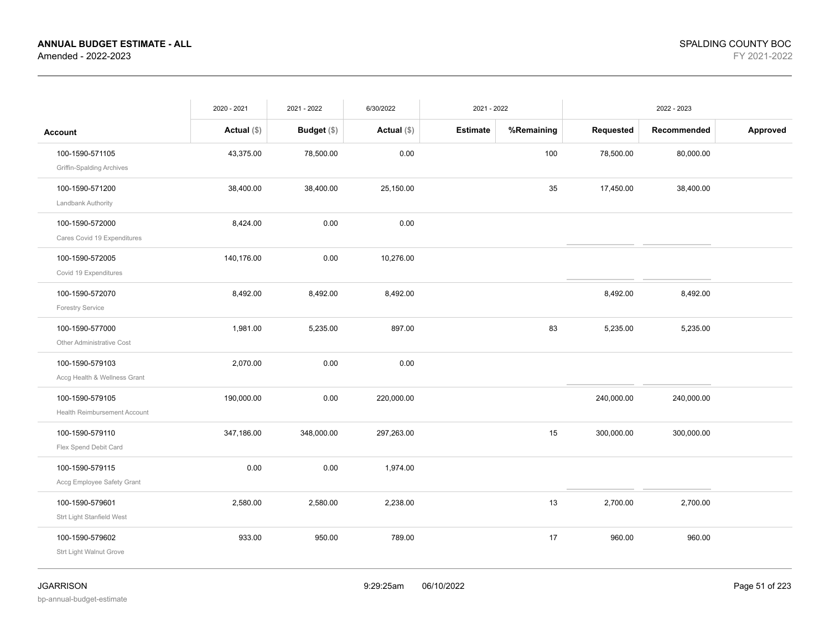|                                     | 2020 - 2021   | 2021 - 2022   | 6/30/2022     | 2021 - 2022     |            | 2022 - 2023 |             |          |
|-------------------------------------|---------------|---------------|---------------|-----------------|------------|-------------|-------------|----------|
| <b>Account</b>                      | Actual $(\$)$ | Budget $(\$)$ | Actual $(\$)$ | <b>Estimate</b> | %Remaining | Requested   | Recommended | Approved |
| 100-1590-571105                     | 43,375.00     | 78,500.00     | 0.00          |                 | 100        | 78,500.00   | 80,000.00   |          |
| <b>Griffin-Spalding Archives</b>    |               |               |               |                 |            |             |             |          |
| 100-1590-571200                     | 38,400.00     | 38,400.00     | 25,150.00     |                 | 35         | 17,450.00   | 38,400.00   |          |
| Landbank Authority                  |               |               |               |                 |            |             |             |          |
| 100-1590-572000                     | 8,424.00      | 0.00          | 0.00          |                 |            |             |             |          |
| Cares Covid 19 Expenditures         |               |               |               |                 |            |             |             |          |
| 100-1590-572005                     | 140,176.00    | 0.00          | 10,276.00     |                 |            |             |             |          |
| Covid 19 Expenditures               |               |               |               |                 |            |             |             |          |
| 100-1590-572070                     | 8,492.00      | 8,492.00      | 8,492.00      |                 |            | 8,492.00    | 8,492.00    |          |
| <b>Forestry Service</b>             |               |               |               |                 |            |             |             |          |
| 100-1590-577000                     | 1,981.00      | 5,235.00      | 897.00        |                 | 83         | 5,235.00    | 5,235.00    |          |
| Other Administrative Cost           |               |               |               |                 |            |             |             |          |
| 100-1590-579103                     | 2,070.00      | 0.00          | 0.00          |                 |            |             |             |          |
| Accg Health & Wellness Grant        |               |               |               |                 |            |             |             |          |
| 100-1590-579105                     | 190,000.00    | 0.00          | 220,000.00    |                 |            | 240,000.00  | 240,000.00  |          |
| <b>Health Reimbursement Account</b> |               |               |               |                 |            |             |             |          |
| 100-1590-579110                     | 347,186.00    | 348,000.00    | 297,263.00    |                 | 15         | 300,000.00  | 300,000.00  |          |
| Flex Spend Debit Card               |               |               |               |                 |            |             |             |          |
| 100-1590-579115                     | 0.00          | 0.00          | 1,974.00      |                 |            |             |             |          |
| Accg Employee Safety Grant          |               |               |               |                 |            |             |             |          |
| 100-1590-579601                     | 2,580.00      | 2,580.00      | 2,238.00      |                 | 13         | 2,700.00    | 2,700.00    |          |
| Strt Light Stanfield West           |               |               |               |                 |            |             |             |          |
| 100-1590-579602                     | 933.00        | 950.00        | 789.00        |                 | 17         | 960.00      | 960.00      |          |
| Strt Light Walnut Grove             |               |               |               |                 |            |             |             |          |
|                                     |               |               |               |                 |            |             |             |          |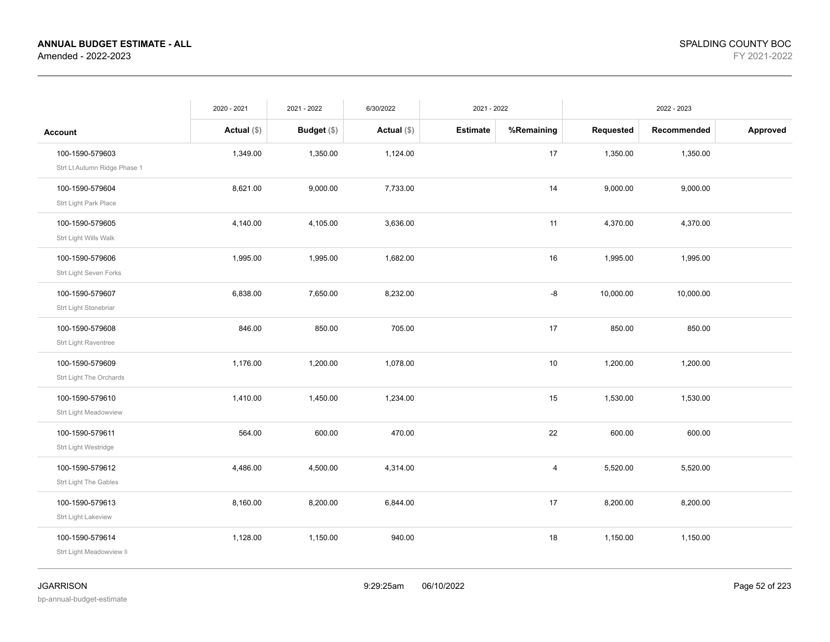|                              | 2020 - 2021   | 2021 - 2022   | 6/30/2022     | 2021 - 2022     |                | 2022 - 2023 |             |          |
|------------------------------|---------------|---------------|---------------|-----------------|----------------|-------------|-------------|----------|
| <b>Account</b>               | Actual $(\$)$ | Budget $(\$)$ | Actual $(\$)$ | <b>Estimate</b> | %Remaining     | Requested   | Recommended | Approved |
| 100-1590-579603              | 1,349.00      | 1,350.00      | 1,124.00      |                 | 17             | 1,350.00    | 1,350.00    |          |
| Strt Lt Autumn Ridge Phase 1 |               |               |               |                 |                |             |             |          |
| 100-1590-579604              | 8,621.00      | 9,000.00      | 7,733.00      |                 | 14             | 9,000.00    | 9,000.00    |          |
| Strt Light Park Place        |               |               |               |                 |                |             |             |          |
| 100-1590-579605              | 4,140.00      | 4,105.00      | 3,636.00      |                 | 11             | 4,370.00    | 4,370.00    |          |
| Strt Light Wills Walk        |               |               |               |                 |                |             |             |          |
| 100-1590-579606              | 1,995.00      | 1,995.00      | 1,682.00      |                 | 16             | 1,995.00    | 1,995.00    |          |
| Strt Light Seven Forks       |               |               |               |                 |                |             |             |          |
| 100-1590-579607              | 6,838.00      | 7,650.00      | 8,232.00      |                 | -8             | 10,000.00   | 10,000.00   |          |
| Strt Light Stonebriar        |               |               |               |                 |                |             |             |          |
| 100-1590-579608              | 846.00        | 850.00        | 705.00        |                 | 17             | 850.00      | 850.00      |          |
| Strt Light Raventree         |               |               |               |                 |                |             |             |          |
| 100-1590-579609              | 1,176.00      | 1,200.00      | 1,078.00      |                 | 10             | 1,200.00    | 1,200.00    |          |
| Strt Light The Orchards      |               |               |               |                 |                |             |             |          |
| 100-1590-579610              | 1,410.00      | 1,450.00      | 1,234.00      |                 | 15             | 1,530.00    | 1,530.00    |          |
| Strt Light Meadowview        |               |               |               |                 |                |             |             |          |
| 100-1590-579611              | 564.00        | 600.00        | 470.00        |                 | 22             | 600.00      | 600.00      |          |
| Strt Light Westridge         |               |               |               |                 |                |             |             |          |
| 100-1590-579612              | 4,486.00      | 4,500.00      | 4,314.00      |                 | $\overline{4}$ | 5,520.00    | 5,520.00    |          |
| Strt Light The Gables        |               |               |               |                 |                |             |             |          |
| 100-1590-579613              | 8,160.00      | 8,200.00      | 6,844.00      |                 | 17             | 8,200.00    | 8,200.00    |          |
| Strt Light Lakeview          |               |               |               |                 |                |             |             |          |
| 100-1590-579614              | 1,128.00      | 1,150.00      | 940.00        |                 | 18             | 1,150.00    | 1,150.00    |          |
| Strt Light Meadowview li     |               |               |               |                 |                |             |             |          |
|                              |               |               |               |                 |                |             |             |          |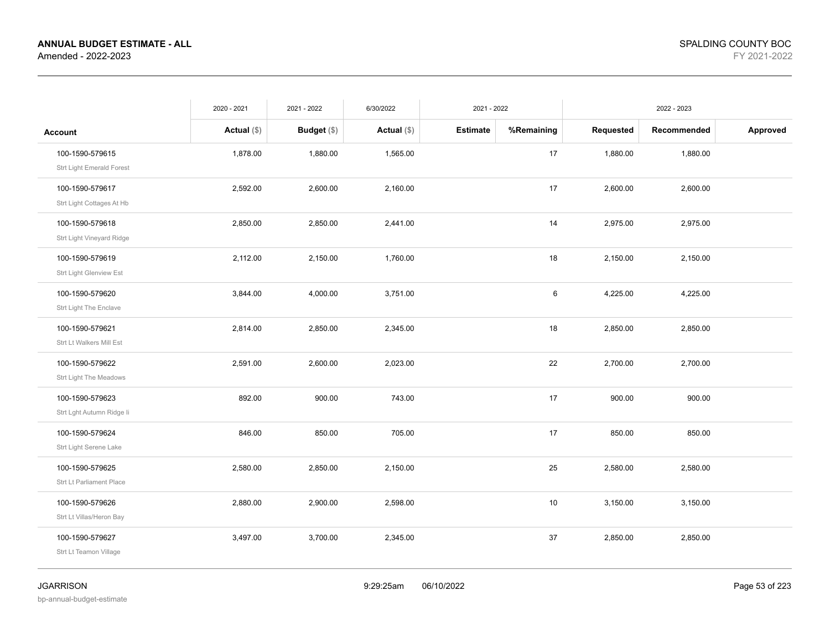|                           | 2020 - 2021   | 2021 - 2022   | 6/30/2022     | 2021 - 2022     |            |           | 2022 - 2023 |          |
|---------------------------|---------------|---------------|---------------|-----------------|------------|-----------|-------------|----------|
| <b>Account</b>            | Actual $(\$)$ | Budget $(\$)$ | Actual $(\$)$ | <b>Estimate</b> | %Remaining | Requested | Recommended | Approved |
| 100-1590-579615           | 1,878.00      | 1,880.00      | 1,565.00      |                 | 17         | 1,880.00  | 1,880.00    |          |
| Strt Light Emerald Forest |               |               |               |                 |            |           |             |          |
| 100-1590-579617           | 2,592.00      | 2,600.00      | 2,160.00      |                 | 17         | 2,600.00  | 2,600.00    |          |
| Strt Light Cottages At Hb |               |               |               |                 |            |           |             |          |
| 100-1590-579618           | 2,850.00      | 2,850.00      | 2,441.00      |                 | 14         | 2,975.00  | 2,975.00    |          |
| Strt Light Vineyard Ridge |               |               |               |                 |            |           |             |          |
| 100-1590-579619           | 2,112.00      | 2,150.00      | 1,760.00      |                 | 18         | 2,150.00  | 2,150.00    |          |
| Strt Light Glenview Est   |               |               |               |                 |            |           |             |          |
| 100-1590-579620           | 3,844.00      | 4,000.00      | 3,751.00      |                 | 6          | 4,225.00  | 4,225.00    |          |
| Strt Light The Enclave    |               |               |               |                 |            |           |             |          |
| 100-1590-579621           | 2,814.00      | 2,850.00      | 2,345.00      |                 | 18         | 2,850.00  | 2,850.00    |          |
| Strt Lt Walkers Mill Est  |               |               |               |                 |            |           |             |          |
| 100-1590-579622           | 2,591.00      | 2,600.00      | 2,023.00      |                 | 22         | 2,700.00  | 2,700.00    |          |
| Strt Light The Meadows    |               |               |               |                 |            |           |             |          |
| 100-1590-579623           | 892.00        | 900.00        | 743.00        |                 | 17         | 900.00    | 900.00      |          |
| Strt Lght Autumn Ridge li |               |               |               |                 |            |           |             |          |
| 100-1590-579624           | 846.00        | 850.00        | 705.00        |                 | 17         | 850.00    | 850.00      |          |
| Strt Light Serene Lake    |               |               |               |                 |            |           |             |          |
| 100-1590-579625           | 2,580.00      | 2,850.00      | 2,150.00      |                 | 25         | 2,580.00  | 2,580.00    |          |
| Strt Lt Parliament Place  |               |               |               |                 |            |           |             |          |
| 100-1590-579626           | 2,880.00      | 2,900.00      | 2,598.00      |                 | 10         | 3,150.00  | 3,150.00    |          |
| Strt Lt Villas/Heron Bay  |               |               |               |                 |            |           |             |          |
| 100-1590-579627           | 3,497.00      | 3,700.00      | 2,345.00      |                 | 37         | 2,850.00  | 2,850.00    |          |
| Strt Lt Teamon Village    |               |               |               |                 |            |           |             |          |
|                           |               |               |               |                 |            |           |             |          |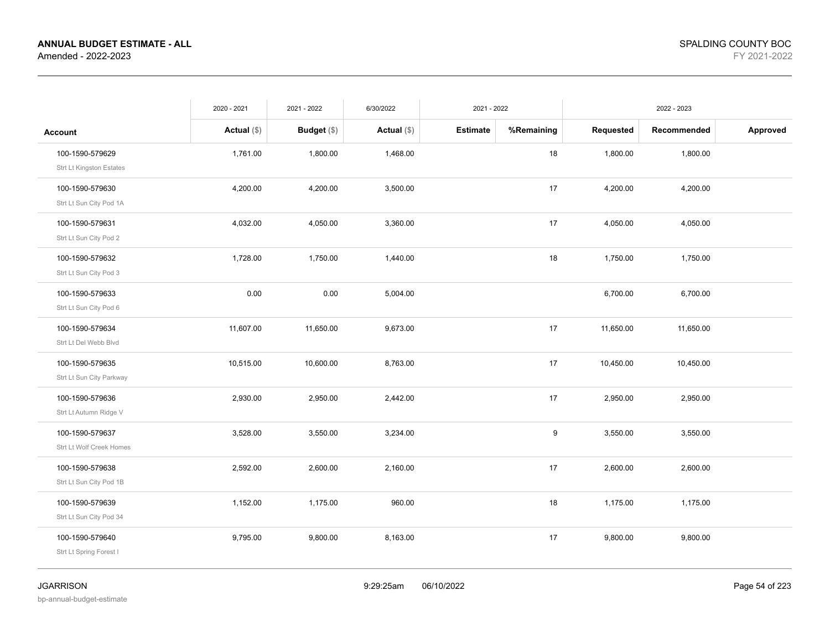|                          | 2020 - 2021   | 2021 - 2022   | 6/30/2022     | 2021 - 2022     |            | 2022 - 2023 |             |          |
|--------------------------|---------------|---------------|---------------|-----------------|------------|-------------|-------------|----------|
| Account                  | Actual $(\$)$ | Budget $(\$)$ | Actual $(\$)$ | <b>Estimate</b> | %Remaining | Requested   | Recommended | Approved |
| 100-1590-579629          | 1,761.00      | 1,800.00      | 1,468.00      |                 | 18         | 1,800.00    | 1,800.00    |          |
| Strt Lt Kingston Estates |               |               |               |                 |            |             |             |          |
| 100-1590-579630          | 4,200.00      | 4,200.00      | 3,500.00      |                 | 17         | 4,200.00    | 4,200.00    |          |
| Strt Lt Sun City Pod 1A  |               |               |               |                 |            |             |             |          |
| 100-1590-579631          | 4,032.00      | 4,050.00      | 3,360.00      |                 | 17         | 4,050.00    | 4,050.00    |          |
| Strt Lt Sun City Pod 2   |               |               |               |                 |            |             |             |          |
| 100-1590-579632          | 1,728.00      | 1,750.00      | 1,440.00      |                 | 18         | 1,750.00    | 1,750.00    |          |
| Strt Lt Sun City Pod 3   |               |               |               |                 |            |             |             |          |
| 100-1590-579633          | 0.00          | 0.00          | 5,004.00      |                 |            | 6,700.00    | 6,700.00    |          |
| Strt Lt Sun City Pod 6   |               |               |               |                 |            |             |             |          |
| 100-1590-579634          | 11,607.00     | 11,650.00     | 9,673.00      |                 | 17         | 11,650.00   | 11,650.00   |          |
| Strt Lt Del Webb Blvd    |               |               |               |                 |            |             |             |          |
| 100-1590-579635          | 10,515.00     | 10,600.00     | 8,763.00      |                 | 17         | 10,450.00   | 10,450.00   |          |
| Strt Lt Sun City Parkway |               |               |               |                 |            |             |             |          |
| 100-1590-579636          | 2,930.00      | 2,950.00      | 2,442.00      |                 | 17         | 2,950.00    | 2,950.00    |          |
| Strt Lt Autumn Ridge V   |               |               |               |                 |            |             |             |          |
| 100-1590-579637          | 3,528.00      | 3,550.00      | 3,234.00      |                 | 9          | 3,550.00    | 3,550.00    |          |
| Strt Lt Wolf Creek Homes |               |               |               |                 |            |             |             |          |
| 100-1590-579638          | 2,592.00      | 2,600.00      | 2,160.00      |                 | 17         | 2,600.00    | 2,600.00    |          |
| Strt Lt Sun City Pod 1B  |               |               |               |                 |            |             |             |          |
| 100-1590-579639          | 1,152.00      | 1,175.00      | 960.00        |                 | 18         | 1,175.00    | 1,175.00    |          |
| Strt Lt Sun City Pod 34  |               |               |               |                 |            |             |             |          |
| 100-1590-579640          | 9,795.00      | 9,800.00      | 8,163.00      |                 | 17         | 9,800.00    | 9,800.00    |          |
| Strt Lt Spring Forest I  |               |               |               |                 |            |             |             |          |
|                          |               |               |               |                 |            |             |             |          |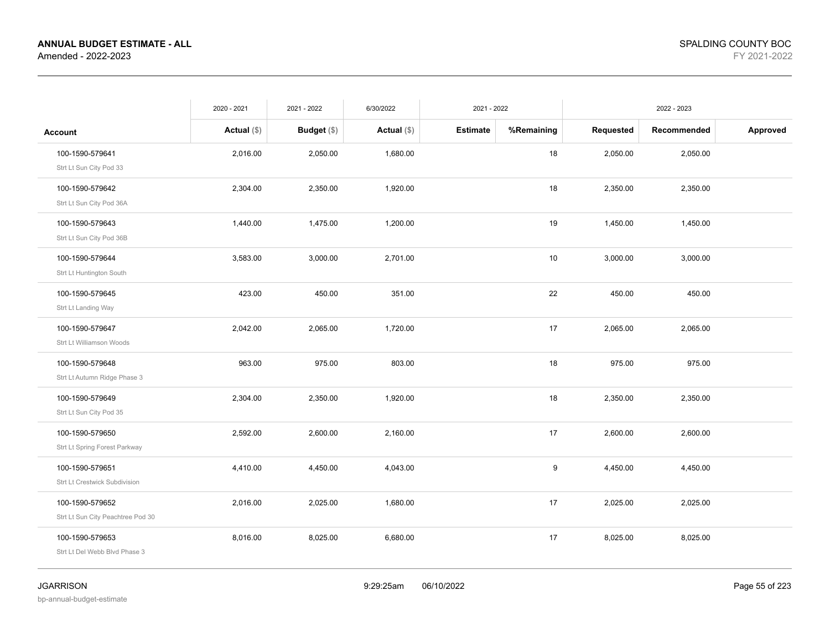|                                   | 2020 - 2021   | 2021 - 2022   | 6/30/2022     | 2021 - 2022     |            | 2022 - 2023 |             |          |
|-----------------------------------|---------------|---------------|---------------|-----------------|------------|-------------|-------------|----------|
| <b>Account</b>                    | Actual $(\$)$ | Budget $(\$)$ | Actual $(\$)$ | <b>Estimate</b> | %Remaining | Requested   | Recommended | Approved |
| 100-1590-579641                   | 2,016.00      | 2,050.00      | 1,680.00      |                 | 18         | 2,050.00    | 2,050.00    |          |
| Strt Lt Sun City Pod 33           |               |               |               |                 |            |             |             |          |
| 100-1590-579642                   | 2,304.00      | 2,350.00      | 1,920.00      |                 | 18         | 2,350.00    | 2,350.00    |          |
| Strt Lt Sun City Pod 36A          |               |               |               |                 |            |             |             |          |
| 100-1590-579643                   | 1,440.00      | 1,475.00      | 1,200.00      |                 | 19         | 1,450.00    | 1,450.00    |          |
| Strt Lt Sun City Pod 36B          |               |               |               |                 |            |             |             |          |
| 100-1590-579644                   | 3,583.00      | 3,000.00      | 2,701.00      |                 | 10         | 3,000.00    | 3,000.00    |          |
| Strt Lt Huntington South          |               |               |               |                 |            |             |             |          |
| 100-1590-579645                   | 423.00        | 450.00        | 351.00        |                 | 22         | 450.00      | 450.00      |          |
| Strt Lt Landing Way               |               |               |               |                 |            |             |             |          |
| 100-1590-579647                   | 2,042.00      | 2,065.00      | 1,720.00      |                 | 17         | 2,065.00    | 2,065.00    |          |
| Strt Lt Williamson Woods          |               |               |               |                 |            |             |             |          |
| 100-1590-579648                   | 963.00        | 975.00        | 803.00        |                 | 18         | 975.00      | 975.00      |          |
| Strt Lt Autumn Ridge Phase 3      |               |               |               |                 |            |             |             |          |
| 100-1590-579649                   | 2,304.00      | 2,350.00      | 1,920.00      |                 | 18         | 2,350.00    | 2,350.00    |          |
| Strt Lt Sun City Pod 35           |               |               |               |                 |            |             |             |          |
| 100-1590-579650                   | 2,592.00      | 2,600.00      | 2,160.00      |                 | 17         | 2,600.00    | 2,600.00    |          |
| Strt Lt Spring Forest Parkway     |               |               |               |                 |            |             |             |          |
| 100-1590-579651                   | 4,410.00      | 4,450.00      | 4,043.00      |                 | 9          | 4,450.00    | 4,450.00    |          |
| Strt Lt Crestwick Subdivision     |               |               |               |                 |            |             |             |          |
| 100-1590-579652                   | 2,016.00      | 2,025.00      | 1,680.00      |                 | 17         | 2,025.00    | 2,025.00    |          |
| Strt Lt Sun City Peachtree Pod 30 |               |               |               |                 |            |             |             |          |
| 100-1590-579653                   | 8,016.00      | 8,025.00      | 6,680.00      |                 | 17         | 8,025.00    | 8,025.00    |          |
| Strt Lt Del Webb Blvd Phase 3     |               |               |               |                 |            |             |             |          |
|                                   |               |               |               |                 |            |             |             |          |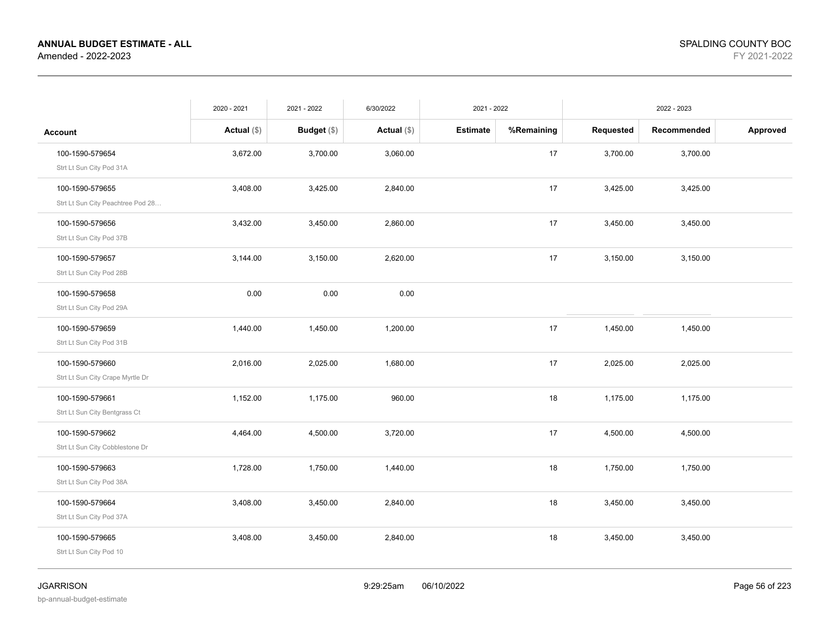|                                   | 2020 - 2021   | 2021 - 2022        | 6/30/2022     | 2021 - 2022 |            | 2022 - 2023 |             |          |
|-----------------------------------|---------------|--------------------|---------------|-------------|------------|-------------|-------------|----------|
| <b>Account</b>                    | Actual $(\$)$ | <b>Budget</b> (\$) | Actual $(\$)$ | Estimate    | %Remaining | Requested   | Recommended | Approved |
| 100-1590-579654                   | 3,672.00      | 3,700.00           | 3,060.00      |             | 17         | 3,700.00    | 3,700.00    |          |
| Strt Lt Sun City Pod 31A          |               |                    |               |             |            |             |             |          |
| 100-1590-579655                   | 3,408.00      | 3,425.00           | 2,840.00      |             | 17         | 3,425.00    | 3,425.00    |          |
| Strt Lt Sun City Peachtree Pod 28 |               |                    |               |             |            |             |             |          |
| 100-1590-579656                   | 3,432.00      | 3,450.00           | 2,860.00      |             | 17         | 3,450.00    | 3,450.00    |          |
| Strt Lt Sun City Pod 37B          |               |                    |               |             |            |             |             |          |
| 100-1590-579657                   | 3,144.00      | 3,150.00           | 2,620.00      |             | 17         | 3,150.00    | 3,150.00    |          |
| Strt Lt Sun City Pod 28B          |               |                    |               |             |            |             |             |          |
| 100-1590-579658                   | 0.00          | 0.00               | 0.00          |             |            |             |             |          |
| Strt Lt Sun City Pod 29A          |               |                    |               |             |            |             |             |          |
| 100-1590-579659                   | 1,440.00      | 1,450.00           | 1,200.00      |             | 17         | 1,450.00    | 1,450.00    |          |
| Strt Lt Sun City Pod 31B          |               |                    |               |             |            |             |             |          |
| 100-1590-579660                   | 2,016.00      | 2,025.00           | 1,680.00      |             | 17         | 2,025.00    | 2,025.00    |          |
| Strt Lt Sun City Crape Myrtle Dr  |               |                    |               |             |            |             |             |          |
| 100-1590-579661                   | 1,152.00      | 1,175.00           | 960.00        |             | 18         | 1,175.00    | 1,175.00    |          |
| Strt Lt Sun City Bentgrass Ct     |               |                    |               |             |            |             |             |          |
| 100-1590-579662                   | 4,464.00      | 4,500.00           | 3,720.00      |             | 17         | 4,500.00    | 4,500.00    |          |
| Strt Lt Sun City Cobblestone Dr   |               |                    |               |             |            |             |             |          |
| 100-1590-579663                   | 1,728.00      | 1,750.00           | 1,440.00      |             | 18         | 1,750.00    | 1,750.00    |          |
| Strt Lt Sun City Pod 38A          |               |                    |               |             |            |             |             |          |
| 100-1590-579664                   | 3,408.00      | 3,450.00           | 2,840.00      |             | 18         | 3,450.00    | 3,450.00    |          |
| Strt Lt Sun City Pod 37A          |               |                    |               |             |            |             |             |          |
| 100-1590-579665                   | 3,408.00      | 3,450.00           | 2,840.00      |             | 18         | 3,450.00    | 3,450.00    |          |
| Strt Lt Sun City Pod 10           |               |                    |               |             |            |             |             |          |
|                                   |               |                    |               |             |            |             |             |          |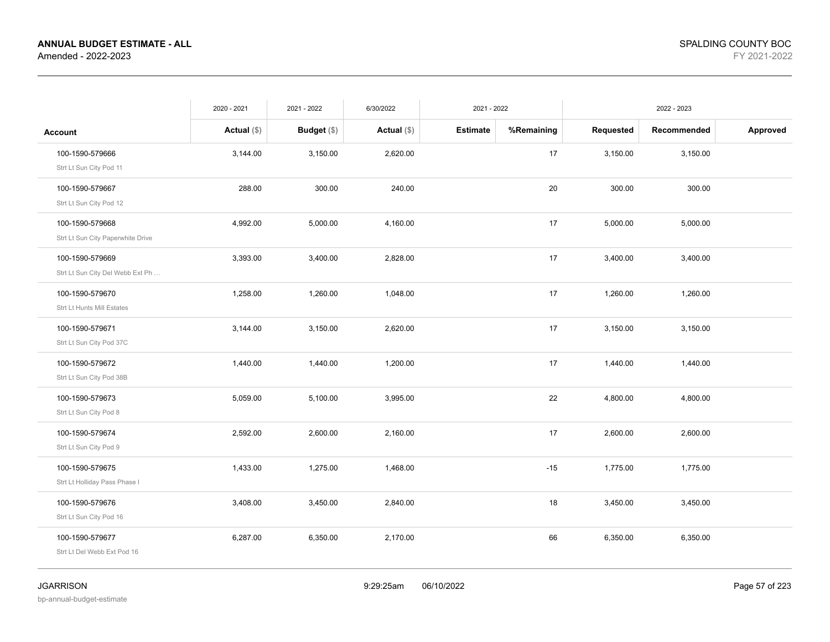|                                                      | 2020 - 2021   | 2021 - 2022   | 6/30/2022     | 2021 - 2022     |            | 2022 - 2023 |             |          |
|------------------------------------------------------|---------------|---------------|---------------|-----------------|------------|-------------|-------------|----------|
| <b>Account</b>                                       | Actual $(\$)$ | Budget $(\$)$ | Actual $(\$)$ | <b>Estimate</b> | %Remaining | Requested   | Recommended | Approved |
| 100-1590-579666<br>Strt Lt Sun City Pod 11           | 3,144.00      | 3,150.00      | 2,620.00      |                 | 17         | 3,150.00    | 3,150.00    |          |
| 100-1590-579667<br>Strt Lt Sun City Pod 12           | 288.00        | 300.00        | 240.00        |                 | 20         | 300.00      | 300.00      |          |
| 100-1590-579668<br>Strt Lt Sun City Paperwhite Drive | 4,992.00      | 5,000.00      | 4,160.00      |                 | 17         | 5,000.00    | 5,000.00    |          |
| 100-1590-579669<br>Strt Lt Sun City Del Webb Ext Ph  | 3,393.00      | 3,400.00      | 2,828.00      |                 | 17         | 3,400.00    | 3,400.00    |          |
| 100-1590-579670<br>Strt Lt Hunts Mill Estates        | 1,258.00      | 1,260.00      | 1,048.00      |                 | 17         | 1,260.00    | 1,260.00    |          |
| 100-1590-579671<br>Strt Lt Sun City Pod 37C          | 3,144.00      | 3,150.00      | 2,620.00      |                 | 17         | 3,150.00    | 3,150.00    |          |
| 100-1590-579672<br>Strt Lt Sun City Pod 38B          | 1,440.00      | 1,440.00      | 1,200.00      |                 | 17         | 1,440.00    | 1,440.00    |          |
| 100-1590-579673<br>Strt Lt Sun City Pod 8            | 5,059.00      | 5,100.00      | 3,995.00      |                 | 22         | 4,800.00    | 4,800.00    |          |
| 100-1590-579674<br>Strt Lt Sun City Pod 9            | 2,592.00      | 2,600.00      | 2,160.00      |                 | 17         | 2,600.00    | 2,600.00    |          |
| 100-1590-579675<br>Strt Lt Holliday Pass Phase I     | 1,433.00      | 1,275.00      | 1,468.00      |                 | $-15$      | 1,775.00    | 1,775.00    |          |
| 100-1590-579676<br>Strt Lt Sun City Pod 16           | 3,408.00      | 3,450.00      | 2,840.00      |                 | 18         | 3,450.00    | 3,450.00    |          |
| 100-1590-579677<br>Strt Lt Del Webb Ext Pod 16       | 6,287.00      | 6,350.00      | 2,170.00      |                 | 66         | 6,350.00    | 6,350.00    |          |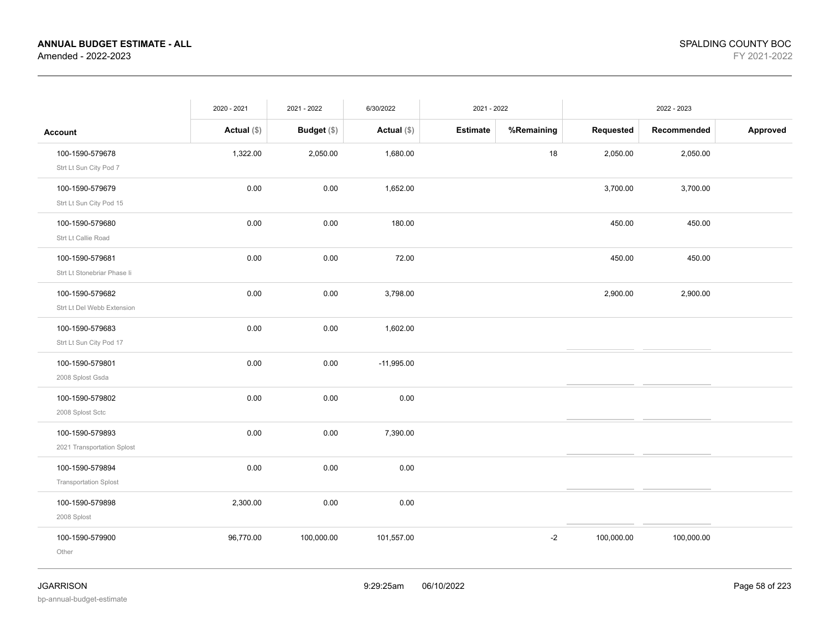|                                                 | 2020 - 2021   | 2021 - 2022 | 6/30/2022     | 2021 - 2022     |            | 2022 - 2023 |             |          |
|-------------------------------------------------|---------------|-------------|---------------|-----------------|------------|-------------|-------------|----------|
| <b>Account</b>                                  | Actual $(\$)$ | Budget (\$) | Actual $(\$)$ | <b>Estimate</b> | %Remaining | Requested   | Recommended | Approved |
| 100-1590-579678<br>Strt Lt Sun City Pod 7       | 1,322.00      | 2,050.00    | 1,680.00      |                 | 18         | 2,050.00    | 2,050.00    |          |
| 100-1590-579679<br>Strt Lt Sun City Pod 15      | 0.00          | 0.00        | 1,652.00      |                 |            | 3,700.00    | 3,700.00    |          |
| 100-1590-579680<br>Strt Lt Callie Road          | 0.00          | 0.00        | 180.00        |                 |            | 450.00      | 450.00      |          |
| 100-1590-579681<br>Strt Lt Stonebriar Phase li  | 0.00          | 0.00        | 72.00         |                 |            | 450.00      | 450.00      |          |
| 100-1590-579682<br>Strt Lt Del Webb Extension   | 0.00          | 0.00        | 3,798.00      |                 |            | 2,900.00    | 2,900.00    |          |
| 100-1590-579683<br>Strt Lt Sun City Pod 17      | 0.00          | 0.00        | 1,602.00      |                 |            |             |             |          |
| 100-1590-579801<br>2008 Splost Gsda             | 0.00          | 0.00        | $-11,995.00$  |                 |            |             |             |          |
| 100-1590-579802<br>2008 Splost Sctc             | 0.00          | 0.00        | 0.00          |                 |            |             |             |          |
| 100-1590-579893<br>2021 Transportation Splost   | 0.00          | 0.00        | 7,390.00      |                 |            |             |             |          |
| 100-1590-579894<br><b>Transportation Splost</b> | 0.00          | 0.00        | 0.00          |                 |            |             |             |          |
| 100-1590-579898<br>2008 Splost                  | 2,300.00      | 0.00        | 0.00          |                 |            |             |             |          |
| 100-1590-579900<br>Other                        | 96,770.00     | 100,000.00  | 101,557.00    |                 | $-2$       | 100,000.00  | 100,000.00  |          |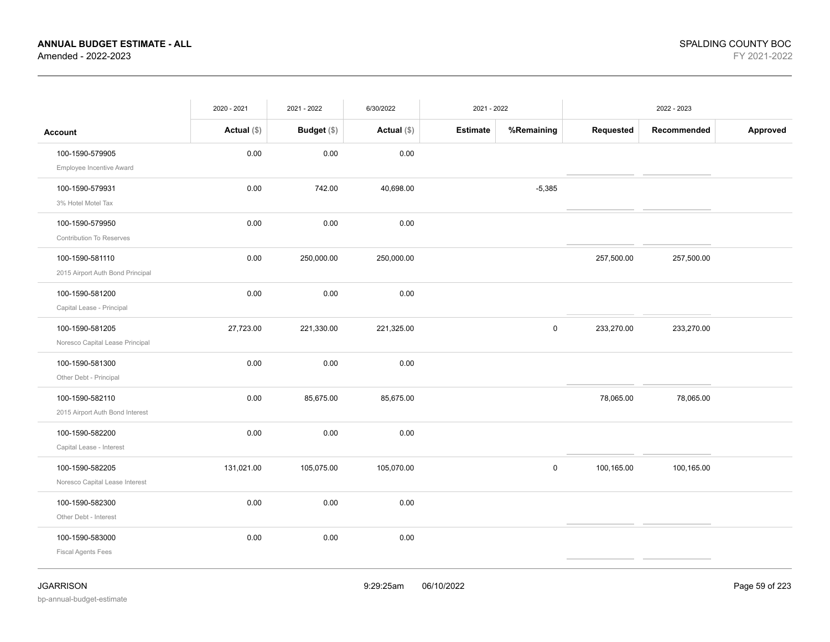|                                                     | 2020 - 2021   | 2021 - 2022 | 6/30/2022     | 2021 - 2022     |            | 2022 - 2023 |             |          |
|-----------------------------------------------------|---------------|-------------|---------------|-----------------|------------|-------------|-------------|----------|
| <b>Account</b>                                      | Actual $(\$)$ | Budget (\$) | Actual $(\$)$ | <b>Estimate</b> | %Remaining | Requested   | Recommended | Approved |
| 100-1590-579905<br>Employee Incentive Award         | 0.00          | 0.00        | 0.00          |                 |            |             |             |          |
| 100-1590-579931<br>3% Hotel Motel Tax               | 0.00          | 742.00      | 40,698.00     |                 | $-5,385$   |             |             |          |
| 100-1590-579950<br><b>Contribution To Reserves</b>  | 0.00          | 0.00        | 0.00          |                 |            |             |             |          |
| 100-1590-581110<br>2015 Airport Auth Bond Principal | 0.00          | 250,000.00  | 250,000.00    |                 |            | 257,500.00  | 257,500.00  |          |
| 100-1590-581200<br>Capital Lease - Principal        | 0.00          | 0.00        | 0.00          |                 |            |             |             |          |
| 100-1590-581205<br>Noresco Capital Lease Principal  | 27,723.00     | 221,330.00  | 221,325.00    |                 | $\pmb{0}$  | 233,270.00  | 233,270.00  |          |
| 100-1590-581300<br>Other Debt - Principal           | 0.00          | 0.00        | 0.00          |                 |            |             |             |          |
| 100-1590-582110<br>2015 Airport Auth Bond Interest  | 0.00          | 85,675.00   | 85,675.00     |                 |            | 78,065.00   | 78,065.00   |          |
| 100-1590-582200<br>Capital Lease - Interest         | 0.00          | 0.00        | 0.00          |                 |            |             |             |          |
| 100-1590-582205<br>Noresco Capital Lease Interest   | 131,021.00    | 105,075.00  | 105,070.00    |                 | $\pmb{0}$  | 100,165.00  | 100,165.00  |          |
| 100-1590-582300<br>Other Debt - Interest            | 0.00          | 0.00        | 0.00          |                 |            |             |             |          |
| 100-1590-583000<br><b>Fiscal Agents Fees</b>        | 0.00          | 0.00        | 0.00          |                 |            |             |             |          |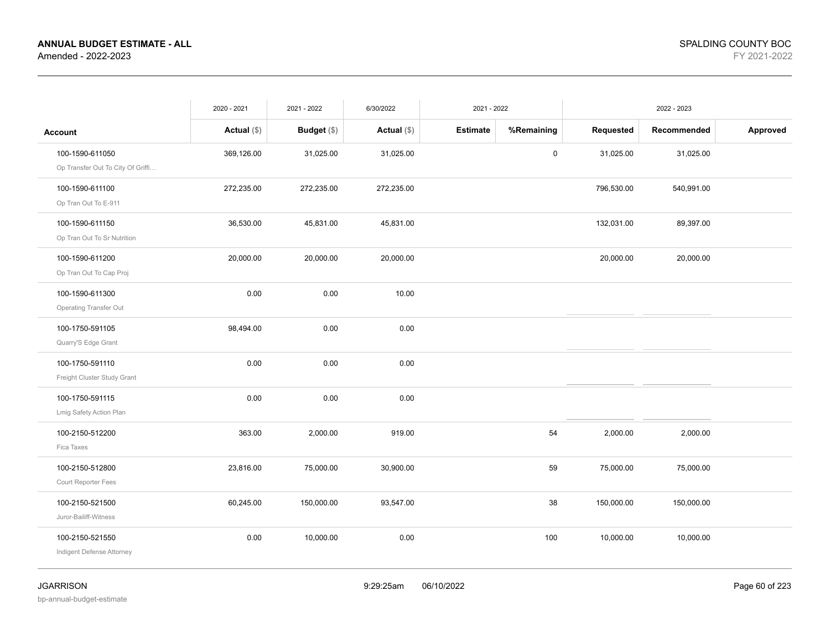|                                   | 2020 - 2021   | 2021 - 2022   | 6/30/2022     | 2021 - 2022     |            |            | 2022 - 2023 |          |
|-----------------------------------|---------------|---------------|---------------|-----------------|------------|------------|-------------|----------|
| <b>Account</b>                    | Actual $(\$)$ | Budget $(\$)$ | Actual $(\$)$ | <b>Estimate</b> | %Remaining | Requested  | Recommended | Approved |
| 100-1590-611050                   | 369,126.00    | 31,025.00     | 31,025.00     |                 | 0          | 31,025.00  | 31,025.00   |          |
| Op Transfer Out To City Of Griffi |               |               |               |                 |            |            |             |          |
| 100-1590-611100                   | 272,235.00    | 272,235.00    | 272,235.00    |                 |            | 796,530.00 | 540,991.00  |          |
| Op Tran Out To E-911              |               |               |               |                 |            |            |             |          |
| 100-1590-611150                   | 36,530.00     | 45,831.00     | 45,831.00     |                 |            | 132,031.00 | 89,397.00   |          |
| Op Tran Out To Sr Nutrition       |               |               |               |                 |            |            |             |          |
| 100-1590-611200                   | 20,000.00     | 20,000.00     | 20,000.00     |                 |            | 20,000.00  | 20,000.00   |          |
| Op Tran Out To Cap Proj           |               |               |               |                 |            |            |             |          |
| 100-1590-611300                   | 0.00          | 0.00          | 10.00         |                 |            |            |             |          |
| <b>Operating Transfer Out</b>     |               |               |               |                 |            |            |             |          |
| 100-1750-591105                   | 98,494.00     | 0.00          | 0.00          |                 |            |            |             |          |
| Quarry'S Edge Grant               |               |               |               |                 |            |            |             |          |
| 100-1750-591110                   | 0.00          | 0.00          | 0.00          |                 |            |            |             |          |
| Freight Cluster Study Grant       |               |               |               |                 |            |            |             |          |
| 100-1750-591115                   | 0.00          | 0.00          | 0.00          |                 |            |            |             |          |
| Lmig Safety Action Plan           |               |               |               |                 |            |            |             |          |
| 100-2150-512200                   | 363.00        | 2,000.00      | 919.00        |                 | 54         | 2,000.00   | 2,000.00    |          |
| Fica Taxes                        |               |               |               |                 |            |            |             |          |
| 100-2150-512800                   | 23,816.00     | 75,000.00     | 30,900.00     |                 | 59         | 75,000.00  | 75,000.00   |          |
| Court Reporter Fees               |               |               |               |                 |            |            |             |          |
| 100-2150-521500                   | 60,245.00     | 150,000.00    | 93,547.00     |                 | 38         | 150,000.00 | 150,000.00  |          |
| Juror-Bailiff-Witness             |               |               |               |                 |            |            |             |          |
| 100-2150-521550                   | 0.00          | 10,000.00     | 0.00          |                 | 100        | 10,000.00  | 10,000.00   |          |
| Indigent Defense Attorney         |               |               |               |                 |            |            |             |          |
|                                   |               |               |               |                 |            |            |             |          |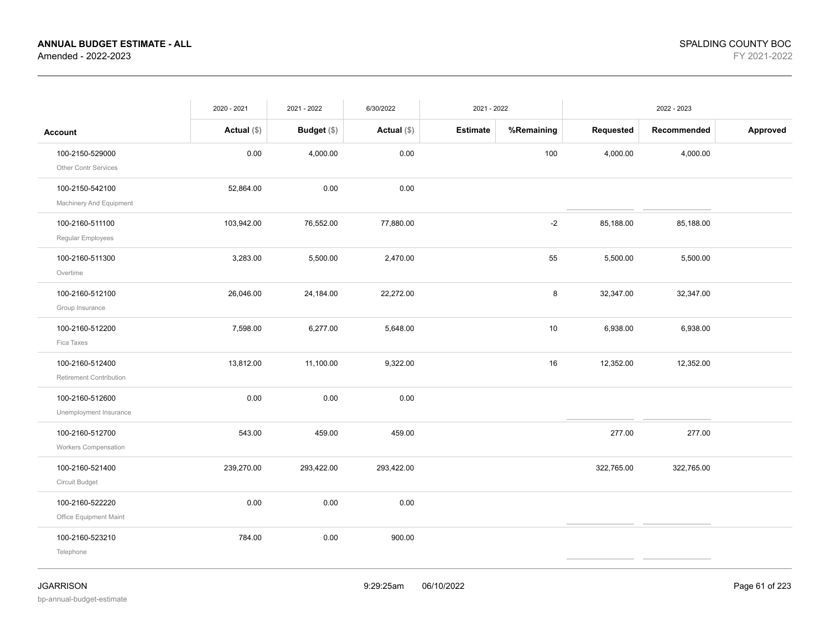|                                            | 2020 - 2021   | 2021 - 2022 | 6/30/2022     | 2021 - 2022     |            |            | 2022 - 2023 |          |
|--------------------------------------------|---------------|-------------|---------------|-----------------|------------|------------|-------------|----------|
| <b>Account</b>                             | Actual $(\$)$ | Budget (\$) | Actual $(\$)$ | <b>Estimate</b> | %Remaining | Requested  | Recommended | Approved |
| 100-2150-529000<br>Other Contr Services    | 0.00          | 4,000.00    | 0.00          |                 | 100        | 4,000.00   | 4,000.00    |          |
| 100-2150-542100<br>Machinery And Equipment | 52,864.00     | 0.00        | 0.00          |                 |            |            |             |          |
| 100-2160-511100<br>Regular Employees       | 103,942.00    | 76,552.00   | 77,880.00     |                 | $-2$       | 85,188.00  | 85,188.00   |          |
| 100-2160-511300<br>Overtime                | 3,283.00      | 5,500.00    | 2,470.00      |                 | 55         | 5,500.00   | 5,500.00    |          |
| 100-2160-512100<br>Group Insurance         | 26,046.00     | 24,184.00   | 22,272.00     |                 | 8          | 32,347.00  | 32,347.00   |          |
| 100-2160-512200<br>Fica Taxes              | 7,598.00      | 6,277.00    | 5,648.00      |                 | 10         | 6,938.00   | 6,938.00    |          |
| 100-2160-512400<br>Retirement Contribution | 13,812.00     | 11,100.00   | 9,322.00      |                 | 16         | 12,352.00  | 12,352.00   |          |
| 100-2160-512600<br>Unemployment Insurance  | 0.00          | 0.00        | 0.00          |                 |            |            |             |          |
| 100-2160-512700<br>Workers Compensation    | 543.00        | 459.00      | 459.00        |                 |            | 277.00     | 277.00      |          |
| 100-2160-521400<br>Circuit Budget          | 239,270.00    | 293,422.00  | 293,422.00    |                 |            | 322,765.00 | 322,765.00  |          |
| 100-2160-522220<br>Office Equipment Maint  | 0.00          | 0.00        | 0.00          |                 |            |            |             |          |
| 100-2160-523210<br>Telephone               | 784.00        | 0.00        | 900.00        |                 |            |            |             |          |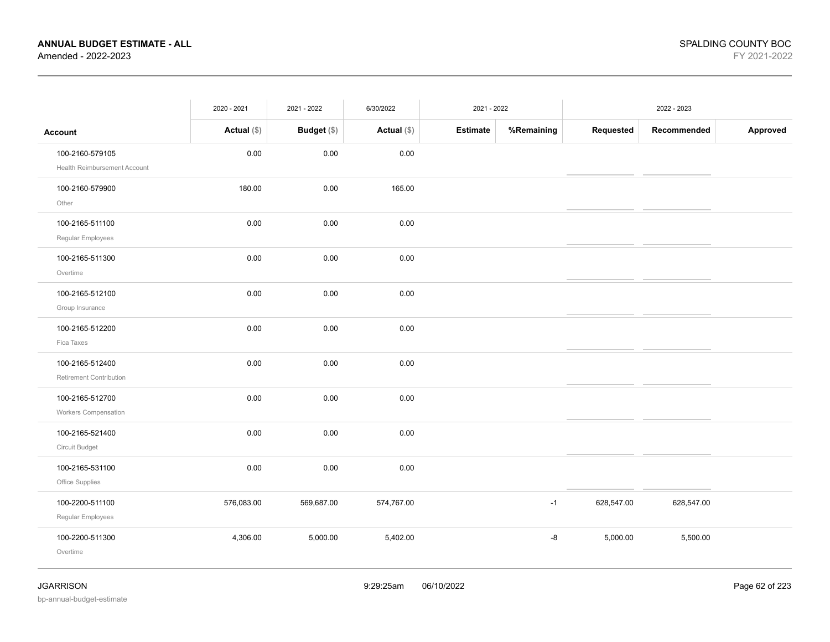|                                                 | 2020 - 2021   | 2021 - 2022 | 6/30/2022     | 2021 - 2022 |            |            | 2022 - 2023 |          |
|-------------------------------------------------|---------------|-------------|---------------|-------------|------------|------------|-------------|----------|
| <b>Account</b>                                  | Actual $(\$)$ | Budget (\$) | Actual $(\$)$ | Estimate    | %Remaining | Requested  | Recommended | Approved |
| 100-2160-579105<br>Health Reimbursement Account | 0.00          | 0.00        | 0.00          |             |            |            |             |          |
| 100-2160-579900<br>Other                        | 180.00        | $0.00\,$    | 165.00        |             |            |            |             |          |
| 100-2165-511100<br>Regular Employees            | 0.00          | 0.00        | 0.00          |             |            |            |             |          |
| 100-2165-511300<br>Overtime                     | 0.00          | 0.00        | 0.00          |             |            |            |             |          |
| 100-2165-512100<br>Group Insurance              | 0.00          | 0.00        | 0.00          |             |            |            |             |          |
| 100-2165-512200<br>Fica Taxes                   | 0.00          | 0.00        | 0.00          |             |            |            |             |          |
| 100-2165-512400<br>Retirement Contribution      | 0.00          | 0.00        | 0.00          |             |            |            |             |          |
| 100-2165-512700<br><b>Workers Compensation</b>  | $0.00\,$      | $0.00\,$    | 0.00          |             |            |            |             |          |
| 100-2165-521400<br>Circuit Budget               | 0.00          | 0.00        | 0.00          |             |            |            |             |          |
| 100-2165-531100<br>Office Supplies              | 0.00          | 0.00        | 0.00          |             |            |            |             |          |
| 100-2200-511100<br>Regular Employees            | 576,083.00    | 569,687.00  | 574,767.00    |             | $-1$       | 628,547.00 | 628,547.00  |          |
| 100-2200-511300<br>Overtime                     | 4,306.00      | 5,000.00    | 5,402.00      |             | -8         | 5,000.00   | 5,500.00    |          |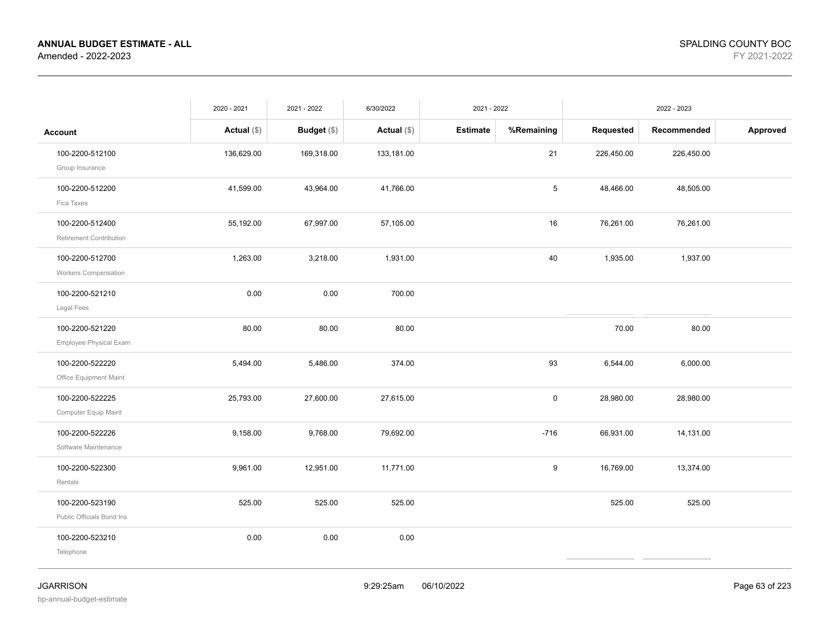|                                              | 2020 - 2021   | 2021 - 2022        | 6/30/2022     | 2021 - 2022     |            |            | 2022 - 2023 |          |
|----------------------------------------------|---------------|--------------------|---------------|-----------------|------------|------------|-------------|----------|
| <b>Account</b>                               | Actual $(\$)$ | <b>Budget</b> (\$) | Actual $(\$)$ | <b>Estimate</b> | %Remaining | Requested  | Recommended | Approved |
| 100-2200-512100<br>Group Insurance           | 136,629.00    | 169,318.00         | 133,181.00    |                 | 21         | 226,450.00 | 226,450.00  |          |
| 100-2200-512200<br>Fica Taxes                | 41,599.00     | 43,964.00          | 41,766.00     |                 | 5          | 48,466.00  | 48,505.00   |          |
| 100-2200-512400<br>Retirement Contribution   | 55,192.00     | 67,997.00          | 57,105.00     |                 | 16         | 76,261.00  | 76,261.00   |          |
| 100-2200-512700<br>Workers Compensation      | 1,263.00      | 3,218.00           | 1,931.00      |                 | 40         | 1,935.00   | 1,937.00    |          |
| 100-2200-521210<br>Legal Fees                | 0.00          | 0.00               | 700.00        |                 |            |            |             |          |
| 100-2200-521220<br>Employee Physical Exam    | 80.00         | 80.00              | 80.00         |                 |            | 70.00      | 80.00       |          |
| 100-2200-522220<br>Office Equipment Maint    | 5,494.00      | 5,486.00           | 374.00        |                 | 93         | 6,544.00   | 6,000.00    |          |
| 100-2200-522225<br>Computer Equip Maint      | 25,793.00     | 27,600.00          | 27,615.00     |                 | 0          | 28,980.00  | 28,980.00   |          |
| 100-2200-522226<br>Software Maintenance      | 9,158.00      | 9,768.00           | 79,692.00     |                 | $-716$     | 66,931.00  | 14,131.00   |          |
| 100-2200-522300<br>Rentals                   | 9,961.00      | 12,951.00          | 11,771.00     |                 | 9          | 16,769.00  | 13,374.00   |          |
| 100-2200-523190<br>Public Officials Bond Ins | 525.00        | 525.00             | 525.00        |                 |            | 525.00     | 525.00      |          |
| 100-2200-523210<br>Telephone                 | 0.00          | 0.00               | 0.00          |                 |            |            |             |          |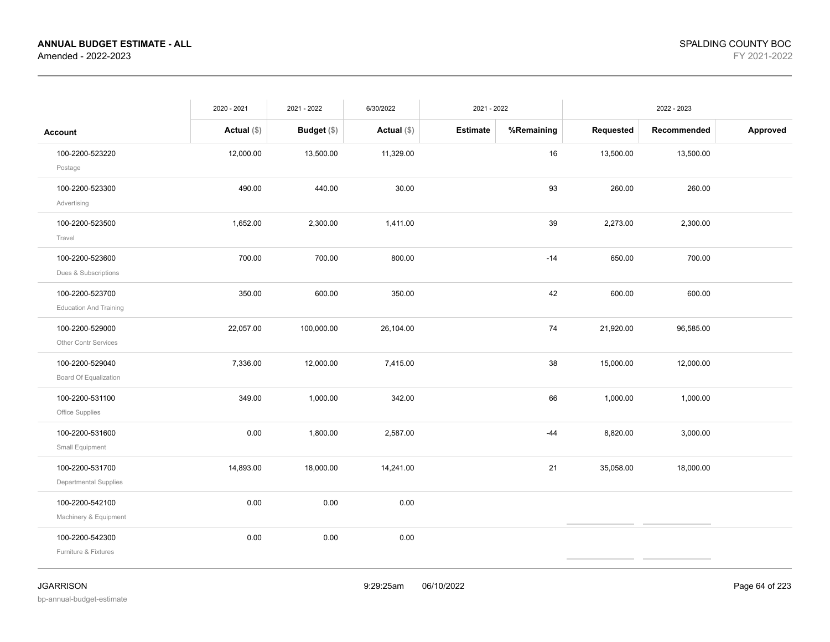|                                                  | 2020 - 2021   | 2021 - 2022   | 6/30/2022     | 2021 - 2022     |            |           | 2022 - 2023 |          |
|--------------------------------------------------|---------------|---------------|---------------|-----------------|------------|-----------|-------------|----------|
| <b>Account</b>                                   | Actual $(\$)$ | Budget $(\$)$ | Actual $(\$)$ | <b>Estimate</b> | %Remaining | Requested | Recommended | Approved |
| 100-2200-523220<br>Postage                       | 12,000.00     | 13,500.00     | 11,329.00     |                 | 16         | 13,500.00 | 13,500.00   |          |
| 100-2200-523300<br>Advertising                   | 490.00        | 440.00        | 30.00         |                 | 93         | 260.00    | 260.00      |          |
| 100-2200-523500<br>Travel                        | 1,652.00      | 2,300.00      | 1,411.00      |                 | 39         | 2,273.00  | 2,300.00    |          |
| 100-2200-523600<br>Dues & Subscriptions          | 700.00        | 700.00        | 800.00        |                 | $-14$      | 650.00    | 700.00      |          |
| 100-2200-523700<br><b>Education And Training</b> | 350.00        | 600.00        | 350.00        |                 | 42         | 600.00    | 600.00      |          |
| 100-2200-529000<br>Other Contr Services          | 22,057.00     | 100,000.00    | 26,104.00     |                 | 74         | 21,920.00 | 96,585.00   |          |
| 100-2200-529040<br>Board Of Equalization         | 7,336.00      | 12,000.00     | 7,415.00      |                 | 38         | 15,000.00 | 12,000.00   |          |
| 100-2200-531100<br>Office Supplies               | 349.00        | 1,000.00      | 342.00        |                 | 66         | 1,000.00  | 1,000.00    |          |
| 100-2200-531600<br>Small Equipment               | 0.00          | 1,800.00      | 2,587.00      |                 | $-44$      | 8,820.00  | 3,000.00    |          |
| 100-2200-531700<br>Departmental Supplies         | 14,893.00     | 18,000.00     | 14,241.00     |                 | 21         | 35,058.00 | 18,000.00   |          |
| 100-2200-542100<br>Machinery & Equipment         | 0.00          | 0.00          | 0.00          |                 |            |           |             |          |
| 100-2200-542300<br>Furniture & Fixtures          | 0.00          | 0.00          | 0.00          |                 |            |           |             |          |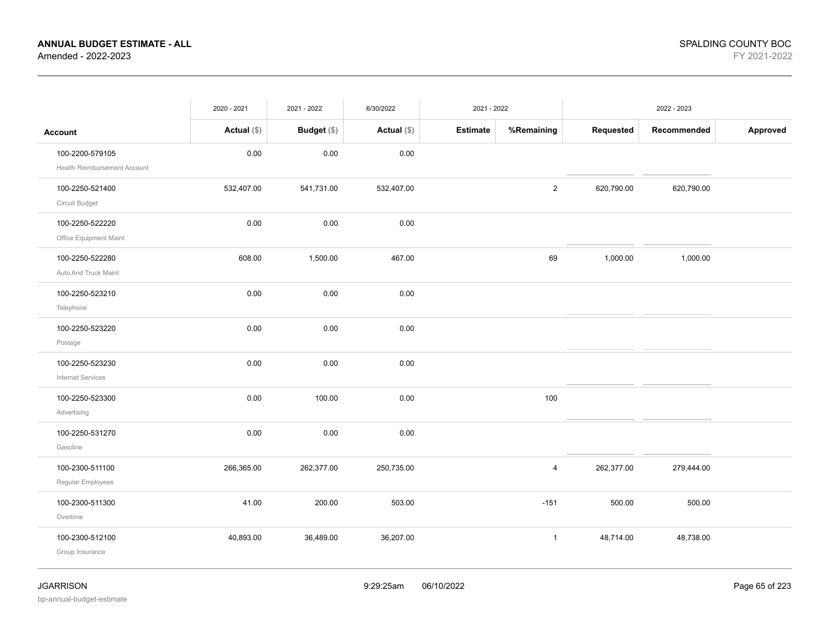|                                                 | 2020 - 2021   | 2021 - 2022        | 6/30/2022     | 2021 - 2022     |                |            | 2022 - 2023 |          |
|-------------------------------------------------|---------------|--------------------|---------------|-----------------|----------------|------------|-------------|----------|
| <b>Account</b>                                  | Actual $(\$)$ | <b>Budget</b> (\$) | Actual $(\$)$ | <b>Estimate</b> | %Remaining     | Requested  | Recommended | Approved |
| 100-2200-579105<br>Health Reimbursement Account | 0.00          | 0.00               | 0.00          |                 |                |            |             |          |
| 100-2250-521400<br>Circuit Budget               | 532,407.00    | 541,731.00         | 532,407.00    |                 | $\mathbf{2}$   | 620,790.00 | 620,790.00  |          |
| 100-2250-522220<br>Office Equipment Maint       | 0.00          | 0.00               | 0.00          |                 |                |            |             |          |
| 100-2250-522280<br>Auto And Truck Maint         | 608.00        | 1,500.00           | 467.00        |                 | 69             | 1,000.00   | 1,000.00    |          |
| 100-2250-523210<br>Telephone                    | 0.00          | 0.00               | 0.00          |                 |                |            |             |          |
| 100-2250-523220<br>Postage                      | 0.00          | 0.00               | 0.00          |                 |                |            |             |          |
| 100-2250-523230<br><b>Internet Services</b>     | 0.00          | 0.00               | 0.00          |                 |                |            |             |          |
| 100-2250-523300<br>Advertising                  | 0.00          | 100.00             | 0.00          |                 | 100            |            |             |          |
| 100-2250-531270<br>Gasoline                     | 0.00          | 0.00               | 0.00          |                 |                |            |             |          |
| 100-2300-511100<br>Regular Employees            | 266,365.00    | 262,377.00         | 250,735.00    |                 | $\overline{4}$ | 262,377.00 | 279,444.00  |          |
| 100-2300-511300<br>Overtime                     | 41.00         | 200.00             | 503.00        |                 | $-151$         | 500.00     | 500.00      |          |
| 100-2300-512100<br>Group Insurance              | 40,893.00     | 36,489.00          | 36,207.00     |                 | $\mathbf{1}$   | 48,714.00  | 48,738.00   |          |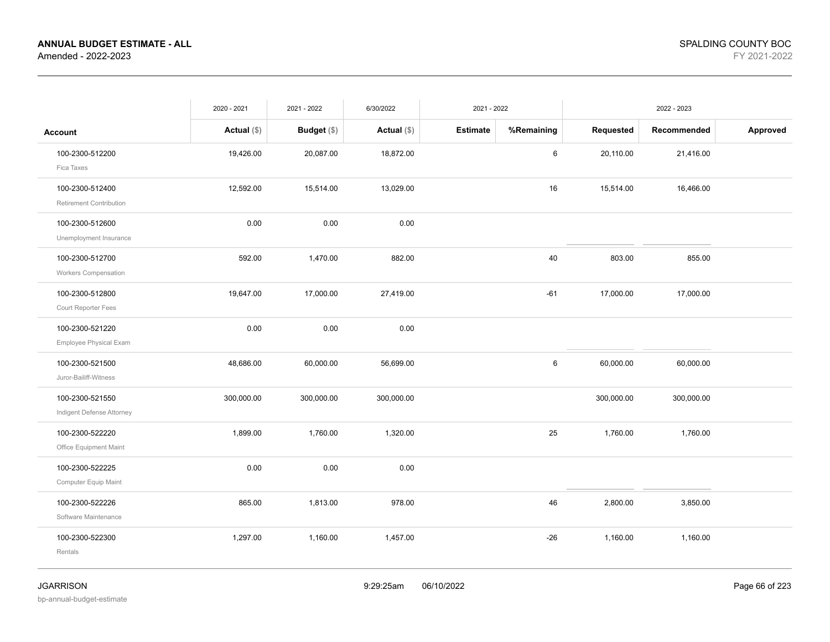|                                                   | 2020 - 2021   | 2021 - 2022   | 6/30/2022     | 2021 - 2022     |            |            | 2022 - 2023 |          |
|---------------------------------------------------|---------------|---------------|---------------|-----------------|------------|------------|-------------|----------|
| <b>Account</b>                                    | Actual $(\$)$ | Budget $(\$)$ | Actual $(\$)$ | <b>Estimate</b> | %Remaining | Requested  | Recommended | Approved |
| 100-2300-512200<br>Fica Taxes                     | 19,426.00     | 20,087.00     | 18,872.00     |                 | 6          | 20,110.00  | 21,416.00   |          |
| 100-2300-512400<br><b>Retirement Contribution</b> | 12,592.00     | 15,514.00     | 13,029.00     |                 | 16         | 15,514.00  | 16,466.00   |          |
| 100-2300-512600<br>Unemployment Insurance         | 0.00          | 0.00          | 0.00          |                 |            |            |             |          |
| 100-2300-512700<br>Workers Compensation           | 592.00        | 1,470.00      | 882.00        |                 | 40         | 803.00     | 855.00      |          |
| 100-2300-512800<br>Court Reporter Fees            | 19,647.00     | 17,000.00     | 27,419.00     |                 | $-61$      | 17,000.00  | 17,000.00   |          |
| 100-2300-521220<br>Employee Physical Exam         | 0.00          | 0.00          | 0.00          |                 |            |            |             |          |
| 100-2300-521500<br>Juror-Bailiff-Witness          | 48,686.00     | 60,000.00     | 56,699.00     |                 | 6          | 60,000.00  | 60,000.00   |          |
| 100-2300-521550<br>Indigent Defense Attorney      | 300,000.00    | 300,000.00    | 300,000.00    |                 |            | 300,000.00 | 300,000.00  |          |
| 100-2300-522220<br>Office Equipment Maint         | 1,899.00      | 1,760.00      | 1,320.00      |                 | 25         | 1,760.00   | 1,760.00    |          |
| 100-2300-522225<br>Computer Equip Maint           | 0.00          | 0.00          | 0.00          |                 |            |            |             |          |
| 100-2300-522226<br>Software Maintenance           | 865.00        | 1,813.00      | 978.00        |                 | 46         | 2,800.00   | 3,850.00    |          |
| 100-2300-522300<br>Rentals                        | 1,297.00      | 1,160.00      | 1,457.00      |                 | $-26$      | 1,160.00   | 1,160.00    |          |
|                                                   |               |               |               |                 |            |            |             |          |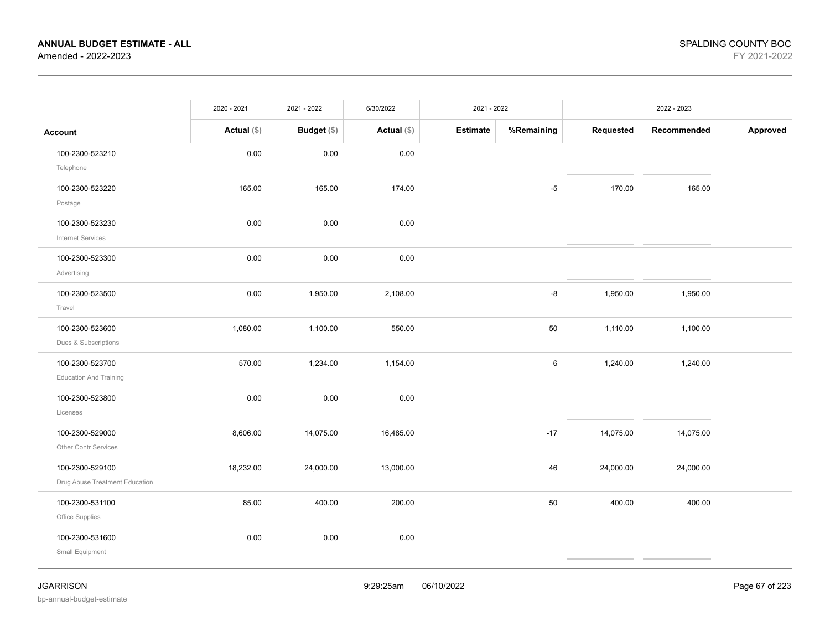|                                                   | 2020 - 2021   | 2021 - 2022        | 6/30/2022     | 2021 - 2022     |            |           | 2022 - 2023 |          |
|---------------------------------------------------|---------------|--------------------|---------------|-----------------|------------|-----------|-------------|----------|
| <b>Account</b>                                    | Actual $(\$)$ | <b>Budget</b> (\$) | Actual $(\$)$ | <b>Estimate</b> | %Remaining | Requested | Recommended | Approved |
| 100-2300-523210<br>Telephone                      | 0.00          | 0.00               | 0.00          |                 |            |           |             |          |
| 100-2300-523220<br>Postage                        | 165.00        | 165.00             | 174.00        |                 | $-5$       | 170.00    | 165.00      |          |
| 100-2300-523230<br><b>Internet Services</b>       | 0.00          | 0.00               | 0.00          |                 |            |           |             |          |
| 100-2300-523300<br>Advertising                    | 0.00          | 0.00               | 0.00          |                 |            |           |             |          |
| 100-2300-523500<br>Travel                         | 0.00          | 1,950.00           | 2,108.00      |                 | -8         | 1,950.00  | 1,950.00    |          |
| 100-2300-523600<br>Dues & Subscriptions           | 1,080.00      | 1,100.00           | 550.00        |                 | 50         | 1,110.00  | 1,100.00    |          |
| 100-2300-523700<br><b>Education And Training</b>  | 570.00        | 1,234.00           | 1,154.00      |                 | 6          | 1,240.00  | 1,240.00    |          |
| 100-2300-523800<br>Licenses                       | 0.00          | 0.00               | 0.00          |                 |            |           |             |          |
| 100-2300-529000<br>Other Contr Services           | 8,606.00      | 14,075.00          | 16,485.00     |                 | $-17$      | 14,075.00 | 14,075.00   |          |
| 100-2300-529100<br>Drug Abuse Treatment Education | 18,232.00     | 24,000.00          | 13,000.00     |                 | 46         | 24,000.00 | 24,000.00   |          |
| 100-2300-531100<br>Office Supplies                | 85.00         | 400.00             | 200.00        |                 | 50         | 400.00    | 400.00      |          |
| 100-2300-531600<br>Small Equipment                | 0.00          | 0.00               | 0.00          |                 |            |           |             |          |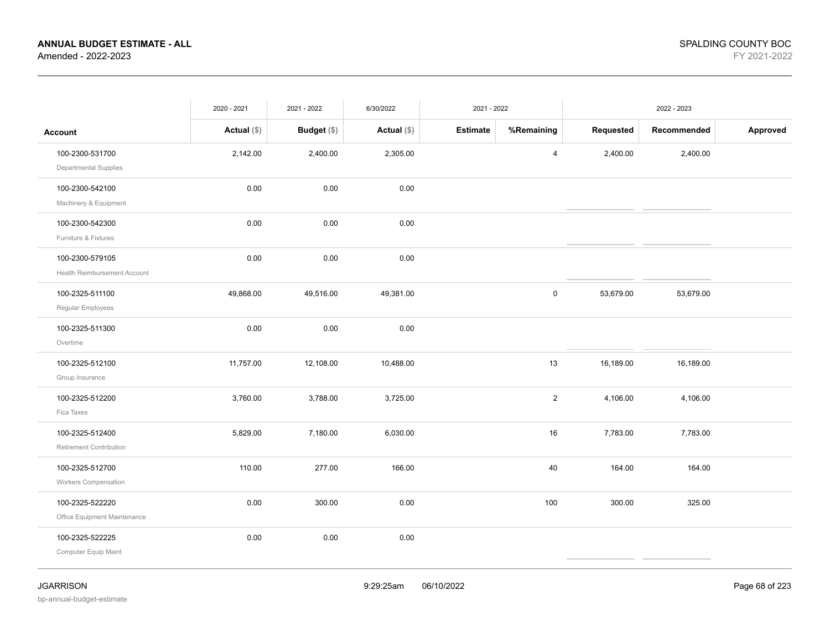|                                | 2020 - 2021   | 2021 - 2022        | 6/30/2022     | 2021 - 2022     |                         |           | 2022 - 2023 |          |
|--------------------------------|---------------|--------------------|---------------|-----------------|-------------------------|-----------|-------------|----------|
| <b>Account</b>                 | Actual $(\$)$ | <b>Budget</b> (\$) | Actual $(\$)$ | <b>Estimate</b> | %Remaining              | Requested | Recommended | Approved |
| 100-2300-531700                | 2,142.00      | 2,400.00           | 2,305.00      |                 | $\overline{4}$          | 2,400.00  | 2,400.00    |          |
| <b>Departmental Supplies</b>   |               |                    |               |                 |                         |           |             |          |
| 100-2300-542100                | 0.00          | 0.00               | 0.00          |                 |                         |           |             |          |
| Machinery & Equipment          |               |                    |               |                 |                         |           |             |          |
| 100-2300-542300                | 0.00          | 0.00               | 0.00          |                 |                         |           |             |          |
| Furniture & Fixtures           |               |                    |               |                 |                         |           |             |          |
| 100-2300-579105                | 0.00          | 0.00               | 0.00          |                 |                         |           |             |          |
| Health Reimbursement Account   |               |                    |               |                 |                         |           |             |          |
| 100-2325-511100                | 49,868.00     | 49,516.00          | 49,381.00     |                 | $\mathsf 0$             | 53,679.00 | 53,679.00   |          |
| Regular Employees              |               |                    |               |                 |                         |           |             |          |
| 100-2325-511300                | 0.00          | 0.00               | 0.00          |                 |                         |           |             |          |
| Overtime                       |               |                    |               |                 |                         |           |             |          |
| 100-2325-512100                | 11,757.00     | 12,108.00          | 10,488.00     |                 | 13                      | 16,189.00 | 16,189.00   |          |
| Group Insurance                |               |                    |               |                 |                         |           |             |          |
| 100-2325-512200                | 3,760.00      | 3,788.00           | 3,725.00      |                 | $\overline{\mathbf{c}}$ | 4,106.00  | 4,106.00    |          |
| Fica Taxes                     |               |                    |               |                 |                         |           |             |          |
| 100-2325-512400                | 5,829.00      | 7,180.00           | 6,030.00      |                 | 16                      | 7,783.00  | 7,783.00    |          |
| <b>Retirement Contribution</b> |               |                    |               |                 |                         |           |             |          |
| 100-2325-512700                | 110.00        | 277.00             | 166.00        |                 | 40                      | 164.00    | 164.00      |          |
| <b>Workers Compensation</b>    |               |                    |               |                 |                         |           |             |          |
| 100-2325-522220                | 0.00          | 300.00             | 0.00          |                 | 100                     | 300.00    | 325.00      |          |
| Office Equipment Maintenance   |               |                    |               |                 |                         |           |             |          |
| 100-2325-522225                | 0.00          | 0.00               | 0.00          |                 |                         |           |             |          |
| Computer Equip Maint           |               |                    |               |                 |                         |           |             |          |
|                                |               |                    |               |                 |                         |           |             |          |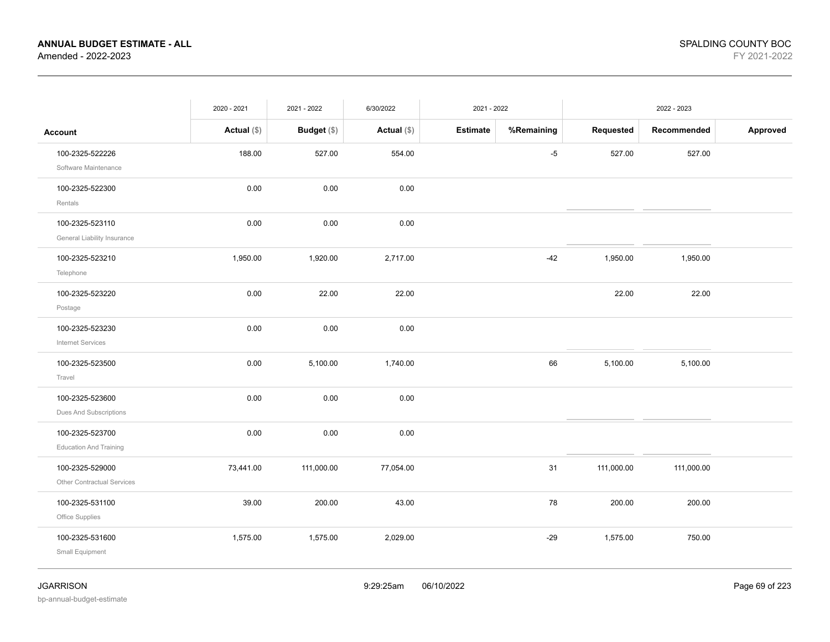|                                                      | 2020 - 2021   | 2021 - 2022 | 6/30/2022     | 2021 - 2022 |            |            | 2022 - 2023 |          |
|------------------------------------------------------|---------------|-------------|---------------|-------------|------------|------------|-------------|----------|
| <b>Account</b>                                       | Actual $(\$)$ | Budget (\$) | Actual $(\$)$ | Estimate    | %Remaining | Requested  | Recommended | Approved |
| 100-2325-522226<br>Software Maintenance              | 188.00        | 527.00      | 554.00        |             | $-5$       | 527.00     | 527.00      |          |
| 100-2325-522300<br>Rentals                           | 0.00          | 0.00        | 0.00          |             |            |            |             |          |
| 100-2325-523110<br>General Liability Insurance       | 0.00          | 0.00        | 0.00          |             |            |            |             |          |
| 100-2325-523210<br>Telephone                         | 1,950.00      | 1,920.00    | 2,717.00      |             | $-42$      | 1,950.00   | 1,950.00    |          |
| 100-2325-523220<br>Postage                           | 0.00          | 22.00       | 22.00         |             |            | 22.00      | 22.00       |          |
| 100-2325-523230<br>Internet Services                 | 0.00          | 0.00        | 0.00          |             |            |            |             |          |
| 100-2325-523500<br>Travel                            | 0.00          | 5,100.00    | 1,740.00      |             | 66         | 5,100.00   | 5,100.00    |          |
| 100-2325-523600<br>Dues And Subscriptions            | 0.00          | 0.00        | 0.00          |             |            |            |             |          |
| 100-2325-523700<br><b>Education And Training</b>     | 0.00          | 0.00        | 0.00          |             |            |            |             |          |
| 100-2325-529000<br><b>Other Contractual Services</b> | 73,441.00     | 111,000.00  | 77,054.00     |             | 31         | 111,000.00 | 111,000.00  |          |
| 100-2325-531100<br>Office Supplies                   | 39.00         | 200.00      | 43.00         |             | 78         | 200.00     | 200.00      |          |
| 100-2325-531600<br>Small Equipment                   | 1,575.00      | 1,575.00    | 2,029.00      |             | $-29$      | 1,575.00   | 750.00      |          |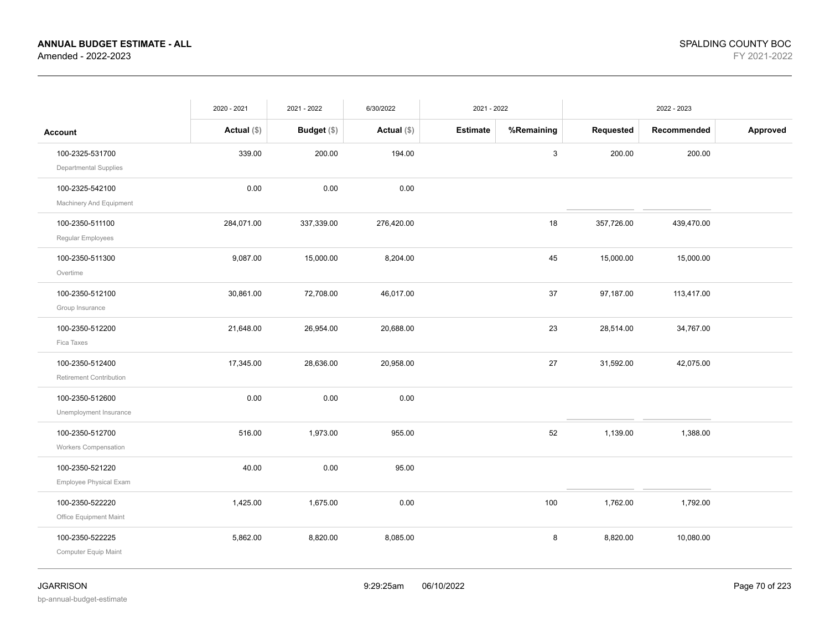|                                                   | 2020 - 2021   | 2021 - 2022 | 6/30/2022     | 2021 - 2022     |              |            | 2022 - 2023 |          |
|---------------------------------------------------|---------------|-------------|---------------|-----------------|--------------|------------|-------------|----------|
| <b>Account</b>                                    | Actual $(\$)$ | Budget (\$) | Actual $(\$)$ | <b>Estimate</b> | %Remaining   | Requested  | Recommended | Approved |
| 100-2325-531700<br><b>Departmental Supplies</b>   | 339.00        | 200.00      | 194.00        |                 | $\mathbf{3}$ | 200.00     | 200.00      |          |
| 100-2325-542100<br>Machinery And Equipment        | 0.00          | 0.00        | 0.00          |                 |              |            |             |          |
| 100-2350-511100<br>Regular Employees              | 284,071.00    | 337,339.00  | 276,420.00    |                 | 18           | 357,726.00 | 439,470.00  |          |
| 100-2350-511300<br>Overtime                       | 9,087.00      | 15,000.00   | 8,204.00      |                 | 45           | 15,000.00  | 15,000.00   |          |
| 100-2350-512100<br>Group Insurance                | 30,861.00     | 72,708.00   | 46,017.00     |                 | 37           | 97,187.00  | 113,417.00  |          |
| 100-2350-512200<br>Fica Taxes                     | 21,648.00     | 26,954.00   | 20,688.00     |                 | 23           | 28,514.00  | 34,767.00   |          |
| 100-2350-512400<br><b>Retirement Contribution</b> | 17,345.00     | 28,636.00   | 20,958.00     |                 | 27           | 31,592.00  | 42,075.00   |          |
| 100-2350-512600<br>Unemployment Insurance         | 0.00          | 0.00        | 0.00          |                 |              |            |             |          |
| 100-2350-512700<br>Workers Compensation           | 516.00        | 1,973.00    | 955.00        |                 | 52           | 1,139.00   | 1,388.00    |          |
| 100-2350-521220<br>Employee Physical Exam         | 40.00         | 0.00        | 95.00         |                 |              |            |             |          |
| 100-2350-522220<br>Office Equipment Maint         | 1,425.00      | 1,675.00    | 0.00          |                 | 100          | 1,762.00   | 1,792.00    |          |
| 100-2350-522225<br>Computer Equip Maint           | 5,862.00      | 8,820.00    | 8,085.00      |                 | 8            | 8,820.00   | 10,080.00   |          |
|                                                   |               |             |               |                 |              |            |             |          |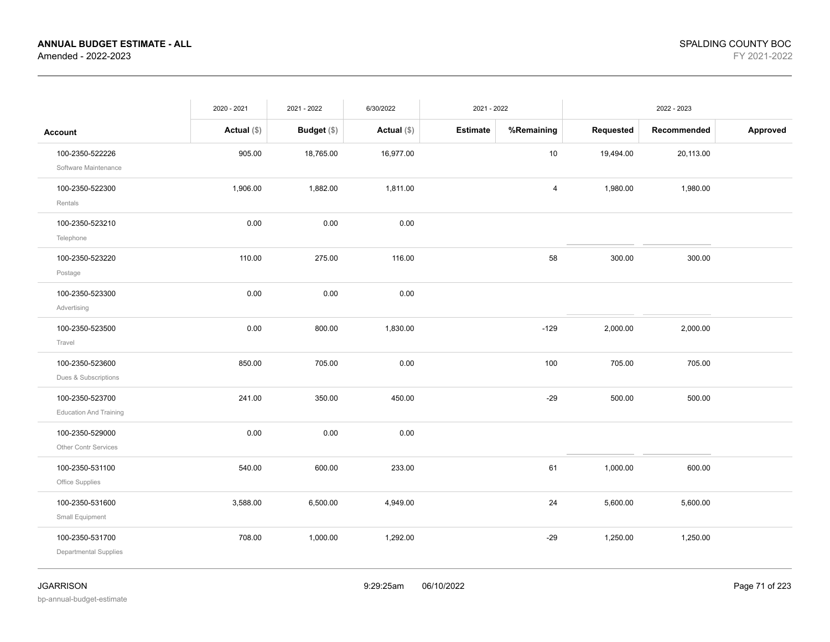|                                                  | 2020 - 2021   | 2021 - 2022 | 6/30/2022     | 2021 - 2022     |            |           | 2022 - 2023 |          |
|--------------------------------------------------|---------------|-------------|---------------|-----------------|------------|-----------|-------------|----------|
| <b>Account</b>                                   | Actual $(\$)$ | Budget (\$) | Actual $(\$)$ | <b>Estimate</b> | %Remaining | Requested | Recommended | Approved |
| 100-2350-522226<br>Software Maintenance          | 905.00        | 18,765.00   | 16,977.00     |                 | $10$       | 19,494.00 | 20,113.00   |          |
| 100-2350-522300<br>Rentals                       | 1,906.00      | 1,882.00    | 1,811.00      |                 | 4          | 1,980.00  | 1,980.00    |          |
| 100-2350-523210<br>Telephone                     | 0.00          | 0.00        | 0.00          |                 |            |           |             |          |
| 100-2350-523220<br>Postage                       | 110.00        | 275.00      | 116.00        |                 | 58         | 300.00    | 300.00      |          |
| 100-2350-523300<br>Advertising                   | 0.00          | 0.00        | 0.00          |                 |            |           |             |          |
| 100-2350-523500<br>Travel                        | 0.00          | 800.00      | 1,830.00      |                 | $-129$     | 2,000.00  | 2,000.00    |          |
| 100-2350-523600<br>Dues & Subscriptions          | 850.00        | 705.00      | 0.00          |                 | 100        | 705.00    | 705.00      |          |
| 100-2350-523700<br><b>Education And Training</b> | 241.00        | 350.00      | 450.00        |                 | $-29$      | 500.00    | 500.00      |          |
| 100-2350-529000<br>Other Contr Services          | 0.00          | 0.00        | 0.00          |                 |            |           |             |          |
| 100-2350-531100<br>Office Supplies               | 540.00        | 600.00      | 233.00        |                 | 61         | 1,000.00  | 600.00      |          |
| 100-2350-531600<br>Small Equipment               | 3,588.00      | 6,500.00    | 4,949.00      |                 | 24         | 5,600.00  | 5,600.00    |          |
| 100-2350-531700<br>Departmental Supplies         | 708.00        | 1,000.00    | 1,292.00      |                 | $-29$      | 1,250.00  | 1,250.00    |          |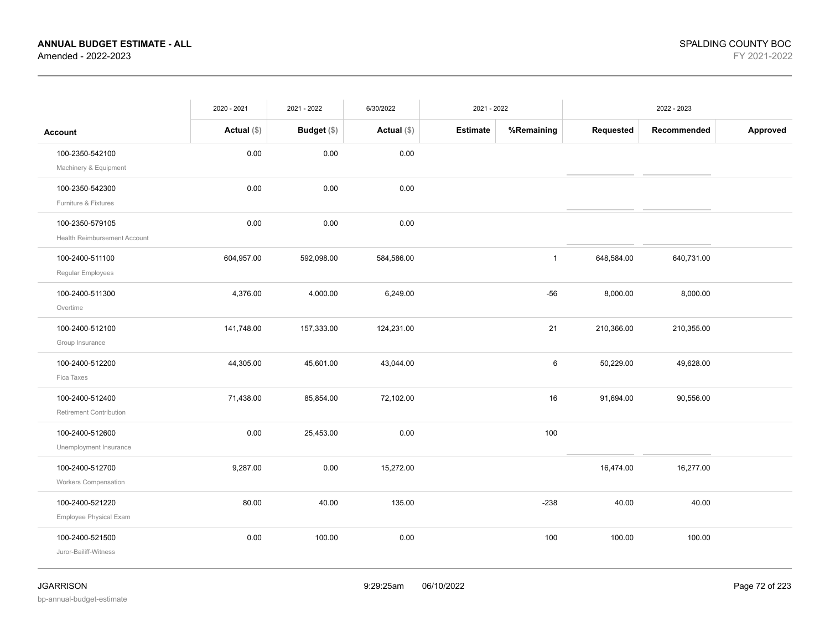|                                                 | 2020 - 2021   | 2021 - 2022   | 6/30/2022     | 2021 - 2022     |              |            | 2022 - 2023 |          |
|-------------------------------------------------|---------------|---------------|---------------|-----------------|--------------|------------|-------------|----------|
| <b>Account</b>                                  | Actual $(\$)$ | Budget $(\$)$ | Actual $(\$)$ | <b>Estimate</b> | %Remaining   | Requested  | Recommended | Approved |
| 100-2350-542100                                 | 0.00          | 0.00          | 0.00          |                 |              |            |             |          |
| Machinery & Equipment<br>100-2350-542300        | 0.00          | 0.00          | 0.00          |                 |              |            |             |          |
| Furniture & Fixtures                            |               |               |               |                 |              |            |             |          |
| 100-2350-579105<br>Health Reimbursement Account | 0.00          | 0.00          | 0.00          |                 |              |            |             |          |
| 100-2400-511100<br>Regular Employees            | 604,957.00    | 592,098.00    | 584,586.00    |                 | $\mathbf{1}$ | 648,584.00 | 640,731.00  |          |
| 100-2400-511300<br>Overtime                     | 4,376.00      | 4,000.00      | 6,249.00      |                 | $-56$        | 8,000.00   | 8,000.00    |          |
| 100-2400-512100<br>Group Insurance              | 141,748.00    | 157,333.00    | 124,231.00    |                 | 21           | 210,366.00 | 210,355.00  |          |
| 100-2400-512200<br>Fica Taxes                   | 44,305.00     | 45,601.00     | 43,044.00     |                 | 6            | 50,229.00  | 49,628.00   |          |
| 100-2400-512400<br>Retirement Contribution      | 71,438.00     | 85,854.00     | 72,102.00     |                 | 16           | 91,694.00  | 90,556.00   |          |
| 100-2400-512600<br>Unemployment Insurance       | 0.00          | 25,453.00     | 0.00          |                 | 100          |            |             |          |
| 100-2400-512700<br>Workers Compensation         | 9,287.00      | 0.00          | 15,272.00     |                 |              | 16,474.00  | 16,277.00   |          |
| 100-2400-521220<br>Employee Physical Exam       | 80.00         | 40.00         | 135.00        |                 | $-238$       | 40.00      | 40.00       |          |
| 100-2400-521500<br>Juror-Bailiff-Witness        | 0.00          | 100.00        | 0.00          |                 | 100          | 100.00     | 100.00      |          |

bp-annual-budget-estimate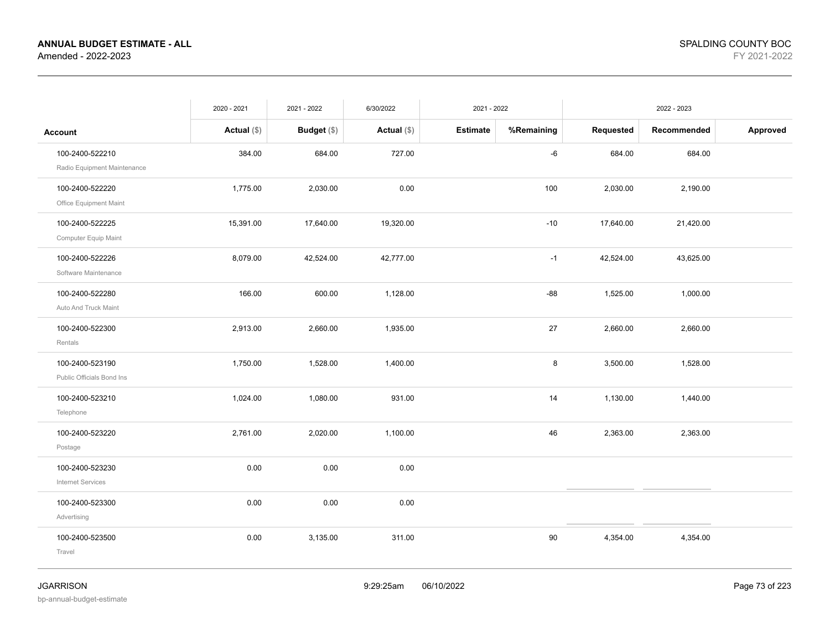|                             | 2020 - 2021   | 2021 - 2022        | 6/30/2022     | 2021 - 2022     |            | 2022 - 2023 |             |          |
|-----------------------------|---------------|--------------------|---------------|-----------------|------------|-------------|-------------|----------|
| <b>Account</b>              | Actual $(\$)$ | <b>Budget</b> (\$) | Actual $(\$)$ | <b>Estimate</b> | %Remaining | Requested   | Recommended | Approved |
| 100-2400-522210             | 384.00        | 684.00             | 727.00        |                 | -6         | 684.00      | 684.00      |          |
| Radio Equipment Maintenance |               |                    |               |                 |            |             |             |          |
| 100-2400-522220             | 1,775.00      | 2,030.00           | 0.00          |                 | 100        | 2,030.00    | 2,190.00    |          |
| Office Equipment Maint      |               |                    |               |                 |            |             |             |          |
| 100-2400-522225             | 15,391.00     | 17,640.00          | 19,320.00     |                 | $-10$      | 17,640.00   | 21,420.00   |          |
| Computer Equip Maint        |               |                    |               |                 |            |             |             |          |
| 100-2400-522226             | 8,079.00      | 42,524.00          | 42,777.00     |                 | $-1$       | 42,524.00   | 43,625.00   |          |
| Software Maintenance        |               |                    |               |                 |            |             |             |          |
| 100-2400-522280             | 166.00        | 600.00             | 1,128.00      |                 | $-88$      | 1,525.00    | 1,000.00    |          |
| Auto And Truck Maint        |               |                    |               |                 |            |             |             |          |
| 100-2400-522300             | 2,913.00      | 2,660.00           | 1,935.00      |                 | 27         | 2,660.00    | 2,660.00    |          |
| Rentals                     |               |                    |               |                 |            |             |             |          |
| 100-2400-523190             | 1,750.00      | 1,528.00           | 1,400.00      |                 | 8          | 3,500.00    | 1,528.00    |          |
| Public Officials Bond Ins   |               |                    |               |                 |            |             |             |          |
| 100-2400-523210             | 1,024.00      | 1,080.00           | 931.00        |                 | 14         | 1,130.00    | 1,440.00    |          |
| Telephone                   |               |                    |               |                 |            |             |             |          |
| 100-2400-523220             | 2,761.00      | 2,020.00           | 1,100.00      |                 | 46         | 2,363.00    | 2,363.00    |          |
| Postage                     |               |                    |               |                 |            |             |             |          |
| 100-2400-523230             | 0.00          | 0.00               | 0.00          |                 |            |             |             |          |
| <b>Internet Services</b>    |               |                    |               |                 |            |             |             |          |
| 100-2400-523300             | 0.00          | 0.00               | 0.00          |                 |            |             |             |          |
| Advertising                 |               |                    |               |                 |            |             |             |          |
| 100-2400-523500             | 0.00          | 3,135.00           | 311.00        |                 | 90         | 4,354.00    | 4,354.00    |          |
| Travel                      |               |                    |               |                 |            |             |             |          |
|                             |               |                    |               |                 |            |             |             |          |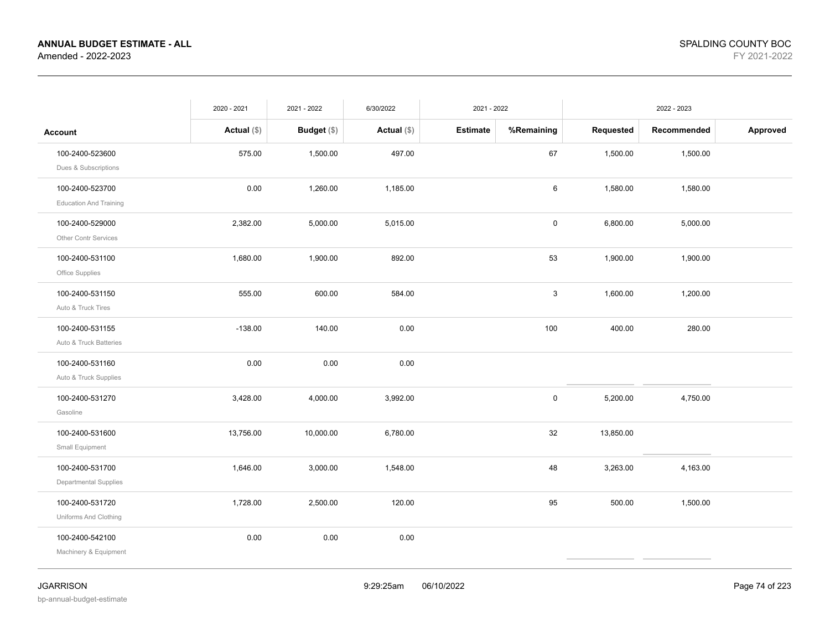|                               | 2020 - 2021   | 2021 - 2022   | 6/30/2022     | 2021 - 2022     |            | 2022 - 2023 |             |          |
|-------------------------------|---------------|---------------|---------------|-----------------|------------|-------------|-------------|----------|
| <b>Account</b>                | Actual $(\$)$ | Budget $(\$)$ | Actual $(\$)$ | <b>Estimate</b> | %Remaining | Requested   | Recommended | Approved |
| 100-2400-523600               | 575.00        | 1,500.00      | 497.00        |                 | 67         | 1,500.00    | 1,500.00    |          |
| Dues & Subscriptions          |               |               |               |                 |            |             |             |          |
| 100-2400-523700               | 0.00          | 1,260.00      | 1,185.00      |                 | $\,6\,$    | 1,580.00    | 1,580.00    |          |
| <b>Education And Training</b> |               |               |               |                 |            |             |             |          |
| 100-2400-529000               | 2,382.00      | 5,000.00      | 5,015.00      |                 | 0          | 6,800.00    | 5,000.00    |          |
| Other Contr Services          |               |               |               |                 |            |             |             |          |
| 100-2400-531100               | 1,680.00      | 1,900.00      | 892.00        |                 | 53         | 1,900.00    | 1,900.00    |          |
| Office Supplies               |               |               |               |                 |            |             |             |          |
| 100-2400-531150               | 555.00        | 600.00        | 584.00        |                 | 3          | 1,600.00    | 1,200.00    |          |
| Auto & Truck Tires            |               |               |               |                 |            |             |             |          |
| 100-2400-531155               | $-138.00$     | 140.00        | 0.00          |                 | 100        | 400.00      | 280.00      |          |
| Auto & Truck Batteries        |               |               |               |                 |            |             |             |          |
| 100-2400-531160               | 0.00          | 0.00          | 0.00          |                 |            |             |             |          |
| Auto & Truck Supplies         |               |               |               |                 |            |             |             |          |
| 100-2400-531270               | 3,428.00      | 4,000.00      | 3,992.00      |                 | $\pmb{0}$  | 5,200.00    | 4,750.00    |          |
| Gasoline                      |               |               |               |                 |            |             |             |          |
| 100-2400-531600               | 13,756.00     | 10,000.00     | 6,780.00      |                 | 32         | 13,850.00   |             |          |
| Small Equipment               |               |               |               |                 |            |             |             |          |
| 100-2400-531700               | 1,646.00      | 3,000.00      | 1,548.00      |                 | 48         | 3,263.00    | 4,163.00    |          |
| Departmental Supplies         |               |               |               |                 |            |             |             |          |
| 100-2400-531720               | 1,728.00      | 2,500.00      | 120.00        |                 | 95         | 500.00      | 1,500.00    |          |
| Uniforms And Clothing         |               |               |               |                 |            |             |             |          |
| 100-2400-542100               | 0.00          | 0.00          | 0.00          |                 |            |             |             |          |
| Machinery & Equipment         |               |               |               |                 |            |             |             |          |
|                               |               |               |               |                 |            |             |             |          |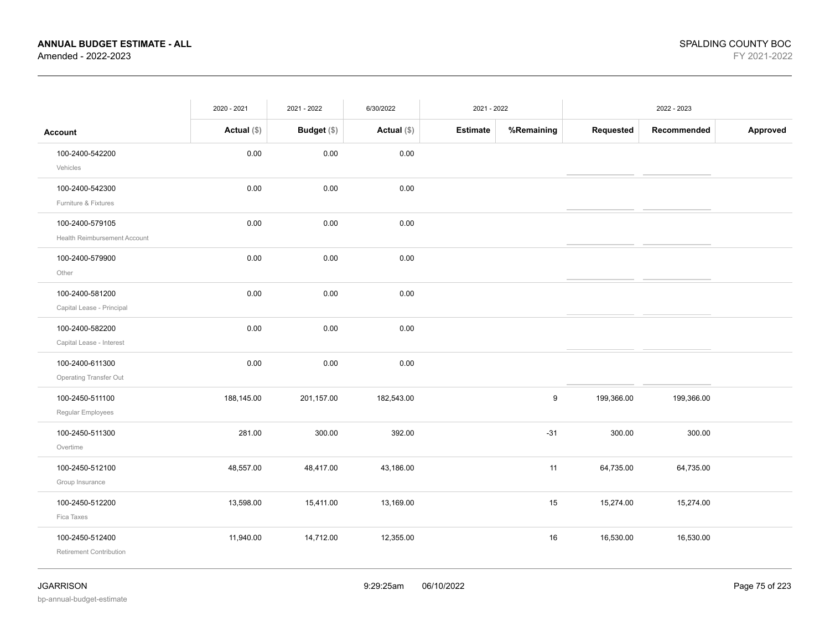|                                                 | 2020 - 2021   | 2021 - 2022 | 6/30/2022     | 2021 - 2022     |            |            | 2022 - 2023 |          |  |
|-------------------------------------------------|---------------|-------------|---------------|-----------------|------------|------------|-------------|----------|--|
| <b>Account</b>                                  | Actual $(\$)$ | Budget (\$) | Actual $(\$)$ | <b>Estimate</b> | %Remaining | Requested  | Recommended | Approved |  |
| 100-2400-542200<br>Vehicles                     | 0.00          | 0.00        | 0.00          |                 |            |            |             |          |  |
| 100-2400-542300<br>Furniture & Fixtures         | 0.00          | 0.00        | 0.00          |                 |            |            |             |          |  |
| 100-2400-579105<br>Health Reimbursement Account | 0.00          | 0.00        | 0.00          |                 |            |            |             |          |  |
| 100-2400-579900<br>Other                        | 0.00          | 0.00        | 0.00          |                 |            |            |             |          |  |
| 100-2400-581200<br>Capital Lease - Principal    | 0.00          | 0.00        | 0.00          |                 |            |            |             |          |  |
| 100-2400-582200<br>Capital Lease - Interest     | 0.00          | 0.00        | 0.00          |                 |            |            |             |          |  |
| 100-2400-611300<br>Operating Transfer Out       | 0.00          | 0.00        | 0.00          |                 |            |            |             |          |  |
| 100-2450-511100<br>Regular Employees            | 188,145.00    | 201,157.00  | 182,543.00    |                 | 9          | 199,366.00 | 199,366.00  |          |  |
| 100-2450-511300<br>Overtime                     | 281.00        | 300.00      | 392.00        |                 | $-31$      | 300.00     | 300.00      |          |  |
| 100-2450-512100<br>Group Insurance              | 48,557.00     | 48,417.00   | 43,186.00     |                 | 11         | 64,735.00  | 64,735.00   |          |  |
| 100-2450-512200<br>Fica Taxes                   | 13,598.00     | 15,411.00   | 13,169.00     |                 | 15         | 15,274.00  | 15,274.00   |          |  |
| 100-2450-512400<br>Retirement Contribution      | 11,940.00     | 14,712.00   | 12,355.00     |                 | 16         | 16,530.00  | 16,530.00   |          |  |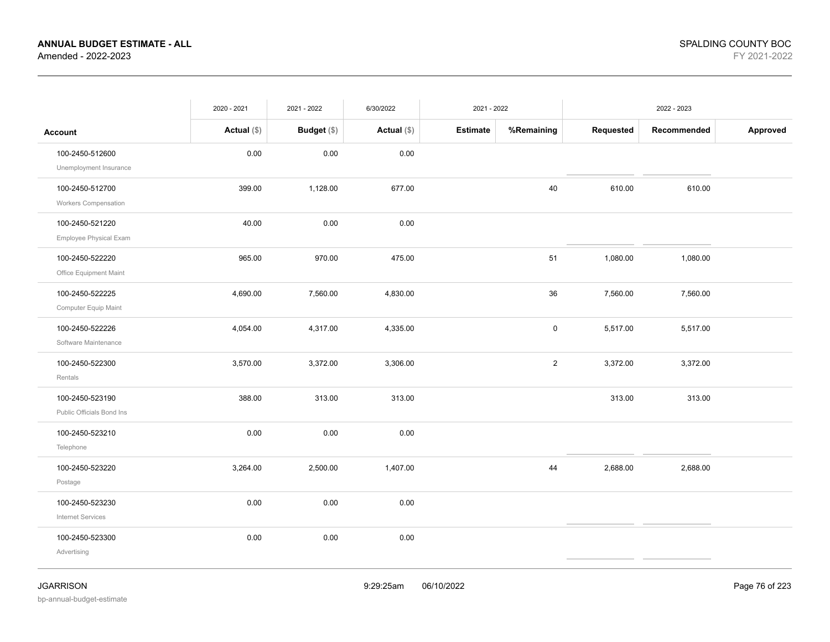|                                              | 2020 - 2021   | 2021 - 2022        | 6/30/2022     | 2021 - 2022     |                | 2022 - 2023 |             |          |
|----------------------------------------------|---------------|--------------------|---------------|-----------------|----------------|-------------|-------------|----------|
| <b>Account</b>                               | Actual $(\$)$ | <b>Budget</b> (\$) | Actual $(\$)$ | <b>Estimate</b> | %Remaining     | Requested   | Recommended | Approved |
| 100-2450-512600<br>Unemployment Insurance    | 0.00          | 0.00               | 0.00          |                 |                |             |             |          |
| 100-2450-512700<br>Workers Compensation      | 399.00        | 1,128.00           | 677.00        |                 | 40             | 610.00      | 610.00      |          |
| 100-2450-521220<br>Employee Physical Exam    | 40.00         | 0.00               | 0.00          |                 |                |             |             |          |
| 100-2450-522220<br>Office Equipment Maint    | 965.00        | 970.00             | 475.00        |                 | 51             | 1,080.00    | 1,080.00    |          |
| 100-2450-522225<br>Computer Equip Maint      | 4,690.00      | 7,560.00           | 4,830.00      |                 | 36             | 7,560.00    | 7,560.00    |          |
| 100-2450-522226<br>Software Maintenance      | 4,054.00      | 4,317.00           | 4,335.00      |                 | $\mathbf 0$    | 5,517.00    | 5,517.00    |          |
| 100-2450-522300<br>Rentals                   | 3,570.00      | 3,372.00           | 3,306.00      |                 | $\overline{2}$ | 3,372.00    | 3,372.00    |          |
| 100-2450-523190<br>Public Officials Bond Ins | 388.00        | 313.00             | 313.00        |                 |                | 313.00      | 313.00      |          |
| 100-2450-523210<br>Telephone                 | 0.00          | 0.00               | 0.00          |                 |                |             |             |          |
| 100-2450-523220<br>Postage                   | 3,264.00      | 2,500.00           | 1,407.00      |                 | 44             | 2,688.00    | 2,688.00    |          |
| 100-2450-523230<br><b>Internet Services</b>  | 0.00          | 0.00               | 0.00          |                 |                |             |             |          |
| 100-2450-523300<br>Advertising               | 0.00          | 0.00               | 0.00          |                 |                |             |             |          |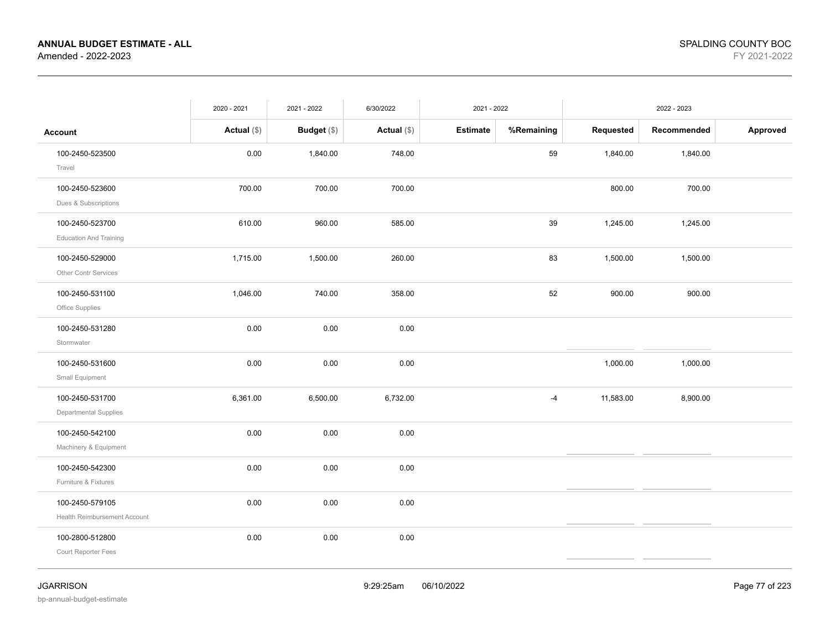|                                                  | 2020 - 2021   | 2021 - 2022        | 6/30/2022     | 2021 - 2022     |            | 2022 - 2023 |             |          |
|--------------------------------------------------|---------------|--------------------|---------------|-----------------|------------|-------------|-------------|----------|
| <b>Account</b>                                   | Actual $(\$)$ | <b>Budget</b> (\$) | Actual $(\$)$ | <b>Estimate</b> | %Remaining | Requested   | Recommended | Approved |
| 100-2450-523500<br>Travel                        | 0.00          | 1,840.00           | 748.00        |                 | 59         | 1,840.00    | 1,840.00    |          |
| 100-2450-523600<br>Dues & Subscriptions          | 700.00        | 700.00             | 700.00        |                 |            | 800.00      | 700.00      |          |
| 100-2450-523700<br><b>Education And Training</b> | 610.00        | 960.00             | 585.00        |                 | 39         | 1,245.00    | 1,245.00    |          |
| 100-2450-529000<br>Other Contr Services          | 1,715.00      | 1,500.00           | 260.00        |                 | 83         | 1,500.00    | 1,500.00    |          |
| 100-2450-531100<br>Office Supplies               | 1,046.00      | 740.00             | 358.00        |                 | 52         | 900.00      | 900.00      |          |
| 100-2450-531280<br>Stormwater                    | 0.00          | 0.00               | 0.00          |                 |            |             |             |          |
| 100-2450-531600<br>Small Equipment               | 0.00          | 0.00               | 0.00          |                 |            | 1,000.00    | 1,000.00    |          |
| 100-2450-531700<br>Departmental Supplies         | 6,361.00      | 6,500.00           | 6,732.00      |                 | $-4$       | 11,583.00   | 8,900.00    |          |
| 100-2450-542100<br>Machinery & Equipment         | 0.00          | 0.00               | 0.00          |                 |            |             |             |          |
| 100-2450-542300<br>Furniture & Fixtures          | 0.00          | 0.00               | 0.00          |                 |            |             |             |          |
| 100-2450-579105<br>Health Reimbursement Account  | 0.00          | 0.00               | 0.00          |                 |            |             |             |          |
| 100-2800-512800<br>Court Reporter Fees           | 0.00          | 0.00               | 0.00          |                 |            |             |             |          |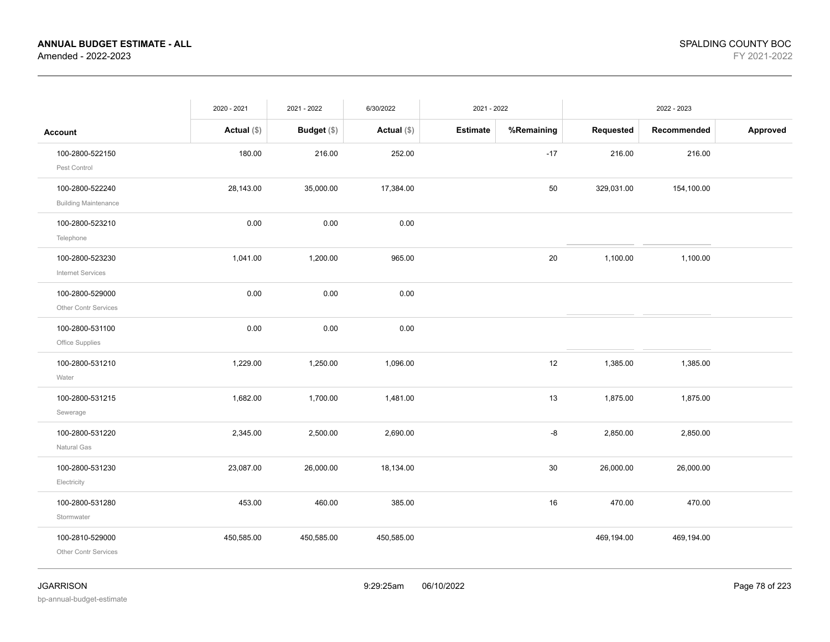|                                                | 2020 - 2021   | 2021 - 2022        | 6/30/2022     | 2021 - 2022     |            | 2022 - 2023 |             |          |
|------------------------------------------------|---------------|--------------------|---------------|-----------------|------------|-------------|-------------|----------|
| <b>Account</b>                                 | Actual $(\$)$ | <b>Budget</b> (\$) | Actual $(\$)$ | <b>Estimate</b> | %Remaining | Requested   | Recommended | Approved |
| 100-2800-522150<br>Pest Control                | 180.00        | 216.00             | 252.00        |                 | $-17$      | 216.00      | 216.00      |          |
| 100-2800-522240<br><b>Building Maintenance</b> | 28,143.00     | 35,000.00          | 17,384.00     |                 | 50         | 329,031.00  | 154,100.00  |          |
| 100-2800-523210<br>Telephone                   | 0.00          | 0.00               | 0.00          |                 |            |             |             |          |
| 100-2800-523230<br>Internet Services           | 1,041.00      | 1,200.00           | 965.00        |                 | 20         | 1,100.00    | 1,100.00    |          |
| 100-2800-529000<br>Other Contr Services        | 0.00          | 0.00               | 0.00          |                 |            |             |             |          |
| 100-2800-531100<br>Office Supplies             | 0.00          | 0.00               | 0.00          |                 |            |             |             |          |
| 100-2800-531210<br>Water                       | 1,229.00      | 1,250.00           | 1,096.00      |                 | 12         | 1,385.00    | 1,385.00    |          |
| 100-2800-531215<br>Sewerage                    | 1,682.00      | 1,700.00           | 1,481.00      |                 | 13         | 1,875.00    | 1,875.00    |          |
| 100-2800-531220<br>Natural Gas                 | 2,345.00      | 2,500.00           | 2,690.00      |                 | -8         | 2,850.00    | 2,850.00    |          |
| 100-2800-531230<br>Electricity                 | 23,087.00     | 26,000.00          | 18,134.00     |                 | 30         | 26,000.00   | 26,000.00   |          |
| 100-2800-531280<br>Stormwater                  | 453.00        | 460.00             | 385.00        |                 | 16         | 470.00      | 470.00      |          |
| 100-2810-529000<br>Other Contr Services        | 450,585.00    | 450,585.00         | 450,585.00    |                 |            | 469,194.00  | 469,194.00  |          |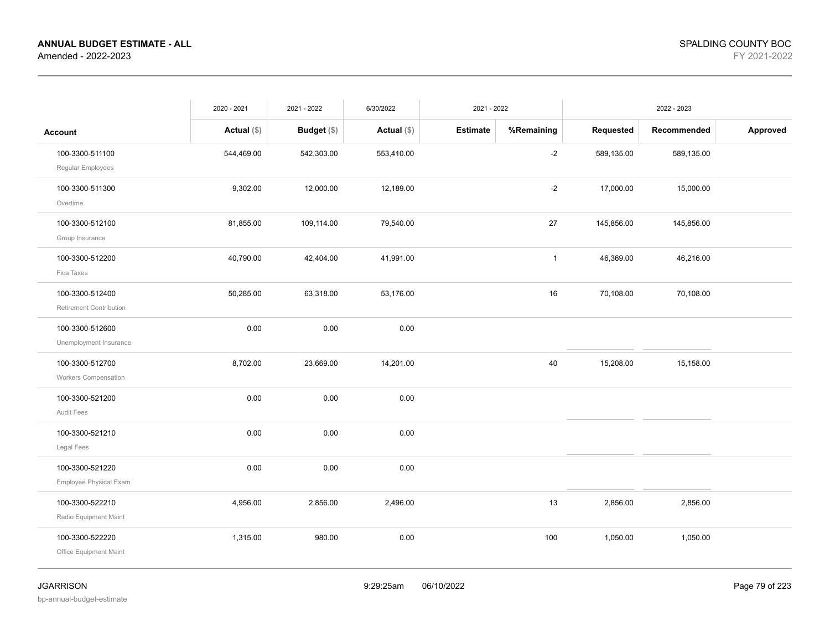| %Remaining<br>Requested<br>Approved<br>Budget (\$)<br>Actual $(\$)$<br><b>Estimate</b><br>Recommended<br>Actual $(\$)$<br><b>Account</b><br>$-2$<br>100-3300-511100<br>544,469.00<br>542,303.00<br>553,410.00<br>589,135.00<br>589,135.00<br>Regular Employees<br>$-2$<br>9,302.00<br>12,000.00<br>12,189.00<br>17,000.00<br>100-3300-511300<br>15,000.00<br>Overtime<br>81,855.00<br>27<br>100-3300-512100<br>109,114.00<br>79,540.00<br>145,856.00<br>145,856.00<br>Group Insurance<br>40,790.00<br>42,404.00<br>41,991.00<br>46,369.00<br>46,216.00<br>100-3300-512200<br>$\mathbf{1}$<br>Fica Taxes<br>16<br>100-3300-512400<br>50,285.00<br>63,318.00<br>53,176.00<br>70,108.00<br>70,108.00<br>Retirement Contribution<br>100-3300-512600<br>0.00<br>0.00<br>0.00<br>Unemployment Insurance<br>100-3300-512700<br>23,669.00<br>14,201.00<br>40<br>15,208.00<br>8,702.00<br>15,158.00<br><b>Workers Compensation</b><br>100-3300-521200<br>0.00<br>0.00<br>0.00<br>Audit Fees<br>0.00<br>0.00<br>0.00<br>100-3300-521210<br>Legal Fees<br>100-3300-521220<br>0.00<br>0.00<br>0.00<br>Employee Physical Exam<br>100-3300-522210<br>4,956.00<br>2,856.00<br>2,496.00<br>13<br>2,856.00<br>2,856.00<br>Radio Equipment Maint<br>0.00<br>1,050.00<br>100-3300-522220<br>1,315.00<br>980.00<br>100<br>1,050.00<br>Office Equipment Maint | 2020 - 2021 | 2021 - 2022 | 6/30/2022 | 2021 - 2022 | 2022 - 2023 |  |  |
|------------------------------------------------------------------------------------------------------------------------------------------------------------------------------------------------------------------------------------------------------------------------------------------------------------------------------------------------------------------------------------------------------------------------------------------------------------------------------------------------------------------------------------------------------------------------------------------------------------------------------------------------------------------------------------------------------------------------------------------------------------------------------------------------------------------------------------------------------------------------------------------------------------------------------------------------------------------------------------------------------------------------------------------------------------------------------------------------------------------------------------------------------------------------------------------------------------------------------------------------------------------------------------------------------------------------------------------|-------------|-------------|-----------|-------------|-------------|--|--|
|                                                                                                                                                                                                                                                                                                                                                                                                                                                                                                                                                                                                                                                                                                                                                                                                                                                                                                                                                                                                                                                                                                                                                                                                                                                                                                                                          |             |             |           |             |             |  |  |
|                                                                                                                                                                                                                                                                                                                                                                                                                                                                                                                                                                                                                                                                                                                                                                                                                                                                                                                                                                                                                                                                                                                                                                                                                                                                                                                                          |             |             |           |             |             |  |  |
|                                                                                                                                                                                                                                                                                                                                                                                                                                                                                                                                                                                                                                                                                                                                                                                                                                                                                                                                                                                                                                                                                                                                                                                                                                                                                                                                          |             |             |           |             |             |  |  |
|                                                                                                                                                                                                                                                                                                                                                                                                                                                                                                                                                                                                                                                                                                                                                                                                                                                                                                                                                                                                                                                                                                                                                                                                                                                                                                                                          |             |             |           |             |             |  |  |
|                                                                                                                                                                                                                                                                                                                                                                                                                                                                                                                                                                                                                                                                                                                                                                                                                                                                                                                                                                                                                                                                                                                                                                                                                                                                                                                                          |             |             |           |             |             |  |  |
|                                                                                                                                                                                                                                                                                                                                                                                                                                                                                                                                                                                                                                                                                                                                                                                                                                                                                                                                                                                                                                                                                                                                                                                                                                                                                                                                          |             |             |           |             |             |  |  |
|                                                                                                                                                                                                                                                                                                                                                                                                                                                                                                                                                                                                                                                                                                                                                                                                                                                                                                                                                                                                                                                                                                                                                                                                                                                                                                                                          |             |             |           |             |             |  |  |
|                                                                                                                                                                                                                                                                                                                                                                                                                                                                                                                                                                                                                                                                                                                                                                                                                                                                                                                                                                                                                                                                                                                                                                                                                                                                                                                                          |             |             |           |             |             |  |  |
|                                                                                                                                                                                                                                                                                                                                                                                                                                                                                                                                                                                                                                                                                                                                                                                                                                                                                                                                                                                                                                                                                                                                                                                                                                                                                                                                          |             |             |           |             |             |  |  |
|                                                                                                                                                                                                                                                                                                                                                                                                                                                                                                                                                                                                                                                                                                                                                                                                                                                                                                                                                                                                                                                                                                                                                                                                                                                                                                                                          |             |             |           |             |             |  |  |
|                                                                                                                                                                                                                                                                                                                                                                                                                                                                                                                                                                                                                                                                                                                                                                                                                                                                                                                                                                                                                                                                                                                                                                                                                                                                                                                                          |             |             |           |             |             |  |  |
|                                                                                                                                                                                                                                                                                                                                                                                                                                                                                                                                                                                                                                                                                                                                                                                                                                                                                                                                                                                                                                                                                                                                                                                                                                                                                                                                          |             |             |           |             |             |  |  |
|                                                                                                                                                                                                                                                                                                                                                                                                                                                                                                                                                                                                                                                                                                                                                                                                                                                                                                                                                                                                                                                                                                                                                                                                                                                                                                                                          |             |             |           |             |             |  |  |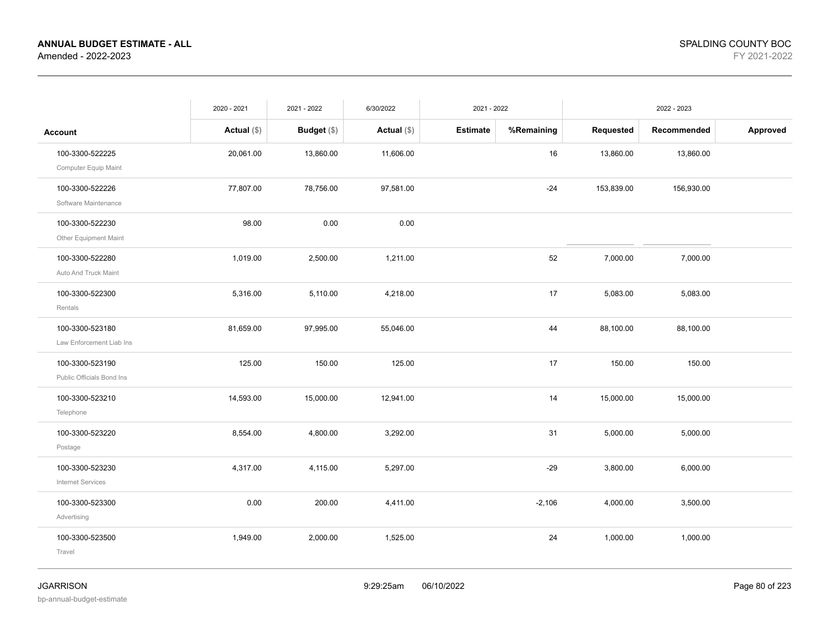|                                              | 2020 - 2021   | 2021 - 2022   | 6/30/2022     | 2021 - 2022     |            | 2022 - 2023 |             |          |
|----------------------------------------------|---------------|---------------|---------------|-----------------|------------|-------------|-------------|----------|
| <b>Account</b>                               | Actual $(\$)$ | Budget $(\$)$ | Actual $(\$)$ | <b>Estimate</b> | %Remaining | Requested   | Recommended | Approved |
| 100-3300-522225<br>Computer Equip Maint      | 20,061.00     | 13,860.00     | 11,606.00     |                 | 16         | 13,860.00   | 13,860.00   |          |
| 100-3300-522226<br>Software Maintenance      | 77,807.00     | 78,756.00     | 97,581.00     |                 | $-24$      | 153,839.00  | 156,930.00  |          |
| 100-3300-522230<br>Other Equipment Maint     | 98.00         | 0.00          | 0.00          |                 |            |             |             |          |
| 100-3300-522280<br>Auto And Truck Maint      | 1,019.00      | 2,500.00      | 1,211.00      |                 | 52         | 7,000.00    | 7,000.00    |          |
| 100-3300-522300<br>Rentals                   | 5,316.00      | 5,110.00      | 4,218.00      |                 | 17         | 5,083.00    | 5,083.00    |          |
| 100-3300-523180<br>Law Enforcement Liab Ins  | 81,659.00     | 97,995.00     | 55,046.00     |                 | 44         | 88,100.00   | 88,100.00   |          |
| 100-3300-523190<br>Public Officials Bond Ins | 125.00        | 150.00        | 125.00        |                 | 17         | 150.00      | 150.00      |          |
| 100-3300-523210<br>Telephone                 | 14,593.00     | 15,000.00     | 12,941.00     |                 | 14         | 15,000.00   | 15,000.00   |          |
| 100-3300-523220<br>Postage                   | 8,554.00      | 4,800.00      | 3,292.00      |                 | 31         | 5,000.00    | 5,000.00    |          |
| 100-3300-523230<br><b>Internet Services</b>  | 4,317.00      | 4,115.00      | 5,297.00      |                 | $-29$      | 3,800.00    | 6,000.00    |          |
| 100-3300-523300<br>Advertising               | 0.00          | 200.00        | 4,411.00      |                 | $-2,106$   | 4,000.00    | 3,500.00    |          |
| 100-3300-523500<br>Travel                    | 1,949.00      | 2,000.00      | 1,525.00      |                 | 24         | 1,000.00    | 1,000.00    |          |
|                                              |               |               |               |                 |            |             |             |          |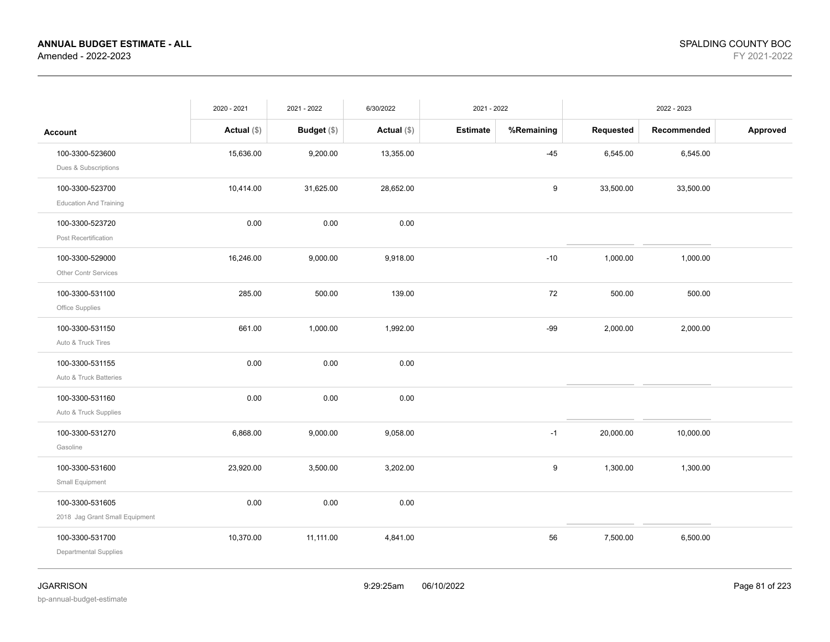|                                | 2020 - 2021   | 2021 - 2022        | 6/30/2022     | 2021 - 2022     |            |           |             |          |
|--------------------------------|---------------|--------------------|---------------|-----------------|------------|-----------|-------------|----------|
| <b>Account</b>                 | Actual $(\$)$ | <b>Budget</b> (\$) | Actual $(\$)$ | <b>Estimate</b> | %Remaining | Requested | Recommended | Approved |
| 100-3300-523600                | 15,636.00     | 9,200.00           | 13,355.00     |                 | $-45$      | 6,545.00  | 6,545.00    |          |
| Dues & Subscriptions           |               |                    |               |                 |            |           |             |          |
| 100-3300-523700                | 10,414.00     | 31,625.00          | 28,652.00     |                 | 9          | 33,500.00 | 33,500.00   |          |
| <b>Education And Training</b>  |               |                    |               |                 |            |           |             |          |
| 100-3300-523720                | 0.00          | 0.00               | 0.00          |                 |            |           |             |          |
| Post Recertification           |               |                    |               |                 |            |           |             |          |
| 100-3300-529000                | 16,246.00     | 9,000.00           | 9,918.00      |                 | $-10$      | 1,000.00  | 1,000.00    |          |
| Other Contr Services           |               |                    |               |                 |            |           |             |          |
| 100-3300-531100                | 285.00        | 500.00             | 139.00        |                 | 72         | 500.00    | 500.00      |          |
| Office Supplies                |               |                    |               |                 |            |           |             |          |
| 100-3300-531150                | 661.00        | 1,000.00           | 1,992.00      |                 | $-99$      | 2,000.00  | 2,000.00    |          |
| Auto & Truck Tires             |               |                    |               |                 |            |           |             |          |
| 100-3300-531155                | 0.00          | 0.00               | 0.00          |                 |            |           |             |          |
| Auto & Truck Batteries         |               |                    |               |                 |            |           |             |          |
| 100-3300-531160                | 0.00          | 0.00               | $0.00\,$      |                 |            |           |             |          |
| Auto & Truck Supplies          |               |                    |               |                 |            |           |             |          |
| 100-3300-531270                | 6,868.00      | 9,000.00           | 9,058.00      |                 | $-1$       | 20,000.00 | 10,000.00   |          |
| Gasoline                       |               |                    |               |                 |            |           |             |          |
| 100-3300-531600                | 23,920.00     | 3,500.00           | 3,202.00      |                 | 9          | 1,300.00  | 1,300.00    |          |
| Small Equipment                |               |                    |               |                 |            |           |             |          |
| 100-3300-531605                | 0.00          | 0.00               | 0.00          |                 |            |           |             |          |
| 2018 Jag Grant Small Equipment |               |                    |               |                 |            |           |             |          |
| 100-3300-531700                | 10,370.00     | 11,111.00          | 4,841.00      |                 | 56         | 7,500.00  | 6,500.00    |          |
| Departmental Supplies          |               |                    |               |                 |            |           |             |          |
|                                |               |                    |               |                 |            |           |             |          |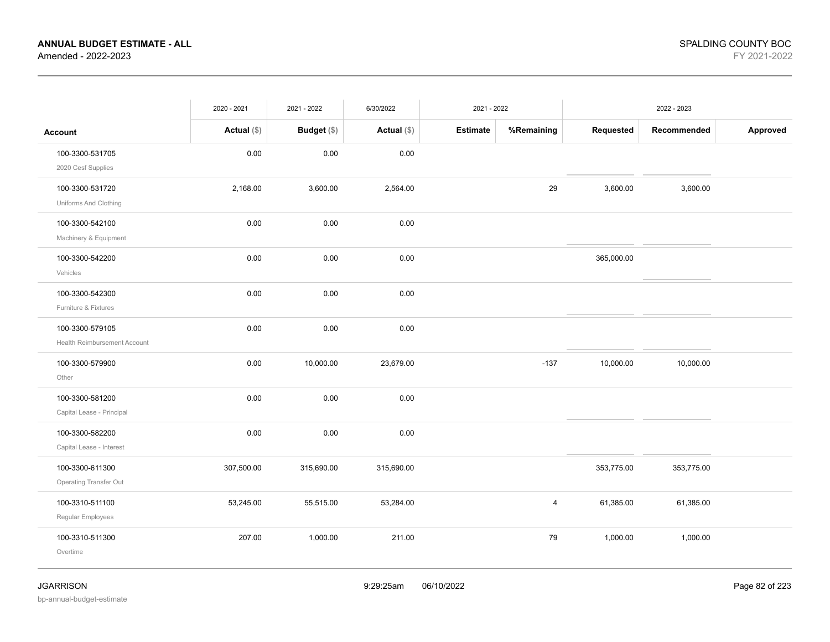|                                                 | 2020 - 2021   | 2021 - 2022 | 6/30/2022     | 2021 - 2022     |            | 2022 - 2023 |             |          |
|-------------------------------------------------|---------------|-------------|---------------|-----------------|------------|-------------|-------------|----------|
| <b>Account</b>                                  | Actual $(\$)$ | Budget (\$) | Actual $(\$)$ | <b>Estimate</b> | %Remaining | Requested   | Recommended | Approved |
| 100-3300-531705<br>2020 Cesf Supplies           | 0.00          | 0.00        | 0.00          |                 |            |             |             |          |
| 100-3300-531720<br>Uniforms And Clothing        | 2,168.00      | 3,600.00    | 2,564.00      |                 | 29         | 3,600.00    | 3,600.00    |          |
| 100-3300-542100<br>Machinery & Equipment        | 0.00          | 0.00        | 0.00          |                 |            |             |             |          |
| 100-3300-542200<br>Vehicles                     | 0.00          | 0.00        | 0.00          |                 |            | 365,000.00  |             |          |
| 100-3300-542300<br>Furniture & Fixtures         | 0.00          | 0.00        | 0.00          |                 |            |             |             |          |
| 100-3300-579105<br>Health Reimbursement Account | 0.00          | 0.00        | 0.00          |                 |            |             |             |          |
| 100-3300-579900<br>Other                        | 0.00          | 10,000.00   | 23,679.00     |                 | $-137$     | 10,000.00   | 10,000.00   |          |
| 100-3300-581200<br>Capital Lease - Principal    | 0.00          | 0.00        | 0.00          |                 |            |             |             |          |
| 100-3300-582200<br>Capital Lease - Interest     | 0.00          | 0.00        | 0.00          |                 |            |             |             |          |
| 100-3300-611300<br>Operating Transfer Out       | 307,500.00    | 315,690.00  | 315,690.00    |                 |            | 353,775.00  | 353,775.00  |          |
| 100-3310-511100<br>Regular Employees            | 53,245.00     | 55,515.00   | 53,284.00     |                 | 4          | 61,385.00   | 61,385.00   |          |
| 100-3310-511300<br>Overtime                     | 207.00        | 1,000.00    | 211.00        |                 | 79         | 1,000.00    | 1,000.00    |          |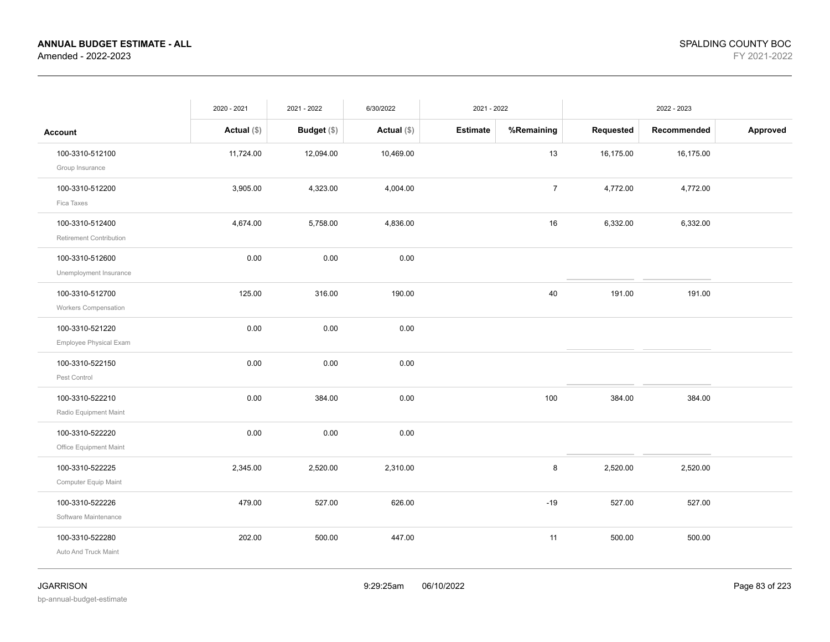|                                                | 2020 - 2021   | 2021 - 2022   | 6/30/2022     | 2021 - 2022     |                | 2022 - 2023 |             |          |
|------------------------------------------------|---------------|---------------|---------------|-----------------|----------------|-------------|-------------|----------|
| <b>Account</b>                                 | Actual $(\$)$ | Budget $(\$)$ | Actual $(\$)$ | <b>Estimate</b> | %Remaining     | Requested   | Recommended | Approved |
| 100-3310-512100<br>Group Insurance             | 11,724.00     | 12,094.00     | 10,469.00     |                 | 13             | 16,175.00   | 16,175.00   |          |
| 100-3310-512200<br>Fica Taxes                  | 3,905.00      | 4,323.00      | 4,004.00      |                 | $\overline{7}$ | 4,772.00    | 4,772.00    |          |
| 100-3310-512400<br>Retirement Contribution     | 4,674.00      | 5,758.00      | 4,836.00      |                 | 16             | 6,332.00    | 6,332.00    |          |
| 100-3310-512600<br>Unemployment Insurance      | 0.00          | 0.00          | 0.00          |                 |                |             |             |          |
| 100-3310-512700<br><b>Workers Compensation</b> | 125.00        | 316.00        | 190.00        |                 | 40             | 191.00      | 191.00      |          |
| 100-3310-521220<br>Employee Physical Exam      | 0.00          | 0.00          | 0.00          |                 |                |             |             |          |
| 100-3310-522150<br>Pest Control                | 0.00          | 0.00          | 0.00          |                 |                |             |             |          |
| 100-3310-522210<br>Radio Equipment Maint       | 0.00          | 384.00        | 0.00          |                 | 100            | 384.00      | 384.00      |          |
| 100-3310-522220<br>Office Equipment Maint      | 0.00          | 0.00          | 0.00          |                 |                |             |             |          |
| 100-3310-522225<br>Computer Equip Maint        | 2,345.00      | 2,520.00      | 2,310.00      |                 | 8              | 2,520.00    | 2,520.00    |          |
| 100-3310-522226<br>Software Maintenance        | 479.00        | 527.00        | 626.00        |                 | $-19$          | 527.00      | 527.00      |          |
| 100-3310-522280<br>Auto And Truck Maint        | 202.00        | 500.00        | 447.00        |                 | 11             | 500.00      | 500.00      |          |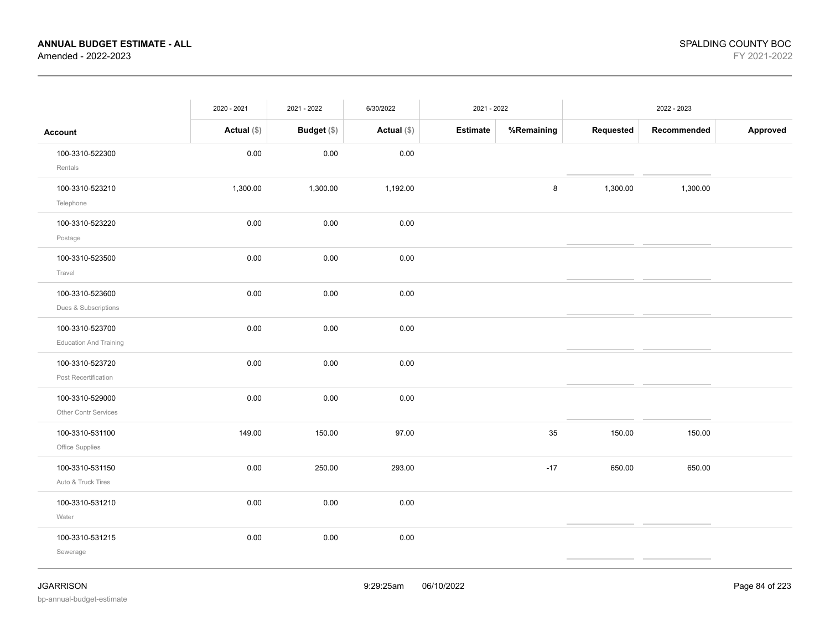|                                                  | 2020 - 2021   | 2021 - 2022 | 6/30/2022     |          | 2021 - 2022<br>2022 - 2023 |           |             |          |
|--------------------------------------------------|---------------|-------------|---------------|----------|----------------------------|-----------|-------------|----------|
| <b>Account</b>                                   | Actual $(\$)$ | Budget (\$) | Actual $(\$)$ | Estimate | %Remaining                 | Requested | Recommended | Approved |
| 100-3310-522300<br>Rentals                       | $0.00\,$      | $0.00\,$    | 0.00          |          |                            |           |             |          |
| 100-3310-523210<br>Telephone                     | 1,300.00      | 1,300.00    | 1,192.00      |          | 8                          | 1,300.00  | 1,300.00    |          |
| 100-3310-523220<br>Postage                       | 0.00          | 0.00        | 0.00          |          |                            |           |             |          |
| 100-3310-523500<br>Travel                        | 0.00          | 0.00        | 0.00          |          |                            |           |             |          |
| 100-3310-523600<br>Dues & Subscriptions          | 0.00          | 0.00        | 0.00          |          |                            |           |             |          |
| 100-3310-523700<br><b>Education And Training</b> | 0.00          | 0.00        | 0.00          |          |                            |           |             |          |
| 100-3310-523720<br>Post Recertification          | 0.00          | 0.00        | 0.00          |          |                            |           |             |          |
| 100-3310-529000<br>Other Contr Services          | 0.00          | 0.00        | 0.00          |          |                            |           |             |          |
| 100-3310-531100<br>Office Supplies               | 149.00        | 150.00      | 97.00         |          | 35                         | 150.00    | 150.00      |          |
| 100-3310-531150<br>Auto & Truck Tires            | 0.00          | 250.00      | 293.00        |          | $-17$                      | 650.00    | 650.00      |          |
| 100-3310-531210<br>Water                         | 0.00          | 0.00        | 0.00          |          |                            |           |             |          |
| 100-3310-531215<br>Sewerage                      | 0.00          | 0.00        | 0.00          |          |                            |           |             |          |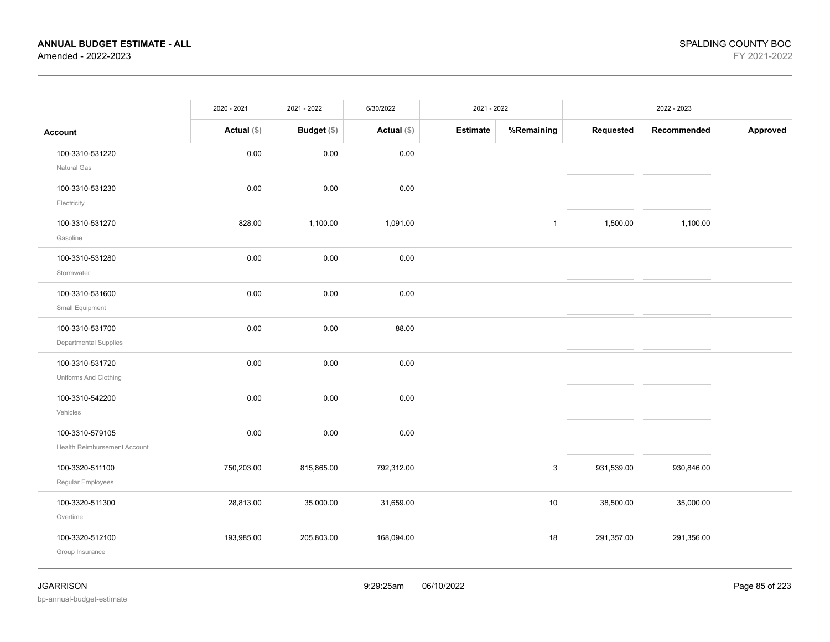|                                                 | 2020 - 2021   | 2021 - 2022 | 6/30/2022     | 2021 - 2022     |              |            | 2022 - 2023 |          |
|-------------------------------------------------|---------------|-------------|---------------|-----------------|--------------|------------|-------------|----------|
| <b>Account</b>                                  | Actual $(\$)$ | Budget (\$) | Actual $(\$)$ | <b>Estimate</b> | %Remaining   | Requested  | Recommended | Approved |
| 100-3310-531220<br>Natural Gas                  | 0.00          | 0.00        | 0.00          |                 |              |            |             |          |
| 100-3310-531230<br>Electricity                  | 0.00          | 0.00        | 0.00          |                 |              |            |             |          |
| 100-3310-531270<br>Gasoline                     | 828.00        | 1,100.00    | 1,091.00      |                 | $\mathbf{1}$ | 1,500.00   | 1,100.00    |          |
| 100-3310-531280<br>Stormwater                   | 0.00          | 0.00        | 0.00          |                 |              |            |             |          |
| 100-3310-531600<br>Small Equipment              | 0.00          | 0.00        | 0.00          |                 |              |            |             |          |
| 100-3310-531700<br>Departmental Supplies        | 0.00          | 0.00        | 88.00         |                 |              |            |             |          |
| 100-3310-531720<br>Uniforms And Clothing        | 0.00          | 0.00        | 0.00          |                 |              |            |             |          |
| 100-3310-542200<br>Vehicles                     | 0.00          | 0.00        | 0.00          |                 |              |            |             |          |
| 100-3310-579105<br>Health Reimbursement Account | 0.00          | 0.00        | 0.00          |                 |              |            |             |          |
| 100-3320-511100<br>Regular Employees            | 750,203.00    | 815,865.00  | 792,312.00    |                 | $\mathbf{3}$ | 931,539.00 | 930,846.00  |          |
| 100-3320-511300<br>Overtime                     | 28,813.00     | 35,000.00   | 31,659.00     |                 | $10$         | 38,500.00  | 35,000.00   |          |
| 100-3320-512100<br>Group Insurance              | 193,985.00    | 205,803.00  | 168,094.00    |                 | 18           | 291,357.00 | 291,356.00  |          |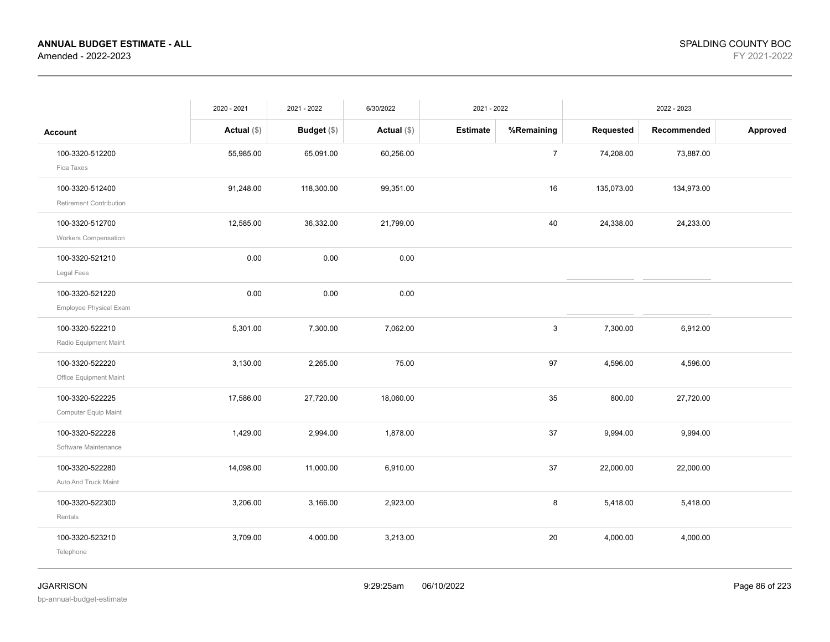|                                                | 2020 - 2021   | 2021 - 2022   | 6/30/2022     | 2021 - 2022     |                |            | 2022 - 2023 |          |
|------------------------------------------------|---------------|---------------|---------------|-----------------|----------------|------------|-------------|----------|
| <b>Account</b>                                 | Actual $(\$)$ | Budget $(\$)$ | Actual $(\$)$ | <b>Estimate</b> | %Remaining     | Requested  | Recommended | Approved |
| 100-3320-512200<br>Fica Taxes                  | 55,985.00     | 65,091.00     | 60,256.00     |                 | $\overline{7}$ | 74,208.00  | 73,887.00   |          |
| 100-3320-512400<br>Retirement Contribution     | 91,248.00     | 118,300.00    | 99,351.00     |                 | 16             | 135,073.00 | 134,973.00  |          |
| 100-3320-512700<br><b>Workers Compensation</b> | 12,585.00     | 36,332.00     | 21,799.00     |                 | 40             | 24,338.00  | 24,233.00   |          |
| 100-3320-521210<br>Legal Fees                  | 0.00          | 0.00          | 0.00          |                 |                |            |             |          |
| 100-3320-521220<br>Employee Physical Exam      | 0.00          | 0.00          | 0.00          |                 |                |            |             |          |
| 100-3320-522210<br>Radio Equipment Maint       | 5,301.00      | 7,300.00      | 7,062.00      |                 | 3              | 7,300.00   | 6,912.00    |          |
| 100-3320-522220<br>Office Equipment Maint      | 3,130.00      | 2,265.00      | 75.00         |                 | 97             | 4,596.00   | 4,596.00    |          |
| 100-3320-522225<br>Computer Equip Maint        | 17,586.00     | 27,720.00     | 18,060.00     |                 | 35             | 800.00     | 27,720.00   |          |
| 100-3320-522226<br>Software Maintenance        | 1,429.00      | 2,994.00      | 1,878.00      |                 | 37             | 9,994.00   | 9,994.00    |          |
| 100-3320-522280<br>Auto And Truck Maint        | 14,098.00     | 11,000.00     | 6,910.00      |                 | 37             | 22,000.00  | 22,000.00   |          |
| 100-3320-522300<br>Rentals                     | 3,206.00      | 3,166.00      | 2,923.00      |                 | 8              | 5,418.00   | 5,418.00    |          |
| 100-3320-523210<br>Telephone                   | 3,709.00      | 4,000.00      | 3,213.00      |                 | 20             | 4,000.00   | 4,000.00    |          |
|                                                |               |               |               |                 |                |            |             |          |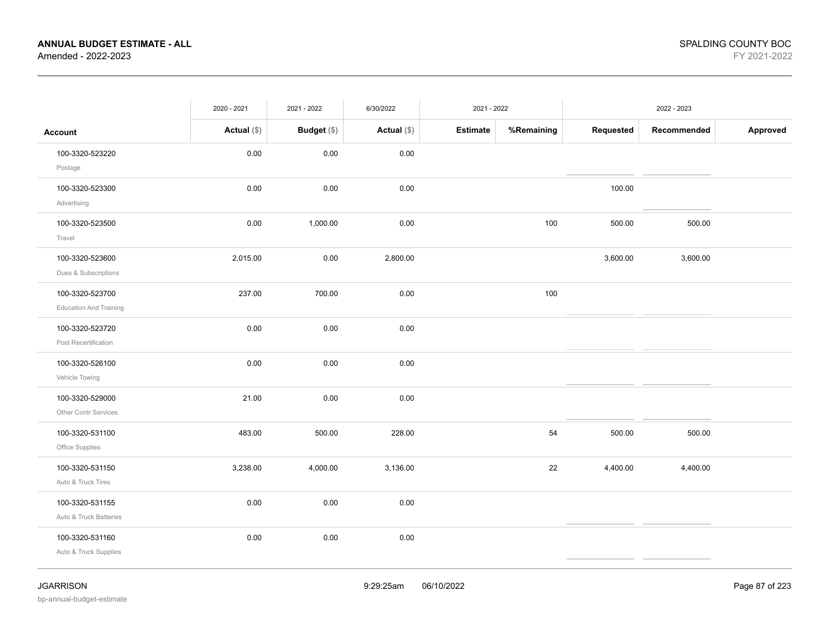|                                                  | 2020 - 2021   | 2021 - 2022 | 6/30/2022   | 2021 - 2022     |            |           | 2022 - 2023 |          |
|--------------------------------------------------|---------------|-------------|-------------|-----------------|------------|-----------|-------------|----------|
| <b>Account</b>                                   | Actual $(\$)$ | Budget (\$) | Actual (\$) | <b>Estimate</b> | %Remaining | Requested | Recommended | Approved |
| 100-3320-523220<br>Postage                       | 0.00          | 0.00        | 0.00        |                 |            |           |             |          |
| 100-3320-523300<br>Advertising                   | 0.00          | 0.00        | 0.00        |                 |            | 100.00    |             |          |
| 100-3320-523500<br>Travel                        | 0.00          | 1,000.00    | 0.00        |                 | 100        | 500.00    | 500.00      |          |
| 100-3320-523600<br>Dues & Subscriptions          | 2,015.00      | 0.00        | 2,800.00    |                 |            | 3,600.00  | 3,600.00    |          |
| 100-3320-523700<br><b>Education And Training</b> | 237.00        | 700.00      | 0.00        |                 | 100        |           |             |          |
| 100-3320-523720<br>Post Recertification          | 0.00          | 0.00        | 0.00        |                 |            |           |             |          |
| 100-3320-526100<br>Vehicle Towing                | 0.00          | 0.00        | 0.00        |                 |            |           |             |          |
| 100-3320-529000<br>Other Contr Services          | 21.00         | 0.00        | 0.00        |                 |            |           |             |          |
| 100-3320-531100<br>Office Supplies               | 483.00        | 500.00      | 228.00      |                 | 54         | 500.00    | 500.00      |          |
| 100-3320-531150<br>Auto & Truck Tires            | 3,238.00      | 4,000.00    | 3,136.00    |                 | 22         | 4,400.00  | 4,400.00    |          |
| 100-3320-531155<br>Auto & Truck Batteries        | 0.00          | 0.00        | 0.00        |                 |            |           |             |          |
| 100-3320-531160<br>Auto & Truck Supplies         | 0.00          | 0.00        | 0.00        |                 |            |           |             |          |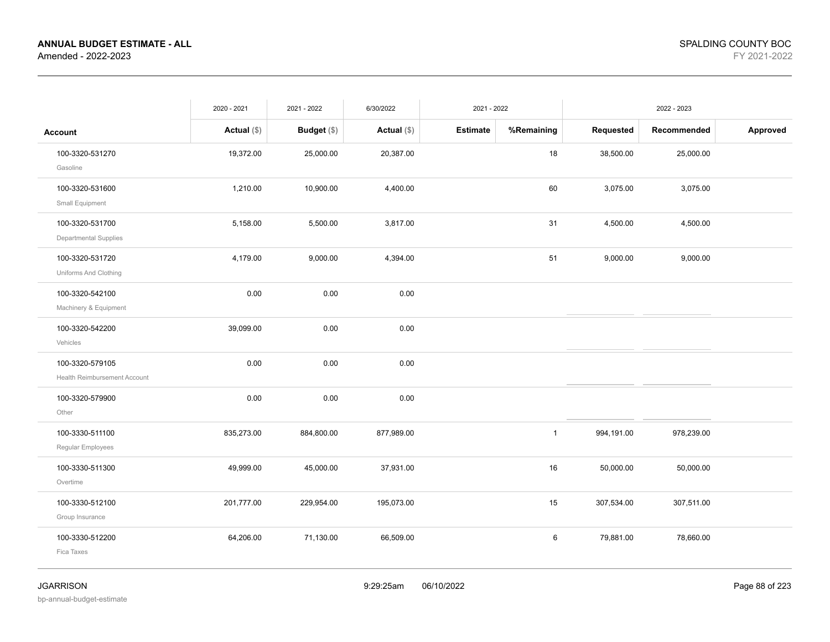|                              | 2020 - 2021   | 2021 - 2022        | 6/30/2022     | 2021 - 2022     |                |            | 2022 - 2023 |          |
|------------------------------|---------------|--------------------|---------------|-----------------|----------------|------------|-------------|----------|
| <b>Account</b>               | Actual $(\$)$ | <b>Budget</b> (\$) | Actual $(\$)$ | <b>Estimate</b> | %Remaining     | Requested  | Recommended | Approved |
| 100-3320-531270              | 19,372.00     | 25,000.00          | 20,387.00     |                 | 18             | 38,500.00  | 25,000.00   |          |
| Gasoline                     |               |                    |               |                 |                |            |             |          |
| 100-3320-531600              | 1,210.00      | 10,900.00          | 4,400.00      |                 | 60             | 3,075.00   | 3,075.00    |          |
| Small Equipment              |               |                    |               |                 |                |            |             |          |
| 100-3320-531700              | 5,158.00      | 5,500.00           | 3,817.00      |                 | 31             | 4,500.00   | 4,500.00    |          |
| Departmental Supplies        |               |                    |               |                 |                |            |             |          |
| 100-3320-531720              | 4,179.00      | 9,000.00           | 4,394.00      |                 | 51             | 9,000.00   | 9,000.00    |          |
| Uniforms And Clothing        |               |                    |               |                 |                |            |             |          |
| 100-3320-542100              | 0.00          | 0.00               | 0.00          |                 |                |            |             |          |
| Machinery & Equipment        |               |                    |               |                 |                |            |             |          |
| 100-3320-542200              | 39,099.00     | 0.00               | 0.00          |                 |                |            |             |          |
| Vehicles                     |               |                    |               |                 |                |            |             |          |
| 100-3320-579105              | 0.00          | 0.00               | 0.00          |                 |                |            |             |          |
| Health Reimbursement Account |               |                    |               |                 |                |            |             |          |
| 100-3320-579900              | 0.00          | 0.00               | 0.00          |                 |                |            |             |          |
| Other                        |               |                    |               |                 |                |            |             |          |
| 100-3330-511100              | 835,273.00    | 884,800.00         | 877,989.00    |                 | $\overline{1}$ | 994,191.00 | 978,239.00  |          |
| Regular Employees            |               |                    |               |                 |                |            |             |          |
| 100-3330-511300              | 49,999.00     | 45,000.00          | 37,931.00     |                 | 16             | 50,000.00  | 50,000.00   |          |
| Overtime                     |               |                    |               |                 |                |            |             |          |
| 100-3330-512100              | 201,777.00    | 229,954.00         | 195,073.00    |                 | 15             | 307,534.00 | 307,511.00  |          |
| Group Insurance              |               |                    |               |                 |                |            |             |          |
| 100-3330-512200              | 64,206.00     | 71,130.00          | 66,509.00     |                 | 6              | 79,881.00  | 78,660.00   |          |
| Fica Taxes                   |               |                    |               |                 |                |            |             |          |
|                              |               |                    |               |                 |                |            |             |          |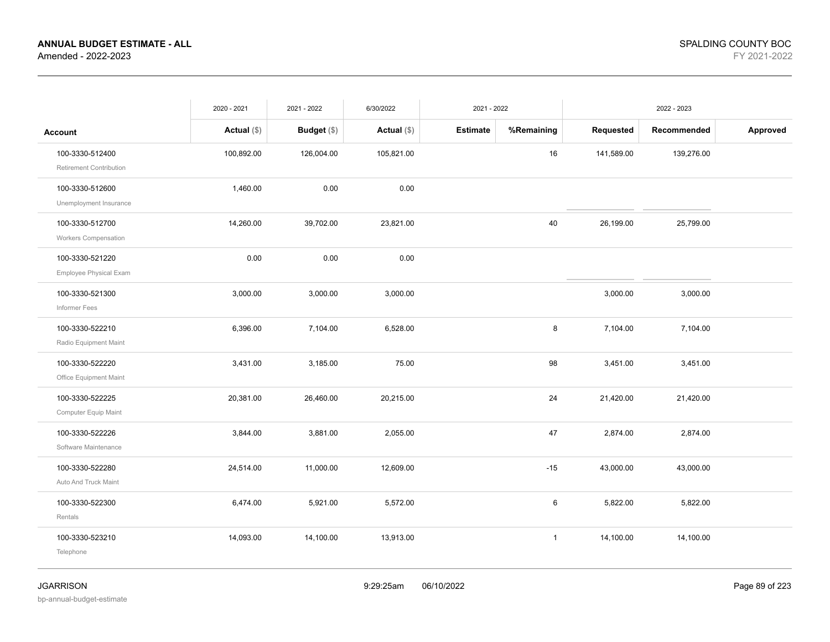|                                                | 2020 - 2021   | 2021 - 2022        | 6/30/2022     | 2021 - 2022     |              |            | 2022 - 2023 |          |
|------------------------------------------------|---------------|--------------------|---------------|-----------------|--------------|------------|-------------|----------|
| <b>Account</b>                                 | Actual $(\$)$ | <b>Budget</b> (\$) | Actual $(\$)$ | <b>Estimate</b> | %Remaining   | Requested  | Recommended | Approved |
| 100-3330-512400<br>Retirement Contribution     | 100,892.00    | 126,004.00         | 105,821.00    |                 | 16           | 141,589.00 | 139,276.00  |          |
| 100-3330-512600<br>Unemployment Insurance      | 1,460.00      | 0.00               | 0.00          |                 |              |            |             |          |
| 100-3330-512700<br><b>Workers Compensation</b> | 14,260.00     | 39,702.00          | 23,821.00     |                 | 40           | 26,199.00  | 25,799.00   |          |
| 100-3330-521220<br>Employee Physical Exam      | 0.00          | 0.00               | 0.00          |                 |              |            |             |          |
| 100-3330-521300<br>Informer Fees               | 3,000.00      | 3,000.00           | 3,000.00      |                 |              | 3,000.00   | 3,000.00    |          |
| 100-3330-522210<br>Radio Equipment Maint       | 6,396.00      | 7,104.00           | 6,528.00      |                 | 8            | 7,104.00   | 7,104.00    |          |
| 100-3330-522220<br>Office Equipment Maint      | 3,431.00      | 3,185.00           | 75.00         |                 | 98           | 3,451.00   | 3,451.00    |          |
| 100-3330-522225<br>Computer Equip Maint        | 20,381.00     | 26,460.00          | 20,215.00     |                 | 24           | 21,420.00  | 21,420.00   |          |
| 100-3330-522226<br>Software Maintenance        | 3,844.00      | 3,881.00           | 2,055.00      |                 | 47           | 2,874.00   | 2,874.00    |          |
| 100-3330-522280<br>Auto And Truck Maint        | 24,514.00     | 11,000.00          | 12,609.00     |                 | $-15$        | 43,000.00  | 43,000.00   |          |
| 100-3330-522300<br>Rentals                     | 6,474.00      | 5,921.00           | 5,572.00      |                 | 6            | 5,822.00   | 5,822.00    |          |
| 100-3330-523210<br>Telephone                   | 14,093.00     | 14,100.00          | 13,913.00     |                 | $\mathbf{1}$ | 14,100.00  | 14,100.00   |          |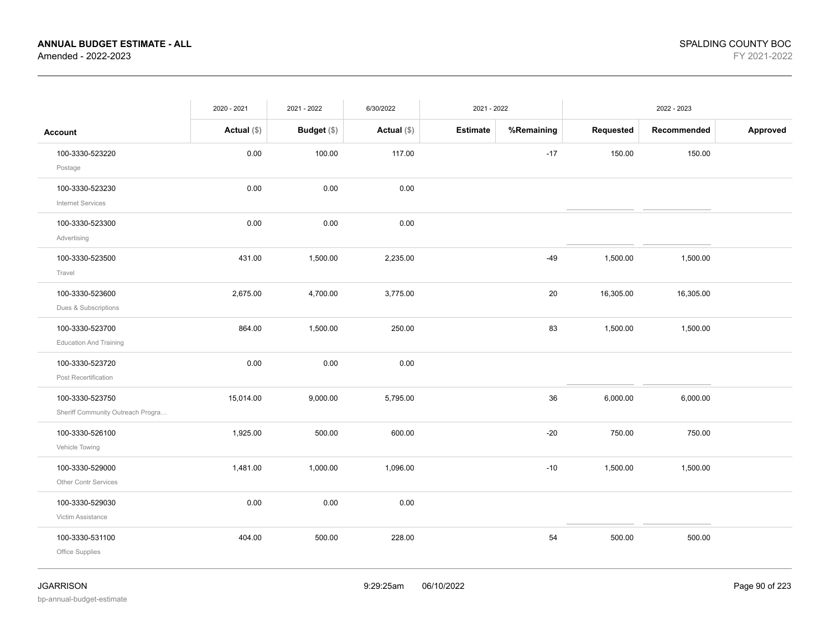|                                                      | 2020 - 2021   | 2021 - 2022 | 6/30/2022     | 2021 - 2022     |            |           | 2022 - 2023 |          |
|------------------------------------------------------|---------------|-------------|---------------|-----------------|------------|-----------|-------------|----------|
| <b>Account</b>                                       | Actual $(\$)$ | Budget (\$) | Actual $(\$)$ | <b>Estimate</b> | %Remaining | Requested | Recommended | Approved |
| 100-3330-523220<br>Postage                           | 0.00          | 100.00      | 117.00        |                 | $-17$      | 150.00    | 150.00      |          |
| 100-3330-523230<br><b>Internet Services</b>          | 0.00          | 0.00        | 0.00          |                 |            |           |             |          |
| 100-3330-523300<br>Advertising                       | 0.00          | 0.00        | 0.00          |                 |            |           |             |          |
| 100-3330-523500<br>Travel                            | 431.00        | 1,500.00    | 2,235.00      |                 | $-49$      | 1,500.00  | 1,500.00    |          |
| 100-3330-523600<br>Dues & Subscriptions              | 2,675.00      | 4,700.00    | 3,775.00      |                 | 20         | 16,305.00 | 16,305.00   |          |
| 100-3330-523700<br><b>Education And Training</b>     | 864.00        | 1,500.00    | 250.00        |                 | 83         | 1,500.00  | 1,500.00    |          |
| 100-3330-523720<br>Post Recertification              | 0.00          | 0.00        | 0.00          |                 |            |           |             |          |
| 100-3330-523750<br>Sheriff Community Outreach Progra | 15,014.00     | 9,000.00    | 5,795.00      |                 | 36         | 6,000.00  | 6,000.00    |          |
| 100-3330-526100<br>Vehicle Towing                    | 1,925.00      | 500.00      | 600.00        |                 | $-20$      | 750.00    | 750.00      |          |
| 100-3330-529000<br><b>Other Contr Services</b>       | 1,481.00      | 1,000.00    | 1,096.00      |                 | $-10$      | 1,500.00  | 1,500.00    |          |
| 100-3330-529030<br>Victim Assistance                 | 0.00          | $0.00\,$    | 0.00          |                 |            |           |             |          |
| 100-3330-531100<br>Office Supplies                   | 404.00        | 500.00      | 228.00        |                 | 54         | 500.00    | 500.00      |          |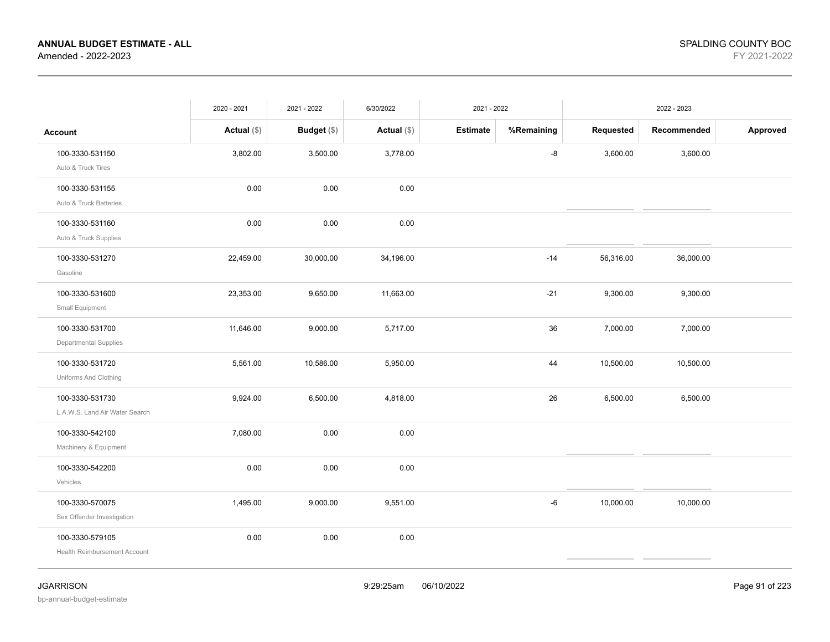|                                                   | 2020 - 2021   | 2021 - 2022        | 6/30/2022     | 2021 - 2022     |            |           | 2022 - 2023 |          |
|---------------------------------------------------|---------------|--------------------|---------------|-----------------|------------|-----------|-------------|----------|
| <b>Account</b>                                    | Actual $(\$)$ | <b>Budget</b> (\$) | Actual $(\$)$ | <b>Estimate</b> | %Remaining | Requested | Recommended | Approved |
| 100-3330-531150<br>Auto & Truck Tires             | 3,802.00      | 3,500.00           | 3,778.00      |                 | -8         | 3,600.00  | 3,600.00    |          |
| 100-3330-531155<br>Auto & Truck Batteries         | 0.00          | 0.00               | 0.00          |                 |            |           |             |          |
| 100-3330-531160<br>Auto & Truck Supplies          | 0.00          | 0.00               | 0.00          |                 |            |           |             |          |
| 100-3330-531270<br>Gasoline                       | 22,459.00     | 30,000.00          | 34,196.00     |                 | $-14$      | 56,316.00 | 36,000.00   |          |
| 100-3330-531600<br>Small Equipment                | 23,353.00     | 9,650.00           | 11,663.00     |                 | $-21$      | 9,300.00  | 9,300.00    |          |
| 100-3330-531700<br>Departmental Supplies          | 11,646.00     | 9,000.00           | 5,717.00      |                 | 36         | 7,000.00  | 7,000.00    |          |
| 100-3330-531720<br>Uniforms And Clothing          | 5,561.00      | 10,586.00          | 5,950.00      |                 | 44         | 10,500.00 | 10,500.00   |          |
| 100-3330-531730<br>L.A.W.S. Land Air Water Search | 9,924.00      | 6,500.00           | 4,818.00      |                 | 26         | 6,500.00  | 6,500.00    |          |
| 100-3330-542100<br>Machinery & Equipment          | 7,080.00      | 0.00               | 0.00          |                 |            |           |             |          |
| 100-3330-542200<br>Vehicles                       | 0.00          | 0.00               | 0.00          |                 |            |           |             |          |
| 100-3330-570075<br>Sex Offender Investigation     | 1,495.00      | 9,000.00           | 9,551.00      |                 | -6         | 10,000.00 | 10,000.00   |          |
| 100-3330-579105<br>Health Reimbursement Account   | 0.00          | $0.00\,$           | 0.00          |                 |            |           |             |          |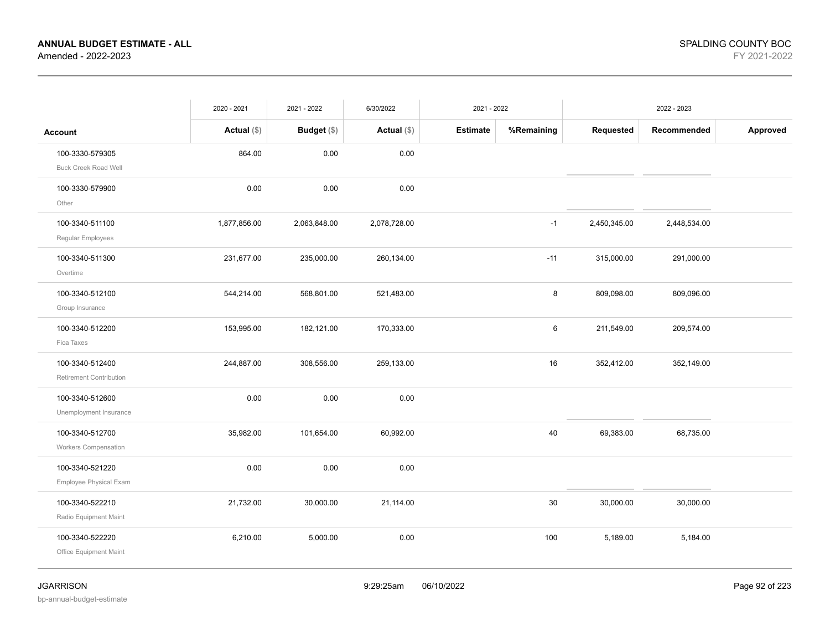|                                                  | 2020 - 2021   | 2021 - 2022  | 6/30/2022     | 2021 - 2022     |            |              | 2022 - 2023  |          |
|--------------------------------------------------|---------------|--------------|---------------|-----------------|------------|--------------|--------------|----------|
| <b>Account</b>                                   | Actual $(\$)$ | Budget (\$)  | Actual $(\$)$ | <b>Estimate</b> | %Remaining | Requested    | Recommended  | Approved |
| 100-3330-579305<br><b>Buck Creek Road Well</b>   | 864.00        | 0.00         | 0.00          |                 |            |              |              |          |
| 100-3330-579900<br>Other                         | 0.00          | 0.00         | 0.00          |                 |            |              |              |          |
| 100-3340-511100<br>Regular Employees             | 1,877,856.00  | 2,063,848.00 | 2,078,728.00  |                 | $-1$       | 2,450,345.00 | 2,448,534.00 |          |
| 100-3340-511300<br>Overtime                      | 231,677.00    | 235,000.00   | 260,134.00    |                 | $-11$      | 315,000.00   | 291,000.00   |          |
| 100-3340-512100<br>Group Insurance               | 544,214.00    | 568,801.00   | 521,483.00    |                 | $\bf 8$    | 809,098.00   | 809,096.00   |          |
| 100-3340-512200<br>Fica Taxes                    | 153,995.00    | 182,121.00   | 170,333.00    |                 | 6          | 211,549.00   | 209,574.00   |          |
| 100-3340-512400<br>Retirement Contribution       | 244,887.00    | 308,556.00   | 259,133.00    |                 | 16         | 352,412.00   | 352,149.00   |          |
| 100-3340-512600<br>Unemployment Insurance        | 0.00          | 0.00         | 0.00          |                 |            |              |              |          |
| 100-3340-512700<br>Workers Compensation          | 35,982.00     | 101,654.00   | 60,992.00     |                 | 40         | 69,383.00    | 68,735.00    |          |
| 100-3340-521220<br><b>Employee Physical Exam</b> | 0.00          | 0.00         | 0.00          |                 |            |              |              |          |
| 100-3340-522210<br>Radio Equipment Maint         | 21,732.00     | 30,000.00    | 21,114.00     |                 | 30         | 30,000.00    | 30,000.00    |          |
| 100-3340-522220<br>Office Equipment Maint        | 6,210.00      | 5,000.00     | 0.00          |                 | 100        | 5,189.00     | 5,184.00     |          |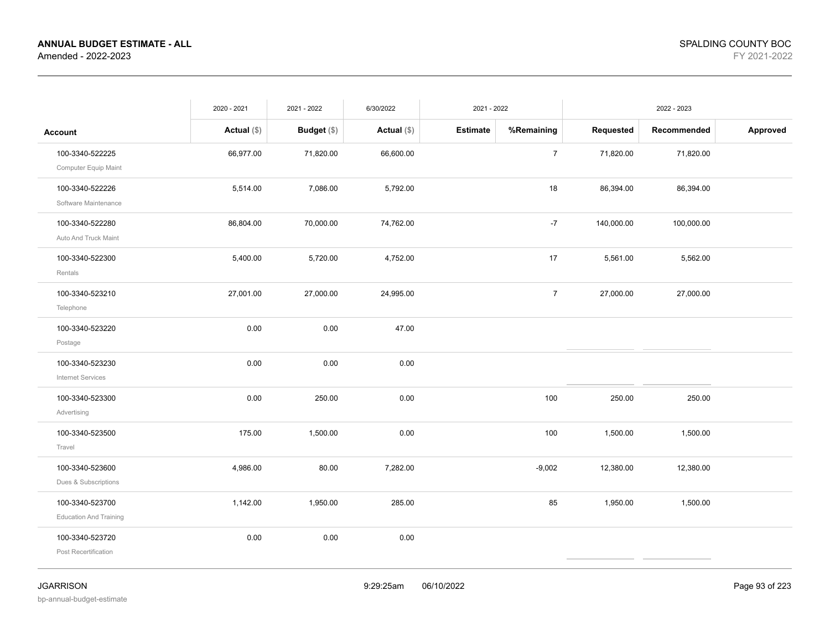|                                                  | 2020 - 2021   | 2021 - 2022        | 6/30/2022     | 2021 - 2022     |                |            | 2022 - 2023 |          |
|--------------------------------------------------|---------------|--------------------|---------------|-----------------|----------------|------------|-------------|----------|
| <b>Account</b>                                   | Actual $(\$)$ | <b>Budget</b> (\$) | Actual $(\$)$ | <b>Estimate</b> | %Remaining     | Requested  | Recommended | Approved |
| 100-3340-522225<br>Computer Equip Maint          | 66,977.00     | 71,820.00          | 66,600.00     |                 | $\overline{7}$ | 71,820.00  | 71,820.00   |          |
| 100-3340-522226<br>Software Maintenance          | 5,514.00      | 7,086.00           | 5,792.00      |                 | 18             | 86,394.00  | 86,394.00   |          |
| 100-3340-522280<br>Auto And Truck Maint          | 86,804.00     | 70,000.00          | 74,762.00     |                 | $-7$           | 140,000.00 | 100,000.00  |          |
| 100-3340-522300<br>Rentals                       | 5,400.00      | 5,720.00           | 4,752.00      |                 | 17             | 5,561.00   | 5,562.00    |          |
| 100-3340-523210<br>Telephone                     | 27,001.00     | 27,000.00          | 24,995.00     |                 | $\overline{7}$ | 27,000.00  | 27,000.00   |          |
| 100-3340-523220<br>Postage                       | 0.00          | 0.00               | 47.00         |                 |                |            |             |          |
| 100-3340-523230<br>Internet Services             | 0.00          | 0.00               | 0.00          |                 |                |            |             |          |
| 100-3340-523300<br>Advertising                   | 0.00          | 250.00             | 0.00          |                 | 100            | 250.00     | 250.00      |          |
| 100-3340-523500<br>Travel                        | 175.00        | 1,500.00           | 0.00          |                 | 100            | 1,500.00   | 1,500.00    |          |
| 100-3340-523600<br>Dues & Subscriptions          | 4,986.00      | 80.00              | 7,282.00      |                 | $-9,002$       | 12,380.00  | 12,380.00   |          |
| 100-3340-523700<br><b>Education And Training</b> | 1,142.00      | 1,950.00           | 285.00        |                 | 85             | 1,950.00   | 1,500.00    |          |
| 100-3340-523720<br>Post Recertification          | 0.00          | 0.00               | 0.00          |                 |                |            |             |          |

JGARRISON 9:29:25am 06/10/2022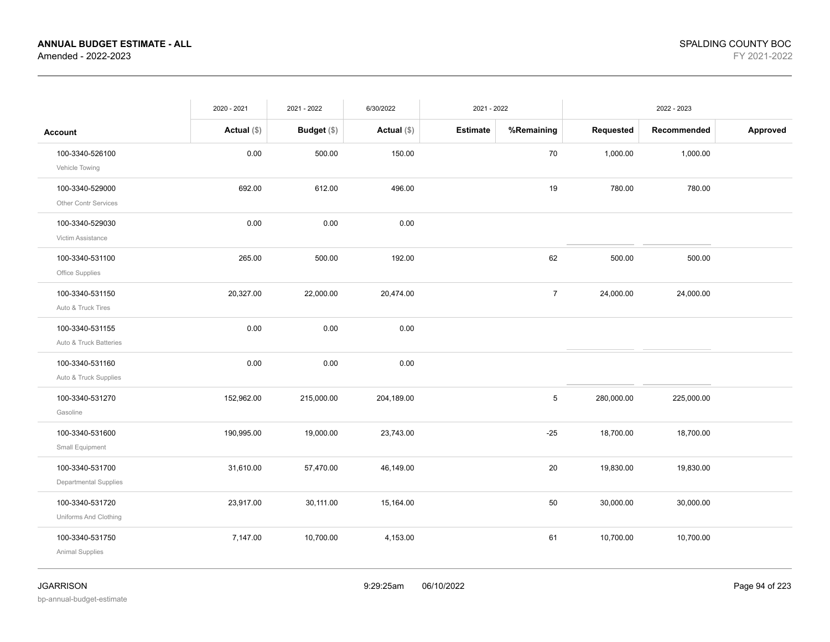|                                           | 2020 - 2021   | 2021 - 2022   | 6/30/2022     | 2021 - 2022     |                |            | 2022 - 2023 |          |
|-------------------------------------------|---------------|---------------|---------------|-----------------|----------------|------------|-------------|----------|
| <b>Account</b>                            | Actual $(\$)$ | Budget $(\$)$ | Actual $(\$)$ | <b>Estimate</b> | %Remaining     | Requested  | Recommended | Approved |
| 100-3340-526100<br>Vehicle Towing         | 0.00          | 500.00        | 150.00        |                 | 70             | 1,000.00   | 1,000.00    |          |
| 100-3340-529000<br>Other Contr Services   | 692.00        | 612.00        | 496.00        |                 | 19             | 780.00     | 780.00      |          |
| 100-3340-529030<br>Victim Assistance      | 0.00          | 0.00          | 0.00          |                 |                |            |             |          |
| 100-3340-531100<br>Office Supplies        | 265.00        | 500.00        | 192.00        |                 | 62             | 500.00     | 500.00      |          |
| 100-3340-531150<br>Auto & Truck Tires     | 20,327.00     | 22,000.00     | 20,474.00     |                 | $\overline{7}$ | 24,000.00  | 24,000.00   |          |
| 100-3340-531155<br>Auto & Truck Batteries | 0.00          | 0.00          | 0.00          |                 |                |            |             |          |
| 100-3340-531160<br>Auto & Truck Supplies  | 0.00          | 0.00          | 0.00          |                 |                |            |             |          |
| 100-3340-531270<br>Gasoline               | 152,962.00    | 215,000.00    | 204,189.00    |                 | 5              | 280,000.00 | 225,000.00  |          |
| 100-3340-531600<br>Small Equipment        | 190,995.00    | 19,000.00     | 23,743.00     |                 | $-25$          | 18,700.00  | 18,700.00   |          |
| 100-3340-531700<br>Departmental Supplies  | 31,610.00     | 57,470.00     | 46,149.00     |                 | 20             | 19,830.00  | 19,830.00   |          |
| 100-3340-531720<br>Uniforms And Clothing  | 23,917.00     | 30,111.00     | 15,164.00     |                 | 50             | 30,000.00  | 30,000.00   |          |
| 100-3340-531750<br>Animal Supplies        | 7,147.00      | 10,700.00     | 4,153.00      |                 | 61             | 10,700.00  | 10,700.00   |          |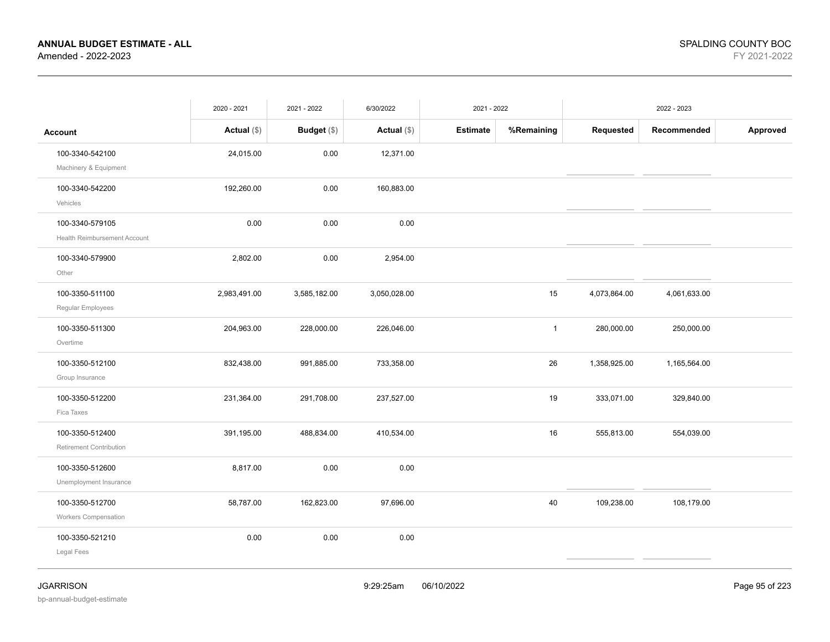|                              | 2020 - 2021   | 2021 - 2022  | 6/30/2022    | 2021 - 2022     |              |              | 2022 - 2023  |          |
|------------------------------|---------------|--------------|--------------|-----------------|--------------|--------------|--------------|----------|
| <b>Account</b>               | Actual $(\$)$ | Budget (\$)  | Actual (\$)  | <b>Estimate</b> | %Remaining   | Requested    | Recommended  | Approved |
| 100-3340-542100              | 24,015.00     | 0.00         | 12,371.00    |                 |              |              |              |          |
| Machinery & Equipment        |               |              |              |                 |              |              |              |          |
| 100-3340-542200              | 192,260.00    | 0.00         | 160,883.00   |                 |              |              |              |          |
| Vehicles                     |               |              |              |                 |              |              |              |          |
| 100-3340-579105              | 0.00          | 0.00         | 0.00         |                 |              |              |              |          |
| Health Reimbursement Account |               |              |              |                 |              |              |              |          |
| 100-3340-579900              | 2,802.00      | 0.00         | 2,954.00     |                 |              |              |              |          |
| Other                        |               |              |              |                 |              |              |              |          |
| 100-3350-511100              | 2,983,491.00  | 3,585,182.00 | 3,050,028.00 |                 | 15           | 4,073,864.00 | 4,061,633.00 |          |
| Regular Employees            |               |              |              |                 |              |              |              |          |
| 100-3350-511300              | 204,963.00    | 228,000.00   | 226,046.00   |                 | $\mathbf{1}$ | 280,000.00   | 250,000.00   |          |
| Overtime                     |               |              |              |                 |              |              |              |          |
| 100-3350-512100              | 832,438.00    | 991,885.00   | 733,358.00   |                 | 26           | 1,358,925.00 | 1,165,564.00 |          |
| Group Insurance              |               |              |              |                 |              |              |              |          |
| 100-3350-512200              | 231,364.00    | 291,708.00   | 237,527.00   |                 | 19           | 333,071.00   | 329,840.00   |          |
| Fica Taxes                   |               |              |              |                 |              |              |              |          |
| 100-3350-512400              | 391,195.00    | 488,834.00   | 410,534.00   |                 | 16           | 555,813.00   | 554,039.00   |          |
| Retirement Contribution      |               |              |              |                 |              |              |              |          |
| 100-3350-512600              | 8,817.00      | 0.00         | 0.00         |                 |              |              |              |          |
| Unemployment Insurance       |               |              |              |                 |              |              |              |          |
| 100-3350-512700              | 58,787.00     | 162,823.00   | 97,696.00    |                 | 40           | 109,238.00   | 108,179.00   |          |
| Workers Compensation         |               |              |              |                 |              |              |              |          |
| 100-3350-521210              | 0.00          | 0.00         | 0.00         |                 |              |              |              |          |
| Legal Fees                   |               |              |              |                 |              |              |              |          |
|                              |               |              |              |                 |              |              |              |          |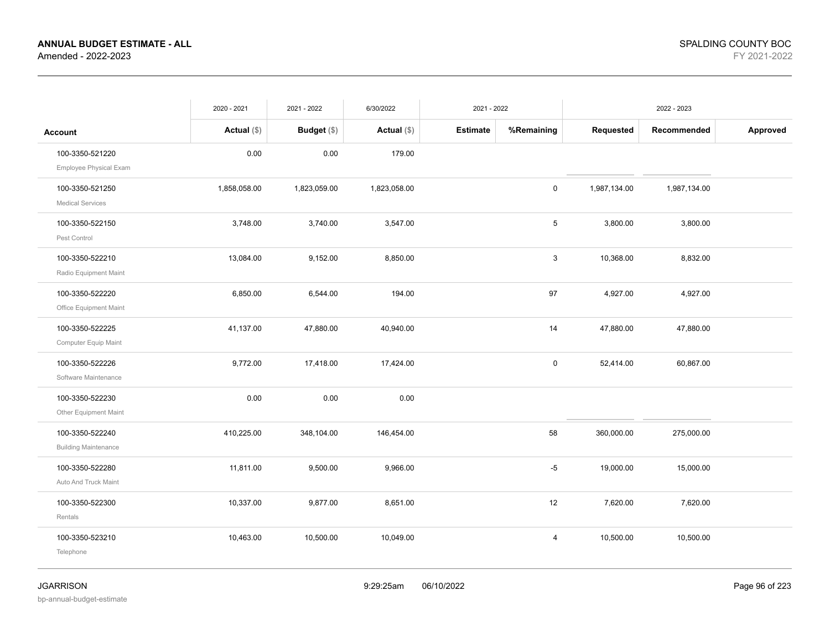|                                                | 2020 - 2021   | 2021 - 2022   | 6/30/2022     | 2021 - 2022     |            |              | 2022 - 2023  |          |
|------------------------------------------------|---------------|---------------|---------------|-----------------|------------|--------------|--------------|----------|
| <b>Account</b>                                 | Actual $(\$)$ | Budget $(\$)$ | Actual $(\$)$ | <b>Estimate</b> | %Remaining | Requested    | Recommended  | Approved |
| 100-3350-521220<br>Employee Physical Exam      | 0.00          | 0.00          | 179.00        |                 |            |              |              |          |
| 100-3350-521250<br><b>Medical Services</b>     | 1,858,058.00  | 1,823,059.00  | 1,823,058.00  |                 | 0          | 1,987,134.00 | 1,987,134.00 |          |
| 100-3350-522150<br>Pest Control                | 3,748.00      | 3,740.00      | 3,547.00      |                 | 5          | 3,800.00     | 3,800.00     |          |
| 100-3350-522210<br>Radio Equipment Maint       | 13,084.00     | 9,152.00      | 8,850.00      |                 | 3          | 10,368.00    | 8,832.00     |          |
| 100-3350-522220<br>Office Equipment Maint      | 6,850.00      | 6,544.00      | 194.00        |                 | 97         | 4,927.00     | 4,927.00     |          |
| 100-3350-522225<br>Computer Equip Maint        | 41,137.00     | 47,880.00     | 40,940.00     |                 | 14         | 47,880.00    | 47,880.00    |          |
| 100-3350-522226<br>Software Maintenance        | 9,772.00      | 17,418.00     | 17,424.00     |                 | 0          | 52,414.00    | 60,867.00    |          |
| 100-3350-522230<br>Other Equipment Maint       | 0.00          | 0.00          | 0.00          |                 |            |              |              |          |
| 100-3350-522240<br><b>Building Maintenance</b> | 410,225.00    | 348,104.00    | 146,454.00    |                 | 58         | 360,000.00   | 275,000.00   |          |
| 100-3350-522280<br>Auto And Truck Maint        | 11,811.00     | 9,500.00      | 9,966.00      |                 | $-5$       | 19,000.00    | 15,000.00    |          |
| 100-3350-522300<br>Rentals                     | 10,337.00     | 9,877.00      | 8,651.00      |                 | 12         | 7,620.00     | 7,620.00     |          |
| 100-3350-523210<br>Telephone                   | 10,463.00     | 10,500.00     | 10,049.00     |                 | 4          | 10,500.00    | 10,500.00    |          |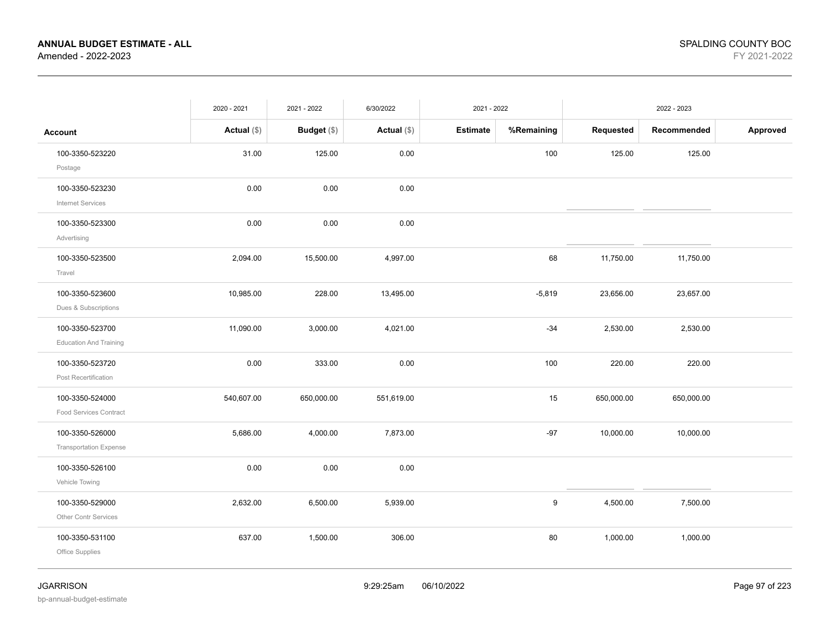|                                                  | 2020 - 2021   | 2021 - 2022 | 6/30/2022     | 2021 - 2022     |            |            | 2022 - 2023 |          |
|--------------------------------------------------|---------------|-------------|---------------|-----------------|------------|------------|-------------|----------|
| <b>Account</b>                                   | Actual $(\$)$ | Budget (\$) | Actual $(\$)$ | <b>Estimate</b> | %Remaining | Requested  | Recommended | Approved |
| 100-3350-523220<br>Postage                       | 31.00         | 125.00      | 0.00          |                 | 100        | 125.00     | 125.00      |          |
| 100-3350-523230<br><b>Internet Services</b>      | 0.00          | 0.00        | 0.00          |                 |            |            |             |          |
| 100-3350-523300<br>Advertising                   | 0.00          | 0.00        | 0.00          |                 |            |            |             |          |
| 100-3350-523500<br>Travel                        | 2,094.00      | 15,500.00   | 4,997.00      |                 | 68         | 11,750.00  | 11,750.00   |          |
| 100-3350-523600<br>Dues & Subscriptions          | 10,985.00     | 228.00      | 13,495.00     |                 | $-5,819$   | 23,656.00  | 23,657.00   |          |
| 100-3350-523700<br><b>Education And Training</b> | 11,090.00     | 3,000.00    | 4,021.00      |                 | $-34$      | 2,530.00   | 2,530.00    |          |
| 100-3350-523720<br>Post Recertification          | 0.00          | 333.00      | 0.00          |                 | 100        | 220.00     | 220.00      |          |
| 100-3350-524000<br><b>Food Services Contract</b> | 540,607.00    | 650,000.00  | 551,619.00    |                 | 15         | 650,000.00 | 650,000.00  |          |
| 100-3350-526000<br><b>Transportation Expense</b> | 5,686.00      | 4,000.00    | 7,873.00      |                 | $-97$      | 10,000.00  | 10,000.00   |          |
| 100-3350-526100<br>Vehicle Towing                | 0.00          | 0.00        | 0.00          |                 |            |            |             |          |
| 100-3350-529000<br>Other Contr Services          | 2,632.00      | 6,500.00    | 5,939.00      |                 | 9          | 4,500.00   | 7,500.00    |          |
| 100-3350-531100<br>Office Supplies               | 637.00        | 1,500.00    | 306.00        |                 | 80         | 1,000.00   | 1,000.00    |          |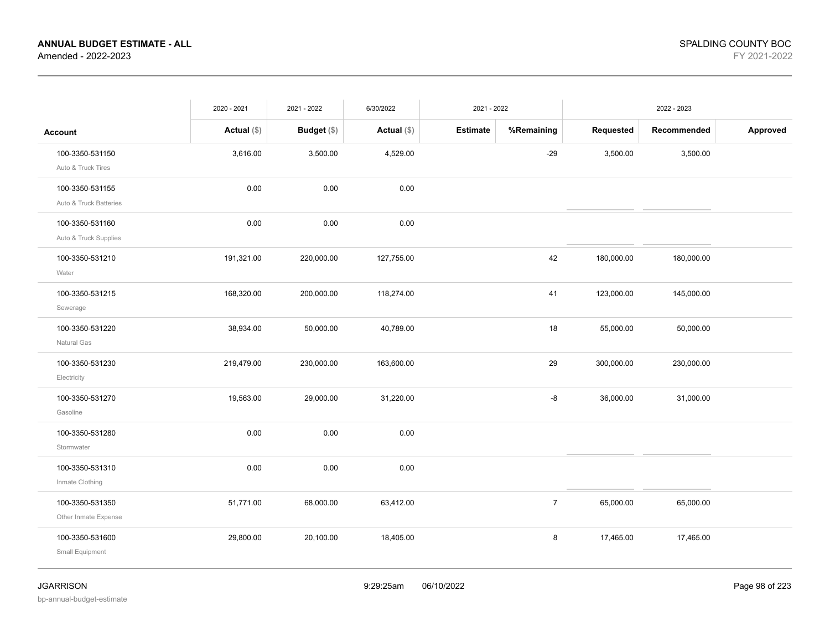|                                           | 2020 - 2021   | 2021 - 2022 | 6/30/2022     | 2021 - 2022     |                |            | 2022 - 2023 |          |
|-------------------------------------------|---------------|-------------|---------------|-----------------|----------------|------------|-------------|----------|
| <b>Account</b>                            | Actual $(\$)$ | Budget (\$) | Actual $(\$)$ | <b>Estimate</b> | %Remaining     | Requested  | Recommended | Approved |
| 100-3350-531150<br>Auto & Truck Tires     | 3,616.00      | 3,500.00    | 4,529.00      |                 | $-29$          | 3,500.00   | 3,500.00    |          |
| 100-3350-531155<br>Auto & Truck Batteries | 0.00          | 0.00        | 0.00          |                 |                |            |             |          |
| 100-3350-531160<br>Auto & Truck Supplies  | 0.00          | 0.00        | 0.00          |                 |                |            |             |          |
| 100-3350-531210<br>Water                  | 191,321.00    | 220,000.00  | 127,755.00    |                 | 42             | 180,000.00 | 180,000.00  |          |
| 100-3350-531215<br>Sewerage               | 168,320.00    | 200,000.00  | 118,274.00    |                 | 41             | 123,000.00 | 145,000.00  |          |
| 100-3350-531220<br>Natural Gas            | 38,934.00     | 50,000.00   | 40,789.00     |                 | 18             | 55,000.00  | 50,000.00   |          |
| 100-3350-531230<br>Electricity            | 219,479.00    | 230,000.00  | 163,600.00    |                 | 29             | 300,000.00 | 230,000.00  |          |
| 100-3350-531270<br>Gasoline               | 19,563.00     | 29,000.00   | 31,220.00     |                 | -8             | 36,000.00  | 31,000.00   |          |
| 100-3350-531280<br>Stormwater             | 0.00          | 0.00        | 0.00          |                 |                |            |             |          |
| 100-3350-531310<br>Inmate Clothing        | 0.00          | 0.00        | 0.00          |                 |                |            |             |          |
| 100-3350-531350<br>Other Inmate Expense   | 51,771.00     | 68,000.00   | 63,412.00     |                 | $\overline{7}$ | 65,000.00  | 65,000.00   |          |
| 100-3350-531600<br>Small Equipment        | 29,800.00     | 20,100.00   | 18,405.00     |                 | 8              | 17,465.00  | 17,465.00   |          |
|                                           |               |             |               |                 |                |            |             |          |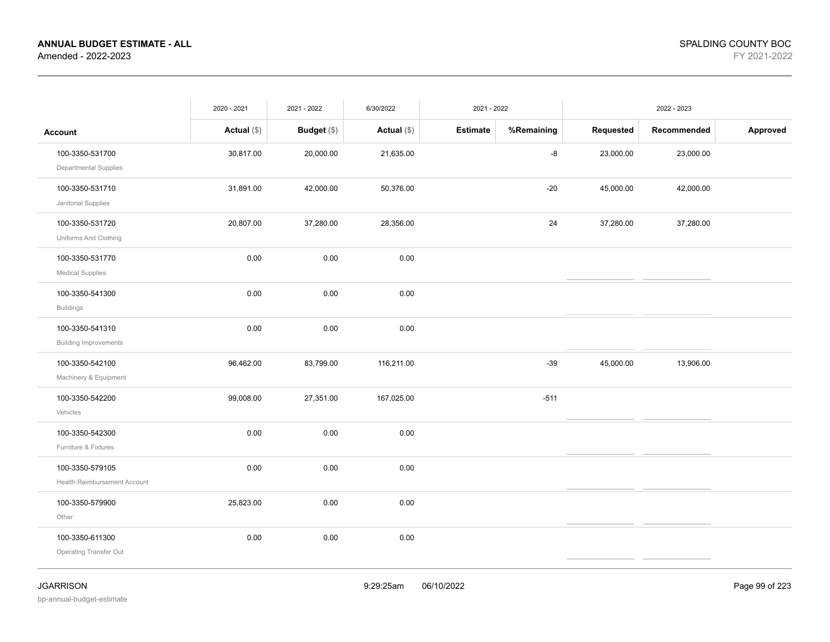|                                                 | 2020 - 2021   | 2021 - 2022        | 6/30/2022     | 2021 - 2022     |            |           | 2022 - 2023 |          |
|-------------------------------------------------|---------------|--------------------|---------------|-----------------|------------|-----------|-------------|----------|
| <b>Account</b>                                  | Actual $(\$)$ | <b>Budget</b> (\$) | Actual $(\$)$ | <b>Estimate</b> | %Remaining | Requested | Recommended | Approved |
| 100-3350-531700<br>Departmental Supplies        | 30,817.00     | 20,000.00          | 21,635.00     |                 | -8         | 23,000.00 | 23,000.00   |          |
| 100-3350-531710<br>Janitorial Supplies          | 31,891.00     | 42,000.00          | 50,376.00     |                 | $-20$      | 45,000.00 | 42,000.00   |          |
| 100-3350-531720<br>Uniforms And Clothing        | 20,807.00     | 37,280.00          | 28,356.00     |                 | 24         | 37,280.00 | 37,280.00   |          |
| 100-3350-531770<br><b>Medical Supplies</b>      | 0.00          | 0.00               | 0.00          |                 |            |           |             |          |
| 100-3350-541300<br><b>Buildings</b>             | 0.00          | 0.00               | 0.00          |                 |            |           |             |          |
| 100-3350-541310<br><b>Building Improvements</b> | 0.00          | 0.00               | 0.00          |                 |            |           |             |          |
| 100-3350-542100<br>Machinery & Equipment        | 96,462.00     | 83,799.00          | 116,211.00    |                 | $-39$      | 45,000.00 | 13,906.00   |          |
| 100-3350-542200<br>Vehicles                     | 99,008.00     | 27,351.00          | 167,025.00    |                 | $-511$     |           |             |          |
| 100-3350-542300<br>Furniture & Fixtures         | 0.00          | 0.00               | 0.00          |                 |            |           |             |          |
| 100-3350-579105<br>Health Reimbursement Account | 0.00          | 0.00               | 0.00          |                 |            |           |             |          |
| 100-3350-579900<br>Other                        | 25,823.00     | 0.00               | 0.00          |                 |            |           |             |          |
| 100-3350-611300<br>Operating Transfer Out       | 0.00          | 0.00               | 0.00          |                 |            |           |             |          |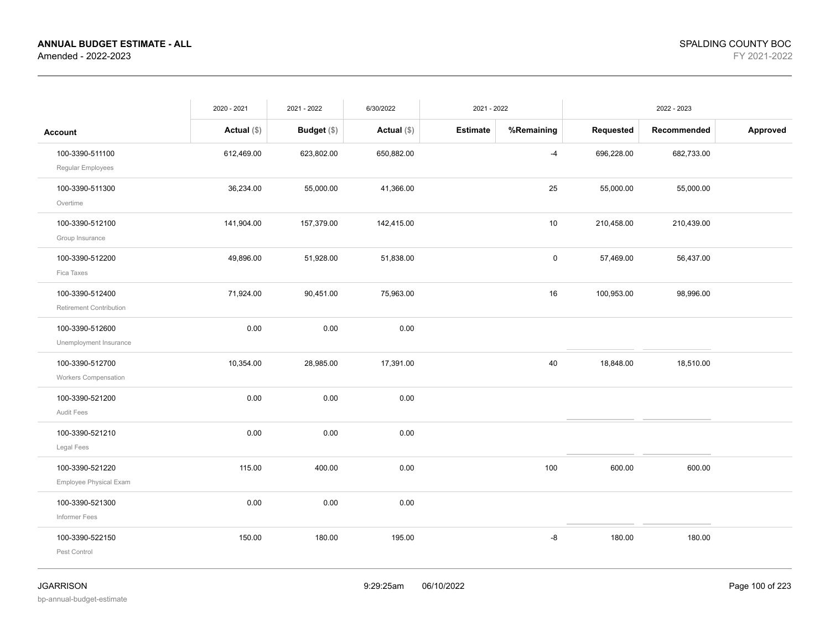|                                                | 2020 - 2021   | 2021 - 2022        | 6/30/2022     | 2021 - 2022     |                     |            | 2022 - 2023 |          |
|------------------------------------------------|---------------|--------------------|---------------|-----------------|---------------------|------------|-------------|----------|
| <b>Account</b>                                 | Actual $(\$)$ | <b>Budget</b> (\$) | Actual $(\$)$ | <b>Estimate</b> | %Remaining          | Requested  | Recommended | Approved |
| 100-3390-511100<br>Regular Employees           | 612,469.00    | 623,802.00         | 650,882.00    |                 | $-4$                | 696,228.00 | 682,733.00  |          |
| 100-3390-511300<br>Overtime                    | 36,234.00     | 55,000.00          | 41,366.00     |                 | 25                  | 55,000.00  | 55,000.00   |          |
| 100-3390-512100<br>Group Insurance             | 141,904.00    | 157,379.00         | 142,415.00    |                 | 10                  | 210,458.00 | 210,439.00  |          |
| 100-3390-512200<br>Fica Taxes                  | 49,896.00     | 51,928.00          | 51,838.00     |                 | $\mathsf{O}\xspace$ | 57,469.00  | 56,437.00   |          |
| 100-3390-512400<br>Retirement Contribution     | 71,924.00     | 90,451.00          | 75,963.00     |                 | 16                  | 100,953.00 | 98,996.00   |          |
| 100-3390-512600<br>Unemployment Insurance      | 0.00          | 0.00               | 0.00          |                 |                     |            |             |          |
| 100-3390-512700<br><b>Workers Compensation</b> | 10,354.00     | 28,985.00          | 17,391.00     |                 | 40                  | 18,848.00  | 18,510.00   |          |
| 100-3390-521200<br>Audit Fees                  | 0.00          | 0.00               | 0.00          |                 |                     |            |             |          |
| 100-3390-521210<br>Legal Fees                  | 0.00          | 0.00               | 0.00          |                 |                     |            |             |          |
| 100-3390-521220<br>Employee Physical Exam      | 115.00        | 400.00             | 0.00          |                 | 100                 | 600.00     | 600.00      |          |
| 100-3390-521300<br>Informer Fees               | 0.00          | 0.00               | 0.00          |                 |                     |            |             |          |
| 100-3390-522150<br>Pest Control                | 150.00        | 180.00             | 195.00        |                 | -8                  | 180.00     | 180.00      |          |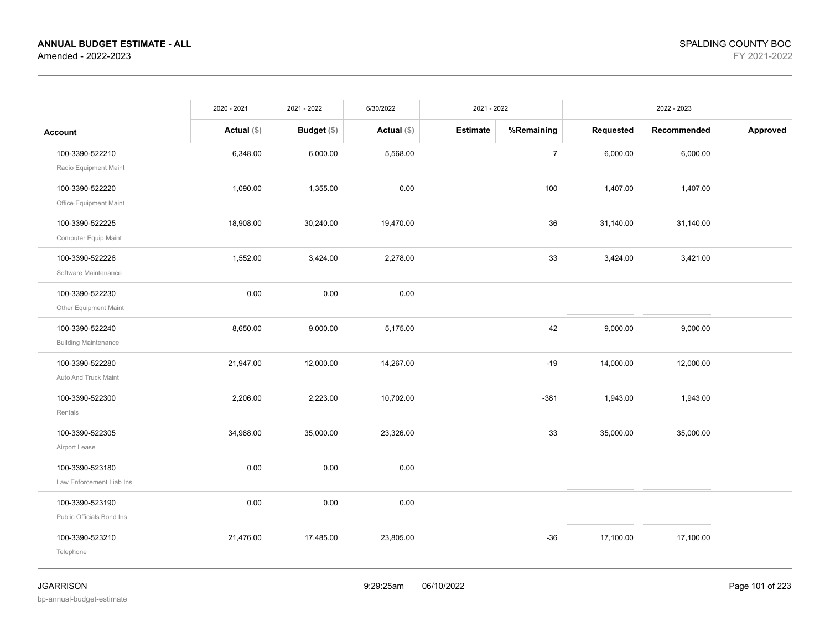|                             | 2020 - 2021   | 2021 - 2022   | 6/30/2022     | 2021 - 2022     |                |           | 2022 - 2023 |          |
|-----------------------------|---------------|---------------|---------------|-----------------|----------------|-----------|-------------|----------|
| <b>Account</b>              | Actual $(\$)$ | Budget $(\$)$ | Actual $(\$)$ | <b>Estimate</b> | %Remaining     | Requested | Recommended | Approved |
| 100-3390-522210             | 6,348.00      | 6,000.00      | 5,568.00      |                 | $\overline{7}$ | 6,000.00  | 6,000.00    |          |
| Radio Equipment Maint       |               |               |               |                 |                |           |             |          |
| 100-3390-522220             | 1,090.00      | 1,355.00      | 0.00          |                 | 100            | 1,407.00  | 1,407.00    |          |
| Office Equipment Maint      |               |               |               |                 |                |           |             |          |
| 100-3390-522225             | 18,908.00     | 30,240.00     | 19,470.00     |                 | 36             | 31,140.00 | 31,140.00   |          |
| Computer Equip Maint        |               |               |               |                 |                |           |             |          |
| 100-3390-522226             | 1,552.00      | 3,424.00      | 2,278.00      |                 | 33             | 3,424.00  | 3,421.00    |          |
| Software Maintenance        |               |               |               |                 |                |           |             |          |
| 100-3390-522230             | 0.00          | 0.00          | 0.00          |                 |                |           |             |          |
| Other Equipment Maint       |               |               |               |                 |                |           |             |          |
| 100-3390-522240             | 8,650.00      | 9,000.00      | 5,175.00      |                 | 42             | 9,000.00  | 9,000.00    |          |
| <b>Building Maintenance</b> |               |               |               |                 |                |           |             |          |
| 100-3390-522280             | 21,947.00     | 12,000.00     | 14,267.00     |                 | $-19$          | 14,000.00 | 12,000.00   |          |
| Auto And Truck Maint        |               |               |               |                 |                |           |             |          |
| 100-3390-522300             | 2,206.00      | 2,223.00      | 10,702.00     |                 | $-381$         | 1,943.00  | 1,943.00    |          |
| Rentals                     |               |               |               |                 |                |           |             |          |
| 100-3390-522305             | 34,988.00     | 35,000.00     | 23,326.00     |                 | 33             | 35,000.00 | 35,000.00   |          |
| Airport Lease               |               |               |               |                 |                |           |             |          |
| 100-3390-523180             | 0.00          | 0.00          | 0.00          |                 |                |           |             |          |
| Law Enforcement Liab Ins    |               |               |               |                 |                |           |             |          |
| 100-3390-523190             | 0.00          | 0.00          | 0.00          |                 |                |           |             |          |
| Public Officials Bond Ins   |               |               |               |                 |                |           |             |          |
| 100-3390-523210             | 21,476.00     | 17,485.00     | 23,805.00     |                 | $-36$          | 17,100.00 | 17,100.00   |          |
| Telephone                   |               |               |               |                 |                |           |             |          |
|                             |               |               |               |                 |                |           |             |          |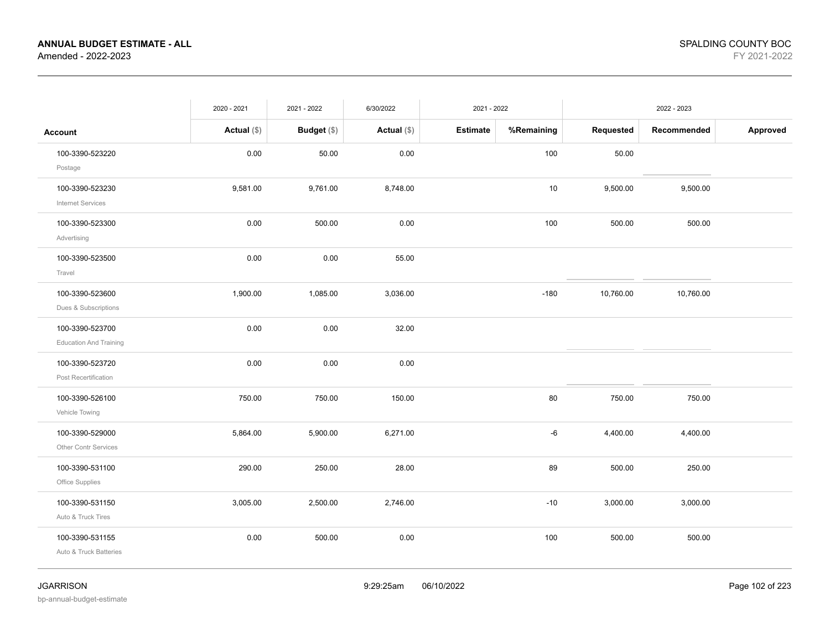|                                                  | 2020 - 2021   | 2021 - 2022        | 6/30/2022     | 2021 - 2022     |            |           | 2022 - 2023 |          |
|--------------------------------------------------|---------------|--------------------|---------------|-----------------|------------|-----------|-------------|----------|
| <b>Account</b>                                   | Actual $(\$)$ | <b>Budget</b> (\$) | Actual $(\$)$ | <b>Estimate</b> | %Remaining | Requested | Recommended | Approved |
| 100-3390-523220<br>Postage                       | 0.00          | 50.00              | 0.00          |                 | 100        | 50.00     |             |          |
| 100-3390-523230<br><b>Internet Services</b>      | 9,581.00      | 9,761.00           | 8,748.00      |                 | 10         | 9,500.00  | 9,500.00    |          |
| 100-3390-523300<br>Advertising                   | 0.00          | 500.00             | 0.00          |                 | 100        | 500.00    | 500.00      |          |
| 100-3390-523500<br>Travel                        | 0.00          | 0.00               | 55.00         |                 |            |           |             |          |
| 100-3390-523600<br>Dues & Subscriptions          | 1,900.00      | 1,085.00           | 3,036.00      |                 | $-180$     | 10,760.00 | 10,760.00   |          |
| 100-3390-523700<br><b>Education And Training</b> | 0.00          | 0.00               | 32.00         |                 |            |           |             |          |
| 100-3390-523720<br>Post Recertification          | 0.00          | 0.00               | 0.00          |                 |            |           |             |          |
| 100-3390-526100<br>Vehicle Towing                | 750.00        | 750.00             | 150.00        |                 | 80         | 750.00    | 750.00      |          |
| 100-3390-529000<br>Other Contr Services          | 5,864.00      | 5,900.00           | 6,271.00      |                 | -6         | 4,400.00  | 4,400.00    |          |
| 100-3390-531100<br>Office Supplies               | 290.00        | 250.00             | 28.00         |                 | 89         | 500.00    | 250.00      |          |
| 100-3390-531150<br>Auto & Truck Tires            | 3,005.00      | 2,500.00           | 2,746.00      |                 | $-10$      | 3,000.00  | 3,000.00    |          |
| 100-3390-531155<br>Auto & Truck Batteries        | 0.00          | 500.00             | 0.00          |                 | 100        | 500.00    | 500.00      |          |

bp-annual-budget-estimate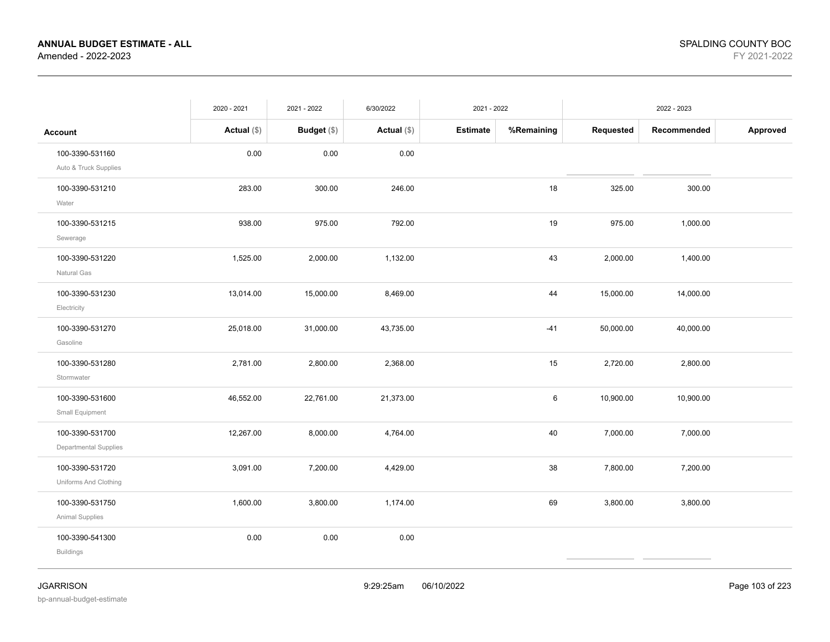|                                          | 2020 - 2021   | 2021 - 2022 | 6/30/2022     | 2021 - 2022     |            |           | 2022 - 2023 |          |
|------------------------------------------|---------------|-------------|---------------|-----------------|------------|-----------|-------------|----------|
| <b>Account</b>                           | Actual $(\$)$ | Budget (\$) | Actual $(\$)$ | <b>Estimate</b> | %Remaining | Requested | Recommended | Approved |
| 100-3390-531160<br>Auto & Truck Supplies | 0.00          | 0.00        | 0.00          |                 |            |           |             |          |
| 100-3390-531210<br>Water                 | 283.00        | 300.00      | 246.00        |                 | 18         | 325.00    | 300.00      |          |
| 100-3390-531215<br>Sewerage              | 938.00        | 975.00      | 792.00        |                 | 19         | 975.00    | 1,000.00    |          |
| 100-3390-531220<br>Natural Gas           | 1,525.00      | 2,000.00    | 1,132.00      |                 | 43         | 2,000.00  | 1,400.00    |          |
| 100-3390-531230<br>Electricity           | 13,014.00     | 15,000.00   | 8,469.00      |                 | 44         | 15,000.00 | 14,000.00   |          |
| 100-3390-531270<br>Gasoline              | 25,018.00     | 31,000.00   | 43,735.00     |                 | $-41$      | 50,000.00 | 40,000.00   |          |
| 100-3390-531280<br>Stormwater            | 2,781.00      | 2,800.00    | 2,368.00      |                 | 15         | 2,720.00  | 2,800.00    |          |
| 100-3390-531600<br>Small Equipment       | 46,552.00     | 22,761.00   | 21,373.00     |                 | 6          | 10,900.00 | 10,900.00   |          |
| 100-3390-531700<br>Departmental Supplies | 12,267.00     | 8,000.00    | 4,764.00      |                 | 40         | 7,000.00  | 7,000.00    |          |
| 100-3390-531720<br>Uniforms And Clothing | 3,091.00      | 7,200.00    | 4,429.00      |                 | 38         | 7,800.00  | 7,200.00    |          |
| 100-3390-531750<br>Animal Supplies       | 1,600.00      | 3,800.00    | 1,174.00      |                 | 69         | 3,800.00  | 3,800.00    |          |
| 100-3390-541300<br><b>Buildings</b>      | 0.00          | 0.00        | 0.00          |                 |            |           |             |          |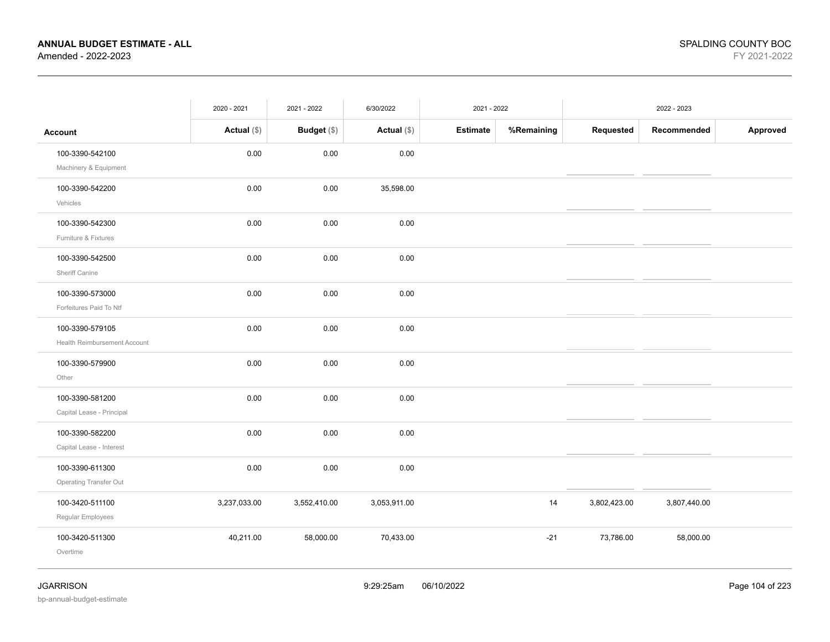|                                                 | 2020 - 2021   | 2021 - 2022  | 6/30/2022     | 2021 - 2022 |            |              | 2022 - 2023  |          |
|-------------------------------------------------|---------------|--------------|---------------|-------------|------------|--------------|--------------|----------|
| <b>Account</b>                                  | Actual $(\$)$ | Budget (\$)  | Actual $(\$)$ | Estimate    | %Remaining | Requested    | Recommended  | Approved |
| 100-3390-542100<br>Machinery & Equipment        | 0.00          | 0.00         | 0.00          |             |            |              |              |          |
| 100-3390-542200<br>Vehicles                     | 0.00          | 0.00         | 35,598.00     |             |            |              |              |          |
| 100-3390-542300<br>Furniture & Fixtures         | 0.00          | 0.00         | 0.00          |             |            |              |              |          |
| 100-3390-542500<br>Sheriff Canine               | 0.00          | 0.00         | 0.00          |             |            |              |              |          |
| 100-3390-573000<br>Forfeitures Paid To Ntf      | 0.00          | 0.00         | 0.00          |             |            |              |              |          |
| 100-3390-579105<br>Health Reimbursement Account | 0.00          | 0.00         | 0.00          |             |            |              |              |          |
| 100-3390-579900<br>Other                        | 0.00          | 0.00         | 0.00          |             |            |              |              |          |
| 100-3390-581200<br>Capital Lease - Principal    | 0.00          | 0.00         | 0.00          |             |            |              |              |          |
| 100-3390-582200<br>Capital Lease - Interest     | 0.00          | 0.00         | 0.00          |             |            |              |              |          |
| 100-3390-611300<br>Operating Transfer Out       | 0.00          | 0.00         | 0.00          |             |            |              |              |          |
| 100-3420-511100<br>Regular Employees            | 3,237,033.00  | 3,552,410.00 | 3,053,911.00  |             | 14         | 3,802,423.00 | 3,807,440.00 |          |
| 100-3420-511300<br>Overtime                     | 40,211.00     | 58,000.00    | 70,433.00     |             | $-21$      | 73,786.00    | 58,000.00    |          |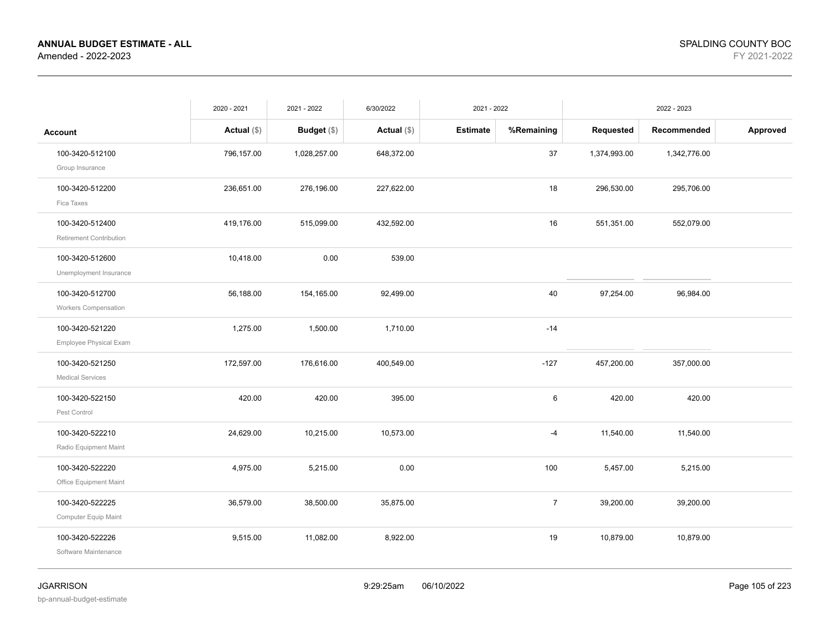|                                                   | 2020 - 2021   | 2021 - 2022   | 6/30/2022     | 2021 - 2022     |                |              | 2022 - 2023  |          |
|---------------------------------------------------|---------------|---------------|---------------|-----------------|----------------|--------------|--------------|----------|
| <b>Account</b>                                    | Actual $(\$)$ | Budget $(\$)$ | Actual $(\$)$ | <b>Estimate</b> | %Remaining     | Requested    | Recommended  | Approved |
| 100-3420-512100<br>Group Insurance                | 796,157.00    | 1,028,257.00  | 648,372.00    |                 | 37             | 1,374,993.00 | 1,342,776.00 |          |
| 100-3420-512200<br>Fica Taxes                     | 236,651.00    | 276,196.00    | 227,622.00    |                 | 18             | 296,530.00   | 295,706.00   |          |
| 100-3420-512400<br><b>Retirement Contribution</b> | 419,176.00    | 515,099.00    | 432,592.00    |                 | 16             | 551,351.00   | 552,079.00   |          |
| 100-3420-512600<br>Unemployment Insurance         | 10,418.00     | 0.00          | 539.00        |                 |                |              |              |          |
| 100-3420-512700<br><b>Workers Compensation</b>    | 56,188.00     | 154,165.00    | 92,499.00     |                 | 40             | 97,254.00    | 96,984.00    |          |
| 100-3420-521220<br>Employee Physical Exam         | 1,275.00      | 1,500.00      | 1,710.00      |                 | $-14$          |              |              |          |
| 100-3420-521250<br><b>Medical Services</b>        | 172,597.00    | 176,616.00    | 400,549.00    |                 | $-127$         | 457,200.00   | 357,000.00   |          |
| 100-3420-522150<br>Pest Control                   | 420.00        | 420.00        | 395.00        |                 | 6              | 420.00       | 420.00       |          |
| 100-3420-522210<br>Radio Equipment Maint          | 24,629.00     | 10,215.00     | 10,573.00     |                 | $-4$           | 11,540.00    | 11,540.00    |          |
| 100-3420-522220<br>Office Equipment Maint         | 4,975.00      | 5,215.00      | 0.00          |                 | 100            | 5,457.00     | 5,215.00     |          |
| 100-3420-522225<br>Computer Equip Maint           | 36,579.00     | 38,500.00     | 35,875.00     |                 | $\overline{7}$ | 39,200.00    | 39,200.00    |          |
| 100-3420-522226<br>Software Maintenance           | 9,515.00      | 11,082.00     | 8,922.00      |                 | 19             | 10,879.00    | 10,879.00    |          |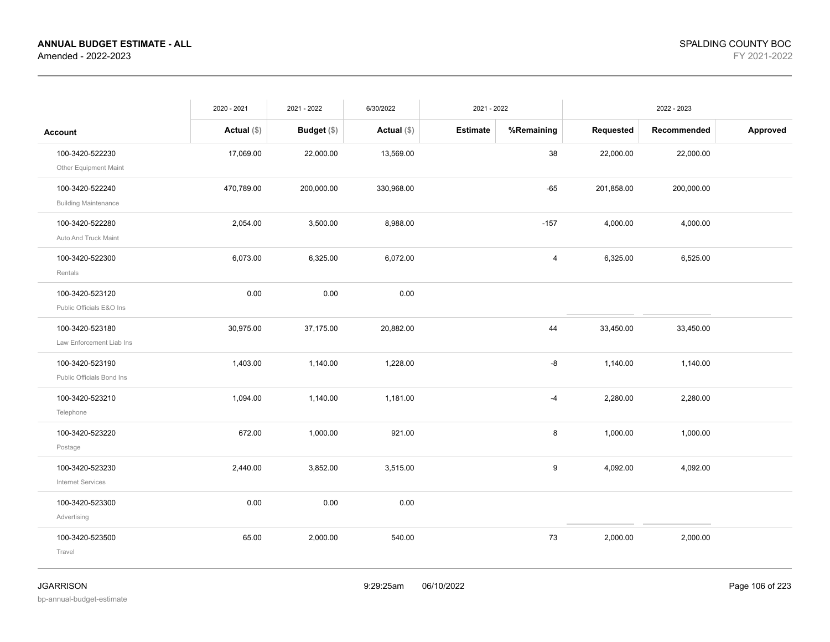|                                                | 2020 - 2021   | 2021 - 2022   | 6/30/2022     | 2021 - 2022     |            |            | 2022 - 2023 |          |
|------------------------------------------------|---------------|---------------|---------------|-----------------|------------|------------|-------------|----------|
| <b>Account</b>                                 | Actual $(\$)$ | Budget $(\$)$ | Actual $(\$)$ | <b>Estimate</b> | %Remaining | Requested  | Recommended | Approved |
| 100-3420-522230<br>Other Equipment Maint       | 17,069.00     | 22,000.00     | 13,569.00     |                 | 38         | 22,000.00  | 22,000.00   |          |
| 100-3420-522240<br><b>Building Maintenance</b> | 470,789.00    | 200,000.00    | 330,968.00    |                 | $-65$      | 201,858.00 | 200,000.00  |          |
| 100-3420-522280<br>Auto And Truck Maint        | 2,054.00      | 3,500.00      | 8,988.00      |                 | $-157$     | 4,000.00   | 4,000.00    |          |
| 100-3420-522300<br>Rentals                     | 6,073.00      | 6,325.00      | 6,072.00      |                 | 4          | 6,325.00   | 6,525.00    |          |
| 100-3420-523120<br>Public Officials E&O Ins    | 0.00          | 0.00          | 0.00          |                 |            |            |             |          |
| 100-3420-523180<br>Law Enforcement Liab Ins    | 30,975.00     | 37,175.00     | 20,882.00     |                 | 44         | 33,450.00  | 33,450.00   |          |
| 100-3420-523190<br>Public Officials Bond Ins   | 1,403.00      | 1,140.00      | 1,228.00      |                 | -8         | 1,140.00   | 1,140.00    |          |
| 100-3420-523210<br>Telephone                   | 1,094.00      | 1,140.00      | 1,181.00      |                 | $-4$       | 2,280.00   | 2,280.00    |          |
| 100-3420-523220<br>Postage                     | 672.00        | 1,000.00      | 921.00        |                 | 8          | 1,000.00   | 1,000.00    |          |
| 100-3420-523230<br>Internet Services           | 2,440.00      | 3,852.00      | 3,515.00      |                 | 9          | 4,092.00   | 4,092.00    |          |
| 100-3420-523300<br>Advertising                 | 0.00          | 0.00          | 0.00          |                 |            |            |             |          |
| 100-3420-523500<br>Travel                      | 65.00         | 2,000.00      | 540.00        |                 | 73         | 2,000.00   | 2,000.00    |          |
|                                                |               |               |               |                 |            |            |             |          |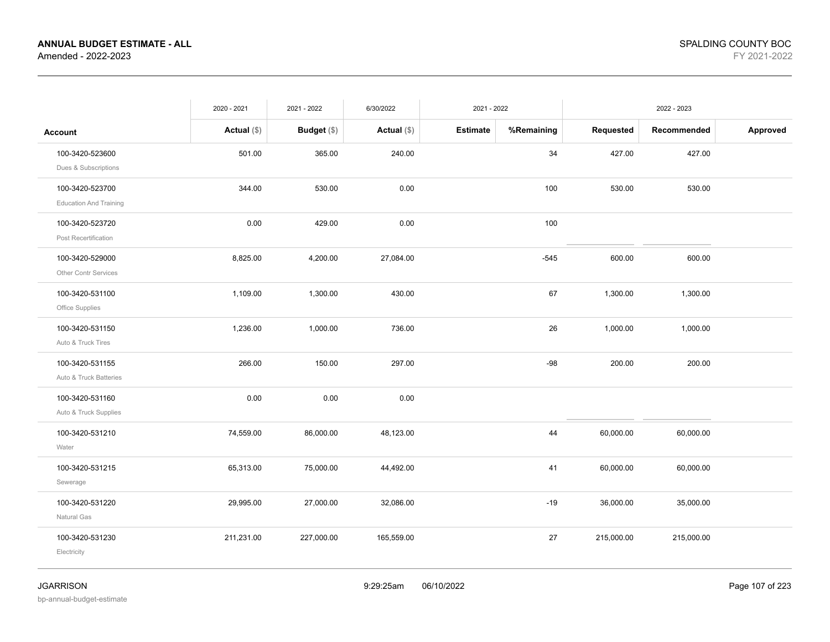|                               | 2020 - 2021   | 2021 - 2022 | 6/30/2022     | 2021 - 2022     |            |            | 2022 - 2023 |          |
|-------------------------------|---------------|-------------|---------------|-----------------|------------|------------|-------------|----------|
| Account                       | Actual $(\$)$ | Budget (\$) | Actual $(\$)$ | <b>Estimate</b> | %Remaining | Requested  | Recommended | Approved |
| 100-3420-523600               | 501.00        | 365.00      | 240.00        |                 | 34         | 427.00     | 427.00      |          |
| Dues & Subscriptions          |               |             |               |                 |            |            |             |          |
| 100-3420-523700               | 344.00        | 530.00      | 0.00          |                 | 100        | 530.00     | 530.00      |          |
| <b>Education And Training</b> |               |             |               |                 |            |            |             |          |
| 100-3420-523720               | 0.00          | 429.00      | 0.00          |                 | 100        |            |             |          |
| Post Recertification          |               |             |               |                 |            |            |             |          |
| 100-3420-529000               | 8,825.00      | 4,200.00    | 27,084.00     |                 | $-545$     | 600.00     | 600.00      |          |
| Other Contr Services          |               |             |               |                 |            |            |             |          |
| 100-3420-531100               | 1,109.00      | 1,300.00    | 430.00        |                 | 67         | 1,300.00   | 1,300.00    |          |
| Office Supplies               |               |             |               |                 |            |            |             |          |
| 100-3420-531150               | 1,236.00      | 1,000.00    | 736.00        |                 | 26         | 1,000.00   | 1,000.00    |          |
| Auto & Truck Tires            |               |             |               |                 |            |            |             |          |
| 100-3420-531155               | 266.00        | 150.00      | 297.00        |                 | $-98$      | 200.00     | 200.00      |          |
| Auto & Truck Batteries        |               |             |               |                 |            |            |             |          |
| 100-3420-531160               | 0.00          | 0.00        | 0.00          |                 |            |            |             |          |
| Auto & Truck Supplies         |               |             |               |                 |            |            |             |          |
| 100-3420-531210               | 74,559.00     | 86,000.00   | 48,123.00     |                 | 44         | 60,000.00  | 60,000.00   |          |
| Water                         |               |             |               |                 |            |            |             |          |
| 100-3420-531215               | 65,313.00     | 75,000.00   | 44,492.00     |                 | 41         | 60,000.00  | 60,000.00   |          |
| Sewerage                      |               |             |               |                 |            |            |             |          |
| 100-3420-531220               | 29,995.00     | 27,000.00   | 32,086.00     |                 | $-19$      | 36,000.00  | 35,000.00   |          |
| Natural Gas                   |               |             |               |                 |            |            |             |          |
| 100-3420-531230               | 211,231.00    | 227,000.00  | 165,559.00    |                 | 27         | 215,000.00 | 215,000.00  |          |
| Electricity                   |               |             |               |                 |            |            |             |          |
|                               |               |             |               |                 |            |            |             |          |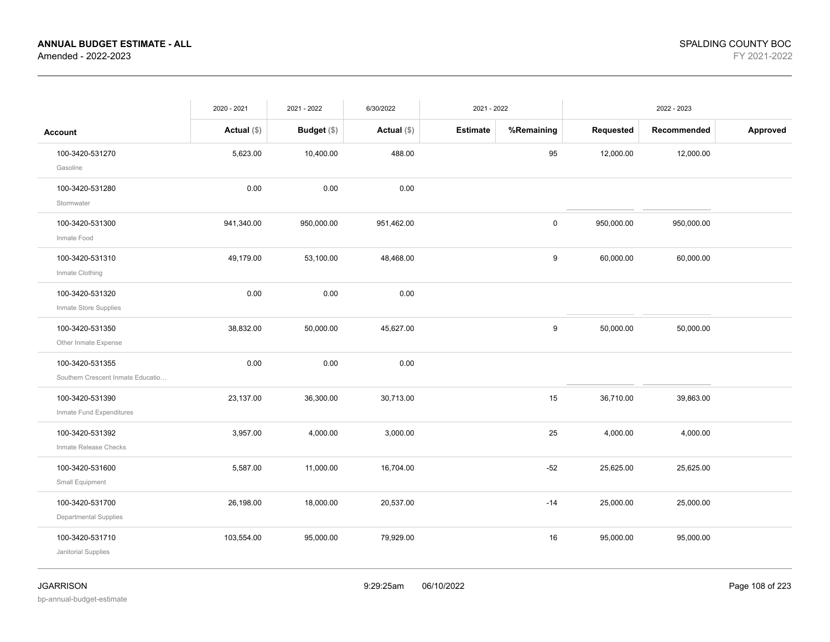|                                                      | 2020 - 2021   | 2021 - 2022   | 6/30/2022     | 2021 - 2022     |             |            | 2022 - 2023 |          |
|------------------------------------------------------|---------------|---------------|---------------|-----------------|-------------|------------|-------------|----------|
| <b>Account</b>                                       | Actual $(\$)$ | Budget $(\$)$ | Actual $(\$)$ | <b>Estimate</b> | %Remaining  | Requested  | Recommended | Approved |
| 100-3420-531270<br>Gasoline                          | 5,623.00      | 10,400.00     | 488.00        |                 | 95          | 12,000.00  | 12,000.00   |          |
| 100-3420-531280<br>Stormwater                        | 0.00          | 0.00          | 0.00          |                 |             |            |             |          |
| 100-3420-531300<br>Inmate Food                       | 941,340.00    | 950,000.00    | 951,462.00    |                 | $\mathsf 0$ | 950,000.00 | 950,000.00  |          |
| 100-3420-531310<br>Inmate Clothing                   | 49,179.00     | 53,100.00     | 48,468.00     |                 | 9           | 60,000.00  | 60,000.00   |          |
| 100-3420-531320<br>Inmate Store Supplies             | 0.00          | 0.00          | 0.00          |                 |             |            |             |          |
| 100-3420-531350<br>Other Inmate Expense              | 38,832.00     | 50,000.00     | 45,627.00     |                 | 9           | 50,000.00  | 50,000.00   |          |
| 100-3420-531355<br>Southern Crescent Inmate Educatio | 0.00          | 0.00          | 0.00          |                 |             |            |             |          |
| 100-3420-531390<br>Inmate Fund Expenditures          | 23,137.00     | 36,300.00     | 30,713.00     |                 | 15          | 36,710.00  | 39,863.00   |          |
| 100-3420-531392<br>Inmate Release Checks             | 3,957.00      | 4,000.00      | 3,000.00      |                 | 25          | 4,000.00   | 4,000.00    |          |
| 100-3420-531600<br>Small Equipment                   | 5,587.00      | 11,000.00     | 16,704.00     |                 | $-52$       | 25,625.00  | 25,625.00   |          |
| 100-3420-531700<br><b>Departmental Supplies</b>      | 26,198.00     | 18,000.00     | 20,537.00     |                 | $-14$       | 25,000.00  | 25,000.00   |          |
| 100-3420-531710<br>Janitorial Supplies               | 103,554.00    | 95,000.00     | 79,929.00     |                 | 16          | 95,000.00  | 95,000.00   |          |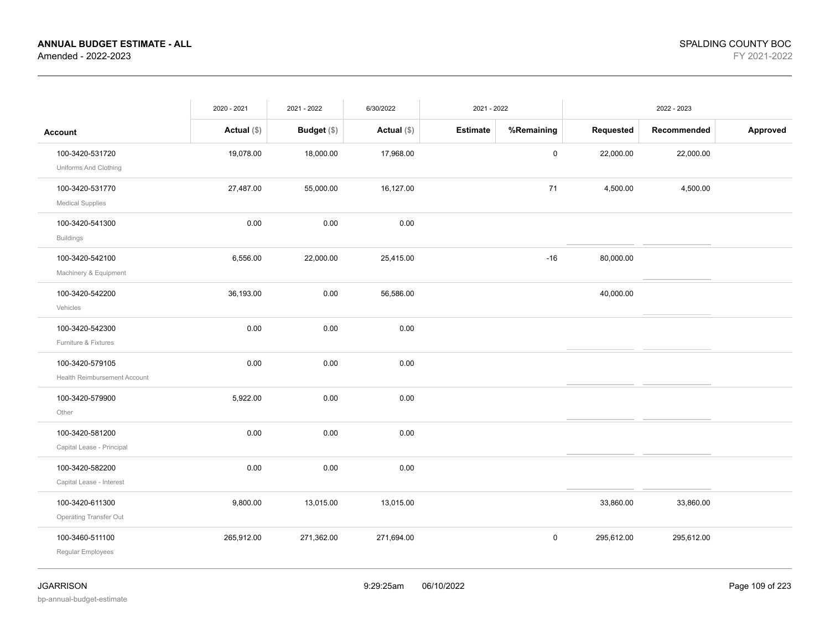|                                                  | 2020 - 2021   | 2021 - 2022        | 6/30/2022     | 2021 - 2022     |            |            | 2022 - 2023 |          |
|--------------------------------------------------|---------------|--------------------|---------------|-----------------|------------|------------|-------------|----------|
| <b>Account</b>                                   | Actual $(\$)$ | <b>Budget</b> (\$) | Actual $(\$)$ | <b>Estimate</b> | %Remaining | Requested  | Recommended | Approved |
| 100-3420-531720<br>Uniforms And Clothing         | 19,078.00     | 18,000.00          | 17,968.00     |                 | 0          | 22,000.00  | 22,000.00   |          |
| 100-3420-531770<br><b>Medical Supplies</b>       | 27,487.00     | 55,000.00          | 16,127.00     |                 | 71         | 4,500.00   | 4,500.00    |          |
| 100-3420-541300<br><b>Buildings</b>              | 0.00          | 0.00               | 0.00          |                 |            |            |             |          |
| 100-3420-542100<br>Machinery & Equipment         | 6,556.00      | 22,000.00          | 25,415.00     |                 | $-16$      | 80,000.00  |             |          |
| 100-3420-542200<br>Vehicles                      | 36,193.00     | 0.00               | 56,586.00     |                 |            | 40,000.00  |             |          |
| 100-3420-542300<br>Furniture & Fixtures          | 0.00          | 0.00               | 0.00          |                 |            |            |             |          |
| 100-3420-579105<br>Health Reimbursement Account  | 0.00          | 0.00               | 0.00          |                 |            |            |             |          |
| 100-3420-579900<br>Other                         | 5,922.00      | 0.00               | 0.00          |                 |            |            |             |          |
| 100-3420-581200<br>Capital Lease - Principal     | 0.00          | 0.00               | 0.00          |                 |            |            |             |          |
| 100-3420-582200<br>Capital Lease - Interest      | 0.00          | 0.00               | 0.00          |                 |            |            |             |          |
| 100-3420-611300<br><b>Operating Transfer Out</b> | 9,800.00      | 13,015.00          | 13,015.00     |                 |            | 33,860.00  | 33,860.00   |          |
| 100-3460-511100<br>Regular Employees             | 265,912.00    | 271,362.00         | 271,694.00    |                 | 0          | 295,612.00 | 295,612.00  |          |
|                                                  |               |                    |               |                 |            |            |             |          |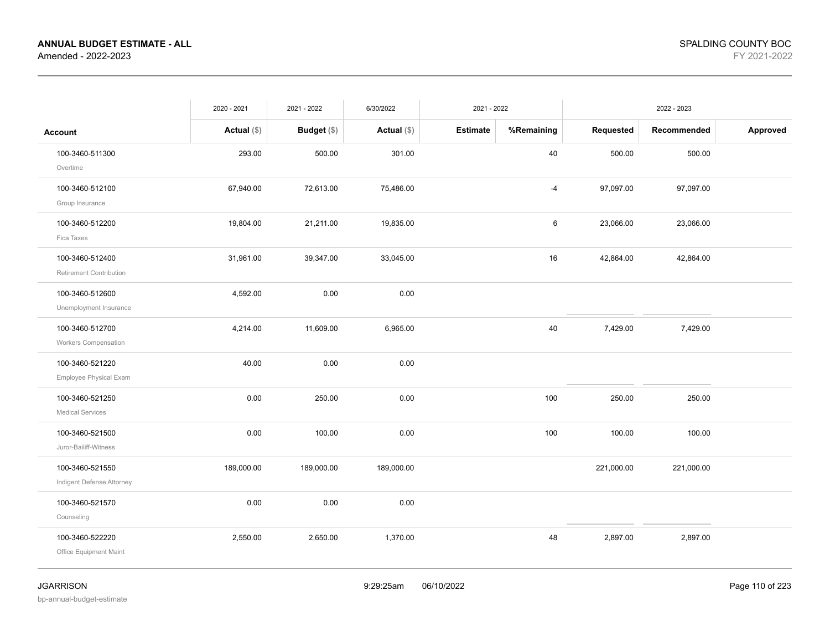|                                              | 2020 - 2021   | 2021 - 2022        | 6/30/2022     | 2021 - 2022 |            |            | 2022 - 2023 |          |
|----------------------------------------------|---------------|--------------------|---------------|-------------|------------|------------|-------------|----------|
| <b>Account</b>                               | Actual $(\$)$ | <b>Budget</b> (\$) | Actual $(\$)$ | Estimate    | %Remaining | Requested  | Recommended | Approved |
| 100-3460-511300<br>Overtime                  | 293.00        | 500.00             | 301.00        |             | 40         | 500.00     | 500.00      |          |
| 100-3460-512100<br>Group Insurance           | 67,940.00     | 72,613.00          | 75,486.00     |             | $-4$       | 97,097.00  | 97,097.00   |          |
| 100-3460-512200<br>Fica Taxes                | 19,804.00     | 21,211.00          | 19,835.00     |             | 6          | 23,066.00  | 23,066.00   |          |
| 100-3460-512400<br>Retirement Contribution   | 31,961.00     | 39,347.00          | 33,045.00     |             | 16         | 42,864.00  | 42,864.00   |          |
| 100-3460-512600<br>Unemployment Insurance    | 4,592.00      | 0.00               | 0.00          |             |            |            |             |          |
| 100-3460-512700<br>Workers Compensation      | 4,214.00      | 11,609.00          | 6,965.00      |             | 40         | 7,429.00   | 7,429.00    |          |
| 100-3460-521220<br>Employee Physical Exam    | 40.00         | 0.00               | 0.00          |             |            |            |             |          |
| 100-3460-521250<br><b>Medical Services</b>   | 0.00          | 250.00             | $0.00\,$      |             | 100        | 250.00     | 250.00      |          |
| 100-3460-521500<br>Juror-Bailiff-Witness     | 0.00          | 100.00             | 0.00          |             | 100        | 100.00     | 100.00      |          |
| 100-3460-521550<br>Indigent Defense Attorney | 189,000.00    | 189,000.00         | 189,000.00    |             |            | 221,000.00 | 221,000.00  |          |
| 100-3460-521570<br>Counseling                | 0.00          | 0.00               | 0.00          |             |            |            |             |          |
| 100-3460-522220<br>Office Equipment Maint    | 2,550.00      | 2,650.00           | 1,370.00      |             | 48         | 2,897.00   | 2,897.00    |          |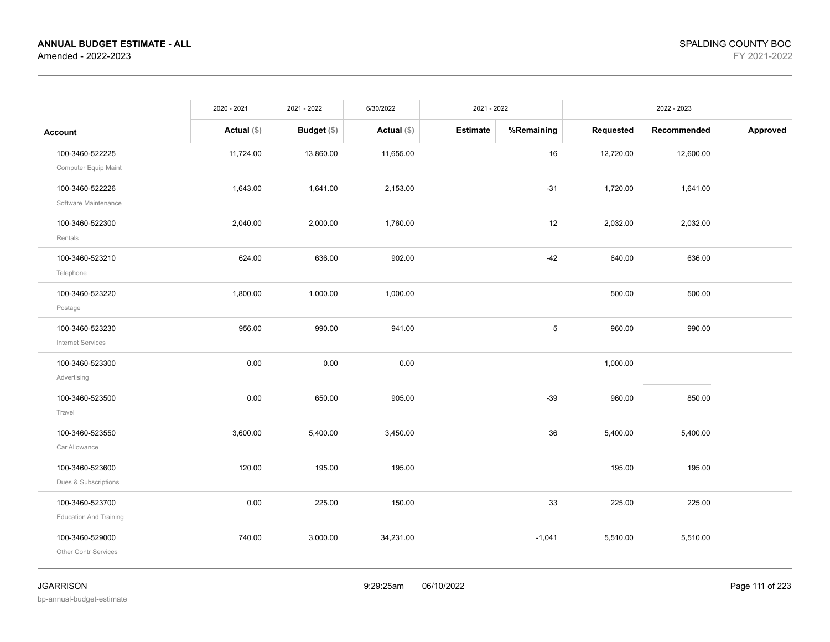|                                                  | 2020 - 2021   | 2021 - 2022        | 6/30/2022     | 2021 - 2022     |            |           | 2022 - 2023 |          |
|--------------------------------------------------|---------------|--------------------|---------------|-----------------|------------|-----------|-------------|----------|
| <b>Account</b>                                   | Actual $(\$)$ | <b>Budget</b> (\$) | Actual $(\$)$ | <b>Estimate</b> | %Remaining | Requested | Recommended | Approved |
| 100-3460-522225<br>Computer Equip Maint          | 11,724.00     | 13,860.00          | 11,655.00     |                 | 16         | 12,720.00 | 12,600.00   |          |
| 100-3460-522226<br>Software Maintenance          | 1,643.00      | 1,641.00           | 2,153.00      |                 | $-31$      | 1,720.00  | 1,641.00    |          |
| 100-3460-522300<br>Rentals                       | 2,040.00      | 2,000.00           | 1,760.00      |                 | 12         | 2,032.00  | 2,032.00    |          |
| 100-3460-523210<br>Telephone                     | 624.00        | 636.00             | 902.00        |                 | $-42$      | 640.00    | 636.00      |          |
| 100-3460-523220<br>Postage                       | 1,800.00      | 1,000.00           | 1,000.00      |                 |            | 500.00    | 500.00      |          |
| 100-3460-523230<br><b>Internet Services</b>      | 956.00        | 990.00             | 941.00        |                 | $\sqrt{5}$ | 960.00    | 990.00      |          |
| 100-3460-523300<br>Advertising                   | 0.00          | 0.00               | 0.00          |                 |            | 1,000.00  |             |          |
| 100-3460-523500<br>Travel                        | 0.00          | 650.00             | 905.00        |                 | $-39$      | 960.00    | 850.00      |          |
| 100-3460-523550<br>Car Allowance                 | 3,600.00      | 5,400.00           | 3,450.00      |                 | 36         | 5,400.00  | 5,400.00    |          |
| 100-3460-523600<br>Dues & Subscriptions          | 120.00        | 195.00             | 195.00        |                 |            | 195.00    | 195.00      |          |
| 100-3460-523700<br><b>Education And Training</b> | 0.00          | 225.00             | 150.00        |                 | 33         | 225.00    | 225.00      |          |
| 100-3460-529000<br><b>Other Contr Services</b>   | 740.00        | 3,000.00           | 34,231.00     |                 | $-1,041$   | 5,510.00  | 5,510.00    |          |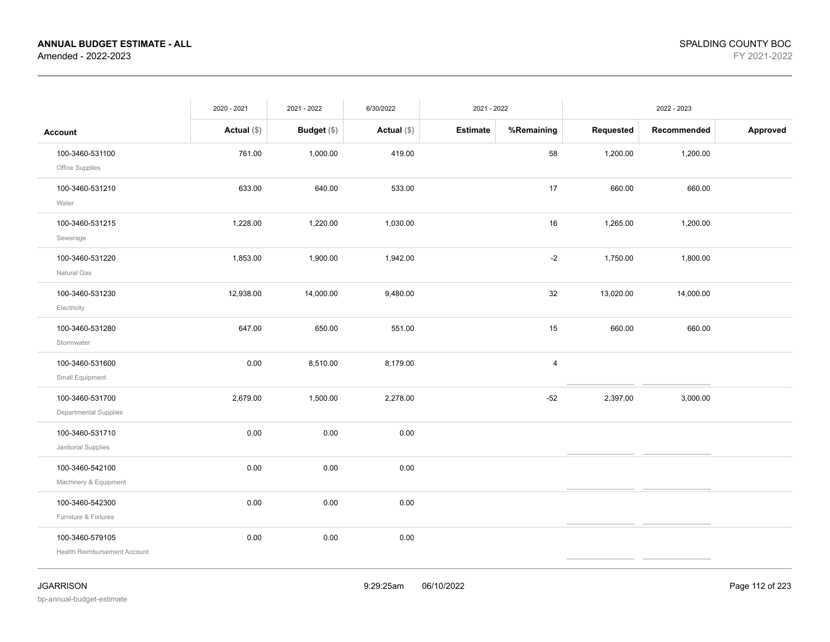|                                                 | 2020 - 2021   | 2021 - 2022 | 6/30/2022     | 2021 - 2022     |            |           | 2022 - 2023 |          |
|-------------------------------------------------|---------------|-------------|---------------|-----------------|------------|-----------|-------------|----------|
| <b>Account</b>                                  | Actual $(\$)$ | Budget (\$) | Actual $(\$)$ | <b>Estimate</b> | %Remaining | Requested | Recommended | Approved |
| 100-3460-531100<br>Office Supplies              | 761.00        | 1,000.00    | 419.00        |                 | 58         | 1,200.00  | 1,200.00    |          |
| 100-3460-531210<br>Water                        | 633.00        | 640.00      | 533.00        |                 | 17         | 660.00    | 660.00      |          |
| 100-3460-531215<br>Sewerage                     | 1,228.00      | 1,220.00    | 1,030.00      |                 | 16         | 1,265.00  | 1,200.00    |          |
| 100-3460-531220<br>Natural Gas                  | 1,853.00      | 1,900.00    | 1,942.00      |                 | $-2$       | 1,750.00  | 1,800.00    |          |
| 100-3460-531230<br>Electricity                  | 12,938.00     | 14,000.00   | 9,480.00      |                 | $32\,$     | 13,020.00 | 14,000.00   |          |
| 100-3460-531280<br>Stormwater                   | 647.00        | 650.00      | 551.00        |                 | 15         | 660.00    | 660.00      |          |
| 100-3460-531600<br>Small Equipment              | 0.00          | 8,510.00    | 8,179.00      |                 | 4          |           |             |          |
| 100-3460-531700<br><b>Departmental Supplies</b> | 2,679.00      | 1,500.00    | 2,278.00      |                 | $-52$      | 2,397.00  | 3,000.00    |          |
| 100-3460-531710<br>Janitorial Supplies          | 0.00          | 0.00        | 0.00          |                 |            |           |             |          |
| 100-3460-542100<br>Machinery & Equipment        | 0.00          | 0.00        | 0.00          |                 |            |           |             |          |
| 100-3460-542300<br>Furniture & Fixtures         | 0.00          | 0.00        | 0.00          |                 |            |           |             |          |
| 100-3460-579105<br>Health Reimbursement Account | 0.00          | 0.00        | 0.00          |                 |            |           |             |          |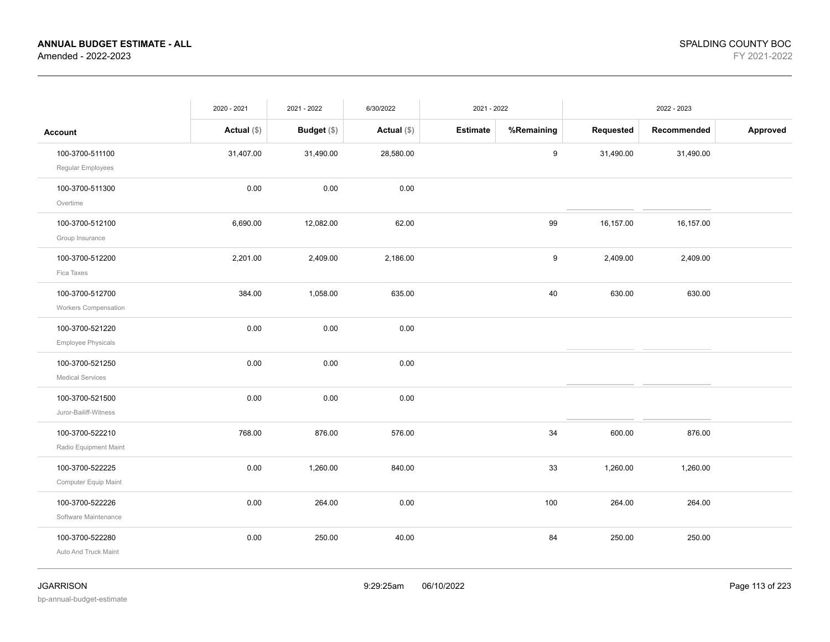|                                                | 2020 - 2021   | 2021 - 2022   | 6/30/2022     | 2021 - 2022     |                  |           | 2022 - 2023 |          |
|------------------------------------------------|---------------|---------------|---------------|-----------------|------------------|-----------|-------------|----------|
| <b>Account</b>                                 | Actual $(\$)$ | Budget $(\$)$ | Actual $(\$)$ | <b>Estimate</b> | %Remaining       | Requested | Recommended | Approved |
| 100-3700-511100<br>Regular Employees           | 31,407.00     | 31,490.00     | 28,580.00     |                 | $\boldsymbol{9}$ | 31,490.00 | 31,490.00   |          |
| 100-3700-511300<br>Overtime                    | 0.00          | 0.00          | 0.00          |                 |                  |           |             |          |
| 100-3700-512100<br>Group Insurance             | 6,690.00      | 12,082.00     | 62.00         |                 | 99               | 16,157.00 | 16,157.00   |          |
| 100-3700-512200<br>Fica Taxes                  | 2,201.00      | 2,409.00      | 2,186.00      |                 | 9                | 2,409.00  | 2,409.00    |          |
| 100-3700-512700<br><b>Workers Compensation</b> | 384.00        | 1,058.00      | 635.00        |                 | 40               | 630.00    | 630.00      |          |
| 100-3700-521220<br>Employee Physicals          | 0.00          | 0.00          | 0.00          |                 |                  |           |             |          |
| 100-3700-521250<br><b>Medical Services</b>     | 0.00          | 0.00          | 0.00          |                 |                  |           |             |          |
| 100-3700-521500<br>Juror-Bailiff-Witness       | 0.00          | 0.00          | 0.00          |                 |                  |           |             |          |
| 100-3700-522210<br>Radio Equipment Maint       | 768.00        | 876.00        | 576.00        |                 | 34               | 600.00    | 876.00      |          |
| 100-3700-522225<br>Computer Equip Maint        | 0.00          | 1,260.00      | 840.00        |                 | 33               | 1,260.00  | 1,260.00    |          |
| 100-3700-522226<br>Software Maintenance        | 0.00          | 264.00        | 0.00          |                 | 100              | 264.00    | 264.00      |          |
| 100-3700-522280<br>Auto And Truck Maint        | 0.00          | 250.00        | 40.00         |                 | 84               | 250.00    | 250.00      |          |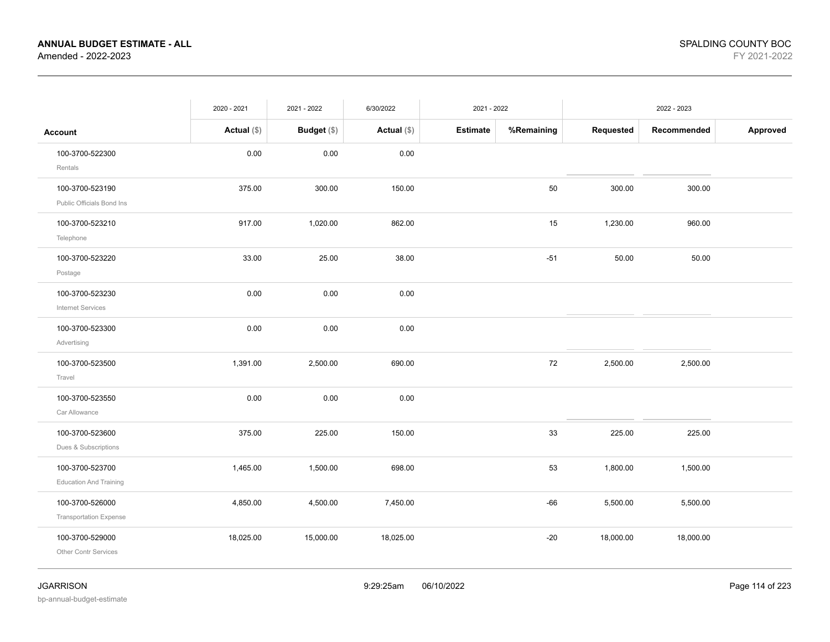|                                                  | 2020 - 2021   | 2021 - 2022        | 6/30/2022   | 2021 - 2022     |            |           | 2022 - 2023 |          |
|--------------------------------------------------|---------------|--------------------|-------------|-----------------|------------|-----------|-------------|----------|
| Account                                          | Actual $(\$)$ | <b>Budget</b> (\$) | Actual (\$) | <b>Estimate</b> | %Remaining | Requested | Recommended | Approved |
| 100-3700-522300<br>Rentals                       | 0.00          | 0.00               | 0.00        |                 |            |           |             |          |
| 100-3700-523190<br>Public Officials Bond Ins     | 375.00        | 300.00             | 150.00      |                 | 50         | 300.00    | 300.00      |          |
| 100-3700-523210<br>Telephone                     | 917.00        | 1,020.00           | 862.00      |                 | 15         | 1,230.00  | 960.00      |          |
| 100-3700-523220<br>Postage                       | 33.00         | 25.00              | 38.00       |                 | $-51$      | 50.00     | 50.00       |          |
| 100-3700-523230<br><b>Internet Services</b>      | 0.00          | 0.00               | 0.00        |                 |            |           |             |          |
| 100-3700-523300<br>Advertising                   | 0.00          | 0.00               | 0.00        |                 |            |           |             |          |
| 100-3700-523500<br>Travel                        | 1,391.00      | 2,500.00           | 690.00      |                 | 72         | 2,500.00  | 2,500.00    |          |
| 100-3700-523550<br>Car Allowance                 | 0.00          | 0.00               | 0.00        |                 |            |           |             |          |
| 100-3700-523600<br>Dues & Subscriptions          | 375.00        | 225.00             | 150.00      |                 | 33         | 225.00    | 225.00      |          |
| 100-3700-523700<br><b>Education And Training</b> | 1,465.00      | 1,500.00           | 698.00      |                 | 53         | 1,800.00  | 1,500.00    |          |
| 100-3700-526000<br><b>Transportation Expense</b> | 4,850.00      | 4,500.00           | 7,450.00    |                 | $-66$      | 5,500.00  | 5,500.00    |          |
| 100-3700-529000<br>Other Contr Services          | 18,025.00     | 15,000.00          | 18,025.00   |                 | $-20$      | 18,000.00 | 18,000.00   |          |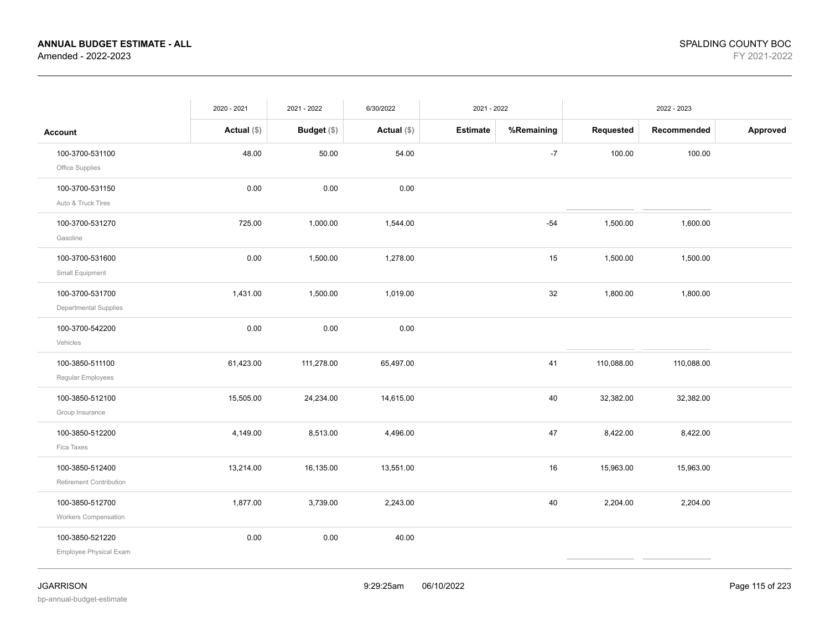|                                                | 2020 - 2021   | 2021 - 2022 | 6/30/2022   | 2021 - 2022     |            |            | 2022 - 2023 |          |
|------------------------------------------------|---------------|-------------|-------------|-----------------|------------|------------|-------------|----------|
| <b>Account</b>                                 | Actual $(\$)$ | Budget (\$) | Actual (\$) | <b>Estimate</b> | %Remaining | Requested  | Recommended | Approved |
| 100-3700-531100<br>Office Supplies             | 48.00         | 50.00       | 54.00       |                 | $-7$       | 100.00     | 100.00      |          |
| 100-3700-531150<br>Auto & Truck Tires          | 0.00          | 0.00        | 0.00        |                 |            |            |             |          |
| 100-3700-531270<br>Gasoline                    | 725.00        | 1,000.00    | 1,544.00    |                 | $-54$      | 1,500.00   | 1,600.00    |          |
| 100-3700-531600<br>Small Equipment             | 0.00          | 1,500.00    | 1,278.00    |                 | 15         | 1,500.00   | 1,500.00    |          |
| 100-3700-531700<br>Departmental Supplies       | 1,431.00      | 1,500.00    | 1,019.00    |                 | 32         | 1,800.00   | 1,800.00    |          |
| 100-3700-542200<br>Vehicles                    | 0.00          | 0.00        | 0.00        |                 |            |            |             |          |
| 100-3850-511100<br>Regular Employees           | 61,423.00     | 111,278.00  | 65,497.00   |                 | 41         | 110,088.00 | 110,088.00  |          |
| 100-3850-512100<br>Group Insurance             | 15,505.00     | 24,234.00   | 14,615.00   |                 | 40         | 32,382.00  | 32,382.00   |          |
| 100-3850-512200<br>Fica Taxes                  | 4,149.00      | 8,513.00    | 4,496.00    |                 | 47         | 8,422.00   | 8,422.00    |          |
| 100-3850-512400<br>Retirement Contribution     | 13,214.00     | 16,135.00   | 13,551.00   |                 | 16         | 15,963.00  | 15,963.00   |          |
| 100-3850-512700<br><b>Workers Compensation</b> | 1,877.00      | 3,739.00    | 2,243.00    |                 | 40         | 2,204.00   | 2,204.00    |          |
| 100-3850-521220<br>Employee Physical Exam      | 0.00          | 0.00        | 40.00       |                 |            |            |             |          |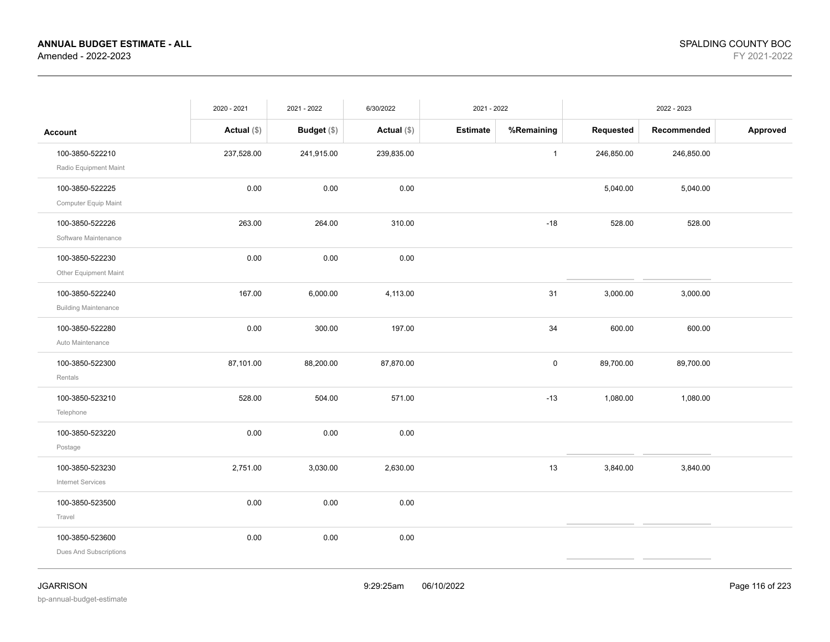|                                                | 2020 - 2021   | 2021 - 2022 | 6/30/2022     | 2021 - 2022     |              |            | 2022 - 2023 |          |
|------------------------------------------------|---------------|-------------|---------------|-----------------|--------------|------------|-------------|----------|
| <b>Account</b>                                 | Actual $(\$)$ | Budget (\$) | Actual $(\$)$ | <b>Estimate</b> | %Remaining   | Requested  | Recommended | Approved |
| 100-3850-522210<br>Radio Equipment Maint       | 237,528.00    | 241,915.00  | 239,835.00    |                 | $\mathbf{1}$ | 246,850.00 | 246,850.00  |          |
| 100-3850-522225<br>Computer Equip Maint        | 0.00          | 0.00        | 0.00          |                 |              | 5,040.00   | 5,040.00    |          |
| 100-3850-522226<br>Software Maintenance        | 263.00        | 264.00      | 310.00        |                 | $-18$        | 528.00     | 528.00      |          |
| 100-3850-522230<br>Other Equipment Maint       | 0.00          | 0.00        | 0.00          |                 |              |            |             |          |
| 100-3850-522240<br><b>Building Maintenance</b> | 167.00        | 6,000.00    | 4,113.00      |                 | 31           | 3,000.00   | 3,000.00    |          |
| 100-3850-522280<br>Auto Maintenance            | 0.00          | 300.00      | 197.00        |                 | 34           | 600.00     | 600.00      |          |
| 100-3850-522300<br>Rentals                     | 87,101.00     | 88,200.00   | 87,870.00     |                 | $\mathsf 0$  | 89,700.00  | 89,700.00   |          |
| 100-3850-523210<br>Telephone                   | 528.00        | 504.00      | 571.00        |                 | $-13$        | 1,080.00   | 1,080.00    |          |
| 100-3850-523220<br>Postage                     | 0.00          | 0.00        | 0.00          |                 |              |            |             |          |
| 100-3850-523230<br>Internet Services           | 2,751.00      | 3,030.00    | 2,630.00      |                 | 13           | 3,840.00   | 3,840.00    |          |
| 100-3850-523500<br>Travel                      | 0.00          | 0.00        | 0.00          |                 |              |            |             |          |
| 100-3850-523600<br>Dues And Subscriptions      | 0.00          | 0.00        | 0.00          |                 |              |            |             |          |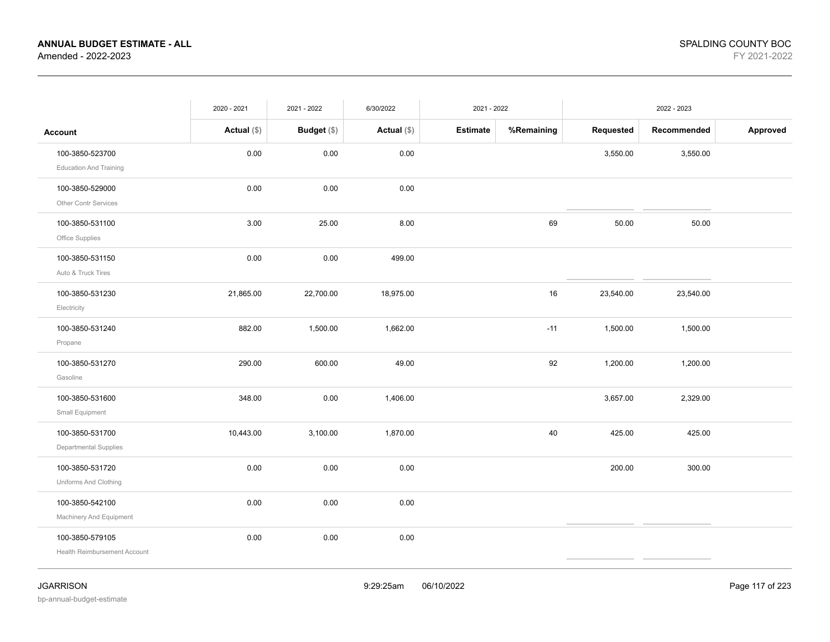|                                                        | 2020 - 2021   | 2021 - 2022 | 6/30/2022   | 2021 - 2022     |            |           | 2022 - 2023 |          |
|--------------------------------------------------------|---------------|-------------|-------------|-----------------|------------|-----------|-------------|----------|
| <b>Account</b>                                         | Actual $(\$)$ | Budget (\$) | Actual (\$) | <b>Estimate</b> | %Remaining | Requested | Recommended | Approved |
| 100-3850-523700<br><b>Education And Training</b>       | 0.00          | 0.00        | 0.00        |                 |            | 3,550.00  | 3,550.00    |          |
| 100-3850-529000<br><b>Other Contr Services</b>         | 0.00          | 0.00        | 0.00        |                 |            |           |             |          |
| 100-3850-531100<br>Office Supplies                     | 3.00          | 25.00       | 8.00        |                 | 69         | 50.00     | 50.00       |          |
| 100-3850-531150<br>Auto & Truck Tires                  | 0.00          | 0.00        | 499.00      |                 |            |           |             |          |
| 100-3850-531230<br>Electricity                         | 21,865.00     | 22,700.00   | 18,975.00   |                 | 16         | 23,540.00 | 23,540.00   |          |
| 100-3850-531240<br>Propane                             | 882.00        | 1,500.00    | 1,662.00    |                 | $-11$      | 1,500.00  | 1,500.00    |          |
| 100-3850-531270<br>Gasoline                            | 290.00        | 600.00      | 49.00       |                 | 92         | 1,200.00  | 1,200.00    |          |
| 100-3850-531600<br>Small Equipment                     | 348.00        | 0.00        | 1,406.00    |                 |            | 3,657.00  | 2,329.00    |          |
| 100-3850-531700<br>Departmental Supplies               | 10,443.00     | 3,100.00    | 1,870.00    |                 | 40         | 425.00    | 425.00      |          |
| 100-3850-531720<br>Uniforms And Clothing               | 0.00          | 0.00        | 0.00        |                 |            | 200.00    | 300.00      |          |
| 100-3850-542100<br>Machinery And Equipment             | 0.00          | 0.00        | 0.00        |                 |            |           |             |          |
| 100-3850-579105<br><b>Health Reimbursement Account</b> | 0.00          | 0.00        | 0.00        |                 |            |           |             |          |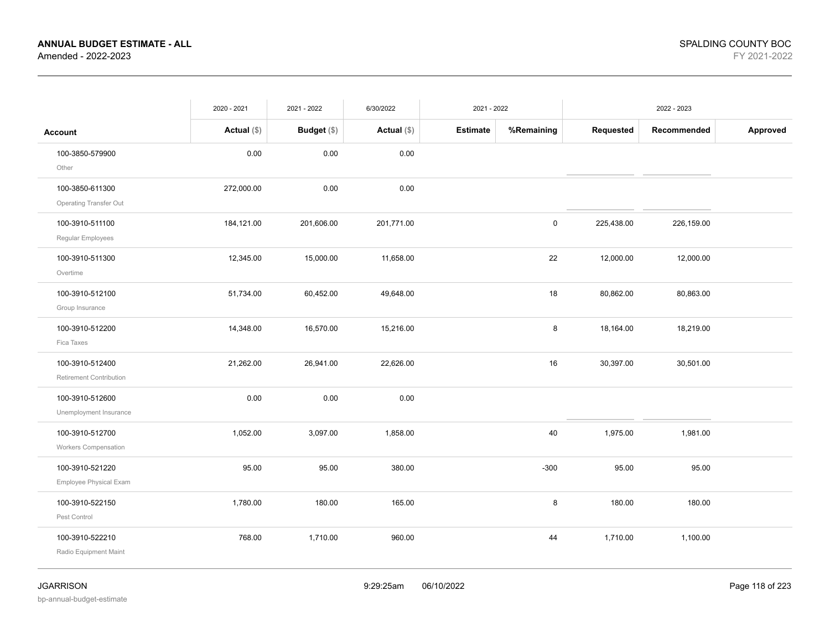|                                            | 2020 - 2021   | 2021 - 2022 | 6/30/2022   | 2021 - 2022     |            |            | 2022 - 2023 |          |
|--------------------------------------------|---------------|-------------|-------------|-----------------|------------|------------|-------------|----------|
| <b>Account</b>                             | Actual $(\$)$ | Budget (\$) | Actual (\$) | <b>Estimate</b> | %Remaining | Requested  | Recommended | Approved |
| 100-3850-579900<br>Other                   | 0.00          | 0.00        | 0.00        |                 |            |            |             |          |
| 100-3850-611300<br>Operating Transfer Out  | 272,000.00    | 0.00        | 0.00        |                 |            |            |             |          |
| 100-3910-511100<br>Regular Employees       | 184,121.00    | 201,606.00  | 201,771.00  |                 | 0          | 225,438.00 | 226,159.00  |          |
| 100-3910-511300<br>Overtime                | 12,345.00     | 15,000.00   | 11,658.00   |                 | 22         | 12,000.00  | 12,000.00   |          |
| 100-3910-512100<br>Group Insurance         | 51,734.00     | 60,452.00   | 49,648.00   |                 | 18         | 80,862.00  | 80,863.00   |          |
| 100-3910-512200<br>Fica Taxes              | 14,348.00     | 16,570.00   | 15,216.00   |                 | 8          | 18,164.00  | 18,219.00   |          |
| 100-3910-512400<br>Retirement Contribution | 21,262.00     | 26,941.00   | 22,626.00   |                 | 16         | 30,397.00  | 30,501.00   |          |
| 100-3910-512600<br>Unemployment Insurance  | 0.00          | 0.00        | 0.00        |                 |            |            |             |          |
| 100-3910-512700<br>Workers Compensation    | 1,052.00      | 3,097.00    | 1,858.00    |                 | 40         | 1,975.00   | 1,981.00    |          |
| 100-3910-521220<br>Employee Physical Exam  | 95.00         | 95.00       | 380.00      |                 | $-300$     | 95.00      | 95.00       |          |
| 100-3910-522150<br>Pest Control            | 1,780.00      | 180.00      | 165.00      |                 | 8          | 180.00     | 180.00      |          |
| 100-3910-522210<br>Radio Equipment Maint   | 768.00        | 1,710.00    | 960.00      |                 | 44         | 1,710.00   | 1,100.00    |          |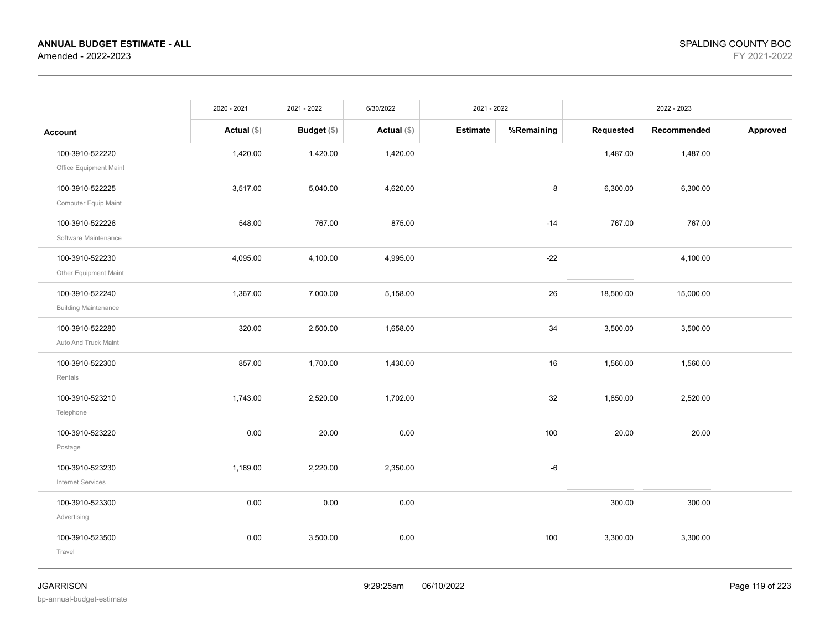|                                                | 2020 - 2021   | 2021 - 2022        | 6/30/2022     | 2021 - 2022     |            |           | 2022 - 2023 |          |
|------------------------------------------------|---------------|--------------------|---------------|-----------------|------------|-----------|-------------|----------|
| <b>Account</b>                                 | Actual $(\$)$ | <b>Budget</b> (\$) | Actual $(\$)$ | <b>Estimate</b> | %Remaining | Requested | Recommended | Approved |
| 100-3910-522220<br>Office Equipment Maint      | 1,420.00      | 1,420.00           | 1,420.00      |                 |            | 1,487.00  | 1,487.00    |          |
| 100-3910-522225<br>Computer Equip Maint        | 3,517.00      | 5,040.00           | 4,620.00      |                 | 8          | 6,300.00  | 6,300.00    |          |
| 100-3910-522226<br>Software Maintenance        | 548.00        | 767.00             | 875.00        |                 | $-14$      | 767.00    | 767.00      |          |
| 100-3910-522230<br>Other Equipment Maint       | 4,095.00      | 4,100.00           | 4,995.00      |                 | $-22$      |           | 4,100.00    |          |
| 100-3910-522240<br><b>Building Maintenance</b> | 1,367.00      | 7,000.00           | 5,158.00      |                 | 26         | 18,500.00 | 15,000.00   |          |
| 100-3910-522280<br>Auto And Truck Maint        | 320.00        | 2,500.00           | 1,658.00      |                 | 34         | 3,500.00  | 3,500.00    |          |
| 100-3910-522300<br>Rentals                     | 857.00        | 1,700.00           | 1,430.00      |                 | 16         | 1,560.00  | 1,560.00    |          |
| 100-3910-523210<br>Telephone                   | 1,743.00      | 2,520.00           | 1,702.00      |                 | 32         | 1,850.00  | 2,520.00    |          |
| 100-3910-523220<br>Postage                     | 0.00          | 20.00              | 0.00          |                 | 100        | 20.00     | 20.00       |          |
| 100-3910-523230<br><b>Internet Services</b>    | 1,169.00      | 2,220.00           | 2,350.00      |                 | $-6$       |           |             |          |
| 100-3910-523300<br>Advertising                 | 0.00          | 0.00               | 0.00          |                 |            | 300.00    | 300.00      |          |
| 100-3910-523500<br>Travel                      | 0.00          | 3,500.00           | 0.00          |                 | 100        | 3,300.00  | 3,300.00    |          |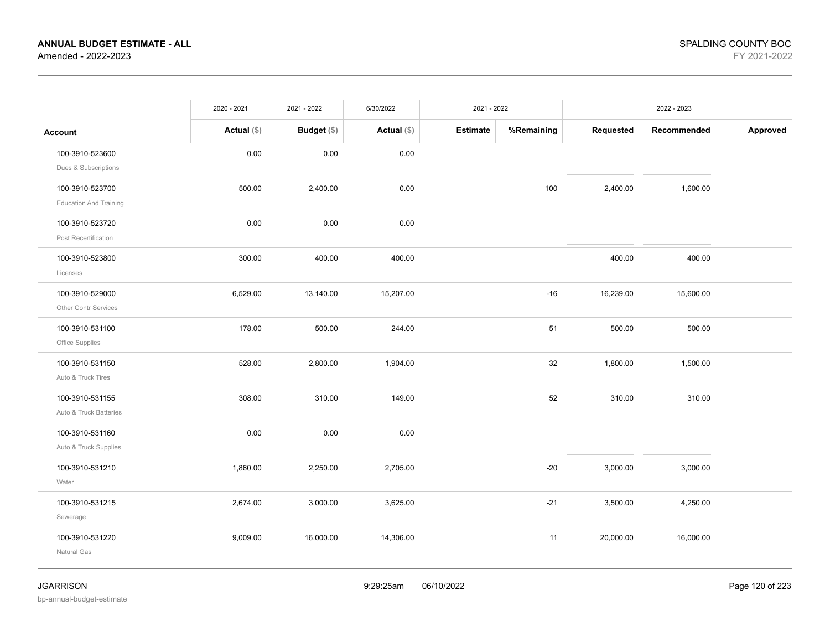|                               | 2020 - 2021   | 2021 - 2022 | 6/30/2022   | 2021 - 2022     |            |           | 2022 - 2023 |          |
|-------------------------------|---------------|-------------|-------------|-----------------|------------|-----------|-------------|----------|
| <b>Account</b>                | Actual $(\$)$ | Budget (\$) | Actual (\$) | <b>Estimate</b> | %Remaining | Requested | Recommended | Approved |
| 100-3910-523600               | 0.00          | 0.00        | 0.00        |                 |            |           |             |          |
| Dues & Subscriptions          |               |             |             |                 |            |           |             |          |
| 100-3910-523700               | 500.00        | 2,400.00    | 0.00        |                 | 100        | 2,400.00  | 1,600.00    |          |
| <b>Education And Training</b> |               |             |             |                 |            |           |             |          |
| 100-3910-523720               | 0.00          | 0.00        | 0.00        |                 |            |           |             |          |
| Post Recertification          |               |             |             |                 |            |           |             |          |
| 100-3910-523800               | 300.00        | 400.00      | 400.00      |                 |            | 400.00    | 400.00      |          |
| Licenses                      |               |             |             |                 |            |           |             |          |
| 100-3910-529000               | 6,529.00      | 13,140.00   | 15,207.00   |                 | $-16$      | 16,239.00 | 15,600.00   |          |
| Other Contr Services          |               |             |             |                 |            |           |             |          |
| 100-3910-531100               | 178.00        | 500.00      | 244.00      |                 | 51         | 500.00    | 500.00      |          |
| Office Supplies               |               |             |             |                 |            |           |             |          |
| 100-3910-531150               | 528.00        | 2,800.00    | 1,904.00    |                 | 32         | 1,800.00  | 1,500.00    |          |
| Auto & Truck Tires            |               |             |             |                 |            |           |             |          |
| 100-3910-531155               | 308.00        | 310.00      | 149.00      |                 | 52         | 310.00    | 310.00      |          |
| Auto & Truck Batteries        |               |             |             |                 |            |           |             |          |
| 100-3910-531160               | 0.00          | 0.00        | 0.00        |                 |            |           |             |          |
| Auto & Truck Supplies         |               |             |             |                 |            |           |             |          |
| 100-3910-531210               | 1,860.00      | 2,250.00    | 2,705.00    |                 | $-20$      | 3,000.00  | 3,000.00    |          |
| Water                         |               |             |             |                 |            |           |             |          |
| 100-3910-531215               | 2,674.00      | 3,000.00    | 3,625.00    |                 | $-21$      | 3,500.00  | 4,250.00    |          |
| Sewerage                      |               |             |             |                 |            |           |             |          |
| 100-3910-531220               | 9,009.00      | 16,000.00   | 14,306.00   |                 | 11         | 20,000.00 | 16,000.00   |          |
| Natural Gas                   |               |             |             |                 |            |           |             |          |
|                               |               |             |             |                 |            |           |             |          |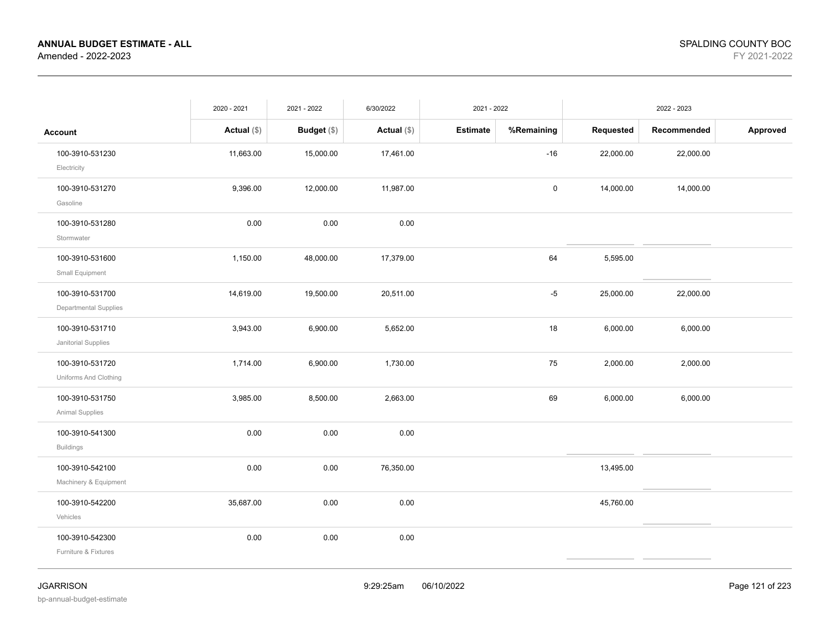|                                                 | 2020 - 2021   | 2021 - 2022        | 6/30/2022     | 2021 - 2022     |             |           | 2022 - 2023 |          |
|-------------------------------------------------|---------------|--------------------|---------------|-----------------|-------------|-----------|-------------|----------|
| <b>Account</b>                                  | Actual $(\$)$ | <b>Budget</b> (\$) | Actual $(\$)$ | <b>Estimate</b> | %Remaining  | Requested | Recommended | Approved |
| 100-3910-531230<br>Electricity                  | 11,663.00     | 15,000.00          | 17,461.00     |                 | $-16$       | 22,000.00 | 22,000.00   |          |
| 100-3910-531270<br>Gasoline                     | 9,396.00      | 12,000.00          | 11,987.00     |                 | $\mathsf 0$ | 14,000.00 | 14,000.00   |          |
| 100-3910-531280<br>Stormwater                   | 0.00          | 0.00               | 0.00          |                 |             |           |             |          |
| 100-3910-531600<br>Small Equipment              | 1,150.00      | 48,000.00          | 17,379.00     |                 | 64          | 5,595.00  |             |          |
| 100-3910-531700<br><b>Departmental Supplies</b> | 14,619.00     | 19,500.00          | 20,511.00     |                 | $-5$        | 25,000.00 | 22,000.00   |          |
| 100-3910-531710<br>Janitorial Supplies          | 3,943.00      | 6,900.00           | 5,652.00      |                 | 18          | 6,000.00  | 6,000.00    |          |
| 100-3910-531720<br>Uniforms And Clothing        | 1,714.00      | 6,900.00           | 1,730.00      |                 | 75          | 2,000.00  | 2,000.00    |          |
| 100-3910-531750<br>Animal Supplies              | 3,985.00      | 8,500.00           | 2,663.00      |                 | 69          | 6,000.00  | 6,000.00    |          |
| 100-3910-541300<br><b>Buildings</b>             | 0.00          | 0.00               | 0.00          |                 |             |           |             |          |
| 100-3910-542100<br>Machinery & Equipment        | 0.00          | 0.00               | 76,350.00     |                 |             | 13,495.00 |             |          |
| 100-3910-542200<br>Vehicles                     | 35,687.00     | 0.00               | 0.00          |                 |             | 45,760.00 |             |          |
| 100-3910-542300<br>Furniture & Fixtures         | 0.00          | 0.00               | 0.00          |                 |             |           |             |          |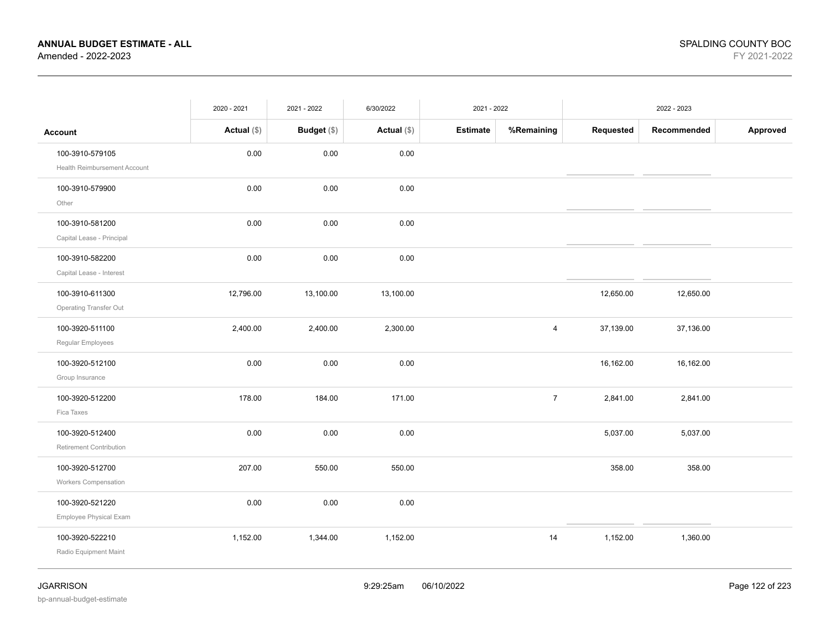|                                                  | 2020 - 2021   | 2021 - 2022        | 6/30/2022     | 2021 - 2022     |                |           | 2022 - 2023 |          |
|--------------------------------------------------|---------------|--------------------|---------------|-----------------|----------------|-----------|-------------|----------|
| <b>Account</b>                                   | Actual $(\$)$ | <b>Budget</b> (\$) | Actual $(\$)$ | <b>Estimate</b> | %Remaining     | Requested | Recommended | Approved |
| 100-3910-579105<br>Health Reimbursement Account  | 0.00          | 0.00               | 0.00          |                 |                |           |             |          |
| 100-3910-579900<br>Other                         | 0.00          | 0.00               | 0.00          |                 |                |           |             |          |
| 100-3910-581200<br>Capital Lease - Principal     | 0.00          | 0.00               | 0.00          |                 |                |           |             |          |
| 100-3910-582200<br>Capital Lease - Interest      | 0.00          | 0.00               | 0.00          |                 |                |           |             |          |
| 100-3910-611300<br><b>Operating Transfer Out</b> | 12,796.00     | 13,100.00          | 13,100.00     |                 |                | 12,650.00 | 12,650.00   |          |
| 100-3920-511100<br>Regular Employees             | 2,400.00      | 2,400.00           | 2,300.00      |                 | $\overline{4}$ | 37,139.00 | 37,136.00   |          |
| 100-3920-512100<br>Group Insurance               | 0.00          | 0.00               | 0.00          |                 |                | 16,162.00 | 16,162.00   |          |
| 100-3920-512200<br>Fica Taxes                    | 178.00        | 184.00             | 171.00        |                 | $\overline{7}$ | 2,841.00  | 2,841.00    |          |
| 100-3920-512400<br>Retirement Contribution       | 0.00          | 0.00               | 0.00          |                 |                | 5,037.00  | 5,037.00    |          |
| 100-3920-512700<br><b>Workers Compensation</b>   | 207.00        | 550.00             | 550.00        |                 |                | 358.00    | 358.00      |          |
| 100-3920-521220<br>Employee Physical Exam        | 0.00          | 0.00               | 0.00          |                 |                |           |             |          |
| 100-3920-522210<br>Radio Equipment Maint         | 1,152.00      | 1,344.00           | 1,152.00      |                 | 14             | 1,152.00  | 1,360.00    |          |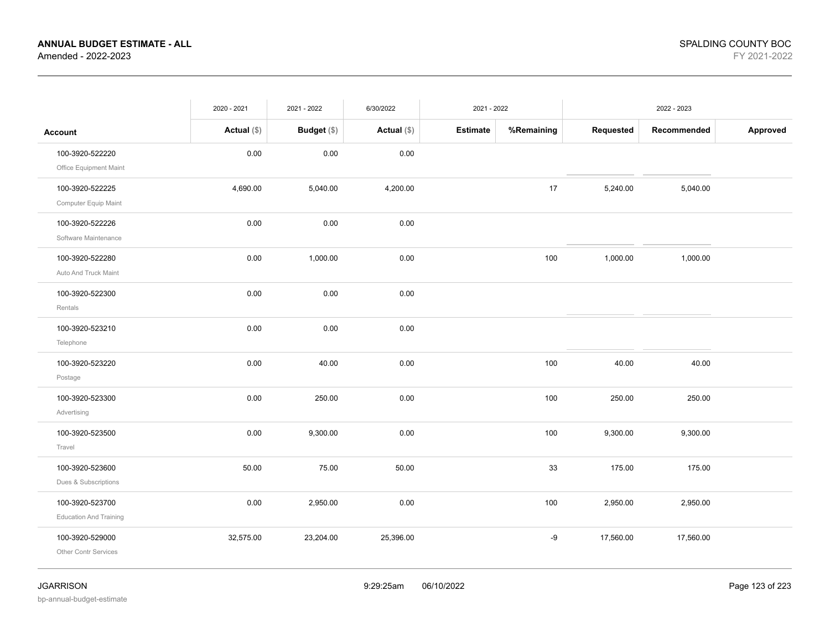|                                                  | 2020 - 2021   | 2021 - 2022        | 6/30/2022     | 2021 - 2022     |            |           | 2022 - 2023 |          |
|--------------------------------------------------|---------------|--------------------|---------------|-----------------|------------|-----------|-------------|----------|
| <b>Account</b>                                   | Actual $(\$)$ | <b>Budget</b> (\$) | Actual $(\$)$ | <b>Estimate</b> | %Remaining | Requested | Recommended | Approved |
| 100-3920-522220<br>Office Equipment Maint        | 0.00          | 0.00               | 0.00          |                 |            |           |             |          |
| 100-3920-522225<br>Computer Equip Maint          | 4,690.00      | 5,040.00           | 4,200.00      |                 | 17         | 5,240.00  | 5,040.00    |          |
| 100-3920-522226<br>Software Maintenance          | 0.00          | 0.00               | 0.00          |                 |            |           |             |          |
| 100-3920-522280<br>Auto And Truck Maint          | 0.00          | 1,000.00           | 0.00          |                 | 100        | 1,000.00  | 1,000.00    |          |
| 100-3920-522300<br>Rentals                       | 0.00          | 0.00               | 0.00          |                 |            |           |             |          |
| 100-3920-523210<br>Telephone                     | 0.00          | 0.00               | 0.00          |                 |            |           |             |          |
| 100-3920-523220<br>Postage                       | 0.00          | 40.00              | 0.00          |                 | 100        | 40.00     | 40.00       |          |
| 100-3920-523300<br>Advertising                   | 0.00          | 250.00             | 0.00          |                 | 100        | 250.00    | 250.00      |          |
| 100-3920-523500<br>Travel                        | 0.00          | 9,300.00           | 0.00          |                 | 100        | 9,300.00  | 9,300.00    |          |
| 100-3920-523600<br>Dues & Subscriptions          | 50.00         | 75.00              | 50.00         |                 | 33         | 175.00    | 175.00      |          |
| 100-3920-523700<br><b>Education And Training</b> | 0.00          | 2,950.00           | 0.00          |                 | 100        | 2,950.00  | 2,950.00    |          |
| 100-3920-529000<br>Other Contr Services          | 32,575.00     | 23,204.00          | 25,396.00     |                 | -9         | 17,560.00 | 17,560.00   |          |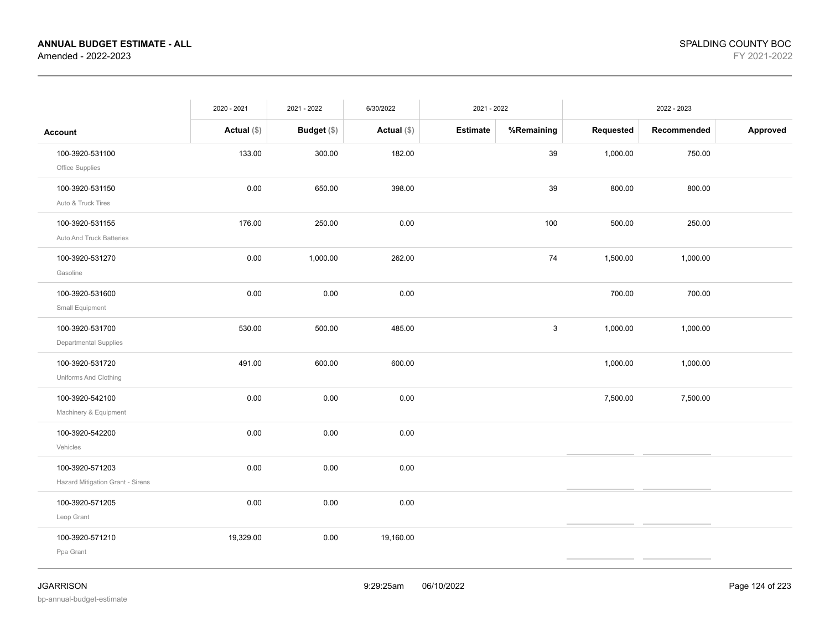|                                                     | 2020 - 2021   | 2021 - 2022 | 6/30/2022     | 2021 - 2022 |            |           | 2022 - 2023 |          |
|-----------------------------------------------------|---------------|-------------|---------------|-------------|------------|-----------|-------------|----------|
| Account                                             | Actual $(\$)$ | Budget (\$) | Actual $(\$)$ | Estimate    | %Remaining | Requested | Recommended | Approved |
| 100-3920-531100<br>Office Supplies                  | 133.00        | 300.00      | 182.00        |             | 39         | 1,000.00  | 750.00      |          |
| 100-3920-531150<br>Auto & Truck Tires               | 0.00          | 650.00      | 398.00        |             | 39         | 800.00    | 800.00      |          |
| 100-3920-531155<br>Auto And Truck Batteries         | 176.00        | 250.00      | 0.00          |             | 100        | 500.00    | 250.00      |          |
| 100-3920-531270<br>Gasoline                         | 0.00          | 1,000.00    | 262.00        |             | 74         | 1,500.00  | 1,000.00    |          |
| 100-3920-531600<br>Small Equipment                  | 0.00          | 0.00        | 0.00          |             |            | 700.00    | 700.00      |          |
| 100-3920-531700<br>Departmental Supplies            | 530.00        | 500.00      | 485.00        |             | 3          | 1,000.00  | 1,000.00    |          |
| 100-3920-531720<br>Uniforms And Clothing            | 491.00        | 600.00      | 600.00        |             |            | 1,000.00  | 1,000.00    |          |
| 100-3920-542100<br>Machinery & Equipment            | 0.00          | 0.00        | 0.00          |             |            | 7,500.00  | 7,500.00    |          |
| 100-3920-542200<br>Vehicles                         | 0.00          | 0.00        | 0.00          |             |            |           |             |          |
| 100-3920-571203<br>Hazard Mitigation Grant - Sirens | 0.00          | 0.00        | 0.00          |             |            |           |             |          |
| 100-3920-571205<br>Leop Grant                       | 0.00          | 0.00        | 0.00          |             |            |           |             |          |
| 100-3920-571210<br>Ppa Grant                        | 19,329.00     | 0.00        | 19,160.00     |             |            |           |             |          |
|                                                     |               |             |               |             |            |           |             |          |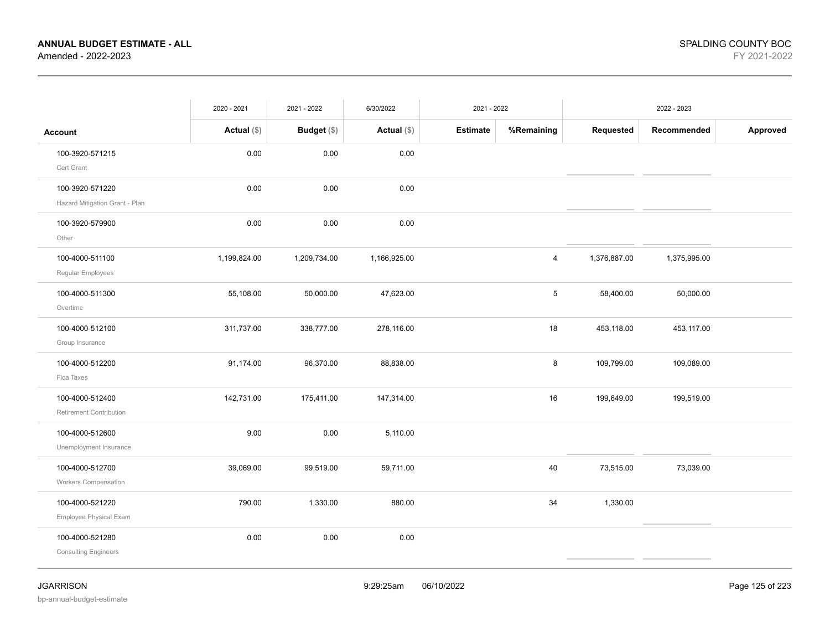|                                                   | 2020 - 2021   | 2021 - 2022        | 6/30/2022     | 2021 - 2022     |            |              | 2022 - 2023  |          |
|---------------------------------------------------|---------------|--------------------|---------------|-----------------|------------|--------------|--------------|----------|
| <b>Account</b>                                    | Actual $(\$)$ | <b>Budget</b> (\$) | Actual $(\$)$ | <b>Estimate</b> | %Remaining | Requested    | Recommended  | Approved |
| 100-3920-571215<br>Cert Grant                     | 0.00          | 0.00               | 0.00          |                 |            |              |              |          |
| 100-3920-571220<br>Hazard Mitigation Grant - Plan | 0.00          | 0.00               | 0.00          |                 |            |              |              |          |
| 100-3920-579900<br>Other                          | 0.00          | 0.00               | 0.00          |                 |            |              |              |          |
| 100-4000-511100<br>Regular Employees              | 1,199,824.00  | 1,209,734.00       | 1,166,925.00  |                 | 4          | 1,376,887.00 | 1,375,995.00 |          |
| 100-4000-511300<br>Overtime                       | 55,108.00     | 50,000.00          | 47,623.00     |                 | 5          | 58,400.00    | 50,000.00    |          |
| 100-4000-512100<br>Group Insurance                | 311,737.00    | 338,777.00         | 278,116.00    |                 | 18         | 453,118.00   | 453,117.00   |          |
| 100-4000-512200<br>Fica Taxes                     | 91,174.00     | 96,370.00          | 88,838.00     |                 | 8          | 109,799.00   | 109,089.00   |          |
| 100-4000-512400<br>Retirement Contribution        | 142,731.00    | 175,411.00         | 147,314.00    |                 | 16         | 199,649.00   | 199,519.00   |          |
| 100-4000-512600<br>Unemployment Insurance         | 9.00          | 0.00               | 5,110.00      |                 |            |              |              |          |
| 100-4000-512700<br>Workers Compensation           | 39,069.00     | 99,519.00          | 59,711.00     |                 | 40         | 73,515.00    | 73,039.00    |          |
| 100-4000-521220<br>Employee Physical Exam         | 790.00        | 1,330.00           | 880.00        |                 | 34         | 1,330.00     |              |          |
| 100-4000-521280<br><b>Consulting Engineers</b>    | 0.00          | 0.00               | 0.00          |                 |            |              |              |          |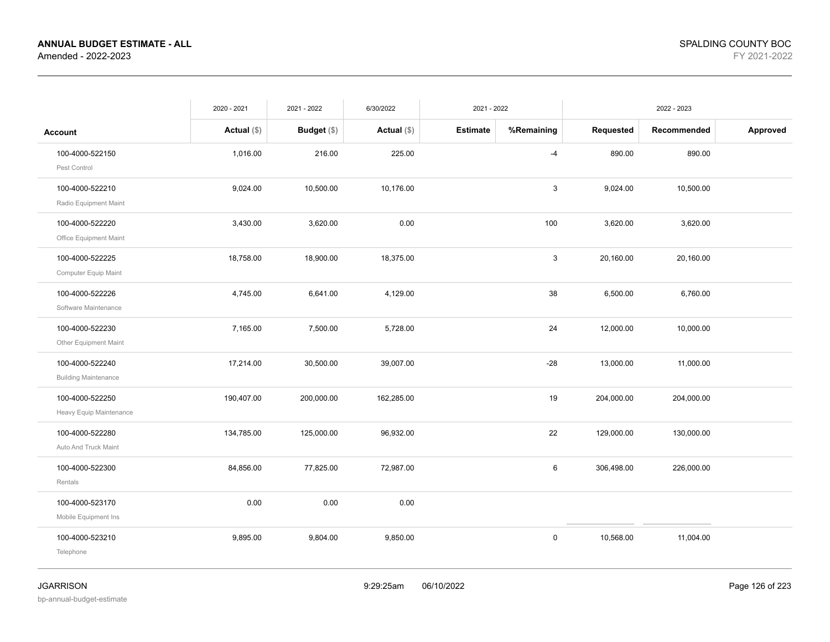|                             | 2020 - 2021   | 2021 - 2022   | 6/30/2022     | 2021 - 2022     |              |            | 2022 - 2023 |          |
|-----------------------------|---------------|---------------|---------------|-----------------|--------------|------------|-------------|----------|
| <b>Account</b>              | Actual $(\$)$ | Budget $(\$)$ | Actual $(\$)$ | <b>Estimate</b> | %Remaining   | Requested  | Recommended | Approved |
| 100-4000-522150             | 1,016.00      | 216.00        | 225.00        |                 | -4           | 890.00     | 890.00      |          |
| Pest Control                |               |               |               |                 |              |            |             |          |
| 100-4000-522210             | 9,024.00      | 10,500.00     | 10,176.00     |                 | 3            | 9,024.00   | 10,500.00   |          |
| Radio Equipment Maint       |               |               |               |                 |              |            |             |          |
| 100-4000-522220             | 3,430.00      | 3,620.00      | 0.00          |                 | 100          | 3,620.00   | 3,620.00    |          |
| Office Equipment Maint      |               |               |               |                 |              |            |             |          |
| 100-4000-522225             | 18,758.00     | 18,900.00     | 18,375.00     |                 | $\mathbf{3}$ | 20,160.00  | 20,160.00   |          |
| Computer Equip Maint        |               |               |               |                 |              |            |             |          |
| 100-4000-522226             | 4,745.00      | 6,641.00      | 4,129.00      |                 | 38           | 6,500.00   | 6,760.00    |          |
| Software Maintenance        |               |               |               |                 |              |            |             |          |
| 100-4000-522230             | 7,165.00      | 7,500.00      | 5,728.00      |                 | 24           | 12,000.00  | 10,000.00   |          |
| Other Equipment Maint       |               |               |               |                 |              |            |             |          |
| 100-4000-522240             | 17,214.00     | 30,500.00     | 39,007.00     |                 | $-28$        | 13,000.00  | 11,000.00   |          |
| <b>Building Maintenance</b> |               |               |               |                 |              |            |             |          |
| 100-4000-522250             | 190,407.00    | 200,000.00    | 162,285.00    |                 | 19           | 204,000.00 | 204,000.00  |          |
| Heavy Equip Maintenance     |               |               |               |                 |              |            |             |          |
| 100-4000-522280             | 134,785.00    | 125,000.00    | 96,932.00     |                 | 22           | 129,000.00 | 130,000.00  |          |
| Auto And Truck Maint        |               |               |               |                 |              |            |             |          |
| 100-4000-522300             | 84,856.00     | 77,825.00     | 72,987.00     |                 | 6            | 306,498.00 | 226,000.00  |          |
| Rentals                     |               |               |               |                 |              |            |             |          |
| 100-4000-523170             | 0.00          | 0.00          | 0.00          |                 |              |            |             |          |
| Mobile Equipment Ins        |               |               |               |                 |              |            |             |          |
| 100-4000-523210             | 9,895.00      | 9,804.00      | 9,850.00      |                 | 0            | 10,568.00  | 11,004.00   |          |
| Telephone                   |               |               |               |                 |              |            |             |          |
|                             |               |               |               |                 |              |            |             |          |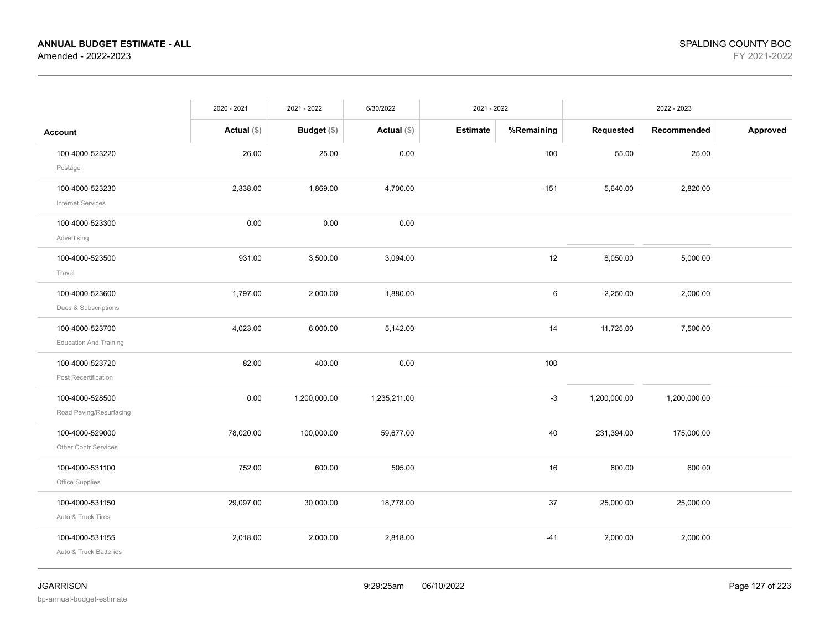|                                                  | 2020 - 2021   | 2021 - 2022   | 6/30/2022     | 2021 - 2022     |            |              | 2022 - 2023  |          |
|--------------------------------------------------|---------------|---------------|---------------|-----------------|------------|--------------|--------------|----------|
| Account                                          | Actual $(\$)$ | Budget $(\$)$ | Actual $(\$)$ | <b>Estimate</b> | %Remaining | Requested    | Recommended  | Approved |
| 100-4000-523220<br>Postage                       | 26.00         | 25.00         | 0.00          |                 | 100        | 55.00        | 25.00        |          |
| 100-4000-523230<br><b>Internet Services</b>      | 2,338.00      | 1,869.00      | 4,700.00      |                 | $-151$     | 5,640.00     | 2,820.00     |          |
| 100-4000-523300<br>Advertising                   | 0.00          | 0.00          | 0.00          |                 |            |              |              |          |
| 100-4000-523500<br>Travel                        | 931.00        | 3,500.00      | 3,094.00      |                 | 12         | 8,050.00     | 5,000.00     |          |
| 100-4000-523600<br>Dues & Subscriptions          | 1,797.00      | 2,000.00      | 1,880.00      |                 | 6          | 2,250.00     | 2,000.00     |          |
| 100-4000-523700<br><b>Education And Training</b> | 4,023.00      | 6,000.00      | 5,142.00      |                 | 14         | 11,725.00    | 7,500.00     |          |
| 100-4000-523720<br>Post Recertification          | 82.00         | 400.00        | 0.00          |                 | 100        |              |              |          |
| 100-4000-528500<br>Road Paving/Resurfacing       | 0.00          | 1,200,000.00  | 1,235,211.00  |                 | $-3$       | 1,200,000.00 | 1,200,000.00 |          |
| 100-4000-529000<br><b>Other Contr Services</b>   | 78,020.00     | 100,000.00    | 59,677.00     |                 | 40         | 231,394.00   | 175,000.00   |          |
| 100-4000-531100<br>Office Supplies               | 752.00        | 600.00        | 505.00        |                 | 16         | 600.00       | 600.00       |          |
| 100-4000-531150<br>Auto & Truck Tires            | 29,097.00     | 30,000.00     | 18,778.00     |                 | 37         | 25,000.00    | 25,000.00    |          |
| 100-4000-531155<br>Auto & Truck Batteries        | 2,018.00      | 2,000.00      | 2,818.00      |                 | $-41$      | 2,000.00     | 2,000.00     |          |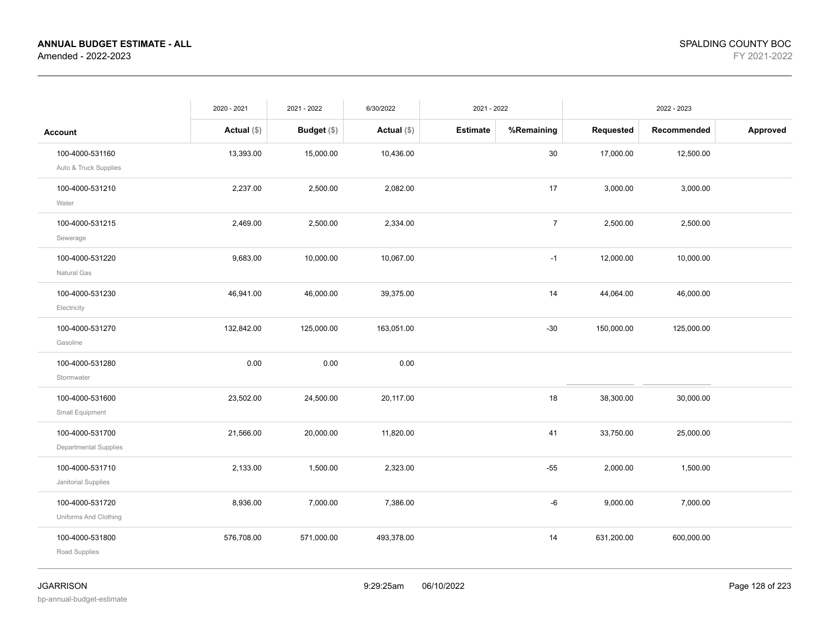|                                                 | 2020 - 2021   | 2021 - 2022   | 6/30/2022     | 2021 - 2022     |                |            | 2022 - 2023 |          |
|-------------------------------------------------|---------------|---------------|---------------|-----------------|----------------|------------|-------------|----------|
| <b>Account</b>                                  | Actual $(\$)$ | Budget $(\$)$ | Actual $(\$)$ | <b>Estimate</b> | %Remaining     | Requested  | Recommended | Approved |
| 100-4000-531160<br>Auto & Truck Supplies        | 13,393.00     | 15,000.00     | 10,436.00     |                 | $30\,$         | 17,000.00  | 12,500.00   |          |
| 100-4000-531210<br>Water                        | 2,237.00      | 2,500.00      | 2,082.00      |                 | 17             | 3,000.00   | 3,000.00    |          |
| 100-4000-531215<br>Sewerage                     | 2,469.00      | 2,500.00      | 2,334.00      |                 | $\overline{7}$ | 2,500.00   | 2,500.00    |          |
| 100-4000-531220<br>Natural Gas                  | 9,683.00      | 10,000.00     | 10,067.00     |                 | $-1$           | 12,000.00  | 10,000.00   |          |
| 100-4000-531230<br>Electricity                  | 46,941.00     | 46,000.00     | 39,375.00     |                 | 14             | 44,064.00  | 46,000.00   |          |
| 100-4000-531270<br>Gasoline                     | 132,842.00    | 125,000.00    | 163,051.00    |                 | $-30$          | 150,000.00 | 125,000.00  |          |
| 100-4000-531280<br>Stormwater                   | 0.00          | 0.00          | 0.00          |                 |                |            |             |          |
| 100-4000-531600<br>Small Equipment              | 23,502.00     | 24,500.00     | 20,117.00     |                 | 18             | 38,300.00  | 30,000.00   |          |
| 100-4000-531700<br><b>Departmental Supplies</b> | 21,566.00     | 20,000.00     | 11,820.00     |                 | 41             | 33,750.00  | 25,000.00   |          |
| 100-4000-531710<br>Janitorial Supplies          | 2,133.00      | 1,500.00      | 2,323.00      |                 | $-55$          | 2,000.00   | 1,500.00    |          |
| 100-4000-531720<br>Uniforms And Clothing        | 8,936.00      | 7,000.00      | 7,386.00      |                 | -6             | 9,000.00   | 7,000.00    |          |
| 100-4000-531800<br>Road Supplies                | 576,708.00    | 571,000.00    | 493,378.00    |                 | 14             | 631,200.00 | 600,000.00  |          |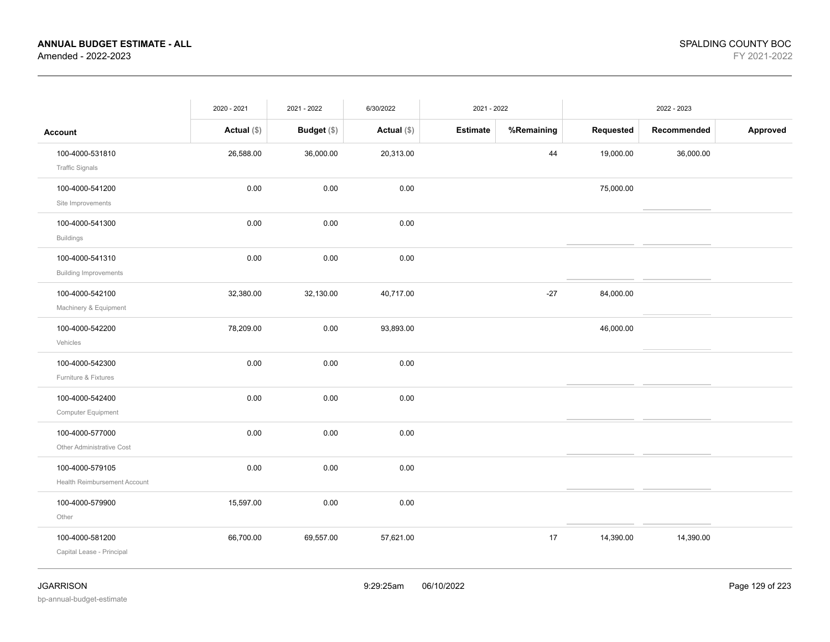|                                                 | 2020 - 2021   | 2021 - 2022        | 6/30/2022     | 2021 - 2022     |            |           | 2022 - 2023 |          |
|-------------------------------------------------|---------------|--------------------|---------------|-----------------|------------|-----------|-------------|----------|
| <b>Account</b>                                  | Actual $(\$)$ | <b>Budget</b> (\$) | Actual $(\$)$ | <b>Estimate</b> | %Remaining | Requested | Recommended | Approved |
| 100-4000-531810<br><b>Traffic Signals</b>       | 26,588.00     | 36,000.00          | 20,313.00     |                 | 44         | 19,000.00 | 36,000.00   |          |
| 100-4000-541200<br>Site Improvements            | 0.00          | 0.00               | 0.00          |                 |            | 75,000.00 |             |          |
| 100-4000-541300<br><b>Buildings</b>             | 0.00          | 0.00               | 0.00          |                 |            |           |             |          |
| 100-4000-541310<br><b>Building Improvements</b> | 0.00          | 0.00               | 0.00          |                 |            |           |             |          |
| 100-4000-542100<br>Machinery & Equipment        | 32,380.00     | 32,130.00          | 40,717.00     |                 | $-27$      | 84,000.00 |             |          |
| 100-4000-542200<br>Vehicles                     | 78,209.00     | 0.00               | 93,893.00     |                 |            | 46,000.00 |             |          |
| 100-4000-542300<br>Furniture & Fixtures         | 0.00          | 0.00               | 0.00          |                 |            |           |             |          |
| 100-4000-542400<br>Computer Equipment           | 0.00          | 0.00               | 0.00          |                 |            |           |             |          |
| 100-4000-577000<br>Other Administrative Cost    | 0.00          | 0.00               | 0.00          |                 |            |           |             |          |
| 100-4000-579105<br>Health Reimbursement Account | 0.00          | 0.00               | 0.00          |                 |            |           |             |          |
| 100-4000-579900<br>Other                        | 15,597.00     | $0.00\,$           | 0.00          |                 |            |           |             |          |
| 100-4000-581200<br>Capital Lease - Principal    | 66,700.00     | 69,557.00          | 57,621.00     |                 | 17         | 14,390.00 | 14,390.00   |          |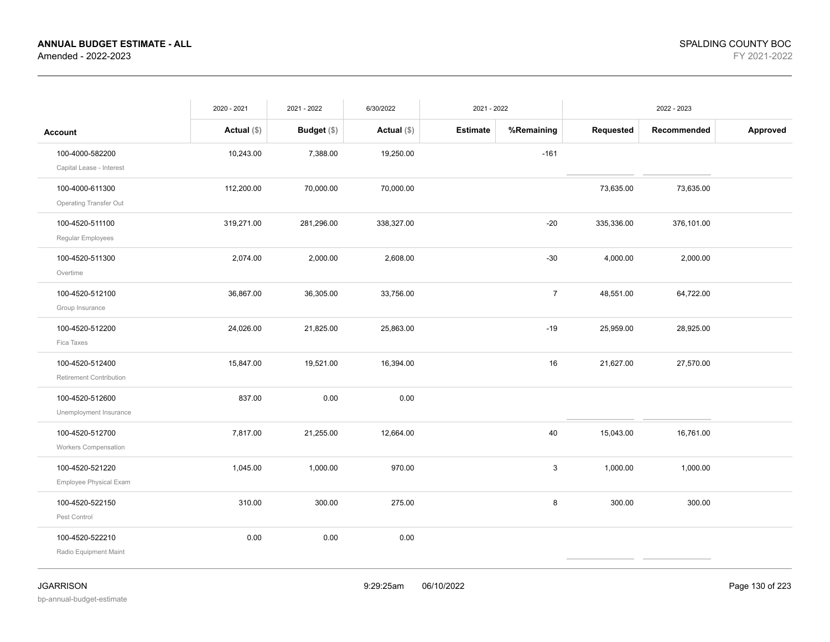|                                                | 2020 - 2021   | 2021 - 2022   | 6/30/2022     | 2021 - 2022     |                |            | 2022 - 2023 |          |
|------------------------------------------------|---------------|---------------|---------------|-----------------|----------------|------------|-------------|----------|
| <b>Account</b>                                 | Actual $(\$)$ | Budget $(\$)$ | Actual $(\$)$ | <b>Estimate</b> | %Remaining     | Requested  | Recommended | Approved |
| 100-4000-582200<br>Capital Lease - Interest    | 10,243.00     | 7,388.00      | 19,250.00     |                 | $-161$         |            |             |          |
| 100-4000-611300<br>Operating Transfer Out      | 112,200.00    | 70,000.00     | 70,000.00     |                 |                | 73,635.00  | 73,635.00   |          |
| 100-4520-511100<br>Regular Employees           | 319,271.00    | 281,296.00    | 338,327.00    |                 | $-20$          | 335,336.00 | 376,101.00  |          |
| 100-4520-511300<br>Overtime                    | 2,074.00      | 2,000.00      | 2,608.00      |                 | $-30$          | 4,000.00   | 2,000.00    |          |
| 100-4520-512100<br>Group Insurance             | 36,867.00     | 36,305.00     | 33,756.00     |                 | $\overline{7}$ | 48,551.00  | 64,722.00   |          |
| 100-4520-512200<br>Fica Taxes                  | 24,026.00     | 21,825.00     | 25,863.00     |                 | $-19$          | 25,959.00  | 28,925.00   |          |
| 100-4520-512400<br>Retirement Contribution     | 15,847.00     | 19,521.00     | 16,394.00     |                 | 16             | 21,627.00  | 27,570.00   |          |
| 100-4520-512600<br>Unemployment Insurance      | 837.00        | 0.00          | 0.00          |                 |                |            |             |          |
| 100-4520-512700<br><b>Workers Compensation</b> | 7,817.00      | 21,255.00     | 12,664.00     |                 | 40             | 15,043.00  | 16,761.00   |          |
| 100-4520-521220<br>Employee Physical Exam      | 1,045.00      | 1,000.00      | 970.00        |                 | $\mathbf{3}$   | 1,000.00   | 1,000.00    |          |
| 100-4520-522150<br>Pest Control                | 310.00        | 300.00        | 275.00        |                 | 8              | 300.00     | 300.00      |          |
| 100-4520-522210<br>Radio Equipment Maint       | 0.00          | 0.00          | 0.00          |                 |                |            |             |          |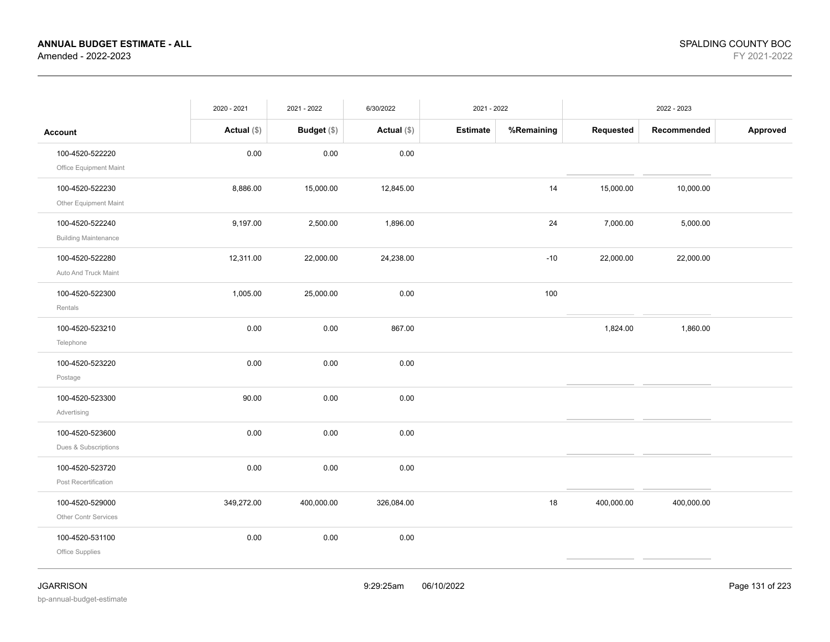|                             | 2020 - 2021   | 2021 - 2022 | 6/30/2022     | 2021 - 2022     |            |            | 2022 - 2023 |          |
|-----------------------------|---------------|-------------|---------------|-----------------|------------|------------|-------------|----------|
| <b>Account</b>              | Actual $(\$)$ | Budget (\$) | Actual $(\$)$ | <b>Estimate</b> | %Remaining | Requested  | Recommended | Approved |
| 100-4520-522220             | 0.00          | 0.00        | 0.00          |                 |            |            |             |          |
| Office Equipment Maint      |               |             |               |                 |            |            |             |          |
| 100-4520-522230             | 8,886.00      | 15,000.00   | 12,845.00     |                 | 14         | 15,000.00  | 10,000.00   |          |
| Other Equipment Maint       |               |             |               |                 |            |            |             |          |
| 100-4520-522240             | 9,197.00      | 2,500.00    | 1,896.00      |                 | 24         | 7,000.00   | 5,000.00    |          |
| <b>Building Maintenance</b> |               |             |               |                 |            |            |             |          |
| 100-4520-522280             | 12,311.00     | 22,000.00   | 24,238.00     |                 | $-10$      | 22,000.00  | 22,000.00   |          |
| Auto And Truck Maint        |               |             |               |                 |            |            |             |          |
| 100-4520-522300             | 1,005.00      | 25,000.00   | 0.00          |                 | 100        |            |             |          |
| Rentals                     |               |             |               |                 |            |            |             |          |
| 100-4520-523210             | 0.00          | 0.00        | 867.00        |                 |            | 1,824.00   | 1,860.00    |          |
| Telephone                   |               |             |               |                 |            |            |             |          |
| 100-4520-523220             | 0.00          | 0.00        | 0.00          |                 |            |            |             |          |
| Postage                     |               |             |               |                 |            |            |             |          |
| 100-4520-523300             | 90.00         | 0.00        | 0.00          |                 |            |            |             |          |
| Advertising                 |               |             |               |                 |            |            |             |          |
| 100-4520-523600             | 0.00          | 0.00        | 0.00          |                 |            |            |             |          |
| Dues & Subscriptions        |               |             |               |                 |            |            |             |          |
| 100-4520-523720             | 0.00          | 0.00        | 0.00          |                 |            |            |             |          |
| Post Recertification        |               |             |               |                 |            |            |             |          |
| 100-4520-529000             | 349,272.00    | 400,000.00  | 326,084.00    |                 | 18         | 400,000.00 | 400,000.00  |          |
| Other Contr Services        |               |             |               |                 |            |            |             |          |
| 100-4520-531100             | 0.00          | 0.00        | 0.00          |                 |            |            |             |          |
| Office Supplies             |               |             |               |                 |            |            |             |          |
|                             |               |             |               |                 |            |            |             |          |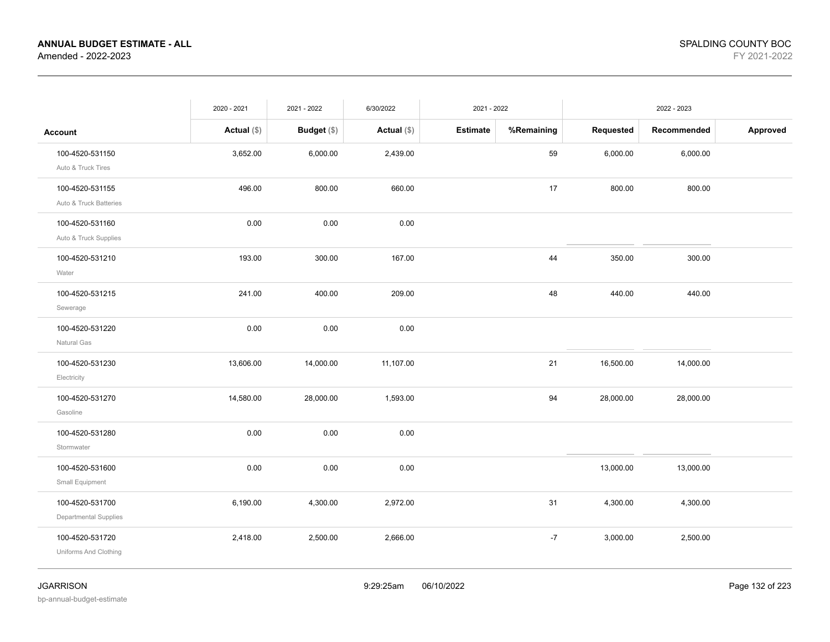|                                                 | 2020 - 2021   | 2021 - 2022        | 6/30/2022     | 2021 - 2022     |            |           | 2022 - 2023 |          |
|-------------------------------------------------|---------------|--------------------|---------------|-----------------|------------|-----------|-------------|----------|
| <b>Account</b>                                  | Actual $(\$)$ | <b>Budget</b> (\$) | Actual $(\$)$ | <b>Estimate</b> | %Remaining | Requested | Recommended | Approved |
| 100-4520-531150<br>Auto & Truck Tires           | 3,652.00      | 6,000.00           | 2,439.00      |                 | 59         | 6,000.00  | 6,000.00    |          |
| 100-4520-531155<br>Auto & Truck Batteries       | 496.00        | 800.00             | 660.00        |                 | 17         | 800.00    | 800.00      |          |
| 100-4520-531160<br>Auto & Truck Supplies        | 0.00          | 0.00               | 0.00          |                 |            |           |             |          |
| 100-4520-531210<br>Water                        | 193.00        | 300.00             | 167.00        |                 | 44         | 350.00    | 300.00      |          |
| 100-4520-531215<br>Sewerage                     | 241.00        | 400.00             | 209.00        |                 | 48         | 440.00    | 440.00      |          |
| 100-4520-531220<br>Natural Gas                  | 0.00          | 0.00               | 0.00          |                 |            |           |             |          |
| 100-4520-531230<br>Electricity                  | 13,606.00     | 14,000.00          | 11,107.00     |                 | 21         | 16,500.00 | 14,000.00   |          |
| 100-4520-531270<br>Gasoline                     | 14,580.00     | 28,000.00          | 1,593.00      |                 | 94         | 28,000.00 | 28,000.00   |          |
| 100-4520-531280<br>Stormwater                   | 0.00          | 0.00               | 0.00          |                 |            |           |             |          |
| 100-4520-531600<br>Small Equipment              | 0.00          | 0.00               | 0.00          |                 |            | 13,000.00 | 13,000.00   |          |
| 100-4520-531700<br><b>Departmental Supplies</b> | 6,190.00      | 4,300.00           | 2,972.00      |                 | 31         | 4,300.00  | 4,300.00    |          |
| 100-4520-531720<br>Uniforms And Clothing        | 2,418.00      | 2,500.00           | 2,666.00      |                 | $-7$       | 3,000.00  | 2,500.00    |          |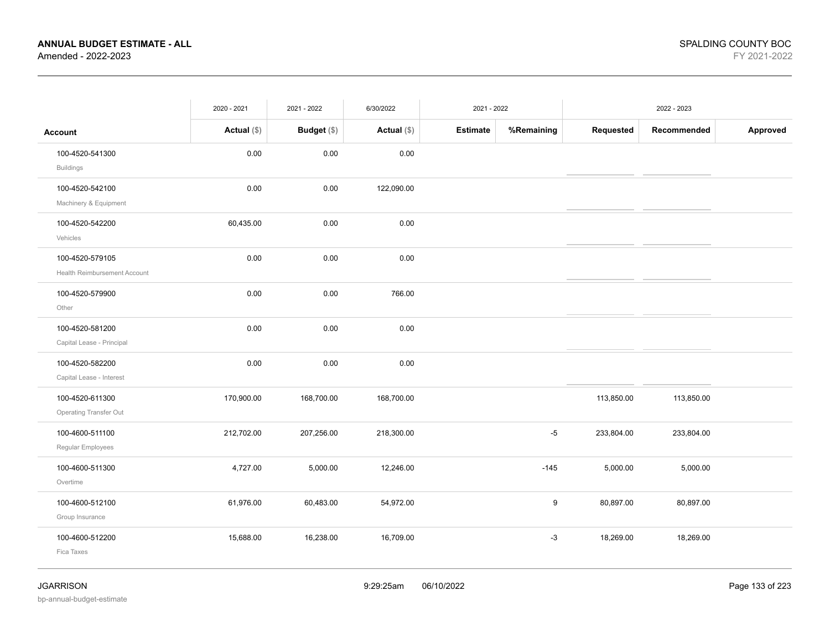|                              | 2020 - 2021   | 2021 - 2022 | 6/30/2022     | 2021 - 2022     |            |            | 2022 - 2023 |          |
|------------------------------|---------------|-------------|---------------|-----------------|------------|------------|-------------|----------|
| <b>Account</b>               | Actual $(\$)$ | Budget (\$) | Actual $(\$)$ | <b>Estimate</b> | %Remaining | Requested  | Recommended | Approved |
| 100-4520-541300              | 0.00          | 0.00        | 0.00          |                 |            |            |             |          |
| <b>Buildings</b>             |               |             |               |                 |            |            |             |          |
| 100-4520-542100              | 0.00          | 0.00        | 122,090.00    |                 |            |            |             |          |
| Machinery & Equipment        |               |             |               |                 |            |            |             |          |
| 100-4520-542200              | 60,435.00     | 0.00        | 0.00          |                 |            |            |             |          |
| Vehicles                     |               |             |               |                 |            |            |             |          |
| 100-4520-579105              | 0.00          | 0.00        | 0.00          |                 |            |            |             |          |
| Health Reimbursement Account |               |             |               |                 |            |            |             |          |
| 100-4520-579900              | 0.00          | 0.00        | 766.00        |                 |            |            |             |          |
| Other                        |               |             |               |                 |            |            |             |          |
| 100-4520-581200              | 0.00          | 0.00        | 0.00          |                 |            |            |             |          |
| Capital Lease - Principal    |               |             |               |                 |            |            |             |          |
| 100-4520-582200              | 0.00          | 0.00        | 0.00          |                 |            |            |             |          |
| Capital Lease - Interest     |               |             |               |                 |            |            |             |          |
| 100-4520-611300              | 170,900.00    | 168,700.00  | 168,700.00    |                 |            | 113,850.00 | 113,850.00  |          |
| Operating Transfer Out       |               |             |               |                 |            |            |             |          |
| 100-4600-511100              | 212,702.00    | 207,256.00  | 218,300.00    |                 | $-5$       | 233,804.00 | 233,804.00  |          |
| Regular Employees            |               |             |               |                 |            |            |             |          |
| 100-4600-511300              | 4,727.00      | 5,000.00    | 12,246.00     |                 | $-145$     | 5,000.00   | 5,000.00    |          |
| Overtime                     |               |             |               |                 |            |            |             |          |
| 100-4600-512100              | 61,976.00     | 60,483.00   | 54,972.00     |                 | 9          | 80,897.00  | 80,897.00   |          |
| Group Insurance              |               |             |               |                 |            |            |             |          |
| 100-4600-512200              | 15,688.00     | 16,238.00   | 16,709.00     |                 | $-3$       | 18,269.00  | 18,269.00   |          |
| Fica Taxes                   |               |             |               |                 |            |            |             |          |
|                              |               |             |               |                 |            |            |             |          |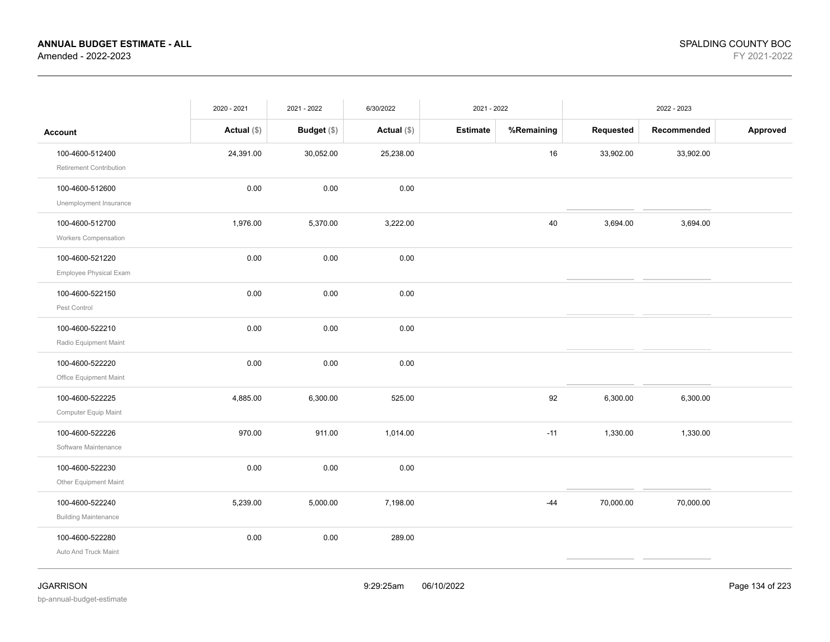|                             | 2020 - 2021   | 2021 - 2022 | 6/30/2022     |                 | 2021 - 2022 |           | 2022 - 2023 |          |
|-----------------------------|---------------|-------------|---------------|-----------------|-------------|-----------|-------------|----------|
| <b>Account</b>              | Actual $(\$)$ | Budget (\$) | Actual $(\$)$ | <b>Estimate</b> | %Remaining  | Requested | Recommended | Approved |
| 100-4600-512400             | 24,391.00     | 30,052.00   | 25,238.00     |                 | 16          | 33,902.00 | 33,902.00   |          |
| Retirement Contribution     |               |             |               |                 |             |           |             |          |
| 100-4600-512600             | 0.00          | 0.00        | 0.00          |                 |             |           |             |          |
| Unemployment Insurance      |               |             |               |                 |             |           |             |          |
| 100-4600-512700             | 1,976.00      | 5,370.00    | 3,222.00      |                 | 40          | 3,694.00  | 3,694.00    |          |
| <b>Workers Compensation</b> |               |             |               |                 |             |           |             |          |
| 100-4600-521220             | 0.00          | 0.00        | 0.00          |                 |             |           |             |          |
| Employee Physical Exam      |               |             |               |                 |             |           |             |          |
| 100-4600-522150             | 0.00          | 0.00        | 0.00          |                 |             |           |             |          |
| Pest Control                |               |             |               |                 |             |           |             |          |
| 100-4600-522210             | 0.00          | 0.00        | 0.00          |                 |             |           |             |          |
| Radio Equipment Maint       |               |             |               |                 |             |           |             |          |
| 100-4600-522220             | 0.00          | 0.00        | 0.00          |                 |             |           |             |          |
| Office Equipment Maint      |               |             |               |                 |             |           |             |          |
| 100-4600-522225             | 4,885.00      | 6,300.00    | 525.00        |                 | 92          | 6,300.00  | 6,300.00    |          |
| Computer Equip Maint        |               |             |               |                 |             |           |             |          |
| 100-4600-522226             | 970.00        | 911.00      | 1,014.00      |                 | $-11$       | 1,330.00  | 1,330.00    |          |
| Software Maintenance        |               |             |               |                 |             |           |             |          |
| 100-4600-522230             | 0.00          | 0.00        | 0.00          |                 |             |           |             |          |
| Other Equipment Maint       |               |             |               |                 |             |           |             |          |
| 100-4600-522240             | 5,239.00      | 5,000.00    | 7,198.00      |                 | $-44$       | 70,000.00 | 70,000.00   |          |
| <b>Building Maintenance</b> |               |             |               |                 |             |           |             |          |
| 100-4600-522280             | 0.00          | 0.00        | 289.00        |                 |             |           |             |          |
| Auto And Truck Maint        |               |             |               |                 |             |           |             |          |
|                             |               |             |               |                 |             |           |             |          |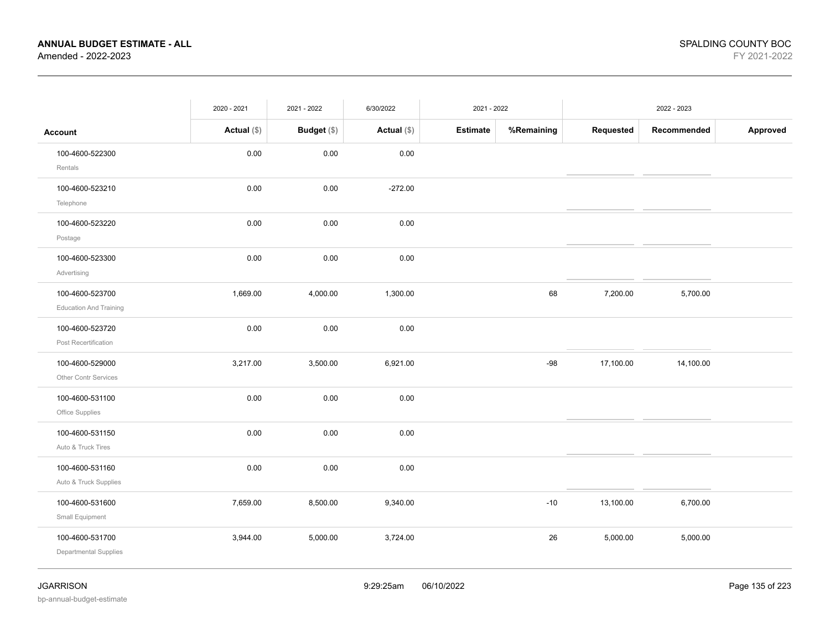|                                                  | 2020 - 2021   | 2021 - 2022 | 6/30/2022     | 2021 - 2022     |            |           | 2022 - 2023 |          |
|--------------------------------------------------|---------------|-------------|---------------|-----------------|------------|-----------|-------------|----------|
| <b>Account</b>                                   | Actual $(\$)$ | Budget (\$) | Actual $(\$)$ | <b>Estimate</b> | %Remaining | Requested | Recommended | Approved |
| 100-4600-522300<br>Rentals                       | 0.00          | 0.00        | 0.00          |                 |            |           |             |          |
| 100-4600-523210<br>Telephone                     | 0.00          | 0.00        | $-272.00$     |                 |            |           |             |          |
| 100-4600-523220<br>Postage                       | 0.00          | 0.00        | 0.00          |                 |            |           |             |          |
| 100-4600-523300<br>Advertising                   | 0.00          | 0.00        | 0.00          |                 |            |           |             |          |
| 100-4600-523700<br><b>Education And Training</b> | 1,669.00      | 4,000.00    | 1,300.00      |                 | 68         | 7,200.00  | 5,700.00    |          |
| 100-4600-523720<br>Post Recertification          | 0.00          | 0.00        | 0.00          |                 |            |           |             |          |
| 100-4600-529000<br>Other Contr Services          | 3,217.00      | 3,500.00    | 6,921.00      |                 | $-98$      | 17,100.00 | 14,100.00   |          |
| 100-4600-531100<br>Office Supplies               | $0.00\,$      | $0.00\,$    | 0.00          |                 |            |           |             |          |
| 100-4600-531150<br>Auto & Truck Tires            | 0.00          | 0.00        | 0.00          |                 |            |           |             |          |
| 100-4600-531160<br>Auto & Truck Supplies         | 0.00          | 0.00        | 0.00          |                 |            |           |             |          |
| 100-4600-531600<br>Small Equipment               | 7,659.00      | 8,500.00    | 9,340.00      |                 | $-10$      | 13,100.00 | 6,700.00    |          |
| 100-4600-531700<br>Departmental Supplies         | 3,944.00      | 5,000.00    | 3,724.00      |                 | 26         | 5,000.00  | 5,000.00    |          |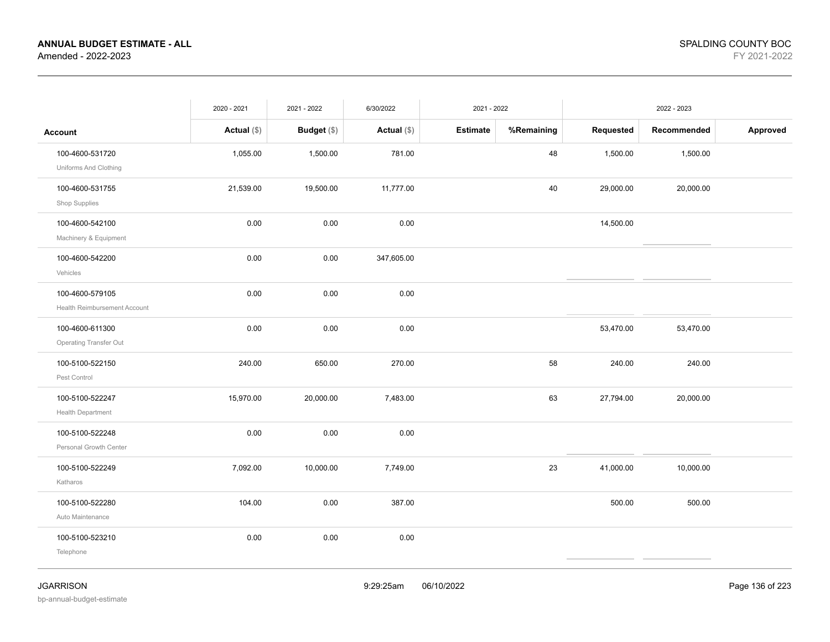|                                                 | 2020 - 2021   | 2021 - 2022        | 6/30/2022     | 2021 - 2022     |            |           | 2022 - 2023 |          |
|-------------------------------------------------|---------------|--------------------|---------------|-----------------|------------|-----------|-------------|----------|
| <b>Account</b>                                  | Actual $(\$)$ | <b>Budget</b> (\$) | Actual $(\$)$ | <b>Estimate</b> | %Remaining | Requested | Recommended | Approved |
| 100-4600-531720<br>Uniforms And Clothing        | 1,055.00      | 1,500.00           | 781.00        |                 | 48         | 1,500.00  | 1,500.00    |          |
| 100-4600-531755<br>Shop Supplies                | 21,539.00     | 19,500.00          | 11,777.00     |                 | 40         | 29,000.00 | 20,000.00   |          |
| 100-4600-542100<br>Machinery & Equipment        | 0.00          | 0.00               | 0.00          |                 |            | 14,500.00 |             |          |
| 100-4600-542200<br>Vehicles                     | 0.00          | 0.00               | 347,605.00    |                 |            |           |             |          |
| 100-4600-579105<br>Health Reimbursement Account | 0.00          | 0.00               | 0.00          |                 |            |           |             |          |
| 100-4600-611300<br>Operating Transfer Out       | 0.00          | 0.00               | 0.00          |                 |            | 53,470.00 | 53,470.00   |          |
| 100-5100-522150<br>Pest Control                 | 240.00        | 650.00             | 270.00        |                 | 58         | 240.00    | 240.00      |          |
| 100-5100-522247<br>Health Department            | 15,970.00     | 20,000.00          | 7,483.00      |                 | 63         | 27,794.00 | 20,000.00   |          |
| 100-5100-522248<br>Personal Growth Center       | 0.00          | 0.00               | 0.00          |                 |            |           |             |          |
| 100-5100-522249<br>Katharos                     | 7,092.00      | 10,000.00          | 7,749.00      |                 | 23         | 41,000.00 | 10,000.00   |          |
| 100-5100-522280<br>Auto Maintenance             | 104.00        | 0.00               | 387.00        |                 |            | 500.00    | 500.00      |          |
| 100-5100-523210<br>Telephone                    | 0.00          | 0.00               | 0.00          |                 |            |           |             |          |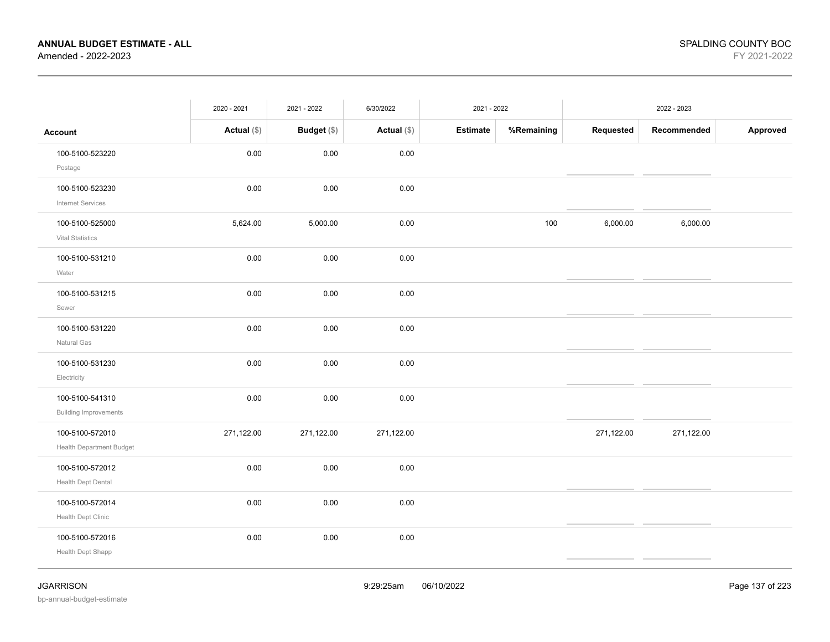|                                                    | 2020 - 2021   | 2021 - 2022 | 6/30/2022     | 2021 - 2022     |            |            | 2022 - 2023 |          |
|----------------------------------------------------|---------------|-------------|---------------|-----------------|------------|------------|-------------|----------|
| <b>Account</b>                                     | Actual $(\$)$ | Budget (\$) | Actual $(\$)$ | <b>Estimate</b> | %Remaining | Requested  | Recommended | Approved |
| 100-5100-523220<br>Postage                         | $0.00\,$      | $0.00\,$    | $0.00\,$      |                 |            |            |             |          |
| 100-5100-523230<br><b>Internet Services</b>        | 0.00          | 0.00        | 0.00          |                 |            |            |             |          |
| 100-5100-525000<br>Vital Statistics                | 5,624.00      | 5,000.00    | 0.00          |                 | 100        | 6,000.00   | 6,000.00    |          |
| 100-5100-531210<br>Water                           | 0.00          | 0.00        | 0.00          |                 |            |            |             |          |
| 100-5100-531215<br>Sewer                           | 0.00          | 0.00        | 0.00          |                 |            |            |             |          |
| 100-5100-531220<br>Natural Gas                     | 0.00          | 0.00        | 0.00          |                 |            |            |             |          |
| 100-5100-531230<br>Electricity                     | 0.00          | 0.00        | 0.00          |                 |            |            |             |          |
| 100-5100-541310<br><b>Building Improvements</b>    | 0.00          | $0.00\,$    | 0.00          |                 |            |            |             |          |
| 100-5100-572010<br><b>Health Department Budget</b> | 271,122.00    | 271,122.00  | 271,122.00    |                 |            | 271,122.00 | 271,122.00  |          |
| 100-5100-572012<br>Health Dept Dental              | 0.00          | 0.00        | 0.00          |                 |            |            |             |          |
| 100-5100-572014<br>Health Dept Clinic              | 0.00          | 0.00        | 0.00          |                 |            |            |             |          |
| 100-5100-572016<br>Health Dept Shapp               | 0.00          | 0.00        | 0.00          |                 |            |            |             |          |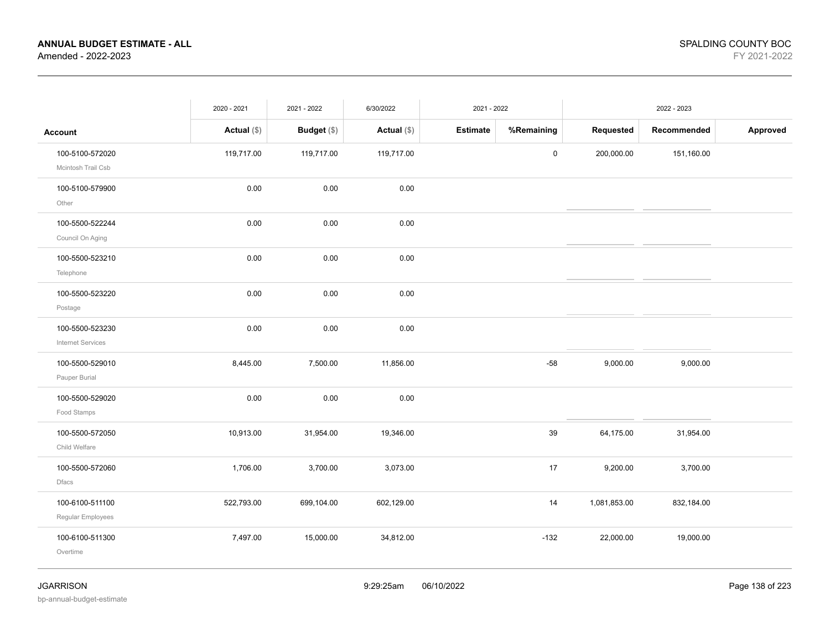|                                             | 2020 - 2021   | 2021 - 2022        | 6/30/2022     | 2021 - 2022     |             |              | 2022 - 2023 |          |
|---------------------------------------------|---------------|--------------------|---------------|-----------------|-------------|--------------|-------------|----------|
| <b>Account</b>                              | Actual $(\$)$ | <b>Budget</b> (\$) | Actual $(\$)$ | <b>Estimate</b> | %Remaining  | Requested    | Recommended | Approved |
| 100-5100-572020<br>Mcintosh Trail Csb       | 119,717.00    | 119,717.00         | 119,717.00    |                 | $\mathsf 0$ | 200,000.00   | 151,160.00  |          |
| 100-5100-579900<br>Other                    | 0.00          | 0.00               | 0.00          |                 |             |              |             |          |
| 100-5500-522244<br>Council On Aging         | 0.00          | 0.00               | 0.00          |                 |             |              |             |          |
| 100-5500-523210<br>Telephone                | 0.00          | 0.00               | 0.00          |                 |             |              |             |          |
| 100-5500-523220<br>Postage                  | 0.00          | 0.00               | 0.00          |                 |             |              |             |          |
| 100-5500-523230<br><b>Internet Services</b> | 0.00          | 0.00               | 0.00          |                 |             |              |             |          |
| 100-5500-529010<br>Pauper Burial            | 8,445.00      | 7,500.00           | 11,856.00     |                 | $-58$       | 9,000.00     | 9,000.00    |          |
| 100-5500-529020<br>Food Stamps              | 0.00          | 0.00               | 0.00          |                 |             |              |             |          |
| 100-5500-572050<br>Child Welfare            | 10,913.00     | 31,954.00          | 19,346.00     |                 | 39          | 64,175.00    | 31,954.00   |          |
| 100-5500-572060<br><b>Dfacs</b>             | 1,706.00      | 3,700.00           | 3,073.00      |                 | 17          | 9,200.00     | 3,700.00    |          |
| 100-6100-511100<br>Regular Employees        | 522,793.00    | 699,104.00         | 602,129.00    |                 | 14          | 1,081,853.00 | 832,184.00  |          |
| 100-6100-511300<br>Overtime                 | 7,497.00      | 15,000.00          | 34,812.00     |                 | $-132$      | 22,000.00    | 19,000.00   |          |
|                                             |               |                    |               |                 |             |              |             |          |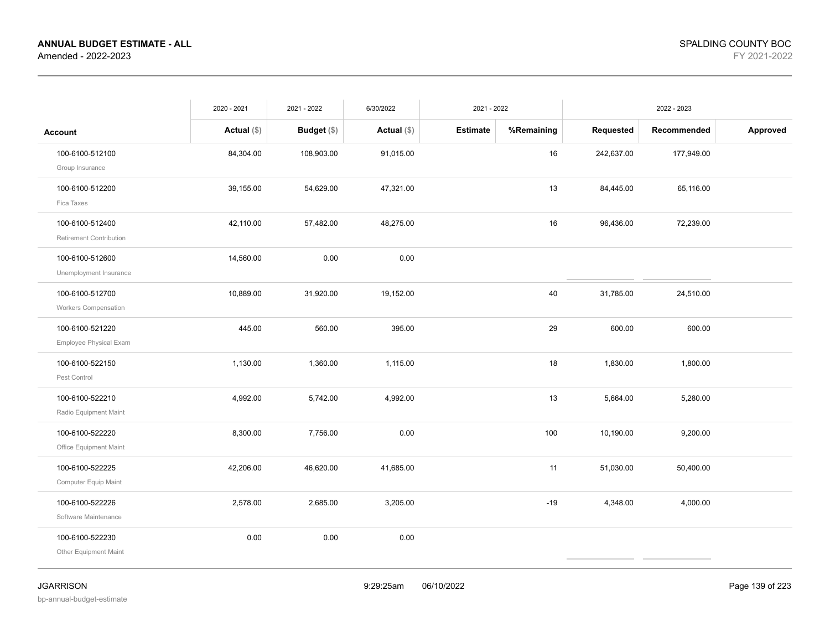|                                                   | 2020 - 2021   | 2021 - 2022   | 6/30/2022     | 2021 - 2022     |            |            | 2022 - 2023 |          |
|---------------------------------------------------|---------------|---------------|---------------|-----------------|------------|------------|-------------|----------|
| <b>Account</b>                                    | Actual $(\$)$ | Budget $(\$)$ | Actual $(\$)$ | <b>Estimate</b> | %Remaining | Requested  | Recommended | Approved |
| 100-6100-512100<br>Group Insurance                | 84,304.00     | 108,903.00    | 91,015.00     |                 | 16         | 242,637.00 | 177,949.00  |          |
| 100-6100-512200<br>Fica Taxes                     | 39,155.00     | 54,629.00     | 47,321.00     |                 | 13         | 84,445.00  | 65,116.00   |          |
| 100-6100-512400<br><b>Retirement Contribution</b> | 42,110.00     | 57,482.00     | 48,275.00     |                 | 16         | 96,436.00  | 72,239.00   |          |
| 100-6100-512600<br>Unemployment Insurance         | 14,560.00     | 0.00          | 0.00          |                 |            |            |             |          |
| 100-6100-512700<br><b>Workers Compensation</b>    | 10,889.00     | 31,920.00     | 19,152.00     |                 | 40         | 31,785.00  | 24,510.00   |          |
| 100-6100-521220<br>Employee Physical Exam         | 445.00        | 560.00        | 395.00        |                 | 29         | 600.00     | 600.00      |          |
| 100-6100-522150<br>Pest Control                   | 1,130.00      | 1,360.00      | 1,115.00      |                 | 18         | 1,830.00   | 1,800.00    |          |
| 100-6100-522210<br>Radio Equipment Maint          | 4,992.00      | 5,742.00      | 4,992.00      |                 | 13         | 5,664.00   | 5,280.00    |          |
| 100-6100-522220<br>Office Equipment Maint         | 8,300.00      | 7,756.00      | 0.00          |                 | 100        | 10,190.00  | 9,200.00    |          |
| 100-6100-522225<br>Computer Equip Maint           | 42,206.00     | 46,620.00     | 41,685.00     |                 | 11         | 51,030.00  | 50,400.00   |          |
| 100-6100-522226<br>Software Maintenance           | 2,578.00      | 2,685.00      | 3,205.00      |                 | $-19$      | 4,348.00   | 4,000.00    |          |
| 100-6100-522230<br>Other Equipment Maint          | 0.00          | 0.00          | 0.00          |                 |            |            |             |          |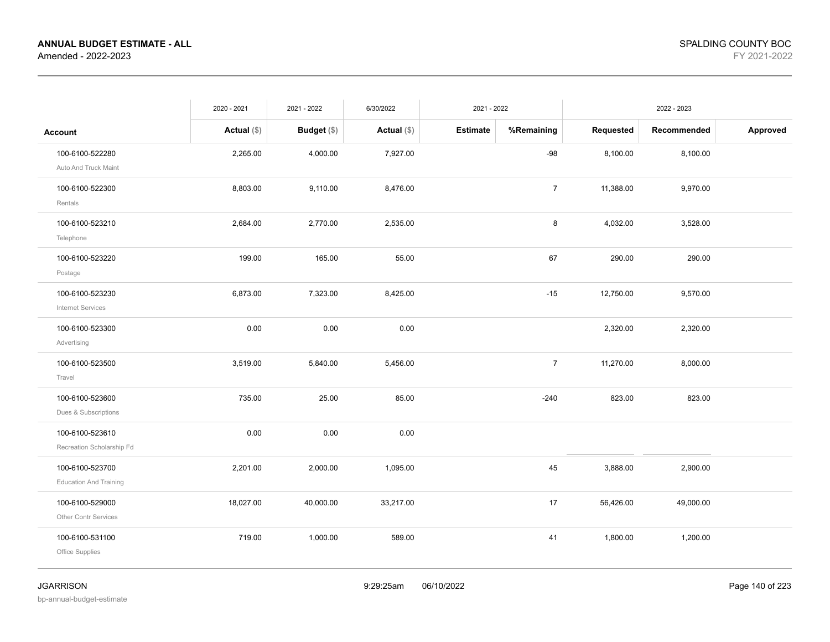|                                                  | 2020 - 2021   | 2021 - 2022 | 6/30/2022     | 2021 - 2022     |                |           | 2022 - 2023 |          |
|--------------------------------------------------|---------------|-------------|---------------|-----------------|----------------|-----------|-------------|----------|
| <b>Account</b>                                   | Actual $(\$)$ | Budget (\$) | Actual $(\$)$ | <b>Estimate</b> | %Remaining     | Requested | Recommended | Approved |
| 100-6100-522280<br>Auto And Truck Maint          | 2,265.00      | 4,000.00    | 7,927.00      |                 | $-98$          | 8,100.00  | 8,100.00    |          |
| 100-6100-522300<br>Rentals                       | 8,803.00      | 9,110.00    | 8,476.00      |                 | $\overline{7}$ | 11,388.00 | 9,970.00    |          |
| 100-6100-523210<br>Telephone                     | 2,684.00      | 2,770.00    | 2,535.00      |                 | 8              | 4,032.00  | 3,528.00    |          |
| 100-6100-523220<br>Postage                       | 199.00        | 165.00      | 55.00         |                 | 67             | 290.00    | 290.00      |          |
| 100-6100-523230<br>Internet Services             | 6,873.00      | 7,323.00    | 8,425.00      |                 | $-15$          | 12,750.00 | 9,570.00    |          |
| 100-6100-523300<br>Advertising                   | 0.00          | 0.00        | 0.00          |                 |                | 2,320.00  | 2,320.00    |          |
| 100-6100-523500<br>Travel                        | 3,519.00      | 5,840.00    | 5,456.00      |                 | $\overline{7}$ | 11,270.00 | 8,000.00    |          |
| 100-6100-523600<br>Dues & Subscriptions          | 735.00        | 25.00       | 85.00         |                 | $-240$         | 823.00    | 823.00      |          |
| 100-6100-523610<br>Recreation Scholarship Fd     | 0.00          | 0.00        | 0.00          |                 |                |           |             |          |
| 100-6100-523700<br><b>Education And Training</b> | 2,201.00      | 2,000.00    | 1,095.00      |                 | 45             | 3,888.00  | 2,900.00    |          |
| 100-6100-529000<br>Other Contr Services          | 18,027.00     | 40,000.00   | 33,217.00     |                 | 17             | 56,426.00 | 49,000.00   |          |
| 100-6100-531100<br>Office Supplies               | 719.00        | 1,000.00    | 589.00        |                 | 41             | 1,800.00  | 1,200.00    |          |
|                                                  |               |             |               |                 |                |           |             |          |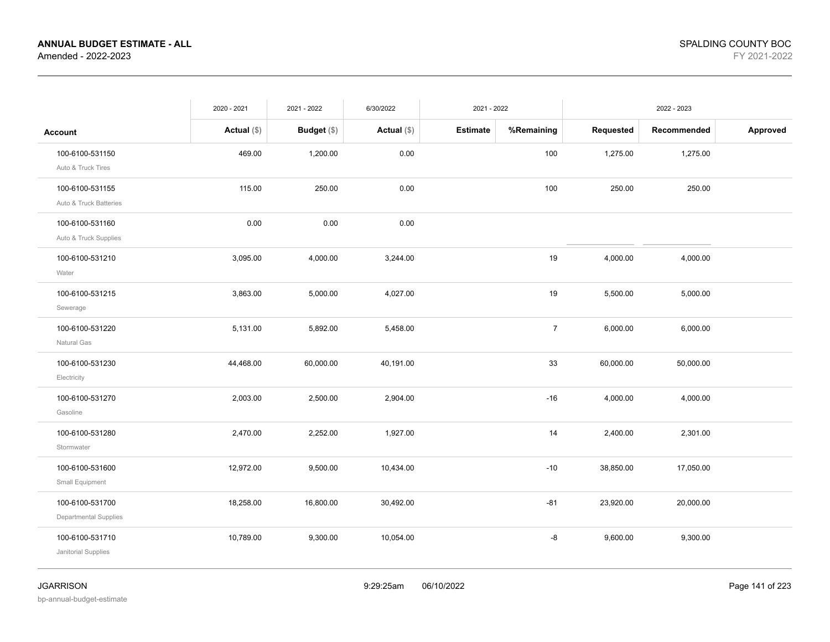|                                                 | 2020 - 2021   | 2021 - 2022        | 6/30/2022     | 2021 - 2022     |                |           | 2022 - 2023 |          |
|-------------------------------------------------|---------------|--------------------|---------------|-----------------|----------------|-----------|-------------|----------|
| <b>Account</b>                                  | Actual $(\$)$ | <b>Budget</b> (\$) | Actual $(\$)$ | <b>Estimate</b> | %Remaining     | Requested | Recommended | Approved |
| 100-6100-531150<br>Auto & Truck Tires           | 469.00        | 1,200.00           | 0.00          |                 | 100            | 1,275.00  | 1,275.00    |          |
| 100-6100-531155<br>Auto & Truck Batteries       | 115.00        | 250.00             | 0.00          |                 | 100            | 250.00    | 250.00      |          |
| 100-6100-531160<br>Auto & Truck Supplies        | 0.00          | 0.00               | 0.00          |                 |                |           |             |          |
| 100-6100-531210<br>Water                        | 3,095.00      | 4,000.00           | 3,244.00      |                 | 19             | 4,000.00  | 4,000.00    |          |
| 100-6100-531215<br>Sewerage                     | 3,863.00      | 5,000.00           | 4,027.00      |                 | 19             | 5,500.00  | 5,000.00    |          |
| 100-6100-531220<br>Natural Gas                  | 5,131.00      | 5,892.00           | 5,458.00      |                 | $\overline{7}$ | 6,000.00  | 6,000.00    |          |
| 100-6100-531230<br>Electricity                  | 44,468.00     | 60,000.00          | 40,191.00     |                 | 33             | 60,000.00 | 50,000.00   |          |
| 100-6100-531270<br>Gasoline                     | 2,003.00      | 2,500.00           | 2,904.00      |                 | $-16$          | 4,000.00  | 4,000.00    |          |
| 100-6100-531280<br>Stormwater                   | 2,470.00      | 2,252.00           | 1,927.00      |                 | 14             | 2,400.00  | 2,301.00    |          |
| 100-6100-531600<br>Small Equipment              | 12,972.00     | 9,500.00           | 10,434.00     |                 | $-10$          | 38,850.00 | 17,050.00   |          |
| 100-6100-531700<br><b>Departmental Supplies</b> | 18,258.00     | 16,800.00          | 30,492.00     |                 | $-81$          | 23,920.00 | 20,000.00   |          |
| 100-6100-531710<br>Janitorial Supplies          | 10,789.00     | 9,300.00           | 10,054.00     |                 | -8             | 9,600.00  | 9,300.00    |          |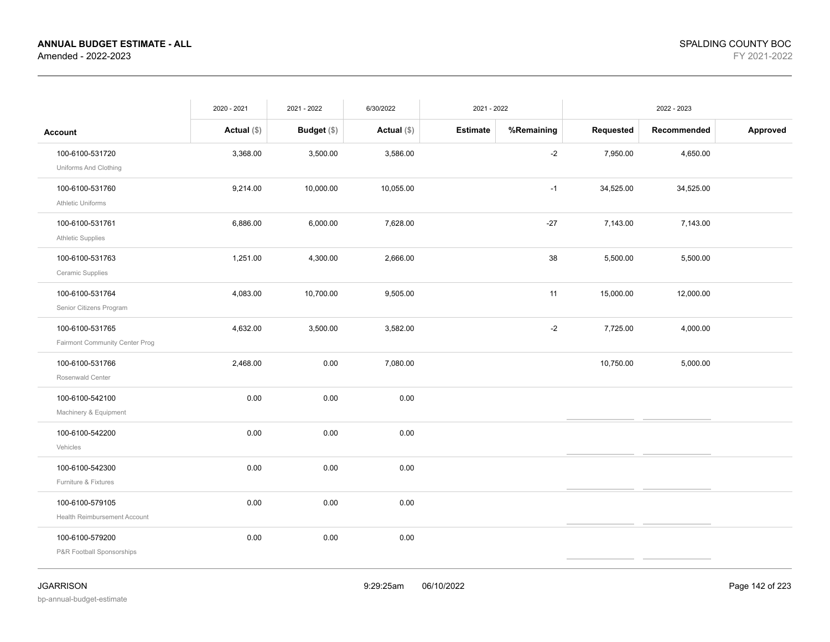|                                                   | 2020 - 2021   | 2021 - 2022   | 6/30/2022     | 2021 - 2022     |            |           | 2022 - 2023 |          |
|---------------------------------------------------|---------------|---------------|---------------|-----------------|------------|-----------|-------------|----------|
| Account                                           | Actual $(\$)$ | Budget $(\$)$ | Actual $(\$)$ | <b>Estimate</b> | %Remaining | Requested | Recommended | Approved |
| 100-6100-531720<br>Uniforms And Clothing          | 3,368.00      | 3,500.00      | 3,586.00      |                 | $-2$       | 7,950.00  | 4,650.00    |          |
| 100-6100-531760<br><b>Athletic Uniforms</b>       | 9,214.00      | 10,000.00     | 10,055.00     |                 | $-1$       | 34,525.00 | 34,525.00   |          |
| 100-6100-531761<br><b>Athletic Supplies</b>       | 6,886.00      | 6,000.00      | 7,628.00      |                 | $-27$      | 7,143.00  | 7,143.00    |          |
| 100-6100-531763<br>Ceramic Supplies               | 1,251.00      | 4,300.00      | 2,666.00      |                 | $38\,$     | 5,500.00  | 5,500.00    |          |
| 100-6100-531764<br>Senior Citizens Program        | 4,083.00      | 10,700.00     | 9,505.00      |                 | 11         | 15,000.00 | 12,000.00   |          |
| 100-6100-531765<br>Fairmont Community Center Prog | 4,632.00      | 3,500.00      | 3,582.00      |                 | $-2$       | 7,725.00  | 4,000.00    |          |
| 100-6100-531766<br>Rosenwald Center               | 2,468.00      | 0.00          | 7,080.00      |                 |            | 10,750.00 | 5,000.00    |          |
| 100-6100-542100<br>Machinery & Equipment          | 0.00          | 0.00          | 0.00          |                 |            |           |             |          |
| 100-6100-542200<br>Vehicles                       | 0.00          | 0.00          | 0.00          |                 |            |           |             |          |
| 100-6100-542300<br>Furniture & Fixtures           | 0.00          | 0.00          | 0.00          |                 |            |           |             |          |
| 100-6100-579105<br>Health Reimbursement Account   | 0.00          | 0.00          | 0.00          |                 |            |           |             |          |
| 100-6100-579200<br>P&R Football Sponsorships      | 0.00          | 0.00          | 0.00          |                 |            |           |             |          |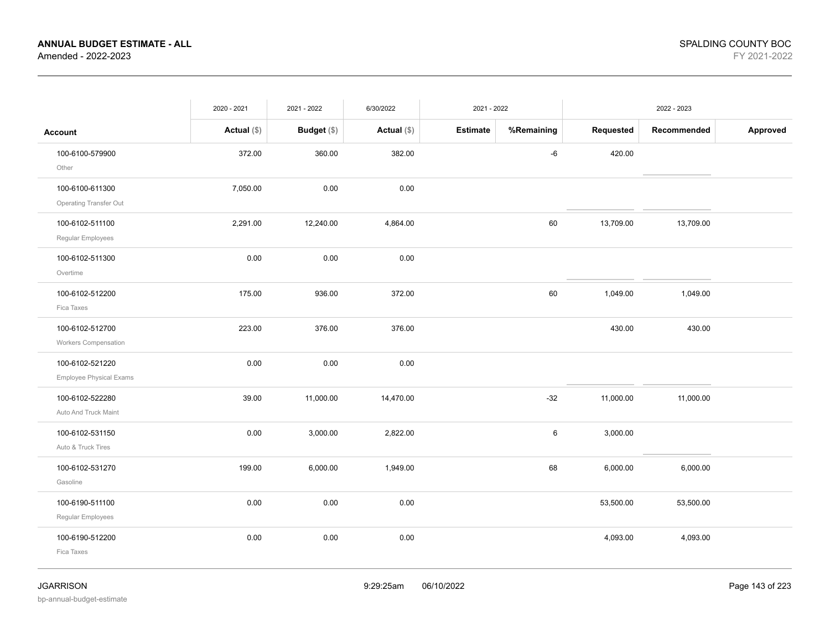|                                                   | 2020 - 2021   | 2021 - 2022 | 6/30/2022     | 2021 - 2022     |            |           | 2022 - 2023 |          |
|---------------------------------------------------|---------------|-------------|---------------|-----------------|------------|-----------|-------------|----------|
| <b>Account</b>                                    | Actual $(\$)$ | Budget (\$) | Actual $(\$)$ | <b>Estimate</b> | %Remaining | Requested | Recommended | Approved |
| 100-6100-579900<br>Other                          | 372.00        | 360.00      | 382.00        |                 | $-6$       | 420.00    |             |          |
| 100-6100-611300<br>Operating Transfer Out         | 7,050.00      | 0.00        | 0.00          |                 |            |           |             |          |
| 100-6102-511100<br>Regular Employees              | 2,291.00      | 12,240.00   | 4,864.00      |                 | 60         | 13,709.00 | 13,709.00   |          |
| 100-6102-511300<br>Overtime                       | 0.00          | 0.00        | 0.00          |                 |            |           |             |          |
| 100-6102-512200<br>Fica Taxes                     | 175.00        | 936.00      | 372.00        |                 | 60         | 1,049.00  | 1,049.00    |          |
| 100-6102-512700<br>Workers Compensation           | 223.00        | 376.00      | 376.00        |                 |            | 430.00    | 430.00      |          |
| 100-6102-521220<br><b>Employee Physical Exams</b> | 0.00          | 0.00        | 0.00          |                 |            |           |             |          |
| 100-6102-522280<br>Auto And Truck Maint           | 39.00         | 11,000.00   | 14,470.00     |                 | $-32$      | 11,000.00 | 11,000.00   |          |
| 100-6102-531150<br>Auto & Truck Tires             | 0.00          | 3,000.00    | 2,822.00      |                 | $\,6\,$    | 3,000.00  |             |          |
| 100-6102-531270<br>Gasoline                       | 199.00        | 6,000.00    | 1,949.00      |                 | 68         | 6,000.00  | 6,000.00    |          |
| 100-6190-511100<br>Regular Employees              | 0.00          | 0.00        | 0.00          |                 |            | 53,500.00 | 53,500.00   |          |
| 100-6190-512200<br>Fica Taxes                     | 0.00          | 0.00        | 0.00          |                 |            | 4,093.00  | 4,093.00    |          |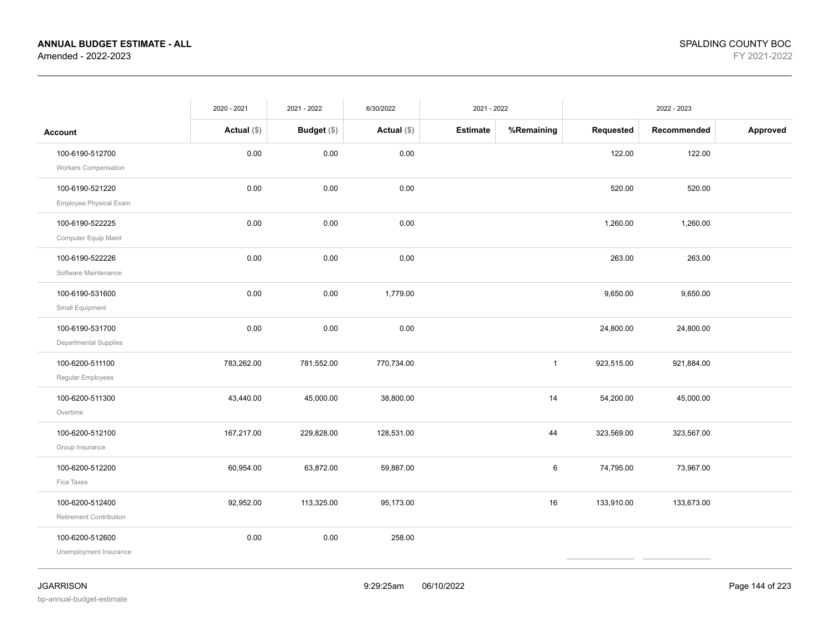|                                                 | 2020 - 2021   | 2021 - 2022 | 6/30/2022     | 2021 - 2022     |              |            | 2022 - 2023 |          |
|-------------------------------------------------|---------------|-------------|---------------|-----------------|--------------|------------|-------------|----------|
| Account                                         | Actual $(\$)$ | Budget (\$) | Actual $(\$)$ | <b>Estimate</b> | %Remaining   | Requested  | Recommended | Approved |
| 100-6190-512700<br>Workers Compensation         | 0.00          | 0.00        | 0.00          |                 |              | 122.00     | 122.00      |          |
| 100-6190-521220<br>Employee Physical Exam       | 0.00          | 0.00        | 0.00          |                 |              | 520.00     | 520.00      |          |
| 100-6190-522225<br>Computer Equip Maint         | 0.00          | 0.00        | 0.00          |                 |              | 1,260.00   | 1,260.00    |          |
| 100-6190-522226<br>Software Maintenance         | 0.00          | 0.00        | 0.00          |                 |              | 263.00     | 263.00      |          |
| 100-6190-531600<br>Small Equipment              | 0.00          | 0.00        | 1,779.00      |                 |              | 9,650.00   | 9,650.00    |          |
| 100-6190-531700<br><b>Departmental Supplies</b> | 0.00          | 0.00        | 0.00          |                 |              | 24,800.00  | 24,800.00   |          |
| 100-6200-511100<br>Regular Employees            | 783,262.00    | 781,552.00  | 770,734.00    |                 | $\mathbf{1}$ | 923,515.00 | 921,884.00  |          |
| 100-6200-511300<br>Overtime                     | 43,440.00     | 45,000.00   | 38,800.00     |                 | 14           | 54,200.00  | 45,000.00   |          |
| 100-6200-512100<br>Group Insurance              | 167,217.00    | 229,828.00  | 128,531.00    |                 | 44           | 323,569.00 | 323,567.00  |          |
| 100-6200-512200<br>Fica Taxes                   | 60,954.00     | 63,872.00   | 59,887.00     |                 | 6            | 74,795.00  | 73,967.00   |          |
| 100-6200-512400<br>Retirement Contribution      | 92,952.00     | 113,325.00  | 95,173.00     |                 | 16           | 133,910.00 | 133,673.00  |          |
| 100-6200-512600<br>Unemployment Insurance       | 0.00          | 0.00        | 258.00        |                 |              |            |             |          |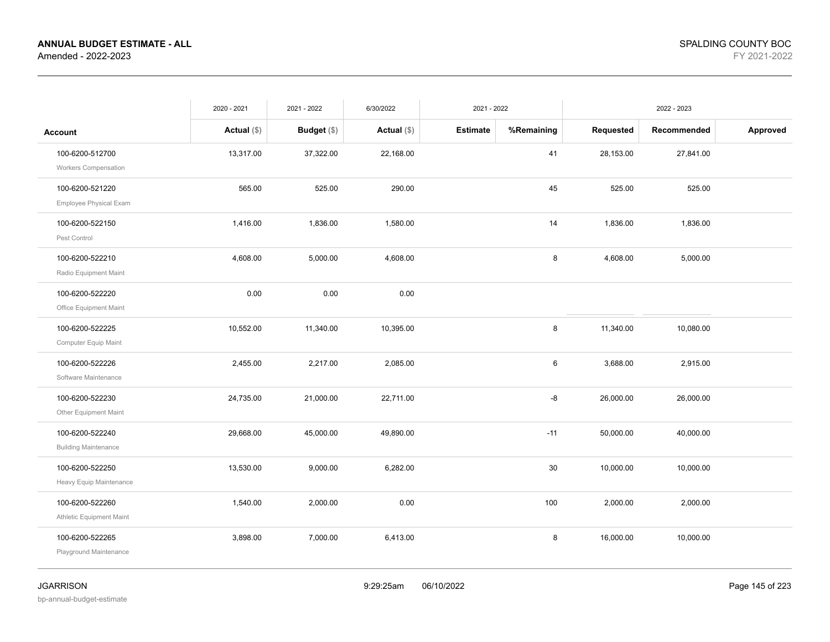|                                                | 2020 - 2021   | 2021 - 2022   | 6/30/2022     | 2021 - 2022     |            |           | 2022 - 2023 |          |
|------------------------------------------------|---------------|---------------|---------------|-----------------|------------|-----------|-------------|----------|
| <b>Account</b>                                 | Actual $(\$)$ | Budget $(\$)$ | Actual $(\$)$ | <b>Estimate</b> | %Remaining | Requested | Recommended | Approved |
| 100-6200-512700<br><b>Workers Compensation</b> | 13,317.00     | 37,322.00     | 22,168.00     |                 | 41         | 28,153.00 | 27,841.00   |          |
| 100-6200-521220<br>Employee Physical Exam      | 565.00        | 525.00        | 290.00        |                 | 45         | 525.00    | 525.00      |          |
| 100-6200-522150<br>Pest Control                | 1,416.00      | 1,836.00      | 1,580.00      |                 | 14         | 1,836.00  | 1,836.00    |          |
| 100-6200-522210<br>Radio Equipment Maint       | 4,608.00      | 5,000.00      | 4,608.00      |                 | 8          | 4,608.00  | 5,000.00    |          |
| 100-6200-522220<br>Office Equipment Maint      | 0.00          | 0.00          | 0.00          |                 |            |           |             |          |
| 100-6200-522225<br>Computer Equip Maint        | 10,552.00     | 11,340.00     | 10,395.00     |                 | 8          | 11,340.00 | 10,080.00   |          |
| 100-6200-522226<br>Software Maintenance        | 2,455.00      | 2,217.00      | 2,085.00      |                 | 6          | 3,688.00  | 2,915.00    |          |
| 100-6200-522230<br>Other Equipment Maint       | 24,735.00     | 21,000.00     | 22,711.00     |                 | -8         | 26,000.00 | 26,000.00   |          |
| 100-6200-522240<br><b>Building Maintenance</b> | 29,668.00     | 45,000.00     | 49,890.00     |                 | $-11$      | 50,000.00 | 40,000.00   |          |
| 100-6200-522250<br>Heavy Equip Maintenance     | 13,530.00     | 9,000.00      | 6,282.00      |                 | 30         | 10,000.00 | 10,000.00   |          |
| 100-6200-522260<br>Athletic Equipment Maint    | 1,540.00      | 2,000.00      | 0.00          |                 | 100        | 2,000.00  | 2,000.00    |          |
| 100-6200-522265<br>Playground Maintenance      | 3,898.00      | 7,000.00      | 6,413.00      |                 | 8          | 16,000.00 | 10,000.00   |          |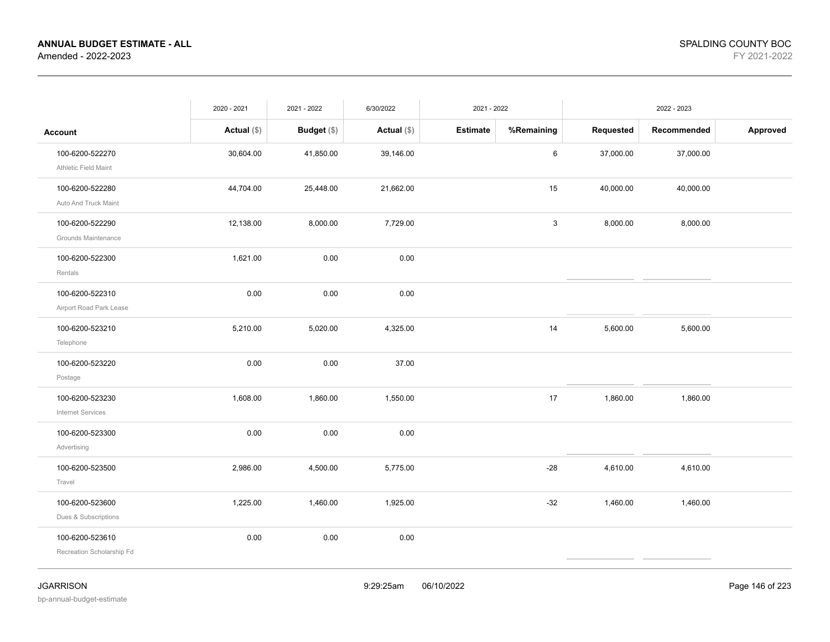|                                              | 2020 - 2021   | 2021 - 2022   | 6/30/2022     | 2021 - 2022     |            |           | 2022 - 2023 |          |
|----------------------------------------------|---------------|---------------|---------------|-----------------|------------|-----------|-------------|----------|
| <b>Account</b>                               | Actual $(\$)$ | Budget $(\$)$ | Actual $(\$)$ | <b>Estimate</b> | %Remaining | Requested | Recommended | Approved |
| 100-6200-522270<br>Athletic Field Maint      | 30,604.00     | 41,850.00     | 39,146.00     |                 | 6          | 37,000.00 | 37,000.00   |          |
| 100-6200-522280<br>Auto And Truck Maint      | 44,704.00     | 25,448.00     | 21,662.00     |                 | 15         | 40,000.00 | 40,000.00   |          |
| 100-6200-522290<br>Grounds Maintenance       | 12,138.00     | 8,000.00      | 7,729.00      |                 | 3          | 8,000.00  | 8,000.00    |          |
| 100-6200-522300<br>Rentals                   | 1,621.00      | 0.00          | 0.00          |                 |            |           |             |          |
| 100-6200-522310<br>Airport Road Park Lease   | 0.00          | 0.00          | 0.00          |                 |            |           |             |          |
| 100-6200-523210<br>Telephone                 | 5,210.00      | 5,020.00      | 4,325.00      |                 | 14         | 5,600.00  | 5,600.00    |          |
| 100-6200-523220<br>Postage                   | 0.00          | 0.00          | 37.00         |                 |            |           |             |          |
| 100-6200-523230<br><b>Internet Services</b>  | 1,608.00      | 1,860.00      | 1,550.00      |                 | 17         | 1,860.00  | 1,860.00    |          |
| 100-6200-523300<br>Advertising               | 0.00          | 0.00          | 0.00          |                 |            |           |             |          |
| 100-6200-523500<br>Travel                    | 2,986.00      | 4,500.00      | 5,775.00      |                 | $-28$      | 4,610.00  | 4,610.00    |          |
| 100-6200-523600<br>Dues & Subscriptions      | 1,225.00      | 1,460.00      | 1,925.00      |                 | $-32$      | 1,460.00  | 1,460.00    |          |
| 100-6200-523610<br>Recreation Scholarship Fd | 0.00          | 0.00          | 0.00          |                 |            |           |             |          |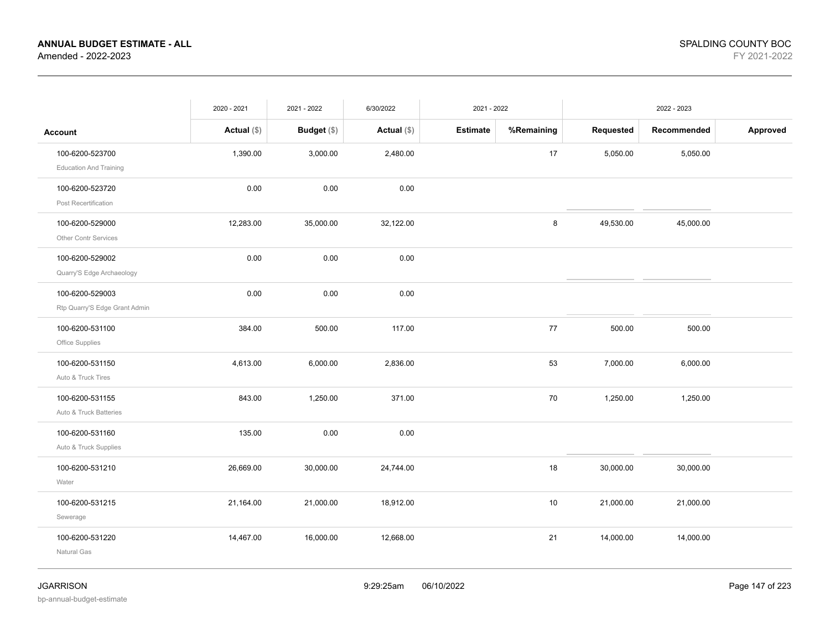|                               | 2020 - 2021   | 2021 - 2022        | 6/30/2022     | 2021 - 2022     |            |           | 2022 - 2023 |          |
|-------------------------------|---------------|--------------------|---------------|-----------------|------------|-----------|-------------|----------|
| <b>Account</b>                | Actual $(\$)$ | <b>Budget</b> (\$) | Actual $(\$)$ | <b>Estimate</b> | %Remaining | Requested | Recommended | Approved |
| 100-6200-523700               | 1,390.00      | 3,000.00           | 2,480.00      |                 | 17         | 5,050.00  | 5,050.00    |          |
| <b>Education And Training</b> |               |                    |               |                 |            |           |             |          |
| 100-6200-523720               | 0.00          | 0.00               | 0.00          |                 |            |           |             |          |
| Post Recertification          |               |                    |               |                 |            |           |             |          |
| 100-6200-529000               | 12,283.00     | 35,000.00          | 32,122.00     |                 | 8          | 49,530.00 | 45,000.00   |          |
| Other Contr Services          |               |                    |               |                 |            |           |             |          |
| 100-6200-529002               | 0.00          | 0.00               | 0.00          |                 |            |           |             |          |
| Quarry'S Edge Archaeology     |               |                    |               |                 |            |           |             |          |
| 100-6200-529003               | 0.00          | 0.00               | 0.00          |                 |            |           |             |          |
| Rtp Quarry'S Edge Grant Admin |               |                    |               |                 |            |           |             |          |
| 100-6200-531100               | 384.00        | 500.00             | 117.00        |                 | 77         | 500.00    | 500.00      |          |
| Office Supplies               |               |                    |               |                 |            |           |             |          |
| 100-6200-531150               | 4,613.00      | 6,000.00           | 2,836.00      |                 | 53         | 7,000.00  | 6,000.00    |          |
| Auto & Truck Tires            |               |                    |               |                 |            |           |             |          |
| 100-6200-531155               | 843.00        | 1,250.00           | 371.00        |                 | 70         | 1,250.00  | 1,250.00    |          |
| Auto & Truck Batteries        |               |                    |               |                 |            |           |             |          |
| 100-6200-531160               | 135.00        | 0.00               | 0.00          |                 |            |           |             |          |
| Auto & Truck Supplies         |               |                    |               |                 |            |           |             |          |
| 100-6200-531210               | 26,669.00     | 30,000.00          | 24,744.00     |                 | 18         | 30,000.00 | 30,000.00   |          |
| Water                         |               |                    |               |                 |            |           |             |          |
| 100-6200-531215               | 21,164.00     | 21,000.00          | 18,912.00     |                 | 10         | 21,000.00 | 21,000.00   |          |
| Sewerage                      |               |                    |               |                 |            |           |             |          |
| 100-6200-531220               | 14,467.00     | 16,000.00          | 12,668.00     |                 | 21         | 14,000.00 | 14,000.00   |          |
| Natural Gas                   |               |                    |               |                 |            |           |             |          |
|                               |               |                    |               |                 |            |           |             |          |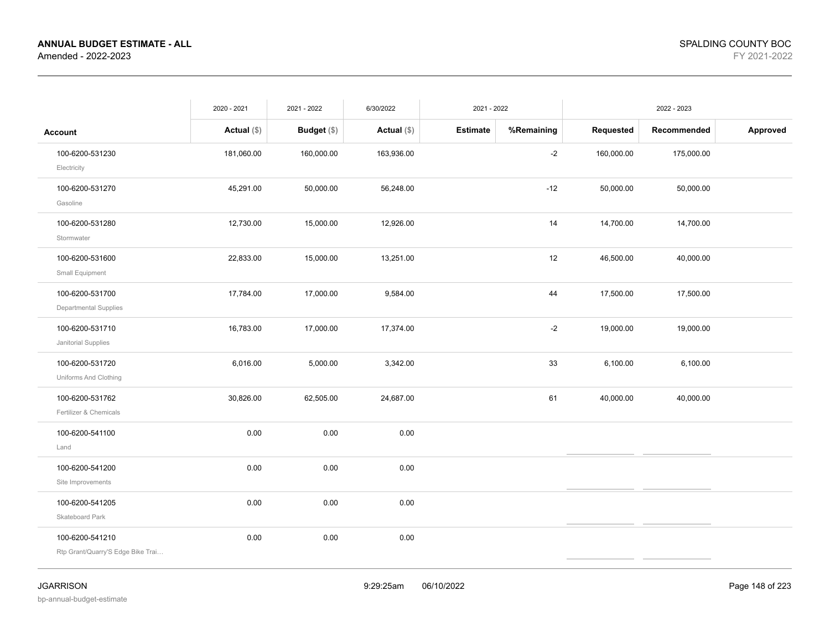|                                                      | 2020 - 2021   | 2021 - 2022        | 6/30/2022     | 2021 - 2022     |            |            | 2022 - 2023 |          |
|------------------------------------------------------|---------------|--------------------|---------------|-----------------|------------|------------|-------------|----------|
| <b>Account</b>                                       | Actual $(\$)$ | <b>Budget</b> (\$) | Actual $(\$)$ | <b>Estimate</b> | %Remaining | Requested  | Recommended | Approved |
| 100-6200-531230<br>Electricity                       | 181,060.00    | 160,000.00         | 163,936.00    |                 | $-2$       | 160,000.00 | 175,000.00  |          |
| 100-6200-531270<br>Gasoline                          | 45,291.00     | 50,000.00          | 56,248.00     |                 | $-12$      | 50,000.00  | 50,000.00   |          |
| 100-6200-531280<br>Stormwater                        | 12,730.00     | 15,000.00          | 12,926.00     |                 | 14         | 14,700.00  | 14,700.00   |          |
| 100-6200-531600<br>Small Equipment                   | 22,833.00     | 15,000.00          | 13,251.00     |                 | 12         | 46,500.00  | 40,000.00   |          |
| 100-6200-531700<br>Departmental Supplies             | 17,784.00     | 17,000.00          | 9,584.00      |                 | 44         | 17,500.00  | 17,500.00   |          |
| 100-6200-531710<br>Janitorial Supplies               | 16,783.00     | 17,000.00          | 17,374.00     |                 | $-2$       | 19,000.00  | 19,000.00   |          |
| 100-6200-531720<br>Uniforms And Clothing             | 6,016.00      | 5,000.00           | 3,342.00      |                 | 33         | 6,100.00   | 6,100.00    |          |
| 100-6200-531762<br>Fertilizer & Chemicals            | 30,826.00     | 62,505.00          | 24,687.00     |                 | 61         | 40,000.00  | 40,000.00   |          |
| 100-6200-541100<br>Land                              | 0.00          | 0.00               | 0.00          |                 |            |            |             |          |
| 100-6200-541200<br>Site Improvements                 | 0.00          | 0.00               | 0.00          |                 |            |            |             |          |
| 100-6200-541205<br>Skateboard Park                   | 0.00          | 0.00               | 0.00          |                 |            |            |             |          |
| 100-6200-541210<br>Rtp Grant/Quarry'S Edge Bike Trai | 0.00          | 0.00               | 0.00          |                 |            |            |             |          |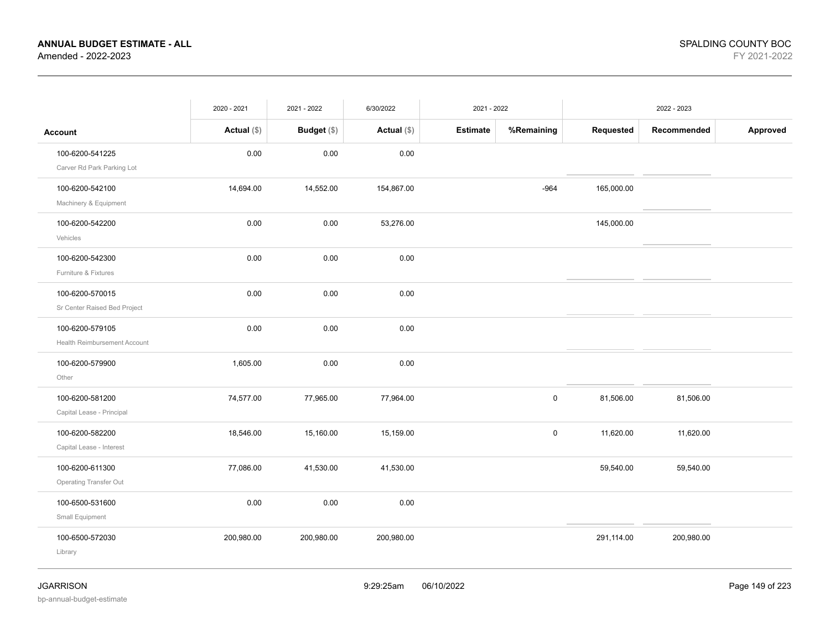|                                                        | 2020 - 2021   | 2021 - 2022        | 6/30/2022     | 2021 - 2022     |             |            | 2022 - 2023 |          |
|--------------------------------------------------------|---------------|--------------------|---------------|-----------------|-------------|------------|-------------|----------|
| <b>Account</b>                                         | Actual $(\$)$ | <b>Budget</b> (\$) | Actual $(\$)$ | <b>Estimate</b> | %Remaining  | Requested  | Recommended | Approved |
| 100-6200-541225<br>Carver Rd Park Parking Lot          | 0.00          | 0.00               | 0.00          |                 |             |            |             |          |
| 100-6200-542100<br>Machinery & Equipment               | 14,694.00     | 14,552.00          | 154,867.00    |                 | $-964$      | 165,000.00 |             |          |
| 100-6200-542200<br>Vehicles                            | 0.00          | 0.00               | 53,276.00     |                 |             | 145,000.00 |             |          |
| 100-6200-542300<br>Furniture & Fixtures                | 0.00          | 0.00               | 0.00          |                 |             |            |             |          |
| 100-6200-570015<br>Sr Center Raised Bed Project        | 0.00          | 0.00               | 0.00          |                 |             |            |             |          |
| 100-6200-579105<br><b>Health Reimbursement Account</b> | 0.00          | 0.00               | 0.00          |                 |             |            |             |          |
| 100-6200-579900<br>Other                               | 1,605.00      | 0.00               | 0.00          |                 |             |            |             |          |
| 100-6200-581200<br>Capital Lease - Principal           | 74,577.00     | 77,965.00          | 77,964.00     |                 | $\mathsf 0$ | 81,506.00  | 81,506.00   |          |
| 100-6200-582200<br>Capital Lease - Interest            | 18,546.00     | 15,160.00          | 15,159.00     |                 | 0           | 11,620.00  | 11,620.00   |          |
| 100-6200-611300<br>Operating Transfer Out              | 77,086.00     | 41,530.00          | 41,530.00     |                 |             | 59,540.00  | 59,540.00   |          |
| 100-6500-531600<br>Small Equipment                     | 0.00          | 0.00               | 0.00          |                 |             |            |             |          |
| 100-6500-572030<br>Library                             | 200,980.00    | 200,980.00         | 200,980.00    |                 |             | 291,114.00 | 200,980.00  |          |
|                                                        |               |                    |               |                 |             |            |             |          |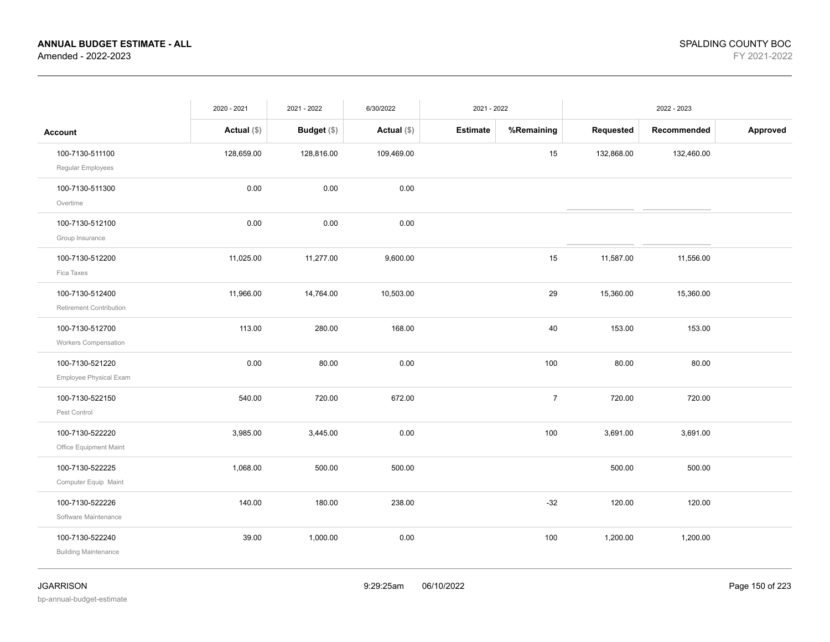|                                                | 2020 - 2021   | 2021 - 2022   | 6/30/2022     | 2021 - 2022     |                |            | 2022 - 2023 |          |
|------------------------------------------------|---------------|---------------|---------------|-----------------|----------------|------------|-------------|----------|
| <b>Account</b>                                 | Actual $(\$)$ | Budget $(\$)$ | Actual $(\$)$ | <b>Estimate</b> | %Remaining     | Requested  | Recommended | Approved |
| 100-7130-511100<br>Regular Employees           | 128,659.00    | 128,816.00    | 109,469.00    |                 | 15             | 132,868.00 | 132,460.00  |          |
| 100-7130-511300<br>Overtime                    | 0.00          | 0.00          | 0.00          |                 |                |            |             |          |
| 100-7130-512100<br>Group Insurance             | 0.00          | 0.00          | 0.00          |                 |                |            |             |          |
| 100-7130-512200<br>Fica Taxes                  | 11,025.00     | 11,277.00     | 9,600.00      |                 | 15             | 11,587.00  | 11,556.00   |          |
| 100-7130-512400<br>Retirement Contribution     | 11,966.00     | 14,764.00     | 10,503.00     |                 | 29             | 15,360.00  | 15,360.00   |          |
| 100-7130-512700<br>Workers Compensation        | 113.00        | 280.00        | 168.00        |                 | 40             | 153.00     | 153.00      |          |
| 100-7130-521220<br>Employee Physical Exam      | 0.00          | 80.00         | 0.00          |                 | 100            | 80.00      | 80.00       |          |
| 100-7130-522150<br>Pest Control                | 540.00        | 720.00        | 672.00        |                 | $\overline{7}$ | 720.00     | 720.00      |          |
| 100-7130-522220<br>Office Equipment Maint      | 3,985.00      | 3,445.00      | 0.00          |                 | 100            | 3,691.00   | 3,691.00    |          |
| 100-7130-522225<br>Computer Equip Maint        | 1,068.00      | 500.00        | 500.00        |                 |                | 500.00     | 500.00      |          |
| 100-7130-522226<br>Software Maintenance        | 140.00        | 180.00        | 238.00        |                 | $-32$          | 120.00     | 120.00      |          |
| 100-7130-522240<br><b>Building Maintenance</b> | 39.00         | 1,000.00      | 0.00          |                 | 100            | 1,200.00   | 1,200.00    |          |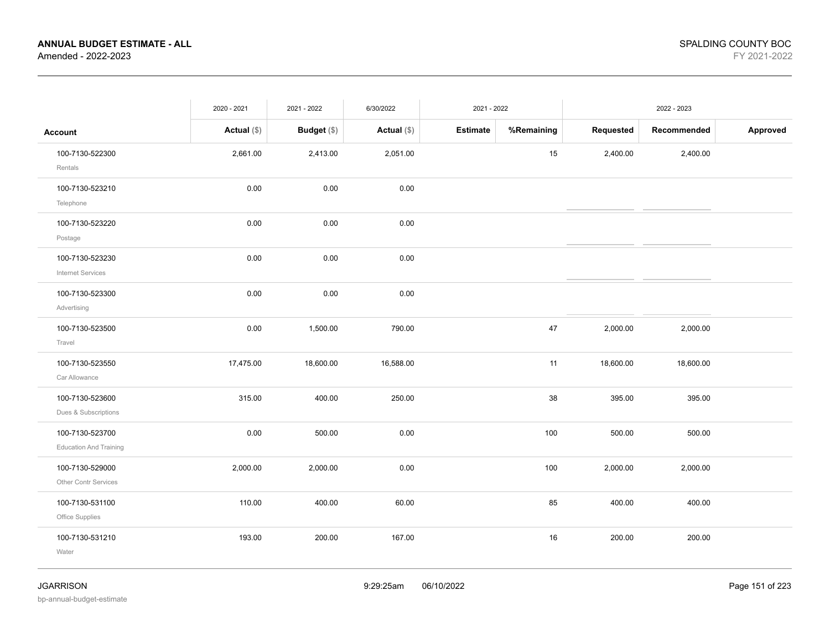|                                                  | 2020 - 2021   | 2021 - 2022 | 6/30/2022     | 2021 - 2022     |            |           | 2022 - 2023 |          |
|--------------------------------------------------|---------------|-------------|---------------|-----------------|------------|-----------|-------------|----------|
| <b>Account</b>                                   | Actual $(\$)$ | Budget (\$) | Actual $(\$)$ | <b>Estimate</b> | %Remaining | Requested | Recommended | Approved |
| 100-7130-522300<br>Rentals                       | 2,661.00      | 2,413.00    | 2,051.00      |                 | 15         | 2,400.00  | 2,400.00    |          |
| 100-7130-523210<br>Telephone                     | 0.00          | 0.00        | 0.00          |                 |            |           |             |          |
| 100-7130-523220<br>Postage                       | 0.00          | 0.00        | 0.00          |                 |            |           |             |          |
| 100-7130-523230<br><b>Internet Services</b>      | 0.00          | 0.00        | 0.00          |                 |            |           |             |          |
| 100-7130-523300<br>Advertising                   | 0.00          | 0.00        | 0.00          |                 |            |           |             |          |
| 100-7130-523500<br>Travel                        | 0.00          | 1,500.00    | 790.00        |                 | 47         | 2,000.00  | 2,000.00    |          |
| 100-7130-523550<br>Car Allowance                 | 17,475.00     | 18,600.00   | 16,588.00     |                 | 11         | 18,600.00 | 18,600.00   |          |
| 100-7130-523600<br>Dues & Subscriptions          | 315.00        | 400.00      | 250.00        |                 | 38         | 395.00    | 395.00      |          |
| 100-7130-523700<br><b>Education And Training</b> | 0.00          | 500.00      | 0.00          |                 | 100        | 500.00    | 500.00      |          |
| 100-7130-529000<br><b>Other Contr Services</b>   | 2,000.00      | 2,000.00    | 0.00          |                 | 100        | 2,000.00  | 2,000.00    |          |
| 100-7130-531100<br>Office Supplies               | 110.00        | 400.00      | 60.00         |                 | 85         | 400.00    | 400.00      |          |
| 100-7130-531210<br>Water                         | 193.00        | 200.00      | 167.00        |                 | 16         | 200.00    | 200.00      |          |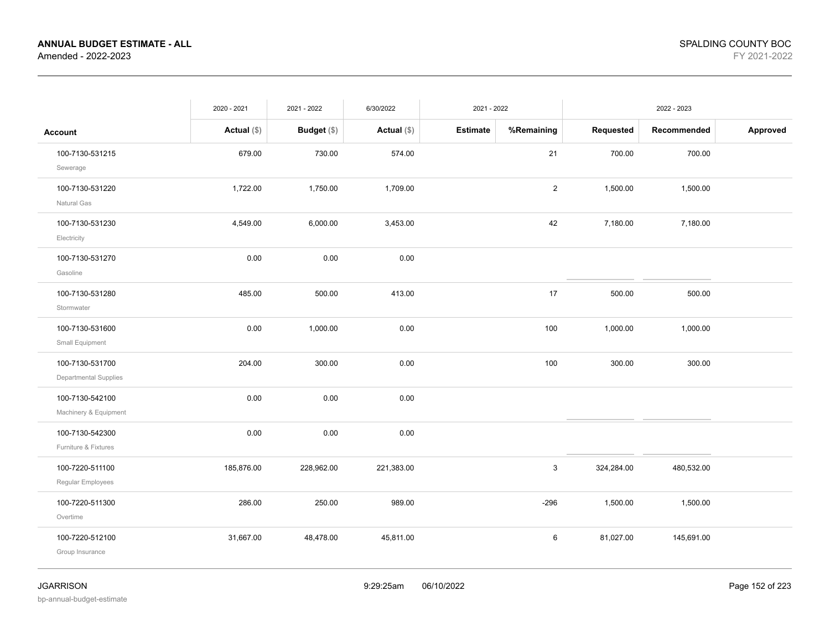|                                          | 2020 - 2021   | 2021 - 2022 | 6/30/2022     | 2021 - 2022     |                |            | 2022 - 2023 |          |
|------------------------------------------|---------------|-------------|---------------|-----------------|----------------|------------|-------------|----------|
| Account                                  | Actual $(\$)$ | Budget (\$) | Actual $(\$)$ | <b>Estimate</b> | %Remaining     | Requested  | Recommended | Approved |
| 100-7130-531215<br>Sewerage              | 679.00        | 730.00      | 574.00        |                 | 21             | 700.00     | 700.00      |          |
| 100-7130-531220<br>Natural Gas           | 1,722.00      | 1,750.00    | 1,709.00      |                 | $\overline{2}$ | 1,500.00   | 1,500.00    |          |
| 100-7130-531230<br>Electricity           | 4,549.00      | 6,000.00    | 3,453.00      |                 | 42             | 7,180.00   | 7,180.00    |          |
| 100-7130-531270<br>Gasoline              | 0.00          | 0.00        | 0.00          |                 |                |            |             |          |
| 100-7130-531280<br>Stormwater            | 485.00        | 500.00      | 413.00        |                 | 17             | 500.00     | 500.00      |          |
| 100-7130-531600<br>Small Equipment       | 0.00          | 1,000.00    | 0.00          |                 | 100            | 1,000.00   | 1,000.00    |          |
| 100-7130-531700<br>Departmental Supplies | 204.00        | 300.00      | 0.00          |                 | 100            | 300.00     | 300.00      |          |
| 100-7130-542100<br>Machinery & Equipment | 0.00          | 0.00        | 0.00          |                 |                |            |             |          |
| 100-7130-542300<br>Furniture & Fixtures  | 0.00          | 0.00        | 0.00          |                 |                |            |             |          |
| 100-7220-511100<br>Regular Employees     | 185,876.00    | 228,962.00  | 221,383.00    |                 | $\mathbf{3}$   | 324,284.00 | 480,532.00  |          |
| 100-7220-511300<br>Overtime              | 286.00        | 250.00      | 989.00        |                 | $-296$         | 1,500.00   | 1,500.00    |          |
| 100-7220-512100<br>Group Insurance       | 31,667.00     | 48,478.00   | 45,811.00     |                 | 6              | 81,027.00  | 145,691.00  |          |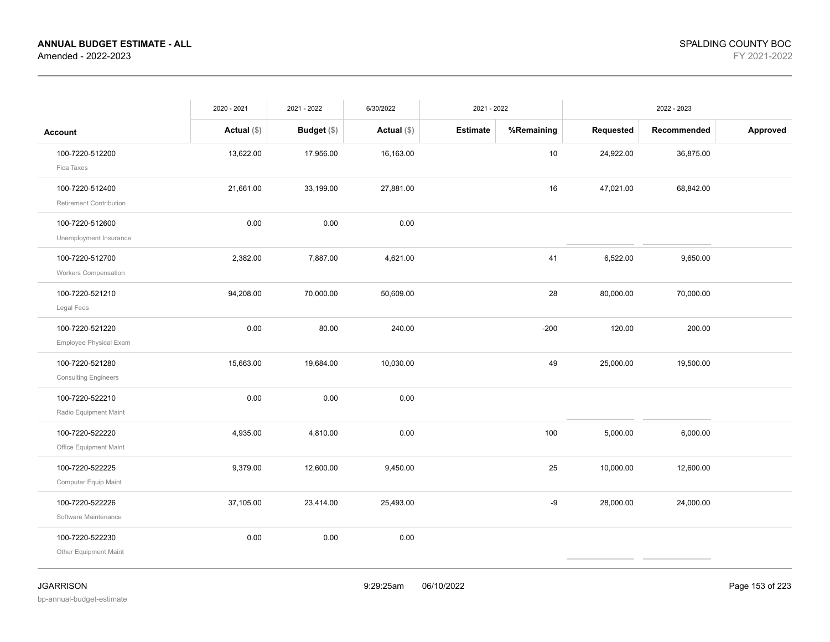|                                                | 2020 - 2021   | 2021 - 2022   | 6/30/2022     | 2021 - 2022     |            |           | 2022 - 2023 |          |
|------------------------------------------------|---------------|---------------|---------------|-----------------|------------|-----------|-------------|----------|
| <b>Account</b>                                 | Actual $(\$)$ | Budget $(\$)$ | Actual $(\$)$ | <b>Estimate</b> | %Remaining | Requested | Recommended | Approved |
| 100-7220-512200<br>Fica Taxes                  | 13,622.00     | 17,956.00     | 16,163.00     |                 | 10         | 24,922.00 | 36,875.00   |          |
| 100-7220-512400<br>Retirement Contribution     | 21,661.00     | 33,199.00     | 27,881.00     |                 | 16         | 47,021.00 | 68,842.00   |          |
| 100-7220-512600<br>Unemployment Insurance      | 0.00          | 0.00          | 0.00          |                 |            |           |             |          |
| 100-7220-512700<br>Workers Compensation        | 2,382.00      | 7,887.00      | 4,621.00      |                 | 41         | 6,522.00  | 9,650.00    |          |
| 100-7220-521210<br>Legal Fees                  | 94,208.00     | 70,000.00     | 50,609.00     |                 | 28         | 80,000.00 | 70,000.00   |          |
| 100-7220-521220<br>Employee Physical Exam      | 0.00          | 80.00         | 240.00        |                 | $-200$     | 120.00    | 200.00      |          |
| 100-7220-521280<br><b>Consulting Engineers</b> | 15,663.00     | 19,684.00     | 10,030.00     |                 | 49         | 25,000.00 | 19,500.00   |          |
| 100-7220-522210<br>Radio Equipment Maint       | 0.00          | 0.00          | 0.00          |                 |            |           |             |          |
| 100-7220-522220<br>Office Equipment Maint      | 4,935.00      | 4,810.00      | 0.00          |                 | 100        | 5,000.00  | 6,000.00    |          |
| 100-7220-522225<br>Computer Equip Maint        | 9,379.00      | 12,600.00     | 9,450.00      |                 | 25         | 10,000.00 | 12,600.00   |          |
| 100-7220-522226<br>Software Maintenance        | 37,105.00     | 23,414.00     | 25,493.00     |                 | -9         | 28,000.00 | 24,000.00   |          |
| 100-7220-522230<br>Other Equipment Maint       | 0.00          | 0.00          | 0.00          |                 |            |           |             |          |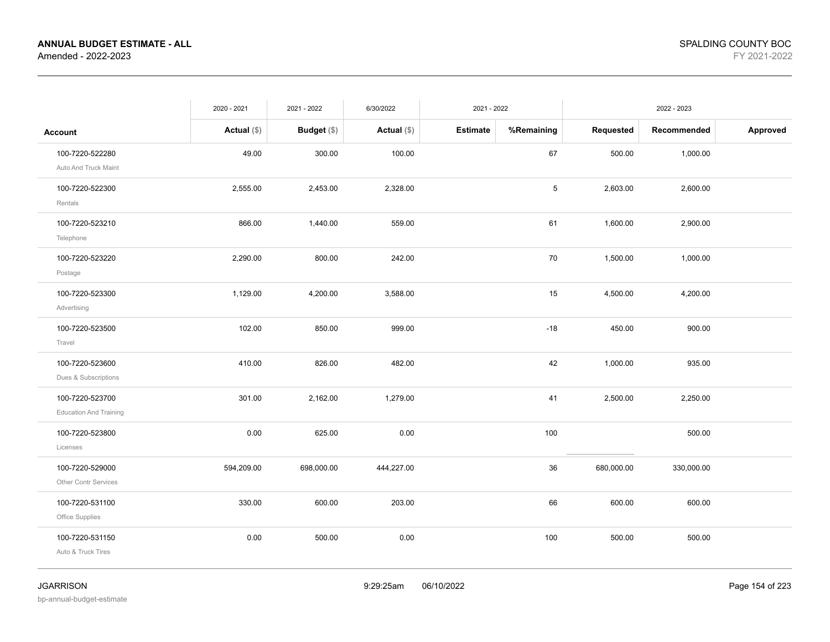|                                                  | 2020 - 2021   | 2021 - 2022   | 6/30/2022     | 2021 - 2022     |            |            | 2022 - 2023 |          |
|--------------------------------------------------|---------------|---------------|---------------|-----------------|------------|------------|-------------|----------|
| <b>Account</b>                                   | Actual $(\$)$ | Budget $(\$)$ | Actual $(\$)$ | <b>Estimate</b> | %Remaining | Requested  | Recommended | Approved |
| 100-7220-522280<br>Auto And Truck Maint          | 49.00         | 300.00        | 100.00        |                 | 67         | 500.00     | 1,000.00    |          |
| 100-7220-522300<br>Rentals                       | 2,555.00      | 2,453.00      | 2,328.00      |                 | 5          | 2,603.00   | 2,600.00    |          |
| 100-7220-523210<br>Telephone                     | 866.00        | 1,440.00      | 559.00        |                 | 61         | 1,600.00   | 2,900.00    |          |
| 100-7220-523220<br>Postage                       | 2,290.00      | 800.00        | 242.00        |                 | 70         | 1,500.00   | 1,000.00    |          |
| 100-7220-523300<br>Advertising                   | 1,129.00      | 4,200.00      | 3,588.00      |                 | 15         | 4,500.00   | 4,200.00    |          |
| 100-7220-523500<br>Travel                        | 102.00        | 850.00        | 999.00        |                 | $-18$      | 450.00     | 900.00      |          |
| 100-7220-523600<br>Dues & Subscriptions          | 410.00        | 826.00        | 482.00        |                 | 42         | 1,000.00   | 935.00      |          |
| 100-7220-523700<br><b>Education And Training</b> | 301.00        | 2,162.00      | 1,279.00      |                 | 41         | 2,500.00   | 2,250.00    |          |
| 100-7220-523800<br>Licenses                      | 0.00          | 625.00        | 0.00          |                 | 100        |            | 500.00      |          |
| 100-7220-529000<br>Other Contr Services          | 594,209.00    | 698,000.00    | 444,227.00    |                 | 36         | 680,000.00 | 330,000.00  |          |
| 100-7220-531100<br>Office Supplies               | 330.00        | 600.00        | 203.00        |                 | 66         | 600.00     | 600.00      |          |
| 100-7220-531150<br>Auto & Truck Tires            | 0.00          | 500.00        | 0.00          |                 | 100        | 500.00     | 500.00      |          |

bp-annual-budget-estimate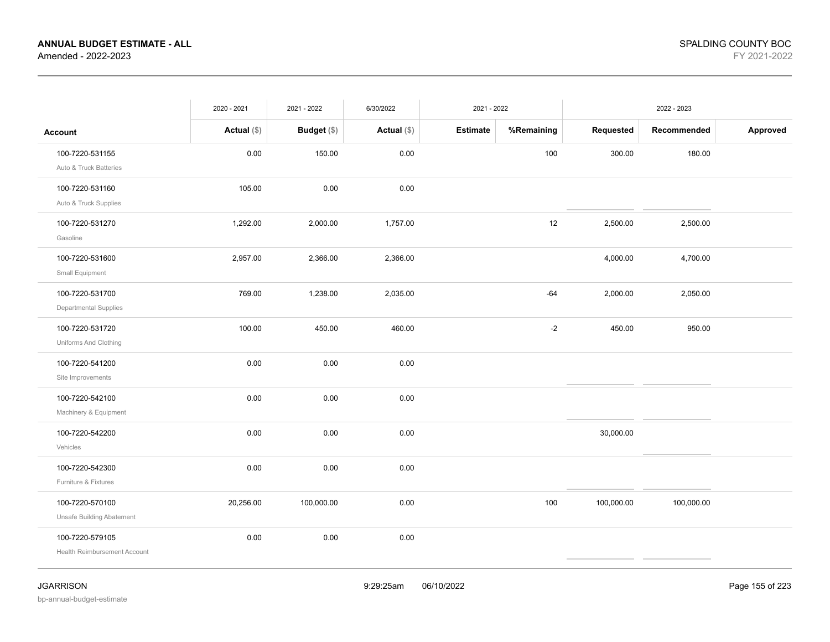|                                                        | 2020 - 2021   | 2021 - 2022        | 6/30/2022     | 2021 - 2022     |            |            | 2022 - 2023 |          |
|--------------------------------------------------------|---------------|--------------------|---------------|-----------------|------------|------------|-------------|----------|
| <b>Account</b>                                         | Actual $(\$)$ | <b>Budget</b> (\$) | Actual $(\$)$ | <b>Estimate</b> | %Remaining | Requested  | Recommended | Approved |
| 100-7220-531155<br>Auto & Truck Batteries              | 0.00          | 150.00             | 0.00          |                 | 100        | 300.00     | 180.00      |          |
| 100-7220-531160<br>Auto & Truck Supplies               | 105.00        | 0.00               | 0.00          |                 |            |            |             |          |
| 100-7220-531270<br>Gasoline                            | 1,292.00      | 2,000.00           | 1,757.00      |                 | 12         | 2,500.00   | 2,500.00    |          |
| 100-7220-531600<br>Small Equipment                     | 2,957.00      | 2,366.00           | 2,366.00      |                 |            | 4,000.00   | 4,700.00    |          |
| 100-7220-531700<br>Departmental Supplies               | 769.00        | 1,238.00           | 2,035.00      |                 | $-64$      | 2,000.00   | 2,050.00    |          |
| 100-7220-531720<br>Uniforms And Clothing               | 100.00        | 450.00             | 460.00        |                 | $-2$       | 450.00     | 950.00      |          |
| 100-7220-541200<br>Site Improvements                   | 0.00          | 0.00               | 0.00          |                 |            |            |             |          |
| 100-7220-542100<br>Machinery & Equipment               | 0.00          | 0.00               | $0.00\,$      |                 |            |            |             |          |
| 100-7220-542200<br>Vehicles                            | 0.00          | 0.00               | 0.00          |                 |            | 30,000.00  |             |          |
| 100-7220-542300<br>Furniture & Fixtures                | 0.00          | 0.00               | 0.00          |                 |            |            |             |          |
| 100-7220-570100<br><b>Unsafe Building Abatement</b>    | 20,256.00     | 100,000.00         | 0.00          |                 | 100        | 100,000.00 | 100,000.00  |          |
| 100-7220-579105<br><b>Health Reimbursement Account</b> | 0.00          | 0.00               | 0.00          |                 |            |            |             |          |
|                                                        |               |                    |               |                 |            |            |             |          |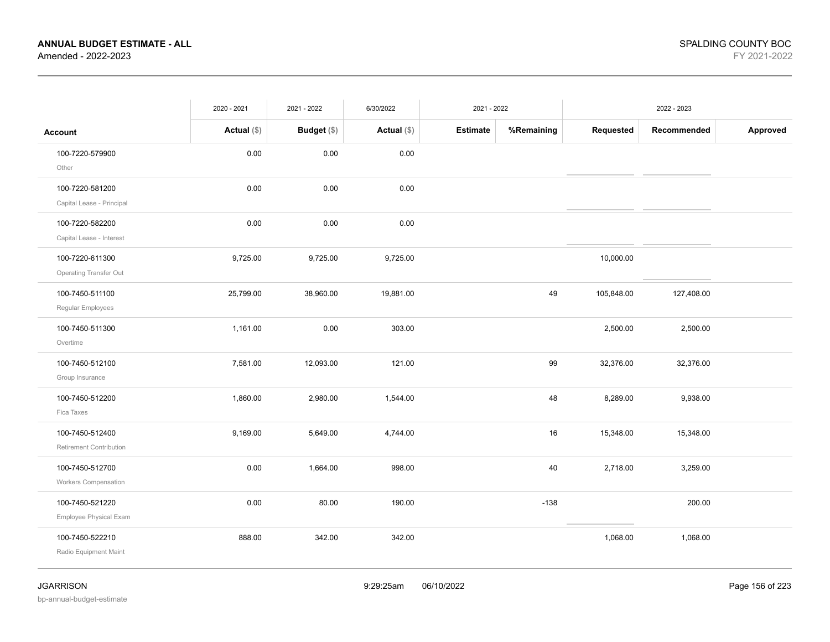|                                                | 2020 - 2021   | 2021 - 2022        | 6/30/2022     | 2021 - 2022     |            |            | 2022 - 2023 |          |
|------------------------------------------------|---------------|--------------------|---------------|-----------------|------------|------------|-------------|----------|
| <b>Account</b>                                 | Actual $(\$)$ | <b>Budget</b> (\$) | Actual $(\$)$ | <b>Estimate</b> | %Remaining | Requested  | Recommended | Approved |
| 100-7220-579900<br>Other                       | 0.00          | 0.00               | 0.00          |                 |            |            |             |          |
| 100-7220-581200<br>Capital Lease - Principal   | 0.00          | 0.00               | 0.00          |                 |            |            |             |          |
| 100-7220-582200<br>Capital Lease - Interest    | 0.00          | 0.00               | 0.00          |                 |            |            |             |          |
| 100-7220-611300<br>Operating Transfer Out      | 9,725.00      | 9,725.00           | 9,725.00      |                 |            | 10,000.00  |             |          |
| 100-7450-511100<br>Regular Employees           | 25,799.00     | 38,960.00          | 19,881.00     |                 | 49         | 105,848.00 | 127,408.00  |          |
| 100-7450-511300<br>Overtime                    | 1,161.00      | 0.00               | 303.00        |                 |            | 2,500.00   | 2,500.00    |          |
| 100-7450-512100<br>Group Insurance             | 7,581.00      | 12,093.00          | 121.00        |                 | 99         | 32,376.00  | 32,376.00   |          |
| 100-7450-512200<br>Fica Taxes                  | 1,860.00      | 2,980.00           | 1,544.00      |                 | 48         | 8,289.00   | 9,938.00    |          |
| 100-7450-512400<br>Retirement Contribution     | 9,169.00      | 5,649.00           | 4,744.00      |                 | 16         | 15,348.00  | 15,348.00   |          |
| 100-7450-512700<br><b>Workers Compensation</b> | 0.00          | 1,664.00           | 998.00        |                 | 40         | 2,718.00   | 3,259.00    |          |
| 100-7450-521220<br>Employee Physical Exam      | 0.00          | 80.00              | 190.00        |                 | $-138$     |            | 200.00      |          |
| 100-7450-522210<br>Radio Equipment Maint       | 888.00        | 342.00             | 342.00        |                 |            | 1,068.00   | 1,068.00    |          |

bp-annual-budget-estimate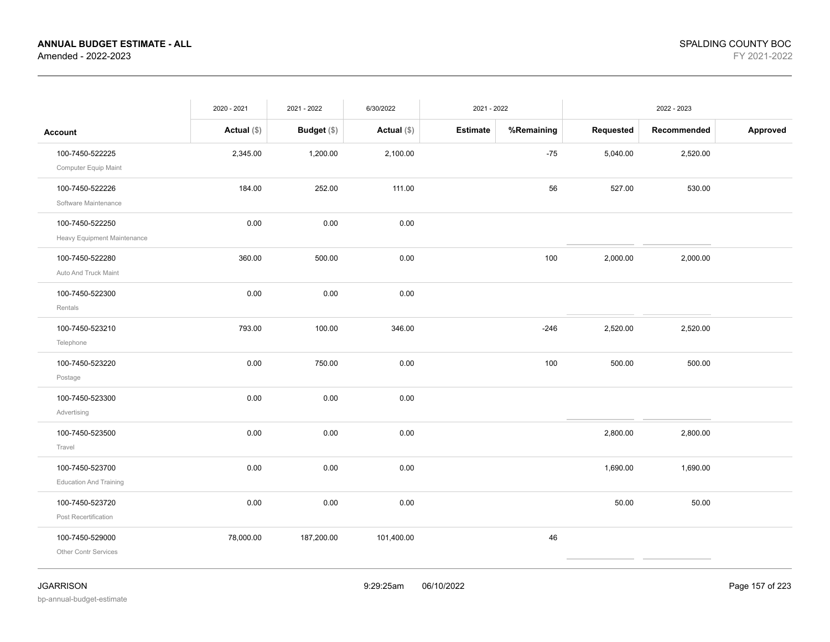|                                                  | 2020 - 2021   | 2021 - 2022   | 6/30/2022     | 2021 - 2022     |            |           | 2022 - 2023 |          |
|--------------------------------------------------|---------------|---------------|---------------|-----------------|------------|-----------|-------------|----------|
| <b>Account</b>                                   | Actual $(\$)$ | Budget $(\$)$ | Actual $(\$)$ | <b>Estimate</b> | %Remaining | Requested | Recommended | Approved |
| 100-7450-522225<br>Computer Equip Maint          | 2,345.00      | 1,200.00      | 2,100.00      |                 | $-75$      | 5,040.00  | 2,520.00    |          |
| 100-7450-522226<br>Software Maintenance          | 184.00        | 252.00        | 111.00        |                 | 56         | 527.00    | 530.00      |          |
| 100-7450-522250<br>Heavy Equipment Maintenance   | 0.00          | 0.00          | 0.00          |                 |            |           |             |          |
| 100-7450-522280<br>Auto And Truck Maint          | 360.00        | 500.00        | 0.00          |                 | 100        | 2,000.00  | 2,000.00    |          |
| 100-7450-522300<br>Rentals                       | 0.00          | 0.00          | 0.00          |                 |            |           |             |          |
| 100-7450-523210<br>Telephone                     | 793.00        | 100.00        | 346.00        |                 | $-246$     | 2,520.00  | 2,520.00    |          |
| 100-7450-523220<br>Postage                       | 0.00          | 750.00        | 0.00          |                 | 100        | 500.00    | 500.00      |          |
| 100-7450-523300<br>Advertising                   | 0.00          | 0.00          | 0.00          |                 |            |           |             |          |
| 100-7450-523500<br>Travel                        | 0.00          | 0.00          | 0.00          |                 |            | 2,800.00  | 2,800.00    |          |
| 100-7450-523700<br><b>Education And Training</b> | 0.00          | 0.00          | 0.00          |                 |            | 1,690.00  | 1,690.00    |          |
| 100-7450-523720<br>Post Recertification          | 0.00          | 0.00          | 0.00          |                 |            | 50.00     | 50.00       |          |
| 100-7450-529000<br>Other Contr Services          | 78,000.00     | 187,200.00    | 101,400.00    |                 | 46         |           |             |          |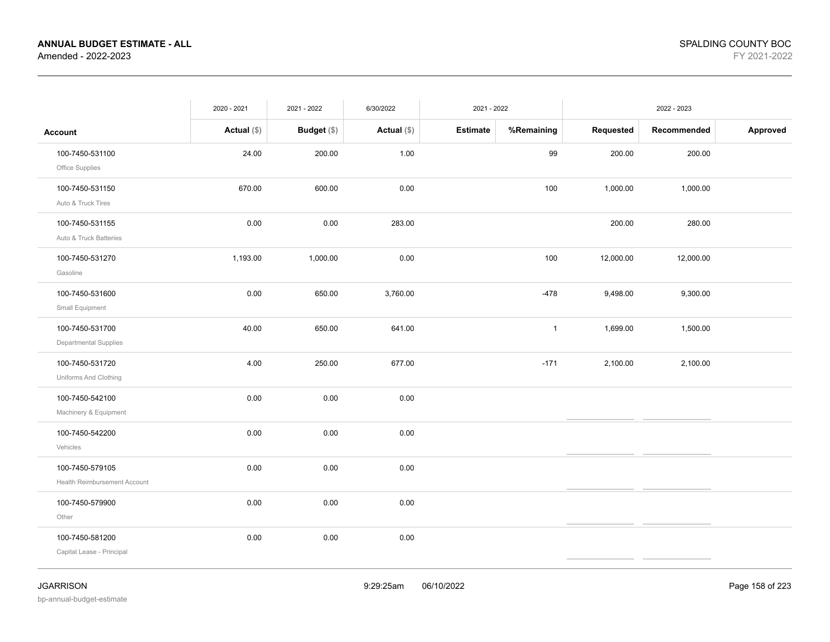|                                                 | 2020 - 2021   | 2021 - 2022 | 6/30/2022   | 2021 - 2022     |              |           | 2022 - 2023 |          |
|-------------------------------------------------|---------------|-------------|-------------|-----------------|--------------|-----------|-------------|----------|
| <b>Account</b>                                  | Actual $(\$)$ | Budget (\$) | Actual (\$) | <b>Estimate</b> | %Remaining   | Requested | Recommended | Approved |
| 100-7450-531100<br>Office Supplies              | 24.00         | 200.00      | 1.00        |                 | 99           | 200.00    | 200.00      |          |
| 100-7450-531150<br>Auto & Truck Tires           | 670.00        | 600.00      | 0.00        |                 | 100          | 1,000.00  | 1,000.00    |          |
| 100-7450-531155<br>Auto & Truck Batteries       | 0.00          | 0.00        | 283.00      |                 |              | 200.00    | 280.00      |          |
| 100-7450-531270<br>Gasoline                     | 1,193.00      | 1,000.00    | 0.00        |                 | 100          | 12,000.00 | 12,000.00   |          |
| 100-7450-531600<br>Small Equipment              | 0.00          | 650.00      | 3,760.00    |                 | $-478$       | 9,498.00  | 9,300.00    |          |
| 100-7450-531700<br><b>Departmental Supplies</b> | 40.00         | 650.00      | 641.00      |                 | $\mathbf{1}$ | 1,699.00  | 1,500.00    |          |
| 100-7450-531720<br>Uniforms And Clothing        | 4.00          | 250.00      | 677.00      |                 | $-171$       | 2,100.00  | 2,100.00    |          |
| 100-7450-542100<br>Machinery & Equipment        | 0.00          | 0.00        | 0.00        |                 |              |           |             |          |
| 100-7450-542200<br>Vehicles                     | 0.00          | 0.00        | 0.00        |                 |              |           |             |          |
| 100-7450-579105<br>Health Reimbursement Account | 0.00          | 0.00        | 0.00        |                 |              |           |             |          |
| 100-7450-579900<br>Other                        | 0.00          | 0.00        | 0.00        |                 |              |           |             |          |
| 100-7450-581200<br>Capital Lease - Principal    | 0.00          | 0.00        | 0.00        |                 |              |           |             |          |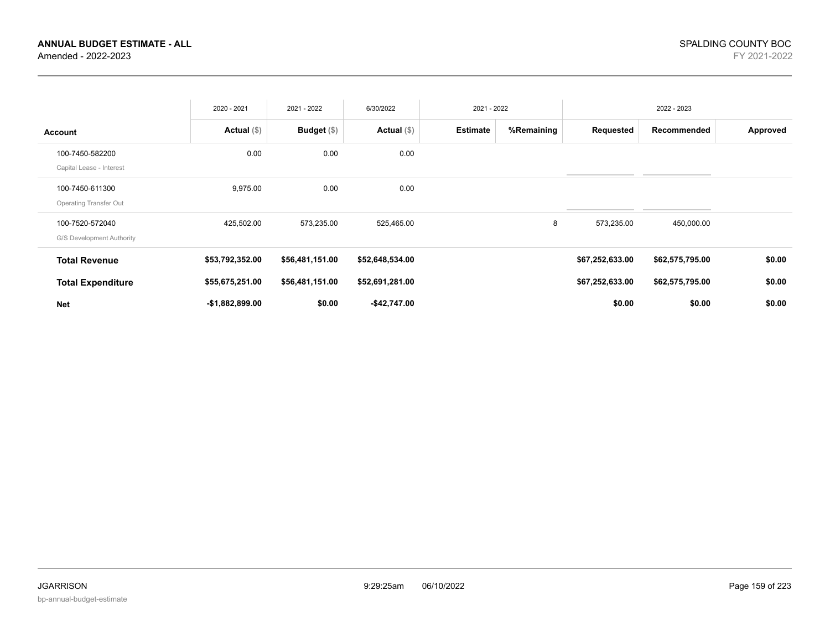|                                                  | 2020 - 2021      | 2021 - 2022        | 6/30/2022       | 2021 - 2022     |            |                 | 2022 - 2023     |          |
|--------------------------------------------------|------------------|--------------------|-----------------|-----------------|------------|-----------------|-----------------|----------|
| <b>Account</b>                                   | Actual $(\$)$    | <b>Budget</b> (\$) | Actual $(\$)$   | <b>Estimate</b> | %Remaining | Requested       | Recommended     | Approved |
| 100-7450-582200<br>Capital Lease - Interest      | 0.00             | 0.00               | 0.00            |                 |            |                 |                 |          |
| 100-7450-611300<br><b>Operating Transfer Out</b> | 9,975.00         | 0.00               | 0.00            |                 |            |                 |                 |          |
| 100-7520-572040<br>G/S Development Authority     | 425,502.00       | 573,235.00         | 525,465.00      |                 | 8          | 573,235.00      | 450,000.00      |          |
| <b>Total Revenue</b>                             | \$53,792,352.00  | \$56,481,151.00    | \$52,648,534.00 |                 |            | \$67,252,633.00 | \$62,575,795.00 | \$0.00   |
| <b>Total Expenditure</b>                         | \$55,675,251.00  | \$56,481,151.00    | \$52,691,281.00 |                 |            | \$67,252,633.00 | \$62,575,795.00 | \$0.00   |
| <b>Net</b>                                       | $-$1,882,899.00$ | \$0.00             | -\$42,747.00    |                 |            | \$0.00          | \$0.00          | \$0.00   |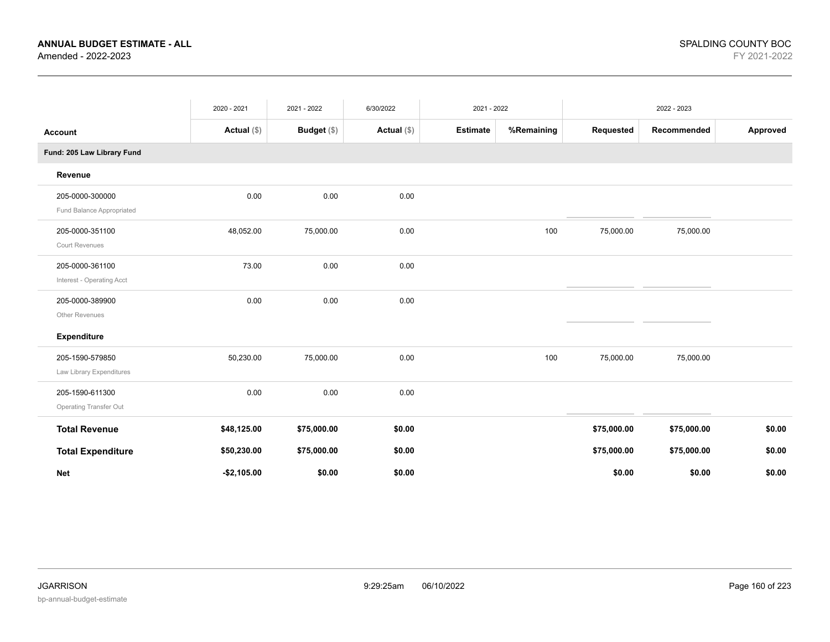|                                                  | 2020 - 2021   | 2021 - 2022 | 6/30/2022     | 2021 - 2022     |            |             | 2022 - 2023 |          |
|--------------------------------------------------|---------------|-------------|---------------|-----------------|------------|-------------|-------------|----------|
| <b>Account</b>                                   | Actual $(\$)$ | Budget (\$) | Actual $(\$)$ | <b>Estimate</b> | %Remaining | Requested   | Recommended | Approved |
| Fund: 205 Law Library Fund                       |               |             |               |                 |            |             |             |          |
| Revenue                                          |               |             |               |                 |            |             |             |          |
| 205-0000-300000<br>Fund Balance Appropriated     | 0.00          | 0.00        | 0.00          |                 |            |             |             |          |
| 205-0000-351100<br><b>Court Revenues</b>         | 48,052.00     | 75,000.00   | 0.00          |                 | 100        | 75,000.00   | 75,000.00   |          |
| 205-0000-361100<br>Interest - Operating Acct     | 73.00         | 0.00        | 0.00          |                 |            |             |             |          |
| 205-0000-389900<br>Other Revenues                | 0.00          | 0.00        | 0.00          |                 |            |             |             |          |
| <b>Expenditure</b>                               |               |             |               |                 |            |             |             |          |
| 205-1590-579850<br>Law Library Expenditures      | 50,230.00     | 75,000.00   | 0.00          |                 | 100        | 75,000.00   | 75,000.00   |          |
| 205-1590-611300<br><b>Operating Transfer Out</b> | 0.00          | 0.00        | 0.00          |                 |            |             |             |          |
| <b>Total Revenue</b>                             | \$48,125.00   | \$75,000.00 | \$0.00        |                 |            | \$75,000.00 | \$75,000.00 | \$0.00   |
| <b>Total Expenditure</b>                         | \$50,230.00   | \$75,000.00 | \$0.00        |                 |            | \$75,000.00 | \$75,000.00 | \$0.00   |
| <b>Net</b>                                       | $-$2,105.00$  | \$0.00      | \$0.00        |                 |            | \$0.00      | \$0.00      | \$0.00   |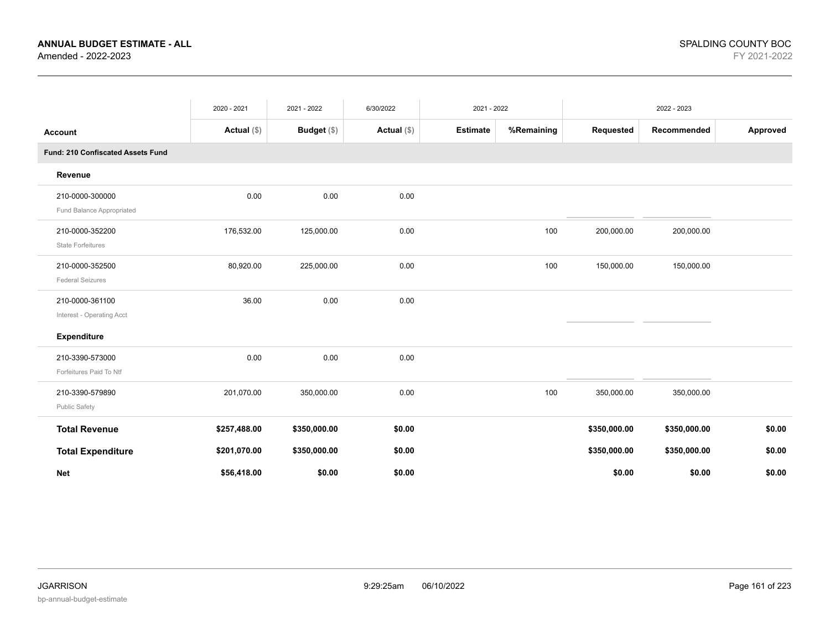|                                              | 2020 - 2021   | 2021 - 2022  | 6/30/2022     | 2021 - 2022     |            |              | 2022 - 2023  |          |
|----------------------------------------------|---------------|--------------|---------------|-----------------|------------|--------------|--------------|----------|
| <b>Account</b>                               | Actual $(\$)$ | Budget (\$)  | Actual $(\$)$ | <b>Estimate</b> | %Remaining | Requested    | Recommended  | Approved |
| Fund: 210 Confiscated Assets Fund            |               |              |               |                 |            |              |              |          |
| Revenue                                      |               |              |               |                 |            |              |              |          |
| 210-0000-300000<br>Fund Balance Appropriated | 0.00          | 0.00         | 0.00          |                 |            |              |              |          |
| 210-0000-352200<br><b>State Forfeitures</b>  | 176,532.00    | 125,000.00   | 0.00          |                 | 100        | 200,000.00   | 200,000.00   |          |
| 210-0000-352500<br><b>Federal Seizures</b>   | 80,920.00     | 225,000.00   | 0.00          |                 | 100        | 150,000.00   | 150,000.00   |          |
| 210-0000-361100<br>Interest - Operating Acct | 36.00         | 0.00         | 0.00          |                 |            |              |              |          |
| <b>Expenditure</b>                           |               |              |               |                 |            |              |              |          |
| 210-3390-573000<br>Forfeitures Paid To Ntf   | 0.00          | 0.00         | 0.00          |                 |            |              |              |          |
| 210-3390-579890<br><b>Public Safety</b>      | 201,070.00    | 350,000.00   | 0.00          |                 | 100        | 350,000.00   | 350,000.00   |          |
| <b>Total Revenue</b>                         | \$257,488.00  | \$350,000.00 | \$0.00        |                 |            | \$350,000.00 | \$350,000.00 | \$0.00   |
| <b>Total Expenditure</b>                     | \$201,070.00  | \$350,000.00 | \$0.00        |                 |            | \$350,000.00 | \$350,000.00 | \$0.00   |
| <b>Net</b>                                   | \$56,418.00   | \$0.00       | \$0.00        |                 |            | \$0.00       | \$0.00       | \$0.00   |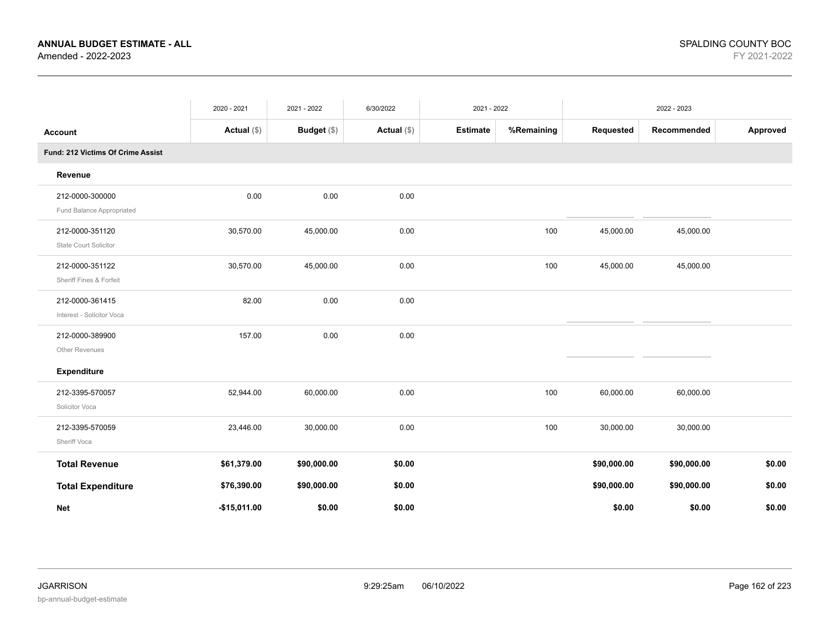|                                   | 2020 - 2021   | 2021 - 2022 | 6/30/2022     | 2021 - 2022     |            |             | 2022 - 2023 |          |
|-----------------------------------|---------------|-------------|---------------|-----------------|------------|-------------|-------------|----------|
| <b>Account</b>                    | Actual $(\$)$ | Budget (\$) | Actual $(\$)$ | <b>Estimate</b> | %Remaining | Requested   | Recommended | Approved |
| Fund: 212 Victims Of Crime Assist |               |             |               |                 |            |             |             |          |
| Revenue                           |               |             |               |                 |            |             |             |          |
| 212-0000-300000                   | 0.00          | 0.00        | 0.00          |                 |            |             |             |          |
| Fund Balance Appropriated         |               |             |               |                 |            |             |             |          |
| 212-0000-351120                   | 30,570.00     | 45,000.00   | 0.00          |                 | 100        | 45,000.00   | 45,000.00   |          |
| State Court Solicitor             |               |             |               |                 |            |             |             |          |
| 212-0000-351122                   | 30,570.00     | 45,000.00   | 0.00          |                 | 100        | 45,000.00   | 45,000.00   |          |
| Sheriff Fines & Forfeit           |               |             |               |                 |            |             |             |          |
| 212-0000-361415                   | 82.00         | 0.00        | 0.00          |                 |            |             |             |          |
| Interest - Solicitor Voca         |               |             |               |                 |            |             |             |          |
| 212-0000-389900                   | 157.00        | 0.00        | 0.00          |                 |            |             |             |          |
| Other Revenues                    |               |             |               |                 |            |             |             |          |
| <b>Expenditure</b>                |               |             |               |                 |            |             |             |          |
| 212-3395-570057                   | 52,944.00     | 60,000.00   | 0.00          |                 | 100        | 60,000.00   | 60,000.00   |          |
| Solicitor Voca                    |               |             |               |                 |            |             |             |          |
| 212-3395-570059                   | 23,446.00     | 30,000.00   | 0.00          |                 | 100        | 30,000.00   | 30,000.00   |          |
| Sheriff Voca                      |               |             |               |                 |            |             |             |          |
| <b>Total Revenue</b>              | \$61,379.00   | \$90,000.00 | \$0.00        |                 |            | \$90,000.00 | \$90,000.00 | \$0.00   |
| <b>Total Expenditure</b>          | \$76,390.00   | \$90,000.00 | \$0.00        |                 |            | \$90,000.00 | \$90,000.00 | \$0.00   |
| <b>Net</b>                        | $-$15,011.00$ | \$0.00      | \$0.00        |                 |            | \$0.00      | \$0.00      | \$0.00   |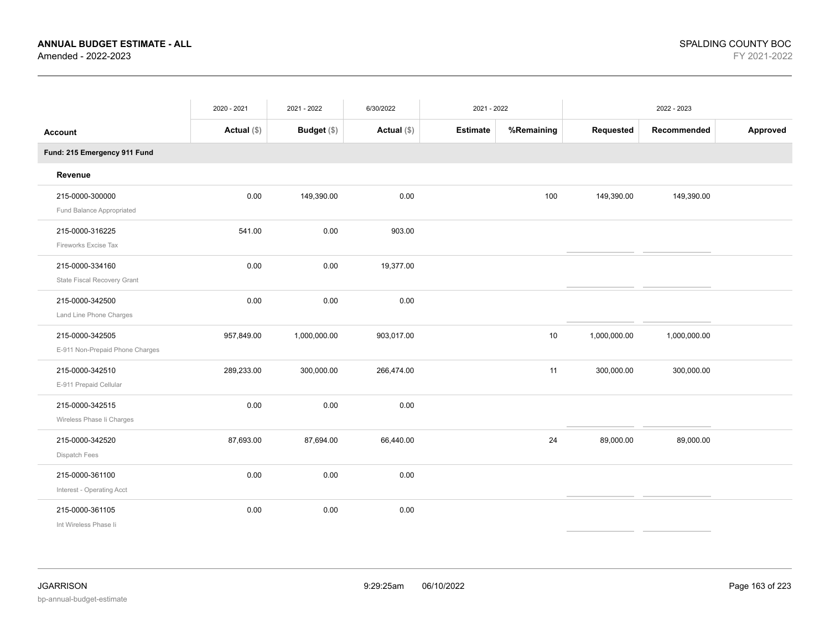|                                                    | 2020 - 2021 | 2021 - 2022  | 6/30/2022     | 2021 - 2022     |            |              | 2022 - 2023  |          |
|----------------------------------------------------|-------------|--------------|---------------|-----------------|------------|--------------|--------------|----------|
| <b>Account</b>                                     | Actual (\$) | Budget (\$)  | Actual $(\$)$ | <b>Estimate</b> | %Remaining | Requested    | Recommended  | Approved |
| Fund: 215 Emergency 911 Fund                       |             |              |               |                 |            |              |              |          |
| Revenue                                            |             |              |               |                 |            |              |              |          |
| 215-0000-300000<br>Fund Balance Appropriated       | 0.00        | 149,390.00   | 0.00          |                 | 100        | 149,390.00   | 149,390.00   |          |
| 215-0000-316225<br>Fireworks Excise Tax            | 541.00      | 0.00         | 903.00        |                 |            |              |              |          |
| 215-0000-334160<br>State Fiscal Recovery Grant     | 0.00        | 0.00         | 19,377.00     |                 |            |              |              |          |
| 215-0000-342500<br>Land Line Phone Charges         | 0.00        | 0.00         | 0.00          |                 |            |              |              |          |
| 215-0000-342505<br>E-911 Non-Prepaid Phone Charges | 957,849.00  | 1,000,000.00 | 903,017.00    |                 | 10         | 1,000,000.00 | 1,000,000.00 |          |
| 215-0000-342510<br>E-911 Prepaid Cellular          | 289,233.00  | 300,000.00   | 266,474.00    |                 | 11         | 300,000.00   | 300,000.00   |          |
| 215-0000-342515<br>Wireless Phase li Charges       | 0.00        | 0.00         | 0.00          |                 |            |              |              |          |
| 215-0000-342520<br>Dispatch Fees                   | 87,693.00   | 87,694.00    | 66,440.00     |                 | 24         | 89,000.00    | 89,000.00    |          |
| 215-0000-361100<br>Interest - Operating Acct       | 0.00        | 0.00         | 0.00          |                 |            |              |              |          |
| 215-0000-361105<br>Int Wireless Phase Ii           | 0.00        | 0.00         | 0.00          |                 |            |              |              |          |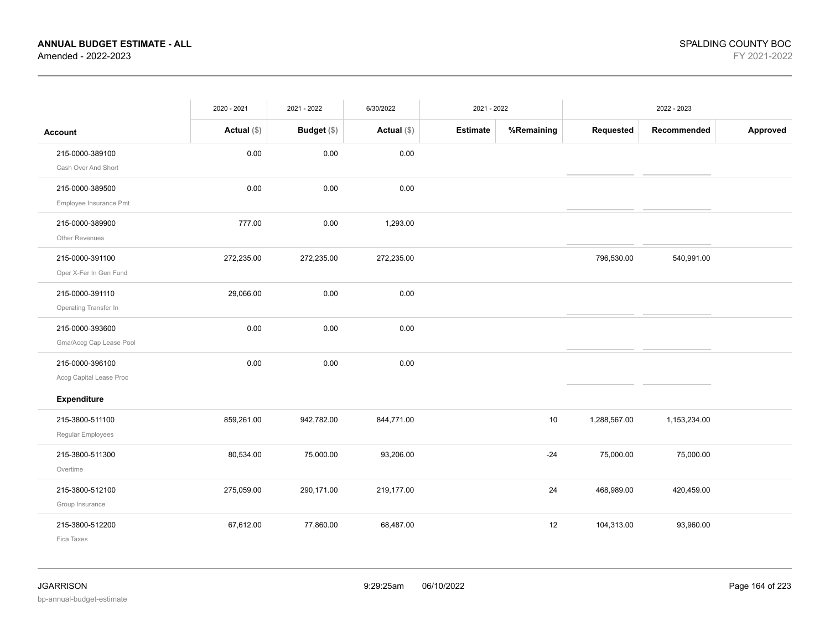|                                            | 2020 - 2021   | 2021 - 2022 | 6/30/2022   | 2021 - 2022     |            |              | 2022 - 2023  |          |
|--------------------------------------------|---------------|-------------|-------------|-----------------|------------|--------------|--------------|----------|
| <b>Account</b>                             | Actual $(\$)$ | Budget (\$) | Actual (\$) | <b>Estimate</b> | %Remaining | Requested    | Recommended  | Approved |
| 215-0000-389100<br>Cash Over And Short     | 0.00          | 0.00        | 0.00        |                 |            |              |              |          |
| 215-0000-389500<br>Employee Insurance Pmt  | 0.00          | 0.00        | 0.00        |                 |            |              |              |          |
| 215-0000-389900<br>Other Revenues          | 777.00        | 0.00        | 1,293.00    |                 |            |              |              |          |
| 215-0000-391100<br>Oper X-Fer In Gen Fund  | 272,235.00    | 272,235.00  | 272,235.00  |                 |            | 796,530.00   | 540,991.00   |          |
| 215-0000-391110<br>Operating Transfer In   | 29,066.00     | 0.00        | 0.00        |                 |            |              |              |          |
| 215-0000-393600<br>Gma/Accg Cap Lease Pool | 0.00          | 0.00        | 0.00        |                 |            |              |              |          |
| 215-0000-396100<br>Accg Capital Lease Proc | 0.00          | 0.00        | 0.00        |                 |            |              |              |          |
| Expenditure                                |               |             |             |                 |            |              |              |          |
| 215-3800-511100<br>Regular Employees       | 859,261.00    | 942,782.00  | 844,771.00  |                 | 10         | 1,288,567.00 | 1,153,234.00 |          |
| 215-3800-511300<br>Overtime                | 80,534.00     | 75,000.00   | 93,206.00   |                 | $-24$      | 75,000.00    | 75,000.00    |          |
| 215-3800-512100<br>Group Insurance         | 275,059.00    | 290,171.00  | 219,177.00  |                 | 24         | 468,989.00   | 420,459.00   |          |
| 215-3800-512200<br>Fica Taxes              | 67,612.00     | 77,860.00   | 68,487.00   |                 | 12         | 104,313.00   | 93,960.00    |          |

bp-annual-budget-estimate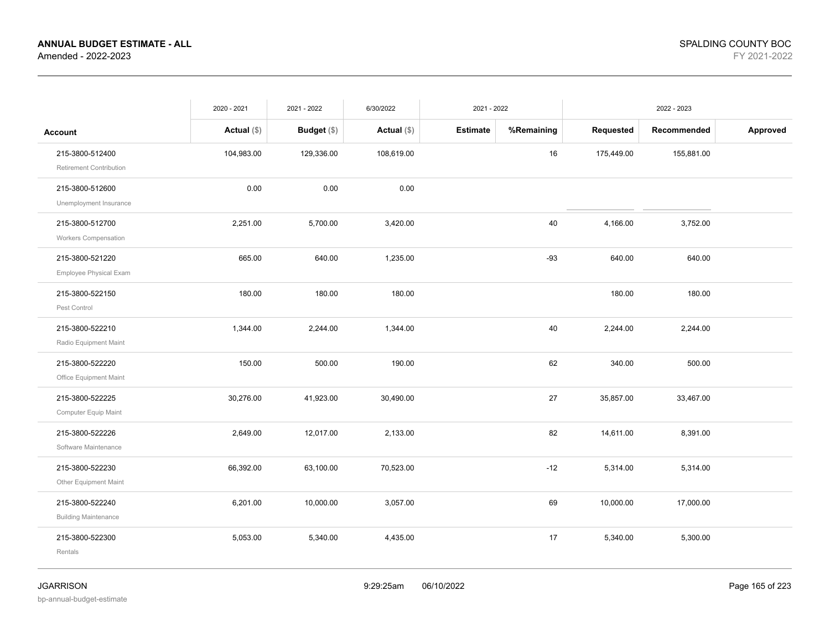|                                                | 2020 - 2021   | 2021 - 2022        | 6/30/2022     | 2021 - 2022     |            |            | 2022 - 2023 |          |
|------------------------------------------------|---------------|--------------------|---------------|-----------------|------------|------------|-------------|----------|
| <b>Account</b>                                 | Actual $(\$)$ | <b>Budget</b> (\$) | Actual $(\$)$ | <b>Estimate</b> | %Remaining | Requested  | Recommended | Approved |
| 215-3800-512400<br>Retirement Contribution     | 104,983.00    | 129,336.00         | 108,619.00    |                 | $16\,$     | 175,449.00 | 155,881.00  |          |
| 215-3800-512600<br>Unemployment Insurance      | 0.00          | 0.00               | 0.00          |                 |            |            |             |          |
| 215-3800-512700<br><b>Workers Compensation</b> | 2,251.00      | 5,700.00           | 3,420.00      |                 | 40         | 4,166.00   | 3,752.00    |          |
| 215-3800-521220<br>Employee Physical Exam      | 665.00        | 640.00             | 1,235.00      |                 | $-93$      | 640.00     | 640.00      |          |
| 215-3800-522150<br>Pest Control                | 180.00        | 180.00             | 180.00        |                 |            | 180.00     | 180.00      |          |
| 215-3800-522210<br>Radio Equipment Maint       | 1,344.00      | 2,244.00           | 1,344.00      |                 | 40         | 2,244.00   | 2,244.00    |          |
| 215-3800-522220<br>Office Equipment Maint      | 150.00        | 500.00             | 190.00        |                 | 62         | 340.00     | 500.00      |          |
| 215-3800-522225<br>Computer Equip Maint        | 30,276.00     | 41,923.00          | 30,490.00     |                 | 27         | 35,857.00  | 33,467.00   |          |
| 215-3800-522226<br>Software Maintenance        | 2,649.00      | 12,017.00          | 2,133.00      |                 | 82         | 14,611.00  | 8,391.00    |          |
| 215-3800-522230<br>Other Equipment Maint       | 66,392.00     | 63,100.00          | 70,523.00     |                 | $-12$      | 5,314.00   | 5,314.00    |          |
| 215-3800-522240<br><b>Building Maintenance</b> | 6,201.00      | 10,000.00          | 3,057.00      |                 | 69         | 10,000.00  | 17,000.00   |          |
| 215-3800-522300<br>Rentals                     | 5,053.00      | 5,340.00           | 4,435.00      |                 | 17         | 5,340.00   | 5,300.00    |          |
|                                                |               |                    |               |                 |            |            |             |          |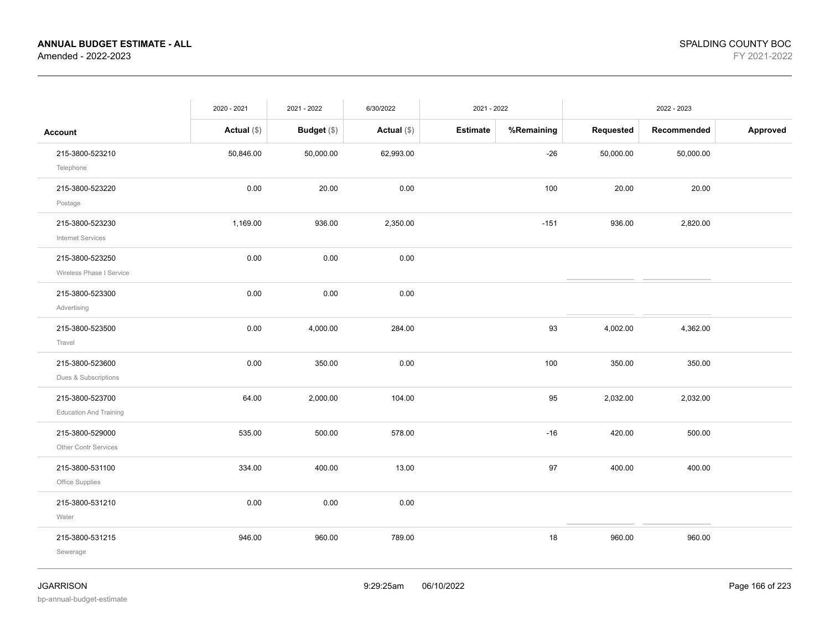|                                                  | 2020 - 2021   | 2021 - 2022   | 6/30/2022     | 2021 - 2022     |            |           | 2022 - 2023 |          |
|--------------------------------------------------|---------------|---------------|---------------|-----------------|------------|-----------|-------------|----------|
| <b>Account</b>                                   | Actual $(\$)$ | Budget $(\$)$ | Actual $(\$)$ | <b>Estimate</b> | %Remaining | Requested | Recommended | Approved |
| 215-3800-523210<br>Telephone                     | 50,846.00     | 50,000.00     | 62,993.00     |                 | $-26$      | 50,000.00 | 50,000.00   |          |
| 215-3800-523220<br>Postage                       | 0.00          | 20.00         | 0.00          |                 | 100        | 20.00     | 20.00       |          |
| 215-3800-523230<br><b>Internet Services</b>      | 1,169.00      | 936.00        | 2,350.00      |                 | $-151$     | 936.00    | 2,820.00    |          |
| 215-3800-523250<br>Wireless Phase I Service      | 0.00          | 0.00          | 0.00          |                 |            |           |             |          |
| 215-3800-523300<br>Advertising                   | 0.00          | 0.00          | 0.00          |                 |            |           |             |          |
| 215-3800-523500<br>Travel                        | 0.00          | 4,000.00      | 284.00        |                 | 93         | 4,002.00  | 4,362.00    |          |
| 215-3800-523600<br>Dues & Subscriptions          | 0.00          | 350.00        | 0.00          |                 | 100        | 350.00    | 350.00      |          |
| 215-3800-523700<br><b>Education And Training</b> | 64.00         | 2,000.00      | 104.00        |                 | 95         | 2,032.00  | 2,032.00    |          |
| 215-3800-529000<br>Other Contr Services          | 535.00        | 500.00        | 578.00        |                 | $-16$      | 420.00    | 500.00      |          |
| 215-3800-531100<br>Office Supplies               | 334.00        | 400.00        | 13.00         |                 | 97         | 400.00    | 400.00      |          |
| 215-3800-531210<br>Water                         | 0.00          | 0.00          | 0.00          |                 |            |           |             |          |
| 215-3800-531215<br>Sewerage                      | 946.00        | 960.00        | 789.00        |                 | 18         | 960.00    | 960.00      |          |
|                                                  |               |               |               |                 |            |           |             |          |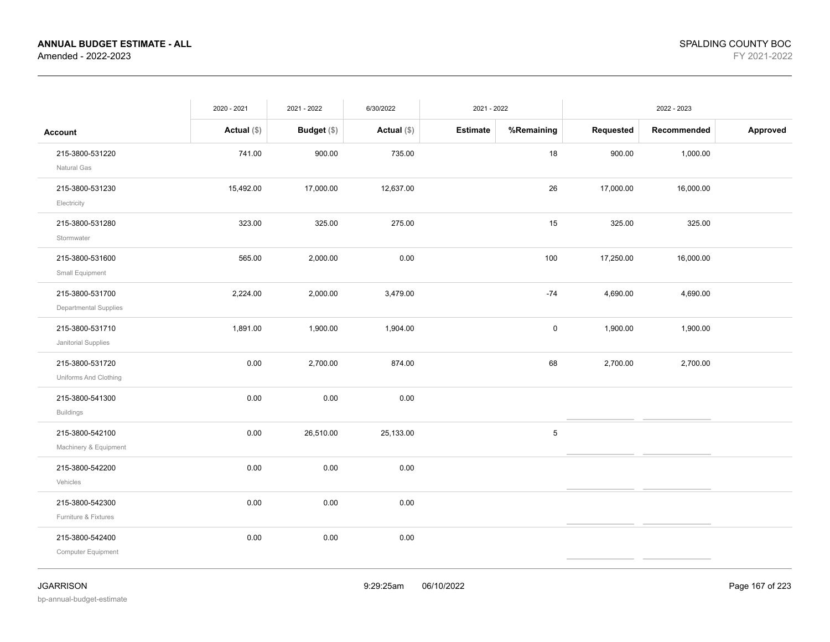|                                              | 2020 - 2021   | 2021 - 2022        | 6/30/2022     | 2021 - 2022     |            |           | 2022 - 2023 |          |
|----------------------------------------------|---------------|--------------------|---------------|-----------------|------------|-----------|-------------|----------|
| <b>Account</b>                               | Actual $(\$)$ | <b>Budget</b> (\$) | Actual $(\$)$ | <b>Estimate</b> | %Remaining | Requested | Recommended | Approved |
| 215-3800-531220<br>Natural Gas               | 741.00        | 900.00             | 735.00        |                 | 18         | 900.00    | 1,000.00    |          |
| 215-3800-531230<br>Electricity               | 15,492.00     | 17,000.00          | 12,637.00     |                 | 26         | 17,000.00 | 16,000.00   |          |
| 215-3800-531280<br>Stormwater                | 323.00        | 325.00             | 275.00        |                 | 15         | 325.00    | 325.00      |          |
| 215-3800-531600<br>Small Equipment           | 565.00        | 2,000.00           | 0.00          |                 | 100        | 17,250.00 | 16,000.00   |          |
| 215-3800-531700<br>Departmental Supplies     | 2,224.00      | 2,000.00           | 3,479.00      |                 | $-74$      | 4,690.00  | 4,690.00    |          |
| 215-3800-531710<br>Janitorial Supplies       | 1,891.00      | 1,900.00           | 1,904.00      |                 | $\pmb{0}$  | 1,900.00  | 1,900.00    |          |
| 215-3800-531720<br>Uniforms And Clothing     | 0.00          | 2,700.00           | 874.00        |                 | 68         | 2,700.00  | 2,700.00    |          |
| 215-3800-541300<br><b>Buildings</b>          | 0.00          | 0.00               | 0.00          |                 |            |           |             |          |
| 215-3800-542100<br>Machinery & Equipment     | 0.00          | 26,510.00          | 25,133.00     |                 | $\sqrt{5}$ |           |             |          |
| 215-3800-542200<br>Vehicles                  | 0.00          | 0.00               | 0.00          |                 |            |           |             |          |
| 215-3800-542300<br>Furniture & Fixtures      | 0.00          | 0.00               | 0.00          |                 |            |           |             |          |
| 215-3800-542400<br><b>Computer Equipment</b> | 0.00          | 0.00               | 0.00          |                 |            |           |             |          |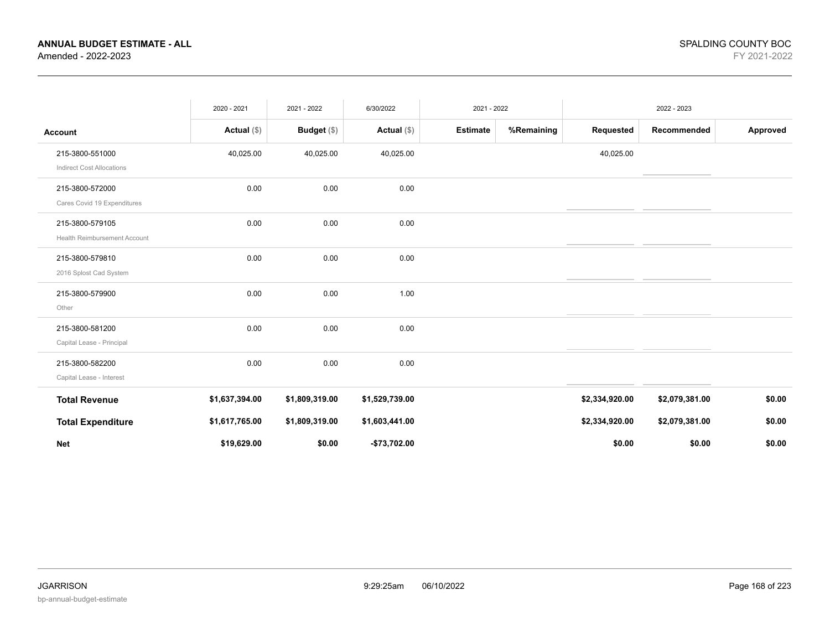|                                                     | 2020 - 2021    | 2021 - 2022    | 6/30/2022      | 2021 - 2022     |            |                | 2022 - 2023    |          |
|-----------------------------------------------------|----------------|----------------|----------------|-----------------|------------|----------------|----------------|----------|
| Account                                             | Actual $(\$)$  | Budget $(\$)$  | Actual $(\$)$  | <b>Estimate</b> | %Remaining | Requested      | Recommended    | Approved |
| 215-3800-551000<br><b>Indirect Cost Allocations</b> | 40,025.00      | 40,025.00      | 40,025.00      |                 |            | 40,025.00      |                |          |
| 215-3800-572000<br>Cares Covid 19 Expenditures      | 0.00           | 0.00           | 0.00           |                 |            |                |                |          |
| 215-3800-579105<br>Health Reimbursement Account     | 0.00           | 0.00           | 0.00           |                 |            |                |                |          |
| 215-3800-579810<br>2016 Splost Cad System           | 0.00           | 0.00           | 0.00           |                 |            |                |                |          |
| 215-3800-579900<br>Other                            | 0.00           | 0.00           | 1.00           |                 |            |                |                |          |
| 215-3800-581200<br>Capital Lease - Principal        | 0.00           | 0.00           | 0.00           |                 |            |                |                |          |
| 215-3800-582200<br>Capital Lease - Interest         | 0.00           | 0.00           | 0.00           |                 |            |                |                |          |
| <b>Total Revenue</b>                                | \$1,637,394.00 | \$1,809,319.00 | \$1,529,739.00 |                 |            | \$2,334,920.00 | \$2,079,381.00 | \$0.00   |
| <b>Total Expenditure</b>                            | \$1,617,765.00 | \$1,809,319.00 | \$1,603,441.00 |                 |            | \$2,334,920.00 | \$2,079,381.00 | \$0.00   |
| <b>Net</b>                                          | \$19,629.00    | \$0.00         | $-$73,702.00$  |                 |            | \$0.00         | \$0.00         | \$0.00   |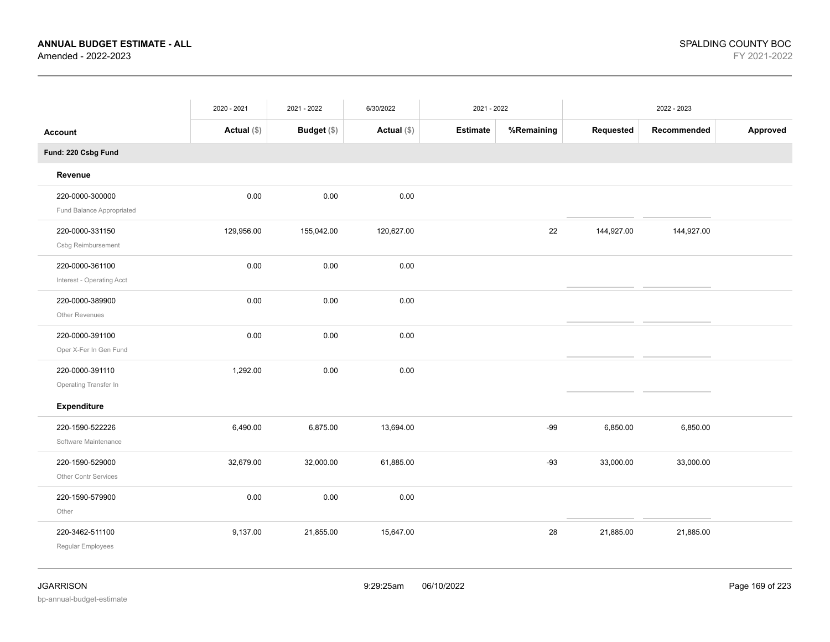|                                              | 2020 - 2021 | 2021 - 2022 | 6/30/2022     | 2021 - 2022     |            |            | 2022 - 2023 |          |
|----------------------------------------------|-------------|-------------|---------------|-----------------|------------|------------|-------------|----------|
| <b>Account</b>                               | Actual (\$) | Budget (\$) | Actual $(\$)$ | <b>Estimate</b> | %Remaining | Requested  | Recommended | Approved |
| Fund: 220 Csbg Fund                          |             |             |               |                 |            |            |             |          |
| Revenue                                      |             |             |               |                 |            |            |             |          |
| 220-0000-300000<br>Fund Balance Appropriated | 0.00        | 0.00        | 0.00          |                 |            |            |             |          |
| 220-0000-331150                              | 129,956.00  | 155,042.00  | 120,627.00    |                 | 22         | 144,927.00 | 144,927.00  |          |
| Csbg Reimbursement<br>220-0000-361100        | 0.00        | 0.00        | 0.00          |                 |            |            |             |          |
| Interest - Operating Acct<br>220-0000-389900 | 0.00        | 0.00        | 0.00          |                 |            |            |             |          |
| Other Revenues                               |             |             |               |                 |            |            |             |          |
| 220-0000-391100<br>Oper X-Fer In Gen Fund    | 0.00        | 0.00        | 0.00          |                 |            |            |             |          |
| 220-0000-391110<br>Operating Transfer In     | 1,292.00    | 0.00        | 0.00          |                 |            |            |             |          |
| Expenditure                                  |             |             |               |                 |            |            |             |          |
| 220-1590-522226<br>Software Maintenance      | 6,490.00    | 6,875.00    | 13,694.00     |                 | $-99$      | 6,850.00   | 6,850.00    |          |
| 220-1590-529000<br>Other Contr Services      | 32,679.00   | 32,000.00   | 61,885.00     |                 | $-93$      | 33,000.00  | 33,000.00   |          |
| 220-1590-579900<br>Other                     | 0.00        | 0.00        | 0.00          |                 |            |            |             |          |
| 220-3462-511100<br>Regular Employees         | 9,137.00    | 21,855.00   | 15,647.00     |                 | 28         | 21,885.00  | 21,885.00   |          |
|                                              |             |             |               |                 |            |            |             |          |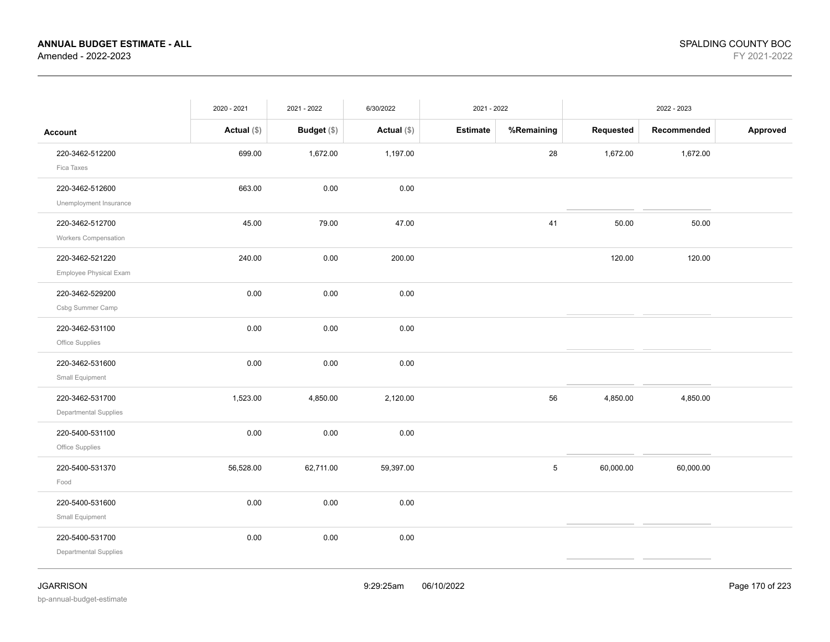|                                                | 2020 - 2021   | 2021 - 2022        | 6/30/2022     | 2021 - 2022     |            |           | 2022 - 2023 |          |
|------------------------------------------------|---------------|--------------------|---------------|-----------------|------------|-----------|-------------|----------|
| <b>Account</b>                                 | Actual $(\$)$ | <b>Budget</b> (\$) | Actual $(\$)$ | <b>Estimate</b> | %Remaining | Requested | Recommended | Approved |
| 220-3462-512200<br>Fica Taxes                  | 699.00        | 1,672.00           | 1,197.00      |                 | 28         | 1,672.00  | 1,672.00    |          |
| 220-3462-512600<br>Unemployment Insurance      | 663.00        | 0.00               | 0.00          |                 |            |           |             |          |
| 220-3462-512700<br><b>Workers Compensation</b> | 45.00         | 79.00              | 47.00         |                 | 41         | 50.00     | 50.00       |          |
| 220-3462-521220<br>Employee Physical Exam      | 240.00        | 0.00               | 200.00        |                 |            | 120.00    | 120.00      |          |
| 220-3462-529200<br>Csbg Summer Camp            | 0.00          | 0.00               | 0.00          |                 |            |           |             |          |
| 220-3462-531100<br>Office Supplies             | 0.00          | 0.00               | 0.00          |                 |            |           |             |          |
| 220-3462-531600<br>Small Equipment             | 0.00          | 0.00               | 0.00          |                 |            |           |             |          |
| 220-3462-531700<br>Departmental Supplies       | 1,523.00      | 4,850.00           | 2,120.00      |                 | 56         | 4,850.00  | 4,850.00    |          |
| 220-5400-531100<br>Office Supplies             | 0.00          | 0.00               | 0.00          |                 |            |           |             |          |
| 220-5400-531370<br>Food                        | 56,528.00     | 62,711.00          | 59,397.00     |                 | 5          | 60,000.00 | 60,000.00   |          |
| 220-5400-531600<br>Small Equipment             | 0.00          | 0.00               | $0.00\,$      |                 |            |           |             |          |
| 220-5400-531700<br>Departmental Supplies       | 0.00          | 0.00               | 0.00          |                 |            |           |             |          |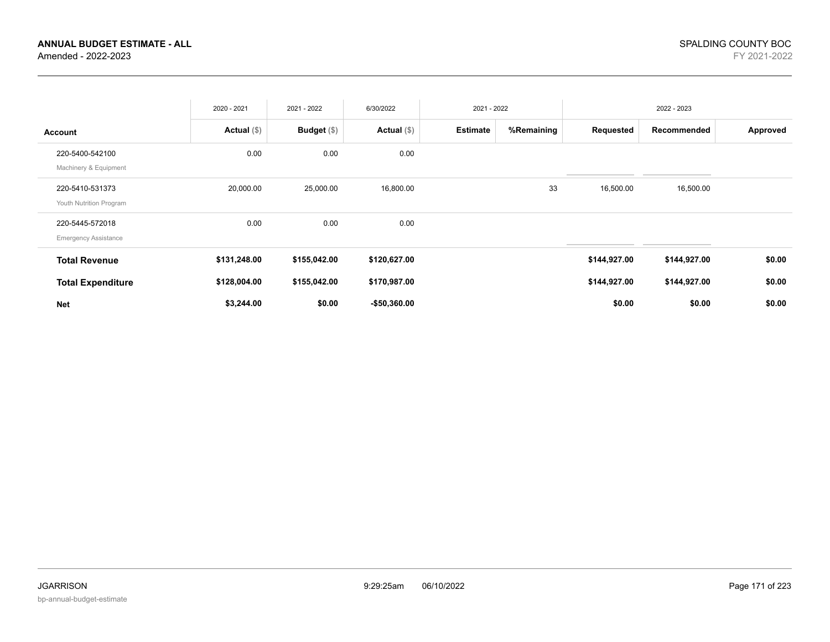|                                                | 2020 - 2021   | 2021 - 2022   | 6/30/2022     | 2021 - 2022     |            |              | 2022 - 2023  |          |
|------------------------------------------------|---------------|---------------|---------------|-----------------|------------|--------------|--------------|----------|
| <b>Account</b>                                 | Actual $(\$)$ | Budget $(\$)$ | Actual $(\$)$ | <b>Estimate</b> | %Remaining | Requested    | Recommended  | Approved |
| 220-5400-542100<br>Machinery & Equipment       | 0.00          | 0.00          | 0.00          |                 |            |              |              |          |
| 220-5410-531373<br>Youth Nutrition Program     | 20,000.00     | 25,000.00     | 16,800.00     |                 | 33         | 16,500.00    | 16,500.00    |          |
| 220-5445-572018<br><b>Emergency Assistance</b> | 0.00          | 0.00          | 0.00          |                 |            |              |              |          |
| <b>Total Revenue</b>                           | \$131,248.00  | \$155,042.00  | \$120,627.00  |                 |            | \$144,927.00 | \$144,927.00 | \$0.00   |
| <b>Total Expenditure</b>                       | \$128,004.00  | \$155,042.00  | \$170,987.00  |                 |            | \$144,927.00 | \$144,927.00 | \$0.00   |
| <b>Net</b>                                     | \$3,244.00    | \$0.00        | $-$50,360.00$ |                 |            | \$0.00       | \$0.00       | \$0.00   |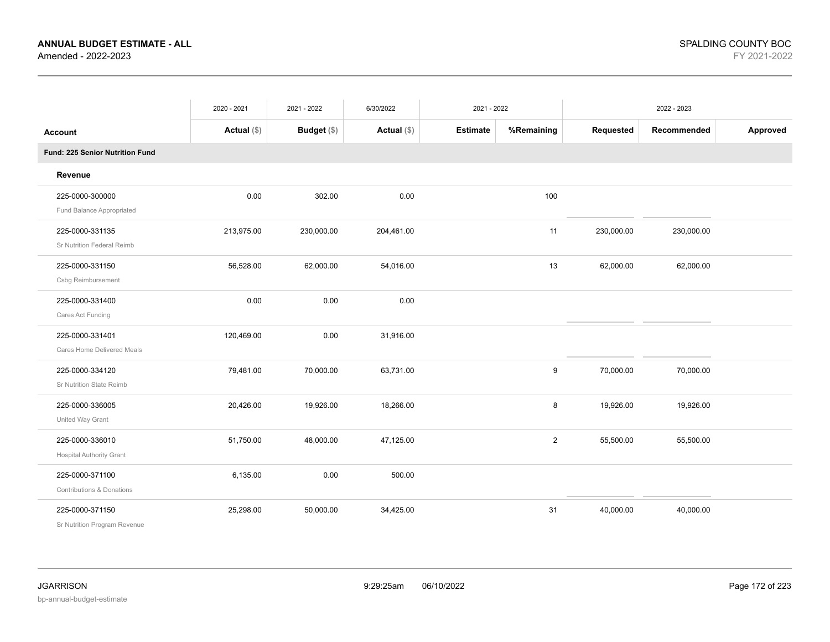|                                                    | 2020 - 2021   | 2021 - 2022 | 6/30/2022     | 2021 - 2022     |                |            | 2022 - 2023 |          |
|----------------------------------------------------|---------------|-------------|---------------|-----------------|----------------|------------|-------------|----------|
| <b>Account</b>                                     | Actual $(\$)$ | Budget (\$) | Actual $(\$)$ | <b>Estimate</b> | %Remaining     | Requested  | Recommended | Approved |
| Fund: 225 Senior Nutrition Fund                    |               |             |               |                 |                |            |             |          |
| Revenue                                            |               |             |               |                 |                |            |             |          |
| 225-0000-300000<br>Fund Balance Appropriated       | 0.00          | 302.00      | 0.00          |                 | 100            |            |             |          |
| 225-0000-331135<br>Sr Nutrition Federal Reimb      | 213,975.00    | 230,000.00  | 204,461.00    |                 | 11             | 230,000.00 | 230,000.00  |          |
| 225-0000-331150<br>Csbg Reimbursement              | 56,528.00     | 62,000.00   | 54,016.00     |                 | 13             | 62,000.00  | 62,000.00   |          |
| 225-0000-331400<br>Cares Act Funding               | 0.00          | 0.00        | 0.00          |                 |                |            |             |          |
| 225-0000-331401<br>Cares Home Delivered Meals      | 120,469.00    | 0.00        | 31,916.00     |                 |                |            |             |          |
| 225-0000-334120<br>Sr Nutrition State Reimb        | 79,481.00     | 70,000.00   | 63,731.00     |                 | 9              | 70,000.00  | 70,000.00   |          |
| 225-0000-336005<br>United Way Grant                | 20,426.00     | 19,926.00   | 18,266.00     |                 | 8              | 19,926.00  | 19,926.00   |          |
| 225-0000-336010<br><b>Hospital Authority Grant</b> | 51,750.00     | 48,000.00   | 47,125.00     |                 | $\overline{2}$ | 55,500.00  | 55,500.00   |          |
| 225-0000-371100<br>Contributions & Donations       | 6,135.00      | 0.00        | 500.00        |                 |                |            |             |          |
| 225-0000-371150<br>Sr Nutrition Program Revenue    | 25,298.00     | 50,000.00   | 34,425.00     |                 | 31             | 40,000.00  | 40,000.00   |          |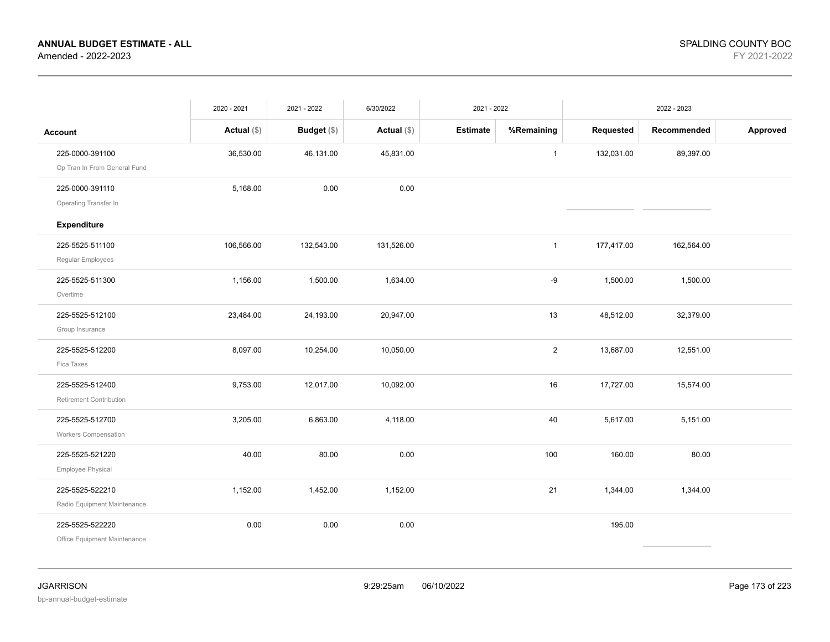|                                                 | 2020 - 2021   | 2021 - 2022   | 6/30/2022     | 2021 - 2022     |                |            | 2022 - 2023 |          |
|-------------------------------------------------|---------------|---------------|---------------|-----------------|----------------|------------|-------------|----------|
| <b>Account</b>                                  | Actual $(\$)$ | Budget $(\$)$ | Actual $(\$)$ | <b>Estimate</b> | %Remaining     | Requested  | Recommended | Approved |
| 225-0000-391100<br>Op Tran In From General Fund | 36,530.00     | 46,131.00     | 45,831.00     |                 | $\mathbf{1}$   | 132,031.00 | 89,397.00   |          |
| 225-0000-391110<br>Operating Transfer In        | 5,168.00      | 0.00          | 0.00          |                 |                |            |             |          |
| Expenditure                                     |               |               |               |                 |                |            |             |          |
| 225-5525-511100<br>Regular Employees            | 106,566.00    | 132,543.00    | 131,526.00    |                 | $\mathbf{1}$   | 177,417.00 | 162,564.00  |          |
| 225-5525-511300<br>Overtime                     | 1,156.00      | 1,500.00      | 1,634.00      |                 | -9             | 1,500.00   | 1,500.00    |          |
| 225-5525-512100<br>Group Insurance              | 23,484.00     | 24,193.00     | 20,947.00     |                 | 13             | 48,512.00  | 32,379.00   |          |
| 225-5525-512200<br>Fica Taxes                   | 8,097.00      | 10,254.00     | 10,050.00     |                 | $\overline{2}$ | 13,687.00  | 12,551.00   |          |
| 225-5525-512400<br>Retirement Contribution      | 9,753.00      | 12,017.00     | 10,092.00     |                 | 16             | 17,727.00  | 15,574.00   |          |
| 225-5525-512700<br><b>Workers Compensation</b>  | 3,205.00      | 6,863.00      | 4,118.00      |                 | 40             | 5,617.00   | 5,151.00    |          |
| 225-5525-521220<br>Employee Physical            | 40.00         | 80.00         | 0.00          |                 | 100            | 160.00     | 80.00       |          |
| 225-5525-522210<br>Radio Equipment Maintenance  | 1,152.00      | 1,452.00      | 1,152.00      |                 | 21             | 1,344.00   | 1,344.00    |          |
| 225-5525-522220<br>Office Equipment Maintenance | 0.00          | 0.00          | 0.00          |                 |                | 195.00     |             |          |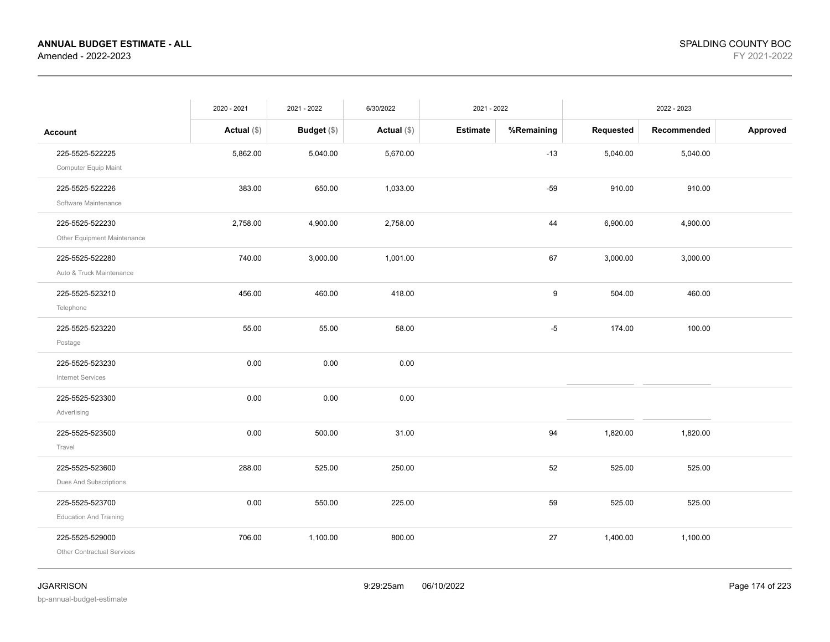|                                   | 2020 - 2021   | 2021 - 2022   | 6/30/2022     | 2021 - 2022     |            |           | 2022 - 2023 |          |
|-----------------------------------|---------------|---------------|---------------|-----------------|------------|-----------|-------------|----------|
| <b>Account</b>                    | Actual $(\$)$ | Budget $(\$)$ | Actual $(\$)$ | <b>Estimate</b> | %Remaining | Requested | Recommended | Approved |
| 225-5525-522225                   | 5,862.00      | 5,040.00      | 5,670.00      |                 | $-13$      | 5,040.00  | 5,040.00    |          |
| Computer Equip Maint              |               |               |               |                 |            |           |             |          |
| 225-5525-522226                   | 383.00        | 650.00        | 1,033.00      |                 | $-59$      | 910.00    | 910.00      |          |
| Software Maintenance              |               |               |               |                 |            |           |             |          |
| 225-5525-522230                   | 2,758.00      | 4,900.00      | 2,758.00      |                 | 44         | 6,900.00  | 4,900.00    |          |
| Other Equipment Maintenance       |               |               |               |                 |            |           |             |          |
| 225-5525-522280                   | 740.00        | 3,000.00      | 1,001.00      |                 | 67         | 3,000.00  | 3,000.00    |          |
| Auto & Truck Maintenance          |               |               |               |                 |            |           |             |          |
| 225-5525-523210                   | 456.00        | 460.00        | 418.00        |                 | 9          | 504.00    | 460.00      |          |
| Telephone                         |               |               |               |                 |            |           |             |          |
| 225-5525-523220                   | 55.00         | 55.00         | 58.00         |                 | $-5$       | 174.00    | 100.00      |          |
| Postage                           |               |               |               |                 |            |           |             |          |
| 225-5525-523230                   | 0.00          | 0.00          | 0.00          |                 |            |           |             |          |
| <b>Internet Services</b>          |               |               |               |                 |            |           |             |          |
| 225-5525-523300                   | 0.00          | 0.00          | 0.00          |                 |            |           |             |          |
| Advertising                       |               |               |               |                 |            |           |             |          |
| 225-5525-523500                   | 0.00          | 500.00        | 31.00         |                 | 94         | 1,820.00  | 1,820.00    |          |
| Travel                            |               |               |               |                 |            |           |             |          |
| 225-5525-523600                   | 288.00        | 525.00        | 250.00        |                 | 52         | 525.00    | 525.00      |          |
| Dues And Subscriptions            |               |               |               |                 |            |           |             |          |
| 225-5525-523700                   | 0.00          | 550.00        | 225.00        |                 | 59         | 525.00    | 525.00      |          |
| <b>Education And Training</b>     |               |               |               |                 |            |           |             |          |
| 225-5525-529000                   | 706.00        | 1,100.00      | 800.00        |                 | 27         | 1,400.00  | 1,100.00    |          |
| <b>Other Contractual Services</b> |               |               |               |                 |            |           |             |          |
|                                   |               |               |               |                 |            |           |             |          |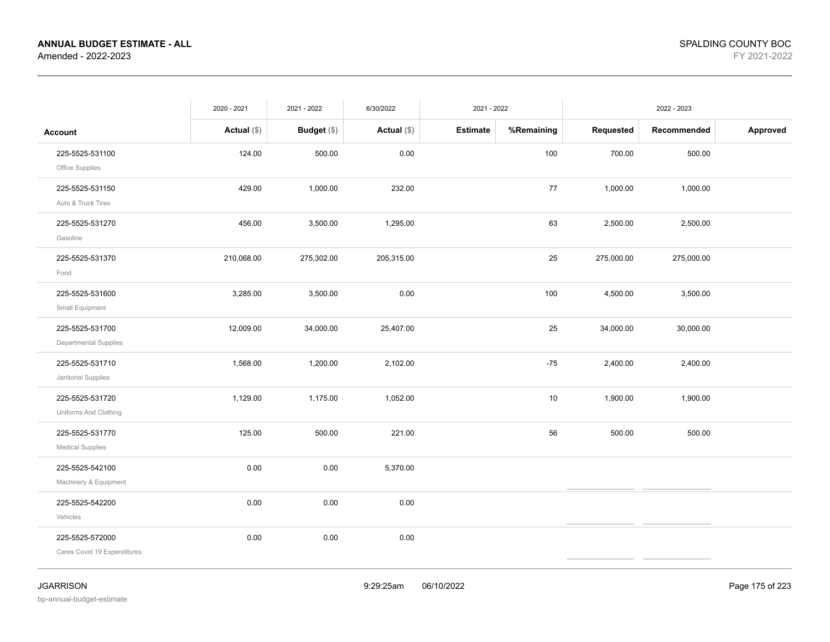|                                                | 2020 - 2021   | 2021 - 2022   | 6/30/2022     | 2021 - 2022 |            |            | 2022 - 2023 |          |
|------------------------------------------------|---------------|---------------|---------------|-------------|------------|------------|-------------|----------|
| <b>Account</b>                                 | Actual $(\$)$ | Budget $(\$)$ | Actual $(\$)$ | Estimate    | %Remaining | Requested  | Recommended | Approved |
| 225-5525-531100<br>Office Supplies             | 124.00        | 500.00        | 0.00          |             | 100        | 700.00     | 500.00      |          |
| 225-5525-531150<br>Auto & Truck Tires          | 429.00        | 1,000.00      | 232.00        |             | 77         | 1,000.00   | 1,000.00    |          |
| 225-5525-531270<br>Gasoline                    | 456.00        | 3,500.00      | 1,295.00      |             | 63         | 2,500.00   | 2,500.00    |          |
| 225-5525-531370<br>Food                        | 210,068.00    | 275,302.00    | 205,315.00    |             | 25         | 275,000.00 | 275,000.00  |          |
| 225-5525-531600<br>Small Equipment             | 3,285.00      | 3,500.00      | 0.00          |             | 100        | 4,500.00   | 3,500.00    |          |
| 225-5525-531700<br>Departmental Supplies       | 12,009.00     | 34,000.00     | 25,407.00     |             | 25         | 34,000.00  | 30,000.00   |          |
| 225-5525-531710<br>Janitorial Supplies         | 1,568.00      | 1,200.00      | 2,102.00      |             | $-75$      | 2,400.00   | 2,400.00    |          |
| 225-5525-531720<br>Uniforms And Clothing       | 1,129.00      | 1,175.00      | 1,052.00      |             | 10         | 1,900.00   | 1,900.00    |          |
| 225-5525-531770<br><b>Medical Supplies</b>     | 125.00        | 500.00        | 221.00        |             | 56         | 500.00     | 500.00      |          |
| 225-5525-542100<br>Machinery & Equipment       | 0.00          | 0.00          | 5,370.00      |             |            |            |             |          |
| 225-5525-542200<br>Vehicles                    | 0.00          | 0.00          | 0.00          |             |            |            |             |          |
| 225-5525-572000<br>Cares Covid 19 Expenditures | 0.00          | 0.00          | 0.00          |             |            |            |             |          |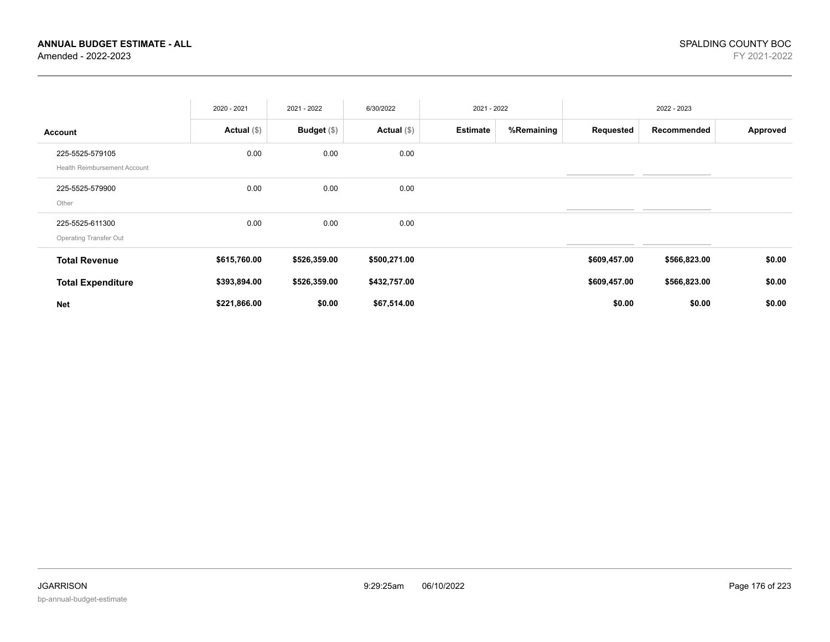|                                                        | 2020 - 2021   | 2021 - 2022   | 6/30/2022     | 2021 - 2022     |            |              | 2022 - 2023  |          |
|--------------------------------------------------------|---------------|---------------|---------------|-----------------|------------|--------------|--------------|----------|
| <b>Account</b>                                         | Actual $(\$)$ | Budget $(\$)$ | Actual $(\$)$ | <b>Estimate</b> | %Remaining | Requested    | Recommended  | Approved |
| 225-5525-579105<br><b>Health Reimbursement Account</b> | 0.00          | 0.00          | 0.00          |                 |            |              |              |          |
| 225-5525-579900<br>Other                               | 0.00          | 0.00          | 0.00          |                 |            |              |              |          |
| 225-5525-611300<br>Operating Transfer Out              | 0.00          | 0.00          | 0.00          |                 |            |              |              |          |
| <b>Total Revenue</b>                                   | \$615,760.00  | \$526,359.00  | \$500,271.00  |                 |            | \$609,457.00 | \$566,823.00 | \$0.00   |
| <b>Total Expenditure</b>                               | \$393,894.00  | \$526,359.00  | \$432,757.00  |                 |            | \$609,457.00 | \$566,823.00 | \$0.00   |
| <b>Net</b>                                             | \$221,866.00  | \$0.00        | \$67,514.00   |                 |            | \$0.00       | \$0.00       | \$0.00   |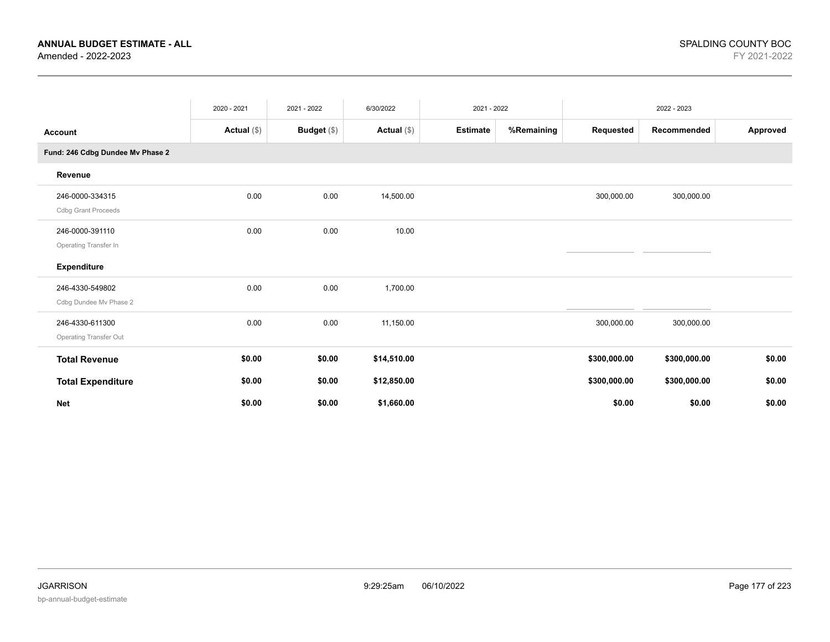|                                                  | 2020 - 2021   | 2021 - 2022   | 6/30/2022     | 2021 - 2022     |            |              | 2022 - 2023  |          |
|--------------------------------------------------|---------------|---------------|---------------|-----------------|------------|--------------|--------------|----------|
| <b>Account</b>                                   | Actual $(\$)$ | Budget $(\$)$ | Actual $(\$)$ | <b>Estimate</b> | %Remaining | Requested    | Recommended  | Approved |
| Fund: 246 Cdbg Dundee Mv Phase 2                 |               |               |               |                 |            |              |              |          |
| Revenue                                          |               |               |               |                 |            |              |              |          |
| 246-0000-334315<br><b>Cdbg Grant Proceeds</b>    | 0.00          | 0.00          | 14,500.00     |                 |            | 300,000.00   | 300,000.00   |          |
| 246-0000-391110<br>Operating Transfer In         | 0.00          | 0.00          | 10.00         |                 |            |              |              |          |
| <b>Expenditure</b>                               |               |               |               |                 |            |              |              |          |
| 246-4330-549802<br>Cdbg Dundee Mv Phase 2        | 0.00          | 0.00          | 1,700.00      |                 |            |              |              |          |
| 246-4330-611300<br><b>Operating Transfer Out</b> | 0.00          | 0.00          | 11,150.00     |                 |            | 300,000.00   | 300,000.00   |          |
| <b>Total Revenue</b>                             | \$0.00        | \$0.00        | \$14,510.00   |                 |            | \$300,000.00 | \$300,000.00 | \$0.00   |
| <b>Total Expenditure</b>                         | \$0.00        | \$0.00        | \$12,850.00   |                 |            | \$300,000.00 | \$300,000.00 | \$0.00   |
| <b>Net</b>                                       | \$0.00        | \$0.00        | \$1,660.00    |                 |            | \$0.00       | \$0.00       | \$0.00   |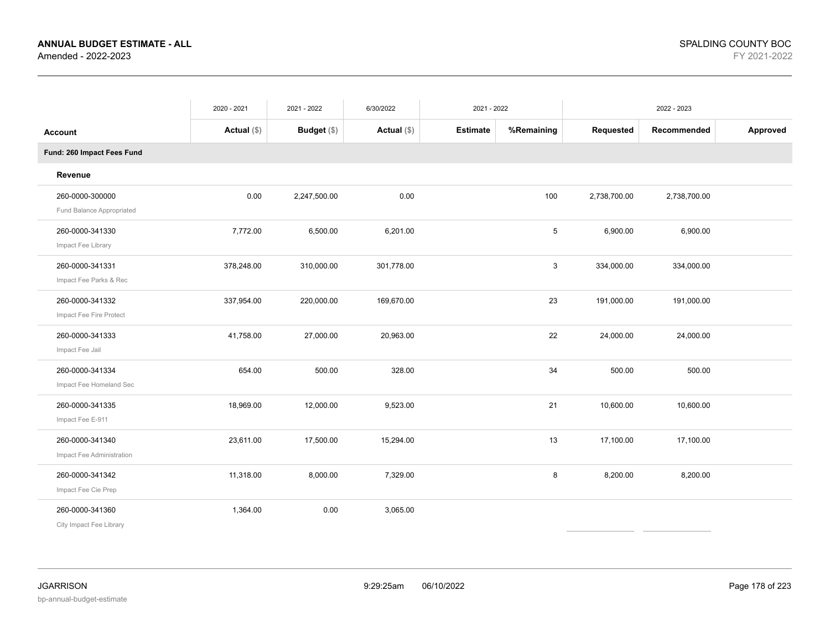|                                              | 2020 - 2021   | 2021 - 2022  | 6/30/2022     | 2021 - 2022     |            |              | 2022 - 2023  |          |
|----------------------------------------------|---------------|--------------|---------------|-----------------|------------|--------------|--------------|----------|
| Account                                      | Actual $(\$)$ | Budget (\$)  | Actual $(\$)$ | <b>Estimate</b> | %Remaining | Requested    | Recommended  | Approved |
| Fund: 260 Impact Fees Fund                   |               |              |               |                 |            |              |              |          |
| Revenue                                      |               |              |               |                 |            |              |              |          |
| 260-0000-300000<br>Fund Balance Appropriated | 0.00          | 2,247,500.00 | 0.00          |                 | 100        | 2,738,700.00 | 2,738,700.00 |          |
| 260-0000-341330<br>Impact Fee Library        | 7,772.00      | 6,500.00     | 6.201.00      |                 | 5          | 6,900.00     | 6,900.00     |          |
| 260-0000-341331<br>Impact Fee Parks & Rec    | 378,248.00    | 310,000.00   | 301,778.00    |                 | 3          | 334,000.00   | 334,000.00   |          |
| 260-0000-341332<br>Impact Fee Fire Protect   | 337,954.00    | 220,000.00   | 169,670.00    |                 | 23         | 191,000.00   | 191,000.00   |          |
| 260-0000-341333<br>Impact Fee Jail           | 41,758.00     | 27,000.00    | 20,963.00     |                 | 22         | 24,000.00    | 24,000.00    |          |
| 260-0000-341334<br>Impact Fee Homeland Sec   | 654.00        | 500.00       | 328.00        |                 | 34         | 500.00       | 500.00       |          |
| 260-0000-341335<br>Impact Fee E-911          | 18,969.00     | 12,000.00    | 9,523.00      |                 | 21         | 10,600.00    | 10,600.00    |          |
| 260-0000-341340<br>Impact Fee Administration | 23,611.00     | 17,500.00    | 15,294.00     |                 | 13         | 17,100.00    | 17,100.00    |          |
| 260-0000-341342<br>Impact Fee Cie Prep       | 11,318.00     | 8,000.00     | 7,329.00      |                 | 8          | 8,200.00     | 8,200.00     |          |
| 260-0000-341360<br>City Impact Fee Library   | 1,364.00      | 0.00         | 3,065.00      |                 |            |              |              |          |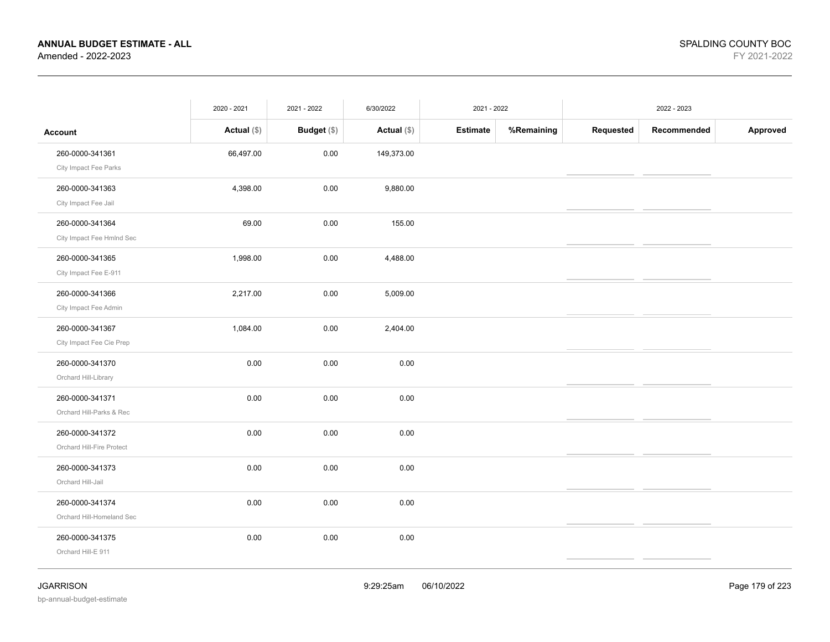|                           | 2020 - 2021   | 2021 - 2022        | 6/30/2022     | 2021 - 2022     |            |           | 2022 - 2023 |          |
|---------------------------|---------------|--------------------|---------------|-----------------|------------|-----------|-------------|----------|
| <b>Account</b>            | Actual $(\$)$ | <b>Budget</b> (\$) | Actual $(\$)$ | <b>Estimate</b> | %Remaining | Requested | Recommended | Approved |
| 260-0000-341361           | 66,497.00     | 0.00               | 149,373.00    |                 |            |           |             |          |
| City Impact Fee Parks     |               |                    |               |                 |            |           |             |          |
| 260-0000-341363           | 4,398.00      | 0.00               | 9,880.00      |                 |            |           |             |          |
| City Impact Fee Jail      |               |                    |               |                 |            |           |             |          |
| 260-0000-341364           | 69.00         | 0.00               | 155.00        |                 |            |           |             |          |
| City Impact Fee Hmlnd Sec |               |                    |               |                 |            |           |             |          |
| 260-0000-341365           | 1,998.00      | 0.00               | 4,488.00      |                 |            |           |             |          |
| City Impact Fee E-911     |               |                    |               |                 |            |           |             |          |
| 260-0000-341366           | 2,217.00      | 0.00               | 5,009.00      |                 |            |           |             |          |
| City Impact Fee Admin     |               |                    |               |                 |            |           |             |          |
| 260-0000-341367           | 1,084.00      | 0.00               | 2,404.00      |                 |            |           |             |          |
| City Impact Fee Cie Prep  |               |                    |               |                 |            |           |             |          |
| 260-0000-341370           | 0.00          | 0.00               | 0.00          |                 |            |           |             |          |
| Orchard Hill-Library      |               |                    |               |                 |            |           |             |          |
| 260-0000-341371           | 0.00          | 0.00               | 0.00          |                 |            |           |             |          |
| Orchard Hill-Parks & Rec  |               |                    |               |                 |            |           |             |          |
| 260-0000-341372           | 0.00          | 0.00               | 0.00          |                 |            |           |             |          |
| Orchard Hill-Fire Protect |               |                    |               |                 |            |           |             |          |
| 260-0000-341373           | 0.00          | 0.00               | 0.00          |                 |            |           |             |          |
| Orchard Hill-Jail         |               |                    |               |                 |            |           |             |          |
| 260-0000-341374           | 0.00          | 0.00               | 0.00          |                 |            |           |             |          |
| Orchard Hill-Homeland Sec |               |                    |               |                 |            |           |             |          |
| 260-0000-341375           | 0.00          | 0.00               | 0.00          |                 |            |           |             |          |
| Orchard Hill-E 911        |               |                    |               |                 |            |           |             |          |
|                           |               |                    |               |                 |            |           |             |          |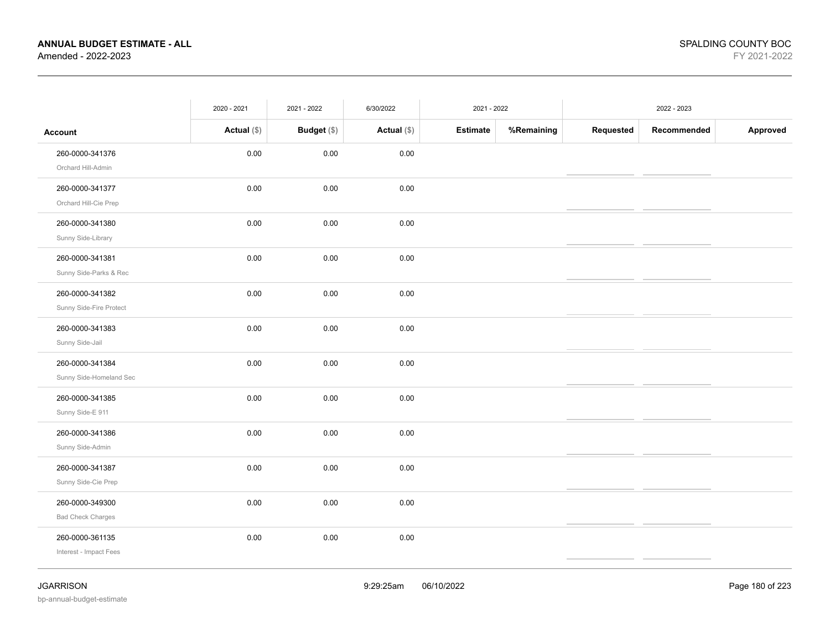|                          | 2020 - 2021   | 2021 - 2022 | 6/30/2022     | 2021 - 2022     |            |           | 2022 - 2023 |          |
|--------------------------|---------------|-------------|---------------|-----------------|------------|-----------|-------------|----------|
| <b>Account</b>           | Actual $(\$)$ | Budget (\$) | Actual $(\$)$ | <b>Estimate</b> | %Remaining | Requested | Recommended | Approved |
| 260-0000-341376          | 0.00          | 0.00        | 0.00          |                 |            |           |             |          |
| Orchard Hill-Admin       |               |             |               |                 |            |           |             |          |
| 260-0000-341377          | 0.00          | 0.00        | 0.00          |                 |            |           |             |          |
| Orchard Hill-Cie Prep    |               |             |               |                 |            |           |             |          |
| 260-0000-341380          | 0.00          | 0.00        | 0.00          |                 |            |           |             |          |
| Sunny Side-Library       |               |             |               |                 |            |           |             |          |
| 260-0000-341381          | 0.00          | 0.00        | 0.00          |                 |            |           |             |          |
| Sunny Side-Parks & Rec   |               |             |               |                 |            |           |             |          |
| 260-0000-341382          | 0.00          | 0.00        | 0.00          |                 |            |           |             |          |
| Sunny Side-Fire Protect  |               |             |               |                 |            |           |             |          |
| 260-0000-341383          | 0.00          | $0.00\,$    | 0.00          |                 |            |           |             |          |
| Sunny Side-Jail          |               |             |               |                 |            |           |             |          |
| 260-0000-341384          | 0.00          | 0.00        | 0.00          |                 |            |           |             |          |
| Sunny Side-Homeland Sec  |               |             |               |                 |            |           |             |          |
| 260-0000-341385          | 0.00          | 0.00        | 0.00          |                 |            |           |             |          |
| Sunny Side-E 911         |               |             |               |                 |            |           |             |          |
| 260-0000-341386          | 0.00          | 0.00        | 0.00          |                 |            |           |             |          |
| Sunny Side-Admin         |               |             |               |                 |            |           |             |          |
| 260-0000-341387          | 0.00          | 0.00        | 0.00          |                 |            |           |             |          |
| Sunny Side-Cie Prep      |               |             |               |                 |            |           |             |          |
| 260-0000-349300          | 0.00          | 0.00        | 0.00          |                 |            |           |             |          |
| <b>Bad Check Charges</b> |               |             |               |                 |            |           |             |          |
| 260-0000-361135          | 0.00          | 0.00        | 0.00          |                 |            |           |             |          |
| Interest - Impact Fees   |               |             |               |                 |            |           |             |          |
|                          |               |             |               |                 |            |           |             |          |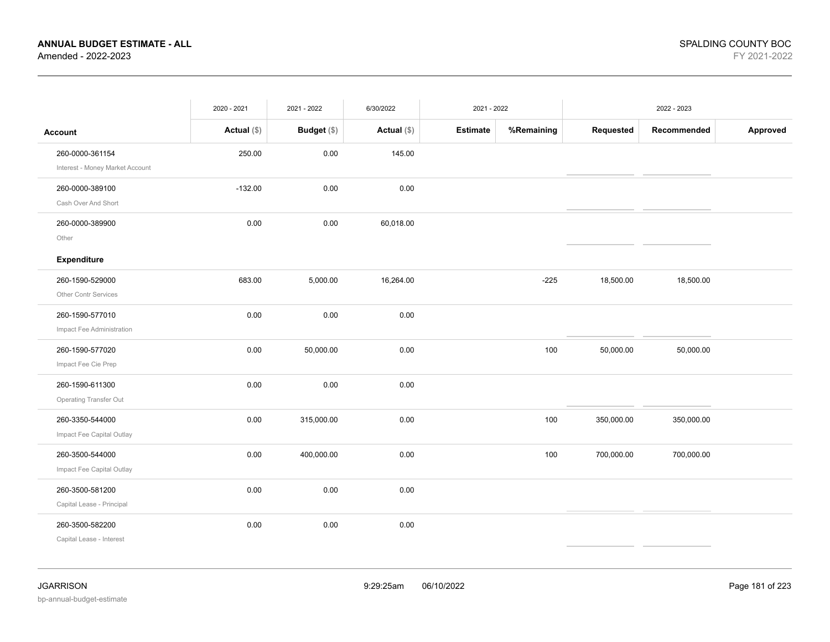|                                                    | 2020 - 2021   | 2021 - 2022 | 6/30/2022     | 2021 - 2022     |            |            | 2022 - 2023 |          |
|----------------------------------------------------|---------------|-------------|---------------|-----------------|------------|------------|-------------|----------|
| <b>Account</b>                                     | Actual $(\$)$ | Budget (\$) | Actual $(\$)$ | <b>Estimate</b> | %Remaining | Requested  | Recommended | Approved |
| 260-0000-361154<br>Interest - Money Market Account | 250.00        | 0.00        | 145.00        |                 |            |            |             |          |
| 260-0000-389100<br>Cash Over And Short             | $-132.00$     | 0.00        | 0.00          |                 |            |            |             |          |
| 260-0000-389900<br>Other<br>Expenditure            | 0.00          | 0.00        | 60,018.00     |                 |            |            |             |          |
| 260-1590-529000<br>Other Contr Services            | 683.00        | 5,000.00    | 16,264.00     |                 | $-225$     | 18,500.00  | 18,500.00   |          |
| 260-1590-577010<br>Impact Fee Administration       | 0.00          | 0.00        | 0.00          |                 |            |            |             |          |
| 260-1590-577020<br>Impact Fee Cie Prep             | 0.00          | 50,000.00   | 0.00          |                 | 100        | 50,000.00  | 50,000.00   |          |
| 260-1590-611300<br>Operating Transfer Out          | 0.00          | 0.00        | 0.00          |                 |            |            |             |          |
| 260-3350-544000<br>Impact Fee Capital Outlay       | 0.00          | 315,000.00  | 0.00          |                 | 100        | 350,000.00 | 350,000.00  |          |
| 260-3500-544000<br>Impact Fee Capital Outlay       | 0.00          | 400,000.00  | 0.00          |                 | 100        | 700,000.00 | 700,000.00  |          |
| 260-3500-581200<br>Capital Lease - Principal       | 0.00          | 0.00        | 0.00          |                 |            |            |             |          |
| 260-3500-582200<br>Capital Lease - Interest        | 0.00          | 0.00        | 0.00          |                 |            |            |             |          |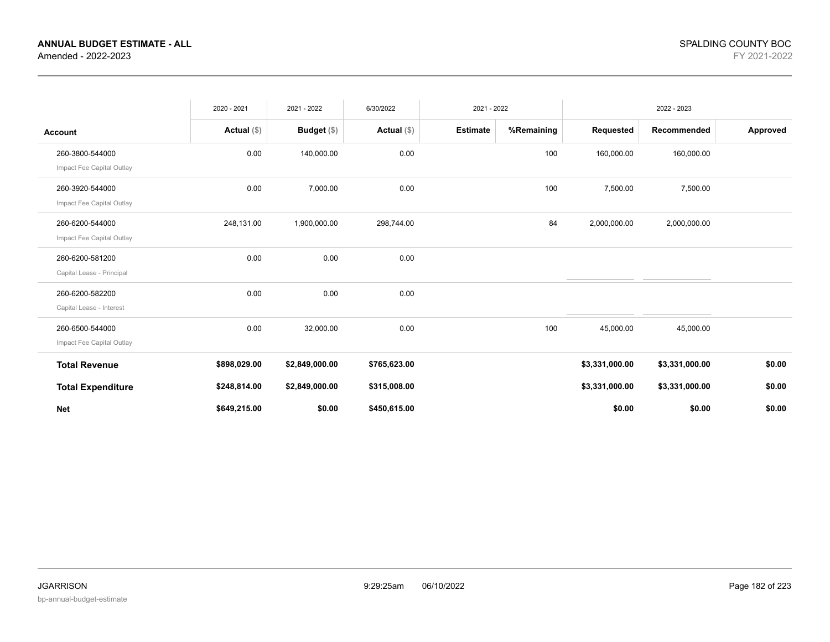|                                              | 2020 - 2021   | 2021 - 2022    | 6/30/2022     | 2021 - 2022     |            |                | 2022 - 2023    |          |
|----------------------------------------------|---------------|----------------|---------------|-----------------|------------|----------------|----------------|----------|
| <b>Account</b>                               | Actual $(\$)$ | Budget $(\$)$  | Actual $(\$)$ | <b>Estimate</b> | %Remaining | Requested      | Recommended    | Approved |
| 260-3800-544000<br>Impact Fee Capital Outlay | 0.00          | 140,000.00     | 0.00          |                 | 100        | 160,000.00     | 160,000.00     |          |
| 260-3920-544000<br>Impact Fee Capital Outlay | 0.00          | 7,000.00       | 0.00          |                 | 100        | 7,500.00       | 7,500.00       |          |
| 260-6200-544000<br>Impact Fee Capital Outlay | 248,131.00    | 1,900,000.00   | 298,744.00    |                 | 84         | 2,000,000.00   | 2,000,000.00   |          |
| 260-6200-581200<br>Capital Lease - Principal | 0.00          | 0.00           | 0.00          |                 |            |                |                |          |
| 260-6200-582200<br>Capital Lease - Interest  | 0.00          | 0.00           | 0.00          |                 |            |                |                |          |
| 260-6500-544000<br>Impact Fee Capital Outlay | 0.00          | 32,000.00      | 0.00          |                 | 100        | 45,000.00      | 45,000.00      |          |
| <b>Total Revenue</b>                         | \$898,029.00  | \$2,849,000.00 | \$765,623.00  |                 |            | \$3,331,000.00 | \$3,331,000.00 | \$0.00   |
| <b>Total Expenditure</b>                     | \$248,814.00  | \$2,849,000.00 | \$315,008.00  |                 |            | \$3,331,000.00 | \$3,331,000.00 | \$0.00   |
| <b>Net</b>                                   | \$649,215.00  | \$0.00         | \$450,615.00  |                 |            | \$0.00         | \$0.00         | \$0.00   |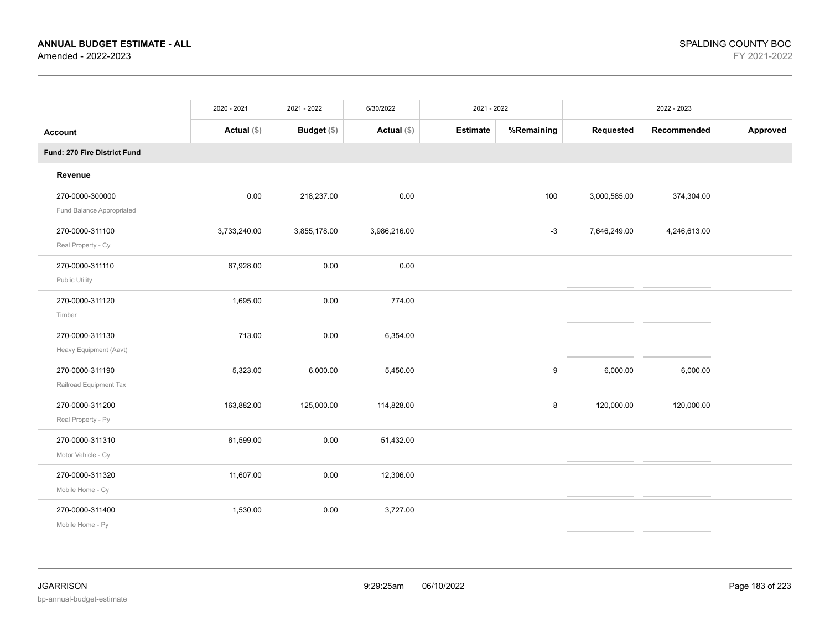|                                              | 2020 - 2021   | 2021 - 2022        | 6/30/2022     | 2021 - 2022     |            |              | 2022 - 2023  |          |
|----------------------------------------------|---------------|--------------------|---------------|-----------------|------------|--------------|--------------|----------|
| <b>Account</b>                               | Actual $(\$)$ | <b>Budget</b> (\$) | Actual $(\$)$ | <b>Estimate</b> | %Remaining | Requested    | Recommended  | Approved |
| Fund: 270 Fire District Fund                 |               |                    |               |                 |            |              |              |          |
| Revenue                                      |               |                    |               |                 |            |              |              |          |
| 270-0000-300000<br>Fund Balance Appropriated | 0.00          | 218,237.00         | 0.00          |                 | 100        | 3,000,585.00 | 374,304.00   |          |
| 270-0000-311100<br>Real Property - Cy        | 3,733,240.00  | 3,855,178.00       | 3,986,216.00  |                 | $-3$       | 7,646,249.00 | 4,246,613.00 |          |
| 270-0000-311110<br>Public Utility            | 67,928.00     | 0.00               | 0.00          |                 |            |              |              |          |
| 270-0000-311120<br>Timber                    | 1,695.00      | 0.00               | 774.00        |                 |            |              |              |          |
| 270-0000-311130<br>Heavy Equipment (Aavt)    | 713.00        | 0.00               | 6,354.00      |                 |            |              |              |          |
| 270-0000-311190<br>Railroad Equipment Tax    | 5,323.00      | 6,000.00           | 5,450.00      |                 | 9          | 6,000.00     | 6,000.00     |          |
| 270-0000-311200<br>Real Property - Py        | 163,882.00    | 125,000.00         | 114,828.00    |                 | 8          | 120,000.00   | 120,000.00   |          |
| 270-0000-311310<br>Motor Vehicle - Cy        | 61,599.00     | 0.00               | 51,432.00     |                 |            |              |              |          |
| 270-0000-311320<br>Mobile Home - Cy          | 11,607.00     | 0.00               | 12,306.00     |                 |            |              |              |          |
| 270-0000-311400<br>Mobile Home - Py          | 1,530.00      | 0.00               | 3,727.00      |                 |            |              |              |          |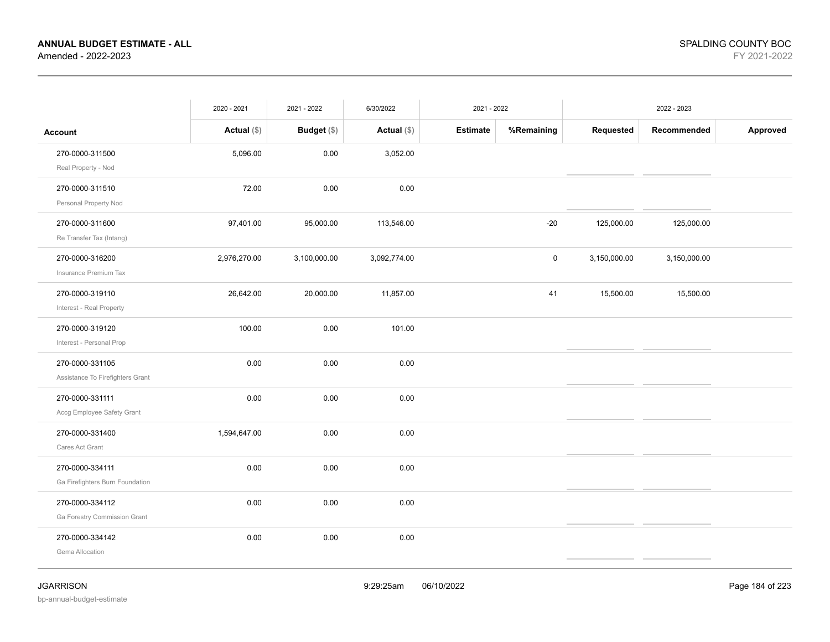|                                                     | 2020 - 2021   | 2021 - 2022        | 6/30/2022     | 2021 - 2022 |             |              | 2022 - 2023  |          |
|-----------------------------------------------------|---------------|--------------------|---------------|-------------|-------------|--------------|--------------|----------|
| <b>Account</b>                                      | Actual $(\$)$ | <b>Budget</b> (\$) | Actual $(\$)$ | Estimate    | %Remaining  | Requested    | Recommended  | Approved |
| 270-0000-311500<br>Real Property - Nod              | 5,096.00      | 0.00               | 3,052.00      |             |             |              |              |          |
| 270-0000-311510<br>Personal Property Nod            | 72.00         | 0.00               | 0.00          |             |             |              |              |          |
| 270-0000-311600<br>Re Transfer Tax (Intang)         | 97,401.00     | 95,000.00          | 113,546.00    |             | $-20$       | 125,000.00   | 125,000.00   |          |
| 270-0000-316200<br>Insurance Premium Tax            | 2,976,270.00  | 3,100,000.00       | 3,092,774.00  |             | $\mathsf 0$ | 3,150,000.00 | 3,150,000.00 |          |
| 270-0000-319110<br>Interest - Real Property         | 26,642.00     | 20,000.00          | 11,857.00     |             | 41          | 15,500.00    | 15,500.00    |          |
| 270-0000-319120<br>Interest - Personal Prop         | 100.00        | 0.00               | 101.00        |             |             |              |              |          |
| 270-0000-331105<br>Assistance To Firefighters Grant | 0.00          | 0.00               | 0.00          |             |             |              |              |          |
| 270-0000-331111<br>Accg Employee Safety Grant       | 0.00          | 0.00               | 0.00          |             |             |              |              |          |
| 270-0000-331400<br>Cares Act Grant                  | 1,594,647.00  | 0.00               | 0.00          |             |             |              |              |          |
| 270-0000-334111<br>Ga Firefighters Burn Foundation  | 0.00          | 0.00               | 0.00          |             |             |              |              |          |
| 270-0000-334112<br>Ga Forestry Commission Grant     | 0.00          | 0.00               | 0.00          |             |             |              |              |          |
| 270-0000-334142<br>Gema Allocation                  | 0.00          | 0.00               | 0.00          |             |             |              |              |          |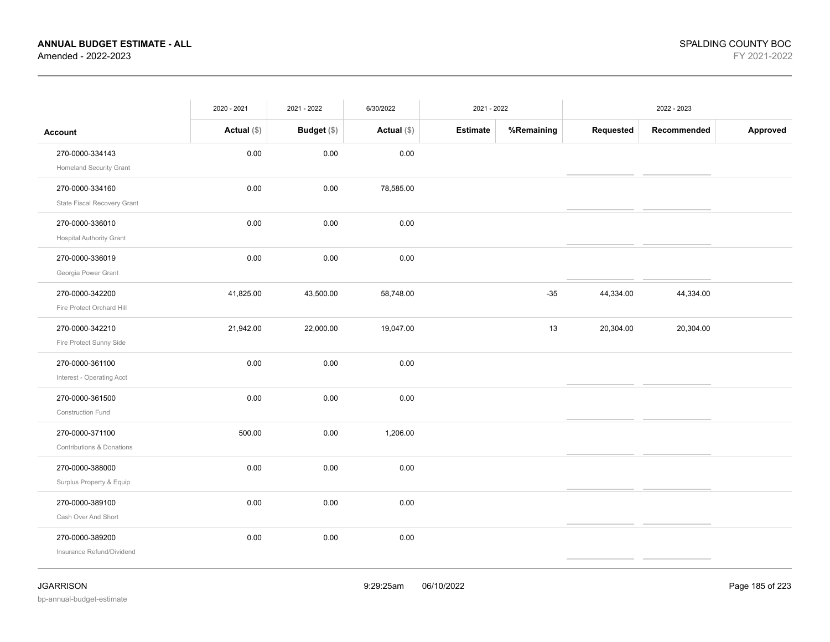|                                                    | 2020 - 2021   | 2021 - 2022        | 6/30/2022     | 2021 - 2022     |            |           | 2022 - 2023 |          |
|----------------------------------------------------|---------------|--------------------|---------------|-----------------|------------|-----------|-------------|----------|
| <b>Account</b>                                     | Actual $(\$)$ | <b>Budget</b> (\$) | Actual $(\$)$ | <b>Estimate</b> | %Remaining | Requested | Recommended | Approved |
| 270-0000-334143<br><b>Homeland Security Grant</b>  | 0.00          | 0.00               | 0.00          |                 |            |           |             |          |
| 270-0000-334160<br>State Fiscal Recovery Grant     | 0.00          | 0.00               | 78,585.00     |                 |            |           |             |          |
| 270-0000-336010<br><b>Hospital Authority Grant</b> | 0.00          | 0.00               | 0.00          |                 |            |           |             |          |
| 270-0000-336019<br>Georgia Power Grant             | 0.00          | 0.00               | 0.00          |                 |            |           |             |          |
| 270-0000-342200<br>Fire Protect Orchard Hill       | 41,825.00     | 43,500.00          | 58,748.00     |                 | $-35$      | 44,334.00 | 44,334.00   |          |
| 270-0000-342210<br>Fire Protect Sunny Side         | 21,942.00     | 22,000.00          | 19,047.00     |                 | 13         | 20,304.00 | 20,304.00   |          |
| 270-0000-361100<br>Interest - Operating Acct       | 0.00          | 0.00               | 0.00          |                 |            |           |             |          |
| 270-0000-361500<br>Construction Fund               | 0.00          | 0.00               | 0.00          |                 |            |           |             |          |
| 270-0000-371100<br>Contributions & Donations       | 500.00        | 0.00               | 1,206.00      |                 |            |           |             |          |
| 270-0000-388000<br>Surplus Property & Equip        | 0.00          | 0.00               | 0.00          |                 |            |           |             |          |
| 270-0000-389100<br>Cash Over And Short             | 0.00          | 0.00               | 0.00          |                 |            |           |             |          |
| 270-0000-389200<br>Insurance Refund/Dividend       | 0.00          | 0.00               | 0.00          |                 |            |           |             |          |
|                                                    |               |                    |               |                 |            |           |             |          |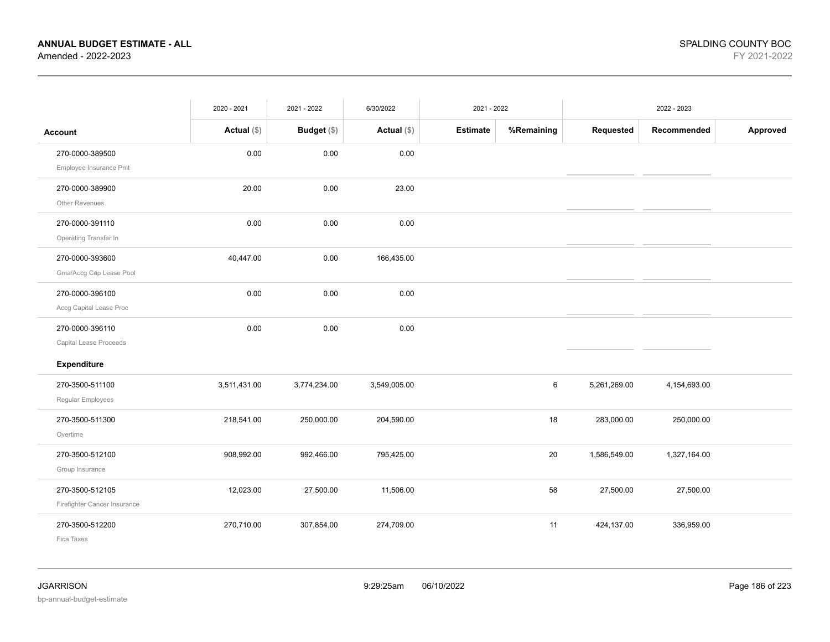|                                                 | 2020 - 2021   | 2021 - 2022   | 6/30/2022     | 2021 - 2022     |            |              | 2022 - 2023  |          |
|-------------------------------------------------|---------------|---------------|---------------|-----------------|------------|--------------|--------------|----------|
| <b>Account</b>                                  | Actual $(\$)$ | Budget $(\$)$ | Actual $(\$)$ | <b>Estimate</b> | %Remaining | Requested    | Recommended  | Approved |
| 270-0000-389500<br>Employee Insurance Pmt       | 0.00          | 0.00          | 0.00          |                 |            |              |              |          |
| 270-0000-389900<br>Other Revenues               | 20.00         | 0.00          | 23.00         |                 |            |              |              |          |
| 270-0000-391110<br>Operating Transfer In        | 0.00          | 0.00          | 0.00          |                 |            |              |              |          |
| 270-0000-393600<br>Gma/Accg Cap Lease Pool      | 40,447.00     | 0.00          | 166,435.00    |                 |            |              |              |          |
| 270-0000-396100<br>Accg Capital Lease Proc      | 0.00          | 0.00          | 0.00          |                 |            |              |              |          |
| 270-0000-396110<br>Capital Lease Proceeds       | 0.00          | 0.00          | 0.00          |                 |            |              |              |          |
| Expenditure                                     |               |               |               |                 |            |              |              |          |
| 270-3500-511100<br>Regular Employees            | 3,511,431.00  | 3,774,234.00  | 3,549,005.00  |                 | 6          | 5,261,269.00 | 4,154,693.00 |          |
| 270-3500-511300<br>Overtime                     | 218,541.00    | 250,000.00    | 204,590.00    |                 | 18         | 283,000.00   | 250,000.00   |          |
| 270-3500-512100<br>Group Insurance              | 908,992.00    | 992,466.00    | 795,425.00    |                 | 20         | 1,586,549.00 | 1,327,164.00 |          |
| 270-3500-512105<br>Firefighter Cancer Insurance | 12,023.00     | 27,500.00     | 11,506.00     |                 | 58         | 27,500.00    | 27,500.00    |          |
| 270-3500-512200<br>Fica Taxes                   | 270,710.00    | 307,854.00    | 274,709.00    |                 | 11         | 424,137.00   | 336,959.00   |          |

bp-annual-budget-estimate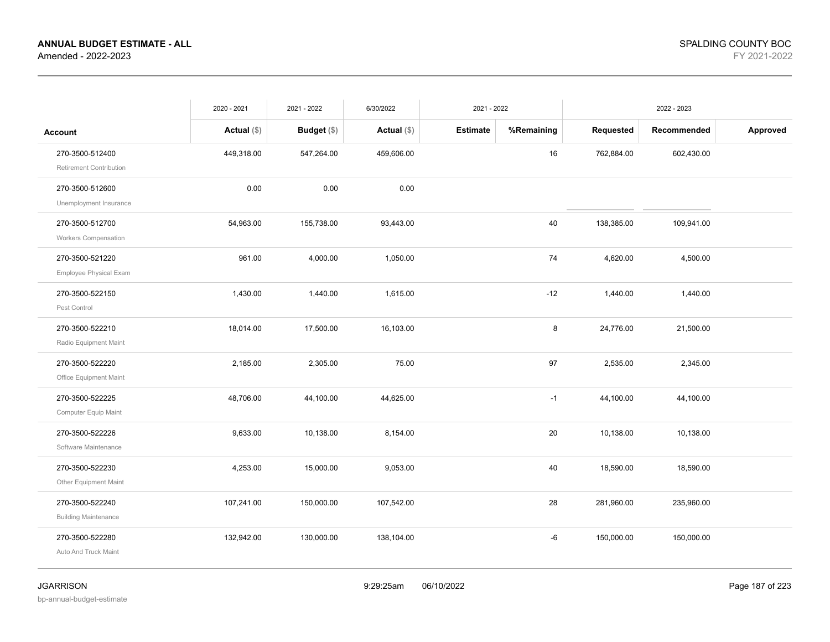|                                                                             | 2020 - 2021   | 2021 - 2022   | 6/30/2022     | 2021 - 2022     |            |            | 2022 - 2023 |          |
|-----------------------------------------------------------------------------|---------------|---------------|---------------|-----------------|------------|------------|-------------|----------|
| <b>Account</b>                                                              | Actual $(\$)$ | Budget $(\$)$ | Actual $(\$)$ | <b>Estimate</b> | %Remaining | Requested  | Recommended | Approved |
| 270-3500-512400                                                             | 449,318.00    | 547,264.00    | 459,606.00    |                 | 16         | 762,884.00 | 602,430.00  |          |
| <b>Retirement Contribution</b><br>270-3500-512600<br>Unemployment Insurance | 0.00          | 0.00          | 0.00          |                 |            |            |             |          |
| 270-3500-512700<br><b>Workers Compensation</b>                              | 54,963.00     | 155,738.00    | 93,443.00     |                 | 40         | 138,385.00 | 109,941.00  |          |
| 270-3500-521220<br><b>Employee Physical Exam</b>                            | 961.00        | 4,000.00      | 1,050.00      |                 | 74         | 4,620.00   | 4,500.00    |          |
| 270-3500-522150<br>Pest Control                                             | 1,430.00      | 1,440.00      | 1,615.00      |                 | $-12$      | 1,440.00   | 1,440.00    |          |
| 270-3500-522210<br>Radio Equipment Maint                                    | 18,014.00     | 17,500.00     | 16,103.00     |                 | 8          | 24,776.00  | 21,500.00   |          |
| 270-3500-522220<br>Office Equipment Maint                                   | 2,185.00      | 2,305.00      | 75.00         |                 | 97         | 2,535.00   | 2,345.00    |          |
| 270-3500-522225<br>Computer Equip Maint                                     | 48,706.00     | 44,100.00     | 44,625.00     |                 | $-1$       | 44,100.00  | 44,100.00   |          |
| 270-3500-522226<br>Software Maintenance                                     | 9,633.00      | 10,138.00     | 8,154.00      |                 | 20         | 10,138.00  | 10,138.00   |          |
| 270-3500-522230<br>Other Equipment Maint                                    | 4,253.00      | 15,000.00     | 9,053.00      |                 | 40         | 18,590.00  | 18,590.00   |          |
| 270-3500-522240<br><b>Building Maintenance</b>                              | 107,241.00    | 150,000.00    | 107,542.00    |                 | 28         | 281,960.00 | 235,960.00  |          |
| 270-3500-522280<br>Auto And Truck Maint                                     | 132,942.00    | 130,000.00    | 138,104.00    |                 | -6         | 150,000.00 | 150,000.00  |          |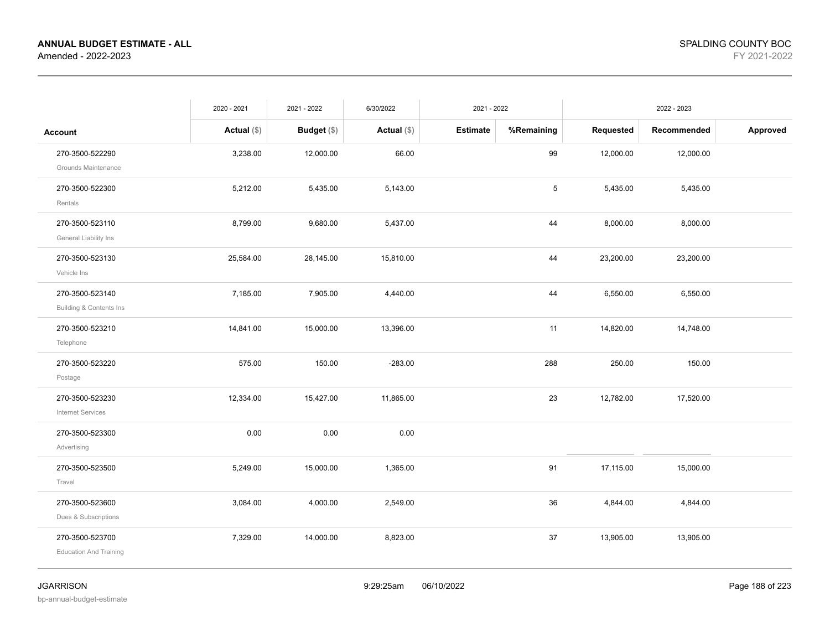|                                                  | 2020 - 2021   | 2021 - 2022 | 6/30/2022     | 2021 - 2022     |            |           | 2022 - 2023 |          |
|--------------------------------------------------|---------------|-------------|---------------|-----------------|------------|-----------|-------------|----------|
| <b>Account</b>                                   | Actual $(\$)$ | Budget (\$) | Actual $(\$)$ | <b>Estimate</b> | %Remaining | Requested | Recommended | Approved |
| 270-3500-522290<br>Grounds Maintenance           | 3,238.00      | 12,000.00   | 66.00         |                 | 99         | 12,000.00 | 12,000.00   |          |
| 270-3500-522300<br>Rentals                       | 5,212.00      | 5,435.00    | 5,143.00      |                 | 5          | 5,435.00  | 5,435.00    |          |
| 270-3500-523110<br>General Liability Ins         | 8,799.00      | 9,680.00    | 5,437.00      |                 | 44         | 8,000.00  | 8,000.00    |          |
| 270-3500-523130<br>Vehicle Ins                   | 25,584.00     | 28,145.00   | 15,810.00     |                 | 44         | 23,200.00 | 23,200.00   |          |
| 270-3500-523140<br>Building & Contents Ins       | 7,185.00      | 7,905.00    | 4,440.00      |                 | 44         | 6,550.00  | 6,550.00    |          |
| 270-3500-523210<br>Telephone                     | 14,841.00     | 15,000.00   | 13,396.00     |                 | 11         | 14,820.00 | 14,748.00   |          |
| 270-3500-523220<br>Postage                       | 575.00        | 150.00      | $-283.00$     |                 | 288        | 250.00    | 150.00      |          |
| 270-3500-523230<br><b>Internet Services</b>      | 12,334.00     | 15,427.00   | 11,865.00     |                 | 23         | 12,782.00 | 17,520.00   |          |
| 270-3500-523300<br>Advertising                   | 0.00          | 0.00        | 0.00          |                 |            |           |             |          |
| 270-3500-523500<br>Travel                        | 5,249.00      | 15,000.00   | 1,365.00      |                 | 91         | 17,115.00 | 15,000.00   |          |
| 270-3500-523600<br>Dues & Subscriptions          | 3,084.00      | 4,000.00    | 2,549.00      |                 | 36         | 4,844.00  | 4,844.00    |          |
| 270-3500-523700<br><b>Education And Training</b> | 7,329.00      | 14,000.00   | 8,823.00      |                 | 37         | 13,905.00 | 13,905.00   |          |
|                                                  |               |             |               |                 |            |           |             |          |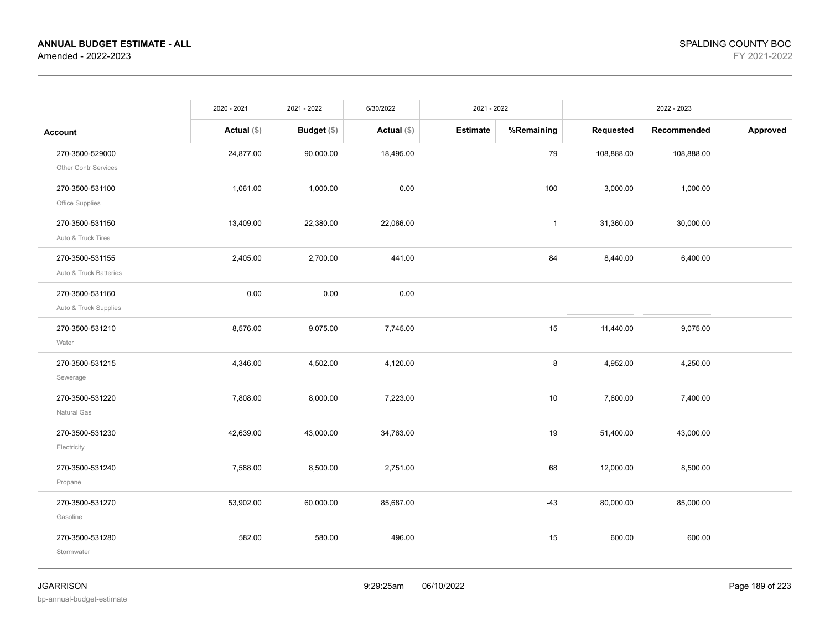|                        | 2020 - 2021   | 2021 - 2022   | 6/30/2022     | 2021 - 2022     |              |            | 2022 - 2023 |          |
|------------------------|---------------|---------------|---------------|-----------------|--------------|------------|-------------|----------|
| <b>Account</b>         | Actual $(\$)$ | Budget $(\$)$ | Actual $(\$)$ | <b>Estimate</b> | %Remaining   | Requested  | Recommended | Approved |
| 270-3500-529000        | 24,877.00     | 90,000.00     | 18,495.00     |                 | 79           | 108,888.00 | 108,888.00  |          |
| Other Contr Services   |               |               |               |                 |              |            |             |          |
| 270-3500-531100        | 1,061.00      | 1,000.00      | 0.00          |                 | 100          | 3,000.00   | 1,000.00    |          |
| Office Supplies        |               |               |               |                 |              |            |             |          |
| 270-3500-531150        | 13,409.00     | 22,380.00     | 22,066.00     |                 | $\mathbf{1}$ | 31,360.00  | 30,000.00   |          |
| Auto & Truck Tires     |               |               |               |                 |              |            |             |          |
| 270-3500-531155        | 2,405.00      | 2,700.00      | 441.00        |                 | 84           | 8,440.00   | 6,400.00    |          |
| Auto & Truck Batteries |               |               |               |                 |              |            |             |          |
| 270-3500-531160        | 0.00          | 0.00          | 0.00          |                 |              |            |             |          |
| Auto & Truck Supplies  |               |               |               |                 |              |            |             |          |
| 270-3500-531210        | 8,576.00      | 9,075.00      | 7,745.00      |                 | 15           | 11,440.00  | 9,075.00    |          |
| Water                  |               |               |               |                 |              |            |             |          |
| 270-3500-531215        | 4,346.00      | 4,502.00      | 4,120.00      |                 | 8            | 4,952.00   | 4,250.00    |          |
| Sewerage               |               |               |               |                 |              |            |             |          |
| 270-3500-531220        | 7,808.00      | 8,000.00      | 7,223.00      |                 | 10           | 7,600.00   | 7,400.00    |          |
| Natural Gas            |               |               |               |                 |              |            |             |          |
| 270-3500-531230        | 42,639.00     | 43,000.00     | 34,763.00     |                 | 19           | 51,400.00  | 43,000.00   |          |
| Electricity            |               |               |               |                 |              |            |             |          |
| 270-3500-531240        | 7,588.00      | 8,500.00      | 2,751.00      |                 | 68           | 12,000.00  | 8,500.00    |          |
| Propane                |               |               |               |                 |              |            |             |          |
| 270-3500-531270        | 53,902.00     | 60,000.00     | 85,687.00     |                 | $-43$        | 80,000.00  | 85,000.00   |          |
| Gasoline               |               |               |               |                 |              |            |             |          |
| 270-3500-531280        | 582.00        | 580.00        | 496.00        |                 | 15           | 600.00     | 600.00      |          |
| Stormwater             |               |               |               |                 |              |            |             |          |
|                        |               |               |               |                 |              |            |             |          |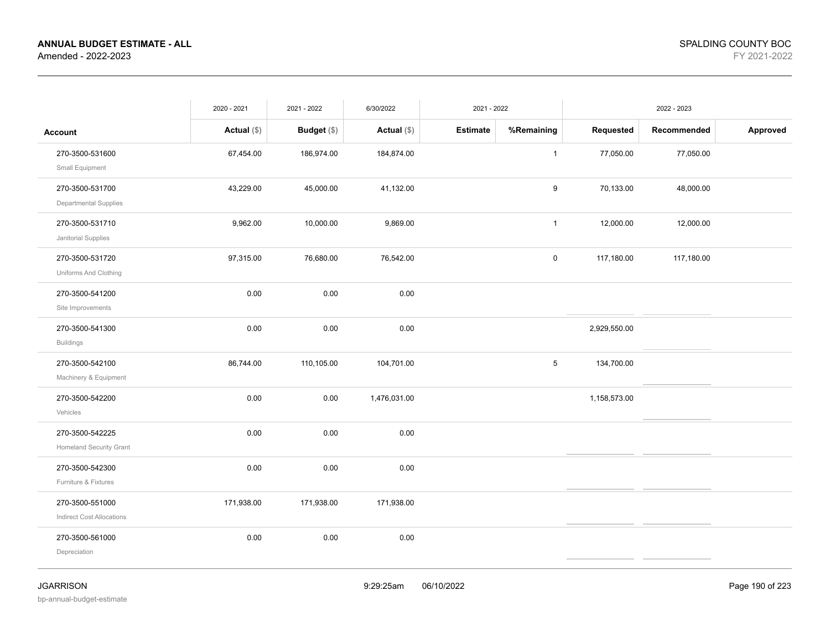|                                                     | 2020 - 2021   | 2021 - 2022   | 6/30/2022     | 2021 - 2022     |              |              | 2022 - 2023 |          |
|-----------------------------------------------------|---------------|---------------|---------------|-----------------|--------------|--------------|-------------|----------|
| <b>Account</b>                                      | Actual $(\$)$ | Budget $(\$)$ | Actual $(\$)$ | <b>Estimate</b> | %Remaining   | Requested    | Recommended | Approved |
| 270-3500-531600<br>Small Equipment                  | 67,454.00     | 186,974.00    | 184,874.00    |                 | $\mathbf{1}$ | 77,050.00    | 77,050.00   |          |
| 270-3500-531700<br>Departmental Supplies            | 43,229.00     | 45,000.00     | 41,132.00     |                 | 9            | 70,133.00    | 48,000.00   |          |
| 270-3500-531710<br>Janitorial Supplies              | 9,962.00      | 10,000.00     | 9,869.00      |                 | $\mathbf{1}$ | 12,000.00    | 12,000.00   |          |
| 270-3500-531720<br>Uniforms And Clothing            | 97,315.00     | 76,680.00     | 76,542.00     |                 | $\pmb{0}$    | 117,180.00   | 117,180.00  |          |
| 270-3500-541200<br>Site Improvements                | 0.00          | 0.00          | 0.00          |                 |              |              |             |          |
| 270-3500-541300<br><b>Buildings</b>                 | 0.00          | 0.00          | 0.00          |                 |              | 2,929,550.00 |             |          |
| 270-3500-542100<br>Machinery & Equipment            | 86,744.00     | 110,105.00    | 104,701.00    |                 | 5            | 134,700.00   |             |          |
| 270-3500-542200<br>Vehicles                         | 0.00          | 0.00          | 1,476,031.00  |                 |              | 1,158,573.00 |             |          |
| 270-3500-542225<br><b>Homeland Security Grant</b>   | 0.00          | 0.00          | 0.00          |                 |              |              |             |          |
| 270-3500-542300<br>Furniture & Fixtures             | 0.00          | 0.00          | 0.00          |                 |              |              |             |          |
| 270-3500-551000<br><b>Indirect Cost Allocations</b> | 171,938.00    | 171,938.00    | 171,938.00    |                 |              |              |             |          |
| 270-3500-561000<br>Depreciation                     | 0.00          | 0.00          | 0.00          |                 |              |              |             |          |
|                                                     |               |               |               |                 |              |              |             |          |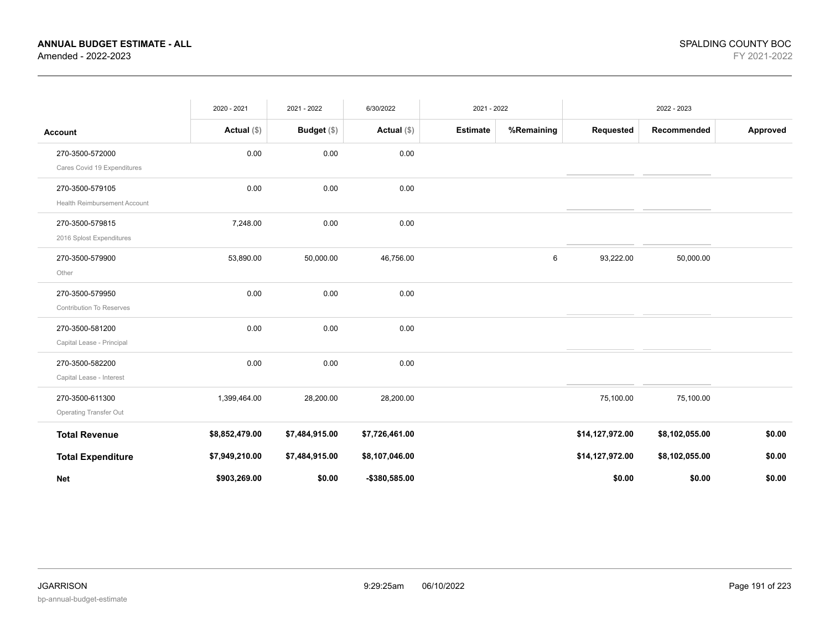|                                     | 2020 - 2021    | 2021 - 2022    | 6/30/2022      | 2021 - 2022     |            |                 | 2022 - 2023    |          |
|-------------------------------------|----------------|----------------|----------------|-----------------|------------|-----------------|----------------|----------|
| <b>Account</b>                      | Actual $(\$)$  | Budget (\$)    | Actual $(\$)$  | <b>Estimate</b> | %Remaining | Requested       | Recommended    | Approved |
| 270-3500-572000                     | 0.00           | 0.00           | 0.00           |                 |            |                 |                |          |
| Cares Covid 19 Expenditures         |                |                |                |                 |            |                 |                |          |
| 270-3500-579105                     | 0.00           | 0.00           | 0.00           |                 |            |                 |                |          |
| <b>Health Reimbursement Account</b> |                |                |                |                 |            |                 |                |          |
| 270-3500-579815                     | 7,248.00       | 0.00           | 0.00           |                 |            |                 |                |          |
| 2016 Splost Expenditures            |                |                |                |                 |            |                 |                |          |
| 270-3500-579900                     | 53,890.00      | 50,000.00      | 46,756.00      |                 | 6          | 93,222.00       | 50,000.00      |          |
| Other                               |                |                |                |                 |            |                 |                |          |
| 270-3500-579950                     | 0.00           | 0.00           | 0.00           |                 |            |                 |                |          |
| <b>Contribution To Reserves</b>     |                |                |                |                 |            |                 |                |          |
| 270-3500-581200                     | 0.00           | 0.00           | 0.00           |                 |            |                 |                |          |
| Capital Lease - Principal           |                |                |                |                 |            |                 |                |          |
| 270-3500-582200                     | 0.00           | 0.00           | 0.00           |                 |            |                 |                |          |
| Capital Lease - Interest            |                |                |                |                 |            |                 |                |          |
| 270-3500-611300                     | 1,399,464.00   | 28,200.00      | 28,200.00      |                 |            | 75,100.00       | 75,100.00      |          |
| Operating Transfer Out              |                |                |                |                 |            |                 |                |          |
| <b>Total Revenue</b>                | \$8,852,479.00 | \$7,484,915.00 | \$7,726,461.00 |                 |            | \$14,127,972.00 | \$8,102,055.00 | \$0.00   |
| <b>Total Expenditure</b>            | \$7,949,210.00 | \$7,484,915.00 | \$8,107,046.00 |                 |            | \$14,127,972.00 | \$8,102,055.00 | \$0.00   |
| <b>Net</b>                          | \$903,269.00   | \$0.00         | -\$380,585.00  |                 |            | \$0.00          | \$0.00         | \$0.00   |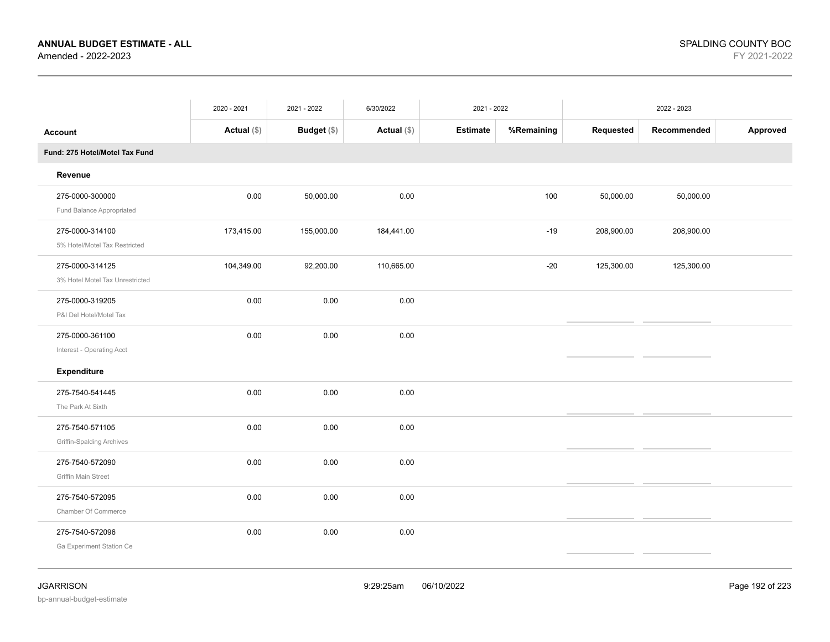|                                                     | 2020 - 2021   | 2021 - 2022 | 6/30/2022     | 2021 - 2022     |            |            | 2022 - 2023 |          |
|-----------------------------------------------------|---------------|-------------|---------------|-----------------|------------|------------|-------------|----------|
| Account                                             | Actual $(\$)$ | Budget (\$) | Actual $(\$)$ | <b>Estimate</b> | %Remaining | Requested  | Recommended | Approved |
| Fund: 275 Hotel/Motel Tax Fund                      |               |             |               |                 |            |            |             |          |
| Revenue                                             |               |             |               |                 |            |            |             |          |
| 275-0000-300000<br>Fund Balance Appropriated        | 0.00          | 50,000.00   | 0.00          |                 | 100        | 50,000.00  | 50,000.00   |          |
| 275-0000-314100<br>5% Hotel/Motel Tax Restricted    | 173,415.00    | 155,000.00  | 184,441.00    |                 | $-19$      | 208,900.00 | 208,900.00  |          |
| 275-0000-314125<br>3% Hotel Motel Tax Unrestricted  | 104,349.00    | 92,200.00   | 110,665.00    |                 | $-20$      | 125,300.00 | 125,300.00  |          |
| 275-0000-319205<br>P&I Del Hotel/Motel Tax          | 0.00          | 0.00        | 0.00          |                 |            |            |             |          |
| 275-0000-361100<br>Interest - Operating Acct        | 0.00          | 0.00        | 0.00          |                 |            |            |             |          |
| Expenditure                                         |               |             |               |                 |            |            |             |          |
| 275-7540-541445<br>The Park At Sixth                | 0.00          | 0.00        | 0.00          |                 |            |            |             |          |
| 275-7540-571105<br><b>Griffin-Spalding Archives</b> | 0.00          | 0.00        | 0.00          |                 |            |            |             |          |
| 275-7540-572090<br>Griffin Main Street              | 0.00          | 0.00        | 0.00          |                 |            |            |             |          |
| 275-7540-572095<br>Chamber Of Commerce              | 0.00          | 0.00        | 0.00          |                 |            |            |             |          |
| 275-7540-572096<br>Ga Experiment Station Ce         | 0.00          | 0.00        | 0.00          |                 |            |            |             |          |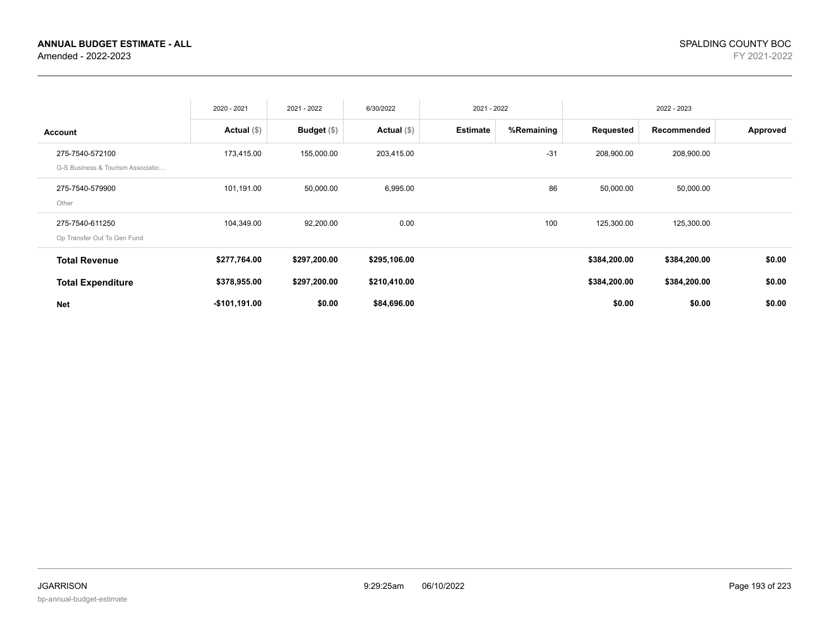|                                                      | 2020 - 2021    | 2021 - 2022   | 6/30/2022     | 2021 - 2022     |            |              | 2022 - 2023  |          |
|------------------------------------------------------|----------------|---------------|---------------|-----------------|------------|--------------|--------------|----------|
| <b>Account</b>                                       | Actual $(\$)$  | Budget $(\$)$ | Actual $(\$)$ | <b>Estimate</b> | %Remaining | Requested    | Recommended  | Approved |
| 275-7540-572100<br>G-S Business & Tourism Associatio | 173,415.00     | 155,000.00    | 203,415.00    |                 | $-31$      | 208,900.00   | 208,900.00   |          |
| 275-7540-579900<br>Other                             | 101,191.00     | 50,000.00     | 6,995.00      |                 | 86         | 50,000.00    | 50,000.00    |          |
| 275-7540-611250<br>Op Transfer Out To Gen Fund       | 104,349.00     | 92,200.00     | 0.00          |                 | 100        | 125,300.00   | 125,300.00   |          |
| <b>Total Revenue</b>                                 | \$277,764.00   | \$297,200.00  | \$295,106.00  |                 |            | \$384,200.00 | \$384,200.00 | \$0.00   |
| <b>Total Expenditure</b>                             | \$378,955.00   | \$297,200.00  | \$210,410.00  |                 |            | \$384,200.00 | \$384,200.00 | \$0.00   |
| <b>Net</b>                                           | $-$101,191.00$ | \$0.00        | \$84,696.00   |                 |            | \$0.00       | \$0.00       | \$0.00   |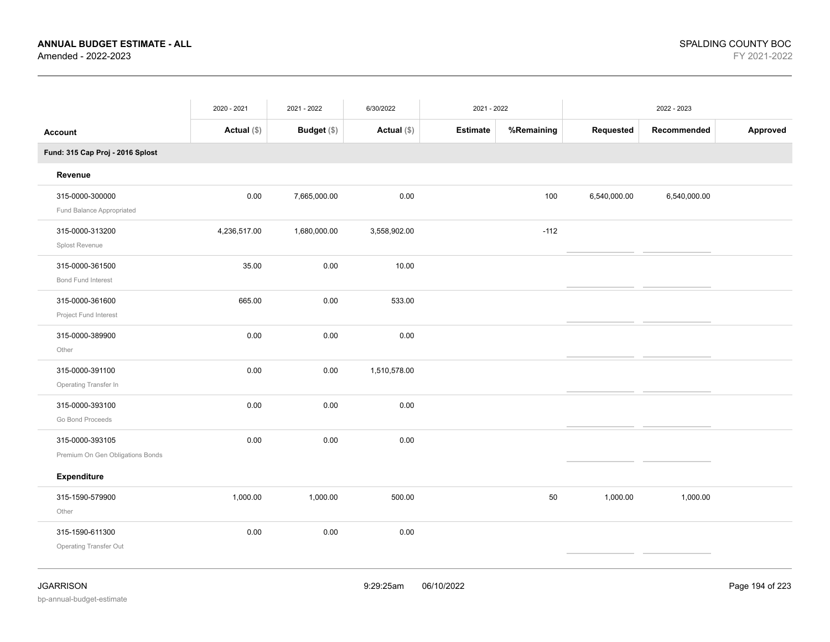|                                                     | 2020 - 2021   | 2021 - 2022        | 6/30/2022     | 2021 - 2022     |            |              | 2022 - 2023  |          |
|-----------------------------------------------------|---------------|--------------------|---------------|-----------------|------------|--------------|--------------|----------|
| <b>Account</b>                                      | Actual $(\$)$ | <b>Budget</b> (\$) | Actual $(\$)$ | <b>Estimate</b> | %Remaining | Requested    | Recommended  | Approved |
| Fund: 315 Cap Proj - 2016 Splost                    |               |                    |               |                 |            |              |              |          |
| Revenue                                             |               |                    |               |                 |            |              |              |          |
| 315-0000-300000<br>Fund Balance Appropriated        | 0.00          | 7,665,000.00       | 0.00          |                 | 100        | 6,540,000.00 | 6,540,000.00 |          |
| 315-0000-313200<br>Splost Revenue                   | 4,236,517.00  | 1,680,000.00       | 3,558,902.00  |                 | $-112$     |              |              |          |
| 315-0000-361500<br>Bond Fund Interest               | 35.00         | 0.00               | 10.00         |                 |            |              |              |          |
| 315-0000-361600<br>Project Fund Interest            | 665.00        | $0.00\,$           | 533.00        |                 |            |              |              |          |
| 315-0000-389900<br>Other                            | 0.00          | 0.00               | 0.00          |                 |            |              |              |          |
| 315-0000-391100<br>Operating Transfer In            | 0.00          | 0.00               | 1,510,578.00  |                 |            |              |              |          |
| 315-0000-393100<br>Go Bond Proceeds                 | 0.00          | 0.00               | $0.00\,$      |                 |            |              |              |          |
| 315-0000-393105<br>Premium On Gen Obligations Bonds | 0.00          | 0.00               | 0.00          |                 |            |              |              |          |
| Expenditure                                         |               |                    |               |                 |            |              |              |          |
| 315-1590-579900<br>Other                            | 1,000.00      | 1,000.00           | 500.00        |                 | 50         | 1,000.00     | 1,000.00     |          |
| 315-1590-611300<br><b>Operating Transfer Out</b>    | 0.00          | 0.00               | $0.00\,$      |                 |            |              |              |          |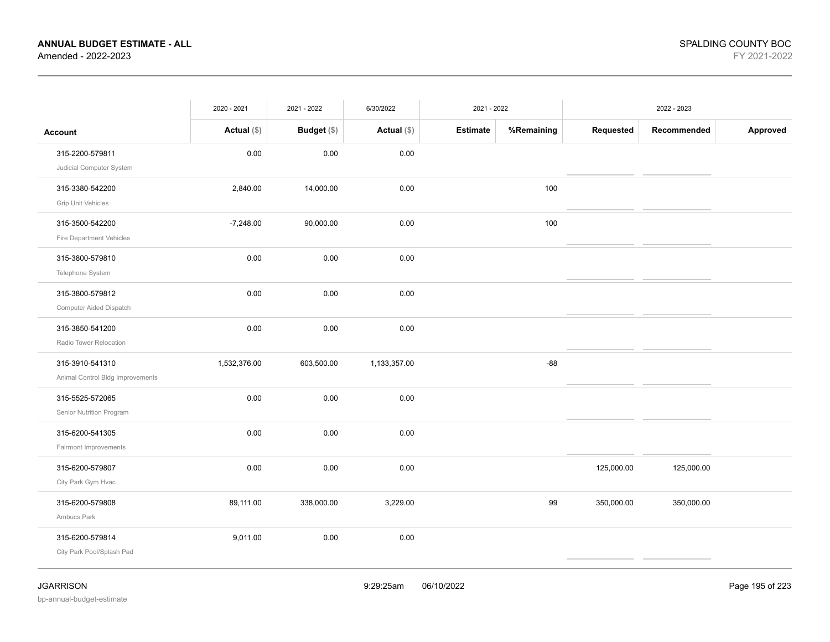|                                                     | 2020 - 2021   | 2021 - 2022        | 6/30/2022    | 2021 - 2022     |            |            | 2022 - 2023 |          |
|-----------------------------------------------------|---------------|--------------------|--------------|-----------------|------------|------------|-------------|----------|
| <b>Account</b>                                      | Actual $(\$)$ | <b>Budget</b> (\$) | Actual (\$)  | <b>Estimate</b> | %Remaining | Requested  | Recommended | Approved |
| 315-2200-579811<br>Judicial Computer System         | $0.00\,$      | 0.00               | 0.00         |                 |            |            |             |          |
| 315-3380-542200<br><b>Grip Unit Vehicles</b>        | 2,840.00      | 14,000.00          | 0.00         |                 | 100        |            |             |          |
| 315-3500-542200<br>Fire Department Vehicles         | $-7,248.00$   | 90,000.00          | 0.00         |                 | 100        |            |             |          |
| 315-3800-579810<br>Telephone System                 | 0.00          | 0.00               | 0.00         |                 |            |            |             |          |
| 315-3800-579812<br>Computer Aided Dispatch          | 0.00          | 0.00               | 0.00         |                 |            |            |             |          |
| 315-3850-541200<br>Radio Tower Relocation           | 0.00          | 0.00               | 0.00         |                 |            |            |             |          |
| 315-3910-541310<br>Animal Control Bldg Improvements | 1,532,376.00  | 603,500.00         | 1,133,357.00 |                 | $-88$      |            |             |          |
| 315-5525-572065<br>Senior Nutrition Program         | 0.00          | 0.00               | $0.00\,$     |                 |            |            |             |          |
| 315-6200-541305<br>Fairmont Improvements            | 0.00          | 0.00               | 0.00         |                 |            |            |             |          |
| 315-6200-579807<br>City Park Gym Hvac               | 0.00          | 0.00               | 0.00         |                 |            | 125,000.00 | 125,000.00  |          |
| 315-6200-579808<br>Ambucs Park                      | 89,111.00     | 338,000.00         | 3,229.00     |                 | 99         | 350,000.00 | 350,000.00  |          |
| 315-6200-579814<br>City Park Pool/Splash Pad        | 9,011.00      | 0.00               | 0.00         |                 |            |            |             |          |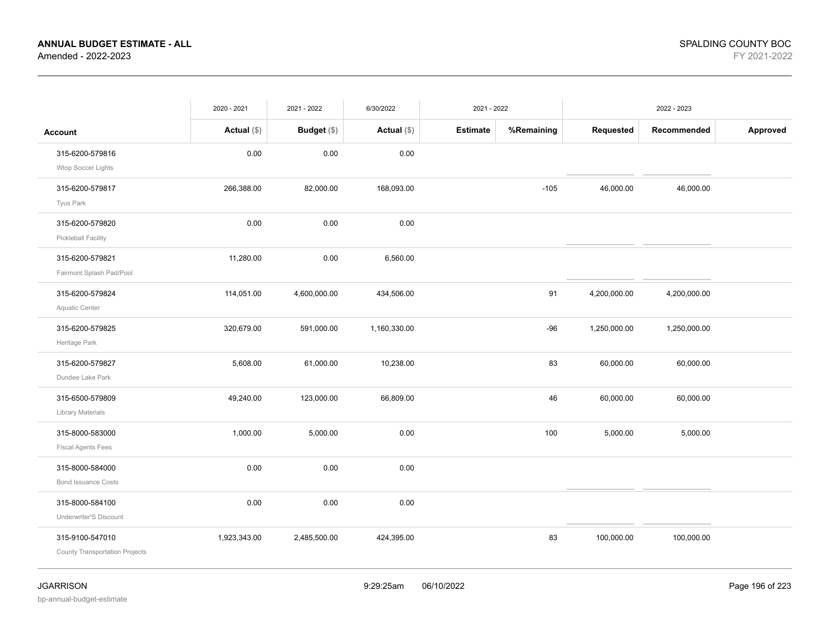|                                       | 2020 - 2021   | 2021 - 2022   | 6/30/2022    | 2021 - 2022     |            |              | 2022 - 2023  |          |
|---------------------------------------|---------------|---------------|--------------|-----------------|------------|--------------|--------------|----------|
| <b>Account</b>                        | Actual $(\$)$ | Budget $(\$)$ | Actual (\$)  | <b>Estimate</b> | %Remaining | Requested    | Recommended  | Approved |
| 315-6200-579816                       | 0.00          | 0.00          | 0.00         |                 |            |              |              |          |
| Wtop Soccer Lights                    |               |               |              |                 |            |              |              |          |
| 315-6200-579817                       | 266,388.00    | 82,000.00     | 168,093.00   |                 | $-105$     | 46,000.00    | 46,000.00    |          |
| Tyus Park                             |               |               |              |                 |            |              |              |          |
| 315-6200-579820                       | 0.00          | 0.00          | 0.00         |                 |            |              |              |          |
| Pickleball Facility                   |               |               |              |                 |            |              |              |          |
| 315-6200-579821                       | 11,280.00     | 0.00          | 6,560.00     |                 |            |              |              |          |
| Fairmont Splash Pad/Pool              |               |               |              |                 |            |              |              |          |
| 315-6200-579824                       | 114,051.00    | 4,600,000.00  | 434,506.00   |                 | 91         | 4,200,000.00 | 4,200,000.00 |          |
| Aquatic Center                        |               |               |              |                 |            |              |              |          |
| 315-6200-579825                       | 320,679.00    | 591,000.00    | 1,160,330.00 |                 | $-96$      | 1,250,000.00 | 1,250,000.00 |          |
| Heritage Park                         |               |               |              |                 |            |              |              |          |
| 315-6200-579827                       | 5,608.00      | 61,000.00     | 10,238.00    |                 | 83         | 60,000.00    | 60,000.00    |          |
| Dundee Lake Park                      |               |               |              |                 |            |              |              |          |
| 315-6500-579809                       | 49,240.00     | 123,000.00    | 66,809.00    |                 | 46         | 60,000.00    | 60,000.00    |          |
| Library Materials                     |               |               |              |                 |            |              |              |          |
| 315-8000-583000                       | 1,000.00      | 5,000.00      | 0.00         |                 | 100        | 5,000.00     | 5,000.00     |          |
| <b>Fiscal Agents Fees</b>             |               |               |              |                 |            |              |              |          |
| 315-8000-584000                       | 0.00          | 0.00          | 0.00         |                 |            |              |              |          |
| <b>Bond Issuance Costs</b>            |               |               |              |                 |            |              |              |          |
| 315-8000-584100                       | 0.00          | 0.00          | 0.00         |                 |            |              |              |          |
| Underwriter'S Discount                |               |               |              |                 |            |              |              |          |
| 315-9100-547010                       | 1,923,343.00  | 2,485,500.00  | 424,395.00   |                 | 83         | 100,000.00   | 100,000.00   |          |
| <b>County Transportation Projects</b> |               |               |              |                 |            |              |              |          |
|                                       |               |               |              |                 |            |              |              |          |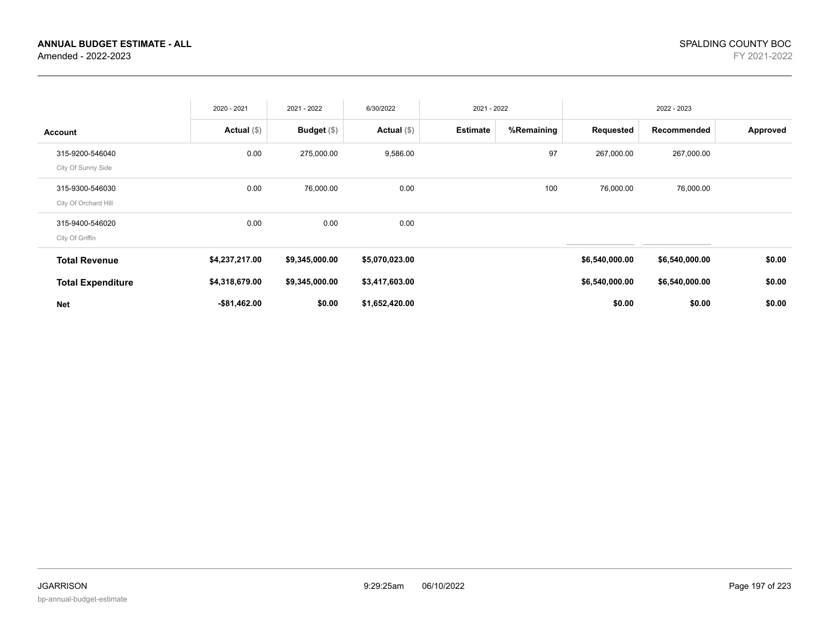|                                         | 2020 - 2021     | 2021 - 2022    | 6/30/2022      | 2021 - 2022     |            |                | 2022 - 2023    |          |
|-----------------------------------------|-----------------|----------------|----------------|-----------------|------------|----------------|----------------|----------|
| <b>Account</b>                          | Actual $(\$)$   | Budget $(\$)$  | Actual $(\$)$  | <b>Estimate</b> | %Remaining | Requested      | Recommended    | Approved |
| 315-9200-546040<br>City Of Sunny Side   | 0.00            | 275,000.00     | 9,586.00       |                 | 97         | 267,000.00     | 267,000.00     |          |
| 315-9300-546030<br>City Of Orchard Hill | 0.00            | 76,000.00      | 0.00           |                 | 100        | 76,000.00      | 76,000.00      |          |
| 315-9400-546020<br>City Of Griffin      | 0.00            | 0.00           | 0.00           |                 |            |                |                |          |
| <b>Total Revenue</b>                    | \$4,237,217.00  | \$9,345,000.00 | \$5,070,023.00 |                 |            | \$6,540,000.00 | \$6,540,000.00 | \$0.00   |
| <b>Total Expenditure</b>                | \$4,318,679.00  | \$9,345,000.00 | \$3,417,603.00 |                 |            | \$6,540,000.00 | \$6,540,000.00 | \$0.00   |
| <b>Net</b>                              | $-$ \$81,462.00 | \$0.00         | \$1,652,420.00 |                 |            | \$0.00         | \$0.00         | \$0.00   |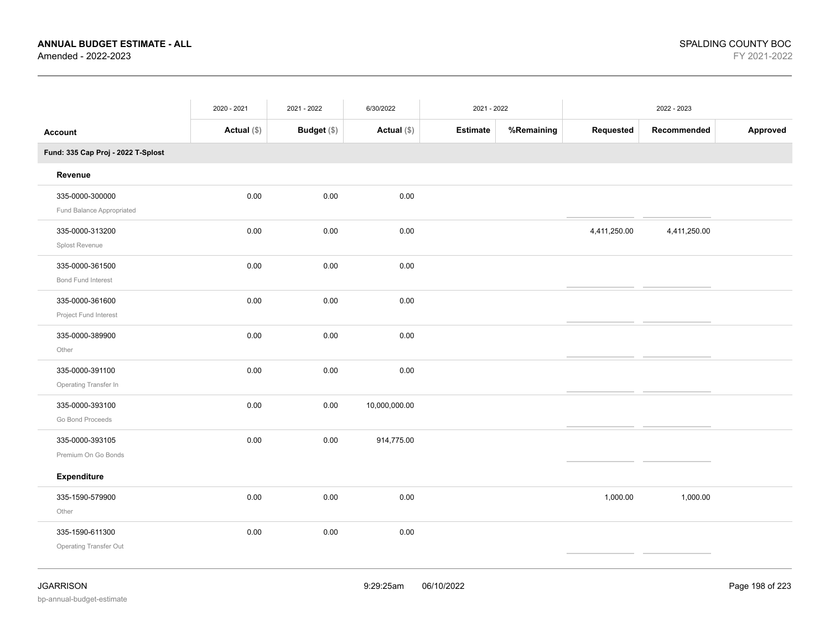|                                              | 2020 - 2021   | 2021 - 2022 | 6/30/2022     | 2021 - 2022     |            |              | 2022 - 2023  |          |
|----------------------------------------------|---------------|-------------|---------------|-----------------|------------|--------------|--------------|----------|
| <b>Account</b>                               | Actual $(\$)$ | Budget (\$) | Actual (\$)   | <b>Estimate</b> | %Remaining | Requested    | Recommended  | Approved |
| Fund: 335 Cap Proj - 2022 T-Splost           |               |             |               |                 |            |              |              |          |
| Revenue                                      |               |             |               |                 |            |              |              |          |
| 335-0000-300000<br>Fund Balance Appropriated | 0.00          | 0.00        | 0.00          |                 |            |              |              |          |
| 335-0000-313200<br>Splost Revenue            | 0.00          | 0.00        | 0.00          |                 |            | 4,411,250.00 | 4,411,250.00 |          |
| 335-0000-361500<br>Bond Fund Interest        | 0.00          | 0.00        | 0.00          |                 |            |              |              |          |
| 335-0000-361600<br>Project Fund Interest     | 0.00          | 0.00        | 0.00          |                 |            |              |              |          |
| 335-0000-389900<br>Other                     | 0.00          | 0.00        | 0.00          |                 |            |              |              |          |
| 335-0000-391100<br>Operating Transfer In     | 0.00          | 0.00        | 0.00          |                 |            |              |              |          |
| 335-0000-393100<br>Go Bond Proceeds          | 0.00          | 0.00        | 10,000,000.00 |                 |            |              |              |          |
| 335-0000-393105<br>Premium On Go Bonds       | 0.00          | 0.00        | 914,775.00    |                 |            |              |              |          |
| <b>Expenditure</b>                           |               |             |               |                 |            |              |              |          |
| 335-1590-579900<br>Other                     | 0.00          | 0.00        | 0.00          |                 |            | 1,000.00     | 1,000.00     |          |
| 335-1590-611300<br>Operating Transfer Out    | 0.00          | 0.00        | 0.00          |                 |            |              |              |          |
|                                              |               |             |               |                 |            |              |              |          |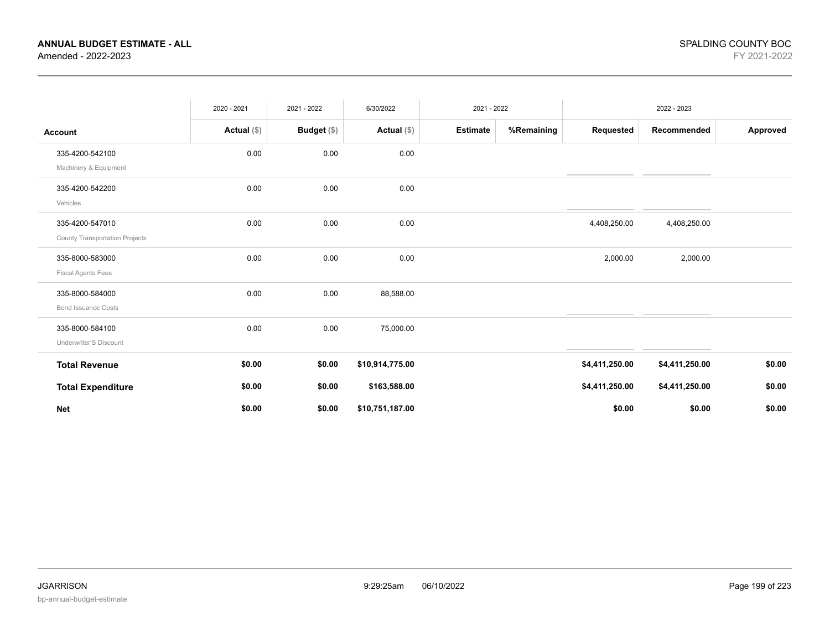|                                                          | 2020 - 2021   | 2021 - 2022   | 6/30/2022       | 2021 - 2022     |            |                | 2022 - 2023    |          |
|----------------------------------------------------------|---------------|---------------|-----------------|-----------------|------------|----------------|----------------|----------|
| <b>Account</b>                                           | Actual $(\$)$ | Budget $(\$)$ | Actual $(\$)$   | <b>Estimate</b> | %Remaining | Requested      | Recommended    | Approved |
| 335-4200-542100<br>Machinery & Equipment                 | 0.00          | 0.00          | 0.00            |                 |            |                |                |          |
| 335-4200-542200<br>Vehicles                              | 0.00          | 0.00          | 0.00            |                 |            |                |                |          |
| 335-4200-547010<br><b>County Transportation Projects</b> | 0.00          | 0.00          | 0.00            |                 |            | 4,408,250.00   | 4,408,250.00   |          |
| 335-8000-583000<br><b>Fiscal Agents Fees</b>             | 0.00          | 0.00          | 0.00            |                 |            | 2,000.00       | 2,000.00       |          |
| 335-8000-584000<br><b>Bond Issuance Costs</b>            | 0.00          | 0.00          | 88,588.00       |                 |            |                |                |          |
| 335-8000-584100<br>Underwriter'S Discount                | 0.00          | 0.00          | 75,000.00       |                 |            |                |                |          |
| <b>Total Revenue</b>                                     | \$0.00        | \$0.00        | \$10,914,775.00 |                 |            | \$4,411,250.00 | \$4,411,250.00 | \$0.00   |
| <b>Total Expenditure</b>                                 | \$0.00        | \$0.00        | \$163,588.00    |                 |            | \$4,411,250.00 | \$4,411,250.00 | \$0.00   |
| <b>Net</b>                                               | \$0.00        | \$0.00        | \$10,751,187.00 |                 |            | \$0.00         | \$0.00         | \$0.00   |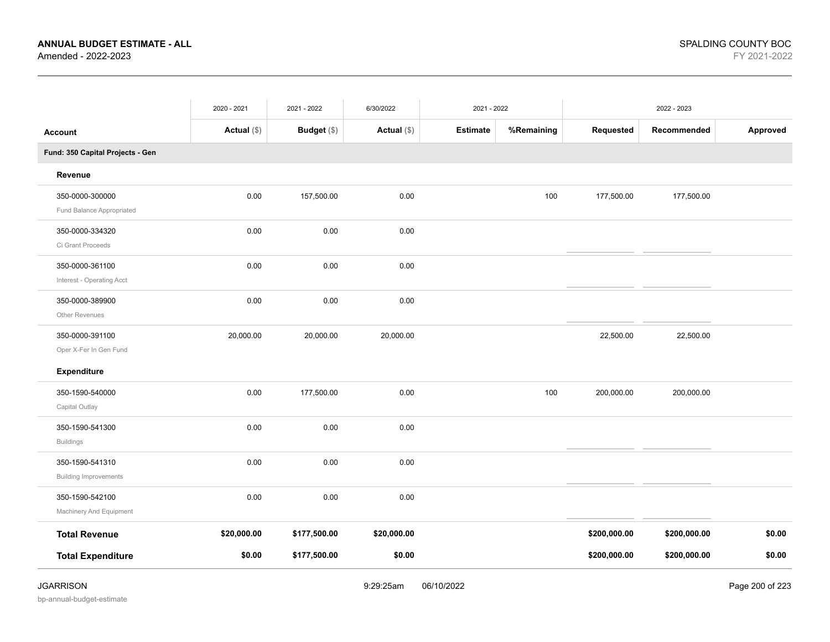|                                                 | 2020 - 2021   | 2021 - 2022  | 6/30/2022     | 2021 - 2022     |            |              | 2022 - 2023  |                 |
|-------------------------------------------------|---------------|--------------|---------------|-----------------|------------|--------------|--------------|-----------------|
| <b>Account</b>                                  | Actual $(\$)$ | Budget (\$)  | Actual $(\$)$ | <b>Estimate</b> | %Remaining | Requested    | Recommended  | Approved        |
| Fund: 350 Capital Projects - Gen                |               |              |               |                 |            |              |              |                 |
| Revenue                                         |               |              |               |                 |            |              |              |                 |
| 350-0000-300000<br>Fund Balance Appropriated    | 0.00          | 157,500.00   | 0.00          |                 | 100        | 177,500.00   | 177,500.00   |                 |
| 350-0000-334320<br>Ci Grant Proceeds            | 0.00          | 0.00         | 0.00          |                 |            |              |              |                 |
| 350-0000-361100<br>Interest - Operating Acct    | 0.00          | 0.00         | 0.00          |                 |            |              |              |                 |
| 350-0000-389900<br>Other Revenues               | 0.00          | 0.00         | 0.00          |                 |            |              |              |                 |
| 350-0000-391100<br>Oper X-Fer In Gen Fund       | 20,000.00     | 20,000.00    | 20,000.00     |                 |            | 22,500.00    | 22,500.00    |                 |
| Expenditure                                     |               |              |               |                 |            |              |              |                 |
| 350-1590-540000<br>Capital Outlay               | 0.00          | 177,500.00   | 0.00          |                 | 100        | 200,000.00   | 200,000.00   |                 |
| 350-1590-541300<br><b>Buildings</b>             | 0.00          | 0.00         | 0.00          |                 |            |              |              |                 |
| 350-1590-541310<br><b>Building Improvements</b> | 0.00          | 0.00         | 0.00          |                 |            |              |              |                 |
| 350-1590-542100<br>Machinery And Equipment      | 0.00          | 0.00         | 0.00          |                 |            |              |              |                 |
| <b>Total Revenue</b>                            | \$20,000.00   | \$177,500.00 | \$20,000.00   |                 |            | \$200,000.00 | \$200,000.00 | \$0.00          |
| <b>Total Expenditure</b>                        | \$0.00        | \$177,500.00 | \$0.00        |                 |            | \$200,000.00 | \$200,000.00 | \$0.00          |
| <b>JGARRISON</b>                                |               |              | 9:29:25am     | 06/10/2022      |            |              |              | Page 200 of 223 |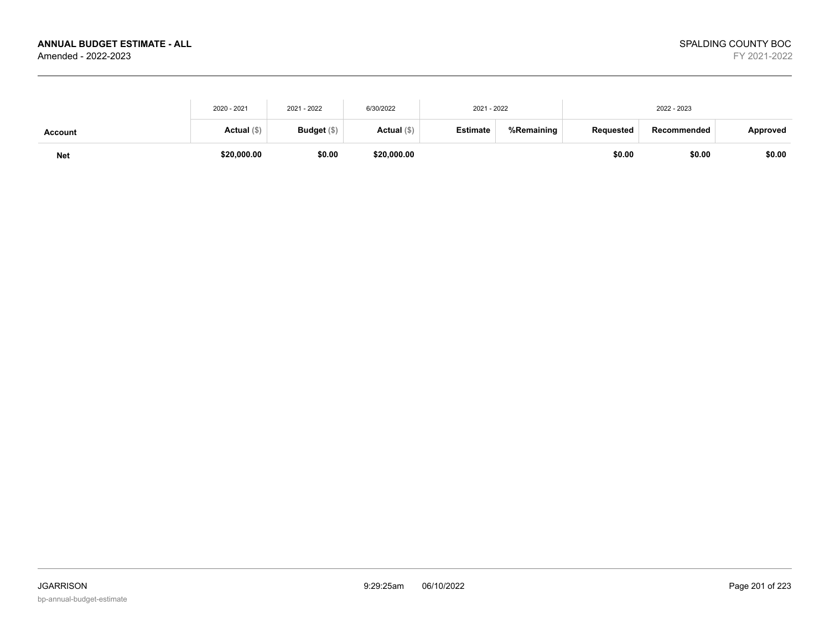| <b>Net</b>     | \$20,000.00 | \$0.00        | \$20,000.00 |                 |            | \$0.00    | \$0.00      | \$0.00   |
|----------------|-------------|---------------|-------------|-----------------|------------|-----------|-------------|----------|
| <b>Account</b> | Actual (\$) | Budget $(\$)$ | Actual (\$) | <b>Estimate</b> | %Remaining | Reauested | Recommended | Approved |
|                | 2020 - 2021 | 2021 - 2022   | 6/30/2022   | 2021 - 2022     |            |           | 2022 - 2023 |          |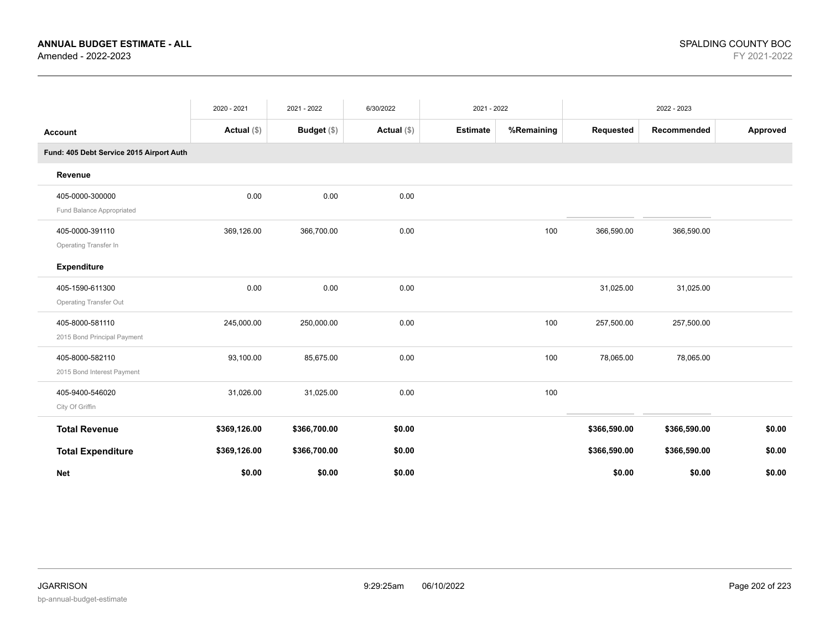|                                          | 2020 - 2021   | 2021 - 2022        | 6/30/2022     | 2021 - 2022     |            |              | 2022 - 2023  |          |
|------------------------------------------|---------------|--------------------|---------------|-----------------|------------|--------------|--------------|----------|
| <b>Account</b>                           | Actual $(\$)$ | <b>Budget</b> (\$) | Actual $(\$)$ | <b>Estimate</b> | %Remaining | Requested    | Recommended  | Approved |
| Fund: 405 Debt Service 2015 Airport Auth |               |                    |               |                 |            |              |              |          |
| Revenue                                  |               |                    |               |                 |            |              |              |          |
| 405-0000-300000                          | 0.00          | 0.00               | 0.00          |                 |            |              |              |          |
| Fund Balance Appropriated                |               |                    |               |                 |            |              |              |          |
| 405-0000-391110                          | 369,126.00    | 366,700.00         | 0.00          |                 | 100        | 366,590.00   | 366,590.00   |          |
| Operating Transfer In                    |               |                    |               |                 |            |              |              |          |
| <b>Expenditure</b>                       |               |                    |               |                 |            |              |              |          |
| 405-1590-611300                          | 0.00          | 0.00               | 0.00          |                 |            | 31,025.00    | 31,025.00    |          |
| <b>Operating Transfer Out</b>            |               |                    |               |                 |            |              |              |          |
| 405-8000-581110                          | 245,000.00    | 250,000.00         | 0.00          |                 | 100        | 257,500.00   | 257,500.00   |          |
| 2015 Bond Principal Payment              |               |                    |               |                 |            |              |              |          |
| 405-8000-582110                          | 93,100.00     | 85,675.00          | 0.00          |                 | 100        | 78,065.00    | 78,065.00    |          |
| 2015 Bond Interest Payment               |               |                    |               |                 |            |              |              |          |
| 405-9400-546020                          | 31,026.00     | 31,025.00          | 0.00          |                 | 100        |              |              |          |
| City Of Griffin                          |               |                    |               |                 |            |              |              |          |
| <b>Total Revenue</b>                     | \$369,126.00  | \$366,700.00       | \$0.00        |                 |            | \$366,590.00 | \$366,590.00 | \$0.00   |
| <b>Total Expenditure</b>                 | \$369,126.00  | \$366,700.00       | \$0.00        |                 |            | \$366,590.00 | \$366,590.00 | \$0.00   |
| <b>Net</b>                               | \$0.00        | \$0.00             | \$0.00        |                 |            | \$0.00       | \$0.00       | \$0.00   |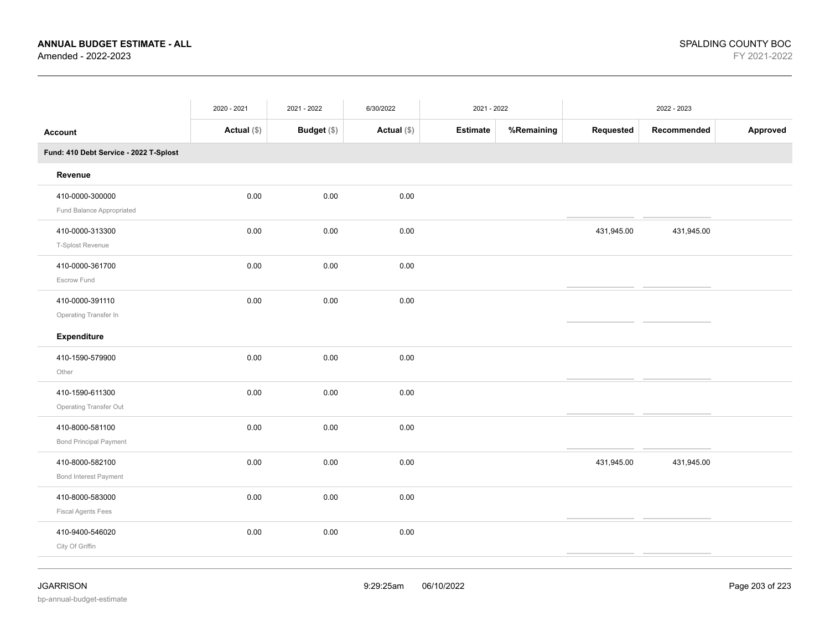|                                                  | 2020 - 2021   | 2021 - 2022 | 6/30/2022     | 2021 - 2022     |            |            | 2022 - 2023 |          |
|--------------------------------------------------|---------------|-------------|---------------|-----------------|------------|------------|-------------|----------|
| <b>Account</b>                                   | Actual $(\$)$ | Budget (\$) | Actual $(\$)$ | <b>Estimate</b> | %Remaining | Requested  | Recommended | Approved |
| Fund: 410 Debt Service - 2022 T-Splost           |               |             |               |                 |            |            |             |          |
| Revenue                                          |               |             |               |                 |            |            |             |          |
| 410-0000-300000<br>Fund Balance Appropriated     | 0.00          | 0.00        | 0.00          |                 |            |            |             |          |
| 410-0000-313300<br>T-Splost Revenue              | 0.00          | 0.00        | 0.00          |                 |            | 431,945.00 | 431,945.00  |          |
| 410-0000-361700<br>Escrow Fund                   | 0.00          | 0.00        | 0.00          |                 |            |            |             |          |
| 410-0000-391110<br>Operating Transfer In         | 0.00          | 0.00        | 0.00          |                 |            |            |             |          |
| Expenditure                                      |               |             |               |                 |            |            |             |          |
| 410-1590-579900<br>Other                         | 0.00          | 0.00        | 0.00          |                 |            |            |             |          |
| 410-1590-611300<br>Operating Transfer Out        | 0.00          | 0.00        | 0.00          |                 |            |            |             |          |
| 410-8000-581100<br><b>Bond Principal Payment</b> | 0.00          | 0.00        | 0.00          |                 |            |            |             |          |
| 410-8000-582100<br>Bond Interest Payment         | 0.00          | 0.00        | 0.00          |                 |            | 431,945.00 | 431,945.00  |          |
| 410-8000-583000<br><b>Fiscal Agents Fees</b>     | 0.00          | 0.00        | 0.00          |                 |            |            |             |          |
| 410-9400-546020<br>City Of Griffin               | 0.00          | 0.00        | 0.00          |                 |            |            |             |          |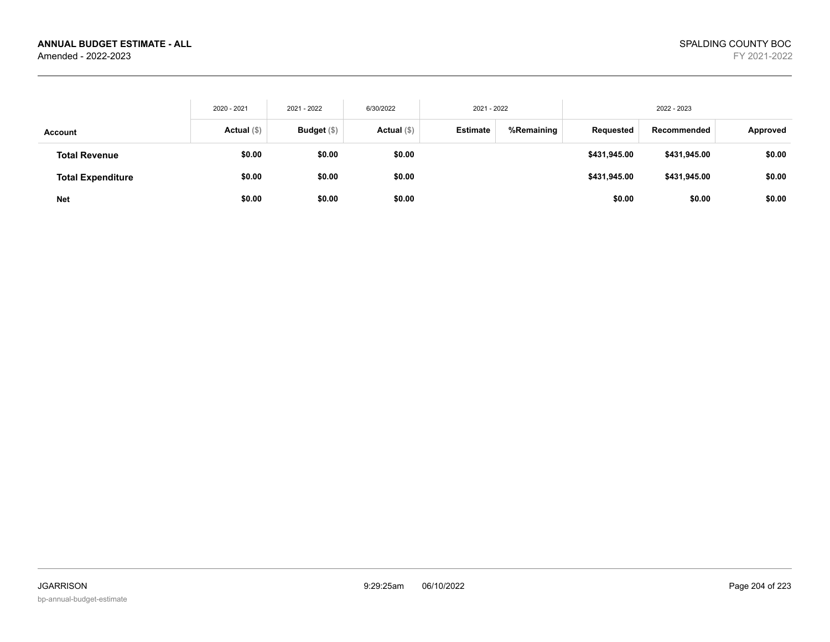|                          | 2020 - 2021 | 2021 - 2022   | 6/30/2022   | 2021 - 2022     |            |              | 2022 - 2023  |          |
|--------------------------|-------------|---------------|-------------|-----------------|------------|--------------|--------------|----------|
| Account                  | Actual (\$) | Budget $(\$)$ | Actual (\$) | <b>Estimate</b> | %Remaining | Requested    | Recommended  | Approved |
| <b>Total Revenue</b>     | \$0.00      | \$0.00        | \$0.00      |                 |            | \$431,945.00 | \$431,945.00 | \$0.00   |
| <b>Total Expenditure</b> | \$0.00      | \$0.00        | \$0.00      |                 |            | \$431,945.00 | \$431,945.00 | \$0.00   |
| <b>Net</b>               | \$0.00      | \$0.00        | \$0.00      |                 |            | \$0.00       | \$0.00       | \$0.00   |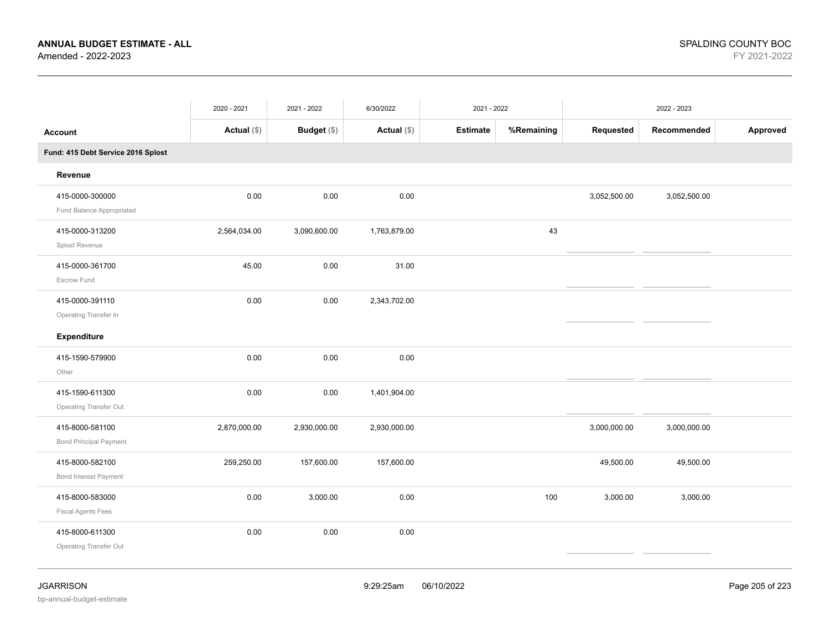|                                                  | 2020 - 2021  | 2021 - 2022        | 6/30/2022    | 2021 - 2022     |            | 2022 - 2023  |              |          |
|--------------------------------------------------|--------------|--------------------|--------------|-----------------|------------|--------------|--------------|----------|
| <b>Account</b>                                   | Actual (\$)  | <b>Budget</b> (\$) | Actual (\$)  | <b>Estimate</b> | %Remaining | Requested    | Recommended  | Approved |
| Fund: 415 Debt Service 2016 Splost               |              |                    |              |                 |            |              |              |          |
| Revenue                                          |              |                    |              |                 |            |              |              |          |
| 415-0000-300000<br>Fund Balance Appropriated     | 0.00         | 0.00               | 0.00         |                 |            | 3,052,500.00 | 3,052,500.00 |          |
| 415-0000-313200<br>Splost Revenue                | 2,564,034.00 | 3,090,600.00       | 1,763,879.00 |                 | 43         |              |              |          |
| 415-0000-361700<br>Escrow Fund                   | 45.00        | 0.00               | 31.00        |                 |            |              |              |          |
| 415-0000-391110<br>Operating Transfer In         | 0.00         | 0.00               | 2,343,702.00 |                 |            |              |              |          |
| Expenditure                                      |              |                    |              |                 |            |              |              |          |
| 415-1590-579900<br>Other                         | 0.00         | 0.00               | 0.00         |                 |            |              |              |          |
| 415-1590-611300<br><b>Operating Transfer Out</b> | 0.00         | 0.00               | 1,401,904.00 |                 |            |              |              |          |
| 415-8000-581100<br><b>Bond Principal Payment</b> | 2,870,000.00 | 2,930,000.00       | 2,930,000.00 |                 |            | 3,000,000.00 | 3,000,000.00 |          |
| 415-8000-582100<br>Bond Interest Payment         | 259,250.00   | 157,600.00         | 157,600.00   |                 |            | 49,500.00    | 49,500.00    |          |
| 415-8000-583000<br><b>Fiscal Agents Fees</b>     | 0.00         | 3,000.00           | 0.00         |                 | 100        | 3,000.00     | 3,000.00     |          |
| 415-8000-611300<br>Operating Transfer Out        | 0.00         | 0.00               | 0.00         |                 |            |              |              |          |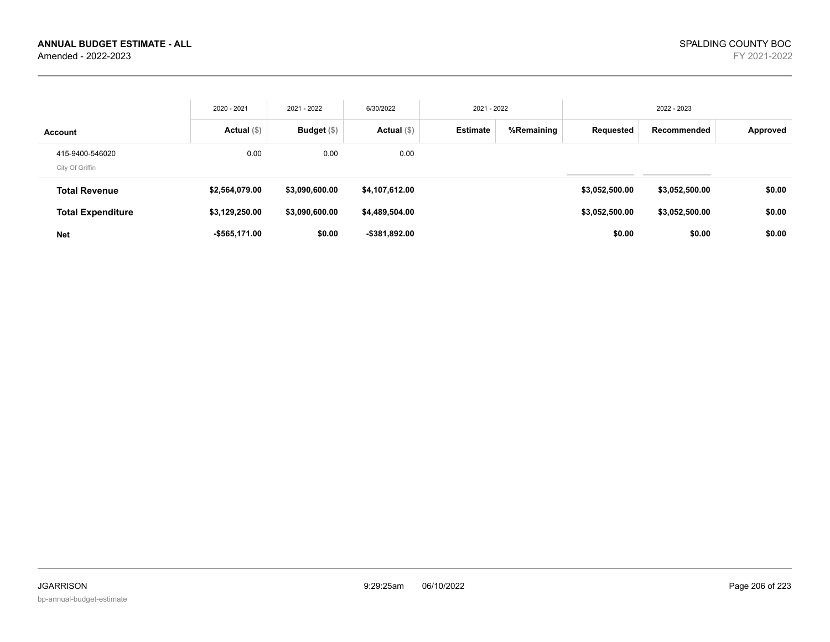|                                    | 2020 - 2021    | 2021 - 2022    | 6/30/2022      | 2021 - 2022     |            |                | 2022 - 2023    |          |
|------------------------------------|----------------|----------------|----------------|-----------------|------------|----------------|----------------|----------|
| <b>Account</b>                     | Actual $(\$)$  | Budget $(\$)$  | Actual $(\$)$  | <b>Estimate</b> | %Remaining | Requested      | Recommended    | Approved |
| 415-9400-546020<br>City Of Griffin | 0.00           | 0.00           | 0.00           |                 |            |                |                |          |
| <b>Total Revenue</b>               | \$2,564,079.00 | \$3,090,600.00 | \$4,107,612.00 |                 |            | \$3,052,500.00 | \$3,052,500.00 | \$0.00   |
| <b>Total Expenditure</b>           | \$3,129,250.00 | \$3,090,600.00 | \$4,489,504.00 |                 |            | \$3,052,500.00 | \$3,052,500.00 | \$0.00   |
| <b>Net</b>                         | -\$565,171.00  | \$0.00         | -\$381.892.00  |                 |            | \$0.00         | \$0.00         | \$0.00   |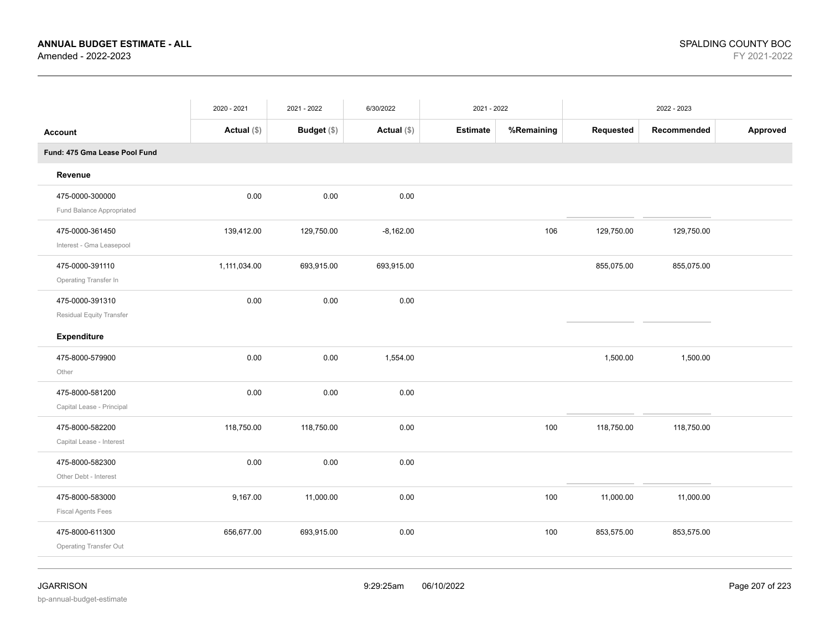|                                              | 2020 - 2021   | 2021 - 2022 | 6/30/2022     | 2021 - 2022     |            | 2022 - 2023 |             |          |
|----------------------------------------------|---------------|-------------|---------------|-----------------|------------|-------------|-------------|----------|
| <b>Account</b>                               | Actual $(\$)$ | Budget (\$) | Actual $(\$)$ | <b>Estimate</b> | %Remaining | Requested   | Recommended | Approved |
| Fund: 475 Gma Lease Pool Fund                |               |             |               |                 |            |             |             |          |
| Revenue                                      |               |             |               |                 |            |             |             |          |
| 475-0000-300000<br>Fund Balance Appropriated | 0.00          | 0.00        | 0.00          |                 |            |             |             |          |
| 475-0000-361450<br>Interest - Gma Leasepool  | 139,412.00    | 129,750.00  | $-8,162.00$   |                 | 106        | 129,750.00  | 129,750.00  |          |
| 475-0000-391110<br>Operating Transfer In     | 1,111,034.00  | 693,915.00  | 693,915.00    |                 |            | 855,075.00  | 855,075.00  |          |
| 475-0000-391310<br>Residual Equity Transfer  | 0.00          | 0.00        | 0.00          |                 |            |             |             |          |
| Expenditure                                  |               |             |               |                 |            |             |             |          |
| 475-8000-579900<br>Other                     | 0.00          | 0.00        | 1,554.00      |                 |            | 1,500.00    | 1,500.00    |          |
| 475-8000-581200<br>Capital Lease - Principal | 0.00          | 0.00        | 0.00          |                 |            |             |             |          |
| 475-8000-582200<br>Capital Lease - Interest  | 118,750.00    | 118,750.00  | 0.00          |                 | 100        | 118,750.00  | 118,750.00  |          |
| 475-8000-582300<br>Other Debt - Interest     | 0.00          | 0.00        | 0.00          |                 |            |             |             |          |
| 475-8000-583000<br><b>Fiscal Agents Fees</b> | 9,167.00      | 11,000.00   | 0.00          |                 | 100        | 11,000.00   | 11,000.00   |          |
| 475-8000-611300<br>Operating Transfer Out    | 656,677.00    | 693,915.00  | 0.00          |                 | 100        | 853,575.00  | 853,575.00  |          |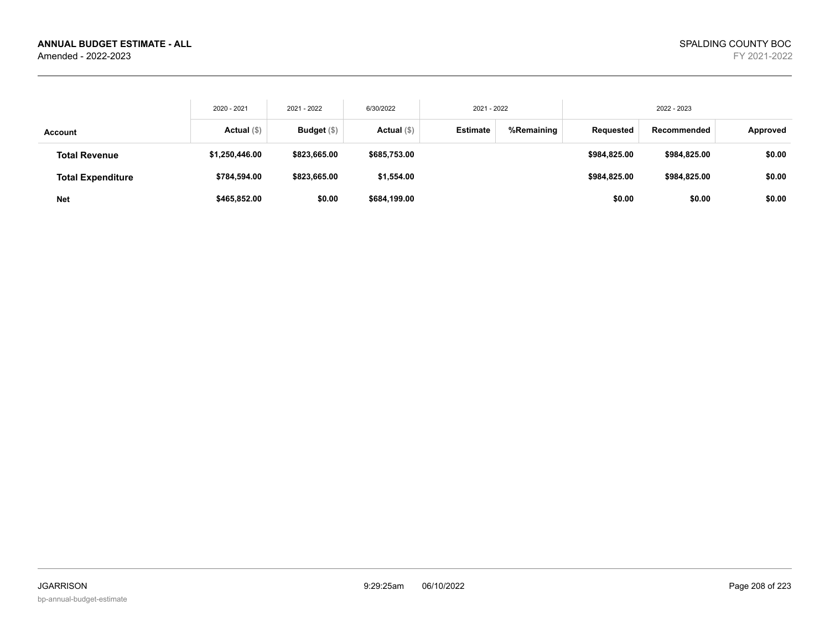|                          | 2020 - 2021    | 2021 - 2022   | 6/30/2022    | 2021 - 2022     |            | 2022 - 2023  |              |          |
|--------------------------|----------------|---------------|--------------|-----------------|------------|--------------|--------------|----------|
| Account                  | Actual (\$)    | Budget $(\$)$ | Actual (\$)  | <b>Estimate</b> | %Remaining | Requested    | Recommended  | Approved |
| <b>Total Revenue</b>     | \$1,250,446.00 | \$823,665.00  | \$685,753.00 |                 |            | \$984,825.00 | \$984,825.00 | \$0.00   |
| <b>Total Expenditure</b> | \$784,594.00   | \$823,665.00  | \$1,554.00   |                 |            | \$984,825.00 | \$984,825.00 | \$0.00   |
| <b>Net</b>               | \$465,852.00   | \$0.00        | \$684,199.00 |                 |            | \$0.00       | \$0.00       | \$0.00   |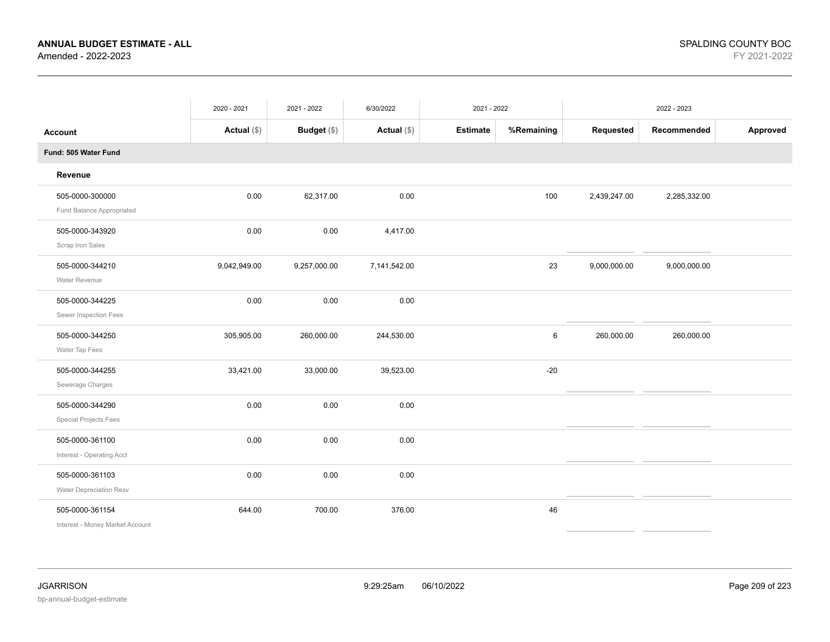|                                                    | 2020 - 2021   | 2021 - 2022  | 6/30/2022     | 2021 - 2022     |            | 2022 - 2023  |              |          |
|----------------------------------------------------|---------------|--------------|---------------|-----------------|------------|--------------|--------------|----------|
| <b>Account</b>                                     | Actual $(\$)$ | Budget (\$)  | Actual $(\$)$ | <b>Estimate</b> | %Remaining | Requested    | Recommended  | Approved |
| Fund: 505 Water Fund                               |               |              |               |                 |            |              |              |          |
| Revenue                                            |               |              |               |                 |            |              |              |          |
| 505-0000-300000<br>Fund Balance Appropriated       | 0.00          | 62,317.00    | 0.00          |                 | 100        | 2,439,247.00 | 2,285,332.00 |          |
| 505-0000-343920<br>Scrap Iron Sales                | 0.00          | 0.00         | 4,417.00      |                 |            |              |              |          |
| 505-0000-344210<br>Water Revenue                   | 9,042,949.00  | 9,257,000.00 | 7,141,542.00  |                 | 23         | 9,000,000.00 | 9,000,000.00 |          |
| 505-0000-344225<br>Sewer Inspection Fees           | 0.00          | 0.00         | 0.00          |                 |            |              |              |          |
| 505-0000-344250<br>Water Tap Fees                  | 305,905.00    | 260,000.00   | 244,530.00    |                 | 6          | 260,000.00   | 260,000.00   |          |
| 505-0000-344255<br>Sewerage Charges                | 33,421.00     | 33,000.00    | 39,523.00     |                 | $-20$      |              |              |          |
| 505-0000-344290<br><b>Special Projects Fees</b>    | 0.00          | 0.00         | 0.00          |                 |            |              |              |          |
| 505-0000-361100<br>Interest - Operating Acct       | 0.00          | 0.00         | 0.00          |                 |            |              |              |          |
| 505-0000-361103<br>Water Depreciation Resv         | 0.00          | 0.00         | 0.00          |                 |            |              |              |          |
| 505-0000-361154<br>Interest - Money Market Account | 644.00        | 700.00       | 376.00        |                 | 46         |              |              |          |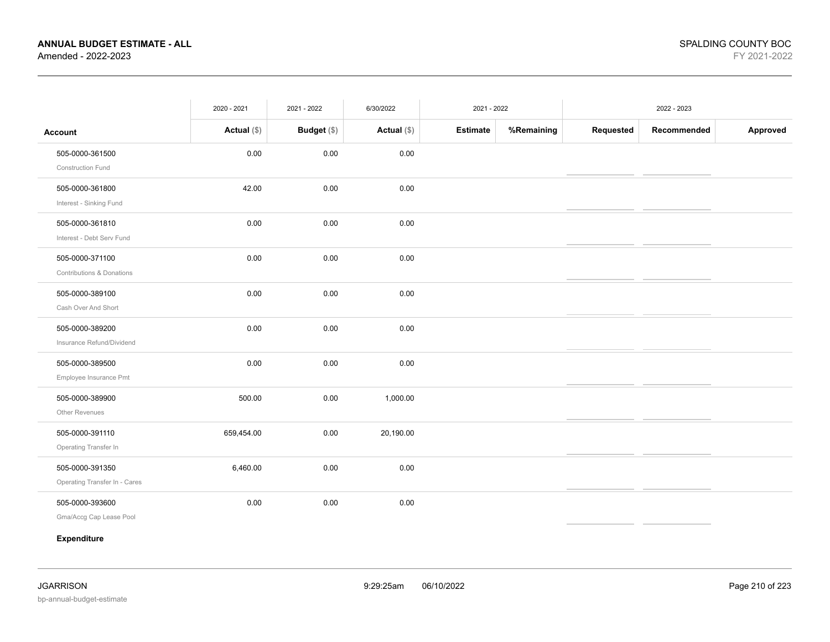|                               | 2020 - 2021   | 2021 - 2022 | 6/30/2022   | 2021 - 2022 |            | 2022 - 2023 |             |          |
|-------------------------------|---------------|-------------|-------------|-------------|------------|-------------|-------------|----------|
| <b>Account</b>                | Actual $(\$)$ | Budget (\$) | Actual (\$) | Estimate    | %Remaining | Requested   | Recommended | Approved |
| 505-0000-361500               | 0.00          | 0.00        | 0.00        |             |            |             |             |          |
| Construction Fund             |               |             |             |             |            |             |             |          |
| 505-0000-361800               | 42.00         | 0.00        | 0.00        |             |            |             |             |          |
| Interest - Sinking Fund       |               |             |             |             |            |             |             |          |
| 505-0000-361810               | 0.00          | 0.00        | 0.00        |             |            |             |             |          |
| Interest - Debt Serv Fund     |               |             |             |             |            |             |             |          |
| 505-0000-371100               | 0.00          | 0.00        | 0.00        |             |            |             |             |          |
| Contributions & Donations     |               |             |             |             |            |             |             |          |
| 505-0000-389100               | 0.00          | 0.00        | 0.00        |             |            |             |             |          |
| Cash Over And Short           |               |             |             |             |            |             |             |          |
| 505-0000-389200               | 0.00          | 0.00        | 0.00        |             |            |             |             |          |
| Insurance Refund/Dividend     |               |             |             |             |            |             |             |          |
| 505-0000-389500               | 0.00          | 0.00        | 0.00        |             |            |             |             |          |
| Employee Insurance Pmt        |               |             |             |             |            |             |             |          |
| 505-0000-389900               | 500.00        | 0.00        | 1,000.00    |             |            |             |             |          |
| Other Revenues                |               |             |             |             |            |             |             |          |
| 505-0000-391110               | 659,454.00    | 0.00        | 20,190.00   |             |            |             |             |          |
| Operating Transfer In         |               |             |             |             |            |             |             |          |
| 505-0000-391350               | 6,460.00      | 0.00        | 0.00        |             |            |             |             |          |
| Operating Transfer In - Cares |               |             |             |             |            |             |             |          |
| 505-0000-393600               | 0.00          | 0.00        | 0.00        |             |            |             |             |          |
| Gma/Accg Cap Lease Pool       |               |             |             |             |            |             |             |          |
| Expenditure                   |               |             |             |             |            |             |             |          |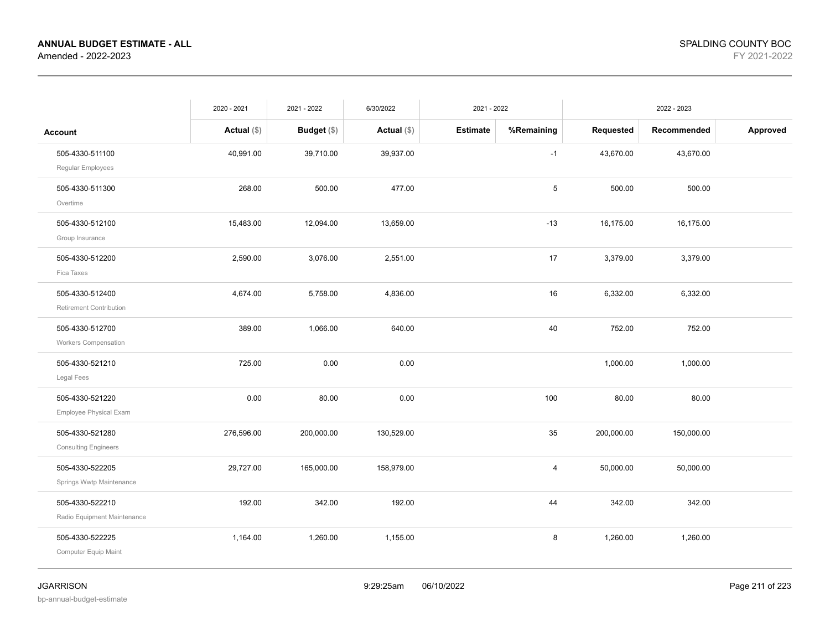|                                                | 2020 - 2021   | 2021 - 2022   | 6/30/2022     | 2021 - 2022     |            | 2022 - 2023 |             |          |
|------------------------------------------------|---------------|---------------|---------------|-----------------|------------|-------------|-------------|----------|
| <b>Account</b>                                 | Actual $(\$)$ | Budget $(\$)$ | Actual $(\$)$ | <b>Estimate</b> | %Remaining | Requested   | Recommended | Approved |
| 505-4330-511100<br>Regular Employees           | 40,991.00     | 39,710.00     | 39,937.00     |                 | $-1$       | 43,670.00   | 43,670.00   |          |
| 505-4330-511300<br>Overtime                    | 268.00        | 500.00        | 477.00        |                 | 5          | 500.00      | 500.00      |          |
| 505-4330-512100<br>Group Insurance             | 15,483.00     | 12,094.00     | 13,659.00     |                 | $-13$      | 16,175.00   | 16,175.00   |          |
| 505-4330-512200<br>Fica Taxes                  | 2,590.00      | 3,076.00      | 2,551.00      |                 | 17         | 3,379.00    | 3,379.00    |          |
| 505-4330-512400<br>Retirement Contribution     | 4,674.00      | 5,758.00      | 4,836.00      |                 | 16         | 6,332.00    | 6,332.00    |          |
| 505-4330-512700<br><b>Workers Compensation</b> | 389.00        | 1,066.00      | 640.00        |                 | 40         | 752.00      | 752.00      |          |
| 505-4330-521210<br>Legal Fees                  | 725.00        | 0.00          | 0.00          |                 |            | 1,000.00    | 1,000.00    |          |
| 505-4330-521220<br>Employee Physical Exam      | 0.00          | 80.00         | 0.00          |                 | 100        | 80.00       | 80.00       |          |
| 505-4330-521280<br><b>Consulting Engineers</b> | 276,596.00    | 200,000.00    | 130,529.00    |                 | 35         | 200,000.00  | 150,000.00  |          |
| 505-4330-522205<br>Springs Wwtp Maintenance    | 29,727.00     | 165,000.00    | 158,979.00    |                 | 4          | 50,000.00   | 50,000.00   |          |
| 505-4330-522210<br>Radio Equipment Maintenance | 192.00        | 342.00        | 192.00        |                 | 44         | 342.00      | 342.00      |          |
| 505-4330-522225<br>Computer Equip Maint        | 1,164.00      | 1,260.00      | 1,155.00      |                 | 8          | 1,260.00    | 1,260.00    |          |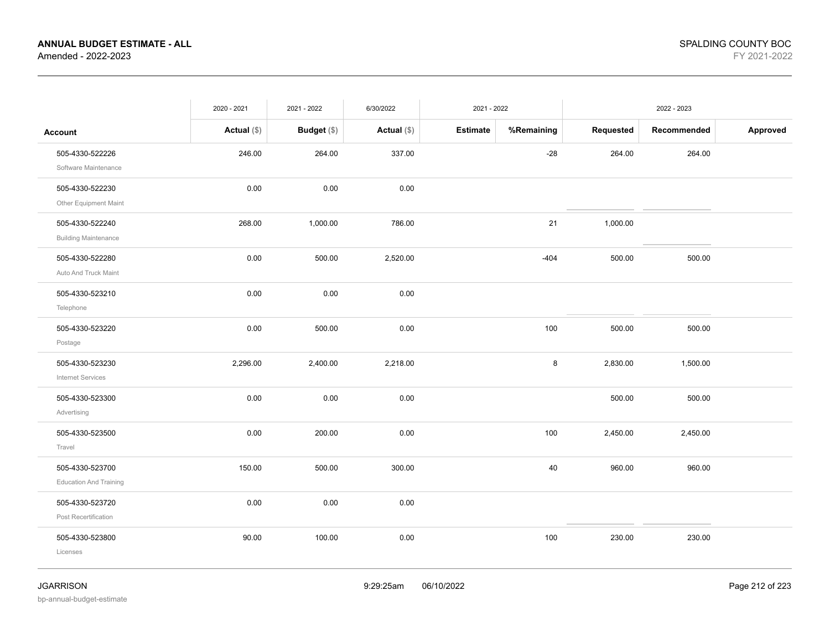|                                                  | 2020 - 2021   | 2021 - 2022 | 6/30/2022     | 2021 - 2022     |            | 2022 - 2023 |             |          |
|--------------------------------------------------|---------------|-------------|---------------|-----------------|------------|-------------|-------------|----------|
| <b>Account</b>                                   | Actual $(\$)$ | Budget (\$) | Actual $(\$)$ | <b>Estimate</b> | %Remaining | Requested   | Recommended | Approved |
| 505-4330-522226<br>Software Maintenance          | 246.00        | 264.00      | 337.00        |                 | $-28$      | 264.00      | 264.00      |          |
| 505-4330-522230<br>Other Equipment Maint         | 0.00          | 0.00        | 0.00          |                 |            |             |             |          |
| 505-4330-522240<br><b>Building Maintenance</b>   | 268.00        | 1,000.00    | 786.00        |                 | 21         | 1,000.00    |             |          |
| 505-4330-522280<br>Auto And Truck Maint          | 0.00          | 500.00      | 2,520.00      |                 | $-404$     | 500.00      | 500.00      |          |
| 505-4330-523210<br>Telephone                     | 0.00          | 0.00        | 0.00          |                 |            |             |             |          |
| 505-4330-523220<br>Postage                       | 0.00          | 500.00      | 0.00          |                 | 100        | 500.00      | 500.00      |          |
| 505-4330-523230<br>Internet Services             | 2,296.00      | 2,400.00    | 2,218.00      |                 | 8          | 2,830.00    | 1,500.00    |          |
| 505-4330-523300<br>Advertising                   | 0.00          | 0.00        | 0.00          |                 |            | 500.00      | 500.00      |          |
| 505-4330-523500<br>Travel                        | 0.00          | 200.00      | 0.00          |                 | 100        | 2,450.00    | 2,450.00    |          |
| 505-4330-523700<br><b>Education And Training</b> | 150.00        | 500.00      | 300.00        |                 | 40         | 960.00      | 960.00      |          |
| 505-4330-523720<br>Post Recertification          | 0.00          | $0.00\,$    | 0.00          |                 |            |             |             |          |
| 505-4330-523800<br>Licenses                      | 90.00         | 100.00      | 0.00          |                 | 100        | 230.00      | 230.00      |          |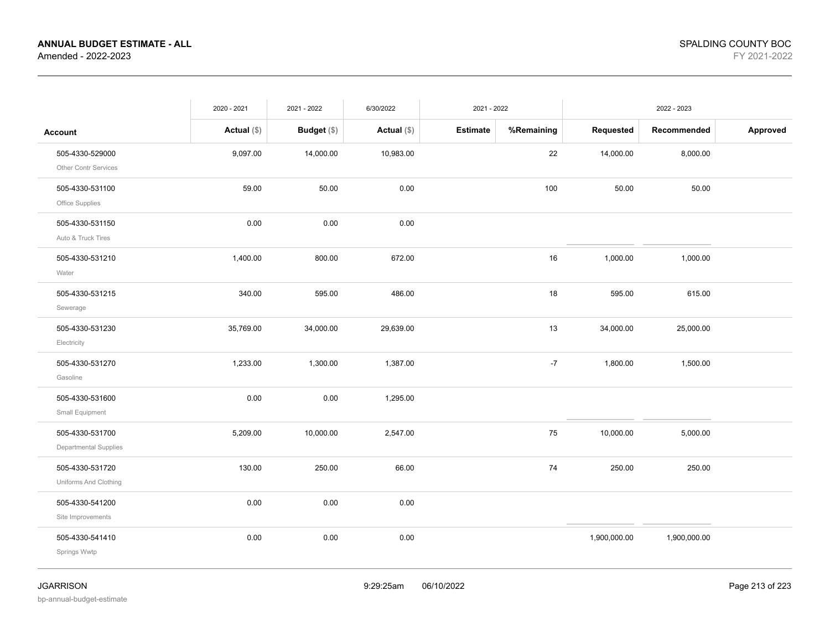|                                          | 2020 - 2021   | 2021 - 2022        | 6/30/2022     | 2021 - 2022     |            | 2022 - 2023  |              |          |
|------------------------------------------|---------------|--------------------|---------------|-----------------|------------|--------------|--------------|----------|
| <b>Account</b>                           | Actual $(\$)$ | <b>Budget</b> (\$) | Actual $(\$)$ | <b>Estimate</b> | %Remaining | Requested    | Recommended  | Approved |
| 505-4330-529000<br>Other Contr Services  | 9,097.00      | 14,000.00          | 10,983.00     |                 | 22         | 14,000.00    | 8,000.00     |          |
| 505-4330-531100<br>Office Supplies       | 59.00         | 50.00              | 0.00          |                 | 100        | 50.00        | 50.00        |          |
| 505-4330-531150<br>Auto & Truck Tires    | 0.00          | 0.00               | 0.00          |                 |            |              |              |          |
| 505-4330-531210<br>Water                 | 1,400.00      | 800.00             | 672.00        |                 | 16         | 1,000.00     | 1,000.00     |          |
| 505-4330-531215<br>Sewerage              | 340.00        | 595.00             | 486.00        |                 | 18         | 595.00       | 615.00       |          |
| 505-4330-531230<br>Electricity           | 35,769.00     | 34,000.00          | 29,639.00     |                 | 13         | 34,000.00    | 25,000.00    |          |
| 505-4330-531270<br>Gasoline              | 1,233.00      | 1,300.00           | 1,387.00      |                 | $-7$       | 1,800.00     | 1,500.00     |          |
| 505-4330-531600<br>Small Equipment       | 0.00          | 0.00               | 1,295.00      |                 |            |              |              |          |
| 505-4330-531700<br>Departmental Supplies | 5,209.00      | 10,000.00          | 2,547.00      |                 | 75         | 10,000.00    | 5,000.00     |          |
| 505-4330-531720<br>Uniforms And Clothing | 130.00        | 250.00             | 66.00         |                 | 74         | 250.00       | 250.00       |          |
| 505-4330-541200<br>Site Improvements     | 0.00          | 0.00               | 0.00          |                 |            |              |              |          |
| 505-4330-541410<br>Springs Wwtp          | 0.00          | 0.00               | 0.00          |                 |            | 1,900,000.00 | 1,900,000.00 |          |

bp-annual-budget-estimate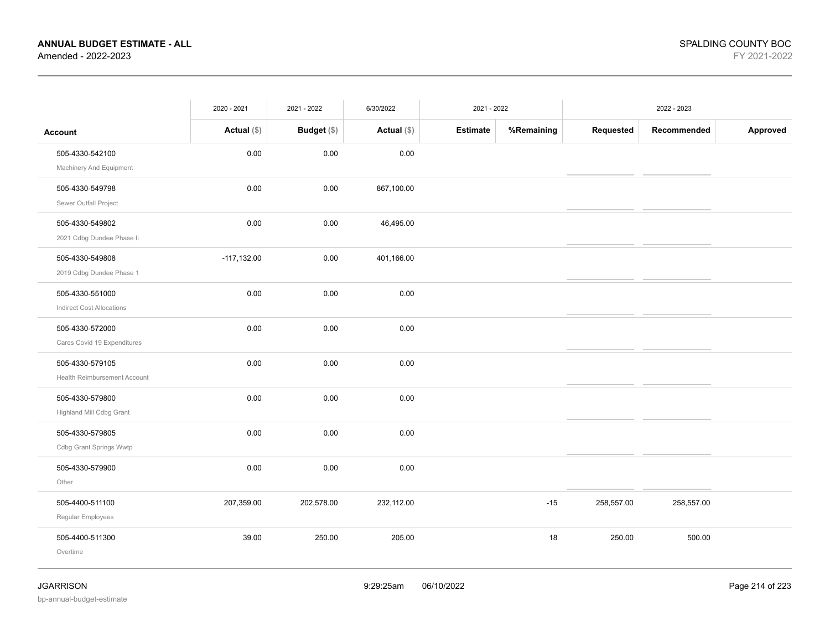|                                  | 2020 - 2021   | 2021 - 2022        | 6/30/2022     | 2021 - 2022     |            |            |             |          |
|----------------------------------|---------------|--------------------|---------------|-----------------|------------|------------|-------------|----------|
| <b>Account</b>                   | Actual $(\$)$ | <b>Budget</b> (\$) | Actual $(\$)$ | <b>Estimate</b> | %Remaining | Requested  | Recommended | Approved |
| 505-4330-542100                  | 0.00          | 0.00               | 0.00          |                 |            |            |             |          |
| Machinery And Equipment          |               |                    |               |                 |            |            |             |          |
| 505-4330-549798                  | 0.00          | 0.00               | 867,100.00    |                 |            |            |             |          |
| Sewer Outfall Project            |               |                    |               |                 |            |            |             |          |
| 505-4330-549802                  | 0.00          | 0.00               | 46,495.00     |                 |            |            |             |          |
| 2021 Cdbg Dundee Phase li        |               |                    |               |                 |            |            |             |          |
| 505-4330-549808                  | $-117,132.00$ | 0.00               | 401,166.00    |                 |            |            |             |          |
| 2019 Cdbg Dundee Phase 1         |               |                    |               |                 |            |            |             |          |
| 505-4330-551000                  | 0.00          | 0.00               | 0.00          |                 |            |            |             |          |
| <b>Indirect Cost Allocations</b> |               |                    |               |                 |            |            |             |          |
| 505-4330-572000                  | 0.00          | 0.00               | 0.00          |                 |            |            |             |          |
| Cares Covid 19 Expenditures      |               |                    |               |                 |            |            |             |          |
| 505-4330-579105                  | 0.00          | 0.00               | 0.00          |                 |            |            |             |          |
| Health Reimbursement Account     |               |                    |               |                 |            |            |             |          |
| 505-4330-579800                  | 0.00          | 0.00               | 0.00          |                 |            |            |             |          |
| Highland Mill Cdbg Grant         |               |                    |               |                 |            |            |             |          |
| 505-4330-579805                  | 0.00          | 0.00               | 0.00          |                 |            |            |             |          |
| Cdbg Grant Springs Wwtp          |               |                    |               |                 |            |            |             |          |
| 505-4330-579900                  | 0.00          | 0.00               | 0.00          |                 |            |            |             |          |
| Other                            |               |                    |               |                 |            |            |             |          |
| 505-4400-511100                  | 207,359.00    | 202,578.00         | 232,112.00    |                 | $-15$      | 258,557.00 | 258,557.00  |          |
| Regular Employees                |               |                    |               |                 |            |            |             |          |
| 505-4400-511300                  | 39.00         | 250.00             | 205.00        |                 | 18         | 250.00     | 500.00      |          |
| Overtime                         |               |                    |               |                 |            |            |             |          |
|                                  |               |                    |               |                 |            |            |             |          |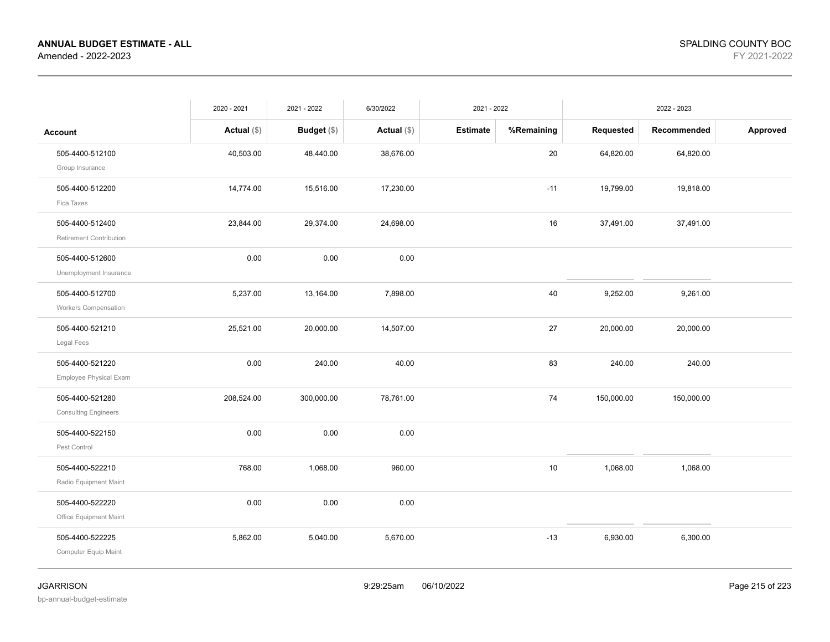|                             | 2020 - 2021   | 2021 - 2022        | 6/30/2022     | 2021 - 2022     |            | 2022 - 2023 |             |          |
|-----------------------------|---------------|--------------------|---------------|-----------------|------------|-------------|-------------|----------|
| Account                     | Actual $(\$)$ | <b>Budget</b> (\$) | Actual $(\$)$ | <b>Estimate</b> | %Remaining | Requested   | Recommended | Approved |
| 505-4400-512100             | 40,503.00     | 48,440.00          | 38,676.00     |                 | 20         | 64,820.00   | 64,820.00   |          |
| Group Insurance             |               |                    |               |                 |            |             |             |          |
| 505-4400-512200             | 14,774.00     | 15,516.00          | 17,230.00     |                 | $-11$      | 19,799.00   | 19,818.00   |          |
| Fica Taxes                  |               |                    |               |                 |            |             |             |          |
| 505-4400-512400             | 23,844.00     | 29,374.00          | 24,698.00     |                 | 16         | 37,491.00   | 37,491.00   |          |
| Retirement Contribution     |               |                    |               |                 |            |             |             |          |
| 505-4400-512600             | 0.00          | 0.00               | 0.00          |                 |            |             |             |          |
| Unemployment Insurance      |               |                    |               |                 |            |             |             |          |
| 505-4400-512700             | 5,237.00      | 13,164.00          | 7,898.00      |                 | 40         | 9,252.00    | 9,261.00    |          |
| <b>Workers Compensation</b> |               |                    |               |                 |            |             |             |          |
| 505-4400-521210             | 25,521.00     | 20,000.00          | 14,507.00     |                 | 27         | 20,000.00   | 20,000.00   |          |
| Legal Fees                  |               |                    |               |                 |            |             |             |          |
| 505-4400-521220             | 0.00          | 240.00             | 40.00         |                 | 83         | 240.00      | 240.00      |          |
| Employee Physical Exam      |               |                    |               |                 |            |             |             |          |
| 505-4400-521280             | 208,524.00    | 300,000.00         | 78,761.00     |                 | 74         | 150,000.00  | 150,000.00  |          |
| <b>Consulting Engineers</b> |               |                    |               |                 |            |             |             |          |
| 505-4400-522150             | 0.00          | 0.00               | 0.00          |                 |            |             |             |          |
| Pest Control                |               |                    |               |                 |            |             |             |          |
| 505-4400-522210             | 768.00        | 1,068.00           | 960.00        |                 | 10         | 1,068.00    | 1,068.00    |          |
| Radio Equipment Maint       |               |                    |               |                 |            |             |             |          |
| 505-4400-522220             | 0.00          | 0.00               | 0.00          |                 |            |             |             |          |
| Office Equipment Maint      |               |                    |               |                 |            |             |             |          |
| 505-4400-522225             | 5,862.00      | 5,040.00           | 5,670.00      |                 | $-13$      | 6,930.00    | 6,300.00    |          |
| Computer Equip Maint        |               |                    |               |                 |            |             |             |          |
|                             |               |                    |               |                 |            |             |             |          |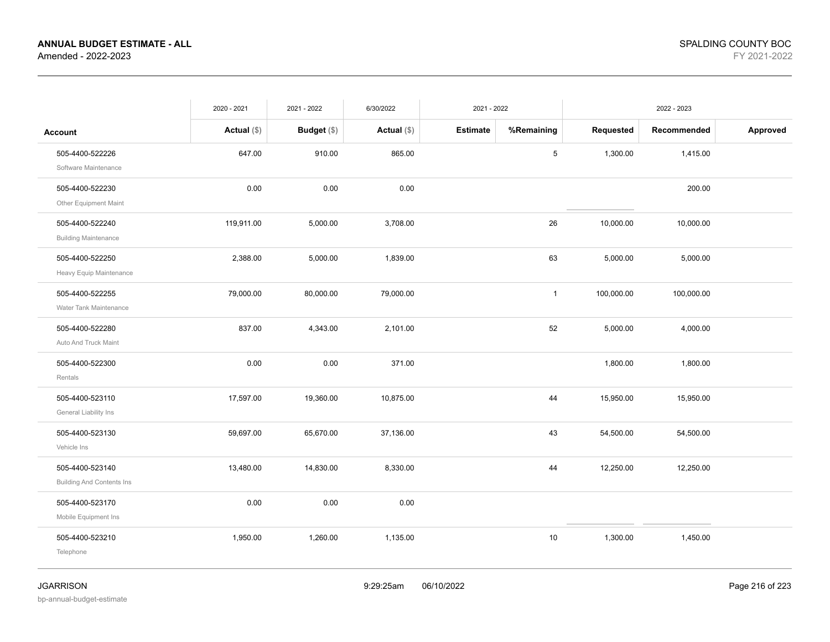| <b>Estimate</b><br>%Remaining<br>Requested<br>Actual $(\$)$<br>Budget (\$)<br>Actual $(\$)$<br>Recommended<br><b>Account</b><br>505-4400-522226<br>647.00<br>910.00<br>865.00<br>5<br>1,300.00<br>1,415.00<br>Software Maintenance<br>505-4400-522230<br>0.00<br>0.00<br>0.00<br>200.00<br>Other Equipment Maint<br>119,911.00<br>5,000.00<br>3,708.00<br>10,000.00<br>10,000.00<br>505-4400-522240<br>26<br><b>Building Maintenance</b><br>63<br>505-4400-522250<br>2,388.00<br>5,000.00<br>1,839.00<br>5,000.00<br>5,000.00<br>Heavy Equip Maintenance<br>505-4400-522255<br>79,000.00<br>79,000.00<br>80,000.00<br>$\mathbf{1}$<br>100,000.00<br>100,000.00<br>Water Tank Maintenance<br>505-4400-522280<br>837.00<br>4,343.00<br>52<br>2,101.00<br>5,000.00<br>4,000.00<br>Auto And Truck Maint<br>0.00<br>0.00<br>371.00<br>1,800.00<br>1,800.00<br>505-4400-522300<br>Rentals<br>44<br>17,597.00<br>19,360.00<br>10,875.00<br>505-4400-523110<br>15,950.00<br>15,950.00<br>General Liability Ins<br>43<br>505-4400-523130<br>59,697.00<br>65,670.00<br>37,136.00<br>54,500.00<br>54,500.00<br>Vehicle Ins<br>505-4400-523140<br>13,480.00<br>14,830.00<br>8,330.00<br>44<br>12,250.00<br>12,250.00<br><b>Building And Contents Ins</b><br>0.00<br>0.00<br>0.00<br>505-4400-523170<br>Mobile Equipment Ins<br>1,260.00<br>1,135.00<br>$10$<br>505-4400-523210<br>1,950.00<br>1,300.00<br>1,450.00 |           | 2020 - 2021 | 2021 - 2022 | 6/30/2022 | 2021 - 2022 | 2022 - 2023 |  |          |
|--------------------------------------------------------------------------------------------------------------------------------------------------------------------------------------------------------------------------------------------------------------------------------------------------------------------------------------------------------------------------------------------------------------------------------------------------------------------------------------------------------------------------------------------------------------------------------------------------------------------------------------------------------------------------------------------------------------------------------------------------------------------------------------------------------------------------------------------------------------------------------------------------------------------------------------------------------------------------------------------------------------------------------------------------------------------------------------------------------------------------------------------------------------------------------------------------------------------------------------------------------------------------------------------------------------------------------------------------------------------------------------------------------|-----------|-------------|-------------|-----------|-------------|-------------|--|----------|
|                                                                                                                                                                                                                                                                                                                                                                                                                                                                                                                                                                                                                                                                                                                                                                                                                                                                                                                                                                                                                                                                                                                                                                                                                                                                                                                                                                                                        |           |             |             |           |             |             |  | Approved |
|                                                                                                                                                                                                                                                                                                                                                                                                                                                                                                                                                                                                                                                                                                                                                                                                                                                                                                                                                                                                                                                                                                                                                                                                                                                                                                                                                                                                        |           |             |             |           |             |             |  |          |
|                                                                                                                                                                                                                                                                                                                                                                                                                                                                                                                                                                                                                                                                                                                                                                                                                                                                                                                                                                                                                                                                                                                                                                                                                                                                                                                                                                                                        |           |             |             |           |             |             |  |          |
|                                                                                                                                                                                                                                                                                                                                                                                                                                                                                                                                                                                                                                                                                                                                                                                                                                                                                                                                                                                                                                                                                                                                                                                                                                                                                                                                                                                                        |           |             |             |           |             |             |  |          |
|                                                                                                                                                                                                                                                                                                                                                                                                                                                                                                                                                                                                                                                                                                                                                                                                                                                                                                                                                                                                                                                                                                                                                                                                                                                                                                                                                                                                        |           |             |             |           |             |             |  |          |
|                                                                                                                                                                                                                                                                                                                                                                                                                                                                                                                                                                                                                                                                                                                                                                                                                                                                                                                                                                                                                                                                                                                                                                                                                                                                                                                                                                                                        |           |             |             |           |             |             |  |          |
|                                                                                                                                                                                                                                                                                                                                                                                                                                                                                                                                                                                                                                                                                                                                                                                                                                                                                                                                                                                                                                                                                                                                                                                                                                                                                                                                                                                                        |           |             |             |           |             |             |  |          |
|                                                                                                                                                                                                                                                                                                                                                                                                                                                                                                                                                                                                                                                                                                                                                                                                                                                                                                                                                                                                                                                                                                                                                                                                                                                                                                                                                                                                        |           |             |             |           |             |             |  |          |
|                                                                                                                                                                                                                                                                                                                                                                                                                                                                                                                                                                                                                                                                                                                                                                                                                                                                                                                                                                                                                                                                                                                                                                                                                                                                                                                                                                                                        |           |             |             |           |             |             |  |          |
|                                                                                                                                                                                                                                                                                                                                                                                                                                                                                                                                                                                                                                                                                                                                                                                                                                                                                                                                                                                                                                                                                                                                                                                                                                                                                                                                                                                                        |           |             |             |           |             |             |  |          |
|                                                                                                                                                                                                                                                                                                                                                                                                                                                                                                                                                                                                                                                                                                                                                                                                                                                                                                                                                                                                                                                                                                                                                                                                                                                                                                                                                                                                        |           |             |             |           |             |             |  |          |
|                                                                                                                                                                                                                                                                                                                                                                                                                                                                                                                                                                                                                                                                                                                                                                                                                                                                                                                                                                                                                                                                                                                                                                                                                                                                                                                                                                                                        |           |             |             |           |             |             |  |          |
|                                                                                                                                                                                                                                                                                                                                                                                                                                                                                                                                                                                                                                                                                                                                                                                                                                                                                                                                                                                                                                                                                                                                                                                                                                                                                                                                                                                                        | Telephone |             |             |           |             |             |  |          |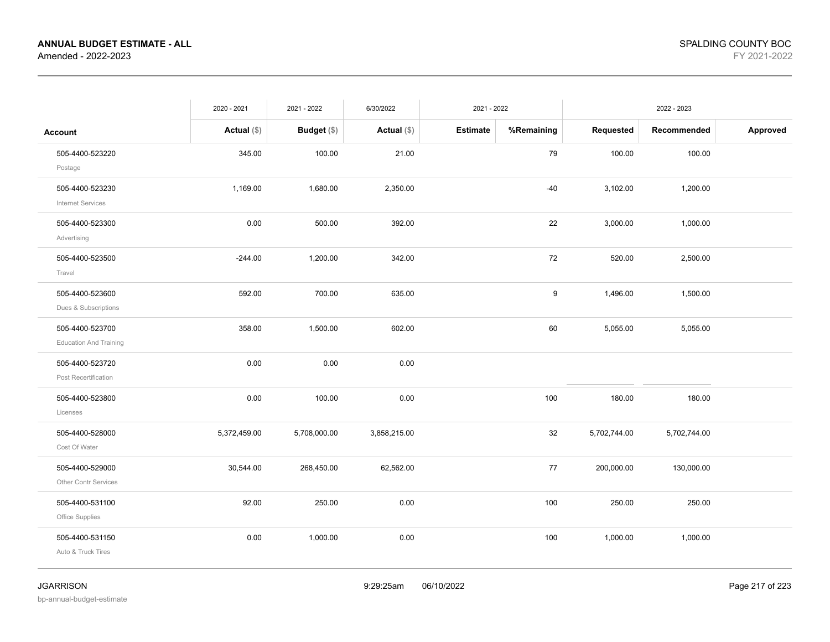|                                                  | 2020 - 2021   | 2021 - 2022   | 6/30/2022     | 2021 - 2022     |            | 2022 - 2023  |              |          |
|--------------------------------------------------|---------------|---------------|---------------|-----------------|------------|--------------|--------------|----------|
| <b>Account</b>                                   | Actual $(\$)$ | Budget $(\$)$ | Actual $(\$)$ | <b>Estimate</b> | %Remaining | Requested    | Recommended  | Approved |
| 505-4400-523220<br>Postage                       | 345.00        | 100.00        | 21.00         |                 | 79         | 100.00       | 100.00       |          |
| 505-4400-523230<br><b>Internet Services</b>      | 1,169.00      | 1,680.00      | 2,350.00      |                 | $-40$      | 3,102.00     | 1,200.00     |          |
| 505-4400-523300<br>Advertising                   | 0.00          | 500.00        | 392.00        |                 | 22         | 3,000.00     | 1,000.00     |          |
| 505-4400-523500<br>Travel                        | $-244.00$     | 1,200.00      | 342.00        |                 | 72         | 520.00       | 2,500.00     |          |
| 505-4400-523600<br>Dues & Subscriptions          | 592.00        | 700.00        | 635.00        |                 | 9          | 1,496.00     | 1,500.00     |          |
| 505-4400-523700<br><b>Education And Training</b> | 358.00        | 1,500.00      | 602.00        |                 | 60         | 5,055.00     | 5,055.00     |          |
| 505-4400-523720<br>Post Recertification          | 0.00          | 0.00          | 0.00          |                 |            |              |              |          |
| 505-4400-523800<br>Licenses                      | 0.00          | 100.00        | 0.00          |                 | 100        | 180.00       | 180.00       |          |
| 505-4400-528000<br>Cost Of Water                 | 5,372,459.00  | 5,708,000.00  | 3,858,215.00  |                 | 32         | 5,702,744.00 | 5,702,744.00 |          |
| 505-4400-529000<br>Other Contr Services          | 30,544.00     | 268,450.00    | 62,562.00     |                 | 77         | 200,000.00   | 130,000.00   |          |
| 505-4400-531100<br>Office Supplies               | 92.00         | 250.00        | 0.00          |                 | 100        | 250.00       | 250.00       |          |
| 505-4400-531150<br>Auto & Truck Tires            | 0.00          | 1,000.00      | 0.00          |                 | 100        | 1,000.00     | 1,000.00     |          |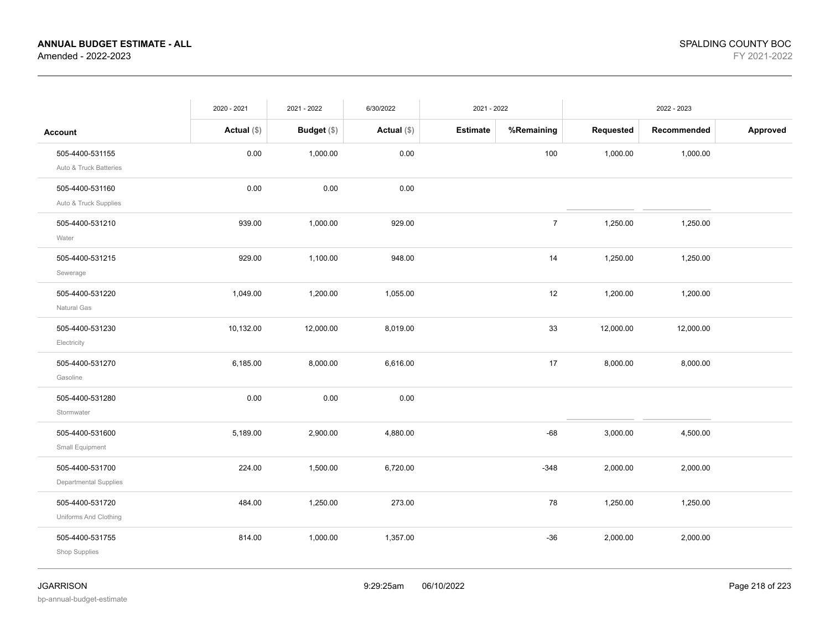|                                           | 2020 - 2021   | 2021 - 2022   | 6/30/2022     | 2021 - 2022     |                | 2022 - 2023 |             |          |
|-------------------------------------------|---------------|---------------|---------------|-----------------|----------------|-------------|-------------|----------|
| <b>Account</b>                            | Actual $(\$)$ | Budget $(\$)$ | Actual $(\$)$ | <b>Estimate</b> | %Remaining     | Requested   | Recommended | Approved |
| 505-4400-531155<br>Auto & Truck Batteries | 0.00          | 1,000.00      | 0.00          |                 | 100            | 1,000.00    | 1,000.00    |          |
| 505-4400-531160<br>Auto & Truck Supplies  | 0.00          | 0.00          | 0.00          |                 |                |             |             |          |
| 505-4400-531210<br>Water                  | 939.00        | 1,000.00      | 929.00        |                 | $\overline{7}$ | 1,250.00    | 1,250.00    |          |
| 505-4400-531215<br>Sewerage               | 929.00        | 1,100.00      | 948.00        |                 | 14             | 1,250.00    | 1,250.00    |          |
| 505-4400-531220<br>Natural Gas            | 1,049.00      | 1,200.00      | 1,055.00      |                 | 12             | 1,200.00    | 1,200.00    |          |
| 505-4400-531230<br>Electricity            | 10,132.00     | 12,000.00     | 8,019.00      |                 | 33             | 12,000.00   | 12,000.00   |          |
| 505-4400-531270<br>Gasoline               | 6,185.00      | 8,000.00      | 6,616.00      |                 | 17             | 8,000.00    | 8,000.00    |          |
| 505-4400-531280<br>Stormwater             | 0.00          | 0.00          | 0.00          |                 |                |             |             |          |
| 505-4400-531600<br>Small Equipment        | 5,189.00      | 2,900.00      | 4,880.00      |                 | $-68$          | 3,000.00    | 4,500.00    |          |
| 505-4400-531700<br>Departmental Supplies  | 224.00        | 1,500.00      | 6,720.00      |                 | $-348$         | 2,000.00    | 2,000.00    |          |
| 505-4400-531720<br>Uniforms And Clothing  | 484.00        | 1,250.00      | 273.00        |                 | 78             | 1,250.00    | 1,250.00    |          |
| 505-4400-531755<br>Shop Supplies          | 814.00        | 1,000.00      | 1,357.00      |                 | $-36$          | 2,000.00    | 2,000.00    |          |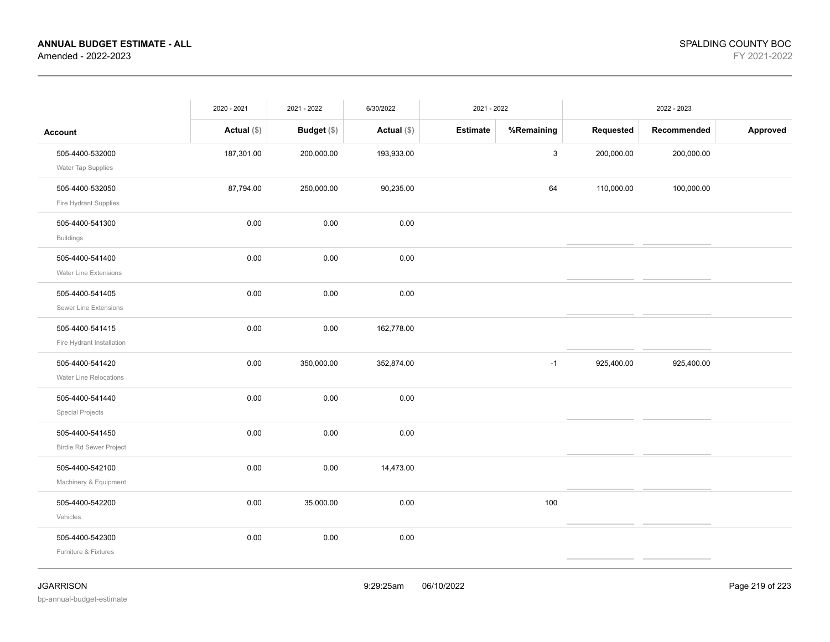|                                | 2020 - 2021   | 2021 - 2022   | 6/30/2022     | 2021 - 2022     |             | 2022 - 2023 |             |          |
|--------------------------------|---------------|---------------|---------------|-----------------|-------------|-------------|-------------|----------|
| <b>Account</b>                 | Actual $(\$)$ | Budget $(\$)$ | Actual $(\$)$ | <b>Estimate</b> | %Remaining  | Requested   | Recommended | Approved |
| 505-4400-532000                | 187,301.00    | 200,000.00    | 193,933.00    |                 | $\mathsf 3$ | 200,000.00  | 200,000.00  |          |
| Water Tap Supplies             |               |               |               |                 |             |             |             |          |
| 505-4400-532050                | 87,794.00     | 250,000.00    | 90,235.00     |                 | 64          | 110,000.00  | 100,000.00  |          |
| Fire Hydrant Supplies          |               |               |               |                 |             |             |             |          |
| 505-4400-541300                | 0.00          | 0.00          | 0.00          |                 |             |             |             |          |
| <b>Buildings</b>               |               |               |               |                 |             |             |             |          |
| 505-4400-541400                | 0.00          | 0.00          | 0.00          |                 |             |             |             |          |
| <b>Water Line Extensions</b>   |               |               |               |                 |             |             |             |          |
| 505-4400-541405                | 0.00          | 0.00          | 0.00          |                 |             |             |             |          |
| Sewer Line Extensions          |               |               |               |                 |             |             |             |          |
| 505-4400-541415                | 0.00          | 0.00          | 162,778.00    |                 |             |             |             |          |
| Fire Hydrant Installation      |               |               |               |                 |             |             |             |          |
| 505-4400-541420                | 0.00          | 350,000.00    | 352,874.00    |                 | $-1$        | 925,400.00  | 925,400.00  |          |
| Water Line Relocations         |               |               |               |                 |             |             |             |          |
| 505-4400-541440                | 0.00          | 0.00          | 0.00          |                 |             |             |             |          |
| <b>Special Projects</b>        |               |               |               |                 |             |             |             |          |
| 505-4400-541450                | 0.00          | 0.00          | 0.00          |                 |             |             |             |          |
| <b>Birdie Rd Sewer Project</b> |               |               |               |                 |             |             |             |          |
| 505-4400-542100                | $0.00\,$      | $0.00\,$      | 14,473.00     |                 |             |             |             |          |
| Machinery & Equipment          |               |               |               |                 |             |             |             |          |
| 505-4400-542200                | 0.00          | 35,000.00     | 0.00          |                 | 100         |             |             |          |
| Vehicles                       |               |               |               |                 |             |             |             |          |
| 505-4400-542300                | 0.00          | 0.00          | 0.00          |                 |             |             |             |          |
| Furniture & Fixtures           |               |               |               |                 |             |             |             |          |
|                                |               |               |               |                 |             |             |             |          |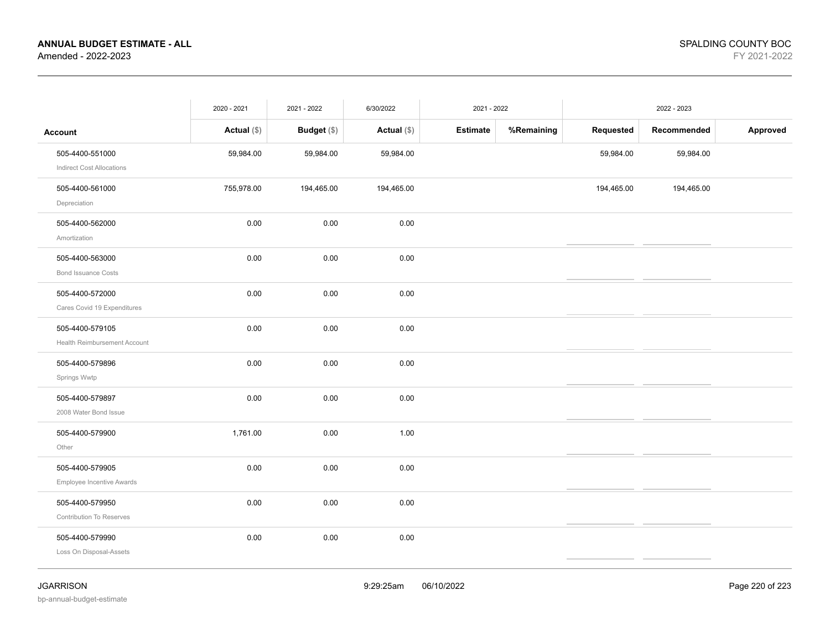|                                                     | 2020 - 2021   | 2021 - 2022 | 6/30/2022     | 2021 - 2022     |            | 2022 - 2023 |             |          |
|-----------------------------------------------------|---------------|-------------|---------------|-----------------|------------|-------------|-------------|----------|
| <b>Account</b>                                      | Actual $(\$)$ | Budget (\$) | Actual $(\$)$ | <b>Estimate</b> | %Remaining | Requested   | Recommended | Approved |
| 505-4400-551000<br><b>Indirect Cost Allocations</b> | 59,984.00     | 59,984.00   | 59,984.00     |                 |            | 59,984.00   | 59,984.00   |          |
| 505-4400-561000<br>Depreciation                     | 755,978.00    | 194,465.00  | 194,465.00    |                 |            | 194,465.00  | 194,465.00  |          |
| 505-4400-562000<br>Amortization                     | 0.00          | 0.00        | 0.00          |                 |            |             |             |          |
| 505-4400-563000<br><b>Bond Issuance Costs</b>       | 0.00          | 0.00        | 0.00          |                 |            |             |             |          |
| 505-4400-572000<br>Cares Covid 19 Expenditures      | 0.00          | 0.00        | 0.00          |                 |            |             |             |          |
| 505-4400-579105<br>Health Reimbursement Account     | 0.00          | 0.00        | 0.00          |                 |            |             |             |          |
| 505-4400-579896<br>Springs Wwtp                     | 0.00          | 0.00        | 0.00          |                 |            |             |             |          |
| 505-4400-579897<br>2008 Water Bond Issue            | 0.00          | 0.00        | 0.00          |                 |            |             |             |          |
| 505-4400-579900<br>Other                            | 1,761.00      | 0.00        | 1.00          |                 |            |             |             |          |
| 505-4400-579905<br>Employee Incentive Awards        | 0.00          | 0.00        | 0.00          |                 |            |             |             |          |
| 505-4400-579950<br>Contribution To Reserves         | 0.00          | 0.00        | 0.00          |                 |            |             |             |          |
| 505-4400-579990<br>Loss On Disposal-Assets          | 0.00          | 0.00        | 0.00          |                 |            |             |             |          |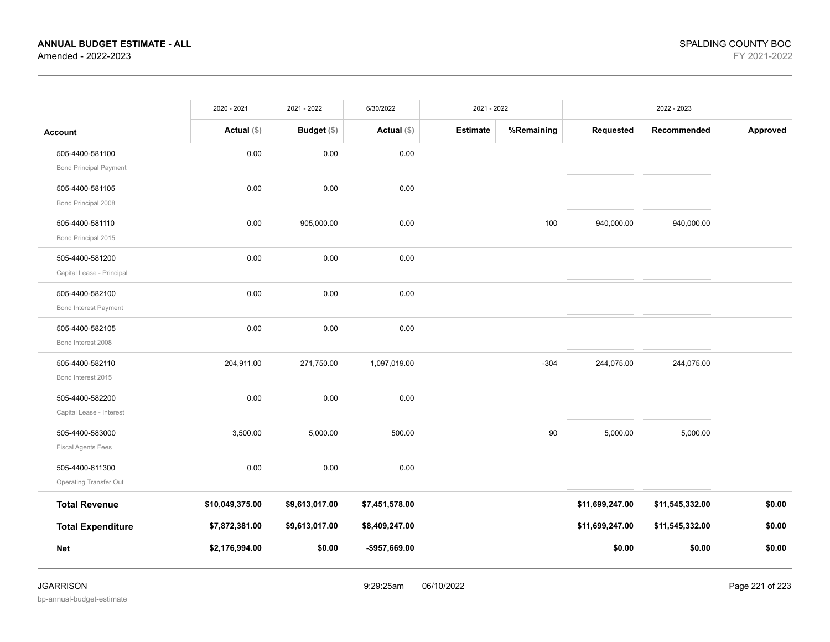|                               | 2020 - 2021     | 2021 - 2022        | 6/30/2022      | 2021 - 2022     |            |                 | 2022 - 2023     |          |
|-------------------------------|-----------------|--------------------|----------------|-----------------|------------|-----------------|-----------------|----------|
| <b>Account</b>                | Actual $(\$)$   | <b>Budget</b> (\$) | Actual $(\$)$  | <b>Estimate</b> | %Remaining | Requested       | Recommended     | Approved |
| 505-4400-581100               | 0.00            | 0.00               | 0.00           |                 |            |                 |                 |          |
| <b>Bond Principal Payment</b> |                 |                    |                |                 |            |                 |                 |          |
| 505-4400-581105               | 0.00            | 0.00               | 0.00           |                 |            |                 |                 |          |
| Bond Principal 2008           |                 |                    |                |                 |            |                 |                 |          |
| 505-4400-581110               | 0.00            | 905,000.00         | 0.00           |                 | 100        | 940,000.00      | 940,000.00      |          |
| Bond Principal 2015           |                 |                    |                |                 |            |                 |                 |          |
| 505-4400-581200               | 0.00            | 0.00               | 0.00           |                 |            |                 |                 |          |
| Capital Lease - Principal     |                 |                    |                |                 |            |                 |                 |          |
| 505-4400-582100               | 0.00            | 0.00               | 0.00           |                 |            |                 |                 |          |
| <b>Bond Interest Payment</b>  |                 |                    |                |                 |            |                 |                 |          |
| 505-4400-582105               | 0.00            | 0.00               | 0.00           |                 |            |                 |                 |          |
| Bond Interest 2008            |                 |                    |                |                 |            |                 |                 |          |
| 505-4400-582110               | 204,911.00      | 271,750.00         | 1,097,019.00   |                 | $-304$     | 244,075.00      | 244,075.00      |          |
| Bond Interest 2015            |                 |                    |                |                 |            |                 |                 |          |
| 505-4400-582200               | 0.00            | 0.00               | 0.00           |                 |            |                 |                 |          |
| Capital Lease - Interest      |                 |                    |                |                 |            |                 |                 |          |
| 505-4400-583000               | 3,500.00        | 5,000.00           | 500.00         |                 | 90         | 5,000.00        | 5,000.00        |          |
| <b>Fiscal Agents Fees</b>     |                 |                    |                |                 |            |                 |                 |          |
| 505-4400-611300               | 0.00            | 0.00               | 0.00           |                 |            |                 |                 |          |
| <b>Operating Transfer Out</b> |                 |                    |                |                 |            |                 |                 |          |
| <b>Total Revenue</b>          | \$10,049,375.00 | \$9,613,017.00     | \$7,451,578.00 |                 |            | \$11,699,247.00 | \$11,545,332.00 | \$0.00   |
| <b>Total Expenditure</b>      | \$7,872,381.00  | \$9,613,017.00     | \$8,409,247.00 |                 |            | \$11,699,247.00 | \$11,545,332.00 | \$0.00   |
| <b>Net</b>                    | \$2,176,994.00  | \$0.00             | -\$957,669.00  |                 |            | \$0.00          | \$0.00          | \$0.00   |
|                               |                 |                    |                |                 |            |                 |                 |          |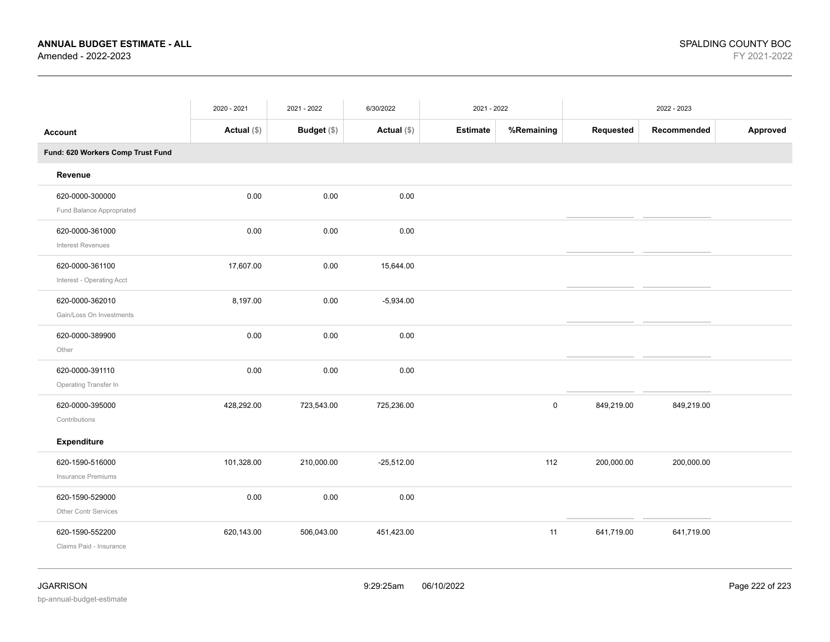|                                              | 2020 - 2021 | 2021 - 2022        | 6/30/2022    | 2021 - 2022 |             | 2022 - 2023 |             |          |
|----------------------------------------------|-------------|--------------------|--------------|-------------|-------------|-------------|-------------|----------|
| <b>Account</b>                               | Actual (\$) | <b>Budget</b> (\$) | Actual (\$)  | Estimate    | %Remaining  | Requested   | Recommended | Approved |
| Fund: 620 Workers Comp Trust Fund            |             |                    |              |             |             |             |             |          |
| Revenue                                      |             |                    |              |             |             |             |             |          |
| 620-0000-300000<br>Fund Balance Appropriated | 0.00        | 0.00               | 0.00         |             |             |             |             |          |
| 620-0000-361000<br><b>Interest Revenues</b>  | 0.00        | 0.00               | 0.00         |             |             |             |             |          |
| 620-0000-361100<br>Interest - Operating Acct | 17,607.00   | 0.00               | 15,644.00    |             |             |             |             |          |
| 620-0000-362010<br>Gain/Loss On Investments  | 8,197.00    | 0.00               | $-5,934.00$  |             |             |             |             |          |
| 620-0000-389900<br>Other                     | 0.00        | 0.00               | 0.00         |             |             |             |             |          |
| 620-0000-391110<br>Operating Transfer In     | 0.00        | 0.00               | 0.00         |             |             |             |             |          |
| 620-0000-395000<br>Contributions             | 428,292.00  | 723,543.00         | 725,236.00   |             | $\mathsf 0$ | 849,219.00  | 849,219.00  |          |
| <b>Expenditure</b>                           |             |                    |              |             |             |             |             |          |
| 620-1590-516000<br>Insurance Premiums        | 101,328.00  | 210,000.00         | $-25,512.00$ |             | 112         | 200,000.00  | 200,000.00  |          |
| 620-1590-529000<br>Other Contr Services      | 0.00        | 0.00               | 0.00         |             |             |             |             |          |
| 620-1590-552200<br>Claims Paid - Insurance   | 620,143.00  | 506,043.00         | 451,423.00   |             | 11          | 641,719.00  | 641,719.00  |          |